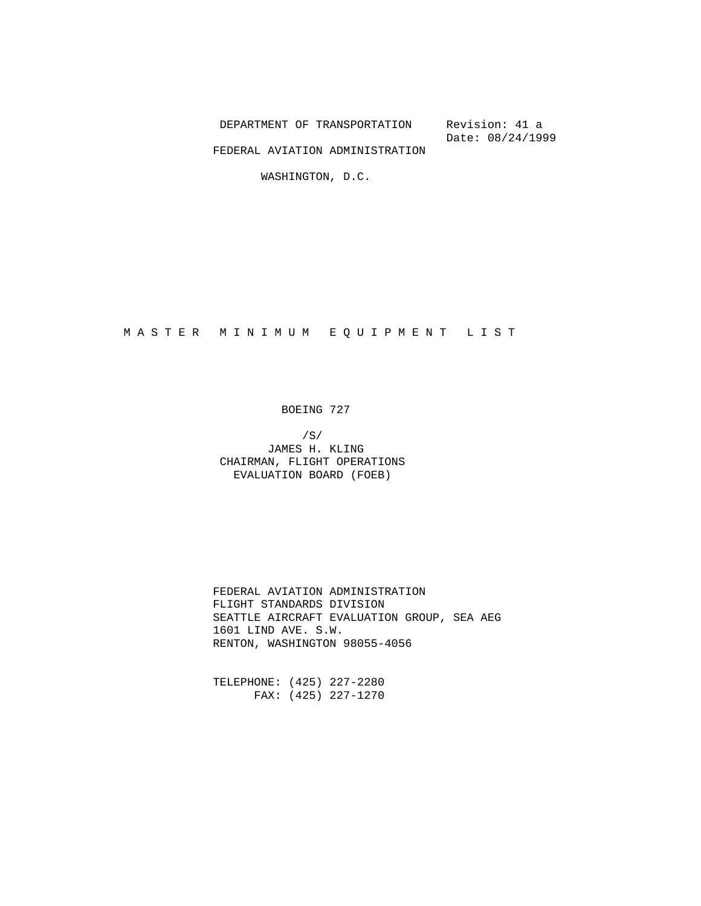## DEPARTMENT OF TRANSPORTATION Revision: 41 a Date: 08/24/1999 FEDERAL AVIATION ADMINISTRATION

WASHINGTON, D.C.

M A S T E R M I N I M U M E Q U I P M E N T L I S T

BOEING 727

 $\sqrt{s/2}$  JAMES H. KLING CHAIRMAN, FLIGHT OPERATIONS EVALUATION BOARD (FOEB)

> FEDERAL AVIATION ADMINISTRATION FLIGHT STANDARDS DIVISION SEATTLE AIRCRAFT EVALUATION GROUP, SEA AEG 1601 LIND AVE. S.W. RENTON, WASHINGTON 98055-4056

 TELEPHONE: (425) 227-2280 FAX: (425) 227-1270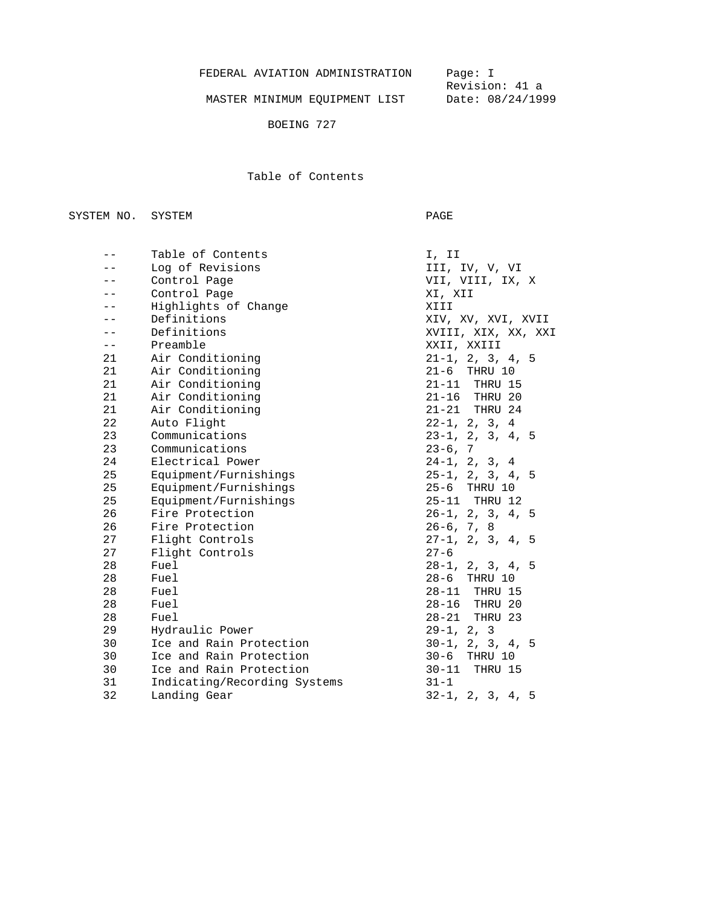#### FEDERAL AVIATION ADMINISTRATION Page: I

MASTER MINIMUM EQUIPMENT LIST Date: 08/24/1999

Revision: 41 a

# BOEING 727

# Table of Contents

SYSTEM NO. SYSTEM PAGE

|       | Table of Contents            | I, II               |
|-------|------------------------------|---------------------|
|       | Log of Revisions             | III, IV, V, VI      |
|       | Control Page                 | VII, VIII, IX, X    |
|       | Control Page                 | XI, XII             |
|       | Highlights of Change         | XIII                |
|       | Definitions                  | XIV, XV, XVI, XVII  |
|       | Definitions                  | XVIII, XIX, XX, XXI |
| $- -$ | Preamble                     | XXII, XXIII         |
| 21    | Air Conditioning             | $21-1, 2, 3, 4, 5$  |
| 21    | Air Conditioning             | 21-6 THRU 10        |
| 21    | Air Conditioning             | 21-11 THRU 15       |
| 21    | Air Conditioning             | 21-16 THRU 20       |
| 21    | Air Conditioning             | 21-21 THRU 24       |
| 22    | Auto Flight                  | $22-1$ , 2, 3, 4    |
| 23    | Communications               | $23-1$ , 2, 3, 4, 5 |
| 23    | Communications               | $23-6, 7$           |
| 24    | Electrical Power             | $24-1, 2, 3, 4$     |
| 25    | Equipment/Furnishings        | $25-1$ , 2, 3, 4, 5 |
| 25    | Equipment/Furnishings        | 25-6 THRU 10        |
| 25    | Equipment/Furnishings        | 25-11 THRU 12       |
| 26    | Fire Protection              | $26-1$ , 2, 3, 4, 5 |
| 26    | Fire Protection              | $26-6, 7, 8$        |
| 27    | Flight Controls              | $27-1$ , 2, 3, 4, 5 |
| 27    | Flight Controls              | $27 - 6$            |
| 28    | Fuel                         | $28-1$ , 2, 3, 4, 5 |
| 28    | Fuel                         | 28-6 THRU 10        |
| 28    | Fuel                         | 28-11 THRU 15       |
| 28    | Fuel                         | 28-16 THRU 20       |
| 28    | Fuel                         | 28-21 THRU 23       |
| 29    | Hydraulic Power              | $29-1, 2, 3$        |
| 30    | Ice and Rain Protection      | $30-1, 2, 3, 4, 5$  |
| 30    | Ice and Rain Protection      | 30-6 THRU 10        |
| 30    | Ice and Rain Protection      | 30-11 THRU 15       |
| 31    | Indicating/Recording Systems | $31 - 1$            |
| 32    | Landing Gear                 | $32-1$ , 2, 3, 4, 5 |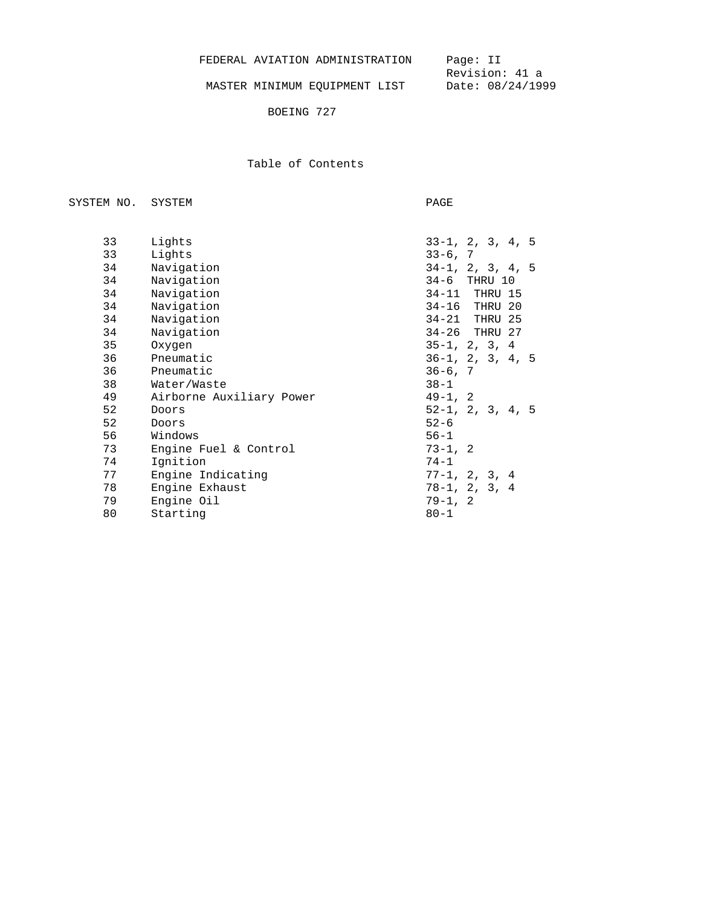<span id="page-2-0"></span>FEDERAL AVIATION ADMINISTRATION Page: II

Revision: 41 a

MASTER MINIMUM EQUIPMENT LIST Date: 08/24/1999

BOEING 727

Table of Contents

SYSTEM NO. SYSTEM PAGE

| 33 | Lights                   | $33-1, 2, 3, 4, 5$  |
|----|--------------------------|---------------------|
| 33 | Lights                   | $33-6, 7$           |
| 34 | Navigation               | $34-1$ , 2, 3, 4, 5 |
| 34 | Navigation               | $34 - 6$<br>THRU 10 |
| 34 | Navigation               | 34-11 THRU 15       |
| 34 | Navigation               | 34-16 THRU 20       |
| 34 | Navigation               | 34-21 THRU 25       |
| 34 | Navigation               | 34-26 THRU 27       |
| 35 | Oxygen                   | $35-1, 2, 3, 4$     |
| 36 | Pneumatic                | $36-1$ , 2, 3, 4, 5 |
| 36 | Pneumatic                | $36-6, 7$           |
| 38 | Water/Waste              | $38 - 1$            |
| 49 | Airborne Auxiliary Power | $49-1, 2$           |
| 52 | Doors                    | $52-1$ , 2, 3, 4, 5 |
| 52 | Doors                    | $52 - 6$            |
| 56 | Windows                  | $56 - 1$            |
| 73 | Engine Fuel & Control    | $73-1, 2$           |
| 74 | Ignition                 | $74 - 1$            |
| 77 | Engine Indicating        | $77-1, 2, 3, 4$     |
| 78 | Engine Exhaust           | $78-1, 2, 3, 4$     |
| 79 | Engine Oil               | $79-1, 2$           |

[Starting](#page-204-0) [80-1](#page-204-0)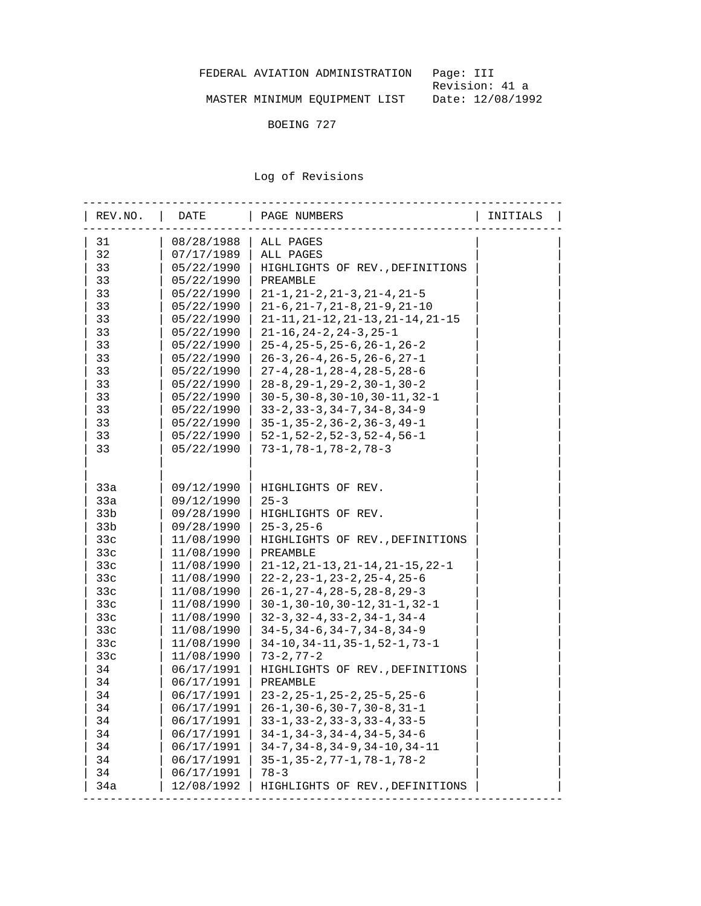# FEDERAL AVIATION ADMINISTRATION Page: III

MASTER MINIMUM EQUIPMENT LIST Date: 12/08/1992

Revision: 41 a

# BOEING 727

<span id="page-3-0"></span>

| REV.NO.         | DATE       | PAGE NUMBERS                                           | INITIALS |
|-----------------|------------|--------------------------------------------------------|----------|
| 31              | 08/28/1988 | ALL PAGES                                              |          |
| 32              | 07/17/1989 | ALL PAGES                                              |          |
| 33              | 05/22/1990 | HIGHLIGHTS OF REV., DEFINITIONS                        |          |
| 33              | 05/22/1990 | PREAMBLE                                               |          |
| 33              | 05/22/1990 | $21 - 1, 21 - 2, 21 - 3, 21 - 4, 21 - 5$               |          |
| 33              | 05/22/1990 | $21-6$ , $21-7$ , $21-8$ , $21-9$ , $21-10$            |          |
| 33              | 05/22/1990 | $21 - 11, 21 - 12, 21 - 13, 21 - 14, 21 - 15$          |          |
| 33              | 05/22/1990 | $21 - 16$ , $24 - 2$ , $24 - 3$ , $25 - 1$             |          |
| 33              | 05/22/1990 | $25 - 4$ , $25 - 5$ , $25 - 6$ , $26 - 1$ , $26 - 2$   |          |
| 33              | 05/22/1990 | $26 - 3$ , $26 - 4$ , $26 - 5$ , $26 - 6$ , $27 - 1$   |          |
| 33              | 05/22/1990 | $27 - 4$ , $28 - 1$ , $28 - 4$ , $28 - 5$ , $28 - 6$   |          |
| 33              | 05/22/1990 | $28 - 8$ , $29 - 1$ , $29 - 2$ , $30 - 1$ , $30 - 2$   |          |
| 33              | 05/22/1990 | $30 - 5$ , $30 - 8$ , $30 - 10$ , $30 - 11$ , $32 - 1$ |          |
| 33              | 05/22/1990 | $33 - 2, 33 - 3, 34 - 7, 34 - 8, 34 - 9$               |          |
| 33              | 05/22/1990 | $35 - 1, 35 - 2, 36 - 2, 36 - 3, 49 - 1$               |          |
| 33              | 05/22/1990 | $52 - 1, 52 - 2, 52 - 3, 52 - 4, 56 - 1$               |          |
| 33              | 05/22/1990 | $73 - 1, 78 - 1, 78 - 2, 78 - 3$                       |          |
|                 |            |                                                        |          |
| 33a             | 09/12/1990 | HIGHLIGHTS OF REV.                                     |          |
| 33a             | 09/12/1990 | $25 - 3$                                               |          |
| 33 <sub>b</sub> | 09/28/1990 | HIGHLIGHTS OF REV.                                     |          |
| 33 <sub>b</sub> | 09/28/1990 | $25 - 3, 25 - 6$                                       |          |
| 33c             | 11/08/1990 | HIGHLIGHTS OF REV., DEFINITIONS                        |          |
| 33c             | 11/08/1990 | PREAMBLE                                               |          |
| 33 <sub>c</sub> | 11/08/1990 | $21 - 12, 21 - 13, 21 - 14, 21 - 15, 22 - 1$           |          |
| 33 <sub>c</sub> | 11/08/1990 | $22 - 2$ , $23 - 1$ , $23 - 2$ , $25 - 4$ , $25 - 6$   |          |
| 33 <sub>c</sub> | 11/08/1990 | $26 - 1, 27 - 4, 28 - 5, 28 - 8, 29 - 3$               |          |
| 33c             | 11/08/1990 | $30 - 1, 30 - 10, 30 - 12, 31 - 1, 32 - 1$             |          |
| 33c             | 11/08/1990 | $32-3, 32-4, 33-2, 34-1, 34-4$                         |          |
| 33c             | 11/08/1990 | $34-5$ , $34-6$ , $34-7$ , $34-8$ , $34-9$             |          |
| 33c             | 11/08/1990 | $34-10, 34-11, 35-1, 52-1, 73-1$                       |          |
| 33c             | 11/08/1990 | $73 - 2, 77 - 2$                                       |          |
| 34              | 06/17/1991 | HIGHLIGHTS OF REV., DEFINITIONS                        |          |
| 34              | 06/17/1991 | PREAMBLE                                               |          |
| 34              | 06/17/1991 | $23 - 2, 25 - 1, 25 - 2, 25 - 5, 25 - 6$               |          |
| 34              | 06/17/1991 | $26 - 1, 30 - 6, 30 - 7, 30 - 8, 31 - 1$               |          |
| 34              | 06/17/1991 | $33 - 1, 33 - 2, 33 - 3, 33 - 4, 33 - 5$               |          |
| 34              | 06/17/1991 | $34-1, 34-3, 34-4, 34-5, 34-6$                         |          |
| 34              | 06/17/1991 | $34 - 7, 34 - 8, 34 - 9, 34 - 10, 34 - 11$             |          |
| 34              | 06/17/1991 | $35 - 1, 35 - 2, 77 - 1, 78 - 1, 78 - 2$               |          |
| 34              | 06/17/1991 | $78 - 3$                                               |          |
| 34a             | 12/08/1992 | HIGHLIGHTS OF REV., DEFINITIONS                        |          |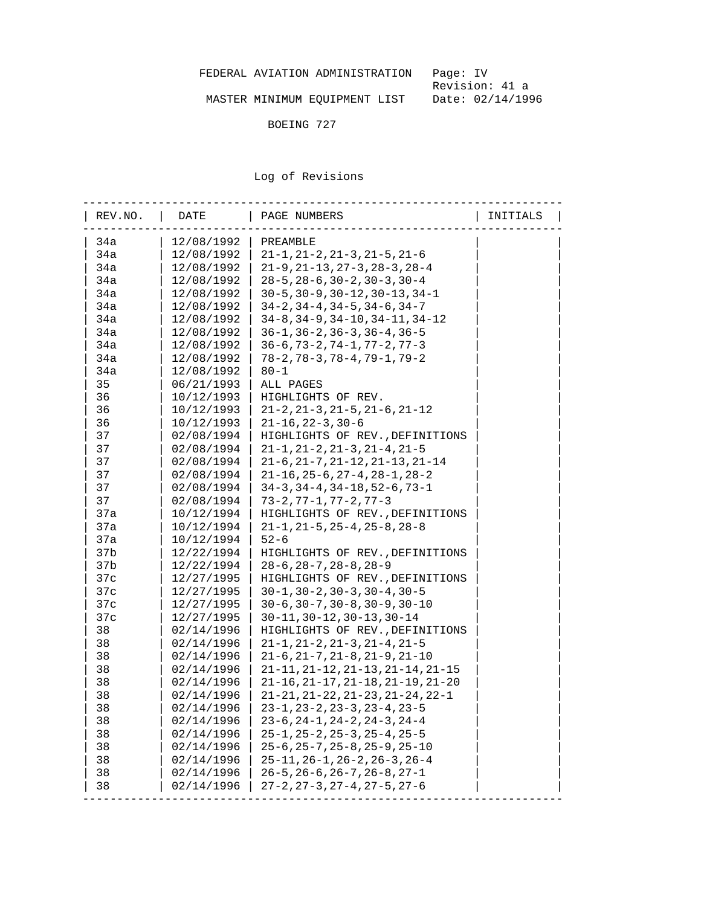# FEDERAL AVIATION ADMINISTRATION Page: IV

Revision: 41 a

# MASTER MINIMUM EQUIPMENT LIST Date: 02/14/1996

# BOEING 727

<span id="page-4-0"></span>

| REV.NO.         | DATE       | PAGE NUMBERS                                          | INITIALS |
|-----------------|------------|-------------------------------------------------------|----------|
| 34a             | 12/08/1992 | PREAMBLE                                              |          |
| 34a             | 12/08/1992 | $21 - 1, 21 - 2, 21 - 3, 21 - 5, 21 - 6$              |          |
| 34a             | 12/08/1992 | $21 - 9$ , $21 - 13$ , $27 - 3$ , $28 - 3$ , $28 - 4$ |          |
| 34a             | 12/08/1992 | $28 - 5$ , $28 - 6$ , $30 - 2$ , $30 - 3$ , $30 - 4$  |          |
| 34a             | 12/08/1992 | $30 - 5, 30 - 9, 30 - 12, 30 - 13, 34 - 1$            |          |
| 34a             | 12/08/1992 | $34-2, 34-4, 34-5, 34-6, 34-7$                        |          |
| 34a             | 12/08/1992 | $34-8, 34-9, 34-10, 34-11, 34-12$                     |          |
| 34a             | 12/08/1992 | $36 - 1, 36 - 2, 36 - 3, 36 - 4, 36 - 5$              |          |
| 34a             | 12/08/1992 | $36 - 6$ , $73 - 2$ , $74 - 1$ , $77 - 2$ , $77 - 3$  |          |
| 34a             | 12/08/1992 | $78 - 2, 78 - 3, 78 - 4, 79 - 1, 79 - 2$              |          |
| 34a             | 12/08/1992 | $80 - 1$                                              |          |
| 35              | 06/21/1993 | ALL PAGES                                             |          |
| 36              | 10/12/1993 | HIGHLIGHTS OF REV.                                    |          |
| 36              | 10/12/1993 | $21 - 2$ , $21 - 3$ , $21 - 5$ , $21 - 6$ , $21 - 12$ |          |
| 36              | 10/12/1993 | $21 - 16, 22 - 3, 30 - 6$                             |          |
| 37              | 02/08/1994 | HIGHLIGHTS OF REV., DEFINITIONS                       |          |
| 37              | 02/08/1994 | $21 - 1, 21 - 2, 21 - 3, 21 - 4, 21 - 5$              |          |
| 37              | 02/08/1994 | $21-6$ , $21-7$ , $21-12$ , $21-13$ , $21-14$         |          |
| 37              | 02/08/1994 | $21 - 16$ , $25 - 6$ , $27 - 4$ , $28 - 1$ , $28 - 2$ |          |
| 37              | 02/08/1994 | $34-3, 34-4, 34-18, 52-6, 73-1$                       |          |
| 37              | 02/08/1994 | $73 - 2, 77 - 1, 77 - 2, 77 - 3$                      |          |
| 37a             | 10/12/1994 | HIGHLIGHTS OF REV., DEFINITIONS                       |          |
| 37a             | 10/12/1994 | $21 - 1, 21 - 5, 25 - 4, 25 - 8, 28 - 8$              |          |
| 37a             | 10/12/1994 | $52 - 6$                                              |          |
| 37 <sub>b</sub> | 12/22/1994 | HIGHLIGHTS OF REV., DEFINITIONS                       |          |
| 37 <sub>b</sub> | 12/22/1994 | $28 - 6$ , $28 - 7$ , $28 - 8$ , $28 - 9$             |          |
| 37c             | 12/27/1995 | HIGHLIGHTS OF REV., DEFINITIONS                       |          |
| 37c             | 12/27/1995 | $30 - 1, 30 - 2, 30 - 3, 30 - 4, 30 - 5$              |          |
| 37 <sub>c</sub> | 12/27/1995 | $30 - 6$ , $30 - 7$ , $30 - 8$ , $30 - 9$ , $30 - 10$ |          |
| 37 <sub>c</sub> | 12/27/1995 | $30 - 11, 30 - 12, 30 - 13, 30 - 14$                  |          |
| 38              | 02/14/1996 | HIGHLIGHTS OF REV., DEFINITIONS                       |          |
| 38              | 02/14/1996 | $21 - 1$ , $21 - 2$ , $21 - 3$ , $21 - 4$ , $21 - 5$  |          |
| 38              | 02/14/1996 | $21-6, 21-7, 21-8, 21-9, 21-10$                       |          |
| 38              | 02/14/1996 | $21 - 11, 21 - 12, 21 - 13, 21 - 14, 21 - 15$         |          |
| 38              | 02/14/1996 | $21 - 16, 21 - 17, 21 - 18, 21 - 19, 21 - 20$         |          |
| 38              | 02/14/1996 | $21 - 21, 21 - 22, 21 - 23, 21 - 24, 22 - 1$          |          |
| 38              | 02/14/1996 | $23 - 1, 23 - 2, 23 - 3, 23 - 4, 23 - 5$              |          |
| 38              | 02/14/1996 | $23 - 6$ , $24 - 1$ , $24 - 2$ , $24 - 3$ , $24 - 4$  |          |
| 38              | 02/14/1996 | $25 - 1$ , $25 - 2$ , $25 - 3$ , $25 - 4$ , $25 - 5$  |          |
| 38              | 02/14/1996 | $25 - 6$ , $25 - 7$ , $25 - 8$ , $25 - 9$ , $25 - 10$ |          |
| 38              | 02/14/1996 | $25 - 11, 26 - 1, 26 - 2, 26 - 3, 26 - 4$             |          |
| 38              | 02/14/1996 | $26 - 5$ , $26 - 6$ , $26 - 7$ , $26 - 8$ , $27 - 1$  |          |
| 38              | 02/14/1996 | $27 - 2$ , $27 - 3$ , $27 - 4$ , $27 - 5$ , $27 - 6$  |          |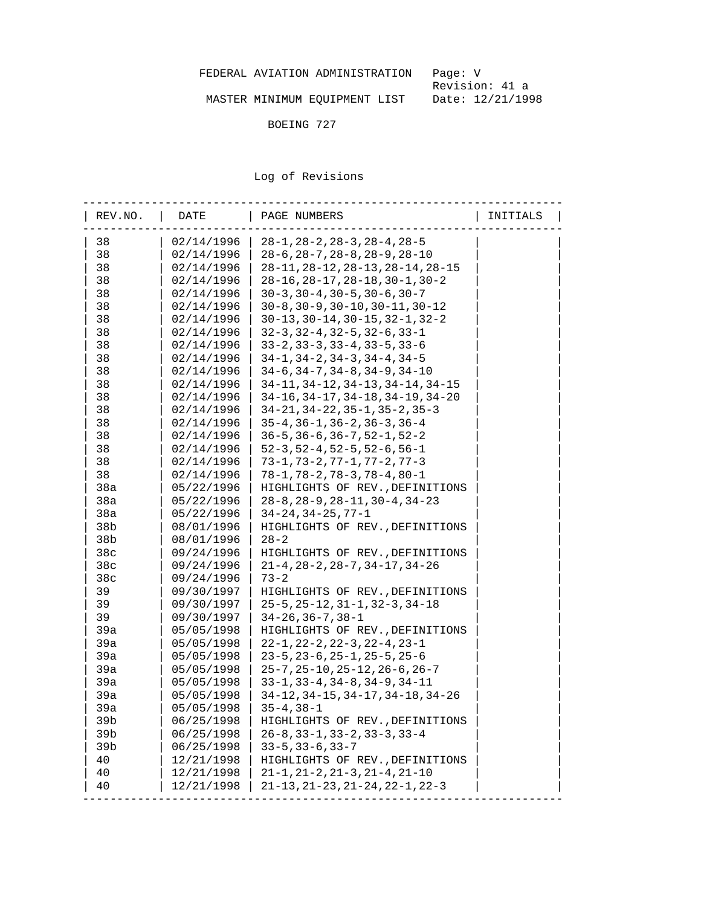# FEDERAL AVIATION ADMINISTRATION Page: V

Revision: 41 a

# MASTER MINIMUM EQUIPMENT LIST Date: 12/21/1998

# BOEING 727

<span id="page-5-0"></span>

| REV.NO.         | DATE       | PAGE NUMBERS                                            | INITIALS |
|-----------------|------------|---------------------------------------------------------|----------|
| 38              | 02/14/1996 | $28 - 1, 28 - 2, 28 - 3, 28 - 4, 28 - 5$                |          |
| 38              | 02/14/1996 | $28 - 6$ , $28 - 7$ , $28 - 8$ , $28 - 9$ , $28 - 10$   |          |
| 38              | 02/14/1996 | $28 - 11, 28 - 12, 28 - 13, 28 - 14, 28 - 15$           |          |
| 38              | 02/14/1996 | $28 - 16, 28 - 17, 28 - 18, 30 - 1, 30 - 2$             |          |
| 38              | 02/14/1996 | $30 - 3, 30 - 4, 30 - 5, 30 - 6, 30 - 7$                |          |
| 38              | 02/14/1996 | $30 - 8$ , $30 - 9$ , $30 - 10$ , $30 - 11$ , $30 - 12$ |          |
| 38              | 02/14/1996 | $30 - 13, 30 - 14, 30 - 15, 32 - 1, 32 - 2$             |          |
| 38              | 02/14/1996 | $32-3, 32-4, 32-5, 32-6, 33-1$                          |          |
| 38              | 02/14/1996 | $33 - 2$ , $33 - 3$ , $33 - 4$ , $33 - 5$ , $33 - 6$    |          |
| 38              | 02/14/1996 | $34-1, 34-2, 34-3, 34-4, 34-5$                          |          |
| 38              | 02/14/1996 | $34-6$ , $34-7$ , $34-8$ , $34-9$ , $34-10$             |          |
| 38              | 02/14/1996 | $34-11, 34-12, 34-13, 34-14, 34-15$                     |          |
| 38              | 02/14/1996 | $34-16, 34-17, 34-18, 34-19, 34-20$                     |          |
| 38              | 02/14/1996 | $34 - 21, 34 - 22, 35 - 1, 35 - 2, 35 - 3$              |          |
| 38              | 02/14/1996 | $35 - 4, 36 - 1, 36 - 2, 36 - 3, 36 - 4$                |          |
| 38              | 02/14/1996 | $36 - 5$ , $36 - 6$ , $36 - 7$ , $52 - 1$ , $52 - 2$    |          |
| 38              | 02/14/1996 | $52-3, 52-4, 52-5, 52-6, 56-1$                          |          |
| 38              | 02/14/1996 | $73 - 1, 73 - 2, 77 - 1, 77 - 2, 77 - 3$                |          |
| 38              | 02/14/1996 | $78 - 1, 78 - 2, 78 - 3, 78 - 4, 80 - 1$                |          |
| 38a             | 05/22/1996 | HIGHLIGHTS OF REV., DEFINITIONS                         |          |
| 38a             | 05/22/1996 | $28 - 8$ , $28 - 9$ , $28 - 11$ , $30 - 4$ , $34 - 23$  |          |
| 38a             | 05/22/1996 | $34 - 24, 34 - 25, 77 - 1$                              |          |
| 38b             | 08/01/1996 | HIGHLIGHTS OF REV., DEFINITIONS                         |          |
| 38 <sub>b</sub> | 08/01/1996 | $28 - 2$                                                |          |
| 38 <sub>c</sub> | 09/24/1996 | HIGHLIGHTS OF REV., DEFINITIONS                         |          |
| 38c             | 09/24/1996 | $21 - 4$ , $28 - 2$ , $28 - 7$ , $34 - 17$ , $34 - 26$  |          |
| 38c             | 09/24/1996 | $73 - 2$                                                |          |
| 39              | 09/30/1997 | HIGHLIGHTS OF REV., DEFINITIONS                         |          |
| 39              | 09/30/1997 | $25 - 5$ , $25 - 12$ , $31 - 1$ , $32 - 3$ , $34 - 18$  |          |
| 39              | 09/30/1997 | $34 - 26, 36 - 7, 38 - 1$                               |          |
| 39a             | 05/05/1998 | HIGHLIGHTS OF REV., DEFINITIONS                         |          |
| 39a             | 05/05/1998 | $22 - 1, 22 - 2, 22 - 3, 22 - 4, 23 - 1$                |          |
| 39a             | 05/05/1998 | $23 - 5$ , $23 - 6$ , $25 - 1$ , $25 - 5$ , $25 - 6$    |          |
| 39a             | 05/05/1998 | $25 - 7$ , $25 - 10$ , $25 - 12$ , $26 - 6$ , $26 - 7$  |          |
| 39a             | 05/05/1998 | $33 - 1, 33 - 4, 34 - 8, 34 - 9, 34 - 11$               |          |
| 39a             | 05/05/1998 | $34 - 12, 34 - 15, 34 - 17, 34 - 18, 34 - 26$           |          |
| 39a             | 05/05/1998 | $35 - 4, 38 - 1$                                        |          |
| 39b             | 06/25/1998 | HIGHLIGHTS OF REV., DEFINITIONS                         |          |
| 39 <sub>b</sub> | 06/25/1998 | $26 - 8$ , $33 - 1$ , $33 - 2$ , $33 - 3$ , $33 - 4$    |          |
| 39 <sub>b</sub> | 06/25/1998 | $33 - 5, 33 - 6, 33 - 7$                                |          |
| 40              | 12/21/1998 | HIGHLIGHTS OF REV., DEFINITIONS                         |          |
| 40              | 12/21/1998 | $21 - 1, 21 - 2, 21 - 3, 21 - 4, 21 - 10$               |          |
| 40              | 12/21/1998 | $21-13, 21-23, 21-24, 22-1, 22-3$                       |          |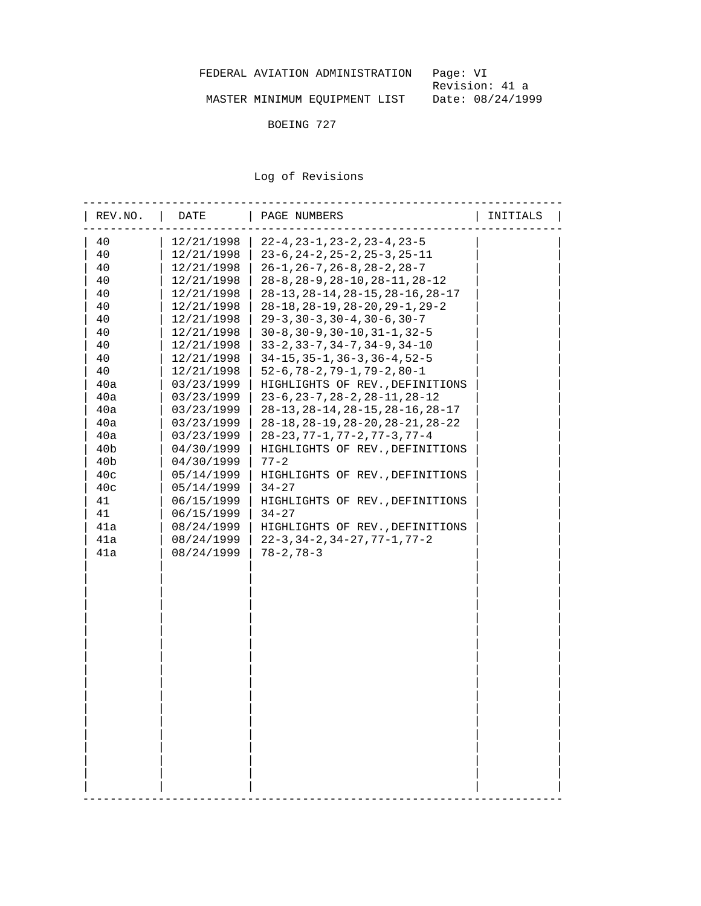# FEDERAL AVIATION ADMINISTRATION Page: VI

 Revision: 41 a MASTER MINIMUM EQUIPMENT LIST Date: 08/24/1999

# BOEING 727

<span id="page-6-0"></span>

| 12/21/1998<br>$22 - 4$ , $23 - 1$ , $23 - 2$ , $23 - 4$ , $23 - 5$<br>40<br>$23 - 6$ , $24 - 2$ , $25 - 2$ , $25 - 3$ , $25 - 11$<br>40<br>12/21/1998<br>40<br>12/21/1998<br>$26 - 1, 26 - 7, 26 - 8, 28 - 2, 28 - 7$<br>40<br>12/21/1998<br>$28 - 8$ , $28 - 9$ , $28 - 10$ , $28 - 11$ , $28 - 12$<br>28-13, 28-14, 28-15, 28-16, 28-17<br>40<br>12/21/1998<br>$28 - 18, 28 - 19, 28 - 20, 29 - 1, 29 - 2$<br>40<br>12/21/1998<br>$29 - 3, 30 - 3, 30 - 4, 30 - 6, 30 - 7$<br>40<br>12/21/1998<br>$30 - 8$ , $30 - 9$ , $30 - 10$ , $31 - 1$ , $32 - 5$<br>40<br>12/21/1998<br>40<br>12/21/1998<br>$33 - 2, 33 - 7, 34 - 7, 34 - 9, 34 - 10$<br>40<br>12/21/1998<br>$34-15$ , $35-1$ , $36-3$ , $36-4$ , $52-5$<br>40<br>12/21/1998<br>$52-6$ , $78-2$ , $79-1$ , $79-2$ , $80-1$<br>40a<br>03/23/1999<br>HIGHLIGHTS OF REV., DEFINITIONS<br>40a<br>03/23/1999<br>$23 - 6$ , $23 - 7$ , $28 - 2$ , $28 - 11$ , $28 - 12$<br>$28 - 13, 28 - 14, 28 - 15, 28 - 16, 28 - 17$<br>40a<br>03/23/1999<br>28-18, 28-19, 28-20, 28-21, 28-22<br>40a<br>03/23/1999<br>40a<br>03/23/1999<br>$28 - 23, 77 - 1, 77 - 2, 77 - 3, 77 - 4$<br>40 <sub>b</sub><br>04/30/1999<br>HIGHLIGHTS OF REV., DEFINITIONS<br>40 <sub>b</sub><br>04/30/1999<br>$77 - 2$<br>40c<br>05/14/1999<br>HIGHLIGHTS OF REV., DEFINITIONS<br>40c<br>05/14/1999<br>$34 - 27$<br>41<br>06/15/1999<br>HIGHLIGHTS OF REV., DEFINITIONS<br>41<br>06/15/1999<br>$34 - 27$<br>41a<br>08/24/1999<br>HIGHLIGHTS OF REV., DEFINITIONS<br>$22-3, 34-2, 34-27, 77-1, 77-2$<br>41a<br>08/24/1999<br>41a<br>08/24/1999<br>$78 - 2, 78 - 3$ |
|------------------------------------------------------------------------------------------------------------------------------------------------------------------------------------------------------------------------------------------------------------------------------------------------------------------------------------------------------------------------------------------------------------------------------------------------------------------------------------------------------------------------------------------------------------------------------------------------------------------------------------------------------------------------------------------------------------------------------------------------------------------------------------------------------------------------------------------------------------------------------------------------------------------------------------------------------------------------------------------------------------------------------------------------------------------------------------------------------------------------------------------------------------------------------------------------------------------------------------------------------------------------------------------------------------------------------------------------------------------------------------------------------------------------------------------------------------------------------------------------------------------------------------------------------------------------------------------|
|                                                                                                                                                                                                                                                                                                                                                                                                                                                                                                                                                                                                                                                                                                                                                                                                                                                                                                                                                                                                                                                                                                                                                                                                                                                                                                                                                                                                                                                                                                                                                                                          |
|                                                                                                                                                                                                                                                                                                                                                                                                                                                                                                                                                                                                                                                                                                                                                                                                                                                                                                                                                                                                                                                                                                                                                                                                                                                                                                                                                                                                                                                                                                                                                                                          |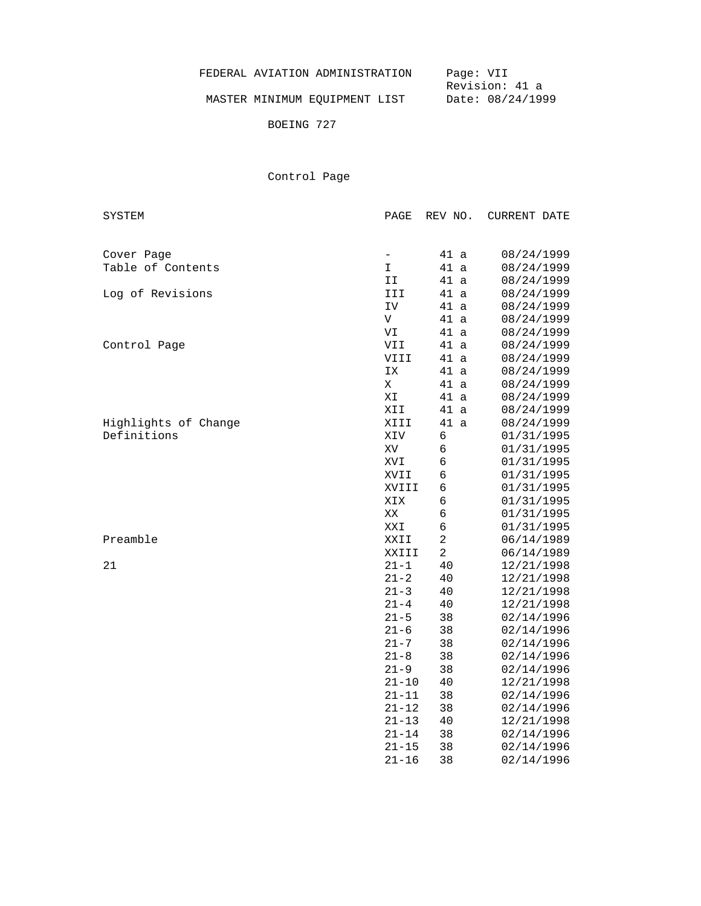#### <span id="page-7-0"></span>FEDERAL AVIATION ADMINISTRATION Page: VII

Revision: 41 a

#### MASTER MINIMUM EQUIPMENT LIST Date: 08/24/1999

BOEING 727

| SYSTEM               | PAGE                     | REV NO.                 | CURRENT DATE |
|----------------------|--------------------------|-------------------------|--------------|
|                      |                          |                         |              |
| Cover Page           | $\overline{\phantom{0}}$ | 41 a                    | 08/24/1999   |
| Table of Contents    | I.                       | 41a                     | 08/24/1999   |
|                      | IΙ                       | 41 a                    | 08/24/1999   |
| Log of Revisions     | III                      | 41 a                    | 08/24/1999   |
|                      | IV                       | 41 a                    | 08/24/1999   |
|                      | $\boldsymbol{\nabla}$    | 41 a                    | 08/24/1999   |
|                      | VI                       | 41a                     | 08/24/1999   |
| Control Page         | VII                      | 41 a                    | 08/24/1999   |
|                      | VIII                     | 41 a                    | 08/24/1999   |
|                      | ΙX                       | 41 a                    | 08/24/1999   |
|                      | Χ                        | 41 a                    | 08/24/1999   |
|                      | ΧI                       | 41a                     | 08/24/1999   |
|                      | XII                      | 41 a                    | 08/24/1999   |
| Highlights of Change | XIII                     | 41a                     | 08/24/1999   |
| Definitions          | ХIV                      | 6                       | 01/31/1995   |
|                      | $\mathbf{X}\mathbf{V}$   | 6                       | 01/31/1995   |
|                      | IVX                      | 6                       | 01/31/1995   |
|                      | XVII                     | 6                       | 01/31/1995   |
|                      | XVIII                    | 6                       | 01/31/1995   |
|                      | XIX                      | 6                       | 01/31/1995   |
|                      | XХ                       | 6                       | 01/31/1995   |
|                      | XXI                      | $\epsilon$              | 01/31/1995   |
| Preamble             | XXII                     | $\overline{\mathbf{c}}$ | 06/14/1989   |
|                      | XXIII                    | $\overline{a}$          | 06/14/1989   |
| 21                   | $21 - 1$                 | 40                      | 12/21/1998   |
|                      | $21 - 2$                 | 40                      | 12/21/1998   |
|                      | $21 - 3$                 | 40                      | 12/21/1998   |
|                      | $21 - 4$                 | 40                      | 12/21/1998   |
|                      | $21 - 5$                 | 38                      | 02/14/1996   |
|                      | $21 - 6$                 | 38                      | 02/14/1996   |
|                      | $21 - 7$                 | 38                      | 02/14/1996   |
|                      | $21 - 8$                 | 38                      | 02/14/1996   |
|                      | $21 - 9$                 | 38                      | 02/14/1996   |
|                      | $21 - 10$                | 40                      | 12/21/1998   |
|                      | $21 - 11$                | 38                      | 02/14/1996   |
|                      | $21 - 12$                | 38                      | 02/14/1996   |
|                      | $21 - 13$                | 40                      | 12/21/1998   |
|                      | $21 - 14$                | 38                      | 02/14/1996   |
|                      | $21 - 15$                | 38                      | 02/14/1996   |
|                      | $21 - 16$                | 38                      | 02/14/1996   |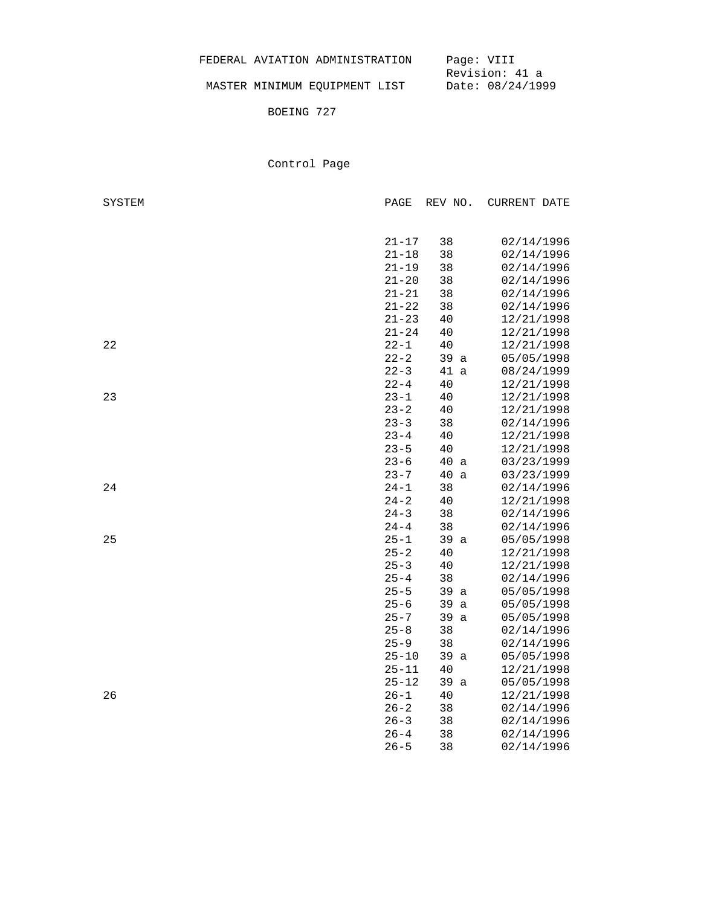|  | FEDERAL AVIATION ADMINISTRATION |
|--|---------------------------------|
|  |                                 |

Page: VIII Revision: 41 a MASTER MINIMUM EQUIPMENT LIST Date: 08/24/1999

BOEING 727

<span id="page-8-0"></span>

| <b>SYSTEM</b> | PAGE      | REV NO.            | CURRENT DATE |
|---------------|-----------|--------------------|--------------|
|               |           |                    |              |
|               | $21 - 17$ | 38                 | 02/14/1996   |
|               | $21 - 18$ | 38                 | 02/14/1996   |
|               | $21 - 19$ | 38                 | 02/14/1996   |
|               | $21 - 20$ | 38                 | 02/14/1996   |
|               | $21 - 21$ | 38                 | 02/14/1996   |
|               | $21 - 22$ | 38                 | 02/14/1996   |
|               | $21 - 23$ | 40                 | 12/21/1998   |
|               | $21 - 24$ | 40                 | 12/21/1998   |
| 22            | $22 - 1$  | 40                 | 12/21/1998   |
|               | $22 - 2$  | 39 a               | 05/05/1998   |
|               | $22 - 3$  | 41 a               | 08/24/1999   |
|               | $22 - 4$  | $40$               | 12/21/1998   |
| 23            | $23 - 1$  | 40                 | 12/21/1998   |
|               | $23 - 2$  | 40                 | 12/21/1998   |
|               | $23 - 3$  | 38                 | 02/14/1996   |
|               | $23 - 4$  | $40$               | 12/21/1998   |
|               | $23 - 5$  | 40                 | 12/21/1998   |
|               | $23 - 6$  | 40a                | 03/23/1999   |
|               | $23 - 7$  | 40<br>a            | 03/23/1999   |
| 24            | $24 - 1$  | 38                 | 02/14/1996   |
|               | $24 - 2$  | 40                 | 12/21/1998   |
|               | $24 - 3$  | 38                 | 02/14/1996   |
|               | $24 - 4$  | 38                 | 02/14/1996   |
| 25            | $25 - 1$  | 39 a               | 05/05/1998   |
|               | $25 - 2$  | 40                 | 12/21/1998   |
|               | $25 - 3$  | 40                 | 12/21/1998   |
|               | $25 - 4$  | 38                 | 02/14/1996   |
|               | $25 - 5$  | 39 a               | 05/05/1998   |
|               | $25 - 6$  | 39<br>$\mathsf{a}$ | 05/05/1998   |
|               | $25 - 7$  | 39<br>a            | 05/05/1998   |
|               | $25 - 8$  | 38                 | 02/14/1996   |
|               | $25 - 9$  | 38                 | 02/14/1996   |
|               | $25 - 10$ | 39<br>a            | 05/05/1998   |
|               | $25 - 11$ | 40                 | 12/21/1998   |
|               | $25 - 12$ | 39<br>a            | 05/05/1998   |
| 26            | $26 - 1$  | 40                 | 12/21/1998   |
|               | $26 - 2$  | 38                 | 02/14/1996   |
|               | $26 - 3$  | 38                 | 02/14/1996   |
|               | $26 - 4$  | $38$               | 02/14/1996   |
|               | $26 - 5$  | 38                 | 02/14/1996   |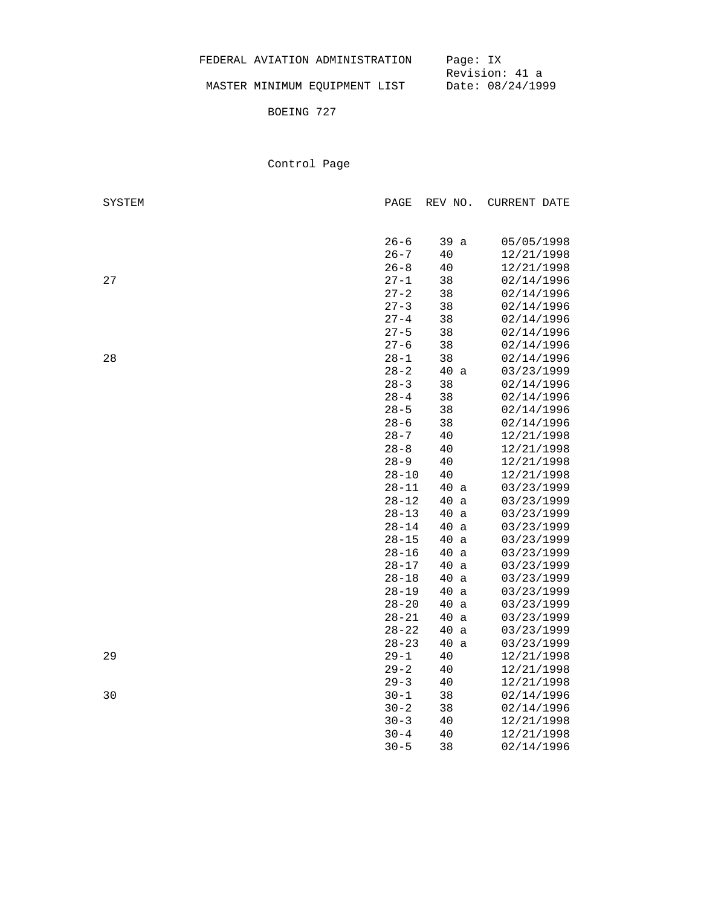|  | FEDERAL AVIATION ADMINISTRATION |
|--|---------------------------------|
|  |                                 |

Page: IX Revision: 41 a MASTER MINIMUM EQUIPMENT LIST Date: 08/24/1999

BOEING 727

<span id="page-9-0"></span>

| SYSTEM | PAGE      | REV NO.              | CURRENT DATE |
|--------|-----------|----------------------|--------------|
|        |           |                      |              |
|        | $26 - 6$  | 39 a                 | 05/05/1998   |
|        | $26 - 7$  | 40                   | 12/21/1998   |
|        | $26 - 8$  | 40                   | 12/21/1998   |
| 27     | $27 - 1$  | 38                   | 02/14/1996   |
|        | $27 - 2$  | 38                   | 02/14/1996   |
|        | $27 - 3$  | 38                   | 02/14/1996   |
|        | $27 - 4$  | 38                   | 02/14/1996   |
|        | $27 - 5$  | 38                   | 02/14/1996   |
|        | $27 - 6$  | 38                   | 02/14/1996   |
| 28     | $28 - 1$  | 38                   | 02/14/1996   |
|        | $28 - 2$  | 40a                  | 03/23/1999   |
|        | $28 - 3$  | 38                   | 02/14/1996   |
|        | $28 - 4$  | 38                   | 02/14/1996   |
|        | $28 - 5$  | 38                   | 02/14/1996   |
|        | $28 - 6$  | 38                   | 02/14/1996   |
|        | $28 - 7$  | 40                   | 12/21/1998   |
|        | $28 - 8$  | 40                   | 12/21/1998   |
|        | $28 - 9$  | 40                   | 12/21/1998   |
|        | $28 - 10$ | 40                   | 12/21/1998   |
|        | $28 - 11$ | 40a                  | 03/23/1999   |
|        | $28 - 12$ | $40$<br>$\mathsf{a}$ | 03/23/1999   |
|        | $28 - 13$ | 40<br>$\mathsf{a}$   | 03/23/1999   |
|        | $28 - 14$ | 40<br>a              | 03/23/1999   |
|        | $28 - 15$ | 40<br>a              | 03/23/1999   |
|        | $28 - 16$ | 40a                  | 03/23/1999   |
|        | $28 - 17$ | 40<br>$\mathsf{a}$   | 03/23/1999   |
|        | $28 - 18$ | 40<br>a              | 03/23/1999   |
|        | $28 - 19$ | 40<br>$\mathsf{a}$   | 03/23/1999   |
|        | $28 - 20$ | 40a                  | 03/23/1999   |
|        | $28 - 21$ | 40<br>$\mathsf{a}$   | 03/23/1999   |
|        | $28 - 22$ | 40<br>a              | 03/23/1999   |
|        | $28 - 23$ | 40a                  | 03/23/1999   |
| 29     | $29 - 1$  | 40                   | 12/21/1998   |
|        | $29 - 2$  | 40                   | 12/21/1998   |
|        | $29 - 3$  | 40                   | 12/21/1998   |
| 30     | $30 - 1$  | 38                   | 02/14/1996   |
|        | $30 - 2$  | 38                   | 02/14/1996   |
|        | $30 - 3$  | 40                   | 12/21/1998   |
|        | $30 - 4$  | 40                   | 12/21/1998   |
|        | $30 - 5$  | 38                   | 02/14/1996   |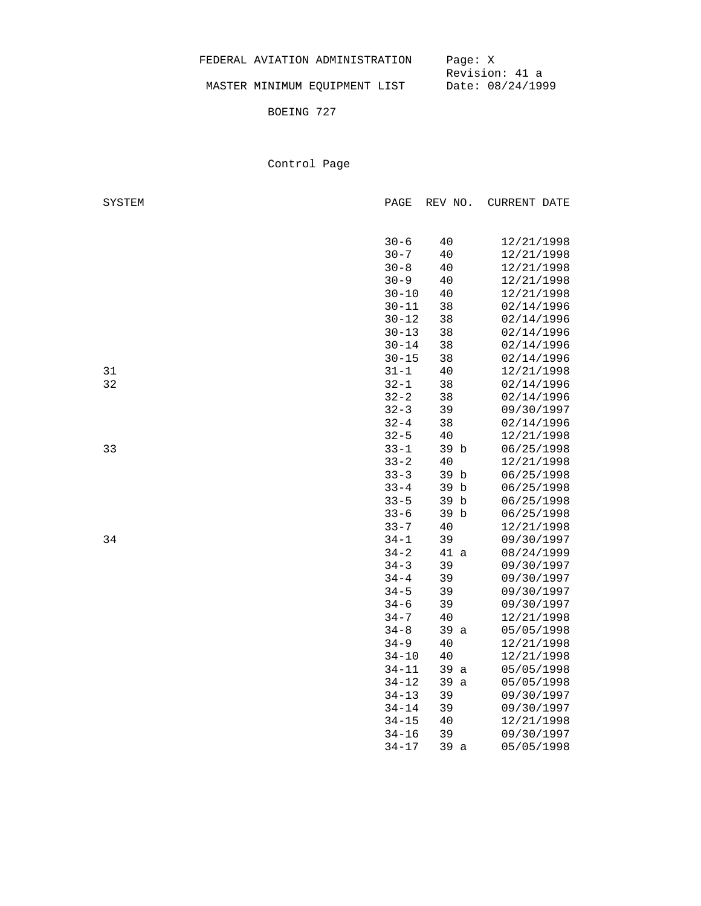Page: X Revision: 41 a MASTER MINIMUM EQUIPMENT LIST Date: 08/24/1999

BOEING 727

<span id="page-10-0"></span>

| SYSTEM | PAGE                 | REV NO.  | CURRENT DATE             |
|--------|----------------------|----------|--------------------------|
|        |                      |          |                          |
|        | $30 - 6$             | 40       | 12/21/1998               |
|        | $30 - 7$             | 40       | 12/21/1998               |
|        | $30 - 8$             | 40       | 12/21/1998               |
|        | $30 - 9$             | 40       | 12/21/1998               |
|        | $30 - 10$            | 40       | 12/21/1998               |
|        | $30 - 11$            | 38       | 02/14/1996               |
|        | $30 - 12$            | 38       | 02/14/1996               |
|        | $30 - 13$            | 38       | 02/14/1996               |
|        | $30 - 14$            | 38       | 02/14/1996               |
|        | $30 - 15$            | 38       | 02/14/1996               |
| 31     | $31 - 1$             | 40       | 12/21/1998               |
| 32     | $32 - 1$             | 38       | 02/14/1996               |
|        | $32 - 2$             | 38       | 02/14/1996               |
|        | $32 - 3$             | 39       | 09/30/1997               |
|        | $32 - 4$             | 38       | 02/14/1996               |
|        | $32 - 5$             | 40       | 12/21/1998               |
| 33     | $33 - 1$             | 39 b     | 06/25/1998               |
|        | $33 - 2$             | 40       | 12/21/1998               |
|        | $33 - 3$             | 39 b     | 06/25/1998               |
|        | $33 - 4$             | 39 b     | 06/25/1998               |
|        | $33 - 5$             | 39 b     | 06/25/1998               |
|        | $33 - 6$             | 39 b     | 06/25/1998               |
| 34     | $33 - 7$<br>$34 - 1$ | 40<br>39 | 12/21/1998<br>09/30/1997 |
|        | $34 - 2$             | 41 a     | 08/24/1999               |
|        | $34 - 3$             | 39       | 09/30/1997               |
|        | $34 - 4$             | 39       | 09/30/1997               |
|        | $34 - 5$             | 39       | 09/30/1997               |
|        | $34 - 6$             | 39       | 09/30/1997               |
|        | $34 - 7$             | 40       | 12/21/1998               |
|        | $34 - 8$             | 39 a     | 05/05/1998               |
|        | $34 - 9$             | $40$     | 12/21/1998               |
|        | $34 - 10$            | 40       | 12/21/1998               |
|        | $34 - 11$            | 39 a     | 05/05/1998               |
|        | $34 - 12$            | 39 a     | 05/05/1998               |
|        | $34 - 13$            | 39       | 09/30/1997               |
|        | $34 - 14$            | 39       | 09/30/1997               |
|        | $34 - 15$            | $40$     | 12/21/1998               |
|        | $34 - 16$            | 39       | 09/30/1997               |
|        | $34 - 17$            | 39 a     | 05/05/1998               |
|        |                      |          |                          |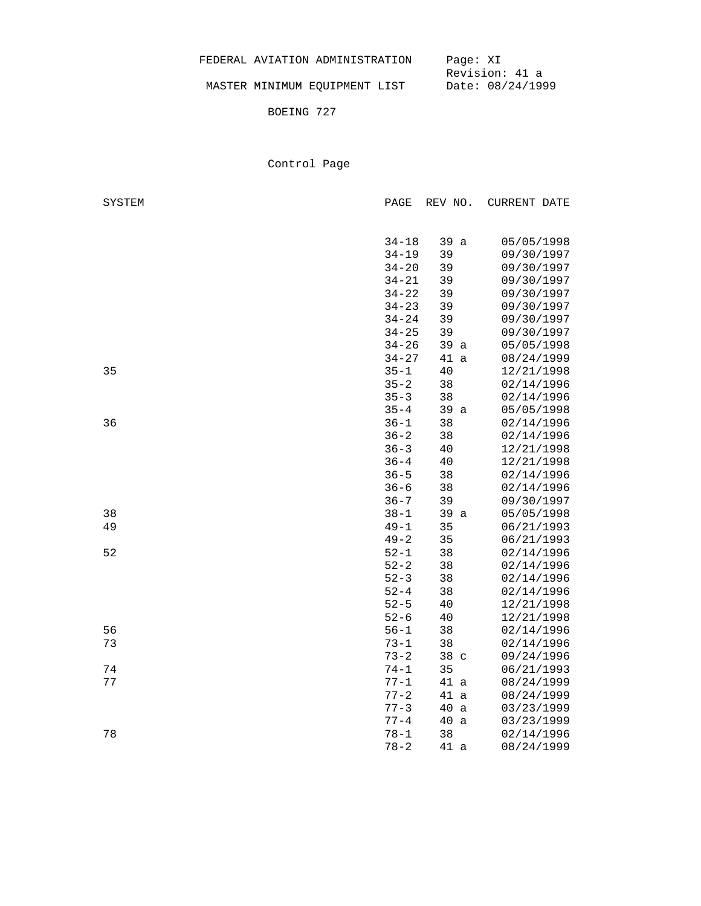|  | FEDERAL AVIATION ADMINISTRATION |
|--|---------------------------------|
|  |                                 |

Page: XI Revision: 41 a

MASTER MINIMUM EQUIPMENT LIST Date: 08/24/1999

BOEING 727

<span id="page-11-0"></span>

| SYSTEM | PAGE      | REV NO. | CURRENT DATE |
|--------|-----------|---------|--------------|
|        |           |         |              |
|        | $34 - 18$ | 39 a    | 05/05/1998   |
|        | $34 - 19$ | 39      | 09/30/1997   |
|        | $34 - 20$ | 39      | 09/30/1997   |
|        | $34 - 21$ | 39      | 09/30/1997   |
|        | $34 - 22$ | 39      | 09/30/1997   |
|        | $34 - 23$ | 39      | 09/30/1997   |
|        | $34 - 24$ | 39      | 09/30/1997   |
|        | $34 - 25$ | 39      | 09/30/1997   |
|        | $34 - 26$ | 39 a    | 05/05/1998   |
|        | $34 - 27$ | 41 a    | 08/24/1999   |
| 35     | $35 - 1$  | 40      | 12/21/1998   |
|        | $35 - 2$  | 38      | 02/14/1996   |
|        | $35 - 3$  | 38      | 02/14/1996   |
|        | $35 - 4$  | 39 a    | 05/05/1998   |
| 36     | $36 - 1$  | 38      | 02/14/1996   |
|        | $36 - 2$  | 38      | 02/14/1996   |
|        | $36 - 3$  | 40      | 12/21/1998   |
|        | $36 - 4$  | 40      | 12/21/1998   |
|        | $36 - 5$  | 38      | 02/14/1996   |
|        | $36 - 6$  | 38      | 02/14/1996   |
|        | $36 - 7$  | 39      | 09/30/1997   |
| 38     | $38 - 1$  | 39 a    | 05/05/1998   |
| 49     | $49 - 1$  | 35      | 06/21/1993   |
|        | $49 - 2$  | 35      | 06/21/1993   |
| 52     | $52 - 1$  | 38      | 02/14/1996   |
|        | $52 - 2$  | 38      | 02/14/1996   |
|        | $52 - 3$  | 38      | 02/14/1996   |
|        | $52 - 4$  | 38      | 02/14/1996   |
|        | $52 - 5$  | 40      | 12/21/1998   |
|        | $52 - 6$  | 40      | 12/21/1998   |
| 56     | $56 - 1$  | 38      | 02/14/1996   |
| 73     | $73 - 1$  | 38      | 02/14/1996   |
|        | $73 - 2$  | 38 c    | 09/24/1996   |
| 74     | $74 - 1$  | 35      | 06/21/1993   |
| 77     | $77 - 1$  | 41 a    | 08/24/1999   |
|        | $77 - 2$  | 41 a    | 08/24/1999   |
|        | $77 - 3$  | 40a     | 03/23/1999   |
|        | $77 - 4$  | 40a     | 03/23/1999   |
| 78     | $78 - 1$  | 38      | 02/14/1996   |
|        | $78 - 2$  | 41 a    | 08/24/1999   |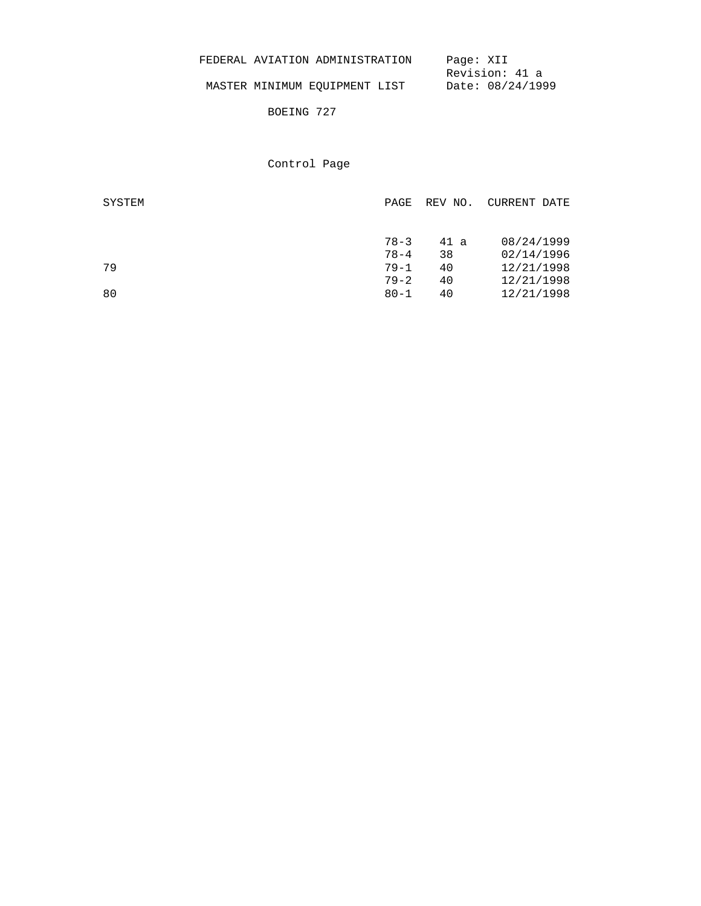<span id="page-12-0"></span>

|  | FEDERAL AVIATION ADMINISTRATION | Page: XII |                |  |
|--|---------------------------------|-----------|----------------|--|
|  |                                 |           | Revision: 41 a |  |

MASTER MINIMUM EQUIPMENT LIST Date: 08/24/1999

BOEING 727

| SYSTEM<br>PAGE<br>REV NO. | CURRENT DATE |
|---------------------------|--------------|
|                           |              |
| 41 a<br>$78 - 3$          | 08/24/1999   |
| 38<br>$78 - 4$            | 02/14/1996   |
| 40<br>$79 - 1$<br>79      | 12/21/1998   |
| $79 - 2$<br>40            | 12/21/1998   |
| 80<br>40<br>$80 - 1$      | 12/21/1998   |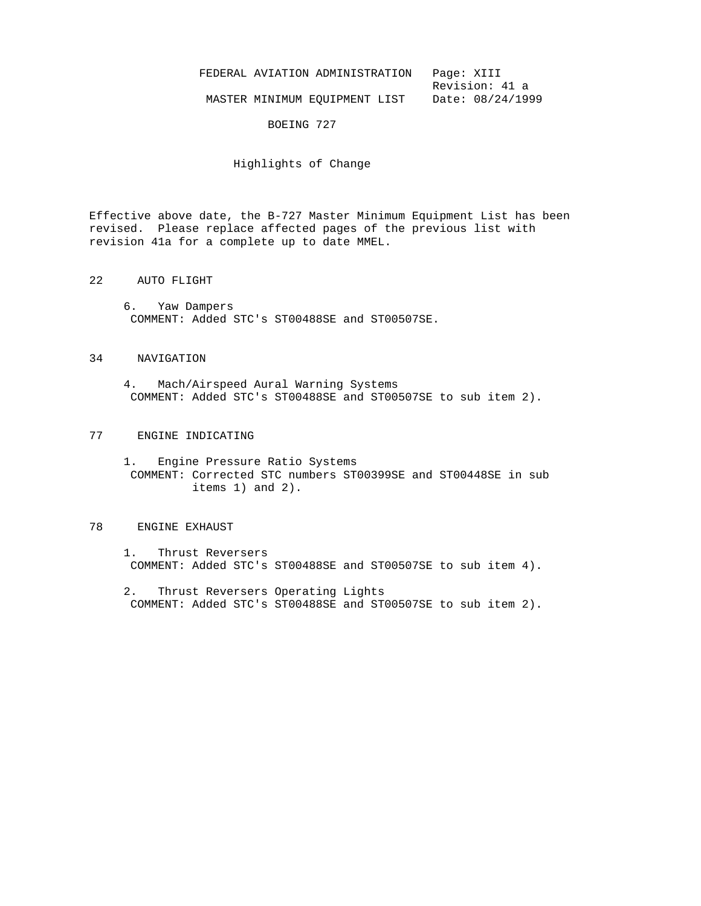## <span id="page-13-0"></span> FEDERAL AVIATION ADMINISTRATION Page: XIII Revision: 41 a

MASTER MINIMUM EQUIPMENT LIST Date: 08/24/1999

BOEING 727

Highlights of Change

 Effective above date, the B-727 Master Minimum Equipment List has been revised. Please replace affected pages of the previous list with revision 41a for a complete up to date MMEL.

### 22 AUTO FLIGHT

 6. Yaw Dampers COMMENT: Added STC's ST00488SE and ST00507SE.

## 34 NAVIGATION

 4. Mach/Airspeed Aural Warning Systems COMMENT: Added STC's ST00488SE and ST00507SE to sub item 2).

## 77 ENGINE INDICATING

 1. Engine Pressure Ratio Systems COMMENT: Corrected STC numbers ST00399SE and ST00448SE in sub items 1) and 2).

## 78 ENGINE EXHAUST

 1. Thrust Reversers COMMENT: Added STC's ST00488SE and ST00507SE to sub item 4).

 2. Thrust Reversers Operating Lights COMMENT: Added STC's ST00488SE and ST00507SE to sub item 2).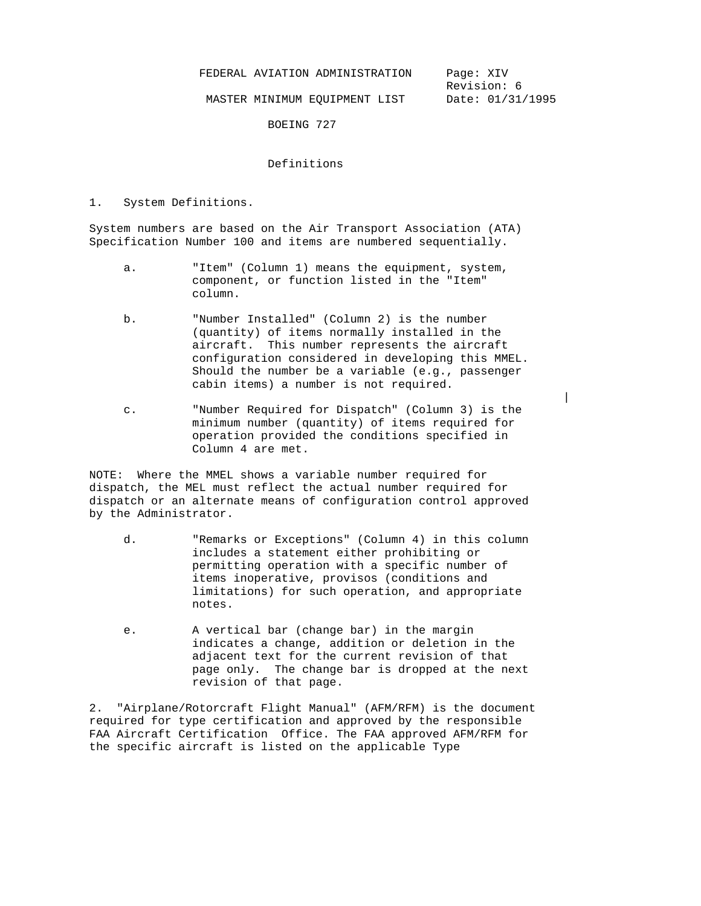### <span id="page-14-0"></span>FEDERAL AVIATION ADMINISTRATION Page: XIV

MASTER MINIMUM EQUIPMENT LIST Date: 01/31/1995

BOEING 727

## Definitions

1. System Definitions.

 System numbers are based on the Air Transport Association (ATA) Specification Number 100 and items are numbered sequentially.

- a. "Item" (Column 1) means the equipment, system, component, or function listed in the "Item" column.
- b. "Number Installed" (Column 2) is the number (quantity) of items normally installed in the aircraft. This number represents the aircraft configuration considered in developing this MMEL. Should the number be a variable (e.g., passenger cabin items) a number is not required.
- c. "Number Required for Dispatch" (Column 3) is the minimum number (quantity) of items required for operation provided the conditions specified in Column 4 are met.

|

 NOTE: Where the MMEL shows a variable number required for dispatch, the MEL must reflect the actual number required for dispatch or an alternate means of configuration control approved by the Administrator.

- d. "Remarks or Exceptions" (Column 4) in this column includes a statement either prohibiting or permitting operation with a specific number of items inoperative, provisos (conditions and limitations) for such operation, and appropriate notes.
- e. A vertical bar (change bar) in the margin indicates a change, addition or deletion in the adjacent text for the current revision of that page only. The change bar is dropped at the next revision of that page.

 2. "Airplane/Rotorcraft Flight Manual" (AFM/RFM) is the document required for type certification and approved by the responsible FAA Aircraft Certification Office. The FAA approved AFM/RFM for the specific aircraft is listed on the applicable Type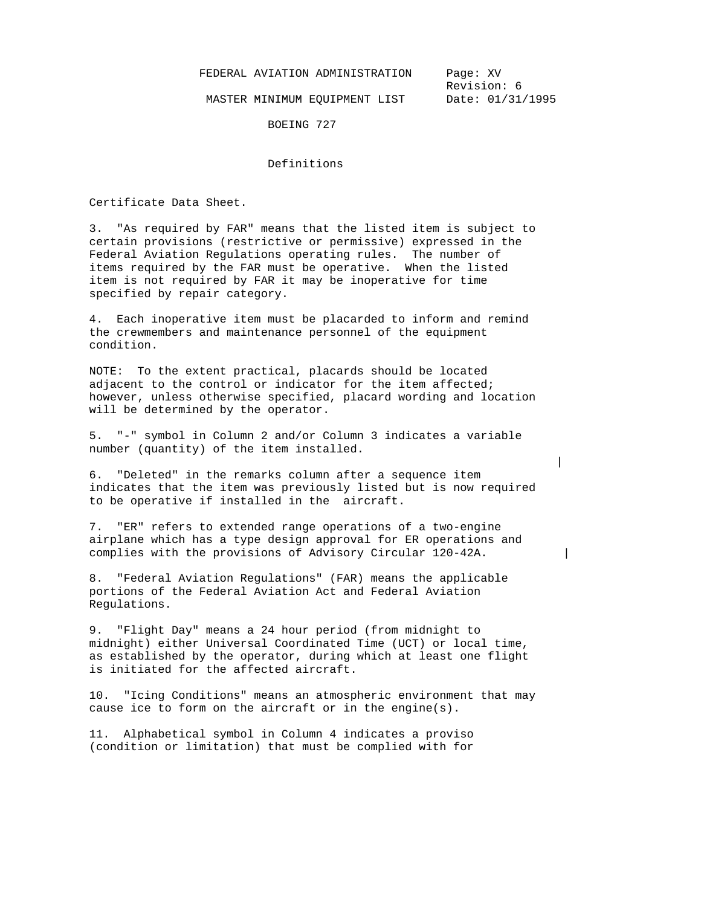#### <span id="page-15-0"></span>FEDERAL AVIATION ADMINISTRATION Page: XV

MASTER MINIMUM EQUIPMENT LIST Date: 01/31/1995

BOEING 727

## Definitions

Certificate Data Sheet.

 3. "As required by FAR" means that the listed item is subject to certain provisions (restrictive or permissive) expressed in the Federal Aviation Regulations operating rules. The number of items required by the FAR must be operative. When the listed item is not required by FAR it may be inoperative for time specified by repair category.

 4. Each inoperative item must be placarded to inform and remind the crewmembers and maintenance personnel of the equipment condition.

 NOTE: To the extent practical, placards should be located adjacent to the control or indicator for the item affected; however, unless otherwise specified, placard wording and location will be determined by the operator.

 5. "-" symbol in Column 2 and/or Column 3 indicates a variable number (quantity) of the item installed. |

 6. "Deleted" in the remarks column after a sequence item indicates that the item was previously listed but is now required to be operative if installed in the aircraft.

 7. "ER" refers to extended range operations of a two-engine airplane which has a type design approval for ER operations and complies with the provisions of Advisory Circular 120-42A.

 8. "Federal Aviation Regulations" (FAR) means the applicable portions of the Federal Aviation Act and Federal Aviation Regulations.

 9. "Flight Day" means a 24 hour period (from midnight to midnight) either Universal Coordinated Time (UCT) or local time, as established by the operator, during which at least one flight is initiated for the affected aircraft.

 10. "Icing Conditions" means an atmospheric environment that may cause ice to form on the aircraft or in the engine(s).

 11. Alphabetical symbol in Column 4 indicates a proviso (condition or limitation) that must be complied with for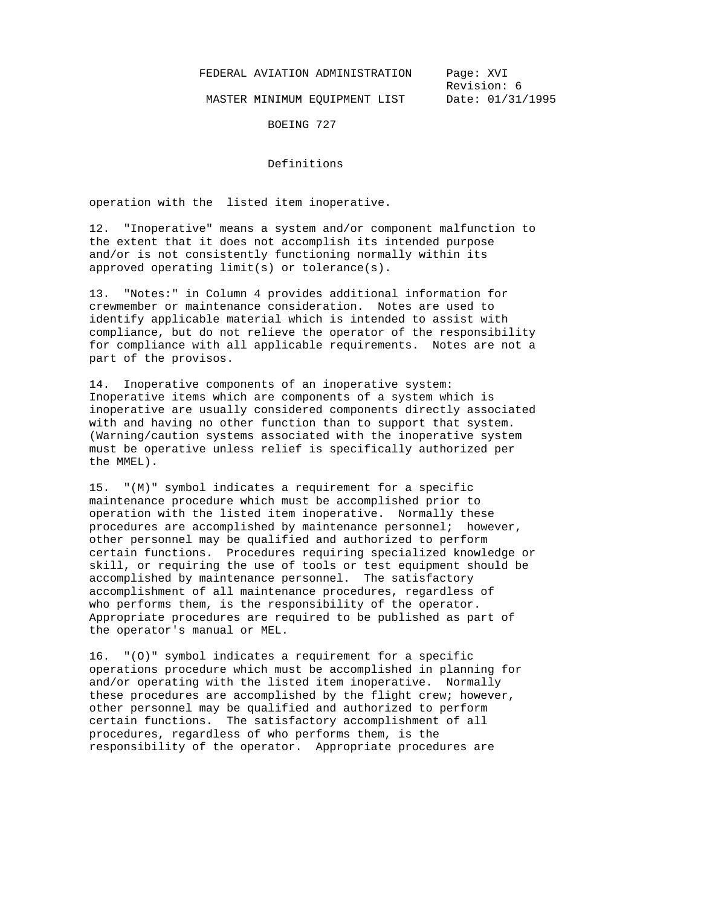#### <span id="page-16-0"></span>FEDERAL AVIATION ADMINISTRATION Page: XVI

MASTER MINIMUM EQUIPMENT LIST Date: 01/31/1995

Revision: 6

BOEING 727

Definitions

operation with the listed item inoperative.

 12. "Inoperative" means a system and/or component malfunction to the extent that it does not accomplish its intended purpose and/or is not consistently functioning normally within its approved operating limit(s) or tolerance(s).

 13. "Notes:" in Column 4 provides additional information for crewmember or maintenance consideration. Notes are used to identify applicable material which is intended to assist with compliance, but do not relieve the operator of the responsibility for compliance with all applicable requirements. Notes are not a part of the provisos.

 14. Inoperative components of an inoperative system: Inoperative items which are components of a system which is inoperative are usually considered components directly associated with and having no other function than to support that system. (Warning/caution systems associated with the inoperative system must be operative unless relief is specifically authorized per the MMEL).

 15. "(M)" symbol indicates a requirement for a specific maintenance procedure which must be accomplished prior to operation with the listed item inoperative. Normally these procedures are accomplished by maintenance personnel; however, other personnel may be qualified and authorized to perform certain functions. Procedures requiring specialized knowledge or skill, or requiring the use of tools or test equipment should be accomplished by maintenance personnel. The satisfactory accomplishment of all maintenance procedures, regardless of who performs them, is the responsibility of the operator. Appropriate procedures are required to be published as part of the operator's manual or MEL.

 16. "(O)" symbol indicates a requirement for a specific operations procedure which must be accomplished in planning for and/or operating with the listed item inoperative. Normally these procedures are accomplished by the flight crew; however, other personnel may be qualified and authorized to perform certain functions. The satisfactory accomplishment of all procedures, regardless of who performs them, is the responsibility of the operator. Appropriate procedures are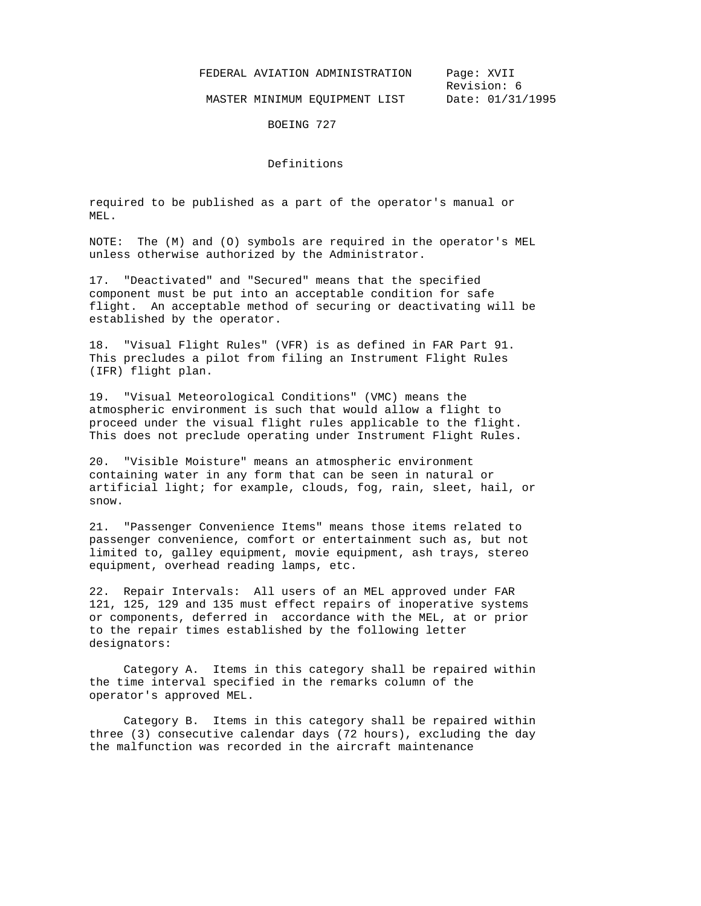#### <span id="page-17-0"></span>FEDERAL AVIATION ADMINISTRATION Page: XVII

Revision: 6

### MASTER MINIMUM EQUIPMENT LIST Date: 01/31/1995

BOEING 727

# Definitions

 required to be published as a part of the operator's manual or MEL.

 NOTE: The (M) and (O) symbols are required in the operator's MEL unless otherwise authorized by the Administrator.

 17. "Deactivated" and "Secured" means that the specified component must be put into an acceptable condition for safe flight. An acceptable method of securing or deactivating will be established by the operator.

 18. "Visual Flight Rules" (VFR) is as defined in FAR Part 91. This precludes a pilot from filing an Instrument Flight Rules (IFR) flight plan.

 19. "Visual Meteorological Conditions" (VMC) means the atmospheric environment is such that would allow a flight to proceed under the visual flight rules applicable to the flight. This does not preclude operating under Instrument Flight Rules.

 20. "Visible Moisture" means an atmospheric environment containing water in any form that can be seen in natural or artificial light; for example, clouds, fog, rain, sleet, hail, or snow.

 21. "Passenger Convenience Items" means those items related to passenger convenience, comfort or entertainment such as, but not limited to, galley equipment, movie equipment, ash trays, stereo equipment, overhead reading lamps, etc.

 22. Repair Intervals: All users of an MEL approved under FAR 121, 125, 129 and 135 must effect repairs of inoperative systems or components, deferred in accordance with the MEL, at or prior to the repair times established by the following letter designators:

 Category A. Items in this category shall be repaired within the time interval specified in the remarks column of the operator's approved MEL.

 Category B. Items in this category shall be repaired within three (3) consecutive calendar days (72 hours), excluding the day the malfunction was recorded in the aircraft maintenance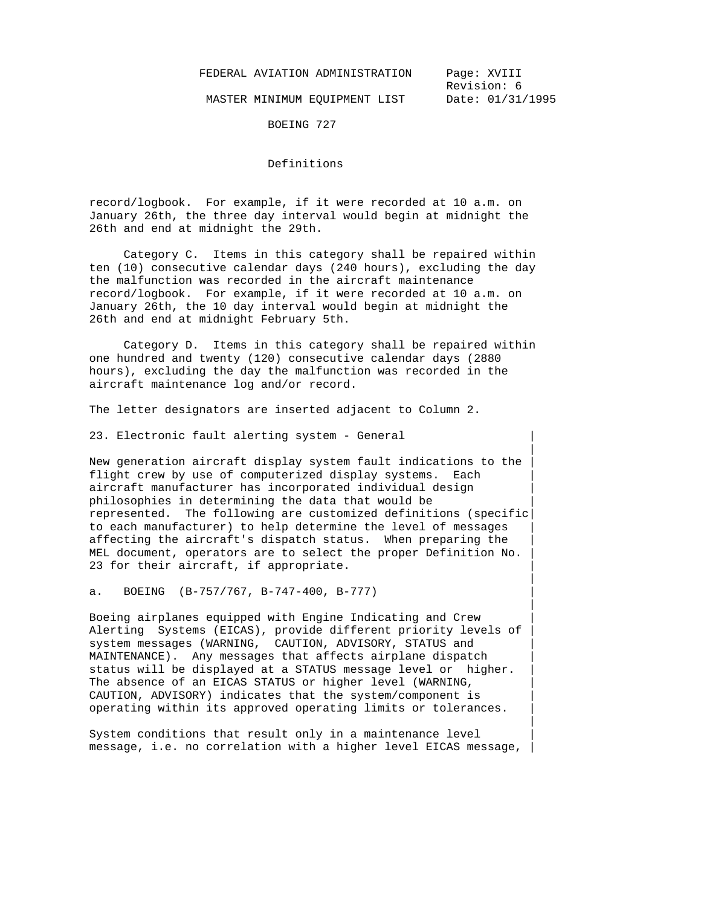## <span id="page-18-0"></span>FEDERAL AVIATION ADMINISTRATION Page: XVIII

MASTER MINIMUM EQUIPMENT LIST Date: 01/31/1995

BOEING 727

Definitions

 record/logbook. For example, if it were recorded at 10 a.m. on January 26th, the three day interval would begin at midnight the 26th and end at midnight the 29th.

 Category C. Items in this category shall be repaired within ten (10) consecutive calendar days (240 hours), excluding the day the malfunction was recorded in the aircraft maintenance record/logbook. For example, if it were recorded at 10 a.m. on January 26th, the 10 day interval would begin at midnight the 26th and end at midnight February 5th.

 Category D. Items in this category shall be repaired within one hundred and twenty (120) consecutive calendar days (2880 hours), excluding the day the malfunction was recorded in the aircraft maintenance log and/or record.

The letter designators are inserted adjacent to Column 2.

|

|

|

23. Electronic fault alerting system - General |

New generation aircraft display system fault indications to the flight crew by use of computerized display systems. Each aircraft manufacturer has incorporated individual design | philosophies in determining the data that would be | represented. The following are customized definitions (specific| to each manufacturer) to help determine the level of messages | affecting the aircraft's dispatch status. When preparing the | MEL document, operators are to select the proper Definition No. 23 for their aircraft, if appropriate.

a. BOEING  $(B-757/767, B-747-400, B-777)$ 

 Boeing airplanes equipped with Engine Indicating and Crew | Alerting Systems (EICAS), provide different priority levels of | system messages (WARNING, CAUTION, ADVISORY, STATUS and | MAINTENANCE). Any messages that affects airplane dispatch | status will be displayed at a STATUS message level or higher. The absence of an EICAS STATUS or higher level (WARNING, CAUTION, ADVISORY) indicates that the system/component is | operating within its approved operating limits or tolerances.

System conditions that result only in a maintenance level message, i.e. no correlation with a higher level EICAS message,

|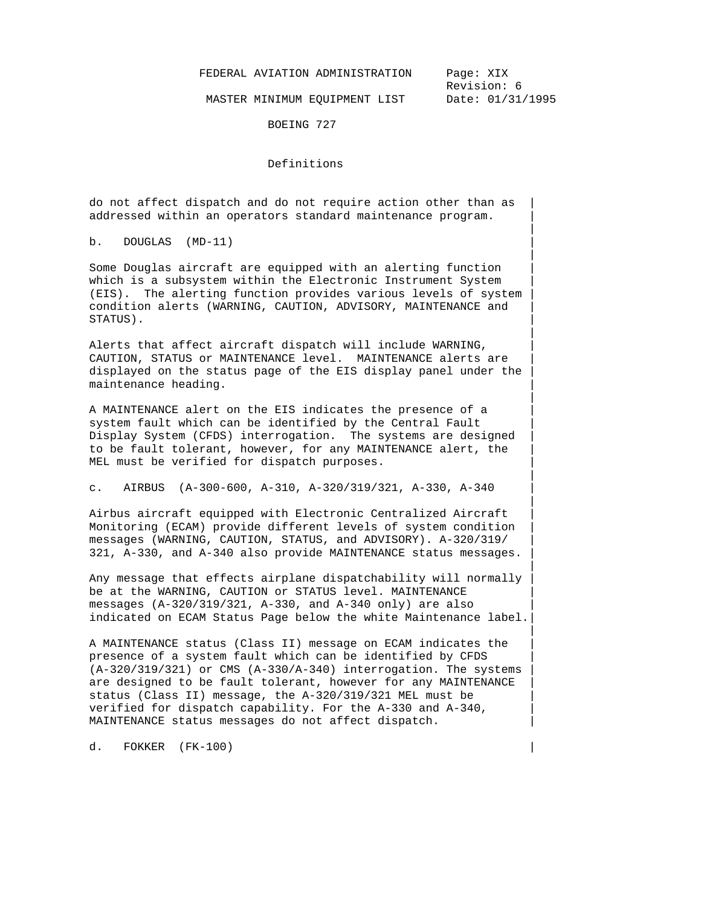#### <span id="page-19-0"></span>FEDERAL AVIATION ADMINISTRATION Page: XIX

MASTER MINIMUM EQUIPMENT LIST Date: 01/31/1995

BOEING 727

Definitions

 do not affect dispatch and do not require action other than as | addressed within an operators standard maintenance program.

|

|

|

|

b. DOUGLAS (MD-11)

 Some Douglas aircraft are equipped with an alerting function | which is a subsystem within the Electronic Instrument System (EIS). The alerting function provides various levels of system | condition alerts (WARNING, CAUTION, ADVISORY, MAINTENANCE and |  $STATUS$ ).

Alerts that affect aircraft dispatch will include WARNING, CAUTION, STATUS or MAINTENANCE level. MAINTENANCE alerts are | displayed on the status page of the EIS display panel under the | maintenance heading.

 A MAINTENANCE alert on the EIS indicates the presence of a | system fault which can be identified by the Central Fault | Display System (CFDS) interrogation. The systems are designed | to be fault tolerant, however, for any MAINTENANCE alert, the | MEL must be verified for dispatch purposes.

 | c. AIRBUS (A-300-600, A-310, A-320/319/321, A-330, A-340 | |

|

|

 Airbus aircraft equipped with Electronic Centralized Aircraft | Monitoring (ECAM) provide different levels of system condition | messages (WARNING, CAUTION, STATUS, and ADVISORY). A-320/319/ | 321, A-330, and A-340 also provide MAINTENANCE status messages.

 Any message that effects airplane dispatchability will normally | be at the WARNING, CAUTION or STATUS level. MAINTENANCE messages (A-320/319/321, A-330, and A-340 only) are also | indicated on ECAM Status Page below the white Maintenance label.|

A MAINTENANCE status (Class II) message on ECAM indicates the presence of a system fault which can be identified by CFDS (A-320/319/321) or CMS (A-330/A-340) interrogation. The systems | are designed to be fault tolerant, however for any MAINTENANCE status (Class II) message, the A-320/319/321 MEL must be | verified for dispatch capability. For the A-330 and A-340, | MAINTENANCE status messages do not affect dispatch.

d. FOKKER (FK-100) |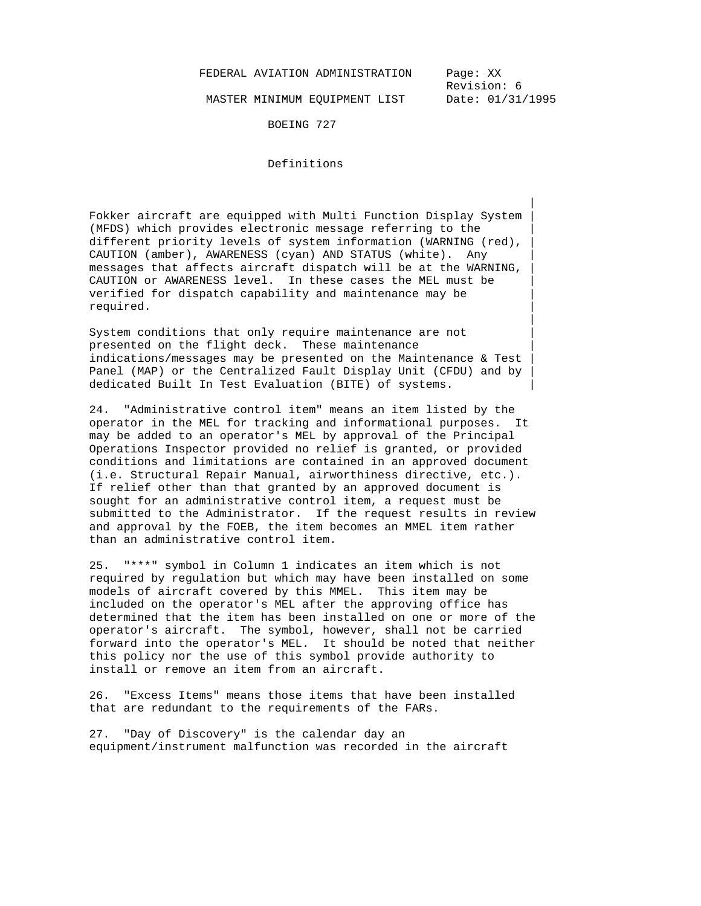## FEDERAL AVIATION ADMINISTRATION Page: XX

BOEING 727

Definitions

<span id="page-20-0"></span>|

|

 Fokker aircraft are equipped with Multi Function Display System | (MFDS) which provides electronic message referring to the | different priority levels of system information (WARNING (red), | CAUTION (amber), AWARENESS (cyan) AND STATUS (white). Any | messages that affects aircraft dispatch will be at the WARNING, CAUTION or AWARENESS level. In these cases the MEL must be | verified for dispatch capability and maintenance may be | required. |

System conditions that only require maintenance are not presented on the flight deck. These maintenance indications/messages may be presented on the Maintenance & Test Panel (MAP) or the Centralized Fault Display Unit (CFDU) and by | dedicated Built In Test Evaluation (BITE) of systems.

 24. "Administrative control item" means an item listed by the operator in the MEL for tracking and informational purposes. It may be added to an operator's MEL by approval of the Principal Operations Inspector provided no relief is granted, or provided conditions and limitations are contained in an approved document (i.e. Structural Repair Manual, airworthiness directive, etc.). If relief other than that granted by an approved document is sought for an administrative control item, a request must be submitted to the Administrator. If the request results in review and approval by the FOEB, the item becomes an MMEL item rather than an administrative control item.

 25. "\*\*\*" symbol in Column 1 indicates an item which is not required by regulation but which may have been installed on some models of aircraft covered by this MMEL. This item may be included on the operator's MEL after the approving office has determined that the item has been installed on one or more of the operator's aircraft. The symbol, however, shall not be carried forward into the operator's MEL. It should be noted that neither this policy nor the use of this symbol provide authority to install or remove an item from an aircraft.

 26. "Excess Items" means those items that have been installed that are redundant to the requirements of the FARs.

 27. "Day of Discovery" is the calendar day an equipment/instrument malfunction was recorded in the aircraft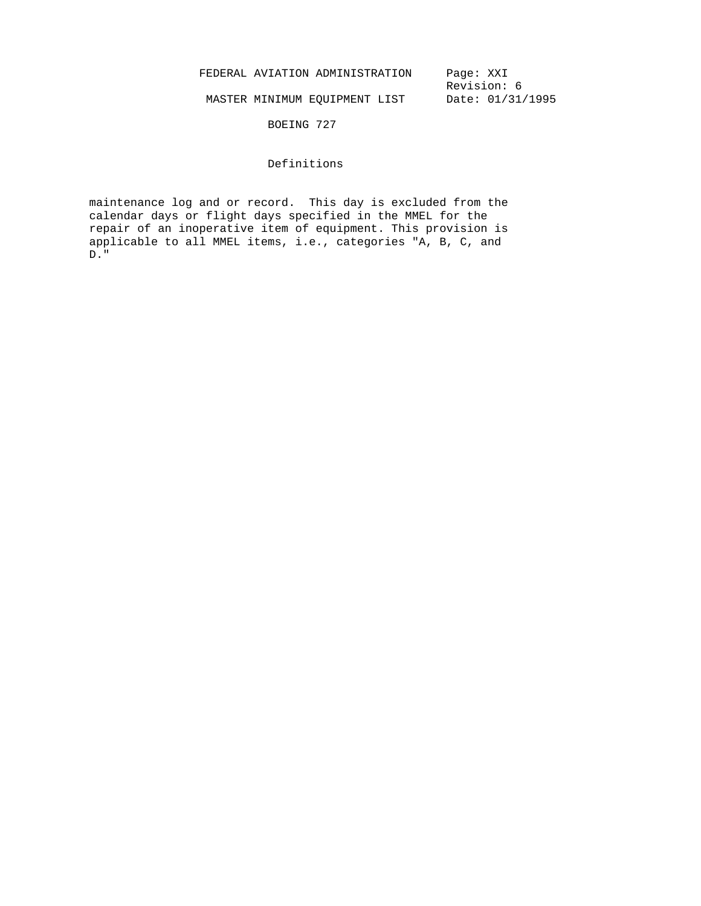# <span id="page-21-0"></span>FEDERAL AVIATION ADMINISTRATION Page: XXI

MASTER MINIMUM EQUIPMENT LIST Date: 01/31/1995

BOEING 727

Definitions

 maintenance log and or record. This day is excluded from the calendar days or flight days specified in the MMEL for the repair of an inoperative item of equipment. This provision is applicable to all MMEL items, i.e., categories "A, B, C, and D."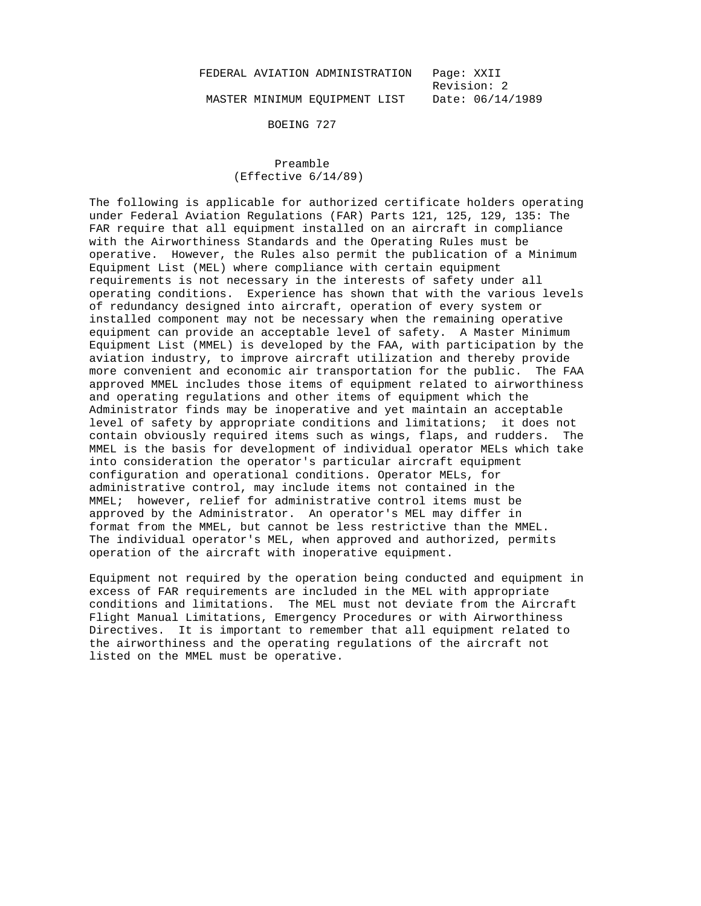#### <span id="page-22-0"></span> FEDERAL AVIATION ADMINISTRATION Page: XXII Revision: 2

MASTER MINIMUM EQUIPMENT LIST Date: 06/14/1989

BOEING 727

## Preamble (Effective 6/14/89)

 The following is applicable for authorized certificate holders operating under Federal Aviation Regulations (FAR) Parts 121, 125, 129, 135: The FAR require that all equipment installed on an aircraft in compliance with the Airworthiness Standards and the Operating Rules must be operative. However, the Rules also permit the publication of a Minimum Equipment List (MEL) where compliance with certain equipment requirements is not necessary in the interests of safety under all operating conditions. Experience has shown that with the various levels of redundancy designed into aircraft, operation of every system or installed component may not be necessary when the remaining operative equipment can provide an acceptable level of safety. A Master Minimum Equipment List (MMEL) is developed by the FAA, with participation by the aviation industry, to improve aircraft utilization and thereby provide more convenient and economic air transportation for the public. The FAA approved MMEL includes those items of equipment related to airworthiness and operating regulations and other items of equipment which the Administrator finds may be inoperative and yet maintain an acceptable level of safety by appropriate conditions and limitations; it does not contain obviously required items such as wings, flaps, and rudders. The MMEL is the basis for development of individual operator MELs which take into consideration the operator's particular aircraft equipment configuration and operational conditions. Operator MELs, for administrative control, may include items not contained in the MMEL; however, relief for administrative control items must be approved by the Administrator. An operator's MEL may differ in format from the MMEL, but cannot be less restrictive than the MMEL. The individual operator's MEL, when approved and authorized, permits operation of the aircraft with inoperative equipment.

 Equipment not required by the operation being conducted and equipment in excess of FAR requirements are included in the MEL with appropriate conditions and limitations. The MEL must not deviate from the Aircraft Flight Manual Limitations, Emergency Procedures or with Airworthiness Directives. It is important to remember that all equipment related to the airworthiness and the operating regulations of the aircraft not listed on the MMEL must be operative.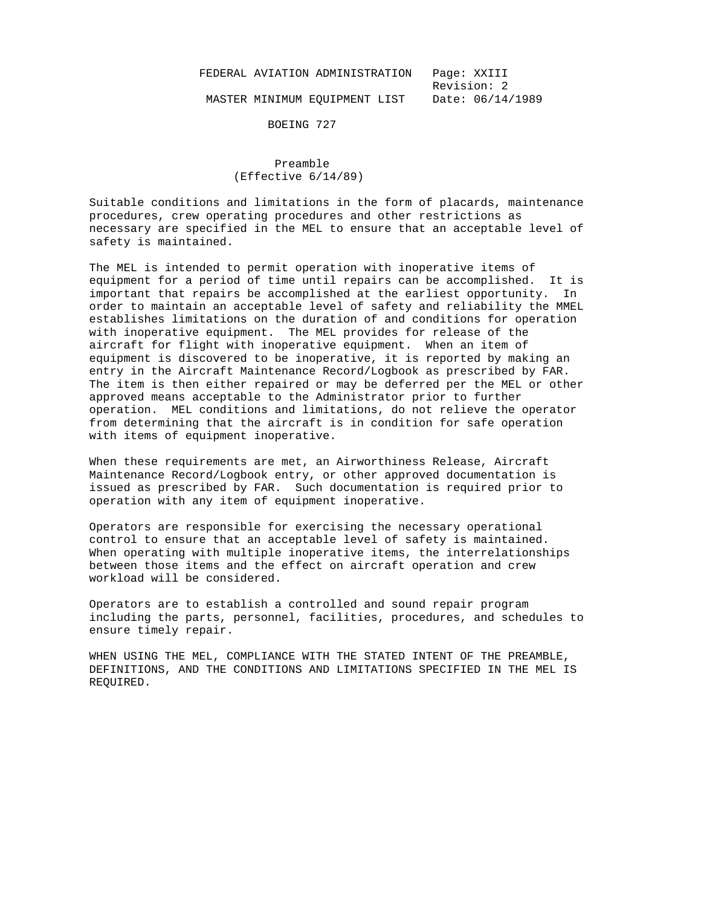## <span id="page-23-0"></span> FEDERAL AVIATION ADMINISTRATION Page: XXIII Revision: 2 MASTER MINIMUM EQUIPMENT LIST Date: 06/14/1989

BOEING 727

# Preamble (Effective 6/14/89)

 Suitable conditions and limitations in the form of placards, maintenance procedures, crew operating procedures and other restrictions as necessary are specified in the MEL to ensure that an acceptable level of safety is maintained.

 The MEL is intended to permit operation with inoperative items of equipment for a period of time until repairs can be accomplished. It is important that repairs be accomplished at the earliest opportunity. In order to maintain an acceptable level of safety and reliability the MMEL establishes limitations on the duration of and conditions for operation with inoperative equipment. The MEL provides for release of the aircraft for flight with inoperative equipment. When an item of equipment is discovered to be inoperative, it is reported by making an entry in the Aircraft Maintenance Record/Logbook as prescribed by FAR. The item is then either repaired or may be deferred per the MEL or other approved means acceptable to the Administrator prior to further operation. MEL conditions and limitations, do not relieve the operator from determining that the aircraft is in condition for safe operation with items of equipment inoperative.

 When these requirements are met, an Airworthiness Release, Aircraft Maintenance Record/Logbook entry, or other approved documentation is issued as prescribed by FAR. Such documentation is required prior to operation with any item of equipment inoperative.

 Operators are responsible for exercising the necessary operational control to ensure that an acceptable level of safety is maintained. When operating with multiple inoperative items, the interrelationships between those items and the effect on aircraft operation and crew workload will be considered.

 Operators are to establish a controlled and sound repair program including the parts, personnel, facilities, procedures, and schedules to ensure timely repair.

 WHEN USING THE MEL, COMPLIANCE WITH THE STATED INTENT OF THE PREAMBLE, DEFINITIONS, AND THE CONDITIONS AND LIMITATIONS SPECIFIED IN THE MEL IS REQUIRED.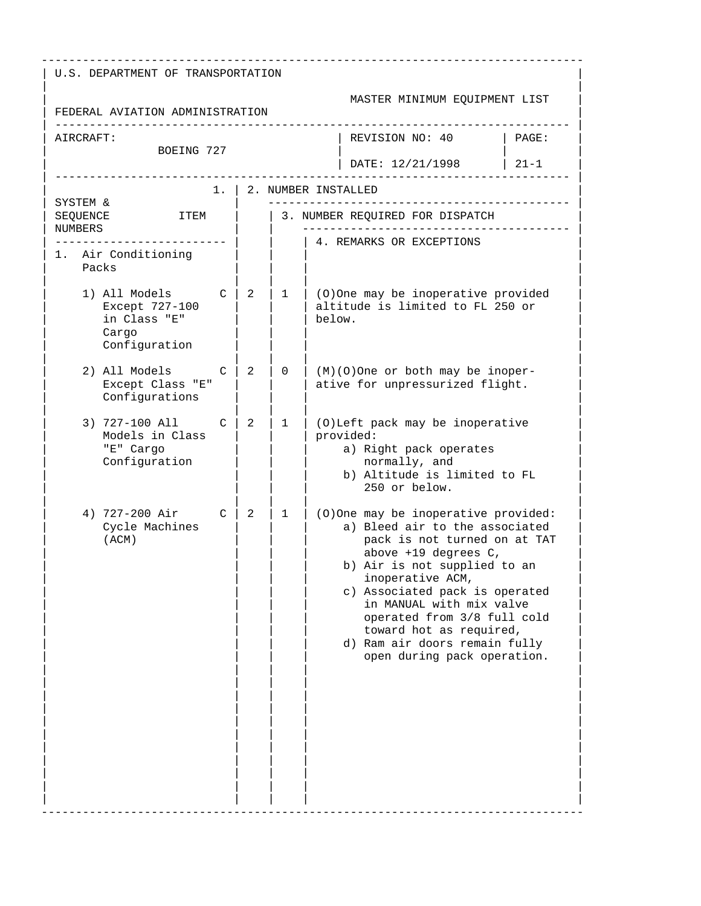<span id="page-24-0"></span>

| U.S. DEPARTMENT OF TRANSPORTATION<br>MASTER MINIMUM EQUIPMENT LIST<br>FEDERAL AVIATION ADMINISTRATION |                |              |                                                                                                                                                                                                                                                                                                                                                                              |          |  |  |  |  |
|-------------------------------------------------------------------------------------------------------|----------------|--------------|------------------------------------------------------------------------------------------------------------------------------------------------------------------------------------------------------------------------------------------------------------------------------------------------------------------------------------------------------------------------------|----------|--|--|--|--|
| AIRCRAFT:<br>BOEING 727                                                                               |                |              | REVISION NO: 40                                                                                                                                                                                                                                                                                                                                                              | PAGE:    |  |  |  |  |
|                                                                                                       |                |              | DATE: 12/21/1998                                                                                                                                                                                                                                                                                                                                                             | $21 - 1$ |  |  |  |  |
| SYSTEM &                                                                                              |                |              | 1. 2. NUMBER INSTALLED                                                                                                                                                                                                                                                                                                                                                       |          |  |  |  |  |
| SEQUENCE<br>ITEM<br><b>NUMBERS</b>                                                                    |                |              | 3. NUMBER REQUIRED FOR DISPATCH                                                                                                                                                                                                                                                                                                                                              |          |  |  |  |  |
| 1. Air Conditioning<br>Packs                                                                          |                |              | 4. REMARKS OR EXCEPTIONS                                                                                                                                                                                                                                                                                                                                                     |          |  |  |  |  |
| 1) All Models<br>$\mathbb{C}$<br>Except 727-100<br>in Class "E"<br>Cargo<br>Configuration             | $\overline{2}$ | $\mathbf{1}$ | (0) One may be inoperative provided<br>altitude is limited to FL 250 or<br>below.                                                                                                                                                                                                                                                                                            |          |  |  |  |  |
| 2) All Models<br>$\mathcal{C}$<br>Except Class "E"<br>Configurations                                  | 2              | $\Omega$     | (M)(0)One or both may be inoper-<br>ative for unpressurized flight.                                                                                                                                                                                                                                                                                                          |          |  |  |  |  |
| 3) 727-100 All<br>$\overline{C}$<br>Models in Class<br>"E" Cargo<br>Configuration                     | 2              | $\mathbf{1}$ | (O) Left pack may be inoperative<br>provided:<br>a) Right pack operates<br>normally, and<br>b) Altitude is limited to FL<br>250 or below.                                                                                                                                                                                                                                    |          |  |  |  |  |
| 4) 727-200 Air<br>$\mathcal{C}$<br>Cycle Machines<br>(ACM)                                            | 2              | $\mathbf{1}$ | (0) One may be inoperative provided:<br>a) Bleed air to the associated<br>pack is not turned on at TAT<br>above $+19$ degrees C,<br>b) Air is not supplied to an<br>inoperative ACM,<br>c) Associated pack is operated<br>in MANUAL with mix valve<br>operated from 3/8 full cold<br>toward hot as required,<br>d) Ram air doors remain fully<br>open during pack operation. |          |  |  |  |  |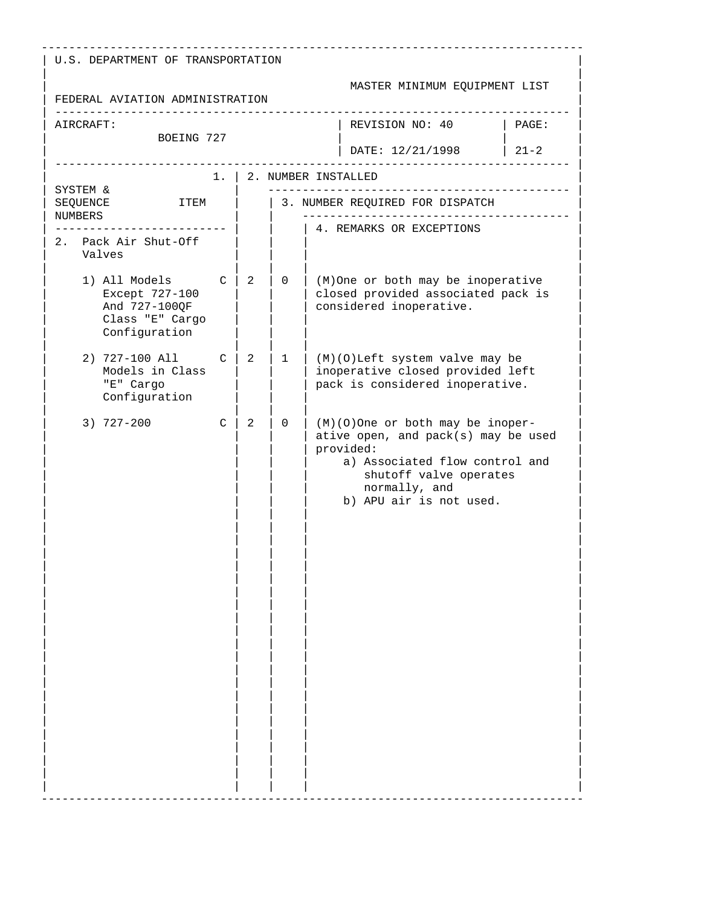<span id="page-25-0"></span>

| U.S. DEPARTMENT OF TRANSPORTATION<br>MASTER MINIMUM EQUIPMENT LIST                                     |                |              |                                                                                                                                                                                              |  |  |  |  |  |
|--------------------------------------------------------------------------------------------------------|----------------|--------------|----------------------------------------------------------------------------------------------------------------------------------------------------------------------------------------------|--|--|--|--|--|
| FEDERAL AVIATION ADMINISTRATION<br>AIRCRAFT:<br>REVISION NO: 40<br>PAGE:                               |                |              |                                                                                                                                                                                              |  |  |  |  |  |
| BOEING 727                                                                                             |                |              | DATE: 12/21/1998<br>$ 21-2 $                                                                                                                                                                 |  |  |  |  |  |
| SYSTEM &<br>SEQUENCE<br>ITEM                                                                           |                |              | 1. 2. NUMBER INSTALLED<br>3. NUMBER REQUIRED FOR DISPATCH                                                                                                                                    |  |  |  |  |  |
| <b>NUMBERS</b><br>2. Pack Air Shut-Off<br>Valves                                                       |                |              | 4. REMARKS OR EXCEPTIONS                                                                                                                                                                     |  |  |  |  |  |
| 1) All Models<br>$\overline{C}$<br>Except 727-100<br>And 727-100QF<br>Class "E" Cargo<br>Configuration | $\overline{2}$ | $\mathbf 0$  | (M) One or both may be inoperative<br>closed provided associated pack is<br>considered inoperative.                                                                                          |  |  |  |  |  |
| 2) 727-100 All<br>$\mathcal{C}$<br>Models in Class<br>"E" Cargo<br>Configuration                       | 2              | $\mathbf{1}$ | (M)(O)Left system valve may be<br>inoperative closed provided left<br>pack is considered inoperative.                                                                                        |  |  |  |  |  |
| $3) 727 - 200$<br>$\mathsf{C}$                                                                         | $\overline{2}$ | 0            | (M)(0)One or both may be inoper-<br>ative open, and pack(s) may be used<br>provided:<br>a) Associated flow control and<br>shutoff valve operates<br>normally, and<br>b) APU air is not used. |  |  |  |  |  |
|                                                                                                        |                |              |                                                                                                                                                                                              |  |  |  |  |  |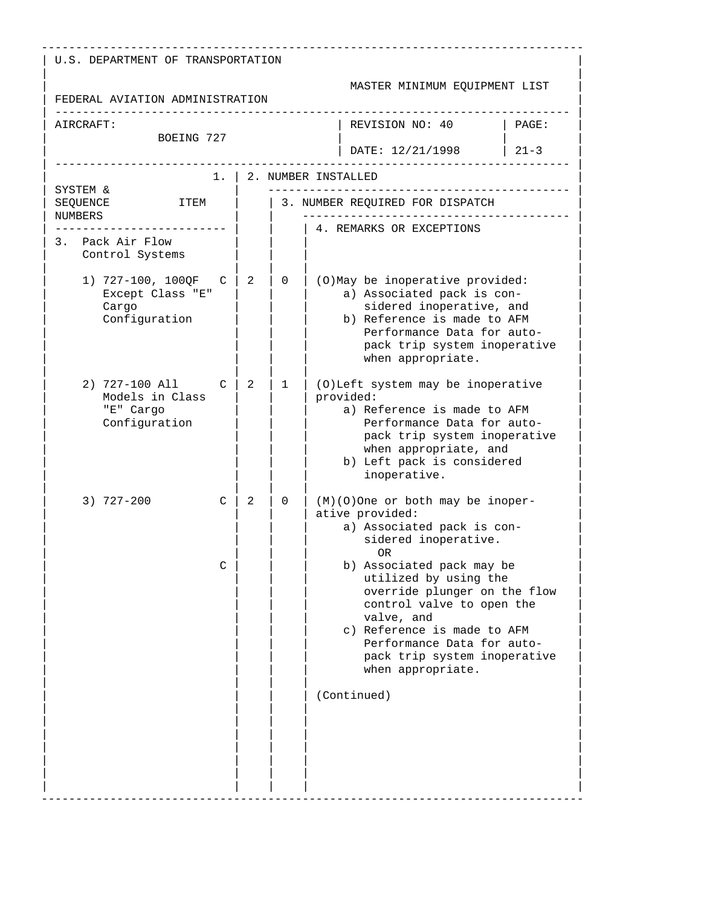<span id="page-26-0"></span>

| U.S. DEPARTMENT OF TRANSPORTATION<br>MASTER MINIMUM EQUIPMENT LIST<br>FEDERAL AVIATION ADMINISTRATION |                                                           |             |                                                                                                                                                                                                                                                                                                                                                                                   |  |  |  |  |  |
|-------------------------------------------------------------------------------------------------------|-----------------------------------------------------------|-------------|-----------------------------------------------------------------------------------------------------------------------------------------------------------------------------------------------------------------------------------------------------------------------------------------------------------------------------------------------------------------------------------|--|--|--|--|--|
| AIRCRAFT:<br>BOEING 727                                                                               |                                                           |             | REVISION NO: 40<br>PAGE:                                                                                                                                                                                                                                                                                                                                                          |  |  |  |  |  |
|                                                                                                       |                                                           |             | DATE: 12/21/1998<br>$ 21-3 $                                                                                                                                                                                                                                                                                                                                                      |  |  |  |  |  |
| SYSTEM &<br>SEQUENCE<br>ITEM<br>NUMBERS                                                               | 1. 2. NUMBER INSTALLED<br>3. NUMBER REQUIRED FOR DISPATCH |             |                                                                                                                                                                                                                                                                                                                                                                                   |  |  |  |  |  |
| 3. Pack Air Flow<br>Control Systems                                                                   |                                                           |             | 4. REMARKS OR EXCEPTIONS                                                                                                                                                                                                                                                                                                                                                          |  |  |  |  |  |
| 1) 727-100, 100QF C<br>Except Class "E"<br>Cargo<br>Configuration                                     | - 2                                                       | $\mathbf 0$ | (0) May be inoperative provided:<br>a) Associated pack is con-<br>sidered inoperative, and<br>b) Reference is made to AFM<br>Performance Data for auto-<br>pack trip system inoperative<br>when appropriate.                                                                                                                                                                      |  |  |  |  |  |
| 2) 727-100 All<br>$\mathcal{C}$<br>Models in Class<br>"E" Cargo<br>Configuration                      | 2                                                         | 1           | (O) Left system may be inoperative<br>provided:<br>a) Reference is made to AFM<br>Performance Data for auto-<br>pack trip system inoperative<br>when appropriate, and<br>b) Left pack is considered<br>inoperative.                                                                                                                                                               |  |  |  |  |  |
| $3)$ 727-200<br>$\mathsf{C}$<br>C                                                                     | 2                                                         | 0           | (M)(0)One or both may be inoper-<br>ative provided:<br>a) Associated pack is con-<br>sidered inoperative.<br>0R<br>b) Associated pack may be<br>utilized by using the<br>override plunger on the flow<br>control valve to open the<br>valve, and<br>c) Reference is made to AFM<br>Performance Data for auto-<br>pack trip system inoperative<br>when appropriate.<br>(Continued) |  |  |  |  |  |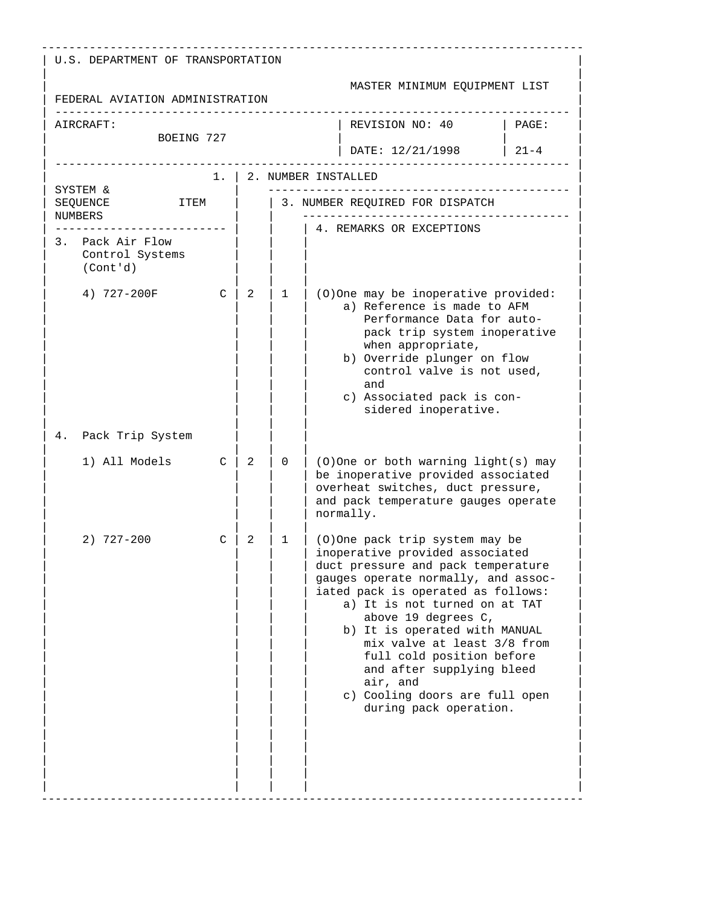<span id="page-27-0"></span>

| U.S. DEPARTMENT OF TRANSPORTATION<br>MASTER MINIMUM EQUIPMENT LIST<br>FEDERAL AVIATION ADMINISTRATION |                                                           |              |                                                                                                                                                                                                                                                                                                                                                                                                                                                 |  |  |  |  |  |  |
|-------------------------------------------------------------------------------------------------------|-----------------------------------------------------------|--------------|-------------------------------------------------------------------------------------------------------------------------------------------------------------------------------------------------------------------------------------------------------------------------------------------------------------------------------------------------------------------------------------------------------------------------------------------------|--|--|--|--|--|--|
| AIRCRAFT:<br>BOEING 727                                                                               |                                                           |              | REVISION NO: 40<br>PAGE:                                                                                                                                                                                                                                                                                                                                                                                                                        |  |  |  |  |  |  |
|                                                                                                       |                                                           |              | DATE: 12/21/1998<br>$ 21-4 $                                                                                                                                                                                                                                                                                                                                                                                                                    |  |  |  |  |  |  |
| SYSTEM &<br>SEQUENCE<br>ITEM<br>NUMBERS                                                               | 1. 2. NUMBER INSTALLED<br>3. NUMBER REQUIRED FOR DISPATCH |              |                                                                                                                                                                                                                                                                                                                                                                                                                                                 |  |  |  |  |  |  |
| 3. Pack Air Flow<br>Control Systems<br>(Cont 'd)                                                      |                                                           |              | 4. REMARKS OR EXCEPTIONS                                                                                                                                                                                                                                                                                                                                                                                                                        |  |  |  |  |  |  |
| 4) 727-200F<br>$\mathcal{C}$                                                                          | 2                                                         | 1            | (0) One may be inoperative provided:<br>a) Reference is made to AFM<br>Performance Data for auto-<br>pack trip system inoperative<br>when appropriate,<br>b) Override plunger on flow<br>control valve is not used,<br>and<br>c) Associated pack is con-<br>sidered inoperative.                                                                                                                                                                |  |  |  |  |  |  |
| Pack Trip System<br>4.                                                                                |                                                           |              |                                                                                                                                                                                                                                                                                                                                                                                                                                                 |  |  |  |  |  |  |
| 1) All Models<br>$\mathcal{C}$                                                                        | 2                                                         | $\Omega$     | (0) One or both warning light(s) may<br>be inoperative provided associated<br>overheat switches, duct pressure,<br>and pack temperature gauges operate<br>normally.                                                                                                                                                                                                                                                                             |  |  |  |  |  |  |
| $2) 727 - 200$<br>C                                                                                   | 2                                                         | $\mathbf{1}$ | (0) One pack trip system may be<br>inoperative provided associated<br>duct pressure and pack temperature<br>gauges operate normally, and assoc-<br>iated pack is operated as follows:<br>a) It is not turned on at TAT<br>above 19 degrees C,<br>b) It is operated with MANUAL<br>mix valve at least 3/8 from<br>full cold position before<br>and after supplying bleed<br>air, and<br>c) Cooling doors are full open<br>during pack operation. |  |  |  |  |  |  |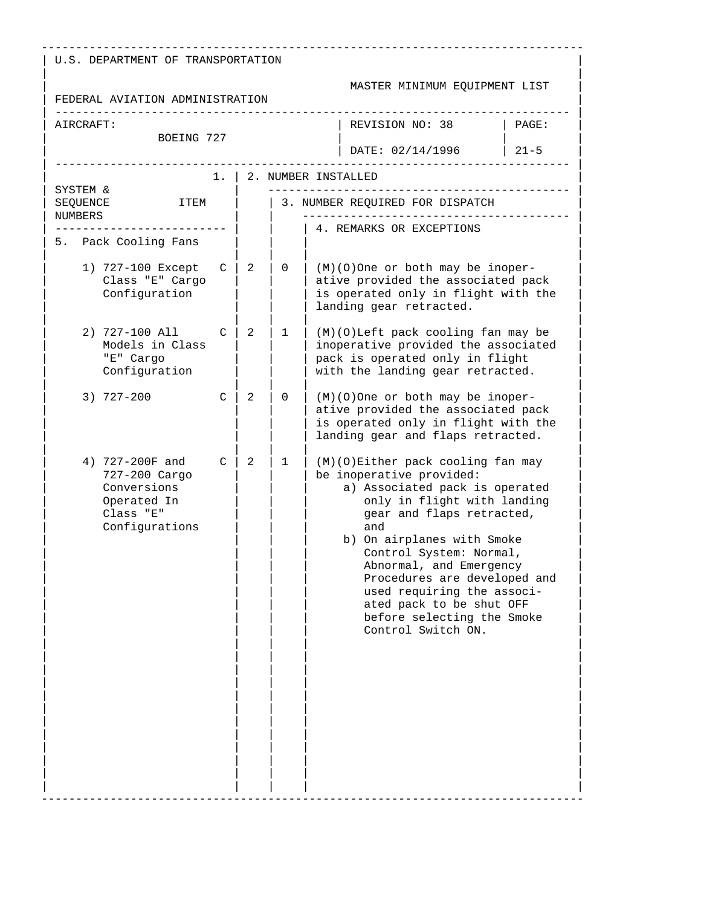<span id="page-28-0"></span>

| U.S. DEPARTMENT OF TRANSPORTATION<br>MASTER MINIMUM EQUIPMENT LIST                                             |                |              |                                                                                                                                                                                                                                                                                                                                                                                                      |  |  |  |  |  |
|----------------------------------------------------------------------------------------------------------------|----------------|--------------|------------------------------------------------------------------------------------------------------------------------------------------------------------------------------------------------------------------------------------------------------------------------------------------------------------------------------------------------------------------------------------------------------|--|--|--|--|--|
| FEDERAL AVIATION ADMINISTRATION<br>AIRCRAFT:                                                                   |                |              | REVISION NO: 38<br>PAGE:                                                                                                                                                                                                                                                                                                                                                                             |  |  |  |  |  |
| BOEING 727                                                                                                     |                |              | DATE: 02/14/1996<br>$21 - 5$                                                                                                                                                                                                                                                                                                                                                                         |  |  |  |  |  |
| SYSTEM &<br>SEQUENCE<br>ITEM<br><b>NUMBERS</b>                                                                 |                |              | 1. 2. NUMBER INSTALLED<br>3. NUMBER REQUIRED FOR DISPATCH                                                                                                                                                                                                                                                                                                                                            |  |  |  |  |  |
| 5. Pack Cooling Fans                                                                                           |                |              | 4. REMARKS OR EXCEPTIONS                                                                                                                                                                                                                                                                                                                                                                             |  |  |  |  |  |
| 1) 727-100 Except<br>$\mathcal{C}$<br>Class "E" Cargo<br>Configuration                                         | $\overline{2}$ | $\mathbf{0}$ | (M)(0)One or both may be inoper-<br>ative provided the associated pack<br>is operated only in flight with the<br>landing gear retracted.                                                                                                                                                                                                                                                             |  |  |  |  |  |
| 2) 727-100 All<br>$\mathcal{C}$<br>Models in Class<br>"E" Cargo<br>Configuration                               | 2              | $\mathbf{1}$ | (M)(O)Left pack cooling fan may be<br>inoperative provided the associated<br>pack is operated only in flight<br>with the landing gear retracted.                                                                                                                                                                                                                                                     |  |  |  |  |  |
| $3) 727 - 200$<br>$\mathcal{C}$                                                                                | 2              | $\mathbf 0$  | (M)(0)One or both may be inoper-<br>ative provided the associated pack<br>is operated only in flight with the<br>landing gear and flaps retracted.                                                                                                                                                                                                                                                   |  |  |  |  |  |
| 4) 727-200F and<br>$\mathcal{C}$<br>727-200 Cargo<br>Conversions<br>Operated In<br>Class "E"<br>Configurations | 2              | $\mathbf{1}$ | (M)(O)Either pack cooling fan may<br>be inoperative provided:<br>a) Associated pack is operated<br>only in flight with landing<br>gear and flaps retracted,<br>and<br>b) On airplanes with Smoke<br>Control System: Normal,<br>Abnormal, and Emergency<br>Procedures are developed and<br>used requiring the associ-<br>ated pack to be shut OFF<br>before selecting the Smoke<br>Control Switch ON. |  |  |  |  |  |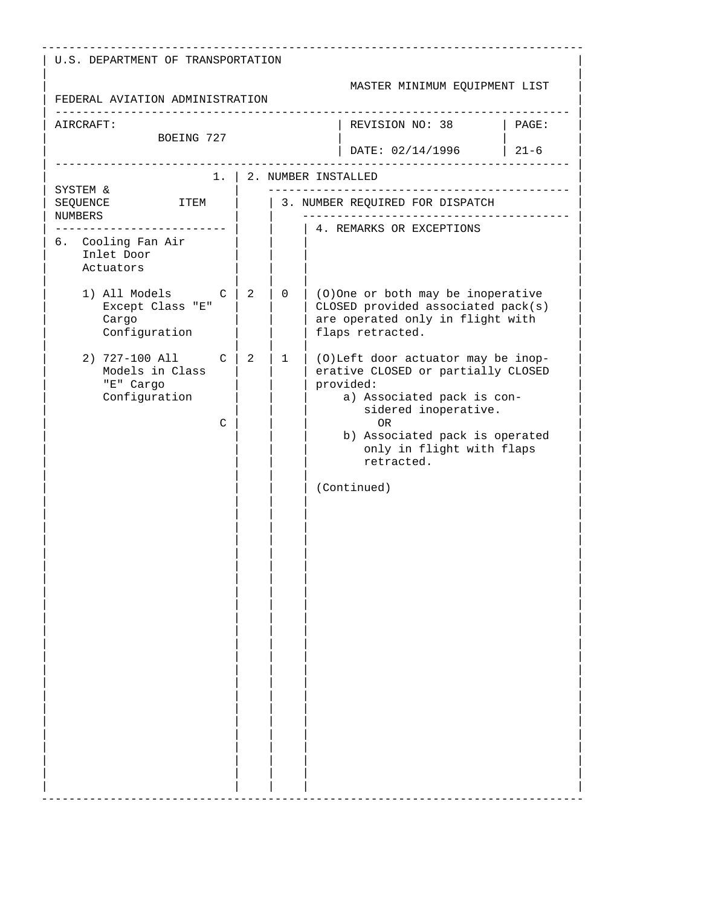<span id="page-29-0"></span>

| U.S. DEPARTMENT OF TRANSPORTATION<br>MASTER MINIMUM EQUIPMENT LIST<br>FEDERAL AVIATION ADMINISTRATION                                                                                                                                                                                |                     |                             |                                                                                                                                                                                                                                                                                                                                                                                                                                                                                                                        |  |  |  |  |
|--------------------------------------------------------------------------------------------------------------------------------------------------------------------------------------------------------------------------------------------------------------------------------------|---------------------|-----------------------------|------------------------------------------------------------------------------------------------------------------------------------------------------------------------------------------------------------------------------------------------------------------------------------------------------------------------------------------------------------------------------------------------------------------------------------------------------------------------------------------------------------------------|--|--|--|--|
| AIRCRAFT:<br>BOEING 727                                                                                                                                                                                                                                                              |                     |                             | REVISION NO: 38<br>$\mathtt{PAGE}$ :                                                                                                                                                                                                                                                                                                                                                                                                                                                                                   |  |  |  |  |
| SYSTEM &<br>SEQUENCE<br>ITEM<br><b>NUMBERS</b><br>6. Cooling Fan Air<br>Inlet Door<br>Actuators<br>1) All Models<br>$\overline{C}$<br>Except Class "E"<br>Cargo<br>Configuration<br>2) 727-100 All<br>$\mathcal{C}$<br>Models in Class<br>"E" Cargo<br>Configuration<br>$\mathsf{C}$ | $\overline{2}$<br>2 | $\mathbf 0$<br>$\mathbf{1}$ | DATE: 02/14/1996<br>$ 21-6$<br>1. 2. NUMBER INSTALLED<br>3. NUMBER REQUIRED FOR DISPATCH<br>4. REMARKS OR EXCEPTIONS<br>(0) One or both may be inoperative<br>CLOSED provided associated pack(s)<br>are operated only in flight with<br>flaps retracted.<br>(O) Left door actuator may be inop-<br>erative CLOSED or partially CLOSED<br>provided:<br>a) Associated pack is con-<br>sidered inoperative.<br>0 <sub>R</sub><br>b) Associated pack is operated<br>only in flight with flaps<br>retracted.<br>(Continued) |  |  |  |  |
|                                                                                                                                                                                                                                                                                      |                     |                             |                                                                                                                                                                                                                                                                                                                                                                                                                                                                                                                        |  |  |  |  |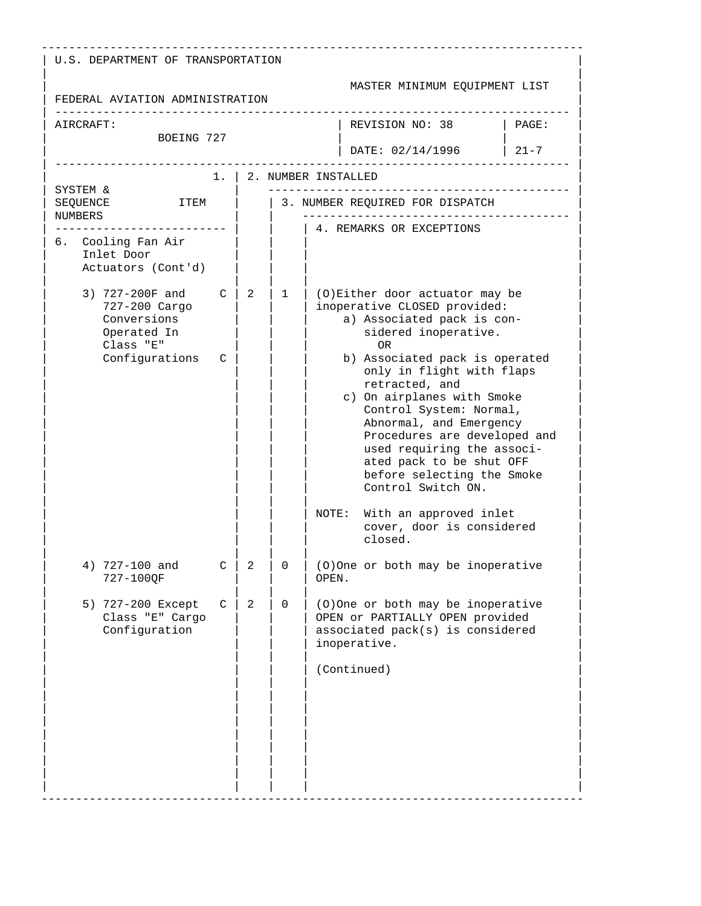| U.S. DEPARTMENT OF TRANSPORTATION                                                                                  |   |                                 |                                                                                                                                                                                                                                                                                                                                                                                                                                                                                   |  |  |  |  |  |
|--------------------------------------------------------------------------------------------------------------------|---|---------------------------------|-----------------------------------------------------------------------------------------------------------------------------------------------------------------------------------------------------------------------------------------------------------------------------------------------------------------------------------------------------------------------------------------------------------------------------------------------------------------------------------|--|--|--|--|--|
| MASTER MINIMUM EQUIPMENT LIST<br>FEDERAL AVIATION ADMINISTRATION                                                   |   |                                 |                                                                                                                                                                                                                                                                                                                                                                                                                                                                                   |  |  |  |  |  |
| AIRCRAFT:<br>BOEING 727                                                                                            |   |                                 | REVISION NO: 38<br>$\mathtt{PAGE}$ :                                                                                                                                                                                                                                                                                                                                                                                                                                              |  |  |  |  |  |
|                                                                                                                    |   |                                 | DATE: 02/14/1996<br>$ 21 - 7 $                                                                                                                                                                                                                                                                                                                                                                                                                                                    |  |  |  |  |  |
| SYSTEM &                                                                                                           |   |                                 | 1.   2. NUMBER INSTALLED                                                                                                                                                                                                                                                                                                                                                                                                                                                          |  |  |  |  |  |
| SEQUENCE<br>ITEM<br>NUMBERS                                                                                        |   | 3. NUMBER REQUIRED FOR DISPATCH |                                                                                                                                                                                                                                                                                                                                                                                                                                                                                   |  |  |  |  |  |
| 6. Cooling Fan Air<br>Inlet Door<br>Actuators (Cont'd)                                                             |   |                                 | 4. REMARKS OR EXCEPTIONS                                                                                                                                                                                                                                                                                                                                                                                                                                                          |  |  |  |  |  |
| 3) 727-200F and<br>$\mathsf{C}$<br>727-200 Cargo<br>Conversions<br>Operated In<br>Class "E"<br>Configurations<br>C | 2 | $\mathbf{1}$                    | (O) Either door actuator may be<br>inoperative CLOSED provided:<br>a) Associated pack is con-<br>sidered inoperative.<br>0R<br>b) Associated pack is operated<br>only in flight with flaps<br>retracted, and<br>c) On airplanes with Smoke<br>Control System: Normal,<br>Abnormal, and Emergency<br>Procedures are developed and<br>used requiring the associ-<br>ated pack to be shut OFF<br>before selecting the Smoke<br>Control Switch ON.<br>With an approved inlet<br>NOTE: |  |  |  |  |  |
| 4) 727-100 and<br>C                                                                                                | 2 | $\mathbf 0$                     | cover, door is considered<br>closed.<br>(0) One or both may be inoperative                                                                                                                                                                                                                                                                                                                                                                                                        |  |  |  |  |  |
| 727-100QF<br>5) 727-200 Except<br>$\mathsf{C}$<br>Class "E" Cargo<br>Configuration                                 | 2 | $\mathsf 0$                     | OPEN.<br>(0) One or both may be inoperative<br>OPEN or PARTIALLY OPEN provided<br>associated pack(s) is considered<br>inoperative.<br>(Continued)                                                                                                                                                                                                                                                                                                                                 |  |  |  |  |  |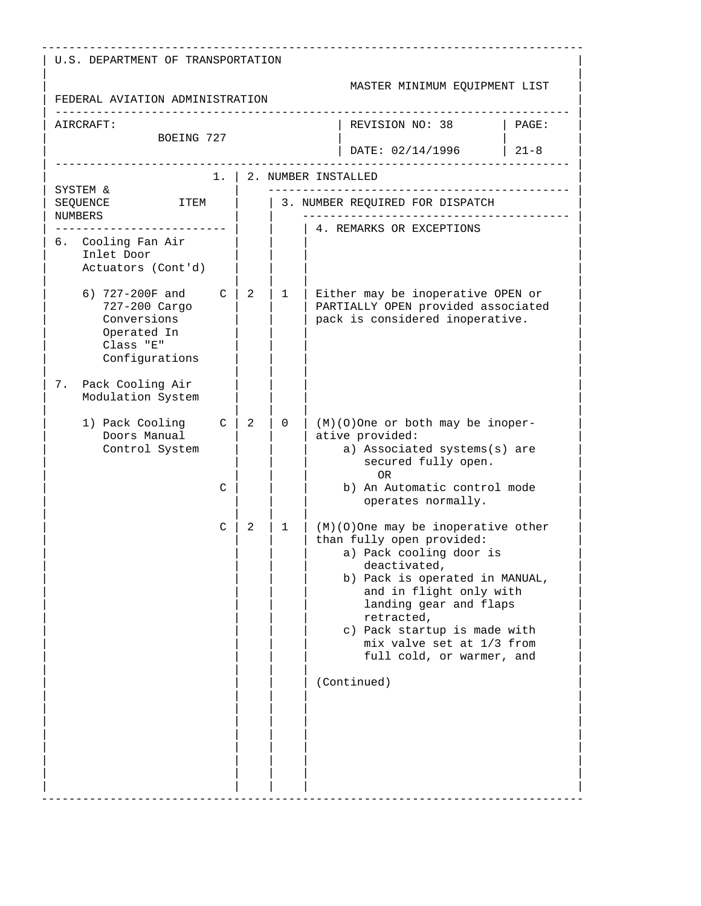| U.S. DEPARTMENT OF TRANSPORTATION<br>MASTER MINIMUM EQUIPMENT LIST<br>FEDERAL AVIATION ADMINISTRATION          |                |                        |                                                                                                                                                                                                                                                                                                           |  |  |  |  |
|----------------------------------------------------------------------------------------------------------------|----------------|------------------------|-----------------------------------------------------------------------------------------------------------------------------------------------------------------------------------------------------------------------------------------------------------------------------------------------------------|--|--|--|--|
| AIRCRAFT:<br>BOEING 727                                                                                        |                |                        | REVISION NO: 38<br>PAGE:                                                                                                                                                                                                                                                                                  |  |  |  |  |
|                                                                                                                |                |                        | DATE: 02/14/1996<br>$ 21-8$                                                                                                                                                                                                                                                                               |  |  |  |  |
| SYSTEM &                                                                                                       |                | 1. 2. NUMBER INSTALLED |                                                                                                                                                                                                                                                                                                           |  |  |  |  |
| SEQUENCE<br>ITEM                                                                                               |                |                        | 3. NUMBER REQUIRED FOR DISPATCH                                                                                                                                                                                                                                                                           |  |  |  |  |
| <b>NUMBERS</b><br>6. Cooling Fan Air<br>Inlet Door<br>Actuators (Cont'd)                                       |                |                        | 4. REMARKS OR EXCEPTIONS                                                                                                                                                                                                                                                                                  |  |  |  |  |
| 6) 727-200F and<br>$\mathcal{C}$<br>727-200 Cargo<br>Conversions<br>Operated In<br>Class "E"<br>Configurations | 2              | $\mathbf{1}$           | Either may be inoperative OPEN or<br>PARTIALLY OPEN provided associated<br>pack is considered inoperative.                                                                                                                                                                                                |  |  |  |  |
| Pack Cooling Air<br>7.<br>Modulation System                                                                    |                |                        |                                                                                                                                                                                                                                                                                                           |  |  |  |  |
| 1) Pack Cooling<br>$\mathsf{C}$<br>Doors Manual<br>Control System                                              | $\overline{2}$ | $\Omega$               | (M)(0)One or both may be inoper-<br>ative provided:<br>a) Associated systems(s) are<br>secured fully open.<br>0 <sub>R</sub>                                                                                                                                                                              |  |  |  |  |
| C                                                                                                              |                |                        | b) An Automatic control mode<br>operates normally.                                                                                                                                                                                                                                                        |  |  |  |  |
| C                                                                                                              | 2              | $\mathbf{1}$           | (M)(0)One may be inoperative other<br>than fully open provided:<br>a) Pack cooling door is<br>deactivated,<br>b) Pack is operated in MANUAL,<br>and in flight only with<br>landing gear and flaps<br>retracted,<br>c) Pack startup is made with<br>mix valve set at 1/3 from<br>full cold, or warmer, and |  |  |  |  |
|                                                                                                                |                |                        | (Continued)                                                                                                                                                                                                                                                                                               |  |  |  |  |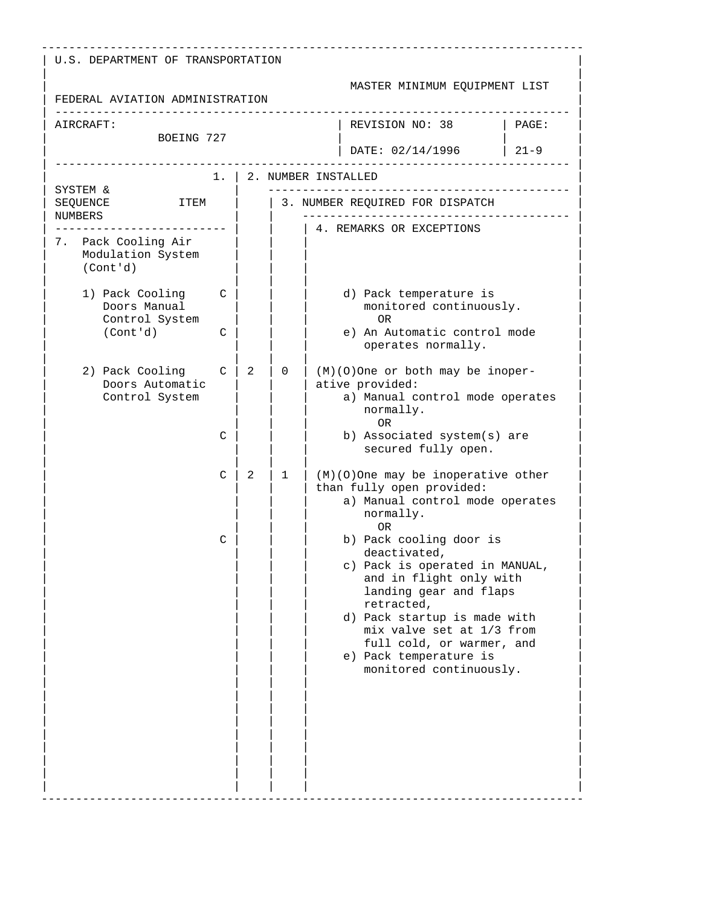| U.S. DEPARTMENT OF TRANSPORTATION<br>MASTER MINIMUM EQUIPMENT LIST<br>FEDERAL AVIATION ADMINISTRATION |                   |                          |                                                                                                                                                                                                                                                                                             |  |  |  |
|-------------------------------------------------------------------------------------------------------|-------------------|--------------------------|---------------------------------------------------------------------------------------------------------------------------------------------------------------------------------------------------------------------------------------------------------------------------------------------|--|--|--|
| AIRCRAFT:<br>BOEING 727                                                                               |                   | REVISION NO: 38<br>PAGE: |                                                                                                                                                                                                                                                                                             |  |  |  |
|                                                                                                       |                   |                          | DATE: 02/14/1996<br>$ 21-9$                                                                                                                                                                                                                                                                 |  |  |  |
| SYSTEM &<br>SEQUENCE<br>ITEM<br><b>NUMBERS</b>                                                        |                   |                          | 1. 2. NUMBER INSTALLED<br>3. NUMBER REQUIRED FOR DISPATCH                                                                                                                                                                                                                                   |  |  |  |
| 7. Pack Cooling Air<br>Modulation System<br>(Cont d)                                                  |                   |                          | 4. REMARKS OR EXCEPTIONS                                                                                                                                                                                                                                                                    |  |  |  |
| 1) Pack Cooling<br>$\mathsf{C}$<br>Doors Manual<br>Control System<br>(Cont d)<br>C                    |                   |                          | d) Pack temperature is<br>monitored continuously.<br>0 <sub>R</sub><br>e) An Automatic control mode<br>operates normally.                                                                                                                                                                   |  |  |  |
| 2) Pack Cooling<br>Doors Automatic<br>Control System                                                  | 2<br>$\mathsf{C}$ | $\Omega$                 | (M)(0)One or both may be inoper-<br>ative provided:<br>a) Manual control mode operates<br>normally.<br>0 <sub>R</sub>                                                                                                                                                                       |  |  |  |
| C                                                                                                     |                   |                          | b) Associated system(s) are<br>secured fully open.                                                                                                                                                                                                                                          |  |  |  |
|                                                                                                       | 2<br>C            | $\mathbf 1$              | (M)(O)One may be inoperative other<br>than fully open provided:<br>a) Manual control mode operates<br>normally.<br>0R                                                                                                                                                                       |  |  |  |
| C                                                                                                     |                   |                          | b) Pack cooling door is<br>deactivated,<br>c) Pack is operated in MANUAL,<br>and in flight only with<br>landing gear and flaps<br>retracted,<br>d) Pack startup is made with<br>mix valve set at 1/3 from<br>full cold, or warmer, and<br>e) Pack temperature is<br>monitored continuously. |  |  |  |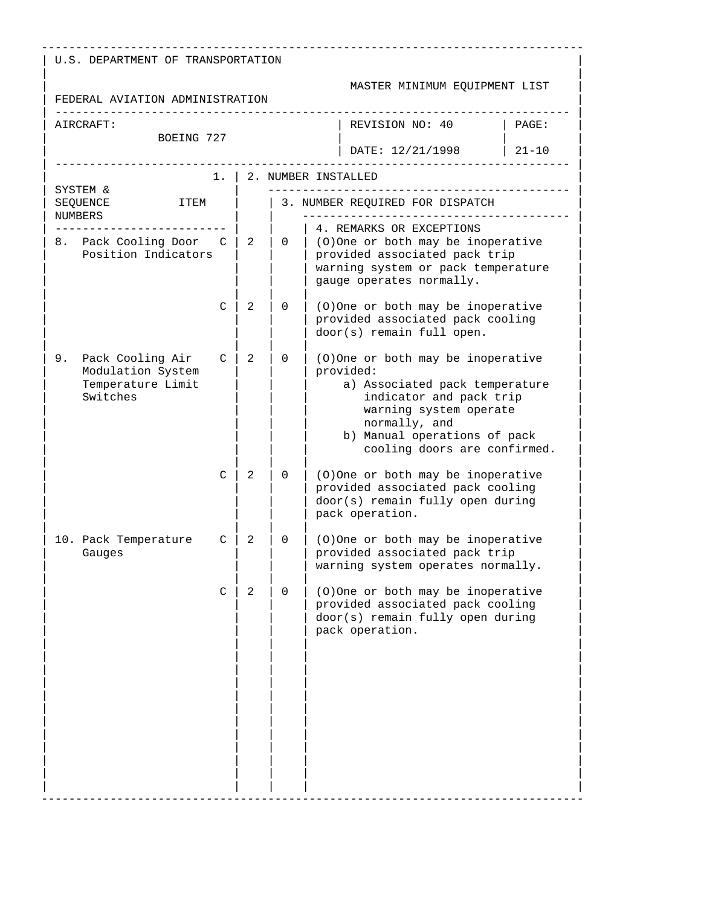| U.S. DEPARTMENT OF TRANSPORTATION<br>MASTER MINIMUM EQUIPMENT LIST                              |   |   |                                 |                                                                                                                                                                                                                         |  |  |  |
|-------------------------------------------------------------------------------------------------|---|---|---------------------------------|-------------------------------------------------------------------------------------------------------------------------------------------------------------------------------------------------------------------------|--|--|--|
| FEDERAL AVIATION ADMINISTRATION                                                                 |   |   |                                 |                                                                                                                                                                                                                         |  |  |  |
| AIRCRAFT:<br>BOEING 727                                                                         |   |   |                                 | REVISION NO: 40<br>PAGE:                                                                                                                                                                                                |  |  |  |
|                                                                                                 |   |   |                                 | DATE: 12/21/1998<br>$21 - 10$                                                                                                                                                                                           |  |  |  |
|                                                                                                 |   |   | 1. 2. NUMBER INSTALLED          |                                                                                                                                                                                                                         |  |  |  |
| SYSTEM &<br>SEQUENCE<br>ITEM<br><b>NUMBERS</b><br>8. Pack Cooling Door C<br>Position Indicators |   |   | 3. NUMBER REQUIRED FOR DISPATCH |                                                                                                                                                                                                                         |  |  |  |
|                                                                                                 |   | 2 | $\Omega$                        | 4. REMARKS OR EXCEPTIONS<br>(0) One or both may be inoperative<br>provided associated pack trip<br>warning system or pack temperature<br>gauge operates normally.                                                       |  |  |  |
|                                                                                                 | C | 2 | $\Omega$                        | (0) One or both may be inoperative<br>provided associated pack cooling<br>door(s) remain full open.                                                                                                                     |  |  |  |
| 9.<br>Pack Cooling Air<br>$\mathcal{C}$<br>Modulation System<br>Temperature Limit<br>Switches   |   | 2 | $\Omega$                        | (0) One or both may be inoperative<br>provided:<br>a) Associated pack temperature<br>indicator and pack trip<br>warning system operate<br>normally, and<br>b) Manual operations of pack<br>cooling doors are confirmed. |  |  |  |
|                                                                                                 | C | 2 | $\Omega$                        | (0) One or both may be inoperative<br>provided associated pack cooling<br>door(s) remain fully open during<br>pack operation.                                                                                           |  |  |  |
| 10. Pack Temperature<br>C<br>Gauges                                                             |   | 2 | $\Omega$                        | (0) One or both may be inoperative<br>provided associated pack trip<br>warning system operates normally.                                                                                                                |  |  |  |
|                                                                                                 | C | 2 | $\mathsf 0$                     | (0) One or both may be inoperative<br>provided associated pack cooling<br>door(s) remain fully open during<br>pack operation.                                                                                           |  |  |  |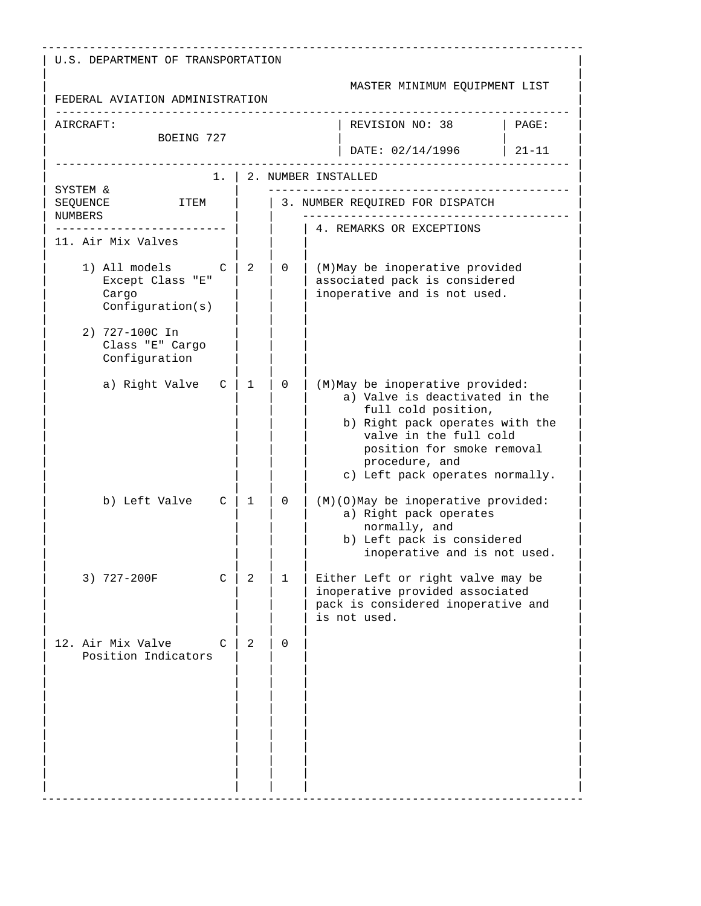<span id="page-34-0"></span>

| U.S. DEPARTMENT OF TRANSPORTATION                                                |                          |                                                                                                                 |                                                                                                                                                                                                                                           |                   |  |  |  |
|----------------------------------------------------------------------------------|--------------------------|-----------------------------------------------------------------------------------------------------------------|-------------------------------------------------------------------------------------------------------------------------------------------------------------------------------------------------------------------------------------------|-------------------|--|--|--|
| MASTER MINIMUM EQUIPMENT LIST<br>FEDERAL AVIATION ADMINISTRATION                 |                          |                                                                                                                 |                                                                                                                                                                                                                                           |                   |  |  |  |
| AIRCRAFT:<br>BOEING 727                                                          |                          |                                                                                                                 | REVISION NO: 38                                                                                                                                                                                                                           | $\mathtt{PAGE}$ : |  |  |  |
|                                                                                  |                          |                                                                                                                 | DATE: 02/14/1996   21-11                                                                                                                                                                                                                  |                   |  |  |  |
| SYSTEM &                                                                         | 1.   2. NUMBER INSTALLED |                                                                                                                 |                                                                                                                                                                                                                                           |                   |  |  |  |
| SEQUENCE<br>ITEM<br>NUMBERS                                                      |                          | 3. NUMBER REQUIRED FOR DISPATCH                                                                                 |                                                                                                                                                                                                                                           |                   |  |  |  |
| 11. Air Mix Valves                                                               |                          |                                                                                                                 | 4. REMARKS OR EXCEPTIONS                                                                                                                                                                                                                  |                   |  |  |  |
| 1) All models<br>$\overline{C}$<br>Except Class "E"<br>Cargo<br>Configuration(s) | $\overline{2}$           | $\mathbf 0$<br>(M) May be inoperative provided<br>associated pack is considered<br>inoperative and is not used. |                                                                                                                                                                                                                                           |                   |  |  |  |
| 2) 727-100C In<br>Class "E" Cargo<br>Configuration                               |                          |                                                                                                                 |                                                                                                                                                                                                                                           |                   |  |  |  |
| a) Right Valve C                                                                 | 1                        | 0                                                                                                               | (M) May be inoperative provided:<br>a) Valve is deactivated in the<br>full cold position,<br>b) Right pack operates with the<br>valve in the full cold<br>position for smoke removal<br>procedure, and<br>c) Left pack operates normally. |                   |  |  |  |
| b) Left Valve<br>$\mathsf{C}^-$                                                  | $\mathbf{1}$             | 0                                                                                                               | (M)(O)May be inoperative provided:<br>a) Right pack operates<br>normally, and<br>b) Left pack is considered<br>inoperative and is not used.                                                                                               |                   |  |  |  |
| 3) 727-200F<br>C                                                                 | 2                        | $\mathbf{1}$                                                                                                    | Either Left or right valve may be<br>inoperative provided associated<br>pack is considered inoperative and<br>is not used.                                                                                                                |                   |  |  |  |
| 12. Air Mix Valve<br>C<br>Position Indicators                                    | 2                        | $\mathbf 0$                                                                                                     |                                                                                                                                                                                                                                           |                   |  |  |  |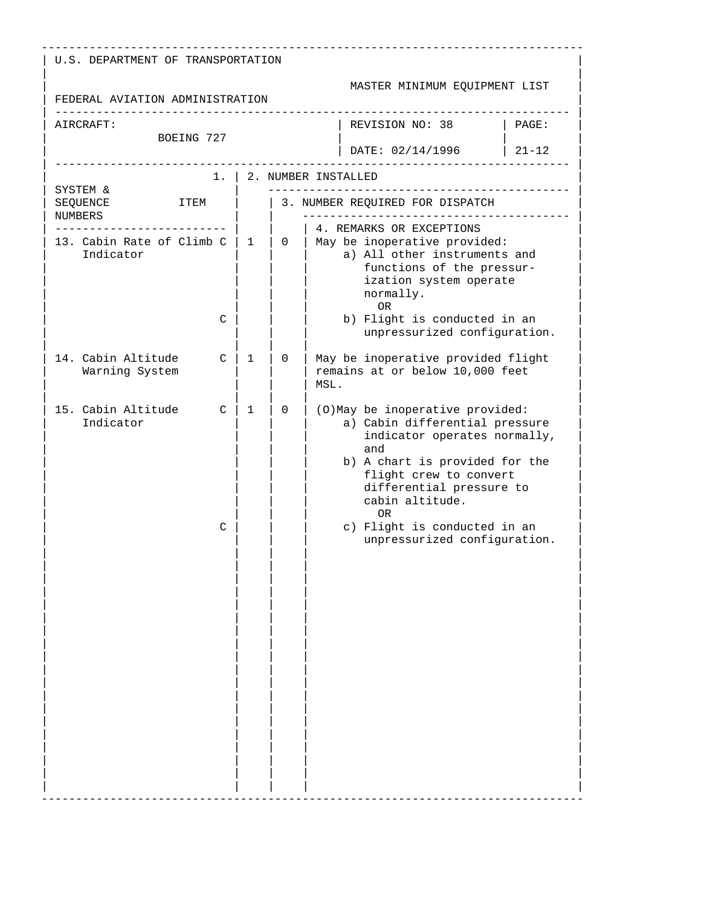| U.S. DEPARTMENT OF TRANSPORTATION                                |              |                        |                                                                                                                                                                                                                                                                                                        |            |  |  |  |
|------------------------------------------------------------------|--------------|------------------------|--------------------------------------------------------------------------------------------------------------------------------------------------------------------------------------------------------------------------------------------------------------------------------------------------------|------------|--|--|--|
| MASTER MINIMUM EQUIPMENT LIST<br>FEDERAL AVIATION ADMINISTRATION |              |                        |                                                                                                                                                                                                                                                                                                        |            |  |  |  |
| AIRCRAFT:<br>BOEING 727                                          |              |                        | REVISION NO: 38                                                                                                                                                                                                                                                                                        | PAGE:      |  |  |  |
|                                                                  |              |                        | DATE: 02/14/1996                                                                                                                                                                                                                                                                                       | $121 - 12$ |  |  |  |
| <b>SYSTEM &amp;</b>                                              |              | 1. 2. NUMBER INSTALLED |                                                                                                                                                                                                                                                                                                        |            |  |  |  |
| SEQUENCE<br>ITEM<br><b>NUMBERS</b>                               |              |                        | 3. NUMBER REQUIRED FOR DISPATCH                                                                                                                                                                                                                                                                        |            |  |  |  |
| 13. Cabin Rate of Climb C<br>Indicator<br>C                      | $\mathbf{1}$ | $\mathbf{0}$           | 4. REMARKS OR EXCEPTIONS<br>May be inoperative provided:<br>a) All other instruments and<br>functions of the pressur-<br>ization system operate<br>normally.<br>0 <sub>R</sub><br>b) Flight is conducted in an                                                                                         |            |  |  |  |
| 14. Cabin Altitude<br>$\mathcal{C}$<br>Warning System            | $\mathbf{1}$ | $\Omega$               | unpressurized configuration.<br>May be inoperative provided flight<br>remains at or below 10,000 feet<br>MSL.                                                                                                                                                                                          |            |  |  |  |
| 15. Cabin Altitude<br>$\mathcal{C}$<br>Indicator<br>C            | $\mathbf{1}$ | 0                      | (0) May be inoperative provided:<br>a) Cabin differential pressure<br>indicator operates normally,<br>and<br>b) A chart is provided for the<br>flight crew to convert<br>differential pressure to<br>cabin altitude.<br>0 <sub>R</sub><br>c) Flight is conducted in an<br>unpressurized configuration. |            |  |  |  |
|                                                                  |              |                        |                                                                                                                                                                                                                                                                                                        |            |  |  |  |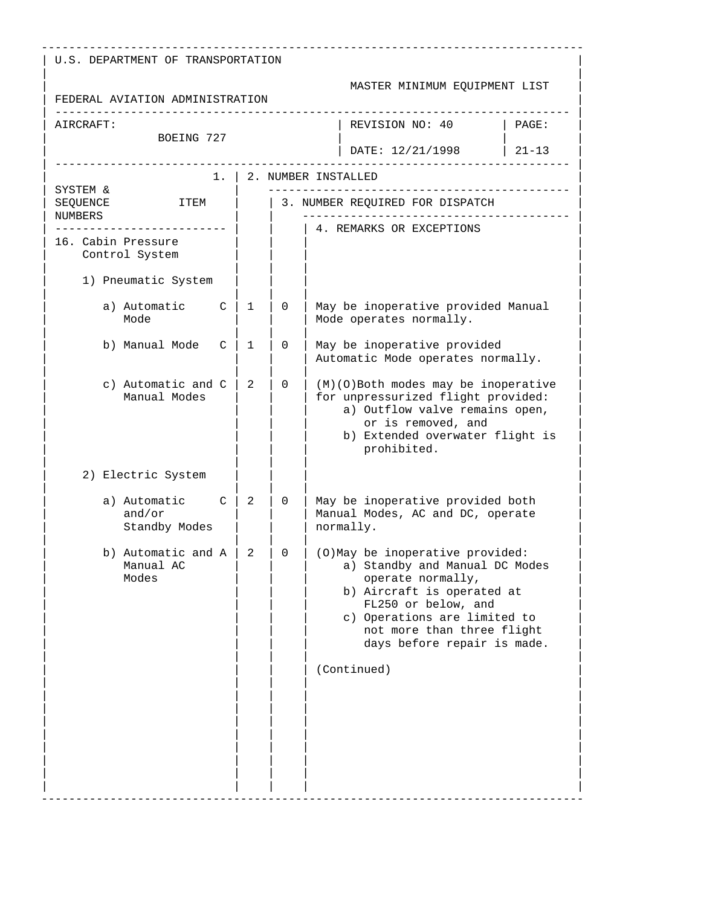| U.S. DEPARTMENT OF TRANSPORTATION<br>FEDERAL AVIATION ADMINISTRATION |                |             | MASTER MINIMUM EQUIPMENT LIST                                                                                                                                                                                                                            |
|----------------------------------------------------------------------|----------------|-------------|----------------------------------------------------------------------------------------------------------------------------------------------------------------------------------------------------------------------------------------------------------|
| AIRCRAFT:<br>BOEING 727                                              |                |             | REVISION NO: 40<br>PAGE:                                                                                                                                                                                                                                 |
|                                                                      |                |             | DATE: 12/21/1998<br>$ 21-13$                                                                                                                                                                                                                             |
| SYSTEM &                                                             |                |             | 1. 2. NUMBER INSTALLED                                                                                                                                                                                                                                   |
| SEQUENCE<br>ITEM<br>NUMBERS                                          |                |             | 3. NUMBER REQUIRED FOR DISPATCH                                                                                                                                                                                                                          |
| 16. Cabin Pressure<br>Control System                                 |                |             | 4. REMARKS OR EXCEPTIONS                                                                                                                                                                                                                                 |
| 1) Pneumatic System                                                  |                |             |                                                                                                                                                                                                                                                          |
| a) Automatic<br>$\mathcal{C}$<br>Mode                                | $\mathbf{1}$   | 0           | May be inoperative provided Manual<br>Mode operates normally.                                                                                                                                                                                            |
| b) Manual Mode<br>$\mathsf{C}$                                       | 1              | 0           | May be inoperative provided<br>Automatic Mode operates normally.                                                                                                                                                                                         |
| c) Automatic and C<br>Manual Modes                                   | 2              | $\mathbf 0$ | (M)(O)Both modes may be inoperative<br>for unpressurized flight provided:<br>a) Outflow valve remains open,<br>or is removed, and<br>b) Extended overwater flight is<br>prohibited.                                                                      |
| 2) Electric System                                                   |                |             |                                                                                                                                                                                                                                                          |
| a) Automatic<br>$\overline{C}$<br>and/or<br>Standby Modes            | $\overline{2}$ | 0           | May be inoperative provided both<br>Manual Modes, AC and DC, operate<br>normally.                                                                                                                                                                        |
| b) Automatic and A<br>Manual AC<br>Modes                             | 2              | 0           | (O) May be inoperative provided:<br>a) Standby and Manual DC Modes<br>operate normally,<br>b) Aircraft is operated at<br>FL250 or below, and<br>c) Operations are limited to<br>not more than three flight<br>days before repair is made.<br>(Continued) |
|                                                                      |                |             |                                                                                                                                                                                                                                                          |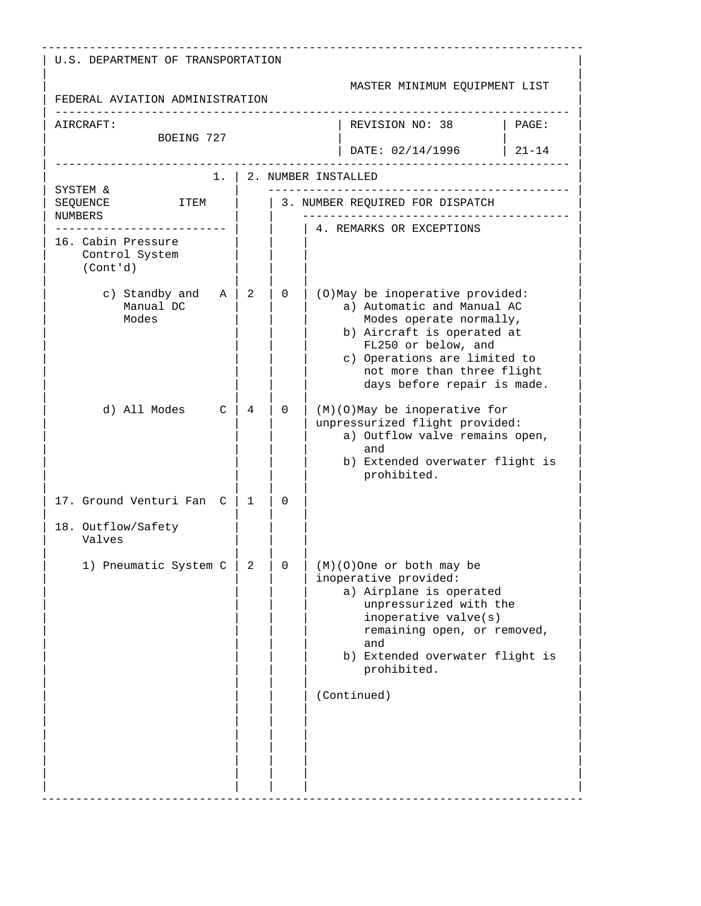| U.S. DEPARTMENT OF TRANSPORTATION<br>FEDERAL AVIATION ADMINISTRATION |                |             | MASTER MINIMUM EQUIPMENT LIST                                                                                                                                                                                                               |          |
|----------------------------------------------------------------------|----------------|-------------|---------------------------------------------------------------------------------------------------------------------------------------------------------------------------------------------------------------------------------------------|----------|
| AIRCRAFT:                                                            |                |             | REVISION NO: 38                                                                                                                                                                                                                             | PAGE:    |
| BOEING 727                                                           |                |             | DATE: 02/14/1996                                                                                                                                                                                                                            | $ 21-14$ |
| <b>SYSTEM &amp;</b><br>SEQUENCE<br>ITEM<br>NUMBERS                   |                |             | 1. 2. NUMBER INSTALLED<br>3. NUMBER REQUIRED FOR DISPATCH                                                                                                                                                                                   |          |
| 16. Cabin Pressure<br>Control System<br>(Cont d)                     |                |             | 4. REMARKS OR EXCEPTIONS                                                                                                                                                                                                                    |          |
| c) Standby and $A$  <br>Manual DC<br>Modes                           | $\overline{2}$ | $\mathbf 0$ | (0) May be inoperative provided:<br>a) Automatic and Manual AC<br>Modes operate normally,<br>b) Aircraft is operated at<br>FL250 or below, and<br>c) Operations are limited to<br>not more than three flight<br>days before repair is made. |          |
| d) All Modes<br>$\mathsf{C}$                                         | $\overline{4}$ | 0           | (M)(O)May be inoperative for<br>unpressurized flight provided:<br>a) Outflow valve remains open,<br>and<br>b) Extended overwater flight is<br>prohibited.                                                                                   |          |
| 17. Ground Venturi Fan C<br>18. Outflow/Safety<br>Valves             | $\mathbf{1}$   | $\Omega$    |                                                                                                                                                                                                                                             |          |
| 1) Pneumatic System C                                                | 2              | 0           | (M)(0)One or both may be<br>inoperative provided:<br>a) Airplane is operated<br>unpressurized with the<br>inoperative valve(s)<br>remaining open, or removed,<br>and<br>b) Extended overwater flight is<br>prohibited.<br>(Continued)       |          |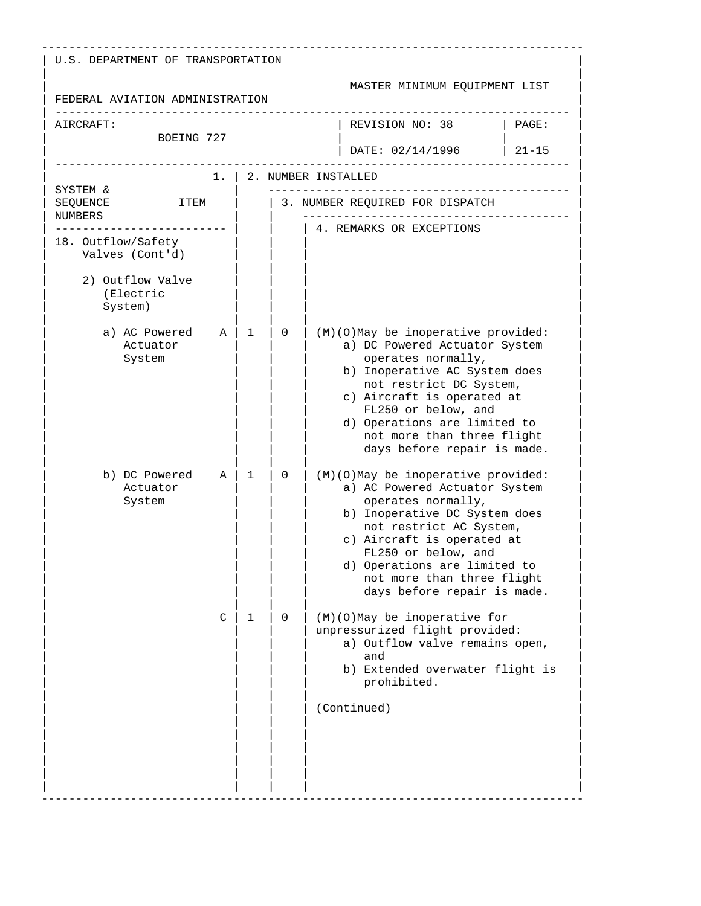| U.S. DEPARTMENT OF TRANSPORTATION<br>FEDERAL AVIATION ADMINISTRATION              |                |             | MASTER MINIMUM EQUIPMENT LIST                                                                                                                                                                                                                                                                           |            |  |  |
|-----------------------------------------------------------------------------------|----------------|-------------|---------------------------------------------------------------------------------------------------------------------------------------------------------------------------------------------------------------------------------------------------------------------------------------------------------|------------|--|--|
| AIRCRAFT:<br>BOEING 727                                                           |                |             | REVISION NO: 38<br>PAGE:                                                                                                                                                                                                                                                                                |            |  |  |
|                                                                                   |                |             | DATE: 02/14/1996<br>1.   2. NUMBER INSTALLED                                                                                                                                                                                                                                                            | $ 21 - 15$ |  |  |
| SYSTEM &<br>SEQUENCE<br>ITEM<br>NUMBERS                                           |                |             | 3. NUMBER REQUIRED FOR DISPATCH                                                                                                                                                                                                                                                                         |            |  |  |
| 18. Outflow/Safety<br>Valves (Cont'd)<br>2) Outflow Valve<br>(Electric<br>System) |                |             | 4. REMARKS OR EXCEPTIONS                                                                                                                                                                                                                                                                                |            |  |  |
| a) AC Powered<br>A<br>Actuator<br>System                                          | $\overline{1}$ | $\Omega$    | (M)(O)May be inoperative provided:<br>a) DC Powered Actuator System<br>operates normally,<br>b) Inoperative AC System does<br>not restrict DC System,<br>c) Aircraft is operated at<br>FL250 or below, and<br>d) Operations are limited to<br>not more than three flight<br>days before repair is made. |            |  |  |
| b) DC Powered<br>A<br>Actuator<br>System                                          | $\mathbf{1}$   | 0           | (M)(O)May be inoperative provided:<br>a) AC Powered Actuator System<br>operates normally,<br>b) Inoperative DC System does<br>not restrict AC System,<br>c) Aircraft is operated at<br>FL250 or below, and<br>d) Operations are limited to<br>not more than three flight<br>days before repair is made. |            |  |  |
| C                                                                                 | $\mathbf{1}$   | $\mathbf 0$ | (M)(O)May be inoperative for<br>unpressurized flight provided:<br>a) Outflow valve remains open,<br>and<br>b) Extended overwater flight is<br>prohibited.<br>(Continued)                                                                                                                                |            |  |  |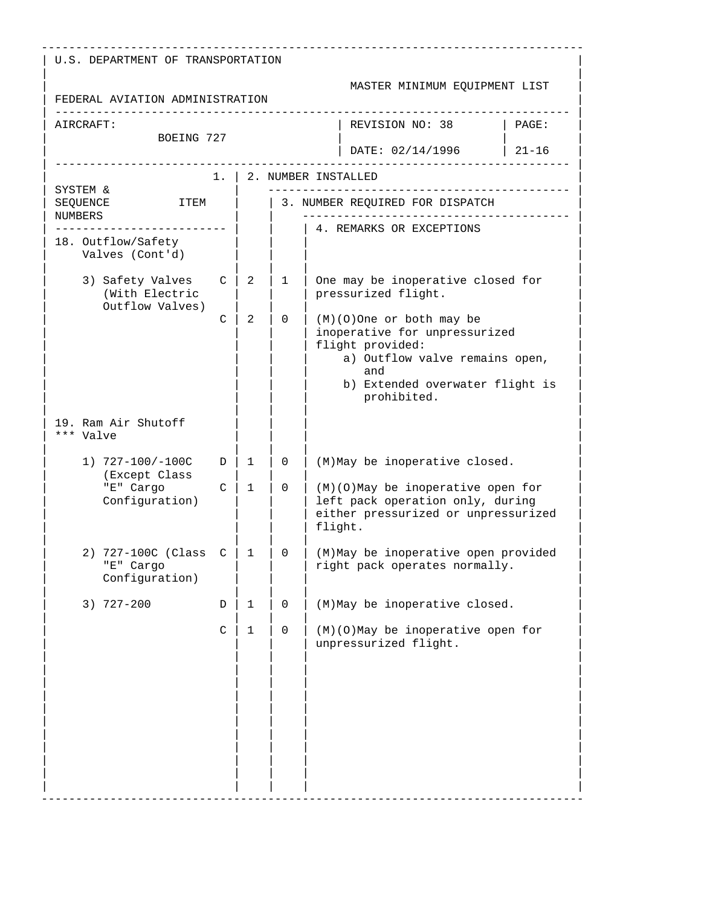| U.S. DEPARTMENT OF TRANSPORTATION<br>FEDERAL AVIATION ADMINISTRATION |                |             | MASTER MINIMUM EQUIPMENT LIST                                                                                                                                               |  |
|----------------------------------------------------------------------|----------------|-------------|-----------------------------------------------------------------------------------------------------------------------------------------------------------------------------|--|
| AIRCRAFT:<br>BOEING 727                                              |                |             | REVISION NO: 38<br>PAGE:                                                                                                                                                    |  |
|                                                                      |                |             | DATE: 02/14/1996<br>$ 21-16$                                                                                                                                                |  |
| SYSTEM &<br>SEQUENCE<br>ITEM<br>NUMBERS                              |                |             | 1. 2. NUMBER INSTALLED<br>3. NUMBER REQUIRED FOR DISPATCH                                                                                                                   |  |
| 18. Outflow/Safety<br>Valves (Cont'd)                                |                |             | 4. REMARKS OR EXCEPTIONS                                                                                                                                                    |  |
| 3) Safety Valves C<br>(With Electric<br>Outflow Valves)              | $\overline{2}$ | 1           | One may be inoperative closed for<br>pressurized flight.                                                                                                                    |  |
| C                                                                    | 2              | 0           | $(M)(0)$ One or both may be<br>inoperative for unpressurized<br>flight provided:<br>a) Outflow valve remains open,<br>and<br>b) Extended overwater flight is<br>prohibited. |  |
| 19. Ram Air Shutoff<br>*** Valve                                     |                |             |                                                                                                                                                                             |  |
| 1) 727-100/-100C<br>D<br>(Except Class                               | $\overline{1}$ | $\Omega$    | (M) May be inoperative closed.                                                                                                                                              |  |
| "E" Cargo<br>$\mathsf{C}$<br>Configuration)                          | $\mathbf{1}$   | $\Omega$    | (M)(O)May be inoperative open for<br>left pack operation only, during<br>either pressurized or unpressurized<br>flight.                                                     |  |
| 2) 727-100C (Class<br>C<br>"E" Cargo<br>Configuration)               | 1              | 0           | (M) May be inoperative open provided<br>right pack operates normally.                                                                                                       |  |
| $3) 727 - 200$<br>D                                                  | $\mathbf{1}$   | $\mathsf 0$ | (M) May be inoperative closed.                                                                                                                                              |  |
| $\mathsf{C}$                                                         | $\mathbf 1$    | $\mathsf 0$ | (M)(O)May be inoperative open for<br>unpressurized flight.                                                                                                                  |  |
|                                                                      |                |             |                                                                                                                                                                             |  |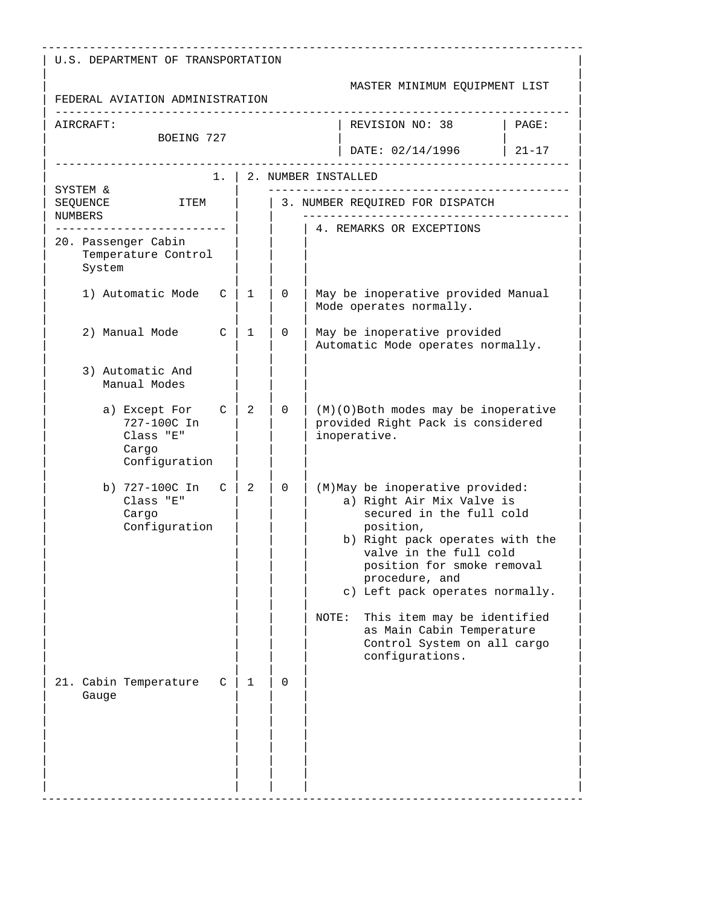| U.S. DEPARTMENT OF TRANSPORTATION                                     |                |             |                                                                                                                                                                                                                                                                                                                                                                               |
|-----------------------------------------------------------------------|----------------|-------------|-------------------------------------------------------------------------------------------------------------------------------------------------------------------------------------------------------------------------------------------------------------------------------------------------------------------------------------------------------------------------------|
| FEDERAL AVIATION ADMINISTRATION                                       |                |             | MASTER MINIMUM EQUIPMENT LIST                                                                                                                                                                                                                                                                                                                                                 |
| AIRCRAFT:<br>BOEING 727                                               |                |             | REVISION NO: 38<br>$\mathtt{PAGE}$ :                                                                                                                                                                                                                                                                                                                                          |
|                                                                       |                |             | DATE: 02/14/1996   21-17                                                                                                                                                                                                                                                                                                                                                      |
| SYSTEM &                                                              |                |             | 1. 2. NUMBER INSTALLED                                                                                                                                                                                                                                                                                                                                                        |
| SEQUENCE<br>ITEM<br>NUMBERS                                           |                |             | 3. NUMBER REQUIRED FOR DISPATCH                                                                                                                                                                                                                                                                                                                                               |
| 20. Passenger Cabin<br>Temperature Control<br>System                  |                |             | 4. REMARKS OR EXCEPTIONS                                                                                                                                                                                                                                                                                                                                                      |
| 1) Automatic Mode C   1                                               |                | $\mathbf 0$ | May be inoperative provided Manual<br>Mode operates normally.                                                                                                                                                                                                                                                                                                                 |
| 2) Manual Mode<br>$\mathcal{C}$                                       | $\overline{1}$ | $\Omega$    | May be inoperative provided<br>Automatic Mode operates normally.                                                                                                                                                                                                                                                                                                              |
| 3) Automatic And<br>Manual Modes                                      |                |             |                                                                                                                                                                                                                                                                                                                                                                               |
| a) Except For C<br>727-100C In<br>Class "E"<br>Cargo<br>Configuration | $\overline{2}$ | $\mathbf 0$ | (M)(O)Both modes may be inoperative<br>provided Right Pack is considered<br>inoperative.                                                                                                                                                                                                                                                                                      |
| b) 727-100C In C<br>Class "E"<br>Cargo<br>Configuration               | $\overline{2}$ | $\Omega$    | (M) May be inoperative provided:<br>a) Right Air Mix Valve is<br>secured in the full cold<br>position,<br>b) Right pack operates with the<br>valve in the full cold<br>position for smoke removal<br>procedure, and<br>c) Left pack operates normally.<br>This item may be identified<br>NOTE:<br>as Main Cabin Temperature<br>Control System on all cargo<br>configurations. |
| 21. Cabin Temperature<br>C<br>Gauge                                   | $\overline{1}$ | $\Omega$    |                                                                                                                                                                                                                                                                                                                                                                               |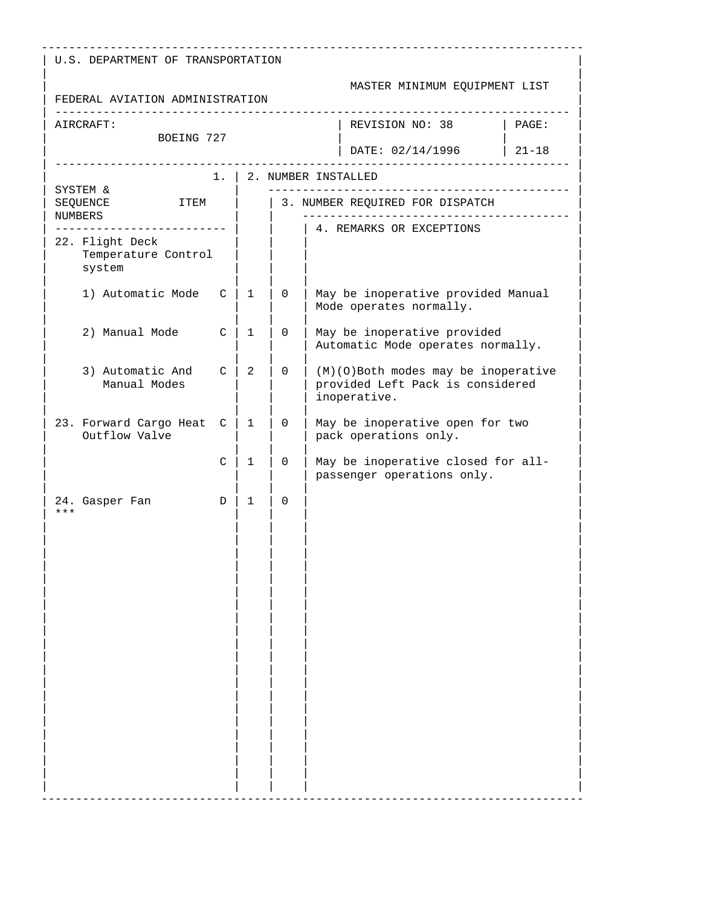| U.S. DEPARTMENT OF TRANSPORTATION                 |                |             |                                                                                         |
|---------------------------------------------------|----------------|-------------|-----------------------------------------------------------------------------------------|
| FEDERAL AVIATION ADMINISTRATION                   |                |             | MASTER MINIMUM EQUIPMENT LIST                                                           |
| AIRCRAFT:<br>BOEING 727                           |                |             | REVISION NO: 38<br>$\mathtt{PAGE}$ :                                                    |
|                                                   |                |             | DATE: 02/14/1996   21-18                                                                |
| SYSTEM &                                          |                |             | 1. 2. NUMBER INSTALLED                                                                  |
| SEQUENCE<br>ITEM<br><b>NUMBERS</b>                |                |             | 3. NUMBER REQUIRED FOR DISPATCH                                                         |
| 22. Flight Deck<br>Temperature Control<br>system  |                |             | 4. REMARKS OR EXCEPTIONS                                                                |
| 1) Automatic Mode $C \mid 1$                      |                | $\mathbf 0$ | May be inoperative provided Manual<br>Mode operates normally.                           |
| 2) Manual Mode<br>$\mathcal{C}$                   | $\mathbf{1}$   | 0           | May be inoperative provided<br>Automatic Mode operates normally.                        |
| 3) Automatic And<br>$\mathcal{C}$<br>Manual Modes | 2              | $\Omega$    | (M)(O)Both modes may be inoperative<br>provided Left Pack is considered<br>inoperative. |
| 23. Forward Cargo Heat C<br>Outflow Valve         | $\overline{1}$ | 0           | May be inoperative open for two<br>pack operations only.                                |
| $\mathsf{C}$                                      | 1              | $\Omega$    | May be inoperative closed for all-<br>passenger operations only.                        |
| 24. Gasper Fan<br>D<br>$***$                      | $\mathbf{1}$   | 0           |                                                                                         |
|                                                   |                |             |                                                                                         |
|                                                   |                |             |                                                                                         |
|                                                   |                |             |                                                                                         |
|                                                   |                |             |                                                                                         |
|                                                   |                |             |                                                                                         |
|                                                   |                |             |                                                                                         |
|                                                   |                |             |                                                                                         |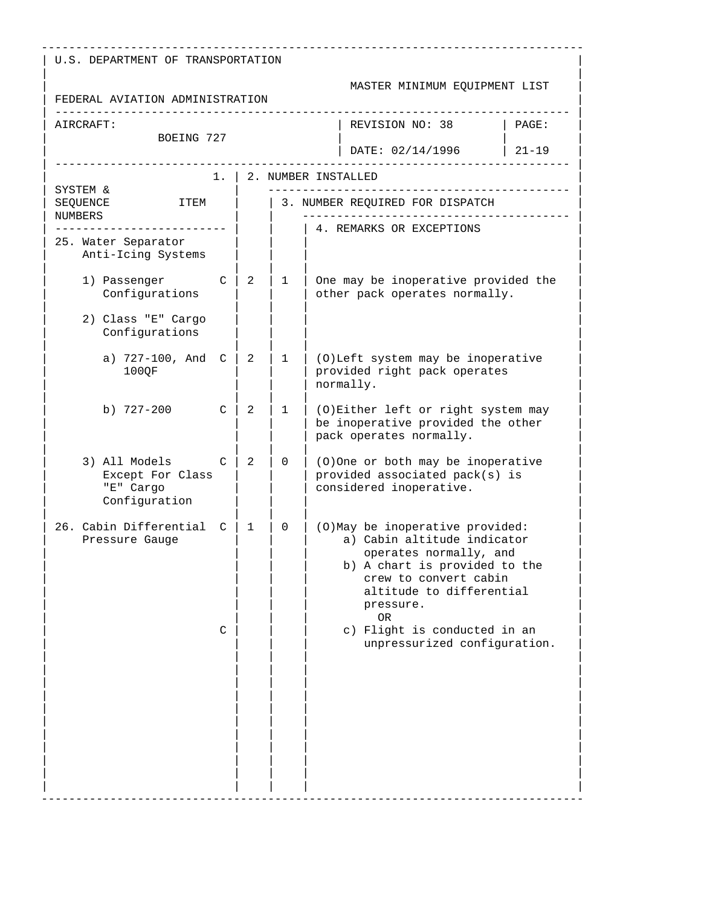| U.S. DEPARTMENT OF TRANSPORTATION                                                |                |              | MASTER MINIMUM EQUIPMENT LIST                                                                                                                                                                             |
|----------------------------------------------------------------------------------|----------------|--------------|-----------------------------------------------------------------------------------------------------------------------------------------------------------------------------------------------------------|
| FEDERAL AVIATION ADMINISTRATION                                                  |                |              |                                                                                                                                                                                                           |
| AIRCRAFT:<br>BOEING 727                                                          |                |              | REVISION NO: 38<br>PAGE:                                                                                                                                                                                  |
|                                                                                  |                |              | DATE: 02/14/1996<br>$ 21-19$                                                                                                                                                                              |
| SYSTEM &                                                                         |                |              | 1. 2. NUMBER INSTALLED                                                                                                                                                                                    |
| SEQUENCE<br>ITEM<br><b>NUMBERS</b>                                               |                |              | 3. NUMBER REQUIRED FOR DISPATCH                                                                                                                                                                           |
| 25. Water Separator<br>Anti-Icing Systems                                        |                |              | 4. REMARKS OR EXCEPTIONS                                                                                                                                                                                  |
| 1) Passenger<br>$\overline{C}$<br>Configurations                                 | $\overline{2}$ | $\mathbf{1}$ | One may be inoperative provided the<br>other pack operates normally.                                                                                                                                      |
| 2) Class "E" Cargo<br>Configurations                                             |                |              |                                                                                                                                                                                                           |
| a) 727-100, And C<br>100QF                                                       | 2              | $\mathbf{1}$ | (0) Left system may be inoperative<br>provided right pack operates<br>normally.                                                                                                                           |
| b) 727-200<br>$\mathcal{C}$                                                      | 2              | $\mathbf{1}$ | (O) Either left or right system may<br>be inoperative provided the other<br>pack operates normally.                                                                                                       |
| 3) All Models<br>$\mathcal{C}$<br>Except For Class<br>"E" Cargo<br>Configuration | $\overline{2}$ | $\Omega$     | (0) One or both may be inoperative<br>provided associated pack(s) is<br>considered inoperative.                                                                                                           |
| 26. Cabin Differential C<br>Pressure Gauge                                       | $\mathbf{1}$   | $\mathbf 0$  | (0) May be inoperative provided:<br>a) Cabin altitude indicator<br>operates normally, and<br>b) A chart is provided to the<br>crew to convert cabin<br>altitude to differential<br>pressure.<br><b>OR</b> |
| C                                                                                |                |              | c) Flight is conducted in an<br>unpressurized configuration.                                                                                                                                              |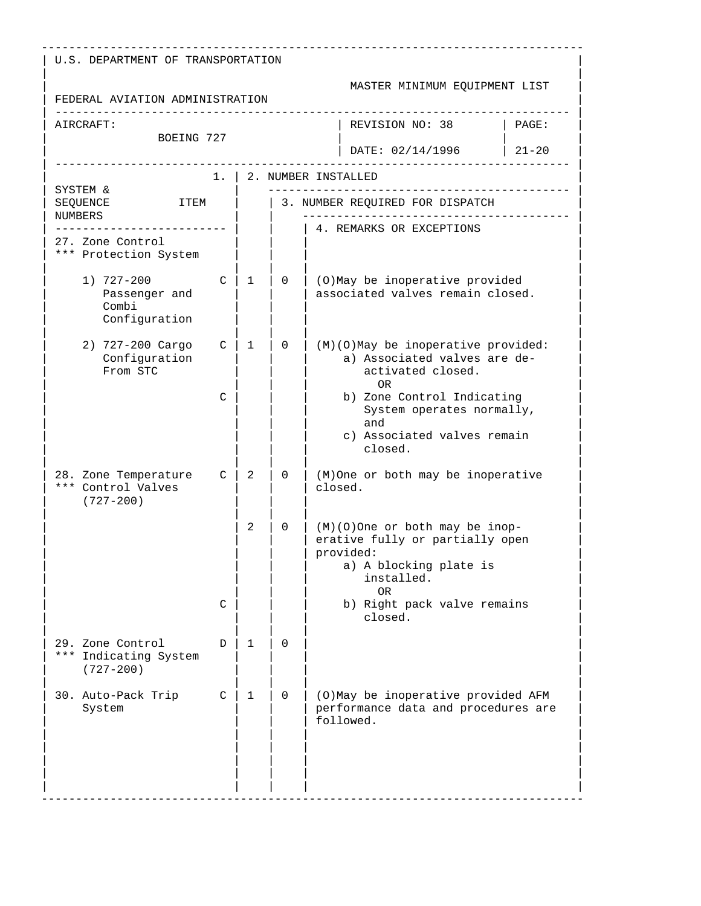|               | FEDERAL AVIATION ADMINISTRATION |              | MASTER MINIMUM EQUIPMENT LIST                                                                                          |
|---------------|---------------------------------|--------------|------------------------------------------------------------------------------------------------------------------------|
|               |                                 |              | REVISION NO: 38<br>PAGE:                                                                                               |
|               |                                 |              | DATE: 02/14/1996<br>$ 21-20$                                                                                           |
|               |                                 |              | 3. NUMBER REQUIRED FOR DISPATCH                                                                                        |
|               |                                 |              | 4. REMARKS OR EXCEPTIONS                                                                                               |
| $\mathcal{C}$ | 1                               | $\mathbf{0}$ | (0) May be inoperative provided<br>associated valves remain closed.                                                    |
| $\mathcal{C}$ | 1                               | $\Omega$     | (M)(O)May be inoperative provided:<br>a) Associated valves are de-<br>activated closed.<br>0R                          |
| C             |                                 |              | b) Zone Control Indicating<br>System operates normally,<br>and<br>c) Associated valves remain<br>closed.               |
| C             | 2                               | $\Omega$     | (M) One or both may be inoperative<br>closed.                                                                          |
|               | 2                               | $\mathbf 0$  | (M)(0)One or both may be inop-<br>erative fully or partially open<br>provided:<br>a) A blocking plate is<br>installed. |
| C             |                                 |              | 0 <sub>R</sub><br>b) Right pack valve remains<br>closed.                                                               |
| D             | $\mathbf{1}$                    | $\mathbf 0$  |                                                                                                                        |
| C             | $\mathbf{1}$                    | $\mathbf 0$  | (O) May be inoperative provided AFM<br>performance data and procedures are<br>followed.                                |
|               | BOEING 727                      |              | 1. 2. NUMBER INSTALLED                                                                                                 |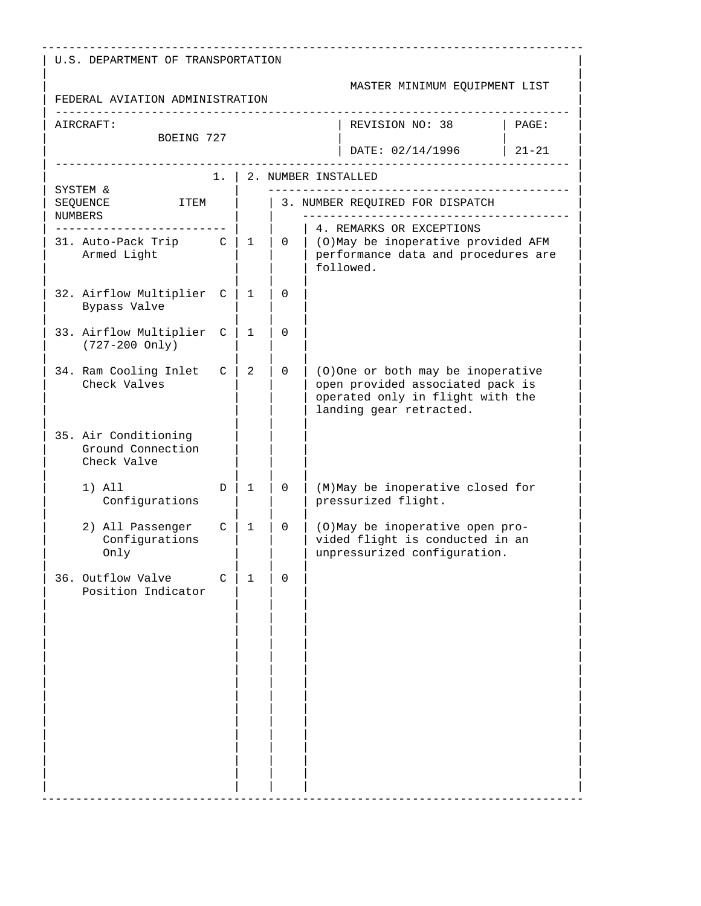| U.S. DEPARTMENT OF TRANSPORTATION                        |               |              |                  | MASTER MINIMUM EQUIPMENT LIST                                                                                                         |       |  |  |  |
|----------------------------------------------------------|---------------|--------------|------------------|---------------------------------------------------------------------------------------------------------------------------------------|-------|--|--|--|
| FEDERAL AVIATION ADMINISTRATION                          |               |              |                  |                                                                                                                                       |       |  |  |  |
| AIRCRAFT:<br>BOEING 727                                  |               |              |                  | REVISION NO: 38                                                                                                                       | PAGE: |  |  |  |
|                                                          |               |              | DATE: 02/14/1996 | $ 21-21 $                                                                                                                             |       |  |  |  |
| SYSTEM &                                                 |               |              |                  | 1. 2. NUMBER INSTALLED                                                                                                                |       |  |  |  |
| SEQUENCE<br>ITEM<br><b>NUMBERS</b>                       |               |              |                  | 3. NUMBER REQUIRED FOR DISPATCH                                                                                                       |       |  |  |  |
| 31. Auto-Pack Trip C<br>Armed Light                      |               | $\mathbf{1}$ | $\mathbf{0}$     | 4. REMARKS OR EXCEPTIONS<br>(O) May be inoperative provided AFM<br>performance data and procedures are<br>followed.                   |       |  |  |  |
| 32. Airflow Multiplier C<br>Bypass Valve                 |               | $\mathbf{1}$ | 0                |                                                                                                                                       |       |  |  |  |
| 33. Airflow Multiplier C<br>$(727-200 \text{ Only})$     |               | 1            | $\Omega$         |                                                                                                                                       |       |  |  |  |
| 34. Ram Cooling Inlet C<br>Check Valves                  |               | 2            | $\mathbf 0$      | (0) One or both may be inoperative<br>open provided associated pack is<br>operated only in flight with the<br>landing gear retracted. |       |  |  |  |
| 35. Air Conditioning<br>Ground Connection<br>Check Valve |               |              |                  |                                                                                                                                       |       |  |  |  |
| 1) All<br>Configurations                                 | D             | 1            | $\Omega$         | (M) May be inoperative closed for<br>pressurized flight.                                                                              |       |  |  |  |
| 2) All Passenger<br>Configurations<br>Only               | $\mathsf{C}$  | $\mathbf{1}$ | $\mathbf 0$      | (0) May be inoperative open pro-<br>vided flight is conducted in an<br>unpressurized configuration.                                   |       |  |  |  |
| 36. Outflow Valve<br>Position Indicator                  | $\mathcal{C}$ | $\mathbf{1}$ | $\Omega$         |                                                                                                                                       |       |  |  |  |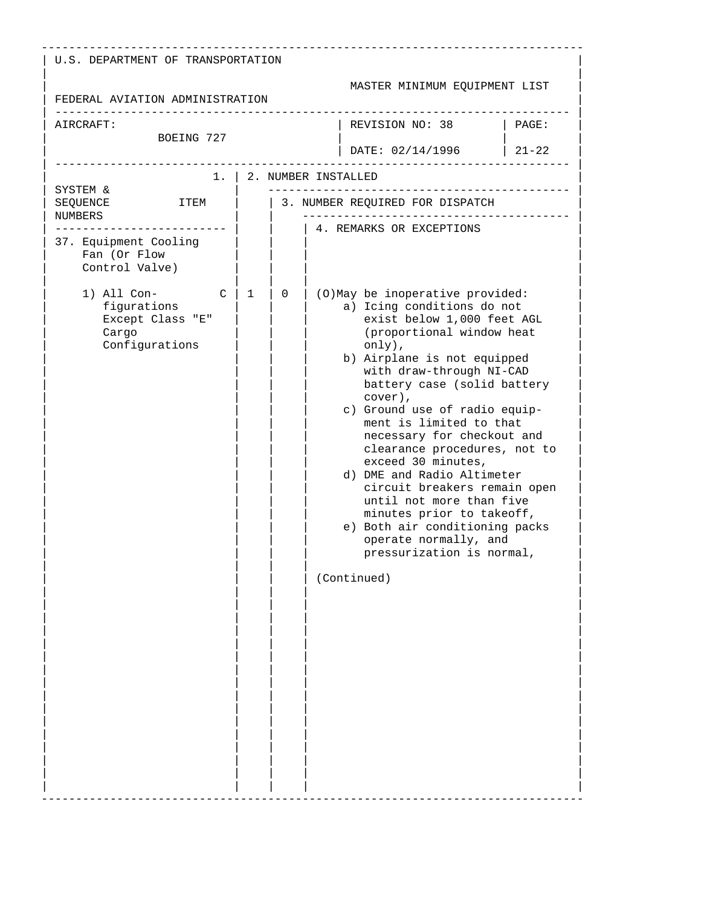| U.S. DEPARTMENT OF TRANSPORTATION                                                         |     |              | MASTER MINIMUM EQUIPMENT LIST                                                                                                                                                                                                                                                                                                                                                                                                                                                                                                                                                                                          |  |  |  |  |
|-------------------------------------------------------------------------------------------|-----|--------------|------------------------------------------------------------------------------------------------------------------------------------------------------------------------------------------------------------------------------------------------------------------------------------------------------------------------------------------------------------------------------------------------------------------------------------------------------------------------------------------------------------------------------------------------------------------------------------------------------------------------|--|--|--|--|
| FEDERAL AVIATION ADMINISTRATION                                                           |     |              |                                                                                                                                                                                                                                                                                                                                                                                                                                                                                                                                                                                                                        |  |  |  |  |
| AIRCRAFT:<br>BOEING 727                                                                   |     |              | REVISION NO: 38<br>PAGE:                                                                                                                                                                                                                                                                                                                                                                                                                                                                                                                                                                                               |  |  |  |  |
|                                                                                           |     |              | DATE: 02/14/1996<br>$ 21-22 $                                                                                                                                                                                                                                                                                                                                                                                                                                                                                                                                                                                          |  |  |  |  |
|                                                                                           |     |              | 1.   2. NUMBER INSTALLED                                                                                                                                                                                                                                                                                                                                                                                                                                                                                                                                                                                               |  |  |  |  |
| SYSTEM &<br>SEQUENCE<br>ITEM<br>NUMBERS                                                   |     |              | 3. NUMBER REQUIRED FOR DISPATCH                                                                                                                                                                                                                                                                                                                                                                                                                                                                                                                                                                                        |  |  |  |  |
| 37. Equipment Cooling<br>Fan (Or Flow<br>Control Valve)                                   |     |              | 4. REMARKS OR EXCEPTIONS                                                                                                                                                                                                                                                                                                                                                                                                                                                                                                                                                                                               |  |  |  |  |
| 1) All Con-<br>$\mathsf{C}$<br>figurations<br>Except Class "E"<br>Cargo<br>Configurations | - 1 | $\mathbf{0}$ | (0) May be inoperative provided:<br>a) Icing conditions do not<br>exist below 1,000 feet AGL<br>(proportional window heat<br>only),<br>b) Airplane is not equipped<br>with draw-through NI-CAD<br>battery case (solid battery<br>cover),<br>c) Ground use of radio equip-<br>ment is limited to that<br>necessary for checkout and<br>clearance procedures, not to<br>exceed 30 minutes,<br>d) DME and Radio Altimeter<br>circuit breakers remain open<br>until not more than five<br>minutes prior to takeoff,<br>e) Both air conditioning packs<br>operate normally, and<br>pressurization is normal,<br>(Continued) |  |  |  |  |
|                                                                                           |     |              |                                                                                                                                                                                                                                                                                                                                                                                                                                                                                                                                                                                                                        |  |  |  |  |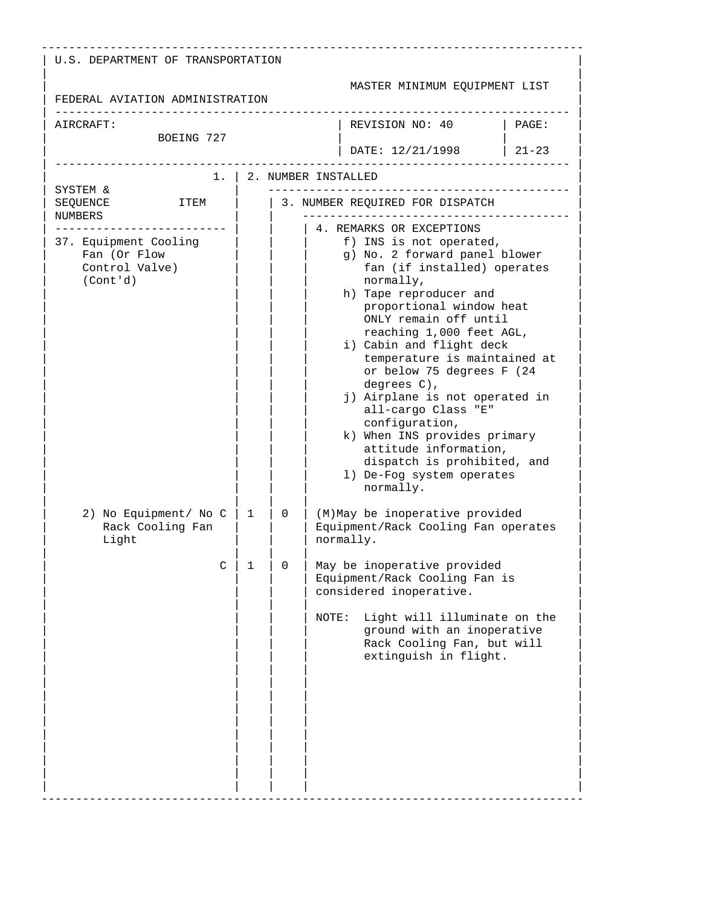| U.S. DEPARTMENT OF TRANSPORTATION                                   |              |             | MASTER MINIMUM EQUIPMENT LIST                                                                                                                                                                                                                                                                                                                                                                                                                                                                                                                                    |
|---------------------------------------------------------------------|--------------|-------------|------------------------------------------------------------------------------------------------------------------------------------------------------------------------------------------------------------------------------------------------------------------------------------------------------------------------------------------------------------------------------------------------------------------------------------------------------------------------------------------------------------------------------------------------------------------|
| FEDERAL AVIATION ADMINISTRATION                                     |              |             |                                                                                                                                                                                                                                                                                                                                                                                                                                                                                                                                                                  |
| AIRCRAFT:<br>BOEING 727                                             |              |             | REVISION NO: 40<br>PAGE:                                                                                                                                                                                                                                                                                                                                                                                                                                                                                                                                         |
|                                                                     |              |             | DATE: 12/21/1998<br>$ 21-23 $                                                                                                                                                                                                                                                                                                                                                                                                                                                                                                                                    |
| <b>SYSTEM &amp;</b>                                                 |              |             | 1.   2. NUMBER INSTALLED                                                                                                                                                                                                                                                                                                                                                                                                                                                                                                                                         |
| SEQUENCE<br>ITEM<br>NUMBERS                                         |              |             | 3. NUMBER REQUIRED FOR DISPATCH                                                                                                                                                                                                                                                                                                                                                                                                                                                                                                                                  |
| 37. Equipment Cooling<br>Fan (Or Flow<br>Control Valve)<br>(Cont d) |              |             | 4. REMARKS OR EXCEPTIONS<br>f) INS is not operated,<br>g) No. 2 forward panel blower<br>fan (if installed) operates<br>normally,<br>h) Tape reproducer and<br>proportional window heat<br>ONLY remain off until<br>reaching 1,000 feet AGL,<br>i) Cabin and flight deck<br>temperature is maintained at<br>or below 75 degrees F (24<br>degrees C),<br>j) Airplane is not operated in<br>all-cargo Class "E"<br>configuration,<br>k) When INS provides primary<br>attitude information,<br>dispatch is prohibited, and<br>1) De-Fog system operates<br>normally. |
| 2) No Equipment/ No C<br>Rack Cooling Fan<br>Light                  | $\mathbf{1}$ | $\mathbf 0$ | (M) May be inoperative provided<br>Equipment/Rack Cooling Fan operates<br>normally.                                                                                                                                                                                                                                                                                                                                                                                                                                                                              |
| C                                                                   | 1            | $\mathbf 0$ | May be inoperative provided<br>Equipment/Rack Cooling Fan is<br>considered inoperative.<br>Light will illuminate on the<br>NOTE:<br>ground with an inoperative<br>Rack Cooling Fan, but will<br>extinguish in flight.                                                                                                                                                                                                                                                                                                                                            |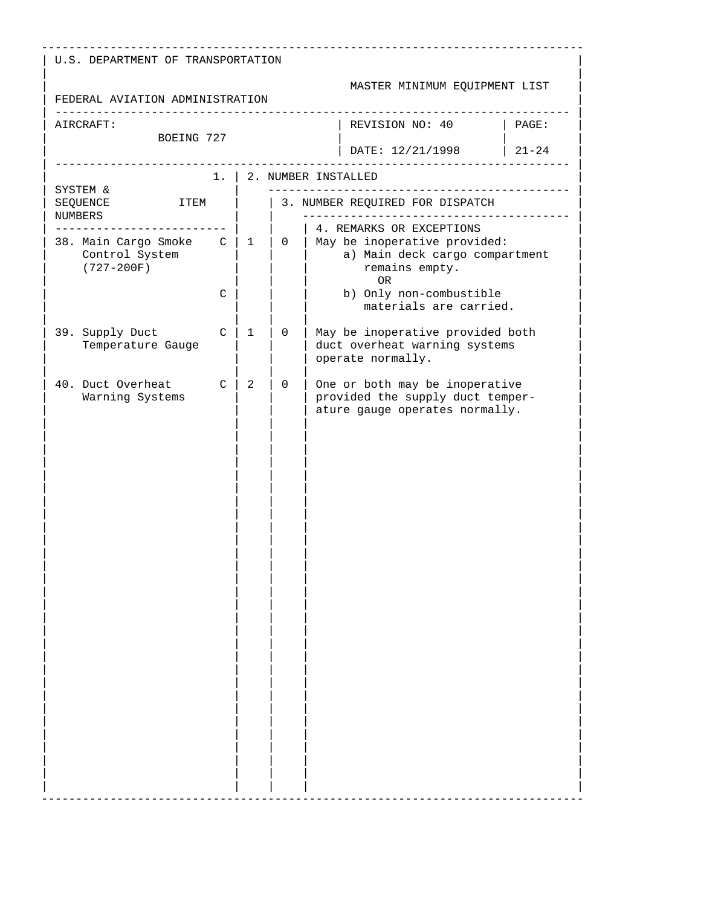| U.S. DEPARTMENT OF TRANSPORTATION                          |              |              |                                          | MASTER MINIMUM EQUIPMENT LIST                                                                                                  |                   |  |  |
|------------------------------------------------------------|--------------|--------------|------------------------------------------|--------------------------------------------------------------------------------------------------------------------------------|-------------------|--|--|
| FEDERAL AVIATION ADMINISTRATION                            |              |              |                                          |                                                                                                                                |                   |  |  |
| AIRCRAFT:<br>BOEING 727                                    |              |              |                                          | REVISION NO: 40                                                                                                                | $\mathtt{PAGE}$ : |  |  |
|                                                            |              |              |                                          | DATE: 12/21/1998                                                                                                               | $ 21-24$          |  |  |
| SYSTEM &                                                   |              |              |                                          | 1. 2. NUMBER INSTALLED                                                                                                         |                   |  |  |
| SEQUENCE<br>ITEM<br><b>NUMBERS</b>                         |              |              |                                          | 3. NUMBER REQUIRED FOR DISPATCH                                                                                                |                   |  |  |
| 38. Main Cargo Smoke C<br>Control System<br>$(727 - 200F)$ |              | $\mathbf{1}$ | $\begin{array}{ccc} \ \ & 0 \end{array}$ | 4. REMARKS OR EXCEPTIONS<br>May be inoperative provided:<br>a) Main deck cargo compartment<br>remains empty.<br>0 <sub>R</sub> |                   |  |  |
|                                                            | C            |              |                                          | b) Only non-combustible<br>materials are carried.                                                                              |                   |  |  |
| 39. Supply Duct<br>Temperature Gauge                       | $\mathsf{C}$ | $\mathbf{1}$ | 0                                        | May be inoperative provided both<br>duct overheat warning systems<br>operate normally.                                         |                   |  |  |
| 40. Duct Overheat<br>Warning Systems                       | $\mathsf{C}$ | 2            | $\mathbf 0$                              | One or both may be inoperative<br>provided the supply duct temper-<br>ature gauge operates normally.                           |                   |  |  |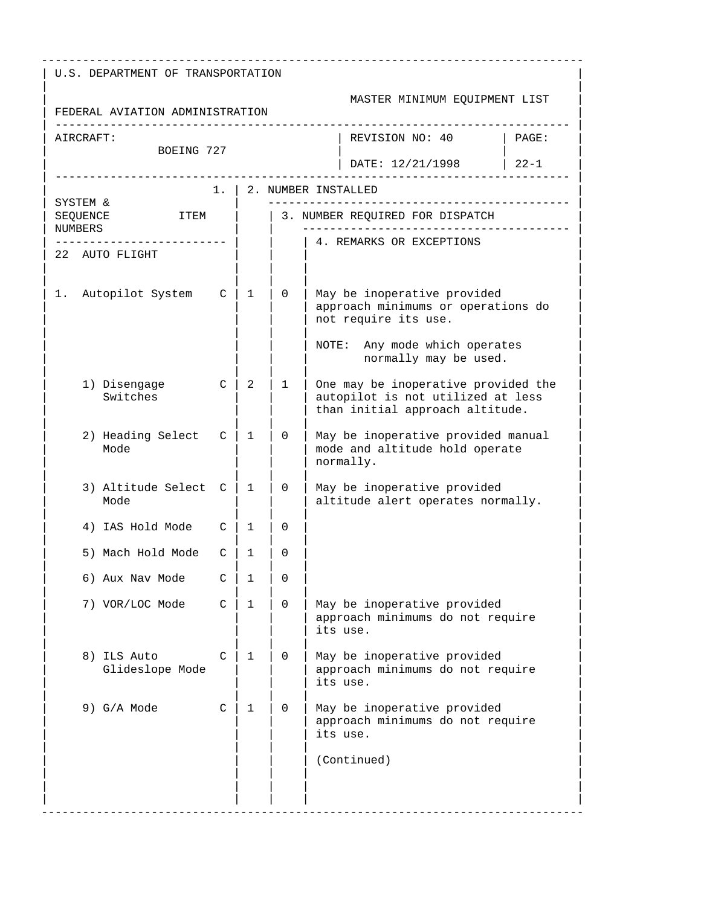| U.S. DEPARTMENT OF TRANSPORTATION<br>MASTER MINIMUM EQUIPMENT LIST |                                         |               |                |                                 |                                                                                                             |  |  |  |  |  |
|--------------------------------------------------------------------|-----------------------------------------|---------------|----------------|---------------------------------|-------------------------------------------------------------------------------------------------------------|--|--|--|--|--|
|                                                                    | FEDERAL AVIATION ADMINISTRATION         |               |                |                                 |                                                                                                             |  |  |  |  |  |
|                                                                    | AIRCRAFT:<br>BOEING 727                 |               |                |                                 | REVISION NO: 40<br>PAGE:                                                                                    |  |  |  |  |  |
|                                                                    |                                         |               |                |                                 | DATE: 12/21/1998<br>$ 22 - 1 $                                                                              |  |  |  |  |  |
|                                                                    |                                         |               |                | 1. 2. NUMBER INSTALLED          |                                                                                                             |  |  |  |  |  |
|                                                                    | <b>SYSTEM &amp;</b><br>SEQUENCE<br>ITEM |               |                | 3. NUMBER REQUIRED FOR DISPATCH |                                                                                                             |  |  |  |  |  |
|                                                                    | NUMBERS                                 |               |                |                                 | 4. REMARKS OR EXCEPTIONS                                                                                    |  |  |  |  |  |
|                                                                    | 22 AUTO FLIGHT                          |               |                |                                 |                                                                                                             |  |  |  |  |  |
| 1.                                                                 | Autopilot System C                      |               | $\mathbf{1}$   | $\mathbf 0$                     | May be inoperative provided<br>approach minimums or operations do<br>not require its use.                   |  |  |  |  |  |
|                                                                    |                                         |               |                |                                 | NOTE: Any mode which operates<br>normally may be used.                                                      |  |  |  |  |  |
|                                                                    | 1) Disengage<br>Switches                | $\mathcal{C}$ | $\overline{a}$ | $\mathbf{1}$                    | One may be inoperative provided the<br>autopilot is not utilized at less<br>than initial approach altitude. |  |  |  |  |  |
|                                                                    | 2) Heading Select C<br>Mode             |               | $\mathbf{1}$   | 0                               | May be inoperative provided manual<br>mode and altitude hold operate<br>normally.                           |  |  |  |  |  |
|                                                                    | 3) Altitude Select C<br>Mode            |               | $\overline{1}$ | $\Omega$                        | May be inoperative provided<br>altitude alert operates normally.                                            |  |  |  |  |  |
|                                                                    | 4) IAS Hold Mode                        |               | $C \mid 1$     | $\Omega$                        |                                                                                                             |  |  |  |  |  |
|                                                                    | 5) Mach Hold Mode                       | $\mathcal{C}$ | $\overline{1}$ | $\Omega$                        |                                                                                                             |  |  |  |  |  |
|                                                                    | 6) Aux Nav Mode                         | C             | 1              | 0                               |                                                                                                             |  |  |  |  |  |
|                                                                    | 7) VOR/LOC Mode                         | C             | $\mathbf{1}$   | $\mathbf 0$                     | May be inoperative provided<br>approach minimums do not require<br>its use.                                 |  |  |  |  |  |
|                                                                    | 8) ILS Auto<br>Glideslope Mode          | C             | $\mathbf{1}$   | 0                               | May be inoperative provided<br>approach minimums do not require<br>its use.                                 |  |  |  |  |  |
|                                                                    | $9)$ G/A Mode                           | C             | $\mathbf{1}$   | $\mathbf 0$                     | May be inoperative provided<br>approach minimums do not require<br>its use.                                 |  |  |  |  |  |
|                                                                    |                                         |               |                |                                 | (Continued)                                                                                                 |  |  |  |  |  |
|                                                                    |                                         |               |                |                                 |                                                                                                             |  |  |  |  |  |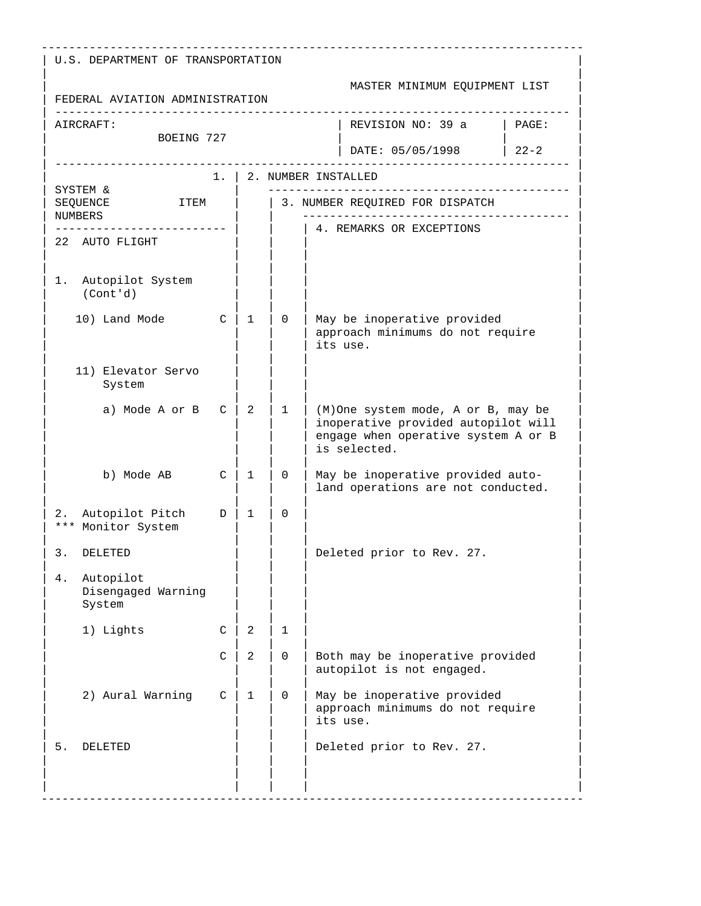| U.S. DEPARTMENT OF TRANSPORTATION                                |                |                        |                                                                                                                                   |  |  |  |  |  |
|------------------------------------------------------------------|----------------|------------------------|-----------------------------------------------------------------------------------------------------------------------------------|--|--|--|--|--|
| MASTER MINIMUM EQUIPMENT LIST<br>FEDERAL AVIATION ADMINISTRATION |                |                        |                                                                                                                                   |  |  |  |  |  |
| AIRCRAFT:<br>BOEING 727                                          |                |                        | REVISION NO: 39 a<br>$ $ PAGE:                                                                                                    |  |  |  |  |  |
|                                                                  |                |                        | DATE: 05/05/1998<br>$ 22-2 $                                                                                                      |  |  |  |  |  |
| SYSTEM &                                                         |                | 1. 2. NUMBER INSTALLED |                                                                                                                                   |  |  |  |  |  |
| SEQUENCE<br>ITEM<br>NUMBERS                                      |                |                        | 3. NUMBER REQUIRED FOR DISPATCH                                                                                                   |  |  |  |  |  |
| 22 AUTO FLIGHT                                                   |                |                        | 4. REMARKS OR EXCEPTIONS                                                                                                          |  |  |  |  |  |
| Autopilot System<br>1.<br>(Cont d)                               |                |                        |                                                                                                                                   |  |  |  |  |  |
| 10) Land Mode<br>$\mathcal{C}$                                   | $\mathbf{1}$   | 0                      | May be inoperative provided<br>approach minimums do not require<br>its use.                                                       |  |  |  |  |  |
| 11) Elevator Servo<br>System                                     |                |                        |                                                                                                                                   |  |  |  |  |  |
| a) Mode A or B C                                                 | $\overline{2}$ | $\mathbf{1}$           | (M) One system mode, A or B, may be<br>inoperative provided autopilot will<br>engage when operative system A or B<br>is selected. |  |  |  |  |  |
| b) Mode AB<br>$\mathcal{C}$                                      | $\mathbf{1}$   | 0                      | May be inoperative provided auto-<br>land operations are not conducted.                                                           |  |  |  |  |  |
| Autopilot Pitch<br>2.<br>D<br>*** Monitor System                 | $\mathbf{1}$   | 0                      |                                                                                                                                   |  |  |  |  |  |
| 3.<br>DELETED                                                    |                |                        | Deleted prior to Rev. 27.                                                                                                         |  |  |  |  |  |
| Autopilot<br>4.<br>Disengaged Warning<br>System                  |                |                        |                                                                                                                                   |  |  |  |  |  |
| 1) Lights<br>$\mathsf{C}$                                        | 2              | $\mathbf{1}$           |                                                                                                                                   |  |  |  |  |  |
| C                                                                | $\overline{2}$ | $\mathbf 0$            | Both may be inoperative provided<br>autopilot is not engaged.                                                                     |  |  |  |  |  |
| 2) Aural Warning<br>C                                            | $\mathbf{1}$   | $\mathbf 0$            | May be inoperative provided<br>approach minimums do not require<br>its use.                                                       |  |  |  |  |  |
| 5.<br>DELETED                                                    |                |                        | Deleted prior to Rev. 27.                                                                                                         |  |  |  |  |  |
|                                                                  |                |                        |                                                                                                                                   |  |  |  |  |  |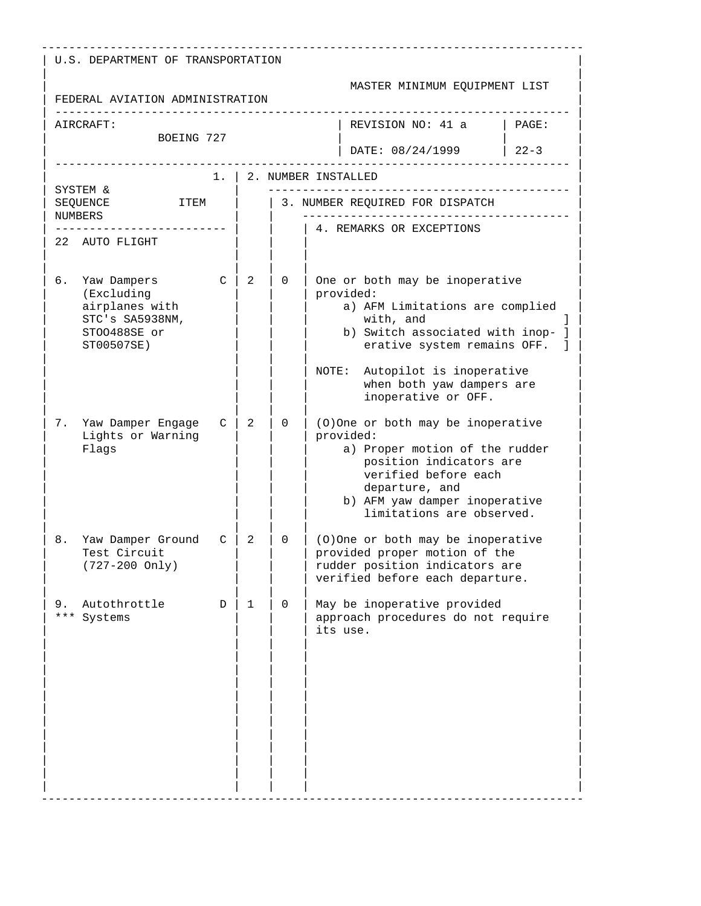|             | U.S. DEPARTMENT OF TRANSPORTATION<br>MASTER MINIMUM EQUIPMENT LIST                           |               |                |                                                           |                                                                                                                                                                                                                      |  |  |  |  |
|-------------|----------------------------------------------------------------------------------------------|---------------|----------------|-----------------------------------------------------------|----------------------------------------------------------------------------------------------------------------------------------------------------------------------------------------------------------------------|--|--|--|--|
|             | FEDERAL AVIATION ADMINISTRATION                                                              |               |                |                                                           |                                                                                                                                                                                                                      |  |  |  |  |
|             | AIRCRAFT:<br>BOEING 727                                                                      |               |                |                                                           | REVISION NO: 41 a<br>$\mathtt{PAGE}$ :                                                                                                                                                                               |  |  |  |  |
|             |                                                                                              |               |                |                                                           | DATE: 08/24/1999<br>$ 22 - 3 $                                                                                                                                                                                       |  |  |  |  |
|             | SYSTEM &<br>SEQUENCE<br>ITEM<br><b>NUMBERS</b>                                               |               |                | 1. 2. NUMBER INSTALLED<br>3. NUMBER REQUIRED FOR DISPATCH |                                                                                                                                                                                                                      |  |  |  |  |
|             | 22 AUTO FLIGHT                                                                               |               |                |                                                           | 4. REMARKS OR EXCEPTIONS                                                                                                                                                                                             |  |  |  |  |
| 6.          | Yaw Dampers<br>(Excluding<br>airplanes with<br>STC's SA5938NM,<br>STOO488SE or<br>ST00507SE) | $\mathcal{C}$ | 2              | $\Omega$                                                  | One or both may be inoperative<br>provided:<br>a) AFM Limitations are complied<br>with, and<br>b) Switch associated with inop- ]<br>erative system remains OFF.<br>- 1                                               |  |  |  |  |
|             |                                                                                              |               |                |                                                           | Autopilot is inoperative<br>NOTE:<br>when both yaw dampers are<br>inoperative or OFF.                                                                                                                                |  |  |  |  |
| 7.          | Yaw Damper Engage<br>Lights or Warning<br>Flags                                              | $\mathsf{C}$  | $\overline{2}$ | $\Omega$                                                  | (0) One or both may be inoperative<br>provided:<br>a) Proper motion of the rudder<br>position indicators are<br>verified before each<br>departure, and<br>b) AFM yaw damper inoperative<br>limitations are observed. |  |  |  |  |
| 8.          | Yaw Damper Ground<br>Test Circuit<br>(727-200 Only)                                          | $\mathsf{C}$  | $\overline{2}$ | 0                                                         | (0) One or both may be inoperative<br>provided proper motion of the<br>rudder position indicators are<br>verified before each departure.                                                                             |  |  |  |  |
| 9.<br>* * * | Autothrottle<br>Systems                                                                      | D             | $\mathbf{1}$   | $\mathsf 0$                                               | May be inoperative provided<br>approach procedures do not require<br>its use.                                                                                                                                        |  |  |  |  |
|             |                                                                                              |               |                |                                                           |                                                                                                                                                                                                                      |  |  |  |  |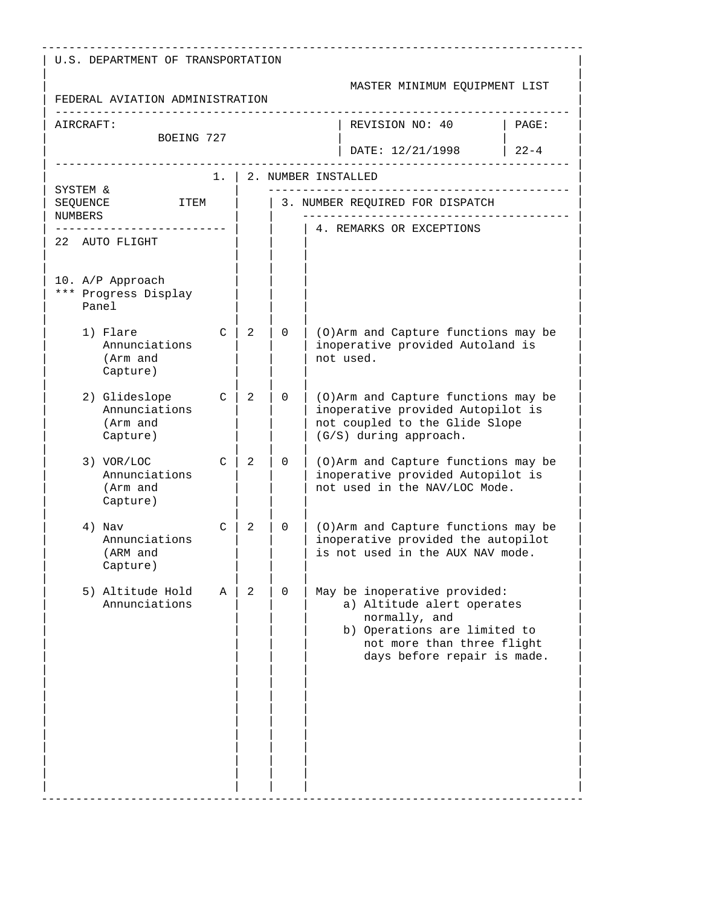|                                         |                                                                                                                               | U.S. DEPARTMENT OF TRANSPORTATION<br>MASTER MINIMUM EQUIPMENT LIST<br>FEDERAL AVIATION ADMINISTRATION |                                                                                                                                                                          |  |  |  |  |  |  |
|-----------------------------------------|-------------------------------------------------------------------------------------------------------------------------------|-------------------------------------------------------------------------------------------------------|--------------------------------------------------------------------------------------------------------------------------------------------------------------------------|--|--|--|--|--|--|
|                                         |                                                                                                                               | REVISION NO: 40<br>PAGE:                                                                              |                                                                                                                                                                          |  |  |  |  |  |  |
| BOEING 727                              |                                                                                                                               |                                                                                                       | DATE: 12/21/1998<br>$22 - 4$                                                                                                                                             |  |  |  |  |  |  |
|                                         |                                                                                                                               | 2. NUMBER INSTALLED                                                                                   |                                                                                                                                                                          |  |  |  |  |  |  |
| SYSTEM &<br>SEQUENCE<br>ITEM<br>NUMBERS |                                                                                                                               |                                                                                                       | 3. NUMBER REQUIRED FOR DISPATCH                                                                                                                                          |  |  |  |  |  |  |
|                                         |                                                                                                                               |                                                                                                       | 4. REMARKS OR EXCEPTIONS                                                                                                                                                 |  |  |  |  |  |  |
|                                         |                                                                                                                               |                                                                                                       |                                                                                                                                                                          |  |  |  |  |  |  |
| $\mathcal{C}$                           | 2                                                                                                                             | $\Omega$                                                                                              | (O) Arm and Capture functions may be<br>inoperative provided Autoland is<br>not used.                                                                                    |  |  |  |  |  |  |
| $\mathcal{C}$                           | 2                                                                                                                             | $\Omega$                                                                                              | (O) Arm and Capture functions may be<br>inoperative provided Autopilot is<br>not coupled to the Glide Slope<br>(G/S) during approach.                                    |  |  |  |  |  |  |
| $\mathsf{C}$                            | 2                                                                                                                             | $\Omega$                                                                                              | (O) Arm and Capture functions may be<br>inoperative provided Autopilot is<br>not used in the NAV/LOC Mode.                                                               |  |  |  |  |  |  |
| C                                       | 2                                                                                                                             | $\mathbf 0$                                                                                           | (0) Arm and Capture functions may be<br>inoperative provided the autopilot<br>is not used in the AUX NAV mode.                                                           |  |  |  |  |  |  |
| A                                       | 2                                                                                                                             | $\mathbf 0$                                                                                           | May be inoperative provided:<br>a) Altitude alert operates<br>normally, and<br>b) Operations are limited to<br>not more than three flight<br>days before repair is made. |  |  |  |  |  |  |
|                                         | *** Progress Display<br>Annunciations<br>Annunciations<br>Annunciations<br>Annunciations<br>5) Altitude Hold<br>Annunciations | $1.$ $\blacksquare$                                                                                   |                                                                                                                                                                          |  |  |  |  |  |  |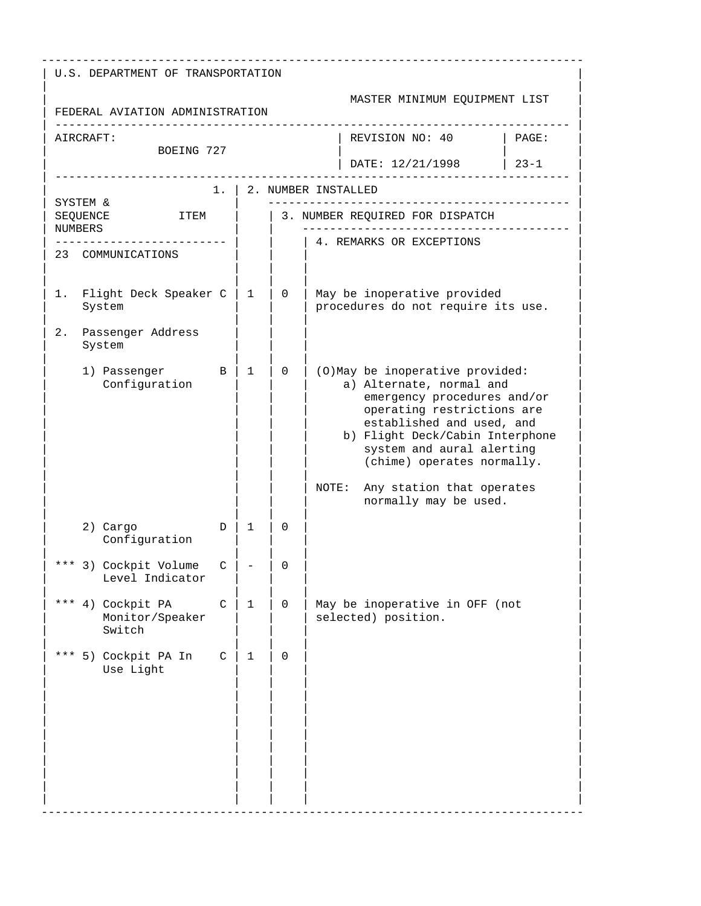| U.S. DEPARTMENT OF TRANSPORTATION<br>MASTER MINIMUM EQUIPMENT LIST |              |                                 |                                                                                                                                                                                                                                                      |  |  |  |  |
|--------------------------------------------------------------------|--------------|---------------------------------|------------------------------------------------------------------------------------------------------------------------------------------------------------------------------------------------------------------------------------------------------|--|--|--|--|
| FEDERAL AVIATION ADMINISTRATION                                    |              |                                 |                                                                                                                                                                                                                                                      |  |  |  |  |
| AIRCRAFT:<br>BOEING 727                                            |              |                                 | REVISION NO: 40<br>PAGE:                                                                                                                                                                                                                             |  |  |  |  |
|                                                                    |              |                                 | DATE: 12/21/1998<br>$ 23-1 $                                                                                                                                                                                                                         |  |  |  |  |
| SYSTEM &                                                           |              | 1. 2. NUMBER INSTALLED          |                                                                                                                                                                                                                                                      |  |  |  |  |
| SEQUENCE<br>ITEM<br><b>NUMBERS</b>                                 |              | 3. NUMBER REQUIRED FOR DISPATCH |                                                                                                                                                                                                                                                      |  |  |  |  |
| 23 COMMUNICATIONS                                                  |              |                                 | 4. REMARKS OR EXCEPTIONS                                                                                                                                                                                                                             |  |  |  |  |
| Flight Deck Speaker C<br>1.<br>System                              | 1            | $\mathbf 0$                     | May be inoperative provided<br>procedures do not require its use.                                                                                                                                                                                    |  |  |  |  |
| $2$ .<br>Passenger Address<br>System                               |              |                                 |                                                                                                                                                                                                                                                      |  |  |  |  |
| 1) Passenger<br>B<br>Configuration                                 | 1            | $\mathbf 0$                     | (0) May be inoperative provided:<br>a) Alternate, normal and<br>emergency procedures and/or<br>operating restrictions are<br>established and used, and<br>b) Flight Deck/Cabin Interphone<br>system and aural alerting<br>(chime) operates normally. |  |  |  |  |
|                                                                    |              |                                 | Any station that operates<br>NOTE:<br>normally may be used.                                                                                                                                                                                          |  |  |  |  |
| 2) Cargo<br>D<br>Configuration                                     | 1            | $\Omega$                        |                                                                                                                                                                                                                                                      |  |  |  |  |
| 3) Cockpit Volume<br>C<br>Level Indicator                          |              | 0                               |                                                                                                                                                                                                                                                      |  |  |  |  |
| *** 4) Cockpit PA<br>$\mathsf{C}$<br>Monitor/Speaker<br>Switch     | $\mathbf{1}$ | $\mathsf 0$                     | May be inoperative in OFF (not<br>selected) position.                                                                                                                                                                                                |  |  |  |  |
| 5) Cockpit PA In<br>***<br>$\mathsf{C}$<br>Use Light               | $\mathbf{1}$ | $\mathsf 0$                     |                                                                                                                                                                                                                                                      |  |  |  |  |
|                                                                    |              |                                 |                                                                                                                                                                                                                                                      |  |  |  |  |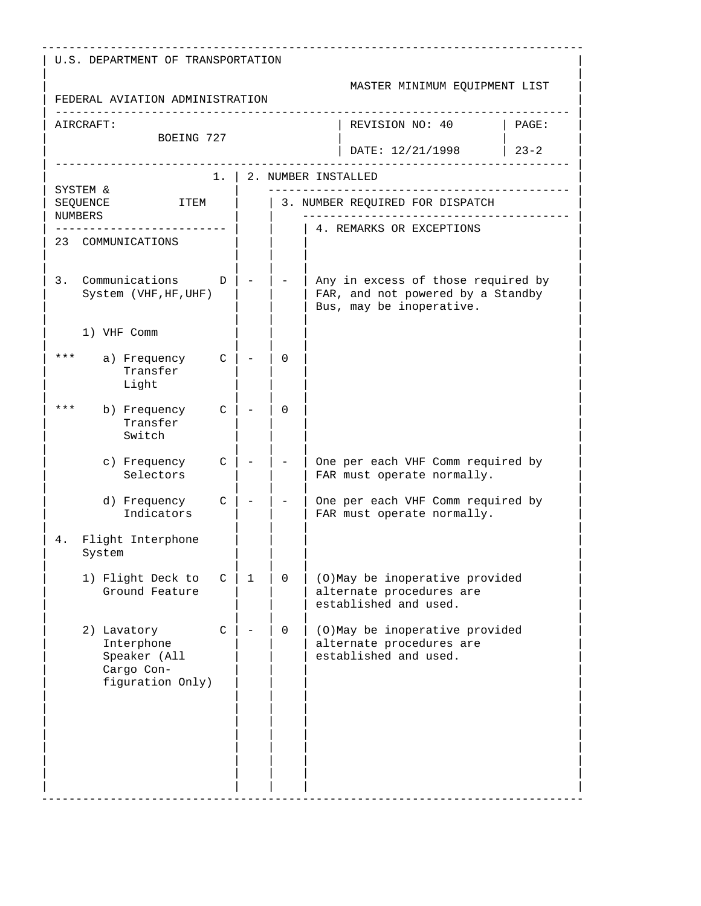| U.S. DEPARTMENT OF TRANSPORTATION                                                |                          |                          |                                                                                                     |  |  |  |  |  |
|----------------------------------------------------------------------------------|--------------------------|--------------------------|-----------------------------------------------------------------------------------------------------|--|--|--|--|--|
| MASTER MINIMUM EQUIPMENT LIST<br>FEDERAL AVIATION ADMINISTRATION                 |                          |                          |                                                                                                     |  |  |  |  |  |
| AIRCRAFT:<br>BOEING 727                                                          |                          |                          | REVISION NO: 40<br>$\mathtt{PAGE}$ :                                                                |  |  |  |  |  |
|                                                                                  |                          |                          | DATE: 12/21/1998<br>$ 23-2 $                                                                        |  |  |  |  |  |
| SYSTEM &                                                                         |                          | 1. 2. NUMBER INSTALLED   |                                                                                                     |  |  |  |  |  |
| SEQUENCE<br>ITEM<br><b>NUMBERS</b>                                               |                          |                          | 3. NUMBER REQUIRED FOR DISPATCH                                                                     |  |  |  |  |  |
| 23 COMMUNICATIONS                                                                |                          |                          | 4. REMARKS OR EXCEPTIONS                                                                            |  |  |  |  |  |
| Communications<br>3.<br>$\Box$<br>System (VHF, HF, UHF)                          |                          |                          | Any in excess of those required by<br>FAR, and not powered by a Standby<br>Bus, may be inoperative. |  |  |  |  |  |
| 1) VHF Comm                                                                      |                          |                          |                                                                                                     |  |  |  |  |  |
| ***<br>a) Frequency<br>$\mathsf{C}$<br>Transfer<br>Light                         |                          | $\Omega$                 |                                                                                                     |  |  |  |  |  |
| ***<br>b) Frequency<br>$\mathcal{C}$<br>Transfer<br>Switch                       | $\sim$ $-$               | $\Omega$                 |                                                                                                     |  |  |  |  |  |
| c) Frequency<br>$\mathcal{C}$<br>Selectors                                       |                          |                          | One per each VHF Comm required by<br>FAR must operate normally.                                     |  |  |  |  |  |
| d) Frequency<br>$\mathcal{C}$<br>Indicators                                      | $\overline{\phantom{0}}$ | $\overline{\phantom{0}}$ | One per each VHF Comm required by<br>FAR must operate normally.                                     |  |  |  |  |  |
| Flight Interphone<br>4.<br>System                                                |                          |                          |                                                                                                     |  |  |  |  |  |
| 1) Flight Deck to<br>$\mathsf{C}$<br>Ground Feature                              | $\mathbf{1}$             | $\mathbf 0$              | (O) May be inoperative provided<br>alternate procedures are<br>established and used.                |  |  |  |  |  |
| 2) Lavatory<br>C<br>Interphone<br>Speaker (All<br>Cargo Con-<br>figuration Only) |                          | 0                        | (0) May be inoperative provided<br>alternate procedures are<br>established and used.                |  |  |  |  |  |
|                                                                                  |                          |                          |                                                                                                     |  |  |  |  |  |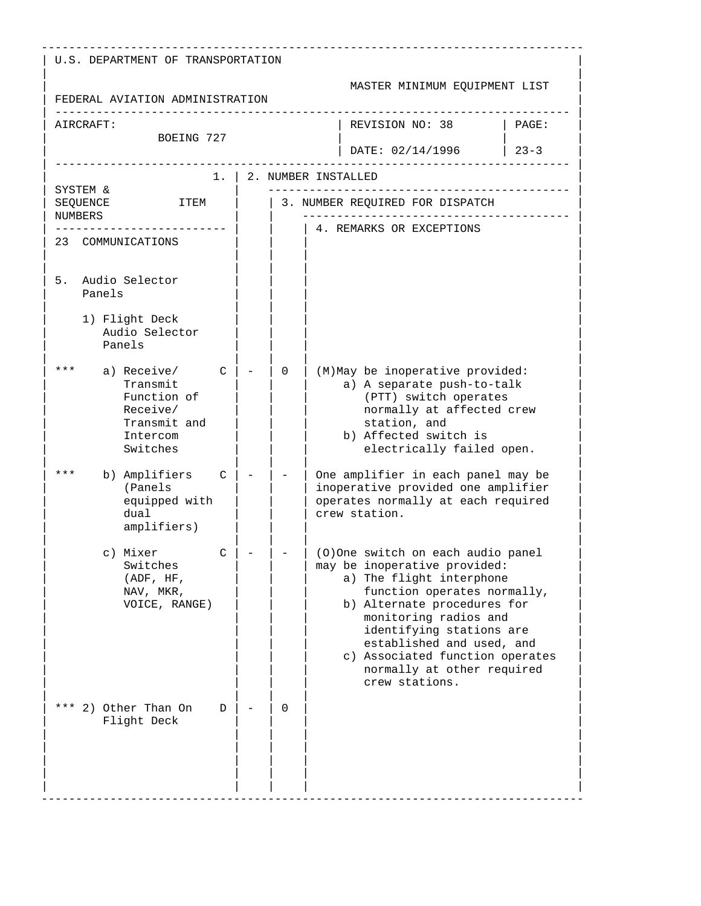| U.S. DEPARTMENT OF TRANSPORTATION                                                                                 |  |                        |                                                                                                                                                                                                                                                                                                                                   |  |  |  |  |
|-------------------------------------------------------------------------------------------------------------------|--|------------------------|-----------------------------------------------------------------------------------------------------------------------------------------------------------------------------------------------------------------------------------------------------------------------------------------------------------------------------------|--|--|--|--|
| MASTER MINIMUM EQUIPMENT LIST<br>FEDERAL AVIATION ADMINISTRATION                                                  |  |                        |                                                                                                                                                                                                                                                                                                                                   |  |  |  |  |
| AIRCRAFT:<br>BOEING 727                                                                                           |  |                        | REVISION NO: 38<br>PAGE:                                                                                                                                                                                                                                                                                                          |  |  |  |  |
|                                                                                                                   |  |                        | DATE: 02/14/1996<br>$ 23-3 $                                                                                                                                                                                                                                                                                                      |  |  |  |  |
| SYSTEM &                                                                                                          |  | 1. 2. NUMBER INSTALLED |                                                                                                                                                                                                                                                                                                                                   |  |  |  |  |
| SEQUENCE<br>ITEM<br>NUMBERS                                                                                       |  |                        | 3. NUMBER REQUIRED FOR DISPATCH                                                                                                                                                                                                                                                                                                   |  |  |  |  |
| 23 COMMUNICATIONS                                                                                                 |  |                        | 4. REMARKS OR EXCEPTIONS                                                                                                                                                                                                                                                                                                          |  |  |  |  |
| Audio Selector<br>5.<br>Panels                                                                                    |  |                        |                                                                                                                                                                                                                                                                                                                                   |  |  |  |  |
| 1) Flight Deck<br>Audio Selector<br>Panels                                                                        |  |                        |                                                                                                                                                                                                                                                                                                                                   |  |  |  |  |
| a) Receive/<br>***<br>$\mathsf{C}$<br>Transmit<br>Function of<br>Receive/<br>Transmit and<br>Intercom<br>Switches |  | $\Omega$               | (M) May be inoperative provided:<br>a) A separate push-to-talk<br>(PTT) switch operates<br>normally at affected crew<br>station, and<br>b) Affected switch is<br>electrically failed open.                                                                                                                                        |  |  |  |  |
| ***<br>b) Amplifiers C<br>(Panels<br>equipped with<br>dual<br>amplifiers)                                         |  |                        | One amplifier in each panel may be<br>inoperative provided one amplifier<br>operates normally at each required<br>crew station.                                                                                                                                                                                                   |  |  |  |  |
| c) Mixer<br>C<br>Switches<br>(ADF, HF,<br>NAV, MKR,<br>VOICE, RANGE)                                              |  |                        | (0) One switch on each audio panel<br>may be inoperative provided:<br>a) The flight interphone<br>function operates normally,<br>b) Alternate procedures for<br>monitoring radios and<br>identifying stations are<br>established and used, and<br>c) Associated function operates<br>normally at other required<br>crew stations. |  |  |  |  |
| $***$<br>2) Other Than On<br>D<br>Flight Deck                                                                     |  | 0                      |                                                                                                                                                                                                                                                                                                                                   |  |  |  |  |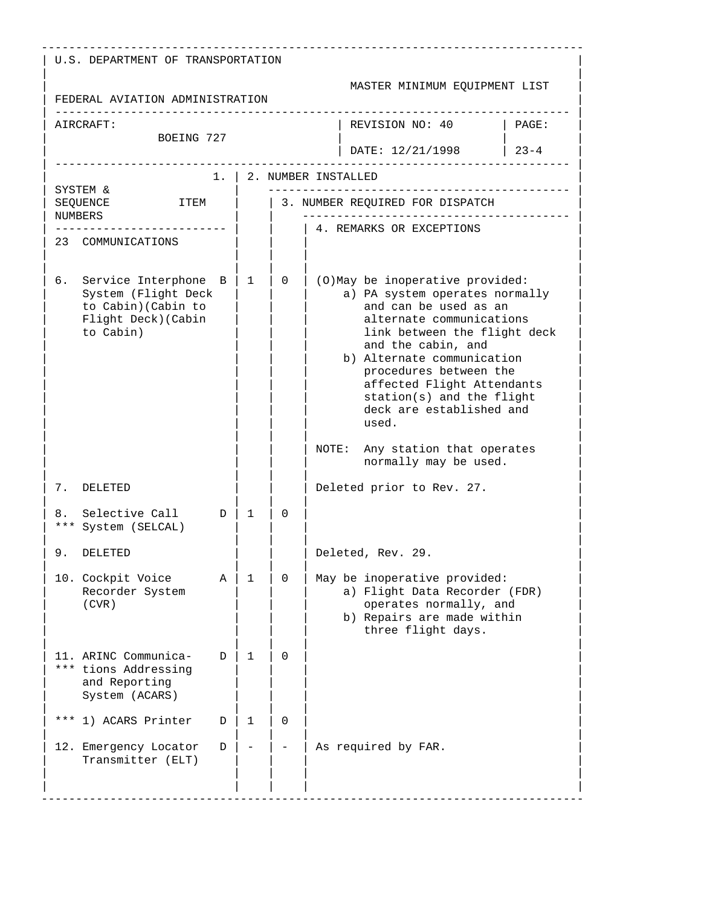|         | U.S. DEPARTMENT OF TRANSPORTATION<br>MASTER MINIMUM EQUIPMENT LIST                                     |    |              |                          |                                                                                                                                                                                                                                                                                                                                       |  |  |  |  |  |
|---------|--------------------------------------------------------------------------------------------------------|----|--------------|--------------------------|---------------------------------------------------------------------------------------------------------------------------------------------------------------------------------------------------------------------------------------------------------------------------------------------------------------------------------------|--|--|--|--|--|
|         | FEDERAL AVIATION ADMINISTRATION                                                                        |    |              |                          |                                                                                                                                                                                                                                                                                                                                       |  |  |  |  |  |
|         | AIRCRAFT:<br>BOEING 727                                                                                |    |              |                          | REVISION NO: 40<br>PAGE:                                                                                                                                                                                                                                                                                                              |  |  |  |  |  |
|         |                                                                                                        |    |              |                          | DATE: 12/21/1998 23-4                                                                                                                                                                                                                                                                                                                 |  |  |  |  |  |
|         | SYSTEM &                                                                                               |    |              | 1.   2. NUMBER INSTALLED |                                                                                                                                                                                                                                                                                                                                       |  |  |  |  |  |
| NUMBERS | SEQUENCE<br>ITEM                                                                                       |    |              |                          | 3. NUMBER REQUIRED FOR DISPATCH                                                                                                                                                                                                                                                                                                       |  |  |  |  |  |
|         | 23 COMMUNICATIONS                                                                                      |    |              |                          | 4. REMARKS OR EXCEPTIONS                                                                                                                                                                                                                                                                                                              |  |  |  |  |  |
|         |                                                                                                        |    |              |                          |                                                                                                                                                                                                                                                                                                                                       |  |  |  |  |  |
| 6.      | Service Interphone B<br>System (Flight Deck<br>to Cabin) (Cabin to<br>Flight Deck) (Cabin<br>to Cabin) |    | 1            | $\mathbf{0}$             | (0) May be inoperative provided:<br>a) PA system operates normally<br>and can be used as an<br>alternate communications<br>link between the flight deck<br>and the cabin, and<br>b) Alternate communication<br>procedures between the<br>affected Flight Attendants<br>station(s) and the flight<br>deck are established and<br>used. |  |  |  |  |  |
|         |                                                                                                        |    |              |                          | Any station that operates<br>NOTE:<br>normally may be used.                                                                                                                                                                                                                                                                           |  |  |  |  |  |
| 7.      | DELETED                                                                                                |    |              |                          | Deleted prior to Rev. 27.                                                                                                                                                                                                                                                                                                             |  |  |  |  |  |
| 8.      | Selective Call<br>*** System (SELCAL)                                                                  | D  | $\mathbf{1}$ | $\Omega$                 |                                                                                                                                                                                                                                                                                                                                       |  |  |  |  |  |
| 9.      | DELETED                                                                                                |    |              |                          | Deleted, Rev. 29.                                                                                                                                                                                                                                                                                                                     |  |  |  |  |  |
|         | 10. Cockpit Voice<br>Recorder System<br>(CVR)                                                          | A  | 1            | $\mathbf 0$              | May be inoperative provided:<br>a) Flight Data Recorder (FDR)<br>operates normally, and<br>b) Repairs are made within<br>three flight days.                                                                                                                                                                                           |  |  |  |  |  |
|         | 11. ARINC Communica-<br>*** tions Addressing<br>and Reporting<br>System (ACARS)                        | D. | $\mathbf{1}$ | $\Omega$                 |                                                                                                                                                                                                                                                                                                                                       |  |  |  |  |  |
| ***     | 1) ACARS Printer                                                                                       | D  | $\mathbf{1}$ | 0                        |                                                                                                                                                                                                                                                                                                                                       |  |  |  |  |  |
|         | 12. Emergency Locator<br>Transmitter (ELT)                                                             | D  |              | $\overline{\phantom{a}}$ | As required by FAR.                                                                                                                                                                                                                                                                                                                   |  |  |  |  |  |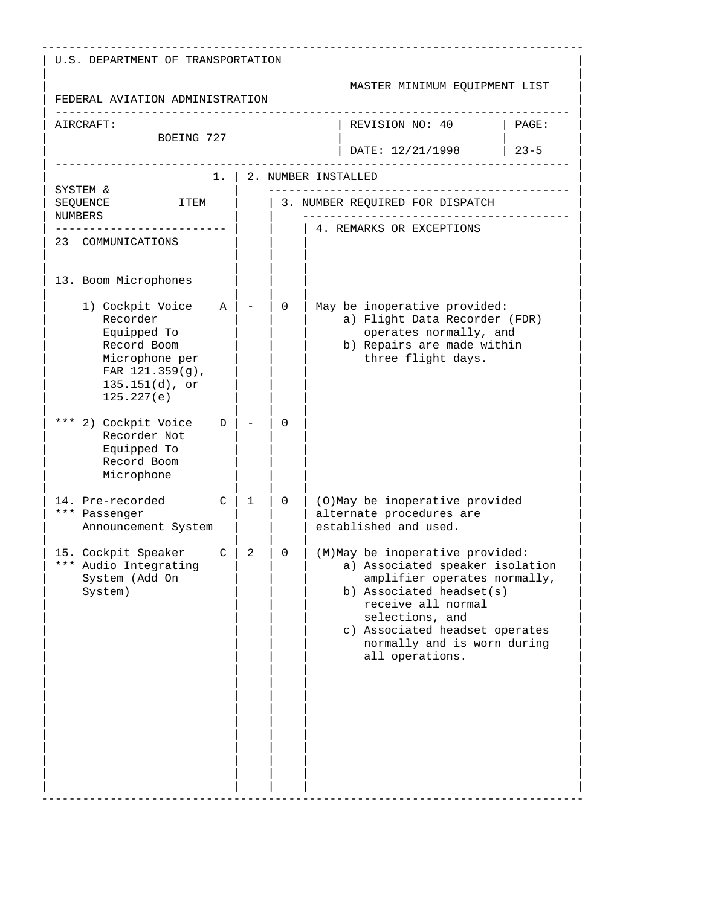| U.S. DEPARTMENT OF TRANSPORTATION |            |                                                                      |                                                                                                                                                                                                                                                              |                                                                                            |  |  |  |
|-----------------------------------|------------|----------------------------------------------------------------------|--------------------------------------------------------------------------------------------------------------------------------------------------------------------------------------------------------------------------------------------------------------|--------------------------------------------------------------------------------------------|--|--|--|
| FEDERAL AVIATION ADMINISTRATION   |            |                                                                      |                                                                                                                                                                                                                                                              |                                                                                            |  |  |  |
|                                   |            |                                                                      | REVISION NO: 40                                                                                                                                                                                                                                              | PAGE:                                                                                      |  |  |  |
|                                   |            |                                                                      | DATE: 12/21/1998                                                                                                                                                                                                                                             | $ 23-5 $                                                                                   |  |  |  |
|                                   |            |                                                                      |                                                                                                                                                                                                                                                              |                                                                                            |  |  |  |
|                                   |            |                                                                      |                                                                                                                                                                                                                                                              |                                                                                            |  |  |  |
|                                   |            |                                                                      | 4. REMARKS OR EXCEPTIONS                                                                                                                                                                                                                                     |                                                                                            |  |  |  |
|                                   |            |                                                                      |                                                                                                                                                                                                                                                              |                                                                                            |  |  |  |
| 1) Cockpit Voice A                |            | 0                                                                    | May be inoperative provided:<br>a) Flight Data Recorder (FDR)<br>operates normally, and<br>b) Repairs are made within<br>three flight days.                                                                                                                  |                                                                                            |  |  |  |
| D                                 |            | $\Omega$                                                             |                                                                                                                                                                                                                                                              |                                                                                            |  |  |  |
| $\mathcal{C}$                     |            | $\mathbf 0$                                                          | (0) May be inoperative provided<br>alternate procedures are<br>established and used.                                                                                                                                                                         |                                                                                            |  |  |  |
| C                                 | 2          | 0                                                                    | (M) May be inoperative provided:<br>a) Associated speaker isolation<br>amplifier operates normally,<br>b) Associated headset(s)<br>receive all normal<br>selections, and<br>c) Associated headset operates<br>normally and is worn during<br>all operations. |                                                                                            |  |  |  |
|                                   | BOEING 727 | $\overline{\phantom{0}}$<br>$\overline{\phantom{a}}$<br>$\mathbf{1}$ |                                                                                                                                                                                                                                                              | MASTER MINIMUM EQUIPMENT LIST<br>1. 2. NUMBER INSTALLED<br>3. NUMBER REQUIRED FOR DISPATCH |  |  |  |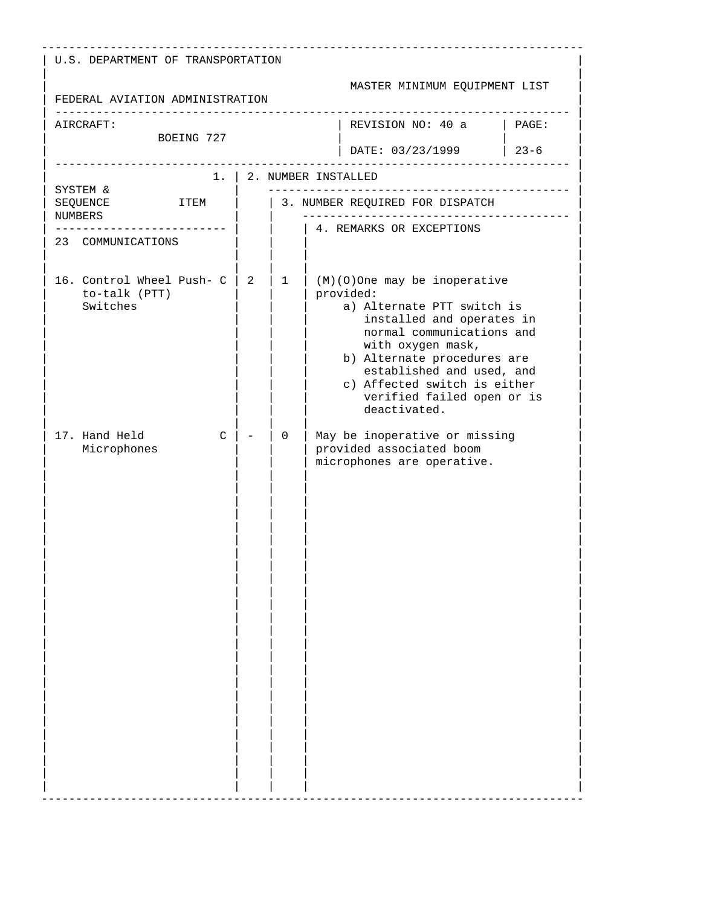| U.S. DEPARTMENT OF TRANSPORTATION<br>MASTER MINIMUM EQUIPMENT LIST |                          |                                  |                                                                                                                                                                                                                                                                                                  |  |  |  |  |
|--------------------------------------------------------------------|--------------------------|----------------------------------|--------------------------------------------------------------------------------------------------------------------------------------------------------------------------------------------------------------------------------------------------------------------------------------------------|--|--|--|--|
| FEDERAL AVIATION ADMINISTRATION                                    |                          |                                  |                                                                                                                                                                                                                                                                                                  |  |  |  |  |
| AIRCRAFT:<br>BOEING 727                                            |                          |                                  | REVISION NO: 40 a<br>$ $ PAGE:                                                                                                                                                                                                                                                                   |  |  |  |  |
|                                                                    |                          |                                  | DATE: 03/23/1999   23-6                                                                                                                                                                                                                                                                          |  |  |  |  |
| SYSTEM &<br>SEQUENCE<br>ITEM<br><b>NUMBERS</b>                     |                          |                                  | 1. 2. NUMBER INSTALLED<br>3. NUMBER REQUIRED FOR DISPATCH                                                                                                                                                                                                                                        |  |  |  |  |
| 23 COMMUNICATIONS                                                  |                          |                                  | 4. REMARKS OR EXCEPTIONS                                                                                                                                                                                                                                                                         |  |  |  |  |
| 16. Control Wheel Push- C  <br>to-talk (PTT)<br>Switches           | $\overline{2}$           | $\begin{array}{ccc} \end{array}$ | (M)(0)One may be inoperative<br>provided:<br>a) Alternate PTT switch is<br>installed and operates in<br>normal communications and<br>with oxygen mask,<br>b) Alternate procedures are<br>established and used, and<br>c) Affected switch is either<br>verified failed open or is<br>deactivated. |  |  |  |  |
| 17. Hand Held<br>$\mathcal{C}$<br>Microphones                      | $\overline{\phantom{0}}$ | $\mathbf{0}$                     | May be inoperative or missing<br>provided associated boom<br>microphones are operative.                                                                                                                                                                                                          |  |  |  |  |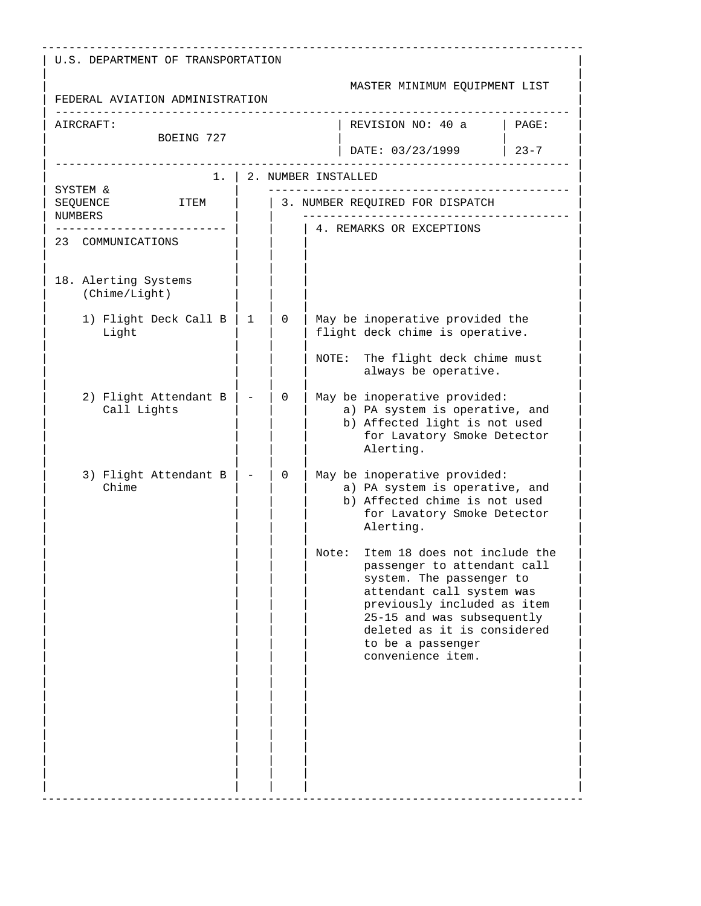| U.S. DEPARTMENT OF TRANSPORTATION<br>MASTER MINIMUM EQUIPMENT LIST |                |                        |                                                                                                                                                                                                                                                                     |  |  |  |  |
|--------------------------------------------------------------------|----------------|------------------------|---------------------------------------------------------------------------------------------------------------------------------------------------------------------------------------------------------------------------------------------------------------------|--|--|--|--|
| FEDERAL AVIATION ADMINISTRATION                                    |                |                        |                                                                                                                                                                                                                                                                     |  |  |  |  |
| AIRCRAFT:<br>BOEING 727                                            |                |                        | REVISION NO: 40 a<br>  PAGE:                                                                                                                                                                                                                                        |  |  |  |  |
|                                                                    |                |                        | DATE: 03/23/1999<br>$ 23 - 7 $                                                                                                                                                                                                                                      |  |  |  |  |
| SYSTEM &                                                           |                | 1. 2. NUMBER INSTALLED |                                                                                                                                                                                                                                                                     |  |  |  |  |
| SEQUENCE<br>ITEM<br>NUMBERS                                        |                |                        | 3. NUMBER REQUIRED FOR DISPATCH                                                                                                                                                                                                                                     |  |  |  |  |
|                                                                    |                |                        | 4. REMARKS OR EXCEPTIONS                                                                                                                                                                                                                                            |  |  |  |  |
| 23 COMMUNICATIONS                                                  |                |                        |                                                                                                                                                                                                                                                                     |  |  |  |  |
| 18. Alerting Systems<br>(Chime/Light)                              |                |                        |                                                                                                                                                                                                                                                                     |  |  |  |  |
| 1) Flight Deck Call B<br>Light                                     | $\mathbf{1}$   | 0                      | May be inoperative provided the<br>flight deck chime is operative.                                                                                                                                                                                                  |  |  |  |  |
|                                                                    |                |                        | NOTE: The flight deck chime must<br>always be operative.                                                                                                                                                                                                            |  |  |  |  |
| 2) Flight Attendant B<br>Call Lights                               | $\overline{a}$ | $\Omega$               | May be inoperative provided:<br>a) PA system is operative, and<br>b) Affected light is not used<br>for Lavatory Smoke Detector<br>Alerting.                                                                                                                         |  |  |  |  |
| 3) Flight Attendant B<br>Chime                                     |                | $\mathbf 0$            | May be inoperative provided:<br>a) PA system is operative, and<br>b) Affected chime is not used<br>for Lavatory Smoke Detector<br>Alerting.                                                                                                                         |  |  |  |  |
|                                                                    |                |                        | Item 18 does not include the<br>Note:<br>passenger to attendant call<br>system. The passenger to<br>attendant call system was<br>previously included as item<br>25-15 and was subsequently<br>deleted as it is considered<br>to be a passenger<br>convenience item. |  |  |  |  |
|                                                                    |                |                        |                                                                                                                                                                                                                                                                     |  |  |  |  |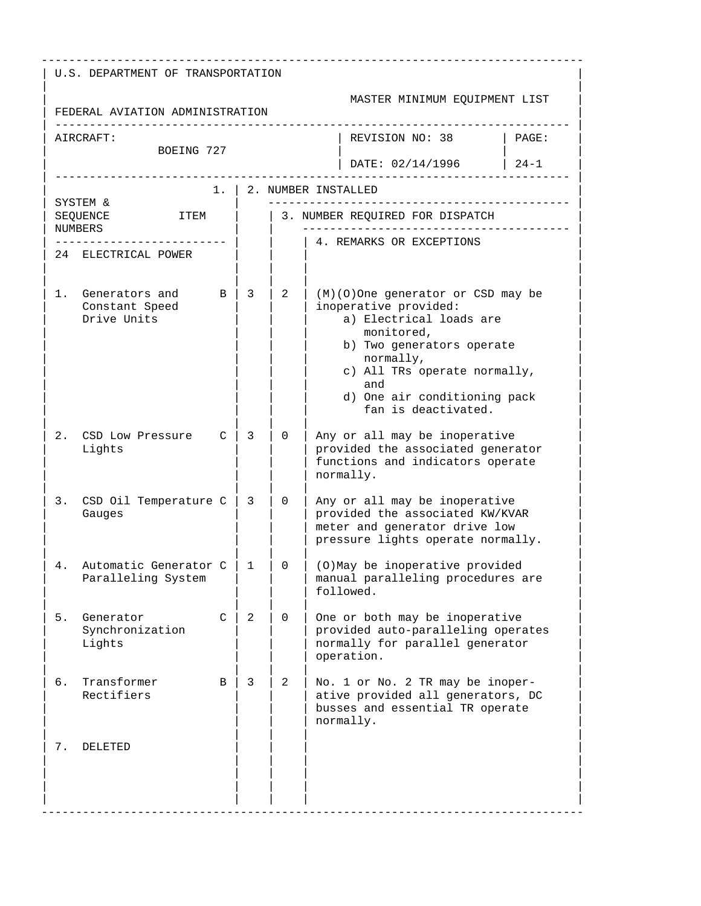| U.S. DEPARTMENT OF TRANSPORTATION |                                                                  |              |                                                        |                          |                                                                                                                                                                                                                                             |  |  |  |  |
|-----------------------------------|------------------------------------------------------------------|--------------|--------------------------------------------------------|--------------------------|---------------------------------------------------------------------------------------------------------------------------------------------------------------------------------------------------------------------------------------------|--|--|--|--|
|                                   | MASTER MINIMUM EQUIPMENT LIST<br>FEDERAL AVIATION ADMINISTRATION |              |                                                        |                          |                                                                                                                                                                                                                                             |  |  |  |  |
|                                   | AIRCRAFT:<br>BOEING 727                                          |              |                                                        | REVISION NO: 38<br>PAGE: |                                                                                                                                                                                                                                             |  |  |  |  |
|                                   |                                                                  |              | DATE: 02/14/1996<br>$ 24-1 $<br>1. 2. NUMBER INSTALLED |                          |                                                                                                                                                                                                                                             |  |  |  |  |
|                                   | <b>SYSTEM &amp;</b><br>SEQUENCE<br>ITEM<br>NUMBERS               |              | 3. NUMBER REQUIRED FOR DISPATCH                        |                          |                                                                                                                                                                                                                                             |  |  |  |  |
|                                   | 24 ELECTRICAL POWER                                              |              |                                                        |                          | 4. REMARKS OR EXCEPTIONS                                                                                                                                                                                                                    |  |  |  |  |
| 1.                                | Generators and<br>Constant Speed<br>Drive Units                  | $\mathbf{B}$ | $\overline{3}$                                         | 2                        | (M)(0)One generator or CSD may be<br>inoperative provided:<br>a) Electrical loads are<br>monitored,<br>b) Two generators operate<br>normally,<br>c) All TRs operate normally,<br>and<br>d) One air conditioning pack<br>fan is deactivated. |  |  |  |  |
| 2.                                | CSD Low Pressure C<br>Lights                                     |              | $\overline{3}$                                         | $\Omega$                 | Any or all may be inoperative<br>provided the associated generator<br>functions and indicators operate<br>normally.                                                                                                                         |  |  |  |  |
| 3.                                | CSD Oil Temperature C<br>Gauges                                  |              | 3                                                      | $\Omega$                 | Any or all may be inoperative<br>provided the associated KW/KVAR<br>meter and generator drive low<br>pressure lights operate normally.                                                                                                      |  |  |  |  |
|                                   | Automatic Generator C<br>Paralleling System                      |              | 1                                                      | 0                        | (O) May be inoperative provided<br>manual paralleling procedures are<br>followed.                                                                                                                                                           |  |  |  |  |
| 5.                                | Generator<br>Synchronization<br>Lights                           | C            | 2                                                      | $\mathbf 0$              | One or both may be inoperative<br>provided auto-paralleling operates<br>normally for parallel generator<br>operation.                                                                                                                       |  |  |  |  |
| б.                                | Transformer<br>Rectifiers                                        | B            | 3                                                      | 2                        | No. 1 or No. 2 TR may be inoper-<br>ative provided all generators, DC<br>busses and essential TR operate<br>normally.                                                                                                                       |  |  |  |  |
| 7.                                | DELETED                                                          |              |                                                        |                          |                                                                                                                                                                                                                                             |  |  |  |  |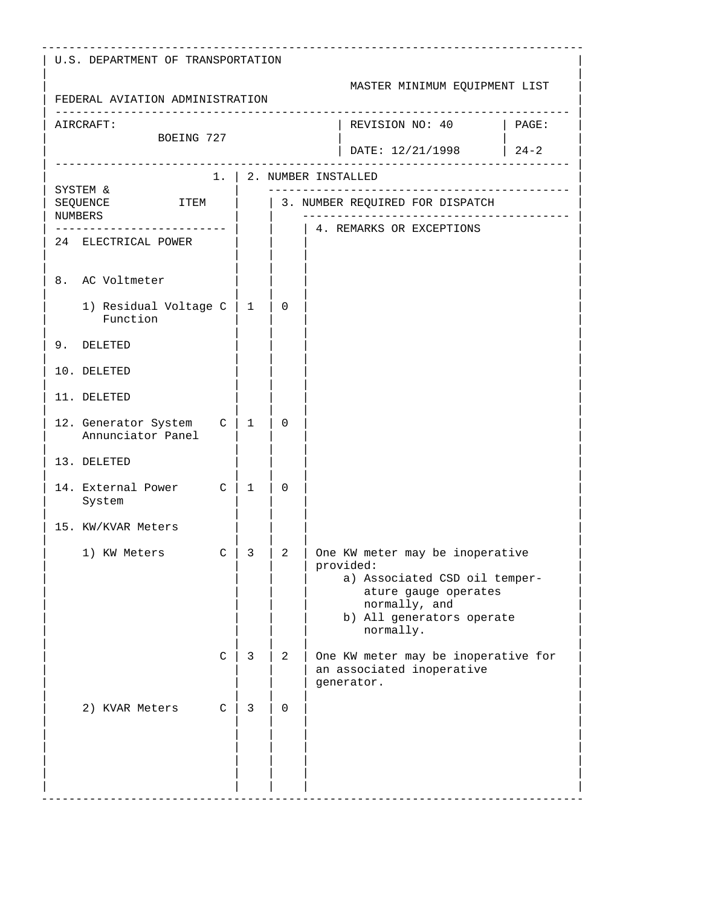| U.S. DEPARTMENT OF TRANSPORTATION               |                                                                  |                                   |                                                                                                                                                                      |  |  |  |  |  |  |  |
|-------------------------------------------------|------------------------------------------------------------------|-----------------------------------|----------------------------------------------------------------------------------------------------------------------------------------------------------------------|--|--|--|--|--|--|--|
|                                                 | MASTER MINIMUM EQUIPMENT LIST<br>FEDERAL AVIATION ADMINISTRATION |                                   |                                                                                                                                                                      |  |  |  |  |  |  |  |
| AIRCRAFT:<br>BOEING 727                         |                                                                  |                                   | REVISION NO: 40<br>$ $ PAGE:                                                                                                                                         |  |  |  |  |  |  |  |
|                                                 |                                                                  |                                   | DATE: 12/21/1998   24-2                                                                                                                                              |  |  |  |  |  |  |  |
| <b>SYSTEM &amp;</b>                             |                                                                  |                                   | 1.   2. NUMBER INSTALLED                                                                                                                                             |  |  |  |  |  |  |  |
| SEQUENCE<br>ITEM<br>NUMBERS                     | 3. NUMBER REQUIRED FOR DISPATCH                                  |                                   |                                                                                                                                                                      |  |  |  |  |  |  |  |
| 24 ELECTRICAL POWER                             |                                                                  |                                   | 4. REMARKS OR EXCEPTIONS                                                                                                                                             |  |  |  |  |  |  |  |
| 8. AC Voltmeter                                 |                                                                  |                                   |                                                                                                                                                                      |  |  |  |  |  |  |  |
| 1) Residual Voltage C   1<br>Function           |                                                                  | $\begin{array}{cc} \n\end{array}$ |                                                                                                                                                                      |  |  |  |  |  |  |  |
| 9. DELETED                                      |                                                                  |                                   |                                                                                                                                                                      |  |  |  |  |  |  |  |
| 10. DELETED                                     |                                                                  |                                   |                                                                                                                                                                      |  |  |  |  |  |  |  |
| 11. DELETED                                     |                                                                  |                                   |                                                                                                                                                                      |  |  |  |  |  |  |  |
| 12. Generator System C   1<br>Annunciator Panel |                                                                  | $\overline{\phantom{0}}$          |                                                                                                                                                                      |  |  |  |  |  |  |  |
| 13. DELETED                                     |                                                                  |                                   |                                                                                                                                                                      |  |  |  |  |  |  |  |
| 14. External Power C<br>System                  | $\mathbf{1}$                                                     | 0                                 |                                                                                                                                                                      |  |  |  |  |  |  |  |
| 15. KW/KVAR Meters                              |                                                                  |                                   |                                                                                                                                                                      |  |  |  |  |  |  |  |
| $\mathsf{C}$<br>1) KW Meters                    | $\overline{\mathbf{3}}$                                          |                                   | 2   One KW meter may be inoperative<br>provided:<br>a) Associated CSD oil temper-<br>ature gauge operates<br>normally, and<br>b) All generators operate<br>normally. |  |  |  |  |  |  |  |
| C                                               | 3                                                                | 2                                 | One KW meter may be inoperative for<br>an associated inoperative<br>generator.                                                                                       |  |  |  |  |  |  |  |
| $\mathsf{C}$<br>2) KVAR Meters                  | 3                                                                | $\mathbf 0$                       |                                                                                                                                                                      |  |  |  |  |  |  |  |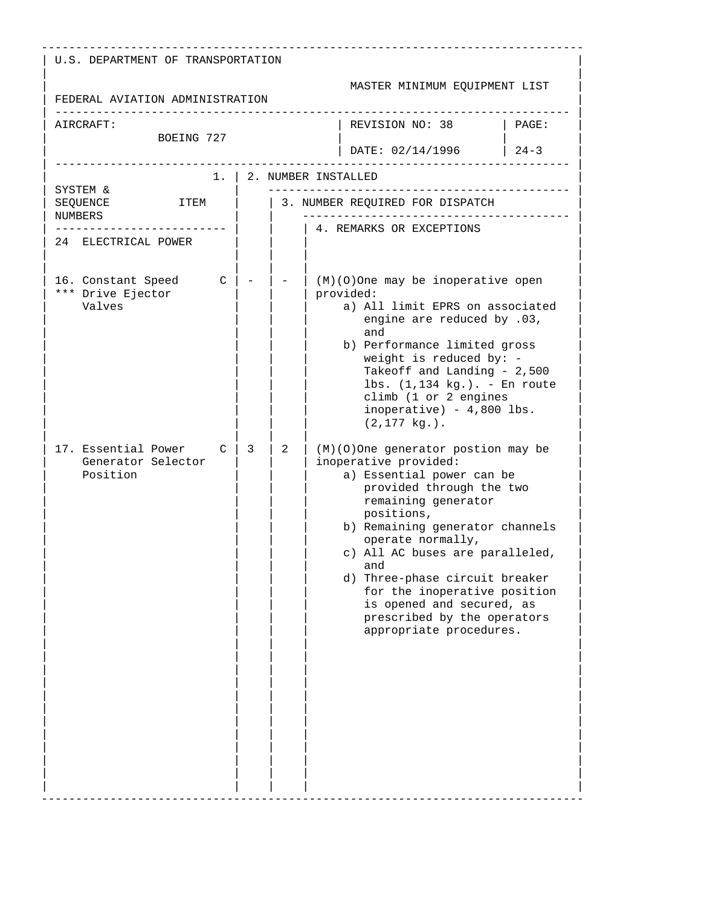| U.S. DEPARTMENT OF TRANSPORTATION<br>MASTER MINIMUM EQUIPMENT LIST<br>FEDERAL AVIATION ADMINISTRATION |                                                             |                |                                                                                                                                                                                                                                                                                                                                                                                                                      |  |  |  |  |  |
|-------------------------------------------------------------------------------------------------------|-------------------------------------------------------------|----------------|----------------------------------------------------------------------------------------------------------------------------------------------------------------------------------------------------------------------------------------------------------------------------------------------------------------------------------------------------------------------------------------------------------------------|--|--|--|--|--|
| REVISION NO: 38<br>$\mathtt{PAGE}$ :<br>AIRCRAFT:<br>BOEING 727                                       |                                                             |                |                                                                                                                                                                                                                                                                                                                                                                                                                      |  |  |  |  |  |
|                                                                                                       |                                                             |                | DATE: 02/14/1996<br>$ 24-3 $                                                                                                                                                                                                                                                                                                                                                                                         |  |  |  |  |  |
| SYSTEM &<br>SEQUENCE<br>ITEM<br>NUMBERS                                                               | 1.   2. NUMBER INSTALLED<br>3. NUMBER REQUIRED FOR DISPATCH |                |                                                                                                                                                                                                                                                                                                                                                                                                                      |  |  |  |  |  |
| 24 ELECTRICAL POWER                                                                                   | 4. REMARKS OR EXCEPTIONS                                    |                |                                                                                                                                                                                                                                                                                                                                                                                                                      |  |  |  |  |  |
| 16. Constant Speed<br>$\overline{C}$<br>*** Drive Ejector<br>Valves                                   | $-$                                                         |                | (M)(0) One may be inoperative open<br>provided:<br>a) All limit EPRS on associated<br>engine are reduced by .03,<br>and<br>b) Performance limited gross<br>weight is reduced by: -<br>Takeoff and Landing - 2,500<br>lbs. (1,134 kg.). - En route<br>climb (1 or 2 engines<br>inoperative) - 4,800 lbs.<br>$(2, 177 \text{ kg.}).$                                                                                   |  |  |  |  |  |
| 17. Essential Power<br>$\mathsf{C}$<br>Generator Selector<br>Position                                 | $\overline{3}$                                              | $\overline{2}$ | (M)(O)One generator postion may be<br>inoperative provided:<br>a) Essential power can be<br>provided through the two<br>remaining generator<br>positions,<br>b) Remaining generator channels<br>operate normally,<br>c) All AC buses are paralleled,<br>and<br>d) Three-phase circuit breaker<br>for the inoperative position<br>is opened and secured, as<br>prescribed by the operators<br>appropriate procedures. |  |  |  |  |  |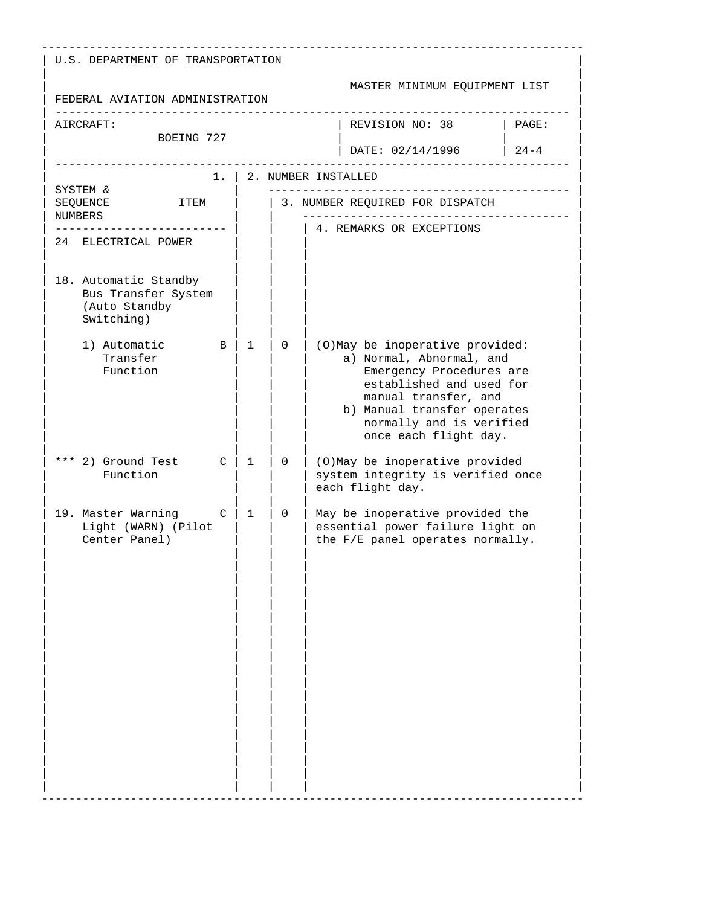| U.S. DEPARTMENT OF TRANSPORTATION                                            |                                                                                                                                                                                                                                                   |                                                           |                                                                                                         |  |  |  |  |  |
|------------------------------------------------------------------------------|---------------------------------------------------------------------------------------------------------------------------------------------------------------------------------------------------------------------------------------------------|-----------------------------------------------------------|---------------------------------------------------------------------------------------------------------|--|--|--|--|--|
| MASTER MINIMUM EQUIPMENT LIST<br>FEDERAL AVIATION ADMINISTRATION             |                                                                                                                                                                                                                                                   |                                                           |                                                                                                         |  |  |  |  |  |
| AIRCRAFT:<br>BOEING 727                                                      |                                                                                                                                                                                                                                                   |                                                           | REVISION NO: 38<br>PAGE:                                                                                |  |  |  |  |  |
|                                                                              | DATE: 02/14/1996<br>$124-4$                                                                                                                                                                                                                       |                                                           |                                                                                                         |  |  |  |  |  |
| SYSTEM &<br>SEQUENCE<br>ITEM                                                 |                                                                                                                                                                                                                                                   | 1. 2. NUMBER INSTALLED<br>3. NUMBER REQUIRED FOR DISPATCH |                                                                                                         |  |  |  |  |  |
| <b>NUMBERS</b><br>24 ELECTRICAL POWER                                        |                                                                                                                                                                                                                                                   |                                                           | 4. REMARKS OR EXCEPTIONS                                                                                |  |  |  |  |  |
| 18. Automatic Standby<br>Bus Transfer System<br>(Auto Standby<br>Switching)  |                                                                                                                                                                                                                                                   |                                                           |                                                                                                         |  |  |  |  |  |
| 1) Automatic<br>$\mathbf{B}$<br>Transfer<br>Function                         | $\Omega$<br>1<br>(0) May be inoperative provided:<br>a) Normal, Abnormal, and<br>Emergency Procedures are<br>established and used for<br>manual transfer, and<br>b) Manual transfer operates<br>normally and is verified<br>once each flight day. |                                                           |                                                                                                         |  |  |  |  |  |
| *** 2) Ground Test<br>$\mathsf{C}$<br>Function                               | $\mathbf{1}$                                                                                                                                                                                                                                      | $\Omega$                                                  | (0) May be inoperative provided<br>system integrity is verified once<br>each flight day.                |  |  |  |  |  |
| 19. Master Warning<br>$\overline{C}$<br>Light (WARN) (Pilot<br>Center Panel) | $\mathbf{1}$                                                                                                                                                                                                                                      | $\mathbf{0}$                                              | May be inoperative provided the<br>essential power failure light on<br>the F/E panel operates normally. |  |  |  |  |  |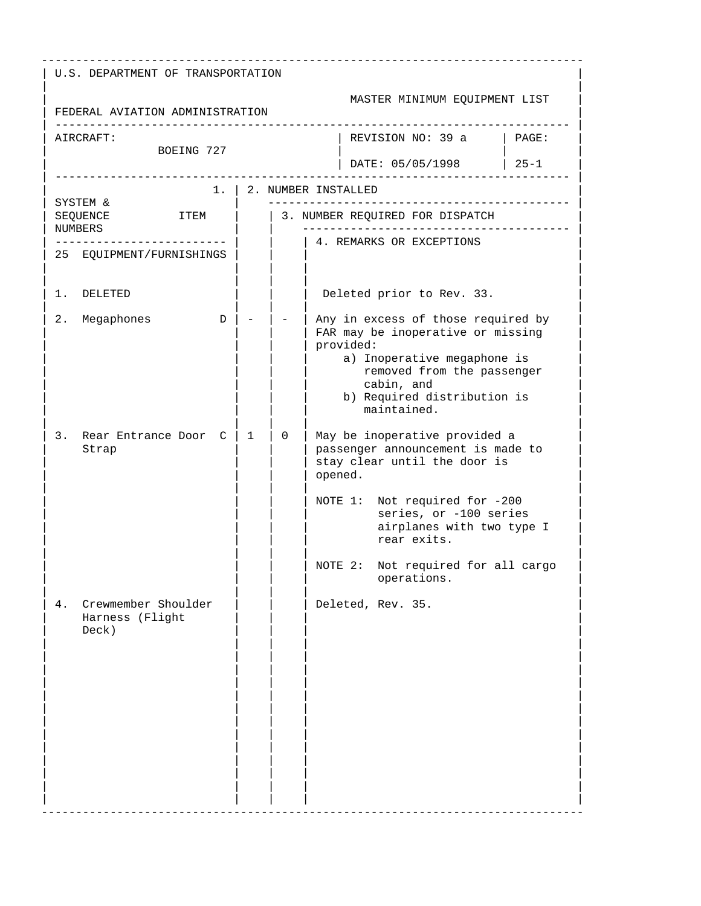| U.S. DEPARTMENT OF TRANSPORTATION |                                                                  |              |                        |                                                                                                                                                                                                               |  |  |  |  |  |
|-----------------------------------|------------------------------------------------------------------|--------------|------------------------|---------------------------------------------------------------------------------------------------------------------------------------------------------------------------------------------------------------|--|--|--|--|--|
|                                   | MASTER MINIMUM EQUIPMENT LIST<br>FEDERAL AVIATION ADMINISTRATION |              |                        |                                                                                                                                                                                                               |  |  |  |  |  |
|                                   | AIRCRAFT:<br>BOEING 727                                          |              |                        | REVISION NO: 39 a<br>$ $ PAGE:                                                                                                                                                                                |  |  |  |  |  |
|                                   |                                                                  |              |                        | DATE: 05/05/1998   25-1                                                                                                                                                                                       |  |  |  |  |  |
|                                   | SYSTEM &                                                         |              | 1. 2. NUMBER INSTALLED |                                                                                                                                                                                                               |  |  |  |  |  |
|                                   | SEQUENCE<br>ITEM<br><b>NUMBERS</b>                               |              |                        | 3. NUMBER REQUIRED FOR DISPATCH<br>4. REMARKS OR EXCEPTIONS                                                                                                                                                   |  |  |  |  |  |
|                                   | 25 EQUIPMENT/FURNISHINGS                                         |              |                        |                                                                                                                                                                                                               |  |  |  |  |  |
| 1.                                | DELETED                                                          |              |                        | Deleted prior to Rev. 33.                                                                                                                                                                                     |  |  |  |  |  |
| 2.                                | Megaphones<br>D                                                  |              |                        | Any in excess of those required by<br>FAR may be inoperative or missing<br>provided:<br>a) Inoperative megaphone is<br>removed from the passenger<br>cabin, and<br>b) Required distribution is<br>maintained. |  |  |  |  |  |
| 3.                                | Rear Entrance Door C<br>Strap                                    | $\mathbf{1}$ | $\mathbf{0}$           | May be inoperative provided a<br>passenger announcement is made to<br>stay clear until the door is<br>opened.                                                                                                 |  |  |  |  |  |
|                                   |                                                                  |              |                        | NOTE 1: Not required for -200<br>series, or -100 series<br>airplanes with two type I<br>rear exits.                                                                                                           |  |  |  |  |  |
|                                   |                                                                  |              |                        | NOTE 2: Not required for all cargo<br>operations.                                                                                                                                                             |  |  |  |  |  |
| $4$ .                             | Crewmember Shoulder<br>Harness (Flight<br>Deck)                  |              |                        | Deleted, Rev. 35.                                                                                                                                                                                             |  |  |  |  |  |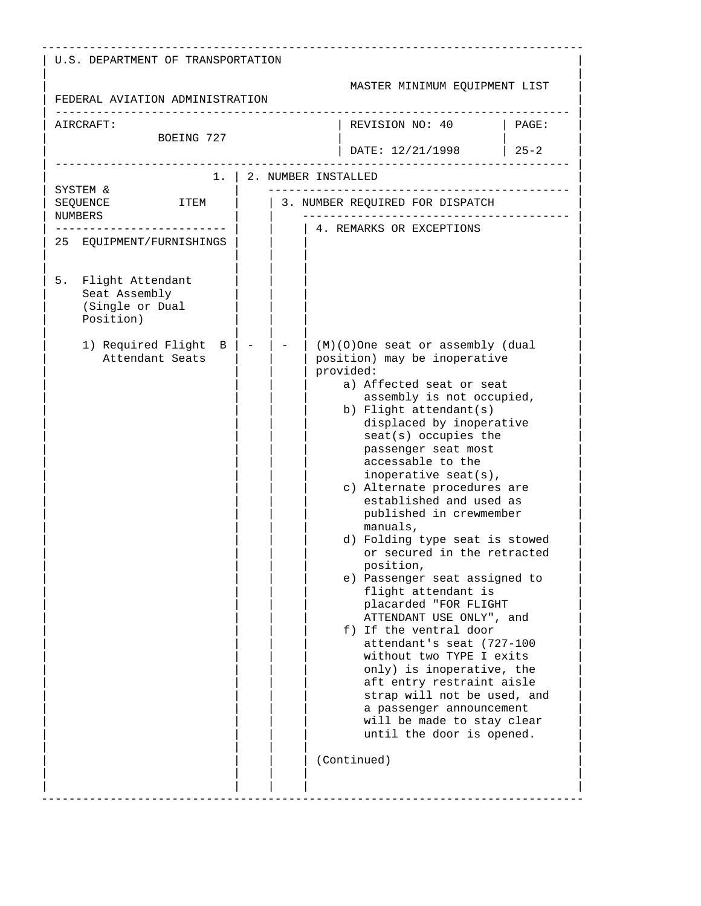| U.S. DEPARTMENT OF TRANSPORTATION<br>MASTER MINIMUM EQUIPMENT LIST      |                 |                  |                                                                                                                                                                                                                                                                                                                                                                                                                                                                                                                                                                                                                                                                                                                                                                                                                                                                        |          |  |  |  |
|-------------------------------------------------------------------------|-----------------|------------------|------------------------------------------------------------------------------------------------------------------------------------------------------------------------------------------------------------------------------------------------------------------------------------------------------------------------------------------------------------------------------------------------------------------------------------------------------------------------------------------------------------------------------------------------------------------------------------------------------------------------------------------------------------------------------------------------------------------------------------------------------------------------------------------------------------------------------------------------------------------------|----------|--|--|--|
| FEDERAL AVIATION ADMINISTRATION                                         |                 |                  |                                                                                                                                                                                                                                                                                                                                                                                                                                                                                                                                                                                                                                                                                                                                                                                                                                                                        |          |  |  |  |
| AIRCRAFT:<br>BOEING 727                                                 | REVISION NO: 40 |                  | PAGE:                                                                                                                                                                                                                                                                                                                                                                                                                                                                                                                                                                                                                                                                                                                                                                                                                                                                  |          |  |  |  |
|                                                                         |                 | DATE: 12/21/1998 |                                                                                                                                                                                                                                                                                                                                                                                                                                                                                                                                                                                                                                                                                                                                                                                                                                                                        | $ 25-2 $ |  |  |  |
| SYSTEM &                                                                |                 |                  | 1.   2. NUMBER INSTALLED                                                                                                                                                                                                                                                                                                                                                                                                                                                                                                                                                                                                                                                                                                                                                                                                                                               |          |  |  |  |
| SEQUENCE<br>ITEM                                                        |                 |                  | 3. NUMBER REQUIRED FOR DISPATCH                                                                                                                                                                                                                                                                                                                                                                                                                                                                                                                                                                                                                                                                                                                                                                                                                                        |          |  |  |  |
| NUMBERS                                                                 |                 |                  | 4. REMARKS OR EXCEPTIONS                                                                                                                                                                                                                                                                                                                                                                                                                                                                                                                                                                                                                                                                                                                                                                                                                                               |          |  |  |  |
| 25 EQUIPMENT/FURNISHINGS                                                |                 |                  |                                                                                                                                                                                                                                                                                                                                                                                                                                                                                                                                                                                                                                                                                                                                                                                                                                                                        |          |  |  |  |
| Flight Attendant<br>5.<br>Seat Assembly<br>(Single or Dual<br>Position) |                 |                  |                                                                                                                                                                                                                                                                                                                                                                                                                                                                                                                                                                                                                                                                                                                                                                                                                                                                        |          |  |  |  |
| 1) Required Flight B<br>Attendant Seats                                 |                 |                  | (M)(O)One seat or assembly (dual<br>position) may be inoperative<br>provided:<br>a) Affected seat or seat<br>assembly is not occupied,<br>b) Flight attendant(s)<br>displaced by inoperative<br>seat(s) occupies the<br>passenger seat most<br>accessable to the<br>inoperative seat(s),<br>c) Alternate procedures are<br>established and used as<br>published in crewmember<br>manuals,<br>d) Folding type seat is stowed<br>or secured in the retracted<br>position,<br>e) Passenger seat assigned to<br>flight attendant is<br>placarded "FOR FLIGHT<br>ATTENDANT USE ONLY", and<br>f) If the ventral door<br>attendant's seat (727-100<br>without two TYPE I exits<br>only) is inoperative, the<br>aft entry restraint aisle<br>strap will not be used, and<br>a passenger announcement<br>will be made to stay clear<br>until the door is opened.<br>(Continued) |          |  |  |  |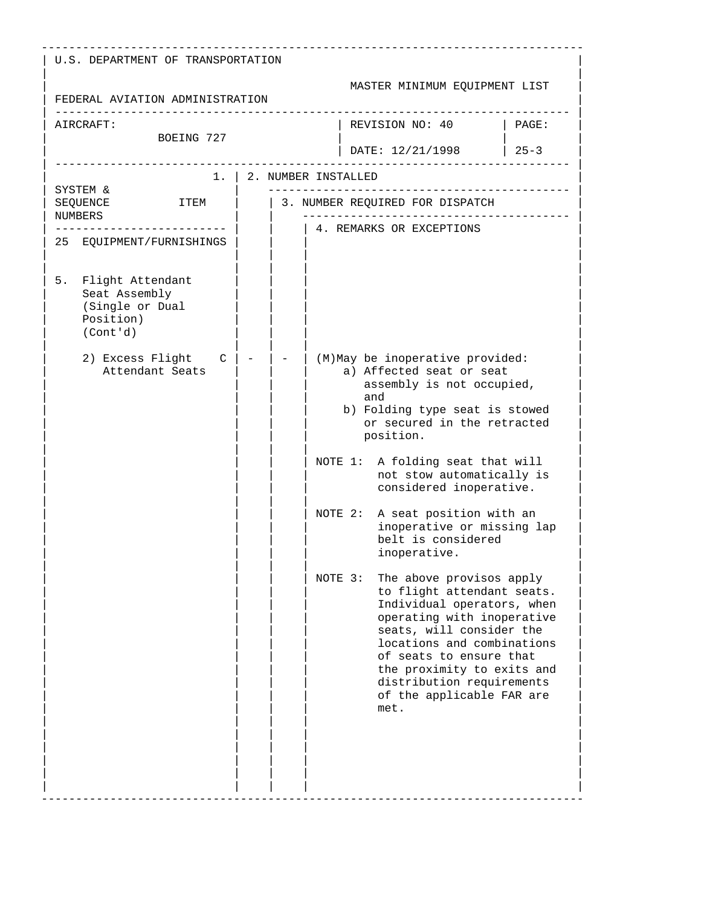| U.S. DEPARTMENT OF TRANSPORTATION                                                   |  |  |                          |                                                                                                                                                                                                                                                                                                         |              |  |  |  |
|-------------------------------------------------------------------------------------|--|--|--------------------------|---------------------------------------------------------------------------------------------------------------------------------------------------------------------------------------------------------------------------------------------------------------------------------------------------------|--------------|--|--|--|
| MASTER MINIMUM EQUIPMENT LIST<br>FEDERAL AVIATION ADMINISTRATION                    |  |  |                          |                                                                                                                                                                                                                                                                                                         |              |  |  |  |
| AIRCRAFT:<br>BOEING 727                                                             |  |  |                          | REVISION NO: 40                                                                                                                                                                                                                                                                                         | PAGE:        |  |  |  |
|                                                                                     |  |  |                          | DATE: 12/21/1998                                                                                                                                                                                                                                                                                        | $\vert$ 25-3 |  |  |  |
| SYSTEM &                                                                            |  |  | 1.   2. NUMBER INSTALLED |                                                                                                                                                                                                                                                                                                         |              |  |  |  |
| SEQUENCE<br>ITEM<br>NUMBERS                                                         |  |  |                          | 3. NUMBER REQUIRED FOR DISPATCH                                                                                                                                                                                                                                                                         |              |  |  |  |
| 25 EQUIPMENT/FURNISHINGS                                                            |  |  |                          | 4. REMARKS OR EXCEPTIONS                                                                                                                                                                                                                                                                                |              |  |  |  |
| Flight Attendant<br>5.<br>Seat Assembly<br>(Single or Dual<br>Position)<br>(Cont d) |  |  |                          |                                                                                                                                                                                                                                                                                                         |              |  |  |  |
| 2) Excess Flight C<br>Attendant Seats                                               |  |  |                          | (M) May be inoperative provided:<br>a) Affected seat or seat<br>assembly is not occupied,<br>and<br>b) Folding type seat is stowed<br>or secured in the retracted<br>position.                                                                                                                          |              |  |  |  |
|                                                                                     |  |  |                          | NOTE 1: A folding seat that will<br>not stow automatically is<br>considered inoperative.                                                                                                                                                                                                                |              |  |  |  |
|                                                                                     |  |  |                          | NOTE 2: A seat position with an<br>inoperative or missing lap<br>belt is considered<br>inoperative.                                                                                                                                                                                                     |              |  |  |  |
|                                                                                     |  |  | NOTE 3:                  | The above provisos apply<br>to flight attendant seats.<br>Individual operators, when<br>operating with inoperative<br>seats, will consider the<br>locations and combinations<br>of seats to ensure that<br>the proximity to exits and<br>distribution requirements<br>of the applicable FAR are<br>met. |              |  |  |  |
|                                                                                     |  |  |                          |                                                                                                                                                                                                                                                                                                         |              |  |  |  |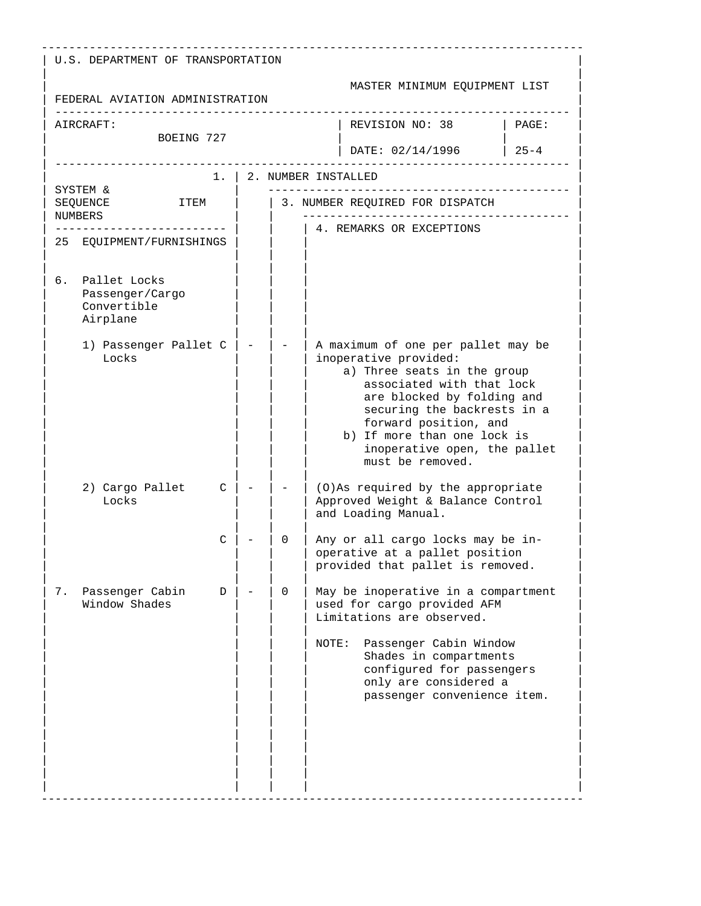| U.S. DEPARTMENT OF TRANSPORTATION<br>MASTER MINIMUM EQUIPMENT LIST |                                                            |              |                                                                                                                                                                                                                                                                                                  |             |                                                                                                                                                |  |  |  |
|--------------------------------------------------------------------|------------------------------------------------------------|--------------|--------------------------------------------------------------------------------------------------------------------------------------------------------------------------------------------------------------------------------------------------------------------------------------------------|-------------|------------------------------------------------------------------------------------------------------------------------------------------------|--|--|--|
| FEDERAL AVIATION ADMINISTRATION                                    |                                                            |              |                                                                                                                                                                                                                                                                                                  |             |                                                                                                                                                |  |  |  |
| AIRCRAFT:<br>BOEING 727                                            |                                                            |              |                                                                                                                                                                                                                                                                                                  |             | REVISION NO: 38<br>$\mathtt{PAGE}$ :                                                                                                           |  |  |  |
|                                                                    |                                                            |              |                                                                                                                                                                                                                                                                                                  |             | DATE: 02/14/1996<br>$ 25-4 $                                                                                                                   |  |  |  |
|                                                                    | SYSTEM &                                                   |              |                                                                                                                                                                                                                                                                                                  |             | 1. 2. NUMBER INSTALLED                                                                                                                         |  |  |  |
|                                                                    | SEQUENCE<br>ITEM<br>NUMBERS                                |              |                                                                                                                                                                                                                                                                                                  |             | 3. NUMBER REQUIRED FOR DISPATCH                                                                                                                |  |  |  |
|                                                                    |                                                            |              |                                                                                                                                                                                                                                                                                                  |             | 4. REMARKS OR EXCEPTIONS                                                                                                                       |  |  |  |
|                                                                    | 25 EQUIPMENT/FURNISHINGS                                   |              |                                                                                                                                                                                                                                                                                                  |             |                                                                                                                                                |  |  |  |
| б.                                                                 | Pallet Locks<br>Passenger/Cargo<br>Convertible<br>Airplane |              |                                                                                                                                                                                                                                                                                                  |             |                                                                                                                                                |  |  |  |
|                                                                    | 1) Passenger Pallet C<br>Locks                             |              | A maximum of one per pallet may be<br>inoperative provided:<br>a) Three seats in the group<br>associated with that lock<br>are blocked by folding and<br>securing the backrests in a<br>forward position, and<br>b) If more than one lock is<br>inoperative open, the pallet<br>must be removed. |             |                                                                                                                                                |  |  |  |
|                                                                    | 2) Cargo Pallet<br>Locks                                   | $\mathsf{C}$ |                                                                                                                                                                                                                                                                                                  |             | (0) As required by the appropriate<br>Approved Weight & Balance Control<br>and Loading Manual.                                                 |  |  |  |
|                                                                    |                                                            | C            |                                                                                                                                                                                                                                                                                                  | $\Omega$    | Any or all cargo locks may be in-<br>operative at a pallet position<br>provided that pallet is removed.                                        |  |  |  |
| 7.                                                                 | Passenger Cabin<br>Window Shades                           | D            |                                                                                                                                                                                                                                                                                                  | $\mathbf 0$ | May be inoperative in a compartment<br>used for cargo provided AFM<br>Limitations are observed.                                                |  |  |  |
|                                                                    |                                                            |              |                                                                                                                                                                                                                                                                                                  |             | Passenger Cabin Window<br>NOTE:<br>Shades in compartments<br>configured for passengers<br>only are considered a<br>passenger convenience item. |  |  |  |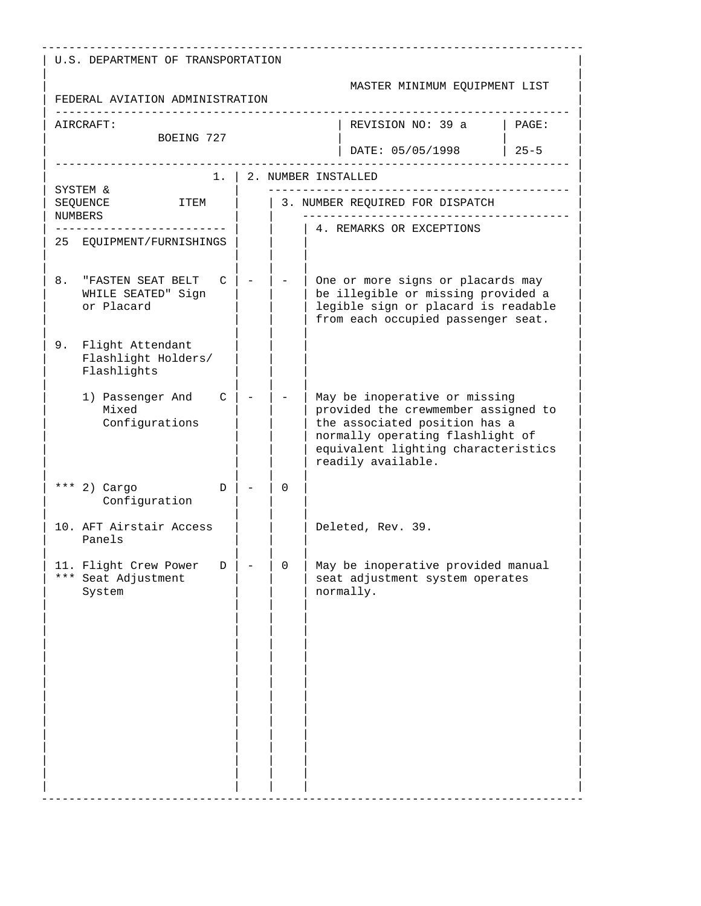| U.S. DEPARTMENT OF TRANSPORTATION                                             |                                 |             |                                                                                                                                                                                                        |  |  |  |  |  |
|-------------------------------------------------------------------------------|---------------------------------|-------------|--------------------------------------------------------------------------------------------------------------------------------------------------------------------------------------------------------|--|--|--|--|--|
| MASTER MINIMUM EQUIPMENT LIST<br>FEDERAL AVIATION ADMINISTRATION              |                                 |             |                                                                                                                                                                                                        |  |  |  |  |  |
| AIRCRAFT:<br>BOEING 727                                                       |                                 |             | REVISION NO: 39 a<br>PAGE:                                                                                                                                                                             |  |  |  |  |  |
|                                                                               |                                 |             | DATE: 05/05/1998<br>$125 - 5$                                                                                                                                                                          |  |  |  |  |  |
| SYSTEM &                                                                      |                                 |             | 1. 2. NUMBER INSTALLED                                                                                                                                                                                 |  |  |  |  |  |
| SEQUENCE<br>ITEM<br><b>NUMBERS</b>                                            | 3. NUMBER REQUIRED FOR DISPATCH |             |                                                                                                                                                                                                        |  |  |  |  |  |
| 25 EQUIPMENT/FURNISHINGS                                                      |                                 |             | 4. REMARKS OR EXCEPTIONS                                                                                                                                                                               |  |  |  |  |  |
| 8.<br>"FASTEN SEAT BELT<br>$\overline{C}$<br>WHILE SEATED" Sign<br>or Placard |                                 |             | One or more signs or placards may<br>be illegible or missing provided a<br>legible sign or placard is readable<br>from each occupied passenger seat.                                                   |  |  |  |  |  |
| Flight Attendant<br>9.<br>Flashlight Holders/<br>Flashlights                  |                                 |             |                                                                                                                                                                                                        |  |  |  |  |  |
| 1) Passenger And C<br>Mixed<br>Configurations                                 |                                 |             | May be inoperative or missing<br>provided the crewmember assigned to<br>the associated position has a<br>normally operating flashlight of<br>equivalent lighting characteristics<br>readily available. |  |  |  |  |  |
| $***$ 2) Cargo<br>D<br>Configuration                                          |                                 | $\Omega$    |                                                                                                                                                                                                        |  |  |  |  |  |
| 10. AFT Airstair Access<br>Panels                                             |                                 |             | Deleted, Rev. 39.                                                                                                                                                                                      |  |  |  |  |  |
| 11. Flight Crew Power<br>D<br>***<br>Seat Adjustment<br>System                |                                 | $\mathbf 0$ | May be inoperative provided manual<br>seat adjustment system operates<br>normally.                                                                                                                     |  |  |  |  |  |
|                                                                               |                                 |             |                                                                                                                                                                                                        |  |  |  |  |  |
|                                                                               |                                 |             |                                                                                                                                                                                                        |  |  |  |  |  |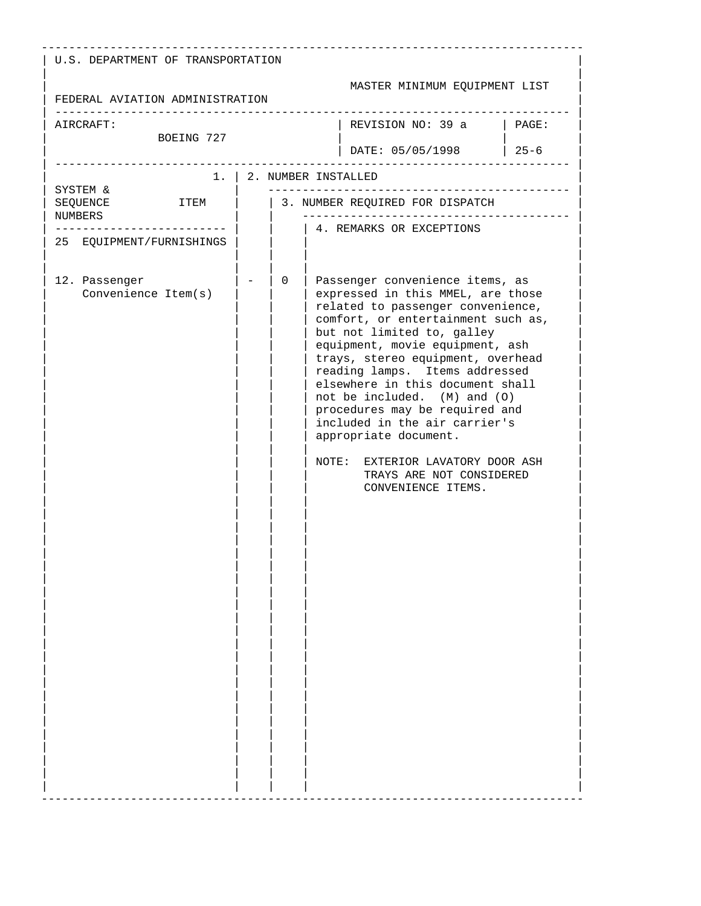| MASTER MINIMUM EQUIPMENT LIST<br>FEDERAL AVIATION ADMINISTRATION<br>REVISION NO: 39 a   PAGE:<br>AIRCRAFT:<br>BOEING 727<br>DATE: 05/05/1998   25-6<br>1. 2. NUMBER INSTALLED<br>SYSTEM &<br>SEQUENCE<br>ITEM<br>3. NUMBER REQUIRED FOR DISPATCH<br><b>NUMBERS</b><br>4. REMARKS OR EXCEPTIONS<br>25 EQUIPMENT/FURNISHINGS<br>$\mathbf{0}$<br>Passenger convenience items, as<br>12. Passenger<br>expressed in this MMEL, are those<br>Convenience Item(s)<br>related to passenger convenience,<br>comfort, or entertainment such as,<br>but not limited to, galley<br>equipment, movie equipment, ash<br>trays, stereo equipment, overhead<br>reading lamps. Items addressed<br>elsewhere in this document shall<br>not be included. (M) and (0)<br>procedures may be required and<br>included in the air carrier's<br>appropriate document.<br>NOTE: EXTERIOR LAVATORY DOOR ASH<br>TRAYS ARE NOT CONSIDERED<br>CONVENIENCE ITEMS. | U.S. DEPARTMENT OF TRANSPORTATION |  |  |  |  |  |  |  |  |
|-------------------------------------------------------------------------------------------------------------------------------------------------------------------------------------------------------------------------------------------------------------------------------------------------------------------------------------------------------------------------------------------------------------------------------------------------------------------------------------------------------------------------------------------------------------------------------------------------------------------------------------------------------------------------------------------------------------------------------------------------------------------------------------------------------------------------------------------------------------------------------------------------------------------------------------|-----------------------------------|--|--|--|--|--|--|--|--|
|                                                                                                                                                                                                                                                                                                                                                                                                                                                                                                                                                                                                                                                                                                                                                                                                                                                                                                                                     |                                   |  |  |  |  |  |  |  |  |
|                                                                                                                                                                                                                                                                                                                                                                                                                                                                                                                                                                                                                                                                                                                                                                                                                                                                                                                                     |                                   |  |  |  |  |  |  |  |  |
|                                                                                                                                                                                                                                                                                                                                                                                                                                                                                                                                                                                                                                                                                                                                                                                                                                                                                                                                     |                                   |  |  |  |  |  |  |  |  |
|                                                                                                                                                                                                                                                                                                                                                                                                                                                                                                                                                                                                                                                                                                                                                                                                                                                                                                                                     |                                   |  |  |  |  |  |  |  |  |
|                                                                                                                                                                                                                                                                                                                                                                                                                                                                                                                                                                                                                                                                                                                                                                                                                                                                                                                                     |                                   |  |  |  |  |  |  |  |  |
|                                                                                                                                                                                                                                                                                                                                                                                                                                                                                                                                                                                                                                                                                                                                                                                                                                                                                                                                     |                                   |  |  |  |  |  |  |  |  |
|                                                                                                                                                                                                                                                                                                                                                                                                                                                                                                                                                                                                                                                                                                                                                                                                                                                                                                                                     |                                   |  |  |  |  |  |  |  |  |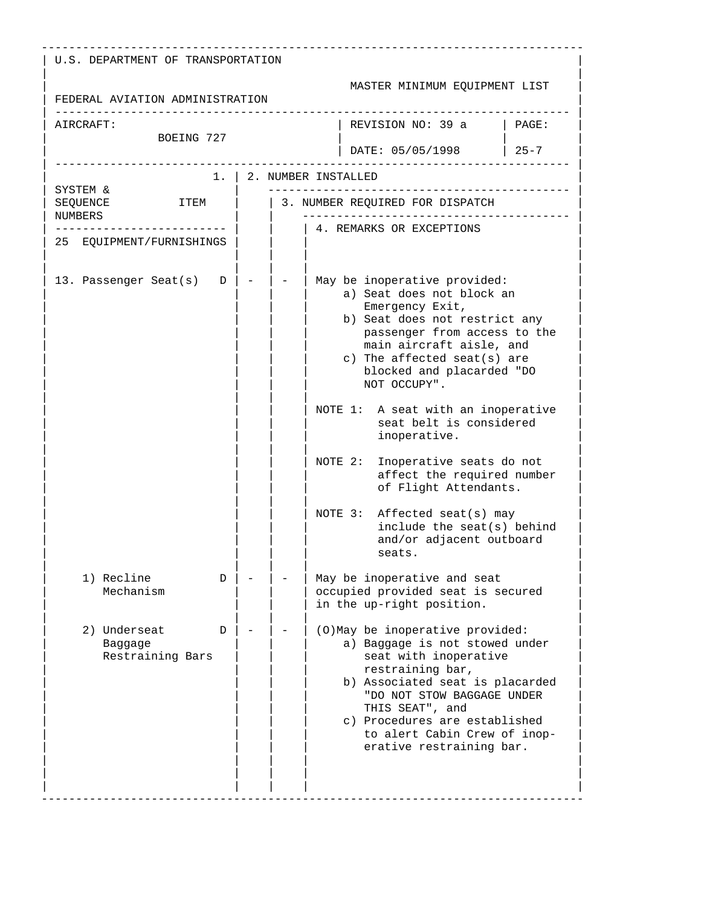| U.S. DEPARTMENT OF TRANSPORTATION                                |                                                             |                              |                                                                                                                                                                                                                                                                                                  |  |  |  |  |  |  |
|------------------------------------------------------------------|-------------------------------------------------------------|------------------------------|--------------------------------------------------------------------------------------------------------------------------------------------------------------------------------------------------------------------------------------------------------------------------------------------------|--|--|--|--|--|--|
| MASTER MINIMUM EQUIPMENT LIST<br>FEDERAL AVIATION ADMINISTRATION |                                                             |                              |                                                                                                                                                                                                                                                                                                  |  |  |  |  |  |  |
| AIRCRAFT:<br>BOEING 727                                          |                                                             | REVISION NO: 39 a<br>  PAGE: |                                                                                                                                                                                                                                                                                                  |  |  |  |  |  |  |
|                                                                  |                                                             |                              | DATE: 05/05/1998<br>$ 25 - 7 $                                                                                                                                                                                                                                                                   |  |  |  |  |  |  |
| SYSTEM &<br>SEQUENCE<br>ITEM                                     | 1.   2. NUMBER INSTALLED<br>3. NUMBER REQUIRED FOR DISPATCH |                              |                                                                                                                                                                                                                                                                                                  |  |  |  |  |  |  |
| NUMBERS                                                          | 4. REMARKS OR EXCEPTIONS                                    |                              |                                                                                                                                                                                                                                                                                                  |  |  |  |  |  |  |
| 25 EQUIPMENT/FURNISHINGS                                         |                                                             |                              |                                                                                                                                                                                                                                                                                                  |  |  |  |  |  |  |
| 13. Passenger Seat(s) $D$   -                                    |                                                             |                              | May be inoperative provided:<br>a) Seat does not block an<br>Emergency Exit,<br>b) Seat does not restrict any<br>passenger from access to the<br>main aircraft aisle, and<br>c) The affected seat(s) are<br>blocked and placarded "DO<br>NOT OCCUPY".                                            |  |  |  |  |  |  |
|                                                                  |                                                             |                              | NOTE 1: A seat with an inoperative<br>seat belt is considered<br>inoperative.                                                                                                                                                                                                                    |  |  |  |  |  |  |
|                                                                  |                                                             |                              | NOTE 2: Inoperative seats do not<br>affect the required number<br>of Flight Attendants.                                                                                                                                                                                                          |  |  |  |  |  |  |
|                                                                  |                                                             |                              | NOTE 3: Affected seat(s) may<br>include the seat(s) behind<br>and/or adjacent outboard<br>seats.                                                                                                                                                                                                 |  |  |  |  |  |  |
| 1) Recline<br>D<br>Mechanism                                     |                                                             |                              | May be inoperative and seat<br>occupied provided seat is secured<br>in the up-right position.                                                                                                                                                                                                    |  |  |  |  |  |  |
| 2) Underseat<br>D<br>Baggage<br>Restraining Bars                 |                                                             |                              | (O) May be inoperative provided:<br>a) Baggage is not stowed under<br>seat with inoperative<br>restraining bar,<br>b) Associated seat is placarded<br>"DO NOT STOW BAGGAGE UNDER<br>THIS SEAT", and<br>c) Procedures are established<br>to alert Cabin Crew of inop-<br>erative restraining bar. |  |  |  |  |  |  |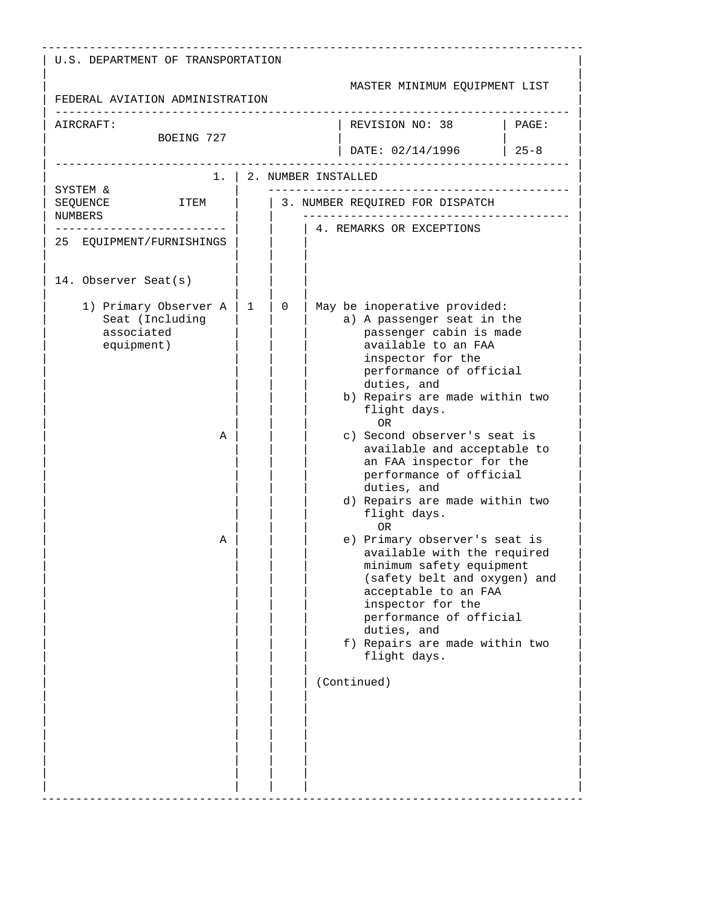| U.S. DEPARTMENT OF TRANSPORTATION                                         |   |                |                                                                                                                                                                                                                                                                                                                                                                                                                                                          |  |  |  |  |  |
|---------------------------------------------------------------------------|---|----------------|----------------------------------------------------------------------------------------------------------------------------------------------------------------------------------------------------------------------------------------------------------------------------------------------------------------------------------------------------------------------------------------------------------------------------------------------------------|--|--|--|--|--|
| MASTER MINIMUM EQUIPMENT LIST<br>FEDERAL AVIATION ADMINISTRATION          |   |                |                                                                                                                                                                                                                                                                                                                                                                                                                                                          |  |  |  |  |  |
| AIRCRAFT:<br>BOEING 727                                                   |   |                | REVISION NO: 38<br>PAGE:                                                                                                                                                                                                                                                                                                                                                                                                                                 |  |  |  |  |  |
|                                                                           |   |                | DATE: 02/14/1996<br>$ 25-8 $                                                                                                                                                                                                                                                                                                                                                                                                                             |  |  |  |  |  |
| SYSTEM &                                                                  |   |                | 1.   2. NUMBER INSTALLED                                                                                                                                                                                                                                                                                                                                                                                                                                 |  |  |  |  |  |
| SEQUENCE<br>ITEM<br>NUMBERS                                               |   |                | 3. NUMBER REQUIRED FOR DISPATCH                                                                                                                                                                                                                                                                                                                                                                                                                          |  |  |  |  |  |
| 25 EQUIPMENT/FURNISHINGS                                                  |   |                | 4. REMARKS OR EXCEPTIONS                                                                                                                                                                                                                                                                                                                                                                                                                                 |  |  |  |  |  |
| 14. Observer Seat(s)                                                      |   |                |                                                                                                                                                                                                                                                                                                                                                                                                                                                          |  |  |  |  |  |
| 1) Primary Observer A<br>Seat (Including<br>associated<br>equipment)<br>Α | 1 | $\overline{0}$ | May be inoperative provided:<br>a) A passenger seat in the<br>passenger cabin is made<br>available to an FAA<br>inspector for the<br>performance of official<br>duties, and<br>b) Repairs are made within two<br>flight days.<br>0 <sub>R</sub><br>c) Second observer's seat is<br>available and acceptable to<br>an FAA inspector for the<br>performance of official<br>duties, and<br>d) Repairs are made within two<br>flight days.<br>0 <sub>R</sub> |  |  |  |  |  |
| Α                                                                         |   |                | e) Primary observer's seat is<br>available with the required<br>minimum safety equipment<br>(safety belt and oxygen) and<br>acceptable to an FAA<br>inspector for the<br>performance of official<br>duties, and<br>f) Repairs are made within two<br>flight days.<br>(Continued)                                                                                                                                                                         |  |  |  |  |  |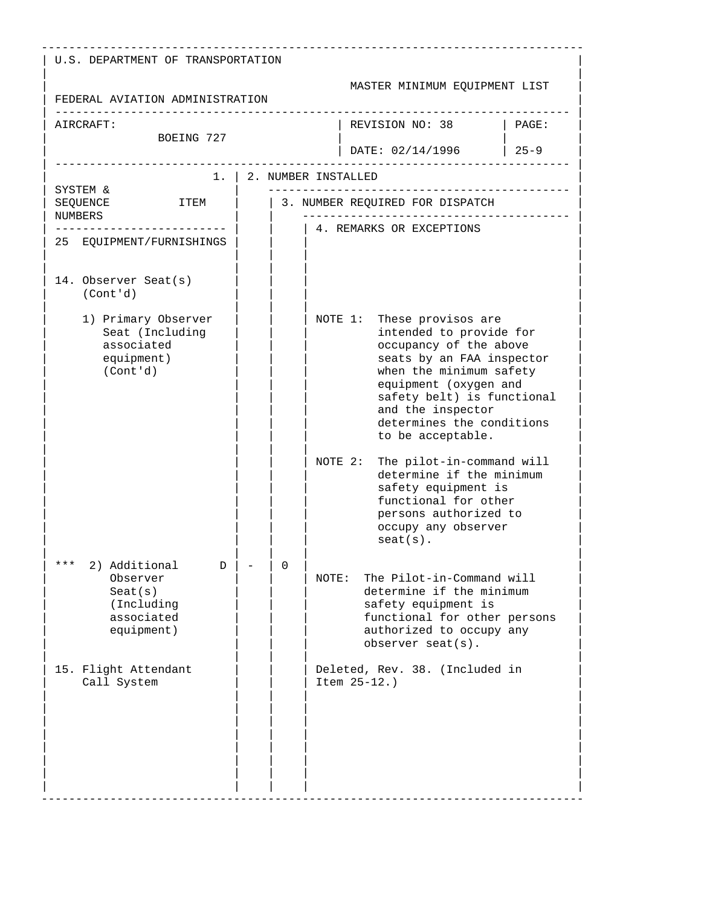| U.S. DEPARTMENT OF TRANSPORTATION                                                            |  |   |                          |                                                                                                                                                                                                                                                                       |  |  |  |  |  |
|----------------------------------------------------------------------------------------------|--|---|--------------------------|-----------------------------------------------------------------------------------------------------------------------------------------------------------------------------------------------------------------------------------------------------------------------|--|--|--|--|--|
| MASTER MINIMUM EQUIPMENT LIST<br>FEDERAL AVIATION ADMINISTRATION                             |  |   |                          |                                                                                                                                                                                                                                                                       |  |  |  |  |  |
| AIRCRAFT:<br>BOEING 727                                                                      |  |   | REVISION NO: 38          | $\mathtt{PAGE}$ :                                                                                                                                                                                                                                                     |  |  |  |  |  |
|                                                                                              |  |   |                          | DATE: 02/14/1996   25-9                                                                                                                                                                                                                                               |  |  |  |  |  |
| SYSTEM &                                                                                     |  |   | 1.   2. NUMBER INSTALLED |                                                                                                                                                                                                                                                                       |  |  |  |  |  |
| SEQUENCE<br>ITEM<br>NUMBERS                                                                  |  |   |                          | 3. NUMBER REQUIRED FOR DISPATCH                                                                                                                                                                                                                                       |  |  |  |  |  |
| 25 EQUIPMENT/FURNISHINGS                                                                     |  |   |                          | 4. REMARKS OR EXCEPTIONS                                                                                                                                                                                                                                              |  |  |  |  |  |
| 14. Observer Seat(s)<br>(Cont d)                                                             |  |   |                          |                                                                                                                                                                                                                                                                       |  |  |  |  |  |
| 1) Primary Observer<br>Seat (Including<br>associated<br>equipment)<br>(Cont d)               |  |   |                          | NOTE 1: These provisos are<br>intended to provide for<br>occupancy of the above<br>seats by an FAA inspector<br>when the minimum safety<br>equipment (oxygen and<br>safety belt) is functional<br>and the inspector<br>determines the conditions<br>to be acceptable. |  |  |  |  |  |
|                                                                                              |  |   | NOTE 2:                  | The pilot-in-command will<br>determine if the minimum<br>safety equipment is<br>functional for other<br>persons authorized to<br>occupy any observer<br>$seat(s)$ .                                                                                                   |  |  |  |  |  |
| $***$<br>2) Additional<br>D<br>Observer<br>Seat(s)<br>(Including<br>associated<br>equipment) |  | 0 | NOTE:                    | The Pilot-in-Command will<br>determine if the minimum<br>safety equipment is<br>functional for other persons<br>authorized to occupy any<br>$observation$ seat(s).                                                                                                    |  |  |  |  |  |
| 15. Flight Attendant<br>Call System                                                          |  |   | Item $25 - 12.$ )        | Deleted, Rev. 38. (Included in                                                                                                                                                                                                                                        |  |  |  |  |  |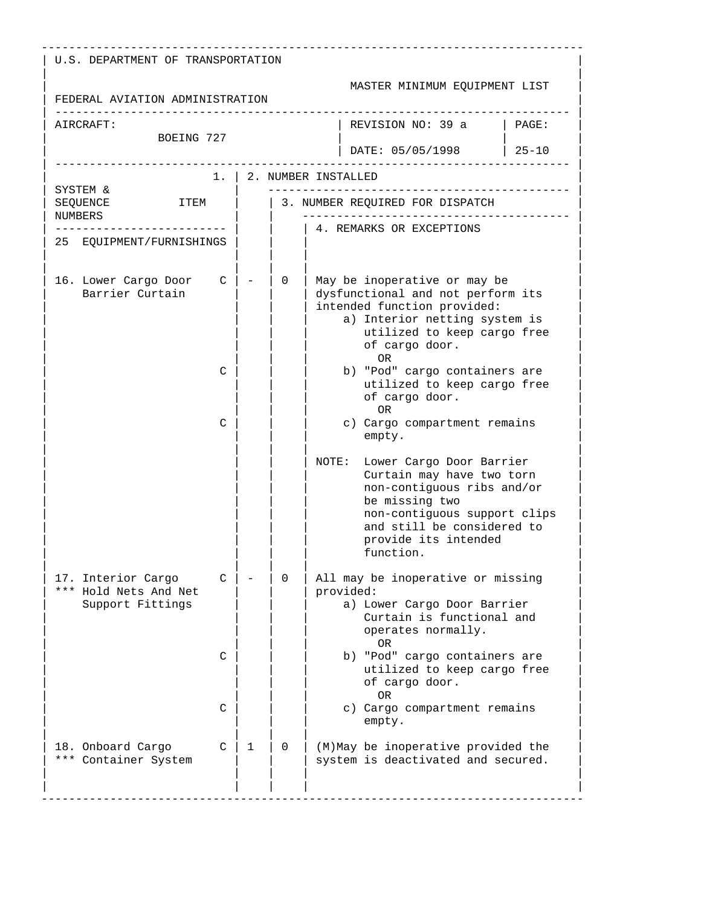| U.S. DEPARTMENT OF TRANSPORTATION                                    |            |                |                                                                                                                                                                                                                   |  |  |  |  |  |
|----------------------------------------------------------------------|------------|----------------|-------------------------------------------------------------------------------------------------------------------------------------------------------------------------------------------------------------------|--|--|--|--|--|
| MASTER MINIMUM EQUIPMENT LIST<br>FEDERAL AVIATION ADMINISTRATION     |            |                |                                                                                                                                                                                                                   |  |  |  |  |  |
| AIRCRAFT:<br>BOEING 727                                              |            |                | REVISION NO: 39 a<br>$\mathsf I$ PAGE:                                                                                                                                                                            |  |  |  |  |  |
|                                                                      |            |                | DATE: 05/05/1998<br>$125 - 10$                                                                                                                                                                                    |  |  |  |  |  |
| SYSTEM &                                                             |            |                | 1.   2. NUMBER INSTALLED                                                                                                                                                                                          |  |  |  |  |  |
| SEQUENCE<br>ITEM<br>NUMBERS                                          |            |                | 3. NUMBER REQUIRED FOR DISPATCH                                                                                                                                                                                   |  |  |  |  |  |
| 25 EQUIPMENT/FURNISHINGS                                             |            |                | 4. REMARKS OR EXCEPTIONS                                                                                                                                                                                          |  |  |  |  |  |
| 16. Lower Cargo Door C<br>Barrier Curtain                            | $\sim$ $-$ | $\overline{0}$ | May be inoperative or may be<br>dysfunctional and not perform its<br>intended function provided:<br>a) Interior netting system is<br>utilized to keep cargo free<br>of cargo door.<br>OR.                         |  |  |  |  |  |
| C                                                                    |            |                | b) "Pod" cargo containers are<br>utilized to keep cargo free<br>of cargo door.<br>0R                                                                                                                              |  |  |  |  |  |
| C                                                                    |            |                | c) Cargo compartment remains<br>empty.                                                                                                                                                                            |  |  |  |  |  |
|                                                                      |            |                | NOTE:<br>Lower Cargo Door Barrier<br>Curtain may have two torn<br>non-contiguous ribs and/or<br>be missing two<br>non-contiguous support clips<br>and still be considered to<br>provide its intended<br>function. |  |  |  |  |  |
| 17. Interior Cargo<br>C<br>*** Hold Nets And Net<br>Support Fittings |            | $\Omega$       | All may be inoperative or missing<br>provided:<br>a) Lower Cargo Door Barrier<br>Curtain is functional and<br>operates normally.<br>0R                                                                            |  |  |  |  |  |
| C                                                                    |            |                | b) "Pod" cargo containers are<br>utilized to keep cargo free<br>of cargo door.<br>OR.                                                                                                                             |  |  |  |  |  |
| C                                                                    |            |                | c) Cargo compartment remains<br>empty.                                                                                                                                                                            |  |  |  |  |  |
| 18. Onboard Cargo<br>C<br>*** Container System                       | 1          | 0              | (M) May be inoperative provided the<br>system is deactivated and secured.                                                                                                                                         |  |  |  |  |  |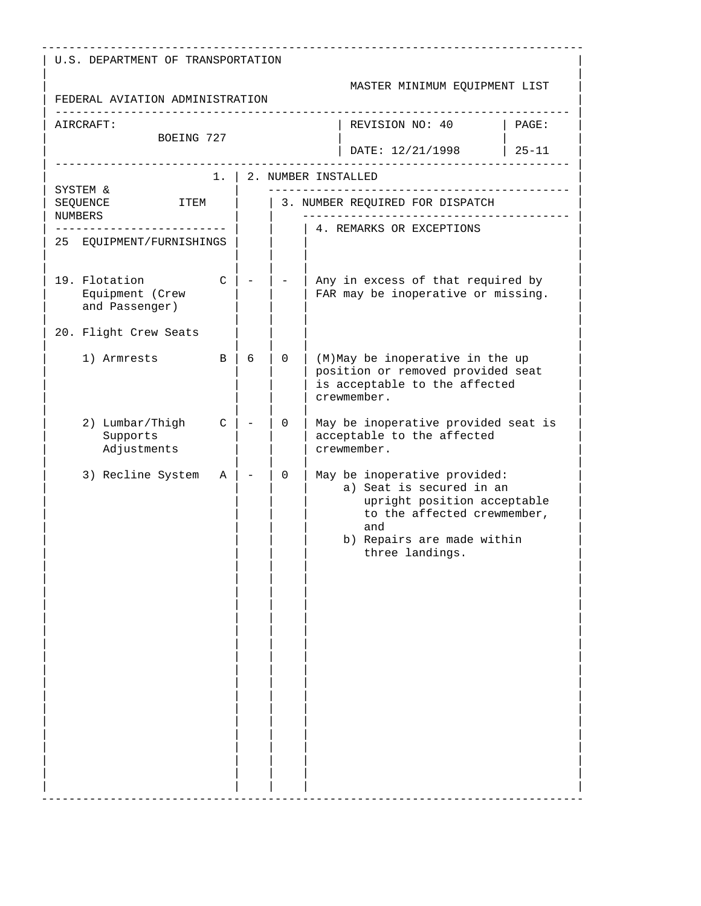| U.S. DEPARTMENT OF TRANSPORTATION                                |               |        |                        |                                                                                                                                                                                |                   |  |  |  |  |
|------------------------------------------------------------------|---------------|--------|------------------------|--------------------------------------------------------------------------------------------------------------------------------------------------------------------------------|-------------------|--|--|--|--|
| MASTER MINIMUM EQUIPMENT LIST<br>FEDERAL AVIATION ADMINISTRATION |               |        |                        |                                                                                                                                                                                |                   |  |  |  |  |
| AIRCRAFT:<br>BOEING 727                                          |               |        |                        | REVISION NO: 40                                                                                                                                                                | $\mathtt{PAGE}$ : |  |  |  |  |
|                                                                  |               |        |                        | DATE: 12/21/1998                                                                                                                                                               | $ 25 - 11 $       |  |  |  |  |
| SYSTEM &                                                         |               |        | 1. 2. NUMBER INSTALLED |                                                                                                                                                                                |                   |  |  |  |  |
| SEQUENCE<br>ITEM<br>NUMBERS                                      |               |        |                        | 3. NUMBER REQUIRED FOR DISPATCH                                                                                                                                                |                   |  |  |  |  |
| 25 EQUIPMENT/FURNISHINGS                                         |               |        |                        | 4. REMARKS OR EXCEPTIONS                                                                                                                                                       |                   |  |  |  |  |
| 19. Flotation<br>Equipment (Crew<br>and Passenger)               | $\mathcal{C}$ | $-$    |                        | Any in excess of that required by<br>FAR may be inoperative or missing.                                                                                                        |                   |  |  |  |  |
| 20. Flight Crew Seats                                            |               |        |                        |                                                                                                                                                                                |                   |  |  |  |  |
| 1) Armrests                                                      | $\mathbf{B}$  | 6      | $\mathbf 0$            | (M) May be inoperative in the up<br>position or removed provided seat<br>is acceptable to the affected<br>crewmember.                                                          |                   |  |  |  |  |
| 2) Lumbar/Thigh<br>Supports<br>Adjustments                       | $\mathsf{C}$  | $-$    | 0                      | May be inoperative provided seat is<br>acceptable to the affected<br>crewmember.                                                                                               |                   |  |  |  |  |
| 3) Recline System                                                | A             | $\sim$ | $\mathbf 0$            | May be inoperative provided:<br>a) Seat is secured in an<br>upright position acceptable<br>to the affected crewmember,<br>and<br>b) Repairs are made within<br>three landings. |                   |  |  |  |  |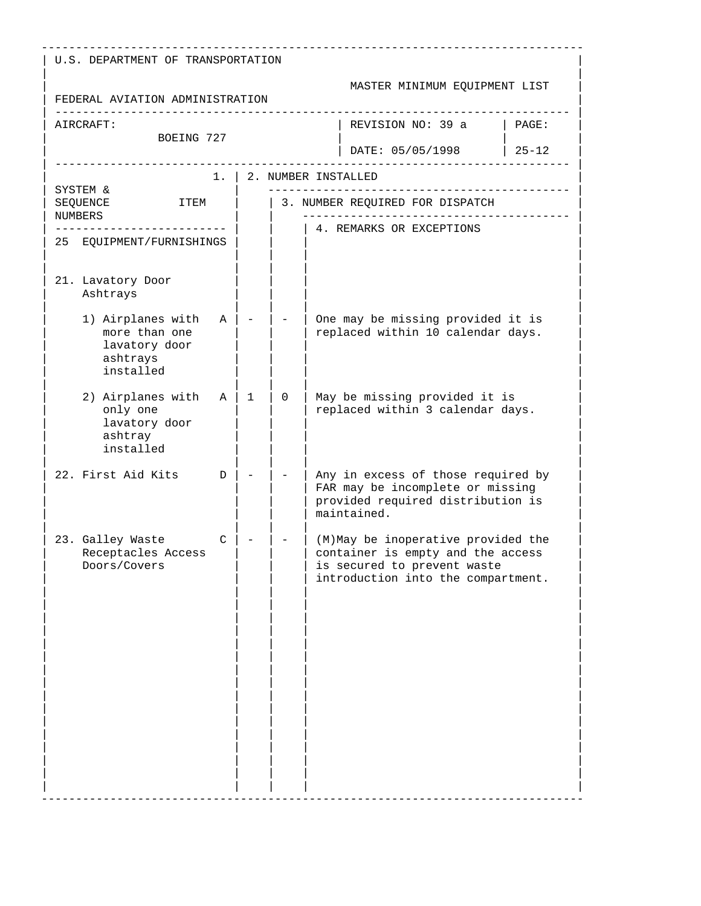| U.S. DEPARTMENT OF TRANSPORTATION                                                 |              |                          |                                                                                                                                               |  |  |  |  |  |  |
|-----------------------------------------------------------------------------------|--------------|--------------------------|-----------------------------------------------------------------------------------------------------------------------------------------------|--|--|--|--|--|--|
| MASTER MINIMUM EQUIPMENT LIST<br>FEDERAL AVIATION ADMINISTRATION                  |              |                          |                                                                                                                                               |  |  |  |  |  |  |
| AIRCRAFT:<br>BOEING 727                                                           |              |                          | REVISION NO: 39 a<br>$\mathtt{PAGE}$ :                                                                                                        |  |  |  |  |  |  |
|                                                                                   |              |                          | DATE: 05/05/1998<br>$ 25 - 12 $                                                                                                               |  |  |  |  |  |  |
| SYSTEM &                                                                          |              |                          | 1.   2. NUMBER INSTALLED                                                                                                                      |  |  |  |  |  |  |
| SEQUENCE<br>ITEM<br><b>NUMBERS</b>                                                |              |                          | 3. NUMBER REQUIRED FOR DISPATCH                                                                                                               |  |  |  |  |  |  |
| 25 EQUIPMENT/FURNISHINGS                                                          |              |                          | 4. REMARKS OR EXCEPTIONS                                                                                                                      |  |  |  |  |  |  |
| 21. Lavatory Door<br>Ashtrays                                                     |              |                          |                                                                                                                                               |  |  |  |  |  |  |
| 1) Airplanes with<br>A<br>more than one<br>lavatory door<br>ashtrays<br>installed |              | $\overline{\phantom{0}}$ | One may be missing provided it is<br>replaced within 10 calendar days.                                                                        |  |  |  |  |  |  |
| 2) Airplanes with A  <br>only one<br>lavatory door<br>ashtray<br>installed        | $\mathbf{1}$ | $\mathbf 0$              | May be missing provided it is<br>replaced within 3 calendar days.                                                                             |  |  |  |  |  |  |
| 22. First Aid Kits<br>D                                                           |              |                          | Any in excess of those required by<br>FAR may be incomplete or missing<br>provided required distribution is<br>maintained.                    |  |  |  |  |  |  |
| 23. Galley Waste<br>$\mathsf{C}$<br>Receptacles Access<br>Doors/Covers            |              |                          | (M) May be inoperative provided the<br>container is empty and the access<br>is secured to prevent waste<br>introduction into the compartment. |  |  |  |  |  |  |
|                                                                                   |              |                          |                                                                                                                                               |  |  |  |  |  |  |
|                                                                                   |              |                          |                                                                                                                                               |  |  |  |  |  |  |
|                                                                                   |              |                          |                                                                                                                                               |  |  |  |  |  |  |
|                                                                                   |              |                          |                                                                                                                                               |  |  |  |  |  |  |
|                                                                                   |              |                          |                                                                                                                                               |  |  |  |  |  |  |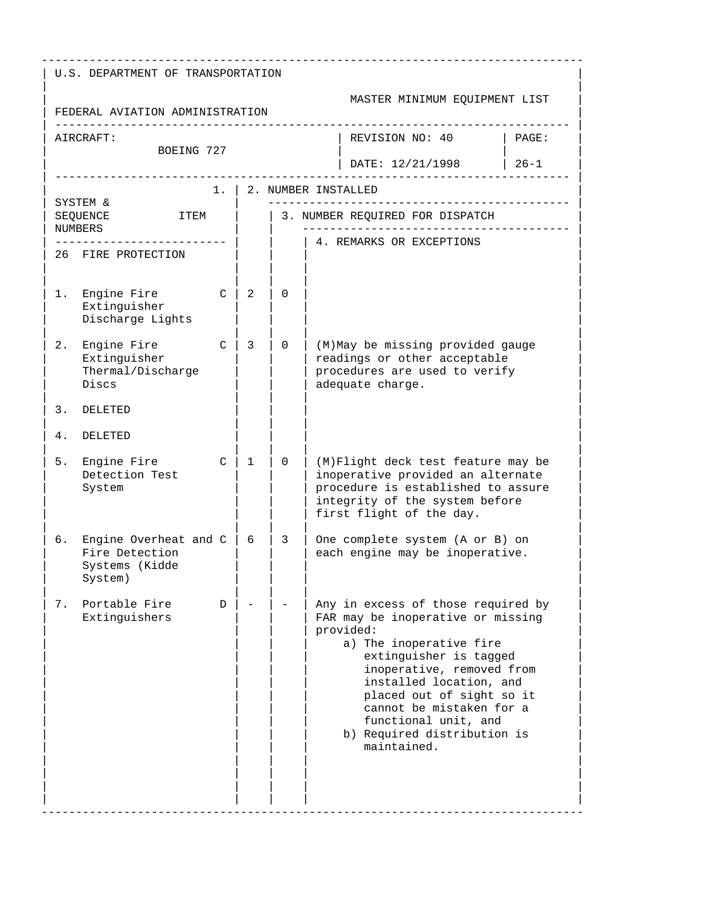| U.S. DEPARTMENT OF TRANSPORTATION<br>MASTER MINIMUM EQUIPMENT LIST<br>FEDERAL AVIATION ADMINISTRATION |               |                |          |                                                                                                                                                                                                                                                                                                                                  |  |  |  |  |
|-------------------------------------------------------------------------------------------------------|---------------|----------------|----------|----------------------------------------------------------------------------------------------------------------------------------------------------------------------------------------------------------------------------------------------------------------------------------------------------------------------------------|--|--|--|--|
| AIRCRAFT:<br>BOEING 727                                                                               |               |                |          | REVISION NO: 40<br>PAGE:                                                                                                                                                                                                                                                                                                         |  |  |  |  |
|                                                                                                       |               |                |          | DATE: 12/21/1998<br>$ 26-1 $                                                                                                                                                                                                                                                                                                     |  |  |  |  |
| <b>SYSTEM &amp;</b>                                                                                   |               |                |          | 1. 2. NUMBER INSTALLED                                                                                                                                                                                                                                                                                                           |  |  |  |  |
| SEQUENCE<br>ITEM                                                                                      |               |                |          | 3. NUMBER REQUIRED FOR DISPATCH                                                                                                                                                                                                                                                                                                  |  |  |  |  |
| <b>NUMBERS</b>                                                                                        |               |                |          | 4. REMARKS OR EXCEPTIONS                                                                                                                                                                                                                                                                                                         |  |  |  |  |
| 26 FIRE PROTECTION                                                                                    |               |                |          |                                                                                                                                                                                                                                                                                                                                  |  |  |  |  |
| Engine Fire<br>$1$ .<br>Extinguisher<br>Discharge Lights                                              | $\mathsf{C}$  | $\overline{2}$ | $\Omega$ |                                                                                                                                                                                                                                                                                                                                  |  |  |  |  |
| Engine Fire<br>2.<br>Extinguisher<br>Thermal/Discharge<br>Discs                                       | $\mathcal{C}$ | $\overline{3}$ | $\Omega$ | (M) May be missing provided gauge<br>readings or other acceptable<br>procedures are used to verify<br>adequate charge.                                                                                                                                                                                                           |  |  |  |  |
| 3.<br>DELETED                                                                                         |               |                |          |                                                                                                                                                                                                                                                                                                                                  |  |  |  |  |
| DELETED<br>4.                                                                                         |               |                |          |                                                                                                                                                                                                                                                                                                                                  |  |  |  |  |
| Engine Fire<br>5.<br>Detection Test<br>System                                                         | $\mathcal{C}$ | $\overline{1}$ | $\Omega$ | (M)Flight deck test feature may be<br>inoperative provided an alternate<br>procedure is established to assure<br>integrity of the system before<br>first flight of the day.                                                                                                                                                      |  |  |  |  |
| Engine Overheat and C<br>б.<br>Fire Detection<br>Systems (Kidde<br>System)                            |               | 6              | 3        | One complete system (A or B) on<br>each engine may be inoperative.                                                                                                                                                                                                                                                               |  |  |  |  |
| 7.<br>Portable Fire<br>Extinguishers                                                                  | D             |                |          | Any in excess of those required by<br>FAR may be inoperative or missing<br>provided:<br>a) The inoperative fire<br>extinguisher is tagged<br>inoperative, removed from<br>installed location, and<br>placed out of sight so it<br>cannot be mistaken for a<br>functional unit, and<br>b) Required distribution is<br>maintained. |  |  |  |  |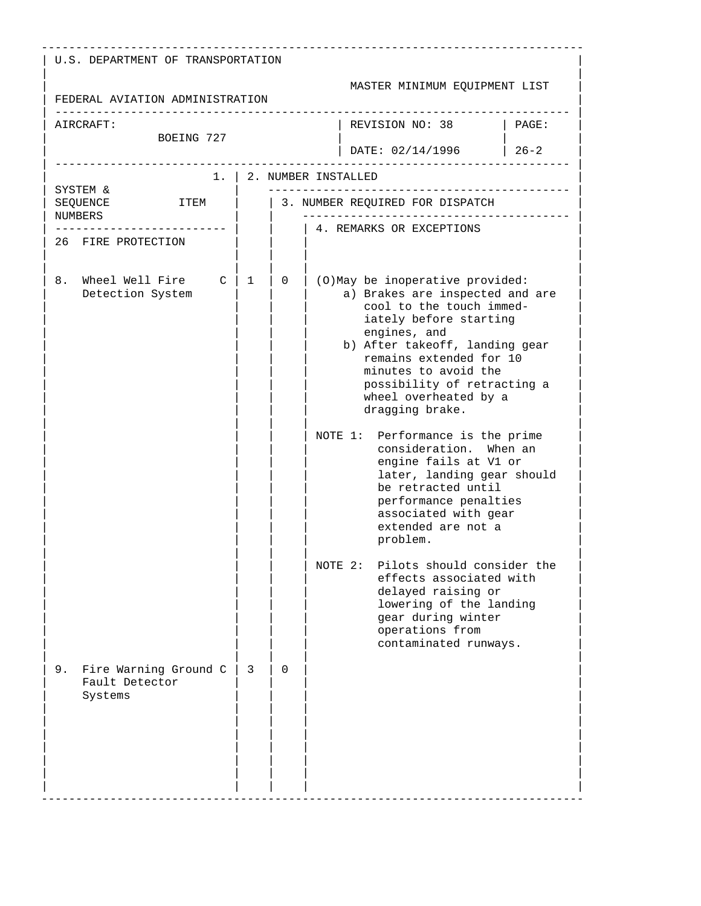|    | U.S. DEPARTMENT OF TRANSPORTATION                  |              |                          |                                                                                                                                                                                                                                                                                                           |  |  |  |  |  |
|----|----------------------------------------------------|--------------|--------------------------|-----------------------------------------------------------------------------------------------------------------------------------------------------------------------------------------------------------------------------------------------------------------------------------------------------------|--|--|--|--|--|
|    | FEDERAL AVIATION ADMINISTRATION                    |              |                          | MASTER MINIMUM EQUIPMENT LIST                                                                                                                                                                                                                                                                             |  |  |  |  |  |
|    | AIRCRAFT:<br>BOEING 727                            |              |                          | REVISION NO: 38<br>$\mathtt{PAGE}$ :                                                                                                                                                                                                                                                                      |  |  |  |  |  |
|    |                                                    |              |                          | DATE: 02/14/1996<br>$126 - 2$                                                                                                                                                                                                                                                                             |  |  |  |  |  |
|    | SYSTEM &                                           |              | 1.   2. NUMBER INSTALLED |                                                                                                                                                                                                                                                                                                           |  |  |  |  |  |
|    | SEQUENCE<br>ITEM<br>NUMBERS                        |              |                          | 3. NUMBER REQUIRED FOR DISPATCH                                                                                                                                                                                                                                                                           |  |  |  |  |  |
|    | 26 FIRE PROTECTION                                 |              |                          | 4. REMARKS OR EXCEPTIONS                                                                                                                                                                                                                                                                                  |  |  |  |  |  |
| 8. | Wheel Well Fire C<br>Detection System              | $\mathbf{1}$ | $\overline{0}$           | (0) May be inoperative provided:<br>a) Brakes are inspected and are<br>cool to the touch immed-<br>iately before starting<br>engines, and<br>b) After takeoff, landing gear<br>remains extended for 10<br>minutes to avoid the<br>possibility of retracting a<br>wheel overheated by a<br>dragging brake. |  |  |  |  |  |
|    |                                                    |              |                          | NOTE 1: Performance is the prime<br>consideration. When an<br>engine fails at V1 or<br>later, landing gear should<br>be retracted until<br>performance penalties<br>associated with gear<br>extended are not a<br>problem.                                                                                |  |  |  |  |  |
|    |                                                    |              |                          | Pilots should consider the<br>NOTE 2:<br>effects associated with<br>delayed raising or<br>lowering of the landing<br>gear during winter<br>operations from<br>contaminated runways.                                                                                                                       |  |  |  |  |  |
| 9. | Fire Warning Ground C<br>Fault Detector<br>Systems | 3            | $\Omega$                 |                                                                                                                                                                                                                                                                                                           |  |  |  |  |  |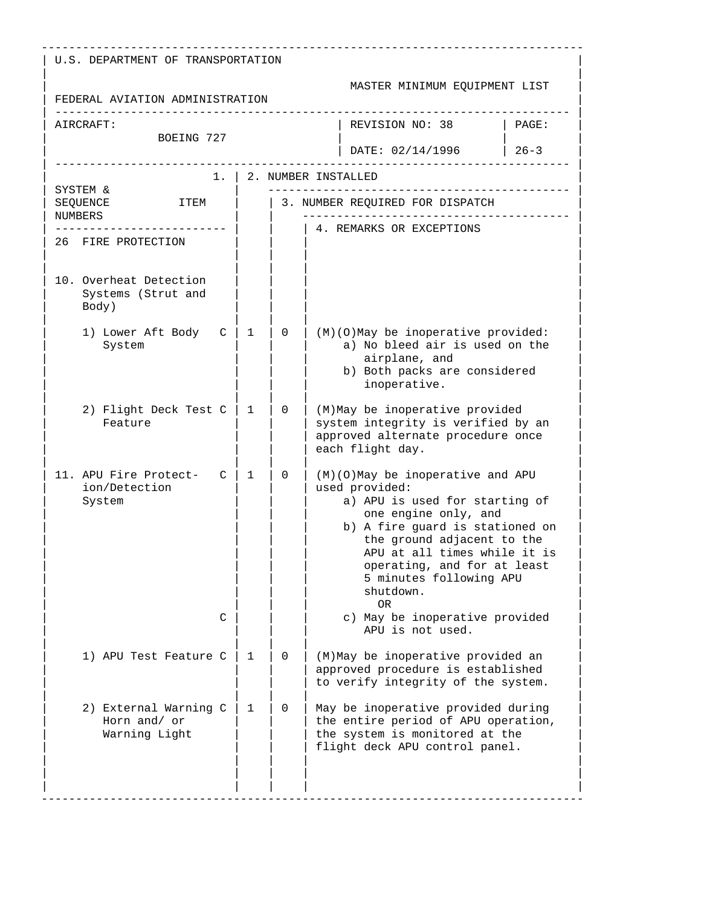| U.S. DEPARTMENT OF TRANSPORTATION                                |                          |                        |                                                                                                                                                                                                                                                                                             |  |  |  |  |  |
|------------------------------------------------------------------|--------------------------|------------------------|---------------------------------------------------------------------------------------------------------------------------------------------------------------------------------------------------------------------------------------------------------------------------------------------|--|--|--|--|--|
| MASTER MINIMUM EQUIPMENT LIST<br>FEDERAL AVIATION ADMINISTRATION |                          |                        |                                                                                                                                                                                                                                                                                             |  |  |  |  |  |
| AIRCRAFT:<br>BOEING 727                                          |                          |                        | REVISION NO: 38<br>PAGE:                                                                                                                                                                                                                                                                    |  |  |  |  |  |
|                                                                  |                          |                        | DATE: 02/14/1996<br>$\frac{1}{26-3}$                                                                                                                                                                                                                                                        |  |  |  |  |  |
| SYSTEM &                                                         |                          | 1. 2. NUMBER INSTALLED |                                                                                                                                                                                                                                                                                             |  |  |  |  |  |
| SEQUENCE<br>ITEM<br>NUMBERS                                      |                          |                        | 3. NUMBER REQUIRED FOR DISPATCH                                                                                                                                                                                                                                                             |  |  |  |  |  |
| 26 FIRE PROTECTION                                               | 4. REMARKS OR EXCEPTIONS |                        |                                                                                                                                                                                                                                                                                             |  |  |  |  |  |
| 10. Overheat Detection<br>Systems (Strut and<br>Body)            |                          |                        |                                                                                                                                                                                                                                                                                             |  |  |  |  |  |
| 1) Lower Aft Body C<br>System                                    | $\mathbf{1}$             | $\Omega$               | (M)(0) May be inoperative provided:<br>a) No bleed air is used on the<br>airplane, and<br>b) Both packs are considered<br>inoperative.                                                                                                                                                      |  |  |  |  |  |
| 2) Flight Deck Test C<br>Feature                                 | 1                        | 0                      | (M) May be inoperative provided<br>system integrity is verified by an<br>approved alternate procedure once<br>each flight day.                                                                                                                                                              |  |  |  |  |  |
| 11. APU Fire Protect- C<br>ion/Detection<br>System               | 1                        | $\Omega$               | (M)(O)May be inoperative and APU<br>used provided:<br>a) APU is used for starting of<br>one engine only, and<br>b) A fire guard is stationed on<br>the ground adjacent to the<br>APU at all times while it is<br>operating, and for at least<br>5 minutes following APU<br>shutdown.<br>OR. |  |  |  |  |  |
| C                                                                |                          |                        | c) May be inoperative provided<br>APU is not used.                                                                                                                                                                                                                                          |  |  |  |  |  |
| 1) APU Test Feature C                                            | 1                        | 0                      | (M) May be inoperative provided an<br>approved procedure is established<br>to verify integrity of the system.                                                                                                                                                                               |  |  |  |  |  |
| 2) External Warning C<br>Horn and/ or<br>Warning Light           | 1                        | 0                      | May be inoperative provided during<br>the entire period of APU operation,<br>the system is monitored at the<br>flight deck APU control panel.                                                                                                                                               |  |  |  |  |  |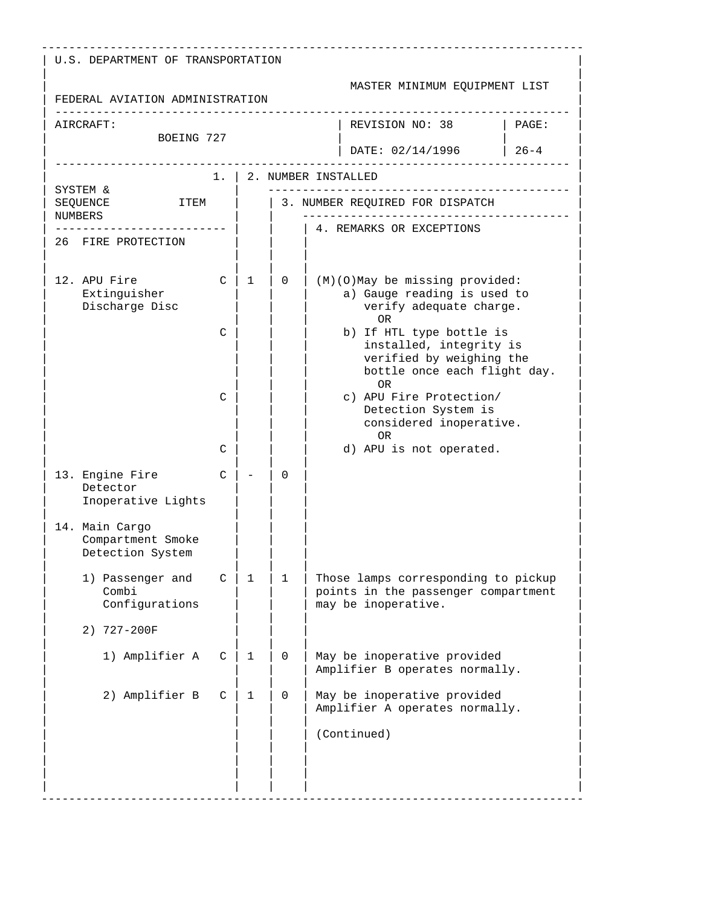| U.S. DEPARTMENT OF TRANSPORTATION<br>MASTER MINIMUM EQUIPMENT LIST |                                 |                          |                     |                                                                                                                       |                   |  |  |  |  |  |
|--------------------------------------------------------------------|---------------------------------|--------------------------|---------------------|-----------------------------------------------------------------------------------------------------------------------|-------------------|--|--|--|--|--|
|                                                                    | FEDERAL AVIATION ADMINISTRATION |                          |                     |                                                                                                                       |                   |  |  |  |  |  |
| AIRCRAFT:<br>BOEING 727                                            |                                 |                          |                     | REVISION NO: 38                                                                                                       | $\mathtt{PAGE}$ : |  |  |  |  |  |
|                                                                    |                                 |                          |                     | DATE: 02/14/1996                                                                                                      | $126 - 4$         |  |  |  |  |  |
| SYSTEM &                                                           |                                 | 1. 2. NUMBER INSTALLED   |                     |                                                                                                                       |                   |  |  |  |  |  |
| SEQUENCE<br>ITEM<br>NUMBERS                                        |                                 |                          |                     | 3. NUMBER REQUIRED FOR DISPATCH                                                                                       |                   |  |  |  |  |  |
| 26 FIRE PROTECTION                                                 |                                 | 4. REMARKS OR EXCEPTIONS |                     |                                                                                                                       |                   |  |  |  |  |  |
| 12. APU Fire<br>Extinguisher<br>Discharge Disc                     | $\mathcal{C}$                   | $\mathbf{1}$             | $\mathbf 0$         | (M)(O)May be missing provided:<br>a) Gauge reading is used to<br>verify adequate charge.<br>0 <sub>R</sub>            |                   |  |  |  |  |  |
|                                                                    | C                               |                          |                     | b) If HTL type bottle is<br>installed, integrity is<br>verified by weighing the<br>bottle once each flight day.<br>0R |                   |  |  |  |  |  |
|                                                                    | C                               |                          |                     | c) APU Fire Protection/<br>Detection System is<br>considered inoperative.<br>0 <sub>R</sub>                           |                   |  |  |  |  |  |
|                                                                    | $\mathcal{C}$                   |                          |                     | d) APU is not operated.                                                                                               |                   |  |  |  |  |  |
| 13. Engine Fire<br>Detector<br>Inoperative Lights                  | C                               |                          | $\Omega$            |                                                                                                                       |                   |  |  |  |  |  |
| 14. Main Cargo<br>Compartment Smoke<br>Detection System            |                                 |                          |                     |                                                                                                                       |                   |  |  |  |  |  |
| 1) Passenger and<br>Combi<br>Configurations                        | C                               | 1                        | $\mathbf 1$         | Those lamps corresponding to pickup<br>points in the passenger compartment<br>may be inoperative.                     |                   |  |  |  |  |  |
| 727-200F<br>2)                                                     |                                 |                          |                     |                                                                                                                       |                   |  |  |  |  |  |
| 1) Amplifier A                                                     | $\mathsf{C}$                    | $\mathbf{1}$             | $\mathbf 0$         | May be inoperative provided<br>Amplifier B operates normally.                                                         |                   |  |  |  |  |  |
| 2) Amplifier B                                                     | C                               | $\mathbf 1$              | $\mathsf{O}\xspace$ | May be inoperative provided<br>Amplifier A operates normally.                                                         |                   |  |  |  |  |  |
|                                                                    |                                 |                          |                     | (Continued)                                                                                                           |                   |  |  |  |  |  |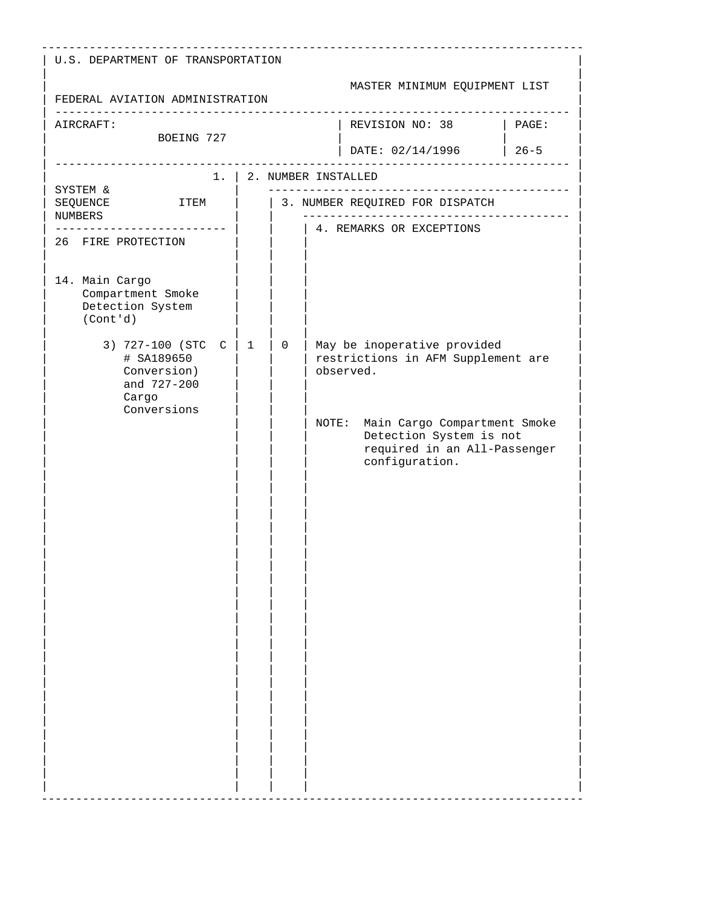| U.S. DEPARTMENT OF TRANSPORTATION<br>MASTER MINIMUM EQUIPMENT LIST                      |              |             |                                                                                                                    |  |  |  |  |  |
|-----------------------------------------------------------------------------------------|--------------|-------------|--------------------------------------------------------------------------------------------------------------------|--|--|--|--|--|
| FEDERAL AVIATION ADMINISTRATION                                                         |              |             |                                                                                                                    |  |  |  |  |  |
| AIRCRAFT:<br>BOEING 727                                                                 |              |             | REVISION NO: 38<br>$ $ PAGE:                                                                                       |  |  |  |  |  |
|                                                                                         |              |             | $\vert$ DATE: 02/14/1996 $\vert$ 26-5                                                                              |  |  |  |  |  |
| SYSTEM &                                                                                |              |             | 1. 2. NUMBER INSTALLED                                                                                             |  |  |  |  |  |
| SEQUENCE<br>ITEM<br>NUMBERS                                                             |              |             | 3. NUMBER REQUIRED FOR DISPATCH                                                                                    |  |  |  |  |  |
| 26 FIRE PROTECTION                                                                      |              |             | 4. REMARKS OR EXCEPTIONS                                                                                           |  |  |  |  |  |
| 14. Main Cargo<br>Compartment Smoke<br>Detection System<br>(Cont 'd)                    |              |             |                                                                                                                    |  |  |  |  |  |
| 3) 727-100 (STC C  <br># SA189650<br>Conversion)<br>and 727-200<br>Cargo<br>Conversions | $\mathbf{1}$ | $\mathbf 0$ | May be inoperative provided<br>restrictions in AFM Supplement are<br>observed.                                     |  |  |  |  |  |
|                                                                                         |              |             | Main Cargo Compartment Smoke<br>NOTE:<br>Detection System is not<br>required in an All-Passenger<br>configuration. |  |  |  |  |  |
|                                                                                         |              |             |                                                                                                                    |  |  |  |  |  |
|                                                                                         |              |             |                                                                                                                    |  |  |  |  |  |
|                                                                                         |              |             |                                                                                                                    |  |  |  |  |  |
|                                                                                         |              |             |                                                                                                                    |  |  |  |  |  |
|                                                                                         |              |             |                                                                                                                    |  |  |  |  |  |
|                                                                                         |              |             |                                                                                                                    |  |  |  |  |  |
|                                                                                         |              |             |                                                                                                                    |  |  |  |  |  |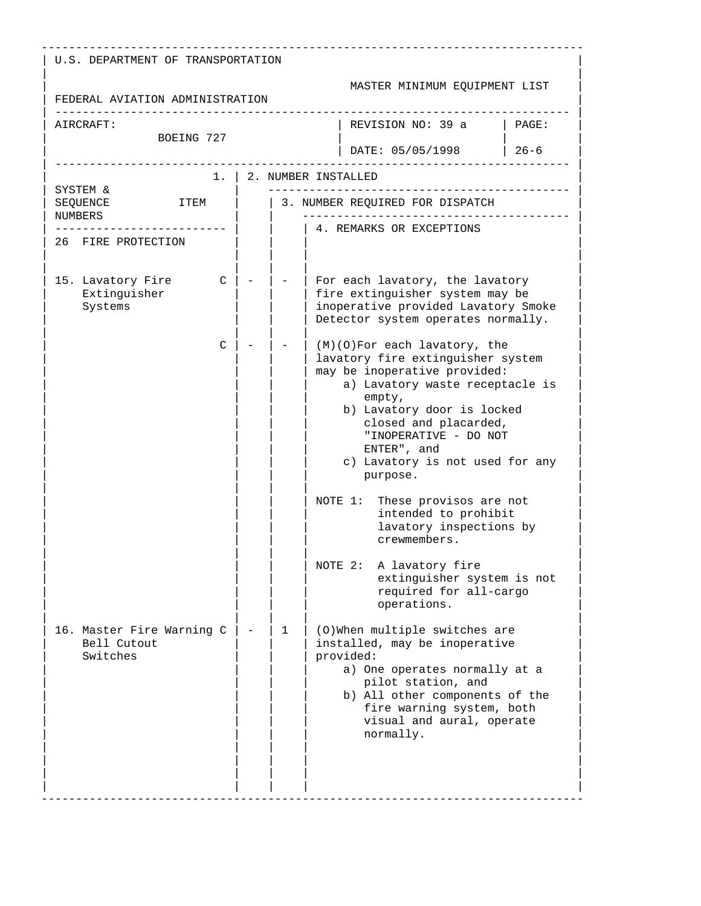| U.S. DEPARTMENT OF TRANSPORTATION                                |                          |              |                                                                                                                                                                                                                                                                                              |  |  |  |  |  |
|------------------------------------------------------------------|--------------------------|--------------|----------------------------------------------------------------------------------------------------------------------------------------------------------------------------------------------------------------------------------------------------------------------------------------------|--|--|--|--|--|
| MASTER MINIMUM EQUIPMENT LIST<br>FEDERAL AVIATION ADMINISTRATION |                          |              |                                                                                                                                                                                                                                                                                              |  |  |  |  |  |
| AIRCRAFT:<br>BOEING 727                                          |                          |              | REVISION NO: 39 a<br>PAGE:                                                                                                                                                                                                                                                                   |  |  |  |  |  |
|                                                                  |                          |              | DATE: 05/05/1998<br>$126-6$                                                                                                                                                                                                                                                                  |  |  |  |  |  |
| SYSTEM &<br>SEOUENCE<br>ITEM                                     |                          |              | 1.   2. NUMBER INSTALLED<br>3. NUMBER REQUIRED FOR DISPATCH                                                                                                                                                                                                                                  |  |  |  |  |  |
| NUMBERS<br>26 FIRE PROTECTION                                    | 4. REMARKS OR EXCEPTIONS |              |                                                                                                                                                                                                                                                                                              |  |  |  |  |  |
| 15. Lavatory Fire<br>$\mathsf{C}$<br>Extinguisher<br>Systems     |                          |              | For each lavatory, the lavatory<br>fire extinguisher system may be<br>inoperative provided Lavatory Smoke<br>Detector system operates normally.                                                                                                                                              |  |  |  |  |  |
| C                                                                |                          |              | (M)(O)For each lavatory, the<br>lavatory fire extinguisher system<br>may be inoperative provided:<br>a) Lavatory waste receptacle is<br>empty,<br>b) Lavatory door is locked<br>closed and placarded,<br>"INOPERATIVE - DO NOT<br>ENTER", and<br>c) Lavatory is not used for any<br>purpose. |  |  |  |  |  |
|                                                                  |                          |              | NOTE 1: These provisos are not<br>intended to prohibit<br>lavatory inspections by<br>crewmembers.<br>NOTE 2:<br>A lavatory fire<br>extinguisher system is not<br>required for all-cargo                                                                                                      |  |  |  |  |  |
| 16. Master Fire Warning C<br>Bell Cutout<br>Switches             |                          | $\mathbf{1}$ | operations.<br>(O) When multiple switches are<br>installed, may be inoperative<br>provided:<br>a) One operates normally at a<br>pilot station, and<br>b) All other components of the<br>fire warning system, both<br>visual and aural, operate<br>normally.                                  |  |  |  |  |  |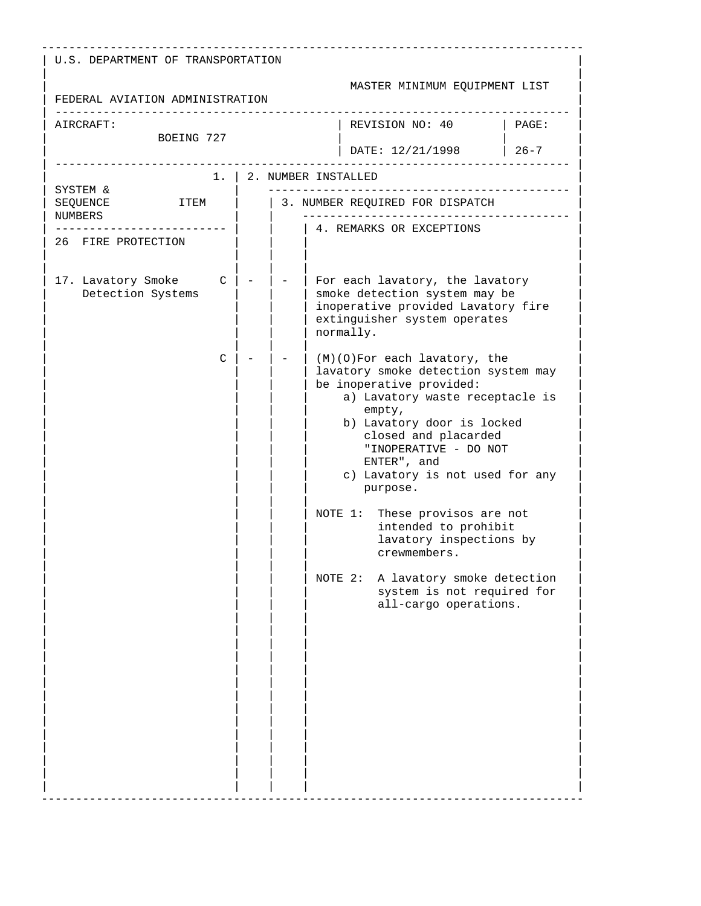| U.S. DEPARTMENT OF TRANSPORTATION<br>MASTER MINIMUM EQUIPMENT LIST |              |                                                                                                                                                                                                                                                                                                                                                                                |  |                                      |                                                                                                                                        |          |  |  |  |
|--------------------------------------------------------------------|--------------|--------------------------------------------------------------------------------------------------------------------------------------------------------------------------------------------------------------------------------------------------------------------------------------------------------------------------------------------------------------------------------|--|--------------------------------------|----------------------------------------------------------------------------------------------------------------------------------------|----------|--|--|--|
| FEDERAL AVIATION ADMINISTRATION                                    |              |                                                                                                                                                                                                                                                                                                                                                                                |  |                                      |                                                                                                                                        |          |  |  |  |
| AIRCRAFT:<br>BOEING 727                                            |              |                                                                                                                                                                                                                                                                                                                                                                                |  | REVISION NO: 40<br>$\mathtt{PAGE}$ : |                                                                                                                                        |          |  |  |  |
|                                                                    |              |                                                                                                                                                                                                                                                                                                                                                                                |  |                                      | DATE: 12/21/1998                                                                                                                       | $ 26-7 $ |  |  |  |
| SYSTEM &                                                           |              |                                                                                                                                                                                                                                                                                                                                                                                |  | 1.   2. NUMBER INSTALLED             |                                                                                                                                        |          |  |  |  |
| SEQUENCE<br>ITEM<br>NUMBERS                                        |              |                                                                                                                                                                                                                                                                                                                                                                                |  |                                      | 3. NUMBER REQUIRED FOR DISPATCH                                                                                                        |          |  |  |  |
| 26 FIRE PROTECTION                                                 |              |                                                                                                                                                                                                                                                                                                                                                                                |  |                                      | 4. REMARKS OR EXCEPTIONS                                                                                                               |          |  |  |  |
| 17. Lavatory Smoke<br>Detection Systems                            | $\mathbb{C}$ |                                                                                                                                                                                                                                                                                                                                                                                |  | normally.                            | For each lavatory, the lavatory<br>smoke detection system may be<br>inoperative provided Lavatory fire<br>extinguisher system operates |          |  |  |  |
|                                                                    | C            | (M)(O)For each lavatory, the<br>lavatory smoke detection system may<br>be inoperative provided:<br>a) Lavatory waste receptacle is<br>empty,<br>b) Lavatory door is locked<br>closed and placarded<br>"INOPERATIVE - DO NOT<br>ENTER", and<br>c) Lavatory is not used for any<br>purpose.<br>NOTE 1: These provisos are not<br>intended to prohibit<br>lavatory inspections by |  |                                      |                                                                                                                                        |          |  |  |  |
|                                                                    |              |                                                                                                                                                                                                                                                                                                                                                                                |  | NOTE 2:                              | crewmembers.<br>A lavatory smoke detection<br>system is not required for<br>all-cargo operations.                                      |          |  |  |  |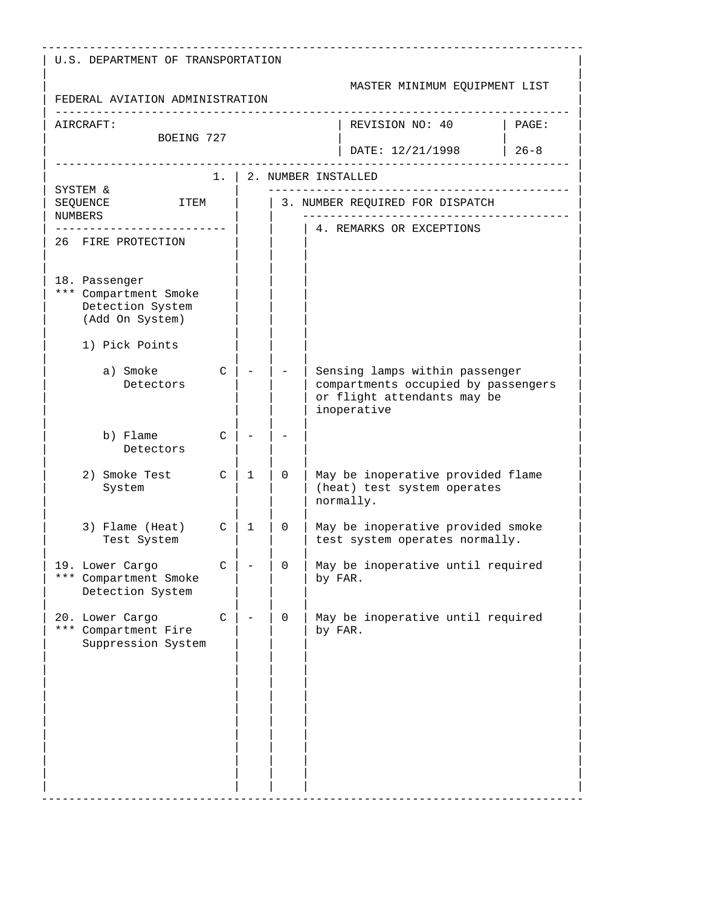| U.S. DEPARTMENT OF TRANSPORTATION                                             |                |                        |                     |                                                                                                                     |  |  |  |  |  |
|-------------------------------------------------------------------------------|----------------|------------------------|---------------------|---------------------------------------------------------------------------------------------------------------------|--|--|--|--|--|
| MASTER MINIMUM EQUIPMENT LIST<br>FEDERAL AVIATION ADMINISTRATION              |                |                        |                     |                                                                                                                     |  |  |  |  |  |
| AIRCRAFT:<br>BOEING 727                                                       |                |                        |                     | REVISION NO: 40<br>PAGE:                                                                                            |  |  |  |  |  |
|                                                                               |                |                        |                     | DATE: 12/21/1998<br>$ 26-8 $                                                                                        |  |  |  |  |  |
| SYSTEM &                                                                      |                | 1. 2. NUMBER INSTALLED |                     |                                                                                                                     |  |  |  |  |  |
| SEQUENCE<br>ITEM<br><b>NUMBERS</b>                                            |                |                        |                     | 3. NUMBER REQUIRED FOR DISPATCH                                                                                     |  |  |  |  |  |
| 26 FIRE PROTECTION                                                            |                |                        |                     | 4. REMARKS OR EXCEPTIONS                                                                                            |  |  |  |  |  |
| 18. Passenger<br>*** Compartment Smoke<br>Detection System<br>(Add On System) |                |                        |                     |                                                                                                                     |  |  |  |  |  |
| 1) Pick Points                                                                |                |                        |                     |                                                                                                                     |  |  |  |  |  |
| a) Smoke<br>Detectors                                                         | $\mathsf{C}$   |                        |                     | Sensing lamps within passenger<br>compartments occupied by passengers<br>or flight attendants may be<br>inoperative |  |  |  |  |  |
| b) Flame<br>Detectors                                                         | $\mathsf{C}^-$ |                        |                     |                                                                                                                     |  |  |  |  |  |
| 2) Smoke Test<br>System                                                       | $\mathcal{C}$  | 1                      | $\Omega$            | May be inoperative provided flame<br>(heat) test system operates<br>normally.                                       |  |  |  |  |  |
| 3) Flame (Heat)<br>Test System                                                | $\mathcal{C}$  | $\mathbf{1}$           | 0                   | May be inoperative provided smoke<br>test system operates normally.                                                 |  |  |  |  |  |
| 19. Lower Cargo<br>*** Compartment Smoke<br>Detection System                  | C              |                        | $\mathsf 0$         | May be inoperative until required<br>by FAR.                                                                        |  |  |  |  |  |
| 20. Lower Cargo<br>*** Compartment Fire<br>Suppression System                 | $\mathsf{C}$   |                        | $\mathsf{O}\xspace$ | May be inoperative until required<br>by FAR.                                                                        |  |  |  |  |  |
|                                                                               |                |                        |                     |                                                                                                                     |  |  |  |  |  |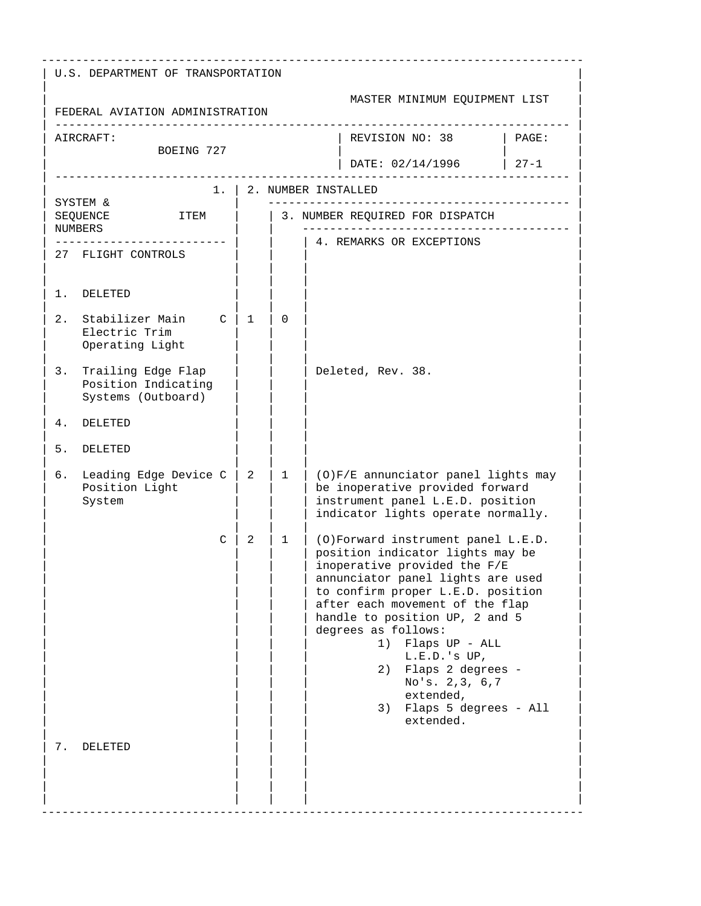| U.S. DEPARTMENT OF TRANSPORTATION                                           |                |              |                                                                                                                                                                                                                                                                                                                                                                                                                           |          |  |  |  |  |
|-----------------------------------------------------------------------------|----------------|--------------|---------------------------------------------------------------------------------------------------------------------------------------------------------------------------------------------------------------------------------------------------------------------------------------------------------------------------------------------------------------------------------------------------------------------------|----------|--|--|--|--|
| MASTER MINIMUM EQUIPMENT LIST<br>FEDERAL AVIATION ADMINISTRATION            |                |              |                                                                                                                                                                                                                                                                                                                                                                                                                           |          |  |  |  |  |
| AIRCRAFT:<br>BOEING 727                                                     |                |              | REVISION NO: 38                                                                                                                                                                                                                                                                                                                                                                                                           | PAGE:    |  |  |  |  |
|                                                                             |                |              | DATE: 02/14/1996                                                                                                                                                                                                                                                                                                                                                                                                          | $ 27-1 $ |  |  |  |  |
| SYSTEM &                                                                    |                |              | 1. 2. NUMBER INSTALLED                                                                                                                                                                                                                                                                                                                                                                                                    |          |  |  |  |  |
| SEQUENCE<br>ITEM<br><b>NUMBERS</b>                                          |                |              | 3. NUMBER REQUIRED FOR DISPATCH                                                                                                                                                                                                                                                                                                                                                                                           |          |  |  |  |  |
| 27 FLIGHT CONTROLS                                                          |                |              | 4. REMARKS OR EXCEPTIONS                                                                                                                                                                                                                                                                                                                                                                                                  |          |  |  |  |  |
| $1$ .<br>DELETED                                                            |                |              |                                                                                                                                                                                                                                                                                                                                                                                                                           |          |  |  |  |  |
| Stabilizer Main<br>2.<br>$\overline{C}$<br>Electric Trim<br>Operating Light | $\overline{1}$ | $\Omega$     |                                                                                                                                                                                                                                                                                                                                                                                                                           |          |  |  |  |  |
| Trailing Edge Flap<br>3.<br>Position Indicating<br>Systems (Outboard)       |                |              | Deleted, Rev. 38.                                                                                                                                                                                                                                                                                                                                                                                                         |          |  |  |  |  |
| 4.<br>DELETED                                                               |                |              |                                                                                                                                                                                                                                                                                                                                                                                                                           |          |  |  |  |  |
| DELETED<br>5.                                                               |                |              |                                                                                                                                                                                                                                                                                                                                                                                                                           |          |  |  |  |  |
| Leading Edge Device C<br>б.<br>Position Light<br>System                     | 2              | $\mathbf{1}$ | (O)F/E annunciator panel lights may<br>be inoperative provided forward<br>instrument panel L.E.D. position<br>indicator lights operate normally.                                                                                                                                                                                                                                                                          |          |  |  |  |  |
| C                                                                           | 2              | $\mathbf{1}$ | (O)Forward instrument panel L.E.D.<br>position indicator lights may be<br>inoperative provided the F/E<br>annunciator panel lights are used<br>to confirm proper L.E.D. position<br>after each movement of the flap<br>handle to position UP, 2 and 5<br>degrees as follows:<br>1) Flaps UP - ALL<br>L.E.D.'s UP,<br>2)<br>Flaps 2 degrees -<br>No's. 2, 3, 6, 7<br>extended,<br>Flaps 5 degrees - All<br>3)<br>extended. |          |  |  |  |  |
| 7.<br>DELETED                                                               |                |              |                                                                                                                                                                                                                                                                                                                                                                                                                           |          |  |  |  |  |
|                                                                             |                |              |                                                                                                                                                                                                                                                                                                                                                                                                                           |          |  |  |  |  |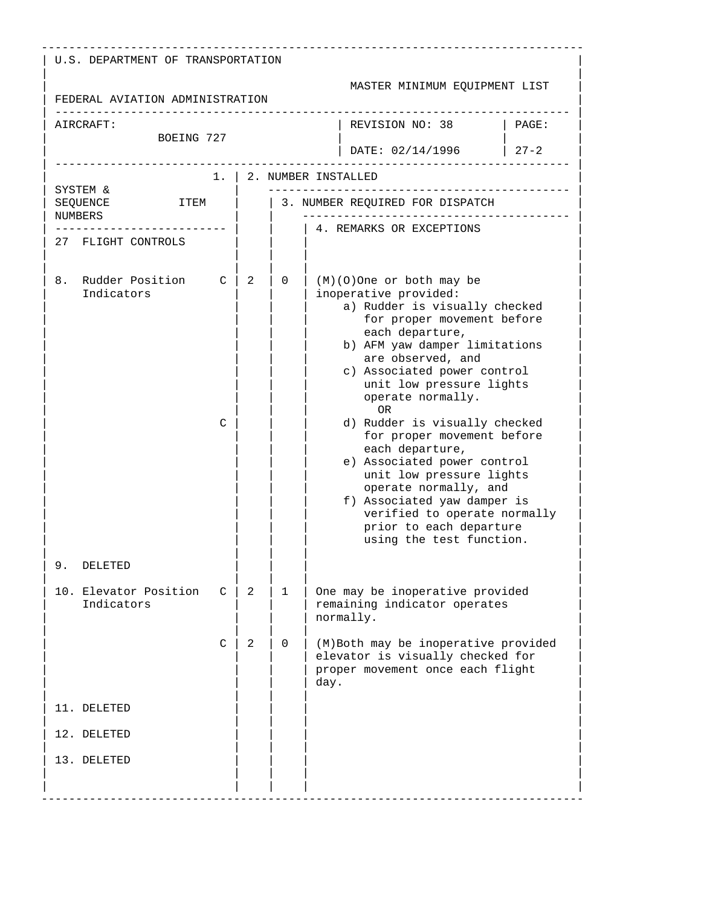|    | U.S. DEPARTMENT OF TRANSPORTATION   |                     |                |                          |                                                                                                                                                                                                                                                                                                                              |                   |  |  |  |  |  |
|----|-------------------------------------|---------------------|----------------|--------------------------|------------------------------------------------------------------------------------------------------------------------------------------------------------------------------------------------------------------------------------------------------------------------------------------------------------------------------|-------------------|--|--|--|--|--|
|    | FEDERAL AVIATION ADMINISTRATION     |                     |                |                          | MASTER MINIMUM EQUIPMENT LIST                                                                                                                                                                                                                                                                                                |                   |  |  |  |  |  |
|    | AIRCRAFT:<br>BOEING 727             |                     |                |                          | REVISION NO: 38                                                                                                                                                                                                                                                                                                              | $\mathtt{PAGE}$ : |  |  |  |  |  |
|    |                                     |                     |                |                          | DATE: 02/14/1996                                                                                                                                                                                                                                                                                                             | $ 27-2 $          |  |  |  |  |  |
|    | SYSTEM &                            |                     |                | 1.   2. NUMBER INSTALLED |                                                                                                                                                                                                                                                                                                                              |                   |  |  |  |  |  |
|    | SEQUENCE<br>ITEM<br>NUMBERS         |                     |                |                          | 3. NUMBER REQUIRED FOR DISPATCH                                                                                                                                                                                                                                                                                              |                   |  |  |  |  |  |
|    | 27 FLIGHT CONTROLS                  |                     |                |                          | 4. REMARKS OR EXCEPTIONS                                                                                                                                                                                                                                                                                                     |                   |  |  |  |  |  |
| 8. | Rudder Position<br>Indicators       | $\overline{C}$<br>C | $\overline{2}$ | $\mathbf 0$              | (M)(0)One or both may be<br>inoperative provided:<br>a) Rudder is visually checked<br>for proper movement before<br>each departure,<br>b) AFM yaw damper limitations<br>are observed, and<br>c) Associated power control<br>unit low pressure lights<br>operate normally.<br>0 <sub>R</sub><br>d) Rudder is visually checked |                   |  |  |  |  |  |
|    |                                     |                     |                |                          | for proper movement before<br>each departure,<br>e) Associated power control<br>unit low pressure lights<br>operate normally, and<br>f) Associated yaw damper is<br>verified to operate normally<br>prior to each departure<br>using the test function.                                                                      |                   |  |  |  |  |  |
| 9. | DELETED                             |                     |                |                          |                                                                                                                                                                                                                                                                                                                              |                   |  |  |  |  |  |
|    | 10. Elevator Position<br>Indicators | $\mathsf{C}$        | 2              | $\mathbf{1}$             | One may be inoperative provided<br>remaining indicator operates<br>normally.                                                                                                                                                                                                                                                 |                   |  |  |  |  |  |
|    |                                     | C                   | 2              | $\mathbf 0$              | (M)Both may be inoperative provided<br>elevator is visually checked for<br>proper movement once each flight<br>day.                                                                                                                                                                                                          |                   |  |  |  |  |  |
|    | 11. DELETED                         |                     |                |                          |                                                                                                                                                                                                                                                                                                                              |                   |  |  |  |  |  |
|    | 12. DELETED                         |                     |                |                          |                                                                                                                                                                                                                                                                                                                              |                   |  |  |  |  |  |
|    | 13. DELETED                         |                     |                |                          |                                                                                                                                                                                                                                                                                                                              |                   |  |  |  |  |  |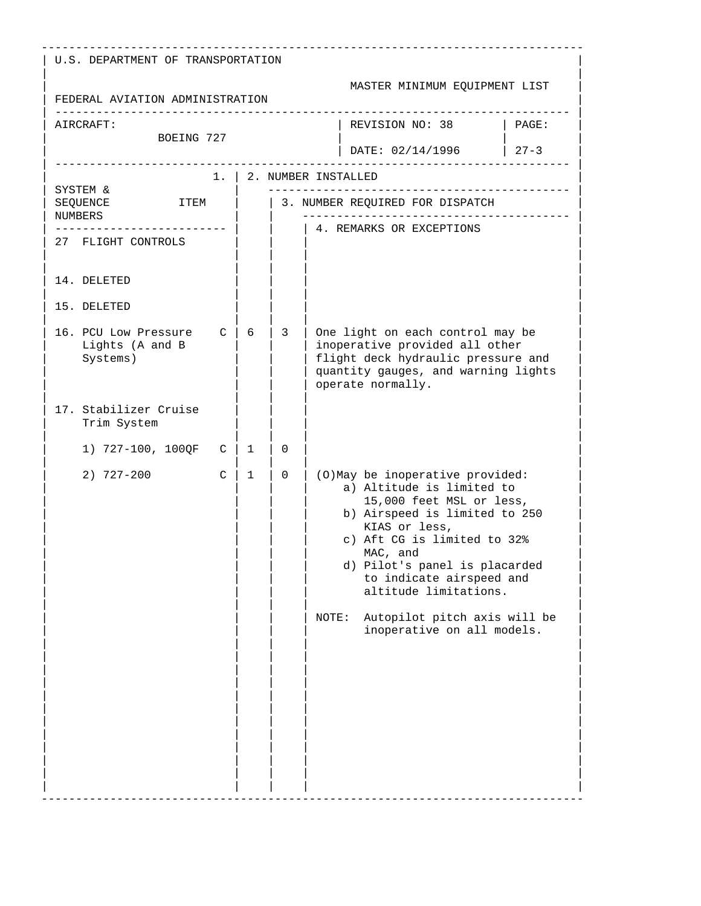| U.S. DEPARTMENT OF TRANSPORTATION<br>MASTER MINIMUM EQUIPMENT LIST |     |             |                                                                                                                                                                                                                                                                                                                                                     |  |  |  |
|--------------------------------------------------------------------|-----|-------------|-----------------------------------------------------------------------------------------------------------------------------------------------------------------------------------------------------------------------------------------------------------------------------------------------------------------------------------------------------|--|--|--|
| FEDERAL AVIATION ADMINISTRATION                                    |     |             |                                                                                                                                                                                                                                                                                                                                                     |  |  |  |
| AIRCRAFT:<br>BOEING 727                                            |     |             | REVISION NO: 38<br>$ $ PAGE:                                                                                                                                                                                                                                                                                                                        |  |  |  |
|                                                                    |     |             | DATE: 02/14/1996   27-3                                                                                                                                                                                                                                                                                                                             |  |  |  |
| SYSTEM &                                                           |     |             | 1. 2. NUMBER INSTALLED                                                                                                                                                                                                                                                                                                                              |  |  |  |
| SEQUENCE<br>ITEM<br>NUMBERS                                        |     |             | 3. NUMBER REQUIRED FOR DISPATCH                                                                                                                                                                                                                                                                                                                     |  |  |  |
| 27 FLIGHT CONTROLS                                                 |     |             | 4. REMARKS OR EXCEPTIONS                                                                                                                                                                                                                                                                                                                            |  |  |  |
|                                                                    |     |             |                                                                                                                                                                                                                                                                                                                                                     |  |  |  |
| 14. DELETED                                                        |     |             |                                                                                                                                                                                                                                                                                                                                                     |  |  |  |
| 15. DELETED                                                        |     |             |                                                                                                                                                                                                                                                                                                                                                     |  |  |  |
| 16. PCU Low Pressure C<br>Lights (A and B<br>Systems)              | - 6 | 3           | One light on each control may be<br>inoperative provided all other<br>flight deck hydraulic pressure and<br>quantity gauges, and warning lights<br>operate normally.                                                                                                                                                                                |  |  |  |
| 17. Stabilizer Cruise<br>Trim System                               |     |             |                                                                                                                                                                                                                                                                                                                                                     |  |  |  |
| 1) 727-100, 100QF C                                                | 1   | $\Omega$    |                                                                                                                                                                                                                                                                                                                                                     |  |  |  |
| $2) 727 - 200$<br>$\mathcal{C}$                                    | 1   | $\mathbf 0$ | (0) May be inoperative provided:<br>a) Altitude is limited to<br>15,000 feet MSL or less,<br>b) Airspeed is limited to 250<br>KIAS or less,<br>c) Aft CG is limited to 32%<br>MAC, and<br>d) Pilot's panel is placarded<br>to indicate airspeed and<br>altitude limitations.<br>Autopilot pitch axis will be<br>NOTE:<br>inoperative on all models. |  |  |  |
|                                                                    |     |             |                                                                                                                                                                                                                                                                                                                                                     |  |  |  |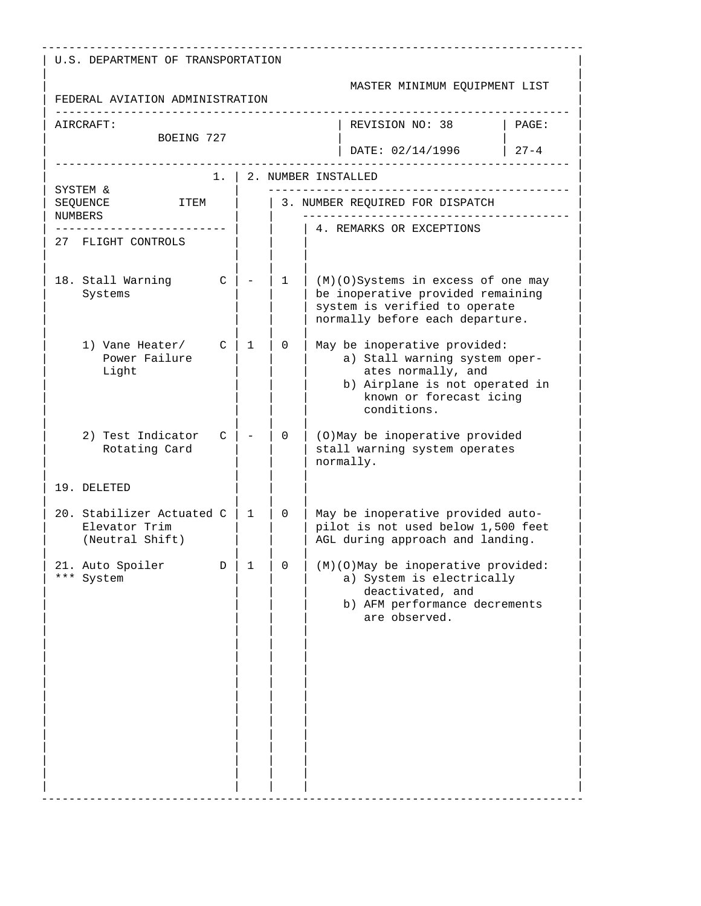| U.S. DEPARTMENT OF TRANSPORTATION<br>MASTER MINIMUM EQUIPMENT LIST |                |              |                                                                                                                                                                 |  |  |  |
|--------------------------------------------------------------------|----------------|--------------|-----------------------------------------------------------------------------------------------------------------------------------------------------------------|--|--|--|
| FEDERAL AVIATION ADMINISTRATION                                    |                |              |                                                                                                                                                                 |  |  |  |
| AIRCRAFT:<br>BOEING 727                                            |                |              | REVISION NO: 38<br>PAGE:                                                                                                                                        |  |  |  |
|                                                                    |                |              | DATE: 02/14/1996<br>$127-4$                                                                                                                                     |  |  |  |
| <b>SYSTEM &amp;</b>                                                |                |              | 1. 2. NUMBER INSTALLED                                                                                                                                          |  |  |  |
| SEQUENCE<br>ITEM<br>NUMBERS                                        |                |              | 3. NUMBER REQUIRED FOR DISPATCH                                                                                                                                 |  |  |  |
|                                                                    |                |              | 4. REMARKS OR EXCEPTIONS                                                                                                                                        |  |  |  |
| 27 FLIGHT CONTROLS                                                 |                |              |                                                                                                                                                                 |  |  |  |
| 18. Stall Warning<br>$\mathcal{C}$<br>Systems                      | $-$            | $\mathbf{1}$ | (M)(0)Systems in excess of one may<br>be inoperative provided remaining<br>system is verified to operate<br>normally before each departure.                     |  |  |  |
| 1) Vane Heater/<br>$\mathcal{C}$<br>Power Failure<br>Light         | $\mathbf{1}$   | $\Omega$     | May be inoperative provided:<br>a) Stall warning system oper-<br>ates normally, and<br>b) Airplane is not operated in<br>known or forecast icing<br>conditions. |  |  |  |
| 2) Test Indicator<br>$\mathcal{C}$<br>Rotating Card                | $\overline{a}$ | $\Omega$     | (0) May be inoperative provided<br>stall warning system operates<br>normally.                                                                                   |  |  |  |
| 19. DELETED                                                        |                |              |                                                                                                                                                                 |  |  |  |
| 20. Stabilizer Actuated C<br>Elevator Trim<br>(Neutral Shift)      | $\mathbf{1}$   | $\Omega$     | May be inoperative provided auto-<br>pilot is not used below 1,500 feet<br>AGL during approach and landing.                                                     |  |  |  |
| 21. Auto Spoiler<br>D<br>*** System                                | 1              | 0            | (M)(O)May be inoperative provided:<br>a) System is electrically<br>deactivated, and<br>b) AFM performance decrements<br>are observed.                           |  |  |  |
|                                                                    |                |              |                                                                                                                                                                 |  |  |  |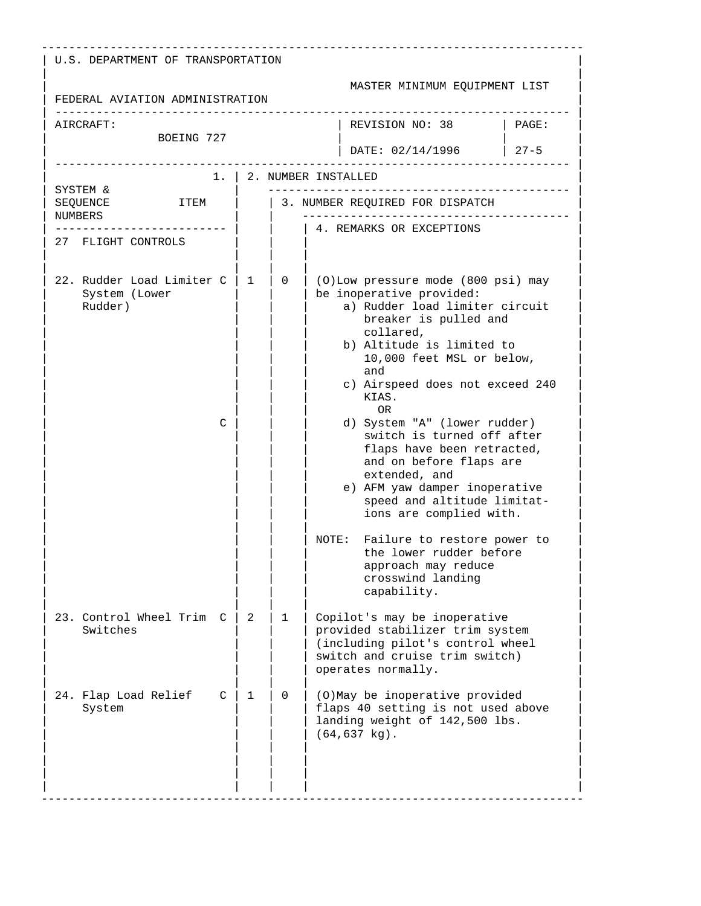| U.S. DEPARTMENT OF TRANSPORTATION<br>MASTER MINIMUM EQUIPMENT LIST |              |                |                                                                                                                                                                                                                                                            |         |  |  |
|--------------------------------------------------------------------|--------------|----------------|------------------------------------------------------------------------------------------------------------------------------------------------------------------------------------------------------------------------------------------------------------|---------|--|--|
| FEDERAL AVIATION ADMINISTRATION                                    |              |                |                                                                                                                                                                                                                                                            |         |  |  |
| AIRCRAFT:<br>BOEING 727                                            |              |                | REVISION NO: 38                                                                                                                                                                                                                                            | PAGE:   |  |  |
|                                                                    |              |                | DATE: 02/14/1996                                                                                                                                                                                                                                           | $ 27-5$ |  |  |
| SYSTEM &                                                           |              |                | 1.   2. NUMBER INSTALLED                                                                                                                                                                                                                                   |         |  |  |
| SEQUENCE<br>ITEM<br>NUMBERS                                        |              |                | 3. NUMBER REQUIRED FOR DISPATCH                                                                                                                                                                                                                            |         |  |  |
|                                                                    |              |                | 4. REMARKS OR EXCEPTIONS                                                                                                                                                                                                                                   |         |  |  |
| 27 FLIGHT CONTROLS                                                 |              |                |                                                                                                                                                                                                                                                            |         |  |  |
| 22. Rudder Load Limiter C  <br>System (Lower<br>Rudder)            | $\mathbf{1}$ | $\overline{0}$ | (O) Low pressure mode (800 psi) may<br>be inoperative provided:<br>a) Rudder load limiter circuit<br>breaker is pulled and<br>collared,<br>b) Altitude is limited to<br>10,000 feet MSL or below,<br>and<br>c) Airspeed does not exceed 240<br>KIAS.<br>0R |         |  |  |
| C                                                                  |              |                | d) System "A" (lower rudder)<br>switch is turned off after<br>flaps have been retracted,<br>and on before flaps are<br>extended, and<br>e) AFM yaw damper inoperative<br>speed and altitude limitat-<br>ions are complied with.                            |         |  |  |
|                                                                    |              |                | NOTE:<br>Failure to restore power to<br>the lower rudder before<br>approach may reduce<br>crosswind landing<br>capability.                                                                                                                                 |         |  |  |
| 23. Control Wheel Trim C<br>Switches                               | 2            | $\mathbf{1}$   | Copilot's may be inoperative<br>provided stabilizer trim system<br>(including pilot's control wheel<br>switch and cruise trim switch)<br>operates normally.                                                                                                |         |  |  |
| 24. Flap Load Relief<br>C<br>System                                | $\mathbf{1}$ | 0              | (0) May be inoperative provided<br>flaps 40 setting is not used above<br>landing weight of 142,500 lbs.<br>$(64, 637 kg)$ .                                                                                                                                |         |  |  |
|                                                                    |              |                |                                                                                                                                                                                                                                                            |         |  |  |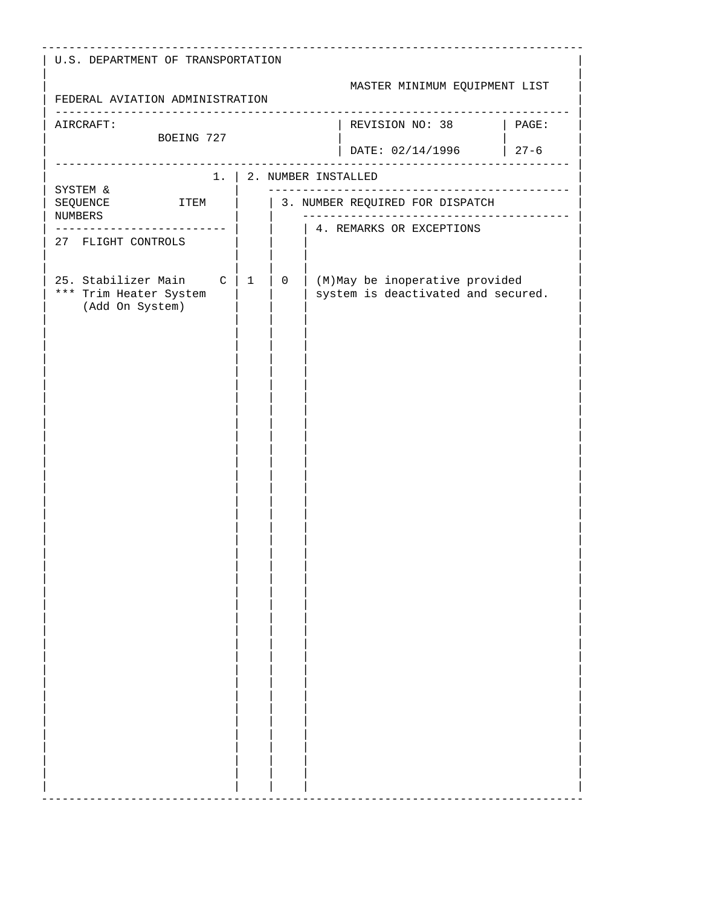| U.S. DEPARTMENT OF TRANSPORTATION<br>FEDERAL AVIATION ADMINISTRATION   |                          |  | MASTER MINIMUM EQUIPMENT LIST                                         |              |  |  |  |  |  |
|------------------------------------------------------------------------|--------------------------|--|-----------------------------------------------------------------------|--------------|--|--|--|--|--|
| ___________________                                                    |                          |  |                                                                       | -----------  |  |  |  |  |  |
| AIRCRAFT:<br>BOEING 727                                                |                          |  | REVISION NO: 38                                                       | PAGE:        |  |  |  |  |  |
| ----------------                                                       |                          |  | DATE: 02/14/1996   27-6                                               |              |  |  |  |  |  |
|                                                                        | 1.   2. NUMBER INSTALLED |  |                                                                       |              |  |  |  |  |  |
| SYSTEM &<br>SEQUENCE<br><b>ITEM</b><br>NUMBERS                         |                          |  | -----------<br>3. NUMBER REQUIRED FOR DISPATCH                        | ------------ |  |  |  |  |  |
| 27 FLIGHT CONTROLS                                                     |                          |  | 4. REMARKS OR EXCEPTIONS                                              |              |  |  |  |  |  |
| 25. Stabilizer Main C   1<br>*** Trim Heater System<br>(Add On System) | $\sim$ 1.00              |  | (M) May be inoperative provided<br>system is deactivated and secured. |              |  |  |  |  |  |
|                                                                        |                          |  |                                                                       |              |  |  |  |  |  |
|                                                                        |                          |  |                                                                       |              |  |  |  |  |  |
|                                                                        |                          |  |                                                                       |              |  |  |  |  |  |
|                                                                        |                          |  |                                                                       |              |  |  |  |  |  |
|                                                                        |                          |  |                                                                       |              |  |  |  |  |  |
|                                                                        |                          |  |                                                                       |              |  |  |  |  |  |
|                                                                        |                          |  |                                                                       |              |  |  |  |  |  |
|                                                                        |                          |  |                                                                       |              |  |  |  |  |  |
|                                                                        |                          |  |                                                                       |              |  |  |  |  |  |
|                                                                        |                          |  |                                                                       |              |  |  |  |  |  |
|                                                                        |                          |  |                                                                       |              |  |  |  |  |  |
|                                                                        |                          |  |                                                                       |              |  |  |  |  |  |
|                                                                        |                          |  |                                                                       |              |  |  |  |  |  |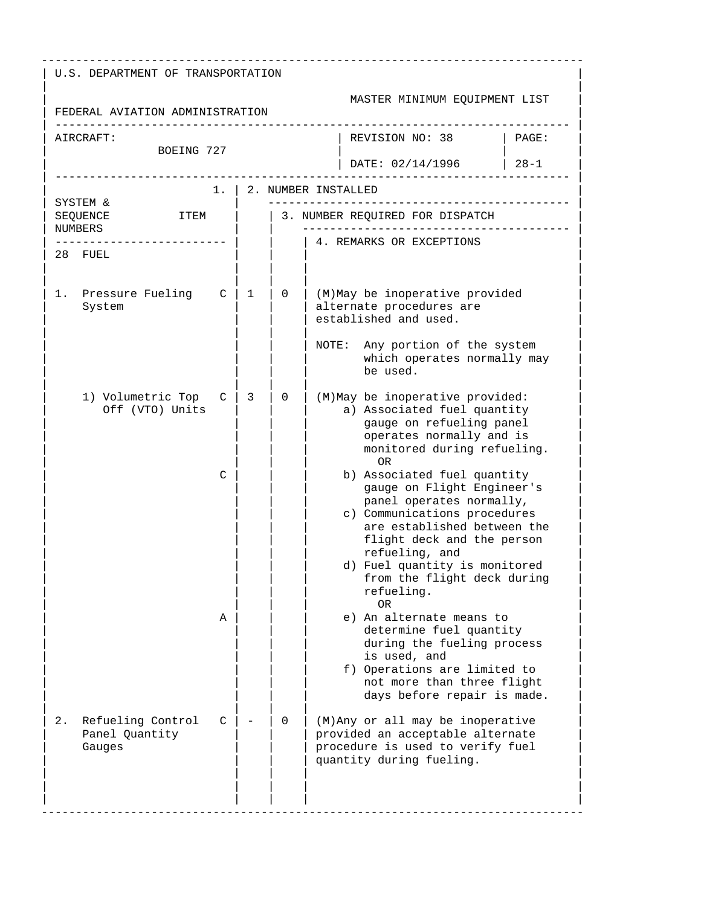| U.S. DEPARTMENT OF TRANSPORTATION<br>MASTER MINIMUM EQUIPMENT LIST<br>FEDERAL AVIATION ADMINISTRATION |                                                       |             |                                                                                                                                                                                                                                                                                                                                                                                                                                                                                                                                                                                       |  |  |  |
|-------------------------------------------------------------------------------------------------------|-------------------------------------------------------|-------------|---------------------------------------------------------------------------------------------------------------------------------------------------------------------------------------------------------------------------------------------------------------------------------------------------------------------------------------------------------------------------------------------------------------------------------------------------------------------------------------------------------------------------------------------------------------------------------------|--|--|--|
| AIRCRAFT:<br>BOEING 727                                                                               |                                                       |             | REVISION NO: 38<br>PAGE:                                                                                                                                                                                                                                                                                                                                                                                                                                                                                                                                                              |  |  |  |
|                                                                                                       |                                                       |             | DATE: 02/14/1996<br>  28-1                                                                                                                                                                                                                                                                                                                                                                                                                                                                                                                                                            |  |  |  |
| SYSTEM &<br>SEQUENCE<br>ITEM<br>NUMBERS                                                               |                                                       |             | 1.   2. NUMBER INSTALLED<br>3. NUMBER REQUIRED FOR DISPATCH                                                                                                                                                                                                                                                                                                                                                                                                                                                                                                                           |  |  |  |
| 28 FUEL                                                                                               |                                                       |             | 4. REMARKS OR EXCEPTIONS                                                                                                                                                                                                                                                                                                                                                                                                                                                                                                                                                              |  |  |  |
| 1.<br>Pressure Fueling C<br>System                                                                    | $\mathbf{1}$                                          | $\mathbf 0$ | (M) May be inoperative provided<br>alternate procedures are<br>established and used.<br>NOTE: Any portion of the system<br>which operates normally may<br>be used.                                                                                                                                                                                                                                                                                                                                                                                                                    |  |  |  |
| 1) Volumetric Top<br>Off (VTO) Units                                                                  | $\overline{3}$<br>$\mathcal{C}$<br>$\mathcal{C}$<br>Α | 0           | (M) May be inoperative provided:<br>a) Associated fuel quantity<br>gauge on refueling panel<br>operates normally and is<br>monitored during refueling.<br>0 <sub>R</sub><br>b) Associated fuel quantity<br>gauge on Flight Engineer's<br>panel operates normally,<br>c) Communications procedures<br>are established between the<br>flight deck and the person<br>refueling, and<br>d) Fuel quantity is monitored<br>from the flight deck during<br>refueling.<br>0 <sub>R</sub><br>e) An alternate means to<br>determine fuel quantity<br>during the fueling process<br>is used, and |  |  |  |
| $2$ .<br>Refueling Control<br>Panel Quantity<br>Gauges                                                | C                                                     | 0           | f) Operations are limited to<br>not more than three flight<br>days before repair is made.<br>(M) Any or all may be inoperative<br>provided an acceptable alternate<br>procedure is used to verify fuel<br>quantity during fueling.                                                                                                                                                                                                                                                                                                                                                    |  |  |  |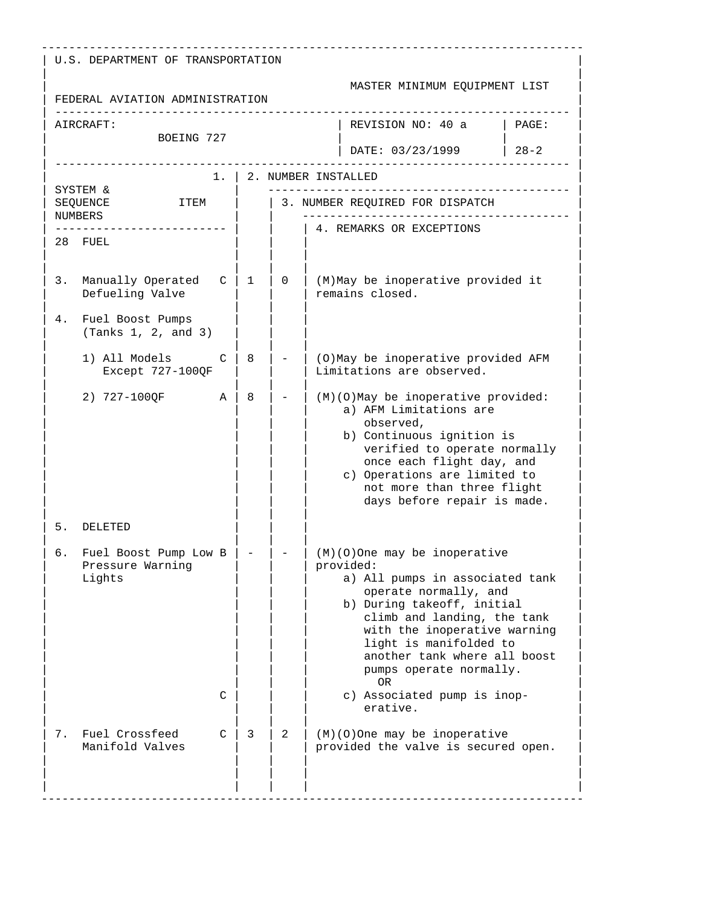|    | U.S. DEPARTMENT OF TRANSPORTATION                   |              |              |                        |                                                                                                                                                                                                                                                                                                                              |  |  |  |  |
|----|-----------------------------------------------------|--------------|--------------|------------------------|------------------------------------------------------------------------------------------------------------------------------------------------------------------------------------------------------------------------------------------------------------------------------------------------------------------------------|--|--|--|--|
|    | FEDERAL AVIATION ADMINISTRATION                     |              |              |                        | MASTER MINIMUM EQUIPMENT LIST                                                                                                                                                                                                                                                                                                |  |  |  |  |
|    | AIRCRAFT:<br>BOEING 727                             |              |              |                        | REVISION NO: 40 a<br>PAGE:                                                                                                                                                                                                                                                                                                   |  |  |  |  |
|    |                                                     |              |              |                        | DATE: 03/23/1999<br>$ 28-2 $                                                                                                                                                                                                                                                                                                 |  |  |  |  |
|    | SYSTEM &                                            |              |              | 1. 2. NUMBER INSTALLED |                                                                                                                                                                                                                                                                                                                              |  |  |  |  |
|    | SEQUENCE<br>ITEM<br>NUMBERS                         |              |              |                        | 3. NUMBER REQUIRED FOR DISPATCH                                                                                                                                                                                                                                                                                              |  |  |  |  |
|    | 28 FUEL                                             |              |              |                        | 4. REMARKS OR EXCEPTIONS                                                                                                                                                                                                                                                                                                     |  |  |  |  |
| 3. | Manually Operated C<br>Defueling Valve              |              | $\mathbf{1}$ | $\overline{0}$         | (M) May be inoperative provided it<br>remains closed.                                                                                                                                                                                                                                                                        |  |  |  |  |
| 4. | Fuel Boost Pumps<br>(Tanks 1, 2, and 3)             |              |              |                        |                                                                                                                                                                                                                                                                                                                              |  |  |  |  |
|    | 1) All Models<br>Except 727-100QF                   | $\mathsf{C}$ | - 8          |                        | (O) May be inoperative provided AFM<br>Limitations are observed.                                                                                                                                                                                                                                                             |  |  |  |  |
|    | 2) 727-100QF                                        | A            | - 8          | $-$                    | (M)(O)May be inoperative provided:<br>a) AFM Limitations are<br>observed,<br>b) Continuous ignition is<br>verified to operate normally<br>once each flight day, and<br>c) Operations are limited to<br>not more than three flight<br>days before repair is made.                                                             |  |  |  |  |
| 5. | DELETED                                             |              |              |                        |                                                                                                                                                                                                                                                                                                                              |  |  |  |  |
| б. | Fuel Boost Pump Low B<br>Pressure Warning<br>Lights | C            |              |                        | (M)(O)One may be inoperative<br>provided:<br>a) All pumps in associated tank<br>operate normally, and<br>b) During takeoff, initial<br>climb and landing, the tank<br>with the inoperative warning<br>light is manifolded to<br>another tank where all boost<br>pumps operate normally.<br>0R<br>c) Associated pump is inop- |  |  |  |  |
|    |                                                     |              |              |                        | erative.                                                                                                                                                                                                                                                                                                                     |  |  |  |  |
| 7. | Fuel Crossfeed<br>Manifold Valves                   | C            | 3            | 2                      | (M)(O)One may be inoperative<br>provided the valve is secured open.                                                                                                                                                                                                                                                          |  |  |  |  |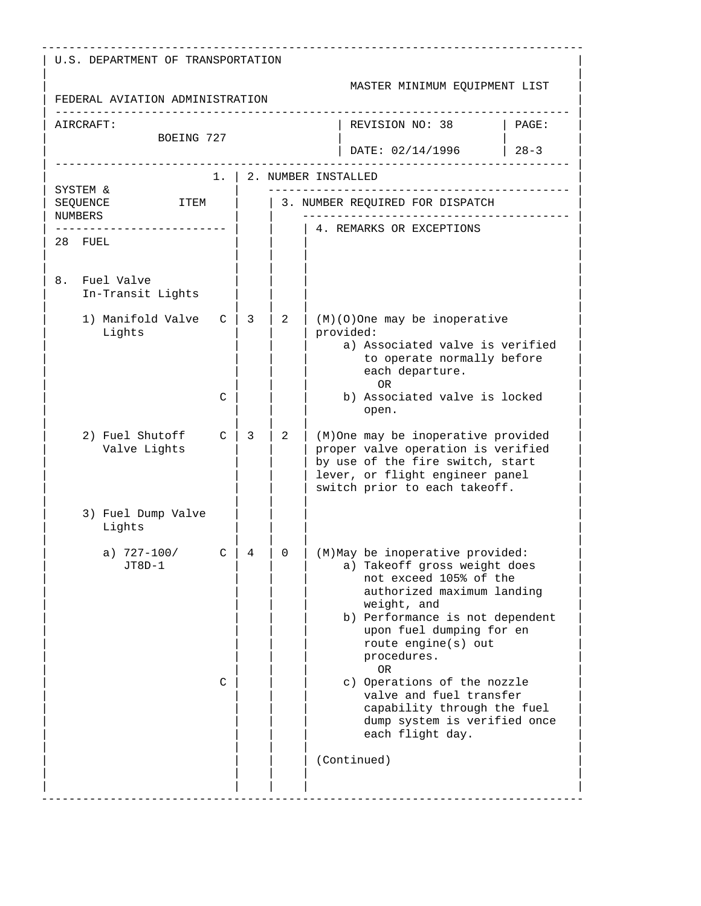| U.S. DEPARTMENT OF TRANSPORTATION<br>MASTER MINIMUM EQUIPMENT LIST |                         |   |                                                                                                                                                                                                                                                    |  |  |  |
|--------------------------------------------------------------------|-------------------------|---|----------------------------------------------------------------------------------------------------------------------------------------------------------------------------------------------------------------------------------------------------|--|--|--|
| FEDERAL AVIATION ADMINISTRATION                                    |                         |   |                                                                                                                                                                                                                                                    |  |  |  |
| AIRCRAFT:<br>BOEING 727                                            |                         |   | REVISION NO: 38<br>$\mathtt{PAGE}$ :                                                                                                                                                                                                               |  |  |  |
|                                                                    |                         |   | DATE: 02/14/1996<br>$ 28-3 $                                                                                                                                                                                                                       |  |  |  |
| SYSTEM &                                                           |                         |   | 1. 2. NUMBER INSTALLED                                                                                                                                                                                                                             |  |  |  |
| SEQUENCE<br>ITEM<br>NUMBERS                                        |                         |   | 3. NUMBER REQUIRED FOR DISPATCH                                                                                                                                                                                                                    |  |  |  |
| 28 FUEL                                                            |                         |   | 4. REMARKS OR EXCEPTIONS                                                                                                                                                                                                                           |  |  |  |
|                                                                    |                         |   |                                                                                                                                                                                                                                                    |  |  |  |
| Fuel Valve<br>8.<br>In-Transit Lights                              |                         |   |                                                                                                                                                                                                                                                    |  |  |  |
| 1) Manifold Valve C<br>Lights                                      | $\overline{\mathbf{3}}$ | 2 | $(M)(0)$ One may be inoperative<br>provided:<br>a) Associated valve is verified<br>to operate normally before<br>each departure.<br>0 <sub>R</sub>                                                                                                 |  |  |  |
| C                                                                  |                         |   | b) Associated valve is locked<br>open.                                                                                                                                                                                                             |  |  |  |
| 2) Fuel Shutoff<br>$\mathsf{C}$<br>Valve Lights                    | $\overline{3}$          | 2 | (M) One may be inoperative provided<br>proper valve operation is verified<br>by use of the fire switch, start<br>lever, or flight engineer panel<br>switch prior to each takeoff.                                                                  |  |  |  |
| 3) Fuel Dump Valve<br>Lights                                       |                         |   |                                                                                                                                                                                                                                                    |  |  |  |
| a) $727-100/$<br>C<br>JT8D-1                                       | 4                       | 0 | (M) May be inoperative provided:<br>a) Takeoff gross weight does<br>not exceed 105% of the<br>authorized maximum landing<br>weight, and<br>b) Performance is not dependent<br>upon fuel dumping for en<br>route engine(s) out<br>procedures.<br>0R |  |  |  |
| C                                                                  |                         |   | c) Operations of the nozzle<br>valve and fuel transfer<br>capability through the fuel<br>dump system is verified once<br>each flight day.                                                                                                          |  |  |  |
|                                                                    |                         |   | (Continued)                                                                                                                                                                                                                                        |  |  |  |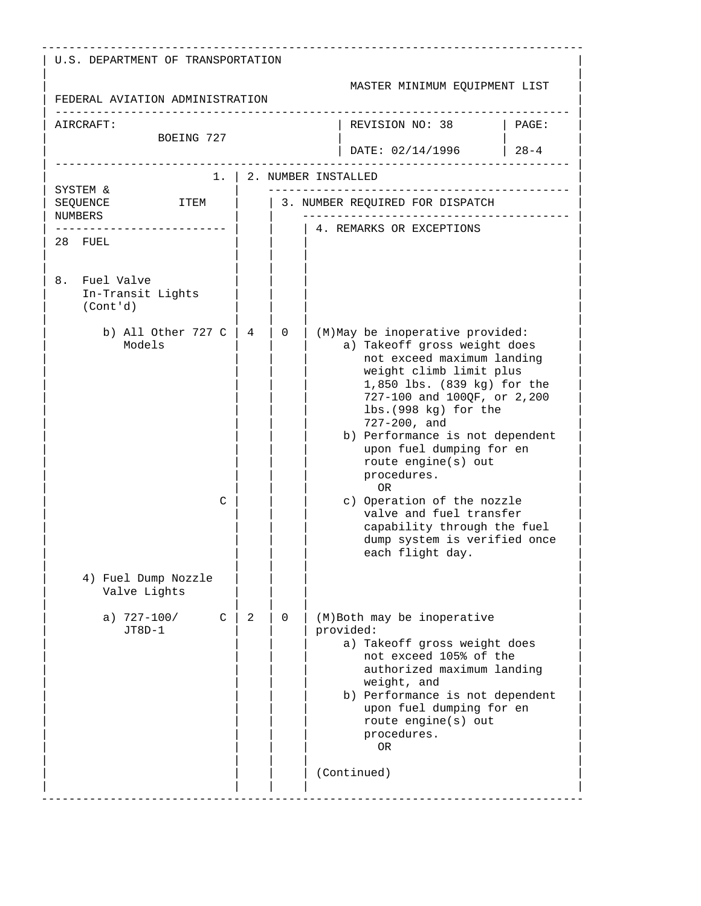|                                                   | U.S. DEPARTMENT OF TRANSPORTATION |                                 |                                                                                                                                                                                                                                                                                                                                                         |                   |  |  |  |
|---------------------------------------------------|-----------------------------------|---------------------------------|---------------------------------------------------------------------------------------------------------------------------------------------------------------------------------------------------------------------------------------------------------------------------------------------------------------------------------------------------------|-------------------|--|--|--|
| FEDERAL AVIATION ADMINISTRATION                   |                                   |                                 | MASTER MINIMUM EQUIPMENT LIST                                                                                                                                                                                                                                                                                                                           |                   |  |  |  |
| AIRCRAFT:<br>BOEING 727                           |                                   |                                 | REVISION NO: 38                                                                                                                                                                                                                                                                                                                                         | $\mathtt{PAGE}$ : |  |  |  |
|                                                   |                                   |                                 | DATE: 02/14/1996                                                                                                                                                                                                                                                                                                                                        | $ 28-4 $          |  |  |  |
| SYSTEM &                                          |                                   |                                 | 1.   2. NUMBER INSTALLED                                                                                                                                                                                                                                                                                                                                |                   |  |  |  |
| SEQUENCE<br>ITEM<br>NUMBERS                       |                                   | 3. NUMBER REQUIRED FOR DISPATCH |                                                                                                                                                                                                                                                                                                                                                         |                   |  |  |  |
| 28 FUEL                                           |                                   |                                 | 4. REMARKS OR EXCEPTIONS                                                                                                                                                                                                                                                                                                                                |                   |  |  |  |
| 8.<br>Fuel Valve<br>In-Transit Lights<br>(Cont d) |                                   |                                 |                                                                                                                                                                                                                                                                                                                                                         |                   |  |  |  |
| b) All Other 727 C $ $<br>Models                  | $\overline{4}$                    | $\mathbf 0$                     | (M) May be inoperative provided:<br>a) Takeoff gross weight does<br>not exceed maximum landing<br>weight climb limit plus<br>1,850 lbs. (839 kg) for the<br>727-100 and 100QF, or 2,200<br>lbs. (998 kg) for the<br>727-200, and<br>b) Performance is not dependent<br>upon fuel dumping for en<br>route engine(s) out<br>procedures.<br>0 <sub>R</sub> |                   |  |  |  |
| C                                                 |                                   |                                 | c) Operation of the nozzle<br>valve and fuel transfer<br>capability through the fuel<br>dump system is verified once<br>each flight day.                                                                                                                                                                                                                |                   |  |  |  |
| 4) Fuel Dump Nozzle<br>Valve Lights               |                                   |                                 |                                                                                                                                                                                                                                                                                                                                                         |                   |  |  |  |
| a) $727 - 100/$<br>C<br>$JT8D-1$                  | 2                                 | $\mathbf 0$                     | (M)Both may be inoperative<br>provided:<br>a) Takeoff gross weight does<br>not exceed 105% of the<br>authorized maximum landing<br>weight, and<br>b) Performance is not dependent<br>upon fuel dumping for en<br>route engine(s) out<br>procedures.<br>0R                                                                                               |                   |  |  |  |
|                                                   |                                   |                                 | (Continued)                                                                                                                                                                                                                                                                                                                                             |                   |  |  |  |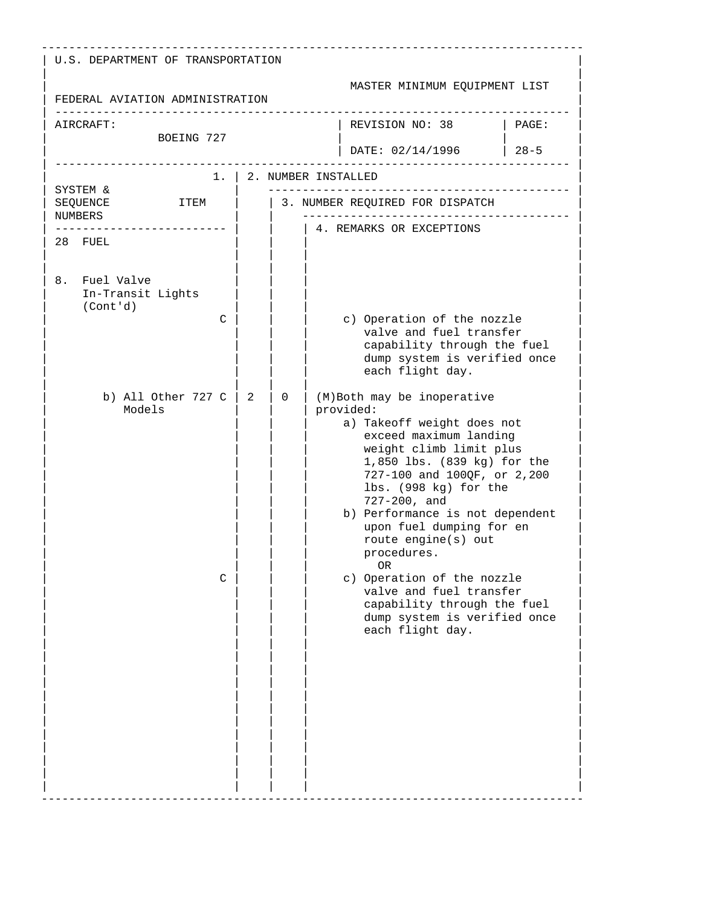| U.S. DEPARTMENT OF TRANSPORTATION                                |  |             |                                                                                                                                                                                                                                                                                                                                              |                   |  |  |
|------------------------------------------------------------------|--|-------------|----------------------------------------------------------------------------------------------------------------------------------------------------------------------------------------------------------------------------------------------------------------------------------------------------------------------------------------------|-------------------|--|--|
| MASTER MINIMUM EQUIPMENT LIST<br>FEDERAL AVIATION ADMINISTRATION |  |             |                                                                                                                                                                                                                                                                                                                                              |                   |  |  |
| AIRCRAFT:<br>BOEING 727                                          |  |             | REVISION NO: 38                                                                                                                                                                                                                                                                                                                              | $\mathtt{PAGE}$ : |  |  |
|                                                                  |  |             | DATE: 02/14/1996   28-5                                                                                                                                                                                                                                                                                                                      |                   |  |  |
| SYSTEM &                                                         |  |             | 1. 2. NUMBER INSTALLED                                                                                                                                                                                                                                                                                                                       |                   |  |  |
| SEQUENCE<br>ITEM<br>NUMBERS                                      |  |             | 3. NUMBER REQUIRED FOR DISPATCH                                                                                                                                                                                                                                                                                                              |                   |  |  |
| 28 FUEL                                                          |  |             | 4. REMARKS OR EXCEPTIONS                                                                                                                                                                                                                                                                                                                     |                   |  |  |
| Fuel Valve<br>8.<br>In-Transit Lights<br>(Cont 'd)               |  |             |                                                                                                                                                                                                                                                                                                                                              |                   |  |  |
| C                                                                |  |             | c) Operation of the nozzle<br>valve and fuel transfer<br>capability through the fuel<br>dump system is verified once<br>each flight day.                                                                                                                                                                                                     |                   |  |  |
| b) All Other 727 C $\vert$ 2<br>Models                           |  | $\mathbf 0$ | (M)Both may be inoperative<br>provided:<br>a) Takeoff weight does not<br>exceed maximum landing<br>weight climb limit plus<br>1,850 lbs. (839 kg) for the<br>727-100 and 100QF, or 2,200<br>lbs. (998 kg) for the<br>727-200, and<br>b) Performance is not dependent<br>upon fuel dumping for en<br>route engine(s) out<br>procedures.<br>0R |                   |  |  |
| C                                                                |  |             | c) Operation of the nozzle<br>valve and fuel transfer<br>capability through the fuel<br>dump system is verified once<br>each flight day.                                                                                                                                                                                                     |                   |  |  |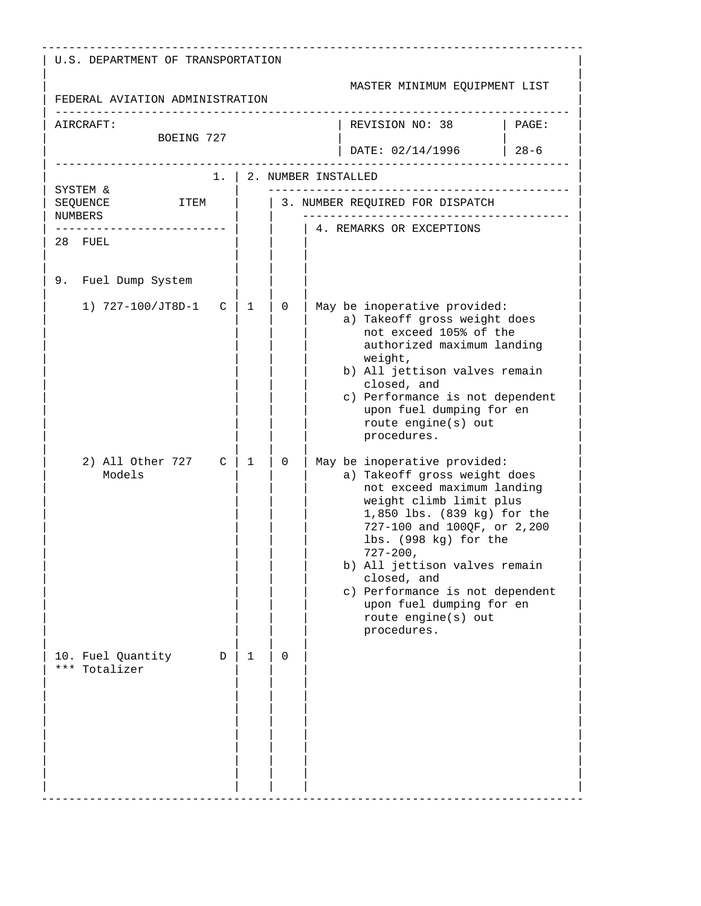| U.S. DEPARTMENT OF TRANSPORTATION       |                                                                  |             |                                                                                                                                                                                                                                                                                                                                                                                    |  |  |  |  |
|-----------------------------------------|------------------------------------------------------------------|-------------|------------------------------------------------------------------------------------------------------------------------------------------------------------------------------------------------------------------------------------------------------------------------------------------------------------------------------------------------------------------------------------|--|--|--|--|
|                                         | MASTER MINIMUM EQUIPMENT LIST<br>FEDERAL AVIATION ADMINISTRATION |             |                                                                                                                                                                                                                                                                                                                                                                                    |  |  |  |  |
| AIRCRAFT:<br>BOEING 727                 |                                                                  |             | REVISION NO: 38<br>$\mathtt{PAGE}$ :                                                                                                                                                                                                                                                                                                                                               |  |  |  |  |
|                                         |                                                                  |             | DATE: 02/14/1996<br>$ 28-6 $                                                                                                                                                                                                                                                                                                                                                       |  |  |  |  |
| SYSTEM &<br>SEQUENCE<br>ITEM<br>NUMBERS |                                                                  |             | 1.   2. NUMBER INSTALLED<br>3. NUMBER REQUIRED FOR DISPATCH                                                                                                                                                                                                                                                                                                                        |  |  |  |  |
| 28 FUEL                                 |                                                                  |             | 4. REMARKS OR EXCEPTIONS                                                                                                                                                                                                                                                                                                                                                           |  |  |  |  |
| Fuel Dump System<br>9.                  |                                                                  |             |                                                                                                                                                                                                                                                                                                                                                                                    |  |  |  |  |
| 1) 727-100/JT8D-1 C                     | $\mathbf{1}$                                                     | $\mathbf 0$ | May be inoperative provided:<br>a) Takeoff gross weight does<br>not exceed 105% of the<br>authorized maximum landing<br>weight,<br>b) All jettison valves remain<br>closed, and<br>c) Performance is not dependent<br>upon fuel dumping for en<br>route engine(s) out<br>procedures.                                                                                               |  |  |  |  |
| 2) All Other 727 C<br>Models            | $\mathbf{1}$                                                     | $\Omega$    | May be inoperative provided:<br>a) Takeoff gross weight does<br>not exceed maximum landing<br>weight climb limit plus<br>1,850 lbs. (839 kg) for the<br>727-100 and 100QF, or 2,200<br>lbs. (998 kg) for the<br>$727 - 200$ ,<br>b) All jettison valves remain<br>closed, and<br>c) Performance is not dependent<br>upon fuel dumping for en<br>route engine(s) out<br>procedures. |  |  |  |  |
| 10. Fuel Quantity<br>D<br>*** Totalizer | $\mathbf{1}$                                                     | 0           |                                                                                                                                                                                                                                                                                                                                                                                    |  |  |  |  |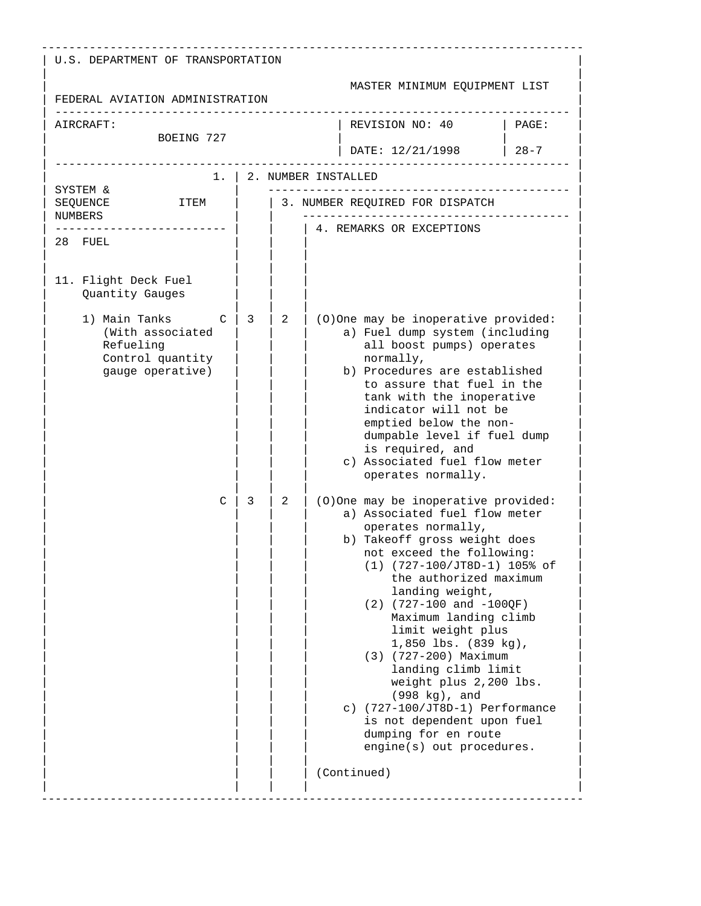| U.S. DEPARTMENT OF TRANSPORTATION                                                                       |              |   | MASTER MINIMUM EQUIPMENT LIST                                                                                                                                                                                                                                                                                                                                                                                                                                                                                                                                        |  |  |
|---------------------------------------------------------------------------------------------------------|--------------|---|----------------------------------------------------------------------------------------------------------------------------------------------------------------------------------------------------------------------------------------------------------------------------------------------------------------------------------------------------------------------------------------------------------------------------------------------------------------------------------------------------------------------------------------------------------------------|--|--|
| FEDERAL AVIATION ADMINISTRATION                                                                         |              |   |                                                                                                                                                                                                                                                                                                                                                                                                                                                                                                                                                                      |  |  |
| AIRCRAFT:                                                                                               |              |   | REVISION NO: 40<br>PAGE:                                                                                                                                                                                                                                                                                                                                                                                                                                                                                                                                             |  |  |
| BOEING 727                                                                                              |              |   | DATE: 12/21/1998<br>$ 28-7 $                                                                                                                                                                                                                                                                                                                                                                                                                                                                                                                                         |  |  |
|                                                                                                         |              |   | 1.   2. NUMBER INSTALLED                                                                                                                                                                                                                                                                                                                                                                                                                                                                                                                                             |  |  |
| SYSTEM &<br>SEQUENCE<br>ITEM                                                                            |              |   | 3. NUMBER REQUIRED FOR DISPATCH                                                                                                                                                                                                                                                                                                                                                                                                                                                                                                                                      |  |  |
| NUMBERS                                                                                                 |              |   | 4. REMARKS OR EXCEPTIONS                                                                                                                                                                                                                                                                                                                                                                                                                                                                                                                                             |  |  |
| 28 FUEL                                                                                                 |              |   |                                                                                                                                                                                                                                                                                                                                                                                                                                                                                                                                                                      |  |  |
| 11. Flight Deck Fuel<br>Quantity Gauges                                                                 |              |   |                                                                                                                                                                                                                                                                                                                                                                                                                                                                                                                                                                      |  |  |
| 1) Main Tanks<br>$\mathcal{C}$<br>(With associated<br>Refueling<br>Control quantity<br>gauge operative) | $\mathbf{3}$ | 2 | (0) One may be inoperative provided:<br>a) Fuel dump system (including<br>all boost pumps) operates<br>normally,<br>b) Procedures are established<br>to assure that fuel in the<br>tank with the inoperative<br>indicator will not be<br>emptied below the non-<br>dumpable level if fuel dump<br>is required, and<br>c) Associated fuel flow meter<br>operates normally.                                                                                                                                                                                            |  |  |
| C                                                                                                       | 3            | 2 | (0) One may be inoperative provided:<br>a) Associated fuel flow meter<br>operates normally,<br>b) Takeoff gross weight does<br>not exceed the following:<br>(1) (727-100/JT8D-1) 105% of<br>the authorized maximum<br>landing weight,<br>$(2)$ $(727-100$ and $-100QF)$<br>Maximum landing climb<br>limit weight plus<br>1,850 lbs. (839 kg),<br>$(3)$ $(727-200)$ Maximum<br>landing climb limit<br>weight plus 2,200 lbs.<br>(998 kg), and<br>c) $(727-100/JT8D-1)$ Performance<br>is not dependent upon fuel<br>dumping for en route<br>engine(s) out procedures. |  |  |
|                                                                                                         |              |   | (Continued)                                                                                                                                                                                                                                                                                                                                                                                                                                                                                                                                                          |  |  |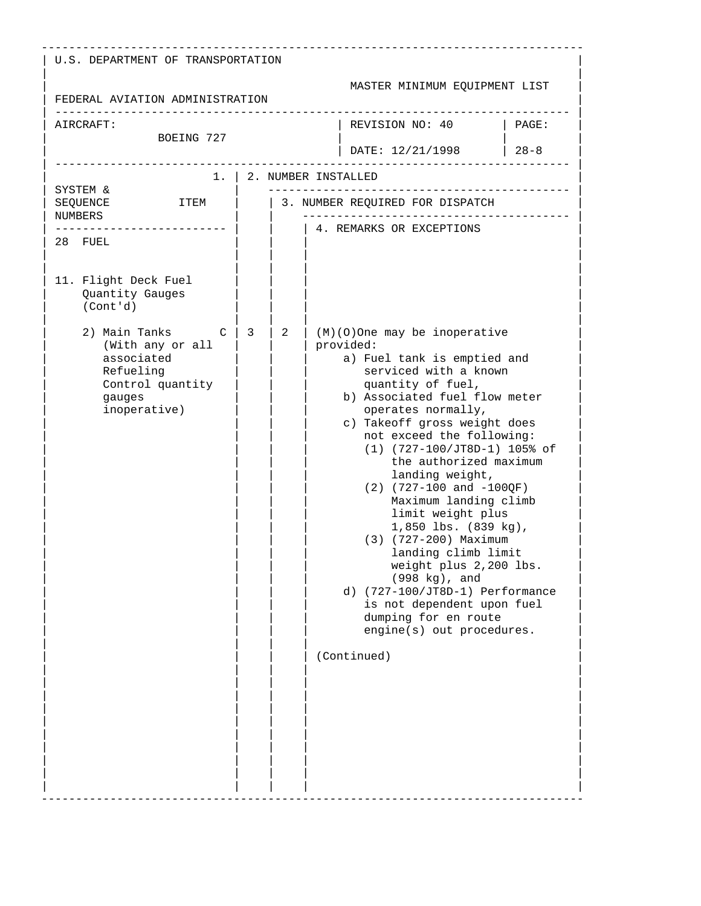| U.S. DEPARTMENT OF TRANSPORTATION                                                                                            |                |                                                             |                                                                                                                                                                                                                                                                                                                                                                                                                                                                                                                                                                                                                                                                 |  |  |  |  |
|------------------------------------------------------------------------------------------------------------------------------|----------------|-------------------------------------------------------------|-----------------------------------------------------------------------------------------------------------------------------------------------------------------------------------------------------------------------------------------------------------------------------------------------------------------------------------------------------------------------------------------------------------------------------------------------------------------------------------------------------------------------------------------------------------------------------------------------------------------------------------------------------------------|--|--|--|--|
| MASTER MINIMUM EQUIPMENT LIST<br>FEDERAL AVIATION ADMINISTRATION                                                             |                |                                                             |                                                                                                                                                                                                                                                                                                                                                                                                                                                                                                                                                                                                                                                                 |  |  |  |  |
| AIRCRAFT:<br>BOEING 727                                                                                                      |                |                                                             | REVISION NO: 40<br>PAGE:                                                                                                                                                                                                                                                                                                                                                                                                                                                                                                                                                                                                                                        |  |  |  |  |
|                                                                                                                              |                |                                                             | DATE: 12/21/1998   28-8                                                                                                                                                                                                                                                                                                                                                                                                                                                                                                                                                                                                                                         |  |  |  |  |
| SYSTEM &                                                                                                                     |                | 1.   2. NUMBER INSTALLED<br>3. NUMBER REQUIRED FOR DISPATCH |                                                                                                                                                                                                                                                                                                                                                                                                                                                                                                                                                                                                                                                                 |  |  |  |  |
| SEQUENCE<br>ITEM<br>NUMBERS                                                                                                  |                |                                                             |                                                                                                                                                                                                                                                                                                                                                                                                                                                                                                                                                                                                                                                                 |  |  |  |  |
| 28 FUEL                                                                                                                      |                |                                                             | 4. REMARKS OR EXCEPTIONS                                                                                                                                                                                                                                                                                                                                                                                                                                                                                                                                                                                                                                        |  |  |  |  |
| 11. Flight Deck Fuel<br>Quantity Gauges<br>(Cont d)                                                                          |                |                                                             |                                                                                                                                                                                                                                                                                                                                                                                                                                                                                                                                                                                                                                                                 |  |  |  |  |
| 2) Main Tanks<br>$\overline{C}$<br>(With any or all<br>associated<br>Refueling<br>Control quantity<br>gauges<br>inoperative) | $\overline{3}$ | 2                                                           | (M)(O)One may be inoperative<br>provided:<br>a) Fuel tank is emptied and<br>serviced with a known<br>quantity of fuel,<br>b) Associated fuel flow meter<br>operates normally,<br>c) Takeoff gross weight does<br>not exceed the following:<br>(1) (727-100/JT8D-1) 105% of<br>the authorized maximum<br>landing weight,<br>$(2)$ $(727-100$ and $-100QF)$<br>Maximum landing climb<br>limit weight plus<br>1,850 lbs. (839 kg),<br>(3) (727-200) Maximum<br>landing climb limit<br>weight plus 2,200 lbs.<br>(998 kg), and<br>d) (727-100/JT8D-1) Performance<br>is not dependent upon fuel<br>dumping for en route<br>engine(s) out procedures.<br>(Continued) |  |  |  |  |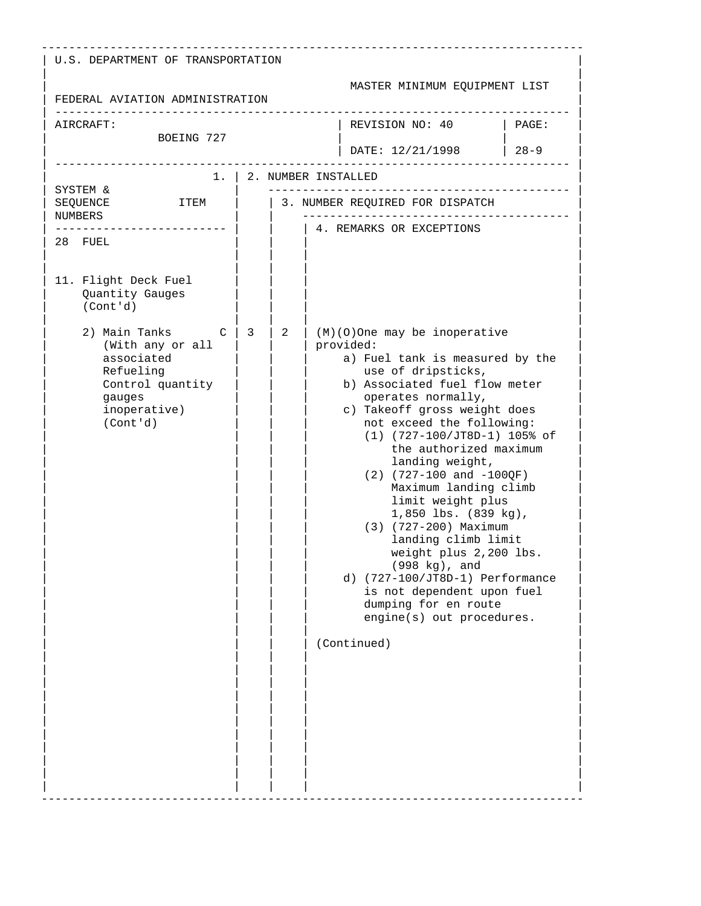| U.S. DEPARTMENT OF TRANSPORTATION                                                                                                        |                |                                 |                                                                                                                                                                                                                                                                                                                                                                                                                                                                                                                                                                                                                                                    |  |  |  |  |
|------------------------------------------------------------------------------------------------------------------------------------------|----------------|---------------------------------|----------------------------------------------------------------------------------------------------------------------------------------------------------------------------------------------------------------------------------------------------------------------------------------------------------------------------------------------------------------------------------------------------------------------------------------------------------------------------------------------------------------------------------------------------------------------------------------------------------------------------------------------------|--|--|--|--|
| MASTER MINIMUM EQUIPMENT LIST<br>FEDERAL AVIATION ADMINISTRATION                                                                         |                |                                 |                                                                                                                                                                                                                                                                                                                                                                                                                                                                                                                                                                                                                                                    |  |  |  |  |
| AIRCRAFT:<br>BOEING 727                                                                                                                  |                |                                 | REVISION NO: 40<br>PAGE:                                                                                                                                                                                                                                                                                                                                                                                                                                                                                                                                                                                                                           |  |  |  |  |
|                                                                                                                                          |                |                                 | DATE: 12/21/1998   28-9                                                                                                                                                                                                                                                                                                                                                                                                                                                                                                                                                                                                                            |  |  |  |  |
| SYSTEM &                                                                                                                                 |                |                                 | 1. 2. NUMBER INSTALLED                                                                                                                                                                                                                                                                                                                                                                                                                                                                                                                                                                                                                             |  |  |  |  |
| SEQUENCE<br>ITEM<br>NUMBERS                                                                                                              |                | 3. NUMBER REQUIRED FOR DISPATCH |                                                                                                                                                                                                                                                                                                                                                                                                                                                                                                                                                                                                                                                    |  |  |  |  |
| 28 FUEL                                                                                                                                  |                |                                 | 4. REMARKS OR EXCEPTIONS                                                                                                                                                                                                                                                                                                                                                                                                                                                                                                                                                                                                                           |  |  |  |  |
| 11. Flight Deck Fuel<br>Quantity Gauges<br>(Cont d)                                                                                      |                |                                 |                                                                                                                                                                                                                                                                                                                                                                                                                                                                                                                                                                                                                                                    |  |  |  |  |
| 2) Main Tanks<br>$\overline{C}$<br>(With any or all<br>associated<br>Refueling<br>Control quantity<br>gauges<br>inoperative)<br>(Cont d) | $\overline{3}$ | 2                               | $(M)(0)$ One may be inoperative<br>provided:<br>a) Fuel tank is measured by the<br>use of dripsticks,<br>b) Associated fuel flow meter<br>operates normally,<br>c) Takeoff gross weight does<br>not exceed the following:<br>$(1)$ $(727-100/JT8D-1)$ 105% of<br>the authorized maximum<br>landing weight,<br>$(2)$ $(727-100$ and $-100QF)$<br>Maximum landing climb<br>limit weight plus<br>1,850 lbs. (839 kg),<br>(3) (727-200) Maximum<br>landing climb limit<br>weight plus 2,200 lbs.<br>(998 kg), and<br>d) (727-100/JT8D-1) Performance<br>is not dependent upon fuel<br>dumping for en route<br>engine(s) out procedures.<br>(Continued) |  |  |  |  |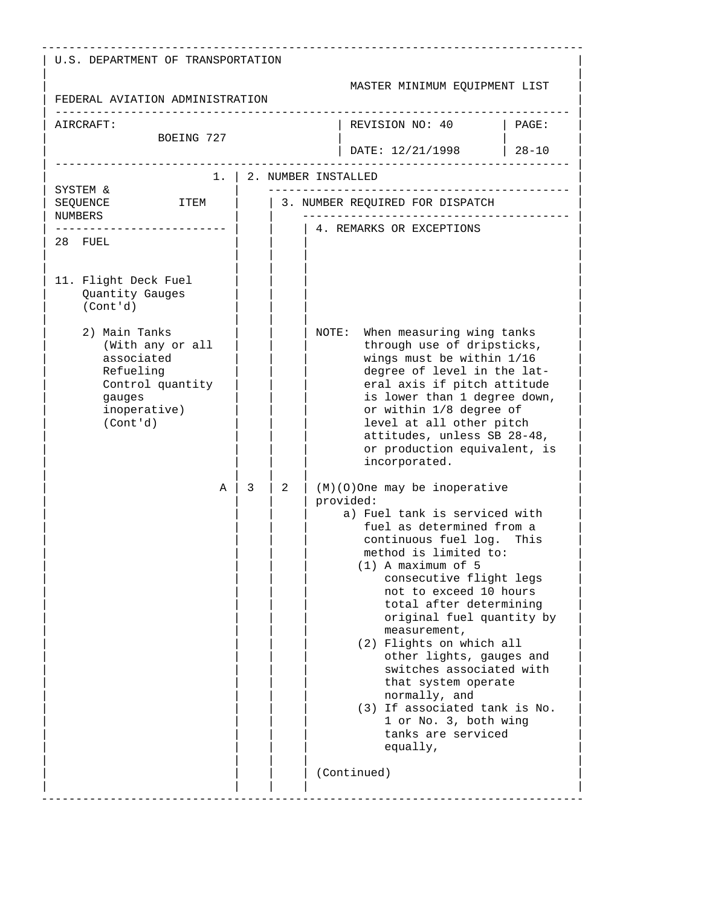| U.S. DEPARTMENT OF TRANSPORTATION                                                                                      |   |                                 |                                                                                                                                                                                                                                                                                                                                                                                                                                                                                                                                               |  |  |  |  |
|------------------------------------------------------------------------------------------------------------------------|---|---------------------------------|-----------------------------------------------------------------------------------------------------------------------------------------------------------------------------------------------------------------------------------------------------------------------------------------------------------------------------------------------------------------------------------------------------------------------------------------------------------------------------------------------------------------------------------------------|--|--|--|--|
| MASTER MINIMUM EQUIPMENT LIST<br>FEDERAL AVIATION ADMINISTRATION                                                       |   |                                 |                                                                                                                                                                                                                                                                                                                                                                                                                                                                                                                                               |  |  |  |  |
| AIRCRAFT:<br>BOEING 727                                                                                                |   |                                 | REVISION NO: 40<br>$\mathtt{PAGE}$ :                                                                                                                                                                                                                                                                                                                                                                                                                                                                                                          |  |  |  |  |
|                                                                                                                        |   |                                 | DATE: 12/21/1998<br>$ 28-10$                                                                                                                                                                                                                                                                                                                                                                                                                                                                                                                  |  |  |  |  |
| SYSTEM &                                                                                                               |   |                                 | 1.   2. NUMBER INSTALLED                                                                                                                                                                                                                                                                                                                                                                                                                                                                                                                      |  |  |  |  |
| SEQUENCE<br>ITEM<br>NUMBERS                                                                                            |   | 3. NUMBER REQUIRED FOR DISPATCH |                                                                                                                                                                                                                                                                                                                                                                                                                                                                                                                                               |  |  |  |  |
| 28 FUEL                                                                                                                |   |                                 | 4. REMARKS OR EXCEPTIONS                                                                                                                                                                                                                                                                                                                                                                                                                                                                                                                      |  |  |  |  |
|                                                                                                                        |   |                                 |                                                                                                                                                                                                                                                                                                                                                                                                                                                                                                                                               |  |  |  |  |
| 11. Flight Deck Fuel<br>Quantity Gauges<br>(Cont 'd)                                                                   |   |                                 |                                                                                                                                                                                                                                                                                                                                                                                                                                                                                                                                               |  |  |  |  |
| 2) Main Tanks<br>(With any or all<br>associated<br>Refueling<br>Control quantity<br>gauges<br>inoperative)<br>(Cont d) |   |                                 | When measuring wing tanks<br>NOTE:<br>through use of dripsticks,<br>wings must be within 1/16<br>degree of level in the lat-<br>eral axis if pitch attitude<br>is lower than 1 degree down,<br>or within 1/8 degree of<br>level at all other pitch<br>attitudes, unless SB 28-48,<br>or production equivalent, is<br>incorporated.                                                                                                                                                                                                            |  |  |  |  |
| Α                                                                                                                      | 3 | 2                               | (M)(O)One may be inoperative<br>provided:<br>a) Fuel tank is serviced with<br>fuel as determined from a<br>continuous fuel log.<br>This<br>method is limited to:<br>$(1)$ A maximum of 5<br>consecutive flight legs<br>not to exceed 10 hours<br>total after determining<br>original fuel quantity by<br>measurement,<br>(2) Flights on which all<br>other lights, gauges and<br>switches associated with<br>that system operate<br>normally, and<br>(3) If associated tank is No.<br>1 or No. 3, both wing<br>tanks are serviced<br>equally, |  |  |  |  |
|                                                                                                                        |   |                                 | (Continued)                                                                                                                                                                                                                                                                                                                                                                                                                                                                                                                                   |  |  |  |  |
|                                                                                                                        |   |                                 |                                                                                                                                                                                                                                                                                                                                                                                                                                                                                                                                               |  |  |  |  |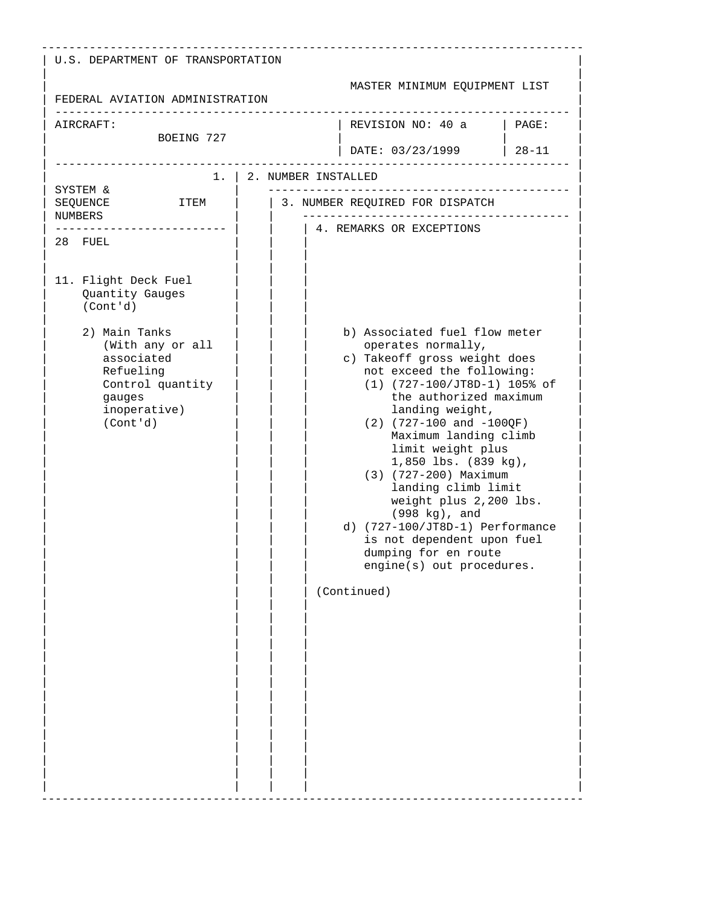| U.S. DEPARTMENT OF TRANSPORTATION                                                                                      |  |                                                                                                                                                                                                                                                                                                                                                                                                                                                                                                                                               |  |  |  |  |  |
|------------------------------------------------------------------------------------------------------------------------|--|-----------------------------------------------------------------------------------------------------------------------------------------------------------------------------------------------------------------------------------------------------------------------------------------------------------------------------------------------------------------------------------------------------------------------------------------------------------------------------------------------------------------------------------------------|--|--|--|--|--|
| MASTER MINIMUM EQUIPMENT LIST<br>FEDERAL AVIATION ADMINISTRATION                                                       |  |                                                                                                                                                                                                                                                                                                                                                                                                                                                                                                                                               |  |  |  |  |  |
| AIRCRAFT:<br>BOEING 727                                                                                                |  | REVISION NO: 40 a<br>$ $ PAGE:                                                                                                                                                                                                                                                                                                                                                                                                                                                                                                                |  |  |  |  |  |
|                                                                                                                        |  | DATE: 03/23/1999   28-11                                                                                                                                                                                                                                                                                                                                                                                                                                                                                                                      |  |  |  |  |  |
| SYSTEM &                                                                                                               |  | 1.   2. NUMBER INSTALLED                                                                                                                                                                                                                                                                                                                                                                                                                                                                                                                      |  |  |  |  |  |
| SEQUENCE<br>ITEM<br>NUMBERS                                                                                            |  | 3. NUMBER REQUIRED FOR DISPATCH                                                                                                                                                                                                                                                                                                                                                                                                                                                                                                               |  |  |  |  |  |
| 28 FUEL                                                                                                                |  | 4. REMARKS OR EXCEPTIONS                                                                                                                                                                                                                                                                                                                                                                                                                                                                                                                      |  |  |  |  |  |
| 11. Flight Deck Fuel<br>Quantity Gauges<br>(Cont d)                                                                    |  |                                                                                                                                                                                                                                                                                                                                                                                                                                                                                                                                               |  |  |  |  |  |
| 2) Main Tanks<br>(With any or all<br>associated<br>Refueling<br>Control quantity<br>gauges<br>inoperative)<br>(Cont d) |  | b) Associated fuel flow meter<br>operates normally,<br>c) Takeoff gross weight does<br>not exceed the following:<br>$(1)$ $(727-100/JT8D-1)$ 105% of<br>the authorized maximum<br>landing weight,<br>$(2)$ $(727-100$ and $-100QF)$<br>Maximum landing climb<br>limit weight plus<br>1,850 lbs. (839 kg),<br>$(3)$ $(727-200)$ Maximum<br>landing climb limit<br>weight plus 2,200 lbs.<br>(998 kg), and<br>d) (727-100/JT8D-1) Performance<br>is not dependent upon fuel<br>dumping for en route<br>engine(s) out procedures.<br>(Continued) |  |  |  |  |  |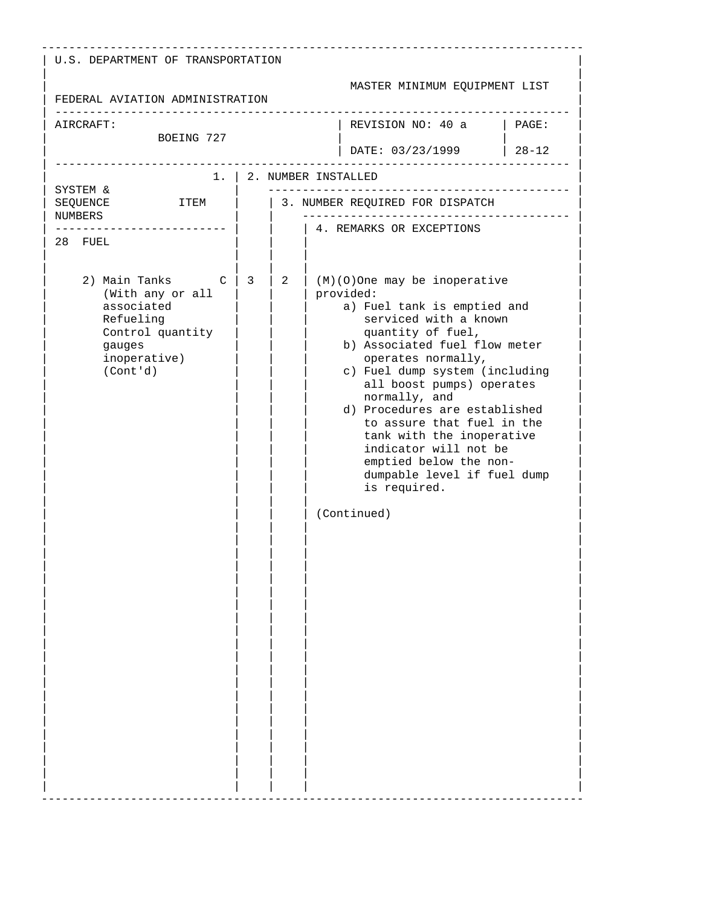| U.S. DEPARTMENT OF TRANSPORTATION                                                                                         |                         |                |                                                                                                                                                                                                                                                                                                                                                                                                                                                                            |  |  |  |
|---------------------------------------------------------------------------------------------------------------------------|-------------------------|----------------|----------------------------------------------------------------------------------------------------------------------------------------------------------------------------------------------------------------------------------------------------------------------------------------------------------------------------------------------------------------------------------------------------------------------------------------------------------------------------|--|--|--|
| MASTER MINIMUM EQUIPMENT LIST<br>FEDERAL AVIATION ADMINISTRATION                                                          |                         |                |                                                                                                                                                                                                                                                                                                                                                                                                                                                                            |  |  |  |
| AIRCRAFT:<br>BOEING 727                                                                                                   |                         |                | REVISION NO: 40 a<br>$I$ PAGE:                                                                                                                                                                                                                                                                                                                                                                                                                                             |  |  |  |
|                                                                                                                           |                         |                | DATE: 03/23/1999   28-12                                                                                                                                                                                                                                                                                                                                                                                                                                                   |  |  |  |
| SYSTEM &<br>SEQUENCE<br>ITEM                                                                                              |                         |                | 1. 2. NUMBER INSTALLED<br>3. NUMBER REQUIRED FOR DISPATCH                                                                                                                                                                                                                                                                                                                                                                                                                  |  |  |  |
| <b>NUMBERS</b><br>28 FUEL                                                                                                 |                         |                | 4. REMARKS OR EXCEPTIONS                                                                                                                                                                                                                                                                                                                                                                                                                                                   |  |  |  |
|                                                                                                                           |                         |                |                                                                                                                                                                                                                                                                                                                                                                                                                                                                            |  |  |  |
| 2) Main Tanks C<br>(With any or all<br>associated<br>Refueling<br>Control quantity<br>gauges<br>inoperative)<br>(Cont 'd) | $\overline{\mathbf{3}}$ | $\overline{2}$ | (M)(O)One may be inoperative<br>provided:<br>a) Fuel tank is emptied and<br>serviced with a known<br>quantity of fuel,<br>b) Associated fuel flow meter<br>operates normally,<br>c) Fuel dump system (including<br>all boost pumps) operates<br>normally, and<br>d) Procedures are established<br>to assure that fuel in the<br>tank with the inoperative<br>indicator will not be<br>emptied below the non-<br>dumpable level if fuel dump<br>is required.<br>(Continued) |  |  |  |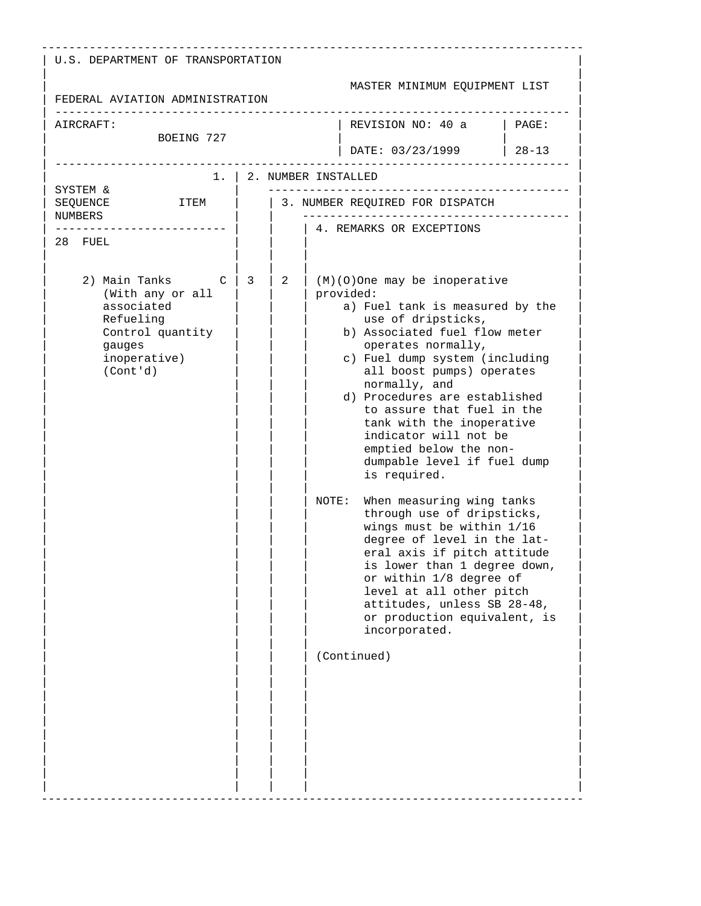| U.S. DEPARTMENT OF TRANSPORTATION<br>MASTER MINIMUM EQUIPMENT LIST                                                                        |                |                          |                                                                                                                                                                                                                                                                                                                                                                                                                                                                                                                                                                                                                                                                                                                                                                                                 |  |  |  |  |
|-------------------------------------------------------------------------------------------------------------------------------------------|----------------|--------------------------|-------------------------------------------------------------------------------------------------------------------------------------------------------------------------------------------------------------------------------------------------------------------------------------------------------------------------------------------------------------------------------------------------------------------------------------------------------------------------------------------------------------------------------------------------------------------------------------------------------------------------------------------------------------------------------------------------------------------------------------------------------------------------------------------------|--|--|--|--|
| FEDERAL AVIATION ADMINISTRATION                                                                                                           |                |                          |                                                                                                                                                                                                                                                                                                                                                                                                                                                                                                                                                                                                                                                                                                                                                                                                 |  |  |  |  |
| AIRCRAFT:<br>BOEING 727                                                                                                                   |                |                          | REVISION NO: 40 a<br>$ $ PAGE:                                                                                                                                                                                                                                                                                                                                                                                                                                                                                                                                                                                                                                                                                                                                                                  |  |  |  |  |
|                                                                                                                                           |                |                          | DATE: 03/23/1999   28-13                                                                                                                                                                                                                                                                                                                                                                                                                                                                                                                                                                                                                                                                                                                                                                        |  |  |  |  |
| SYSTEM &                                                                                                                                  |                | 1.   2. NUMBER INSTALLED |                                                                                                                                                                                                                                                                                                                                                                                                                                                                                                                                                                                                                                                                                                                                                                                                 |  |  |  |  |
| SEQUENCE<br>ITEM<br>NUMBERS                                                                                                               |                |                          | 3. NUMBER REQUIRED FOR DISPATCH                                                                                                                                                                                                                                                                                                                                                                                                                                                                                                                                                                                                                                                                                                                                                                 |  |  |  |  |
| 28 FUEL                                                                                                                                   |                |                          | 4. REMARKS OR EXCEPTIONS                                                                                                                                                                                                                                                                                                                                                                                                                                                                                                                                                                                                                                                                                                                                                                        |  |  |  |  |
| 2) Main Tanks<br>$\overline{C}$<br>(With any or all<br>associated<br>Refueling<br>Control quantity<br>gauges<br>inoperative)<br>(Cont 'd) | $\overline{3}$ | -2                       | $(M)(0)$ One may be inoperative<br>provided:<br>a) Fuel tank is measured by the<br>use of dripsticks,<br>b) Associated fuel flow meter<br>operates normally,<br>c) Fuel dump system (including<br>all boost pumps) operates<br>normally, and<br>d) Procedures are established<br>to assure that fuel in the<br>tank with the inoperative<br>indicator will not be<br>emptied below the non-<br>dumpable level if fuel dump<br>is required.<br>When measuring wing tanks<br>NOTE:<br>through use of dripsticks,<br>wings must be within 1/16<br>degree of level in the lat-<br>eral axis if pitch attitude<br>is lower than 1 degree down,<br>or within 1/8 degree of<br>level at all other pitch<br>attitudes, unless SB 28-48,<br>or production equivalent, is<br>incorporated.<br>(Continued) |  |  |  |  |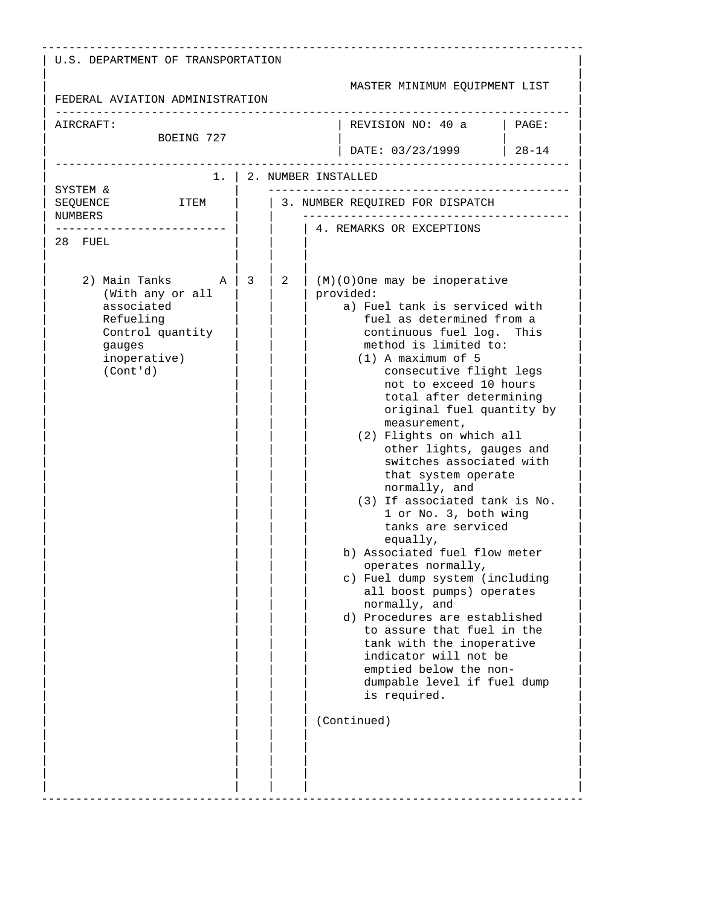| U.S. DEPARTMENT OF TRANSPORTATION                                                                                                      |                         |                          |                          |                                                                                                                                                                                                                                                                                                                                                                                                                                                                                                                                                                                                                                                                                                                                                                                                                                                                    |           |  |  |  |
|----------------------------------------------------------------------------------------------------------------------------------------|-------------------------|--------------------------|--------------------------|--------------------------------------------------------------------------------------------------------------------------------------------------------------------------------------------------------------------------------------------------------------------------------------------------------------------------------------------------------------------------------------------------------------------------------------------------------------------------------------------------------------------------------------------------------------------------------------------------------------------------------------------------------------------------------------------------------------------------------------------------------------------------------------------------------------------------------------------------------------------|-----------|--|--|--|
| MASTER MINIMUM EQUIPMENT LIST<br>FEDERAL AVIATION ADMINISTRATION                                                                       |                         |                          |                          |                                                                                                                                                                                                                                                                                                                                                                                                                                                                                                                                                                                                                                                                                                                                                                                                                                                                    |           |  |  |  |
| AIRCRAFT:<br>BOEING 727                                                                                                                |                         |                          |                          | REVISION NO: 40 a                                                                                                                                                                                                                                                                                                                                                                                                                                                                                                                                                                                                                                                                                                                                                                                                                                                  | $I$ PAGE: |  |  |  |
|                                                                                                                                        |                         |                          |                          | DATE: 03/23/1999                                                                                                                                                                                                                                                                                                                                                                                                                                                                                                                                                                                                                                                                                                                                                                                                                                                   | $ 28-14 $ |  |  |  |
| SYSTEM &                                                                                                                               |                         | 1.   2. NUMBER INSTALLED |                          |                                                                                                                                                                                                                                                                                                                                                                                                                                                                                                                                                                                                                                                                                                                                                                                                                                                                    |           |  |  |  |
| SEQUENCE<br>ITEM<br>NUMBERS                                                                                                            |                         |                          |                          | 3. NUMBER REQUIRED FOR DISPATCH                                                                                                                                                                                                                                                                                                                                                                                                                                                                                                                                                                                                                                                                                                                                                                                                                                    |           |  |  |  |
| 28 FUEL                                                                                                                                |                         |                          |                          | 4. REMARKS OR EXCEPTIONS                                                                                                                                                                                                                                                                                                                                                                                                                                                                                                                                                                                                                                                                                                                                                                                                                                           |           |  |  |  |
| 2) Main Tanks<br>$\mathbb A$<br>(With any or all<br>associated<br>Refueling<br>Control quantity<br>gauges<br>inoperative)<br>(Cont 'd) | $\overline{\mathbf{3}}$ | $\overline{2}$           | provided:<br>(Continued) | (M)(O)One may be inoperative<br>a) Fuel tank is serviced with<br>fuel as determined from a<br>continuous fuel log. This<br>method is limited to:<br>$(1)$ A maximum of 5<br>consecutive flight legs<br>not to exceed 10 hours<br>total after determining<br>original fuel quantity by<br>measurement,<br>(2) Flights on which all<br>other lights, gauges and<br>switches associated with<br>that system operate<br>normally, and<br>(3) If associated tank is No.<br>1 or No. 3, both wing<br>tanks are serviced<br>equally,<br>b) Associated fuel flow meter<br>operates normally,<br>c) Fuel dump system (including<br>all boost pumps) operates<br>normally, and<br>d) Procedures are established<br>to assure that fuel in the<br>tank with the inoperative<br>indicator will not be<br>emptied below the non-<br>dumpable level if fuel dump<br>is required. |           |  |  |  |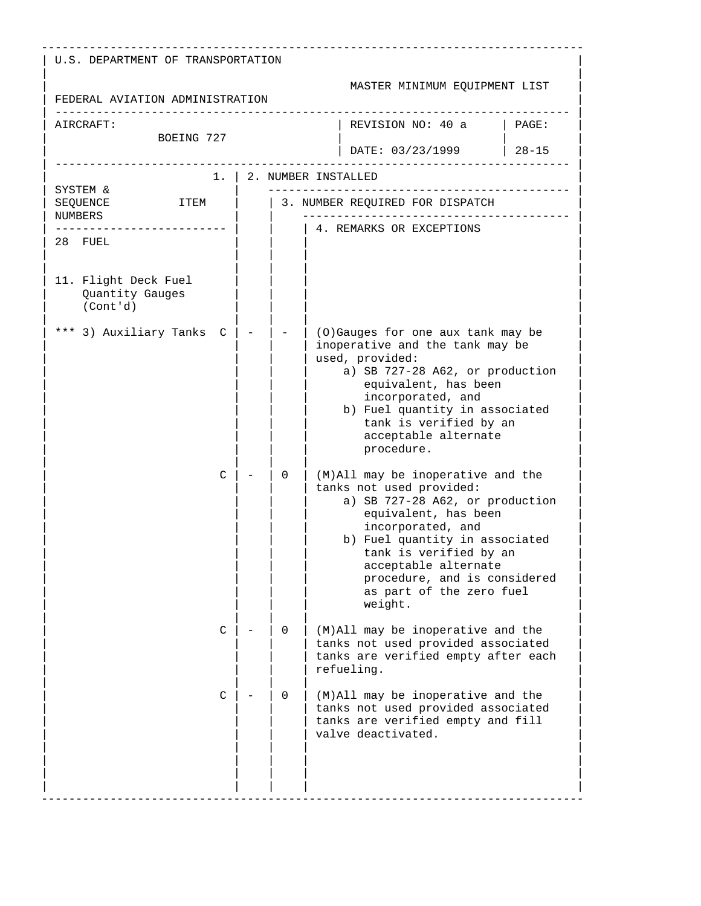| U.S. DEPARTMENT OF TRANSPORTATION<br>MASTER MINIMUM EQUIPMENT LIST |  |                          |                                                                                                                                                                                                                                                                                                           |  |  |  |  |
|--------------------------------------------------------------------|--|--------------------------|-----------------------------------------------------------------------------------------------------------------------------------------------------------------------------------------------------------------------------------------------------------------------------------------------------------|--|--|--|--|
| FEDERAL AVIATION ADMINISTRATION                                    |  |                          |                                                                                                                                                                                                                                                                                                           |  |  |  |  |
| AIRCRAFT:<br>BOEING 727                                            |  |                          | REVISION NO: 40 a<br>$\mathsf I$ PAGE:                                                                                                                                                                                                                                                                    |  |  |  |  |
|                                                                    |  |                          | DATE: 03/23/1999<br>$ 28-15$                                                                                                                                                                                                                                                                              |  |  |  |  |
| SYSTEM &                                                           |  | 1.   2. NUMBER INSTALLED |                                                                                                                                                                                                                                                                                                           |  |  |  |  |
| SEQUENCE<br>ITEM<br>NUMBERS                                        |  |                          | 3. NUMBER REQUIRED FOR DISPATCH                                                                                                                                                                                                                                                                           |  |  |  |  |
| 28 FUEL                                                            |  |                          | 4. REMARKS OR EXCEPTIONS                                                                                                                                                                                                                                                                                  |  |  |  |  |
|                                                                    |  |                          |                                                                                                                                                                                                                                                                                                           |  |  |  |  |
| 11. Flight Deck Fuel<br>Quantity Gauges<br>(Cont d)                |  |                          |                                                                                                                                                                                                                                                                                                           |  |  |  |  |
| *** 3) Auxiliary Tanks C                                           |  |                          | (0) Gauges for one aux tank may be<br>inoperative and the tank may be<br>used, provided:<br>a) SB 727-28 A62, or production<br>equivalent, has been<br>incorporated, and<br>b) Fuel quantity in associated<br>tank is verified by an<br>acceptable alternate<br>procedure.                                |  |  |  |  |
| $\mathsf{C}$                                                       |  | 0                        | (M) All may be inoperative and the<br>tanks not used provided:<br>a) SB 727-28 A62, or production<br>equivalent, has been<br>incorporated, and<br>b) Fuel quantity in associated<br>tank is verified by an<br>acceptable alternate<br>procedure, and is considered<br>as part of the zero fuel<br>weight. |  |  |  |  |
| C                                                                  |  | 0                        | (M)All may be inoperative and the<br>tanks not used provided associated<br>tanks are verified empty after each<br>refueling.                                                                                                                                                                              |  |  |  |  |
| C                                                                  |  | 0                        | (M)All may be inoperative and the<br>tanks not used provided associated<br>tanks are verified empty and fill<br>valve deactivated.                                                                                                                                                                        |  |  |  |  |
|                                                                    |  |                          |                                                                                                                                                                                                                                                                                                           |  |  |  |  |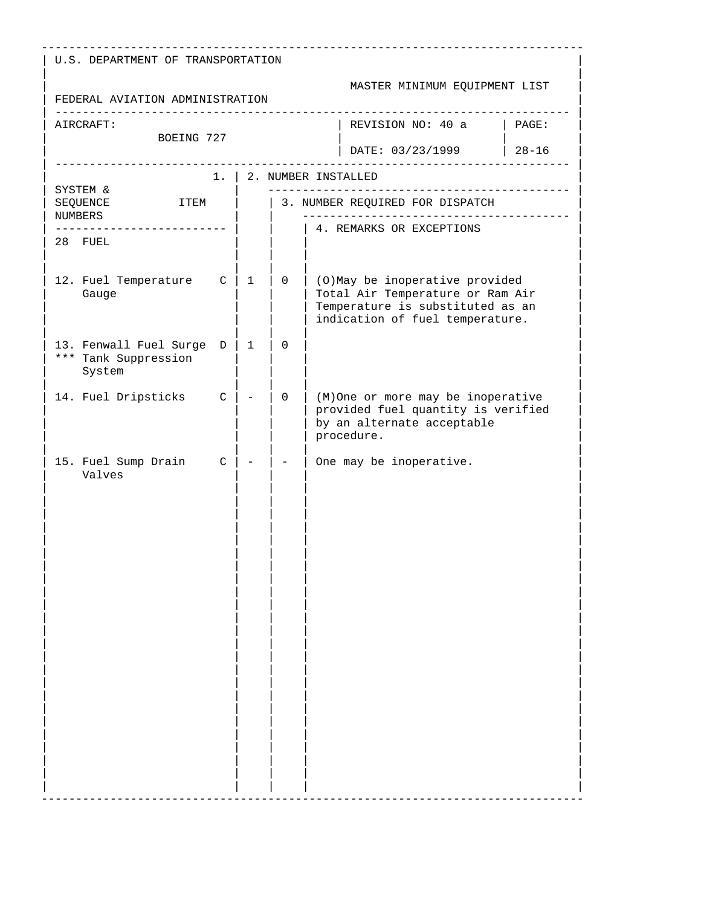| U.S. DEPARTMENT OF TRANSPORTATION                                |  |                |                                                           |                                                                                                                                            |  |  |  |  |
|------------------------------------------------------------------|--|----------------|-----------------------------------------------------------|--------------------------------------------------------------------------------------------------------------------------------------------|--|--|--|--|
| MASTER MINIMUM EQUIPMENT LIST<br>FEDERAL AVIATION ADMINISTRATION |  |                |                                                           |                                                                                                                                            |  |  |  |  |
| AIRCRAFT:<br>BOEING 727                                          |  |                |                                                           | REVISION NO: 40 a<br>$ $ PAGE:                                                                                                             |  |  |  |  |
|                                                                  |  |                |                                                           | DATE: 03/23/1999   28-16                                                                                                                   |  |  |  |  |
| SYSTEM &<br>SEQUENCE<br>ITEM                                     |  |                | 1. 2. NUMBER INSTALLED<br>3. NUMBER REQUIRED FOR DISPATCH |                                                                                                                                            |  |  |  |  |
| <b>NUMBERS</b><br>28 FUEL                                        |  |                |                                                           | 4. REMARKS OR EXCEPTIONS                                                                                                                   |  |  |  |  |
| 12. Fuel Temperature C   1<br>Gauge                              |  | $\mathsf{O}$   |                                                           | (0) May be inoperative provided<br>Total Air Temperature or Ram Air<br>Temperature is substituted as an<br>indication of fuel temperature. |  |  |  |  |
| 13. Fenwall Fuel Surge D   1<br>*** Tank Suppression<br>System   |  |                | $\mathbf 0$                                               |                                                                                                                                            |  |  |  |  |
| 14. Fuel Dripsticks C                                            |  | $\overline{a}$ | $\mathbf{0}$                                              | (M) One or more may be inoperative<br>provided fuel quantity is verified<br>by an alternate acceptable<br>procedure.                       |  |  |  |  |
| 15. Fuel Sump Drain C<br>Valves                                  |  | $\overline{a}$ |                                                           | One may be inoperative.                                                                                                                    |  |  |  |  |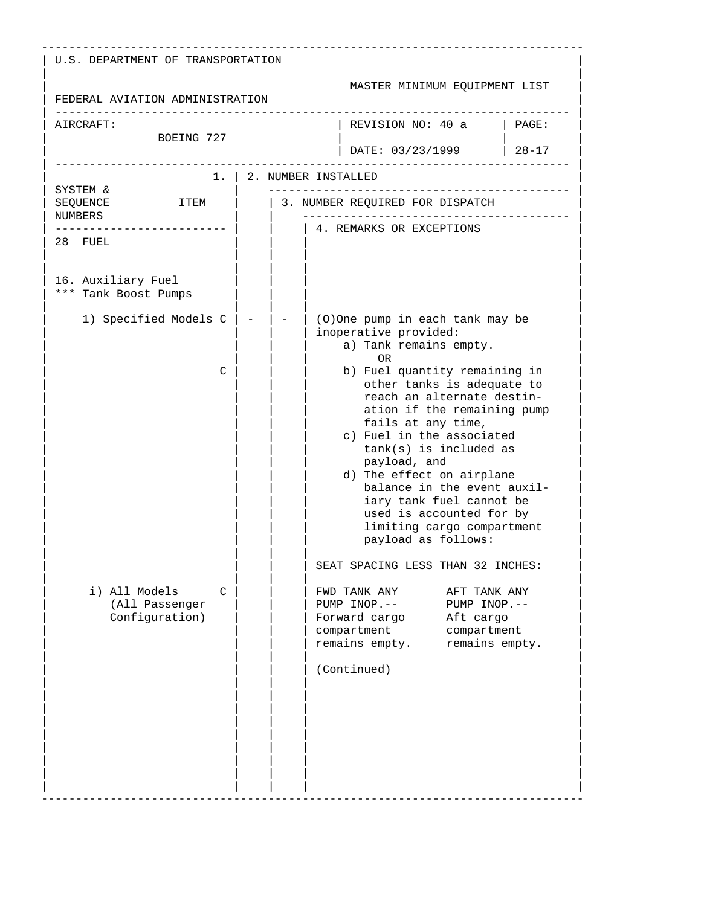| U.S. DEPARTMENT OF TRANSPORTATION                                |  |  |                                                                                                                                                                                                                                                                                                                                                                                                                                       |  |  |  |
|------------------------------------------------------------------|--|--|---------------------------------------------------------------------------------------------------------------------------------------------------------------------------------------------------------------------------------------------------------------------------------------------------------------------------------------------------------------------------------------------------------------------------------------|--|--|--|
| MASTER MINIMUM EQUIPMENT LIST<br>FEDERAL AVIATION ADMINISTRATION |  |  |                                                                                                                                                                                                                                                                                                                                                                                                                                       |  |  |  |
| AIRCRAFT:<br>BOEING 727                                          |  |  | REVISION NO: 40 a<br>  PAGE:                                                                                                                                                                                                                                                                                                                                                                                                          |  |  |  |
|                                                                  |  |  | DATE: 03/23/1999<br>$ 28-17$                                                                                                                                                                                                                                                                                                                                                                                                          |  |  |  |
| SYSTEM &                                                         |  |  | 1.   2. NUMBER INSTALLED                                                                                                                                                                                                                                                                                                                                                                                                              |  |  |  |
| SEQUENCE<br>ITEM<br>NUMBERS                                      |  |  | 3. NUMBER REQUIRED FOR DISPATCH<br>4. REMARKS OR EXCEPTIONS                                                                                                                                                                                                                                                                                                                                                                           |  |  |  |
| 28 FUEL                                                          |  |  |                                                                                                                                                                                                                                                                                                                                                                                                                                       |  |  |  |
| 16. Auxiliary Fuel<br>*** Tank Boost Pumps                       |  |  |                                                                                                                                                                                                                                                                                                                                                                                                                                       |  |  |  |
| 1) Specified Models C                                            |  |  | (0) One pump in each tank may be<br>inoperative provided:<br>a) Tank remains empty.<br>OR.                                                                                                                                                                                                                                                                                                                                            |  |  |  |
| C                                                                |  |  | b) Fuel quantity remaining in<br>other tanks is adequate to<br>reach an alternate destin-<br>ation if the remaining pump<br>fails at any time,<br>c) Fuel in the associated<br>$tank(s)$ is included as<br>payload, and<br>d) The effect on airplane<br>balance in the event auxil-<br>iary tank fuel cannot be<br>used is accounted for by<br>limiting cargo compartment<br>payload as follows:<br>SEAT SPACING LESS THAN 32 INCHES: |  |  |  |
| i) All Models<br>C<br>(All Passenger<br>Configuration)           |  |  | FWD TANK ANY<br>AFT TANK ANY<br>PUMP INOP.--<br>PUMP INOP.--<br>Forward cargo<br>Aft cargo<br>compartment<br>compartment<br>remains empty.<br>remains empty.<br>(Continued)                                                                                                                                                                                                                                                           |  |  |  |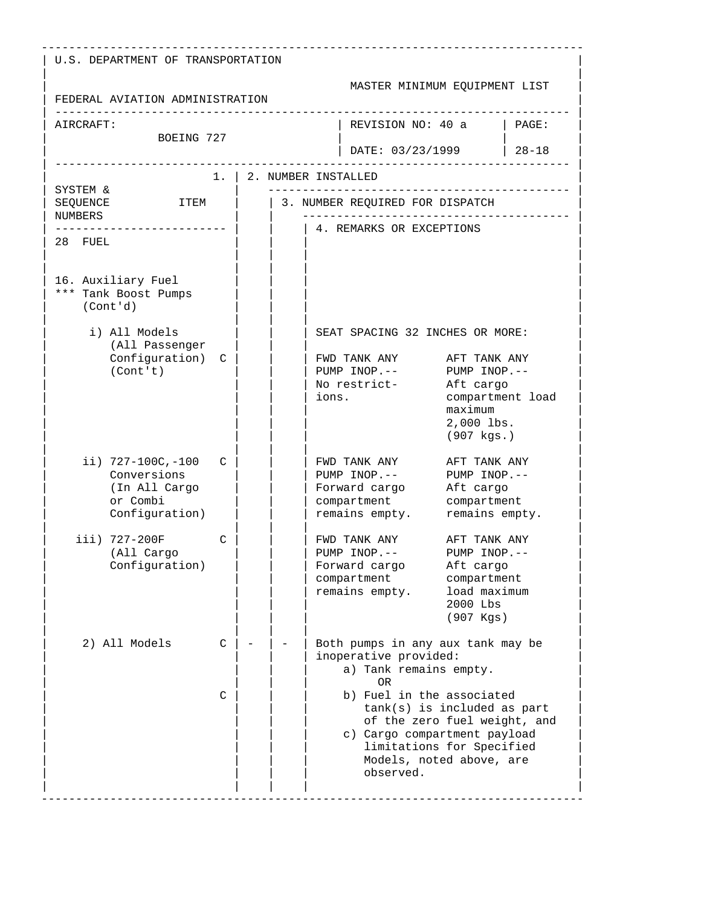| U.S. DEPARTMENT OF TRANSPORTATION                                                    |  |  |                                                                                                                                                                                                |                                                                                                   |  |  |
|--------------------------------------------------------------------------------------|--|--|------------------------------------------------------------------------------------------------------------------------------------------------------------------------------------------------|---------------------------------------------------------------------------------------------------|--|--|
| MASTER MINIMUM EQUIPMENT LIST<br>FEDERAL AVIATION ADMINISTRATION                     |  |  |                                                                                                                                                                                                |                                                                                                   |  |  |
| AIRCRAFT:<br>BOEING 727                                                              |  |  | REVISION NO: 40 a   PAGE:                                                                                                                                                                      |                                                                                                   |  |  |
|                                                                                      |  |  | $\vert$ DATE: 03/23/1999 $\vert$ 28-18                                                                                                                                                         |                                                                                                   |  |  |
| SYSTEM &                                                                             |  |  | 1. 2. NUMBER INSTALLED                                                                                                                                                                         |                                                                                                   |  |  |
| SEQUENCE<br>ITEM<br>NUMBERS                                                          |  |  | 3. NUMBER REQUIRED FOR DISPATCH                                                                                                                                                                |                                                                                                   |  |  |
| 28 FUEL                                                                              |  |  | 4. REMARKS OR EXCEPTIONS                                                                                                                                                                       |                                                                                                   |  |  |
| 16. Auxiliary Fuel<br>*** Tank Boost Pumps<br>(Cont d)                               |  |  |                                                                                                                                                                                                |                                                                                                   |  |  |
| i) All Models<br>(All Passenger                                                      |  |  | SEAT SPACING 32 INCHES OR MORE:                                                                                                                                                                |                                                                                                   |  |  |
| Configuration) C<br>(Cont't)                                                         |  |  | FWD TANK ANY AFT TANK ANY<br>PUMP INOP.--<br>No restrict-<br>ions.                                                                                                                             | PUMP INOP.--<br>Aft cargo<br>compartment load<br>maximum<br>2,000 lbs.<br>(907 kgs.)              |  |  |
| ii) $727-100C, -100$ C<br>Conversions<br>(In All Cargo<br>or Combi<br>Configuration) |  |  | FWD TANK ANY<br>PUMP INOP.--<br>Forward cargo<br>compartment<br>remains empty.                                                                                                                 | AFT TANK ANY<br>PUMP INOP.--<br>Aft cargo<br>compartment<br>remains empty.                        |  |  |
| iii) 727-200F<br>C<br>(All Cargo<br>Configuration)                                   |  |  | FWD TANK ANY<br>PUMP INOP.--<br>Forward cargo<br>compartment<br>remains empty.                                                                                                                 | AFT TANK ANY<br>PUMP INOP.--<br>Aft cargo<br>compartment<br>load maximum<br>2000 Lbs<br>(907 Kgs) |  |  |
| 2) All Models<br>C                                                                   |  |  | Both pumps in any aux tank may be<br>inoperative provided:<br>a) Tank remains empty.<br>0R                                                                                                     |                                                                                                   |  |  |
| C                                                                                    |  |  | b) Fuel in the associated<br>tank(s) is included as part<br>of the zero fuel weight, and<br>c) Cargo compartment payload<br>limitations for Specified<br>Models, noted above, are<br>observed. |                                                                                                   |  |  |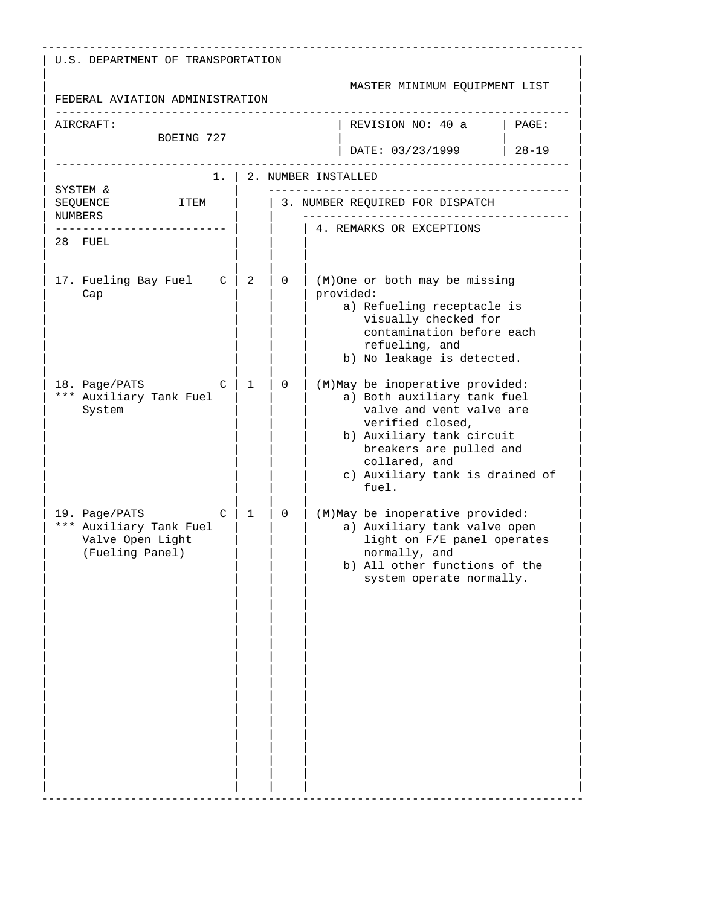| U.S. DEPARTMENT OF TRANSPORTATION                                                                |                |             |                                                                                                                                                                                                                                      |  |  |  |
|--------------------------------------------------------------------------------------------------|----------------|-------------|--------------------------------------------------------------------------------------------------------------------------------------------------------------------------------------------------------------------------------------|--|--|--|
| MASTER MINIMUM EQUIPMENT LIST<br>FEDERAL AVIATION ADMINISTRATION                                 |                |             |                                                                                                                                                                                                                                      |  |  |  |
| AIRCRAFT:<br>BOEING 727                                                                          |                |             | REVISION NO: 40 a<br>$ $ PAGE:                                                                                                                                                                                                       |  |  |  |
|                                                                                                  |                |             | DATE: 03/23/1999   28-19                                                                                                                                                                                                             |  |  |  |
| SYSTEM &<br>SEQUENCE<br>ITEM                                                                     |                |             | 1. 2. NUMBER INSTALLED<br>3. NUMBER REQUIRED FOR DISPATCH                                                                                                                                                                            |  |  |  |
| NUMBERS                                                                                          |                |             | 4. REMARKS OR EXCEPTIONS                                                                                                                                                                                                             |  |  |  |
| 28 FUEL                                                                                          |                |             |                                                                                                                                                                                                                                      |  |  |  |
| 17. Fueling Bay Fuel C<br>Cap                                                                    | $\overline{2}$ | $\mathbf 0$ | (M) One or both may be missing<br>provided:<br>a) Refueling receptacle is<br>visually checked for<br>contamination before each<br>refueling, and<br>b) No leakage is detected.                                                       |  |  |  |
| 18. Page/PATS<br>$\mathsf{C}$<br>*** Auxiliary Tank Fuel<br>System                               | 1              | $\Omega$    | (M) May be inoperative provided:<br>a) Both auxiliary tank fuel<br>valve and vent valve are<br>verified closed,<br>b) Auxiliary tank circuit<br>breakers are pulled and<br>collared, and<br>c) Auxiliary tank is drained of<br>fuel. |  |  |  |
| 19. Page/PATS<br>$\mathcal{C}$<br>*** Auxiliary Tank Fuel<br>Valve Open Light<br>(Fueling Panel) | 1              | $\mathbf 0$ | (M) May be inoperative provided:<br>a) Auxiliary tank valve open<br>light on F/E panel operates<br>normally, and<br>b) All other functions of the<br>system operate normally.                                                        |  |  |  |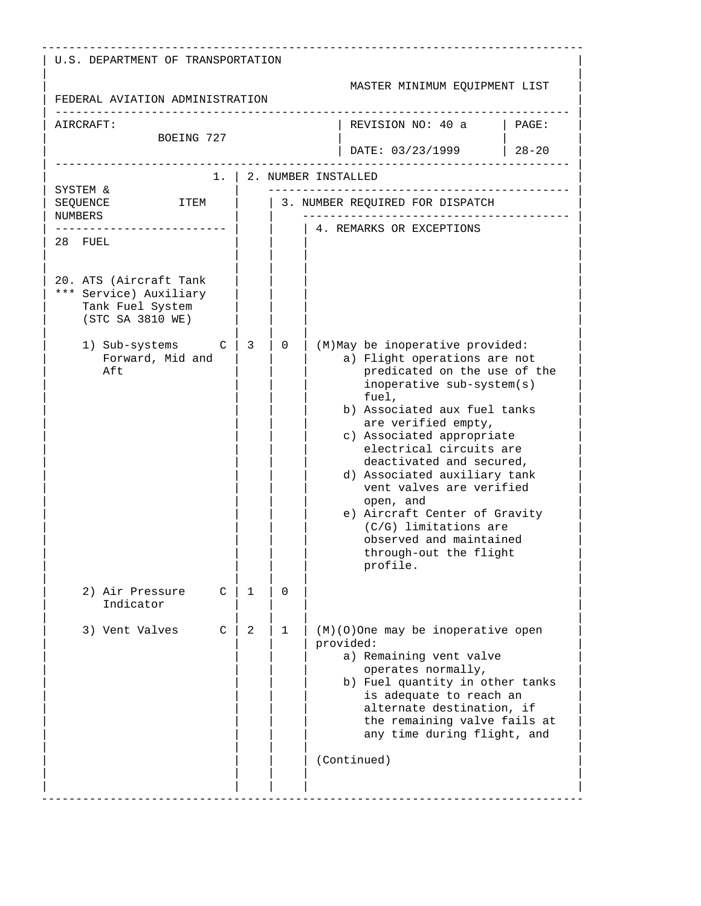| U.S. DEPARTMENT OF TRANSPORTATION                                                        |                |                |                                                                                                                                                                                                                                                                                                                                                                                                                                                                                       |  |  |  |
|------------------------------------------------------------------------------------------|----------------|----------------|---------------------------------------------------------------------------------------------------------------------------------------------------------------------------------------------------------------------------------------------------------------------------------------------------------------------------------------------------------------------------------------------------------------------------------------------------------------------------------------|--|--|--|
| MASTER MINIMUM EQUIPMENT LIST<br>FEDERAL AVIATION ADMINISTRATION                         |                |                |                                                                                                                                                                                                                                                                                                                                                                                                                                                                                       |  |  |  |
| AIRCRAFT:<br>BOEING 727                                                                  |                |                | REVISION NO: 40 a<br>$\mathsf I$ PAGE:                                                                                                                                                                                                                                                                                                                                                                                                                                                |  |  |  |
|                                                                                          |                |                | DATE: 03/23/1999<br>$ 28-20$                                                                                                                                                                                                                                                                                                                                                                                                                                                          |  |  |  |
| SYSTEM &                                                                                 |                |                | 1.   2. NUMBER INSTALLED                                                                                                                                                                                                                                                                                                                                                                                                                                                              |  |  |  |
| SEQUENCE<br>ITEM<br>NUMBERS                                                              |                |                | 3. NUMBER REQUIRED FOR DISPATCH                                                                                                                                                                                                                                                                                                                                                                                                                                                       |  |  |  |
| 28 FUEL                                                                                  |                |                | 4. REMARKS OR EXCEPTIONS                                                                                                                                                                                                                                                                                                                                                                                                                                                              |  |  |  |
| 20. ATS (Aircraft Tank<br>*** Service) Auxiliary<br>Tank Fuel System<br>(STC SA 3810 WE) |                |                |                                                                                                                                                                                                                                                                                                                                                                                                                                                                                       |  |  |  |
| 1) Sub-systems C<br>Forward, Mid and<br>Aft                                              | $\overline{3}$ | 0              | (M) May be inoperative provided:<br>a) Flight operations are not<br>predicated on the use of the<br>inoperative sub-system(s)<br>fuel,<br>b) Associated aux fuel tanks<br>are verified empty,<br>c) Associated appropriate<br>electrical circuits are<br>deactivated and secured,<br>d) Associated auxiliary tank<br>vent valves are verified<br>open, and<br>e) Aircraft Center of Gravity<br>(C/G) limitations are<br>observed and maintained<br>through-out the flight<br>profile. |  |  |  |
| 2) Air Pressure<br>C<br>Indicator                                                        | $\mathbf{1}$   | $\overline{0}$ |                                                                                                                                                                                                                                                                                                                                                                                                                                                                                       |  |  |  |
| 3) Vent Valves<br>C                                                                      | 2              | $\mathbf{1}$   | (M)(O)One may be inoperative open<br>provided:<br>a) Remaining vent valve<br>operates normally,<br>b) Fuel quantity in other tanks<br>is adequate to reach an<br>alternate destination, if<br>the remaining valve fails at<br>any time during flight, and<br>(Continued)                                                                                                                                                                                                              |  |  |  |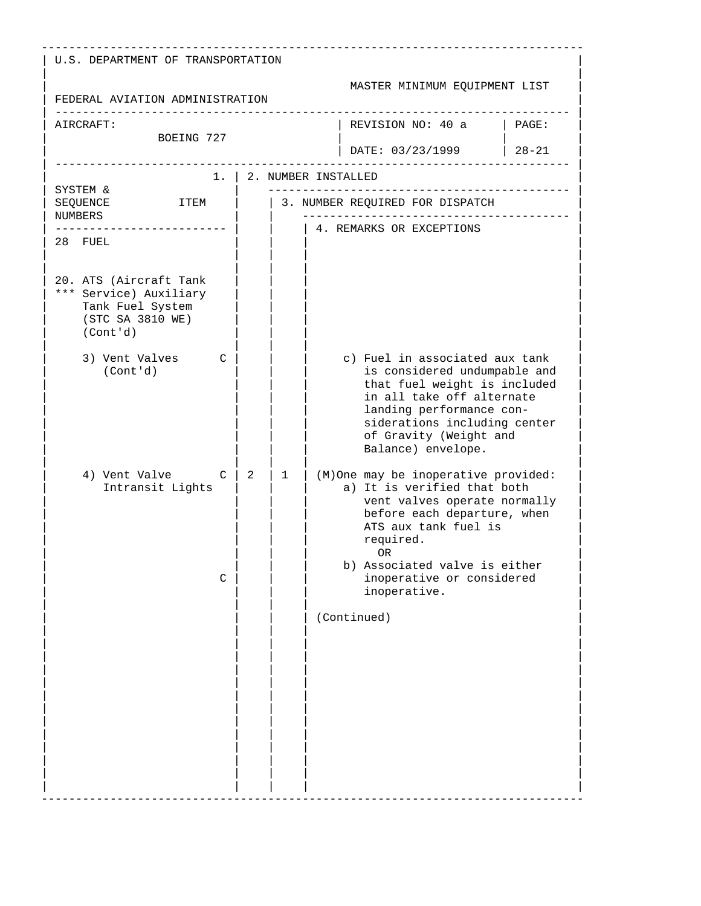| U.S. DEPARTMENT OF TRANSPORTATION                                                                    |                                                                  |              |                                                                                                                                                                                                                                         |  |  |  |  |  |
|------------------------------------------------------------------------------------------------------|------------------------------------------------------------------|--------------|-----------------------------------------------------------------------------------------------------------------------------------------------------------------------------------------------------------------------------------------|--|--|--|--|--|
|                                                                                                      | MASTER MINIMUM EQUIPMENT LIST<br>FEDERAL AVIATION ADMINISTRATION |              |                                                                                                                                                                                                                                         |  |  |  |  |  |
| AIRCRAFT:<br>BOEING 727                                                                              |                                                                  |              | REVISION NO: 40 a<br>$ $ PAGE:                                                                                                                                                                                                          |  |  |  |  |  |
|                                                                                                      |                                                                  |              | DATE: 03/23/1999<br>$ 28-21 $                                                                                                                                                                                                           |  |  |  |  |  |
| SYSTEM &                                                                                             |                                                                  |              | 1. 2. NUMBER INSTALLED                                                                                                                                                                                                                  |  |  |  |  |  |
| SEQUENCE<br>ITEM<br>NUMBERS                                                                          |                                                                  |              | 3. NUMBER REQUIRED FOR DISPATCH                                                                                                                                                                                                         |  |  |  |  |  |
| 28 FUEL                                                                                              |                                                                  |              | 4. REMARKS OR EXCEPTIONS                                                                                                                                                                                                                |  |  |  |  |  |
| 20. ATS (Aircraft Tank<br>*** Service) Auxiliary<br>Tank Fuel System<br>(STC SA 3810 WE)<br>(Cont d) |                                                                  |              |                                                                                                                                                                                                                                         |  |  |  |  |  |
| 3) Vent Valves<br>$\mathcal{C}$<br>(Cont d)                                                          |                                                                  |              | c) Fuel in associated aux tank<br>is considered undumpable and<br>that fuel weight is included<br>in all take off alternate<br>landing performance con-<br>siderations including center<br>of Gravity (Weight and<br>Balance) envelope. |  |  |  |  |  |
| 4) Vent Valve C<br>Intransit Lights                                                                  | 2                                                                | $\mathbf{1}$ | (M) One may be inoperative provided:<br>a) It is verified that both<br>vent valves operate normally<br>before each departure, when<br>ATS aux tank fuel is<br>required.<br>0R<br>b) Associated valve is either                          |  |  |  |  |  |
| C                                                                                                    |                                                                  |              | inoperative or considered<br>inoperative.                                                                                                                                                                                               |  |  |  |  |  |
|                                                                                                      |                                                                  |              | (Continued)                                                                                                                                                                                                                             |  |  |  |  |  |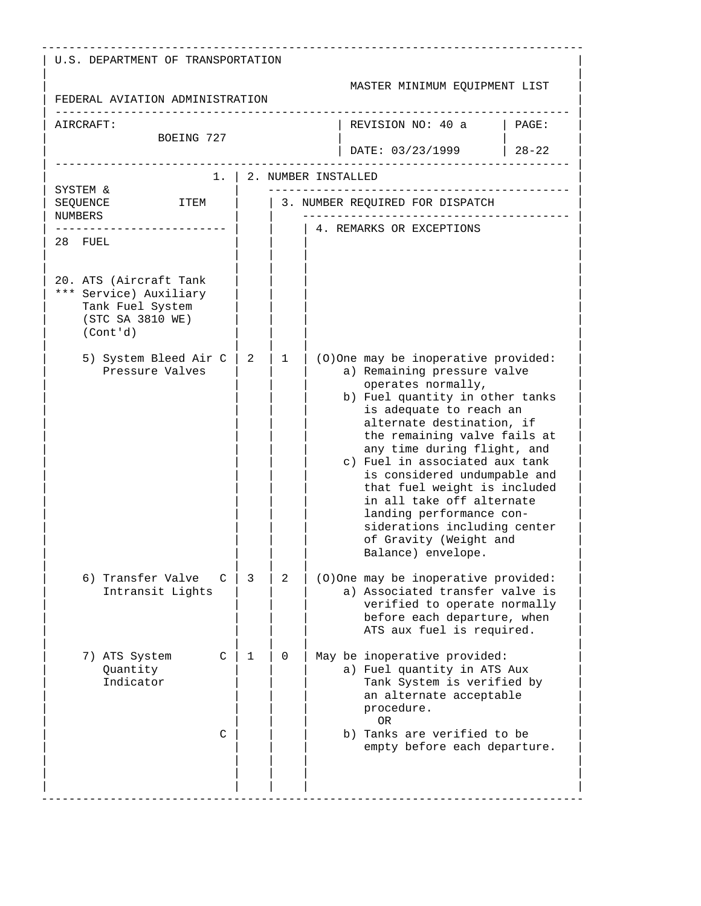| U.S. DEPARTMENT OF TRANSPORTATION                                                                    |              |   |                                                                                                                                                                                                                                                                                                                                                                                                                                                                                                |  |  |  |  |
|------------------------------------------------------------------------------------------------------|--------------|---|------------------------------------------------------------------------------------------------------------------------------------------------------------------------------------------------------------------------------------------------------------------------------------------------------------------------------------------------------------------------------------------------------------------------------------------------------------------------------------------------|--|--|--|--|
| MASTER MINIMUM EQUIPMENT LIST<br>FEDERAL AVIATION ADMINISTRATION                                     |              |   |                                                                                                                                                                                                                                                                                                                                                                                                                                                                                                |  |  |  |  |
| AIRCRAFT:<br>BOEING 727                                                                              |              |   | REVISION NO: 40 a<br>$\mathsf I$ PAGE:                                                                                                                                                                                                                                                                                                                                                                                                                                                         |  |  |  |  |
|                                                                                                      |              |   | DATE: 03/23/1999<br>  $28 - 22$                                                                                                                                                                                                                                                                                                                                                                                                                                                                |  |  |  |  |
| SYSTEM &                                                                                             |              |   | 1.   2. NUMBER INSTALLED                                                                                                                                                                                                                                                                                                                                                                                                                                                                       |  |  |  |  |
| SEQUENCE<br>ITEM<br>NUMBERS                                                                          |              |   | 3. NUMBER REQUIRED FOR DISPATCH                                                                                                                                                                                                                                                                                                                                                                                                                                                                |  |  |  |  |
| 28 FUEL                                                                                              |              |   | 4. REMARKS OR EXCEPTIONS                                                                                                                                                                                                                                                                                                                                                                                                                                                                       |  |  |  |  |
| 20. ATS (Aircraft Tank<br>*** Service) Auxiliary<br>Tank Fuel System<br>(STC SA 3810 WE)<br>(Cont d) |              |   |                                                                                                                                                                                                                                                                                                                                                                                                                                                                                                |  |  |  |  |
| 5) System Bleed Air C<br>Pressure Valves                                                             | 2            | 1 | (0) One may be inoperative provided:<br>a) Remaining pressure valve<br>operates normally,<br>b) Fuel quantity in other tanks<br>is adequate to reach an<br>alternate destination, if<br>the remaining valve fails at<br>any time during flight, and<br>c) Fuel in associated aux tank<br>is considered undumpable and<br>that fuel weight is included<br>in all take off alternate<br>landing performance con-<br>siderations including center<br>of Gravity (Weight and<br>Balance) envelope. |  |  |  |  |
| 6) Transfer Valve<br>$\mathcal{C}$<br>Intransit Lights                                               | 3            | 2 | (0) One may be inoperative provided:<br>a) Associated transfer valve is<br>verified to operate normally<br>before each departure, when<br>ATS aux fuel is required.                                                                                                                                                                                                                                                                                                                            |  |  |  |  |
| 7) ATS System<br>C<br>Quantity<br>Indicator                                                          | $\mathbf{1}$ | 0 | May be inoperative provided:<br>a) Fuel quantity in ATS Aux<br>Tank System is verified by<br>an alternate acceptable<br>procedure.<br>0R                                                                                                                                                                                                                                                                                                                                                       |  |  |  |  |
| C                                                                                                    |              |   | b) Tanks are verified to be<br>empty before each departure.                                                                                                                                                                                                                                                                                                                                                                                                                                    |  |  |  |  |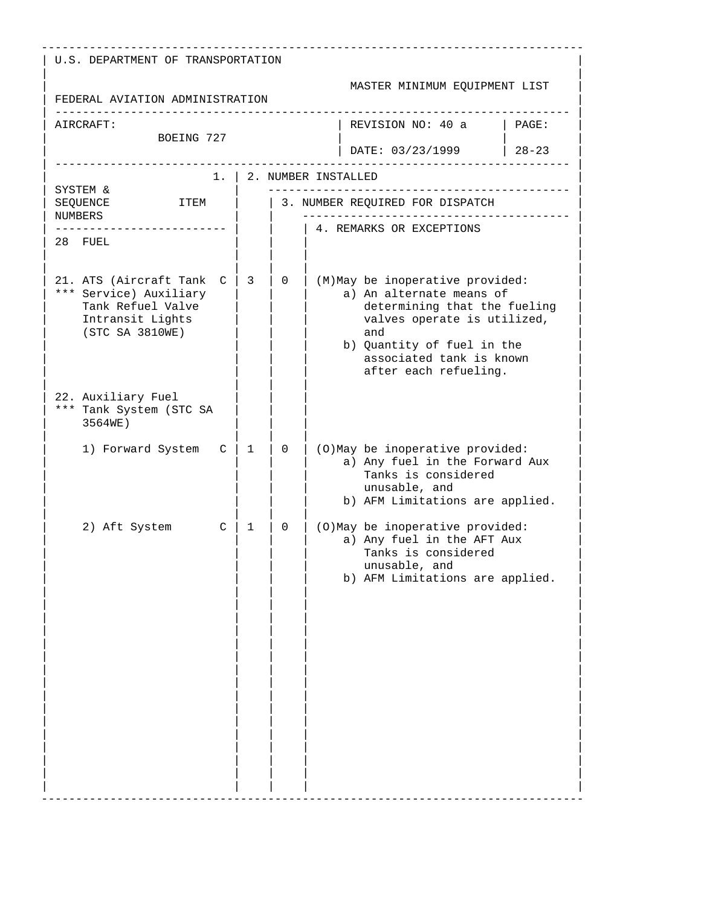| U.S. DEPARTMENT OF TRANSPORTATION<br>MASTER MINIMUM EQUIPMENT LIST |                |                                                                                                                                                                                                                       |  |  |  |  |  |
|--------------------------------------------------------------------|----------------|-----------------------------------------------------------------------------------------------------------------------------------------------------------------------------------------------------------------------|--|--|--|--|--|
| FEDERAL AVIATION ADMINISTRATION                                    |                |                                                                                                                                                                                                                       |  |  |  |  |  |
|                                                                    |                | REVISION NO: 40 a<br>$\mathtt{PAGE}$ :                                                                                                                                                                                |  |  |  |  |  |
|                                                                    |                | DATE: 03/23/1999<br>$ 28-23 $                                                                                                                                                                                         |  |  |  |  |  |
|                                                                    |                | 1. 2. NUMBER INSTALLED                                                                                                                                                                                                |  |  |  |  |  |
|                                                                    |                | 3. NUMBER REQUIRED FOR DISPATCH                                                                                                                                                                                       |  |  |  |  |  |
|                                                                    |                | 4. REMARKS OR EXCEPTIONS                                                                                                                                                                                              |  |  |  |  |  |
| $\overline{\mathbf{3}}$                                            | $\overline{0}$ | (M) May be inoperative provided:<br>a) An alternate means of<br>determining that the fueling<br>valves operate is utilized,<br>and<br>b) Quantity of fuel in the<br>associated tank is known<br>after each refueling. |  |  |  |  |  |
|                                                                    |                |                                                                                                                                                                                                                       |  |  |  |  |  |
| 1                                                                  | $\Omega$       | (0) May be inoperative provided:<br>a) Any fuel in the Forward Aux<br>Tanks is considered<br>unusable, and<br>b) AFM Limitations are applied.                                                                         |  |  |  |  |  |
| $\mathbf{1}$                                                       | 0              | (0) May be inoperative provided:<br>a) Any fuel in the AFT Aux<br>Tanks is considered<br>unusable, and<br>b) AFM Limitations are applied.                                                                             |  |  |  |  |  |
|                                                                    |                |                                                                                                                                                                                                                       |  |  |  |  |  |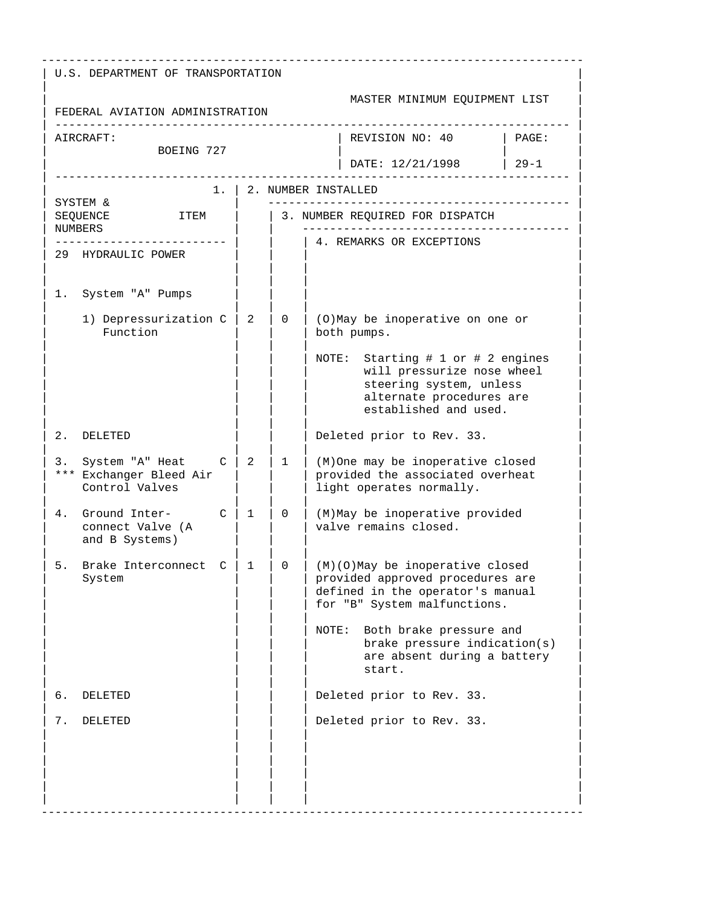| U.S. DEPARTMENT OF TRANSPORTATION                                           |                                                                                                                        |                          |                                                                                                                                                    |  |  |  |  |
|-----------------------------------------------------------------------------|------------------------------------------------------------------------------------------------------------------------|--------------------------|----------------------------------------------------------------------------------------------------------------------------------------------------|--|--|--|--|
| MASTER MINIMUM EQUIPMENT LIST<br>FEDERAL AVIATION ADMINISTRATION            |                                                                                                                        |                          |                                                                                                                                                    |  |  |  |  |
| AIRCRAFT:<br>BOEING 727                                                     |                                                                                                                        |                          | REVISION NO: 40<br>$\mathtt{PAGE}$ :                                                                                                               |  |  |  |  |
|                                                                             | DATE: 12/21/1998<br>$ 29-1 $                                                                                           |                          |                                                                                                                                                    |  |  |  |  |
| 1. 2. NUMBER INSTALLED<br><b>SYSTEM &amp;</b>                               |                                                                                                                        |                          |                                                                                                                                                    |  |  |  |  |
| SEQUENCE<br>ITEM<br>NUMBERS                                                 | 3. NUMBER REQUIRED FOR DISPATCH                                                                                        |                          |                                                                                                                                                    |  |  |  |  |
| 29 HYDRAULIC POWER                                                          |                                                                                                                        | 4. REMARKS OR EXCEPTIONS |                                                                                                                                                    |  |  |  |  |
| System "A" Pumps<br>1.                                                      |                                                                                                                        |                          |                                                                                                                                                    |  |  |  |  |
| 1) Depressurization C<br>Function                                           | 2                                                                                                                      | $\mathbf 0$              | (O)May be inoperative on one or<br>both pumps.                                                                                                     |  |  |  |  |
|                                                                             |                                                                                                                        |                          | NOTE:<br>Starting # 1 or # 2 engines<br>will pressurize nose wheel<br>steering system, unless<br>alternate procedures are<br>established and used. |  |  |  |  |
| 2.<br>DELETED                                                               | Deleted prior to Rev. 33.                                                                                              |                          |                                                                                                                                                    |  |  |  |  |
| System "A" Heat C<br>3.<br>*** Exchanger Bleed Air<br>Control Valves        | 2<br>$\mathbf{1}$<br>(M) One may be inoperative closed<br>provided the associated overheat<br>light operates normally. |                          |                                                                                                                                                    |  |  |  |  |
| Ground Inter-<br>$\overline{C}$<br>4.<br>connect Valve (A<br>and B Systems) | $\mathbf{1}$                                                                                                           | $\Omega$                 | (M) May be inoperative provided<br>valve remains closed.                                                                                           |  |  |  |  |
| 5.<br>Brake Interconnect<br>$\mathsf C$<br>System                           | 1                                                                                                                      | 0                        | (M)(O)May be inoperative closed<br>provided approved procedures are<br>defined in the operator's manual<br>for "B" System malfunctions.            |  |  |  |  |
|                                                                             |                                                                                                                        |                          | Both brake pressure and<br>NOTE:<br>brake pressure indication(s)<br>are absent during a battery<br>start.                                          |  |  |  |  |
| б.<br>DELETED                                                               |                                                                                                                        |                          | Deleted prior to Rev. 33.                                                                                                                          |  |  |  |  |
| 7.<br>DELETED                                                               |                                                                                                                        |                          | Deleted prior to Rev. 33.                                                                                                                          |  |  |  |  |
|                                                                             |                                                                                                                        |                          |                                                                                                                                                    |  |  |  |  |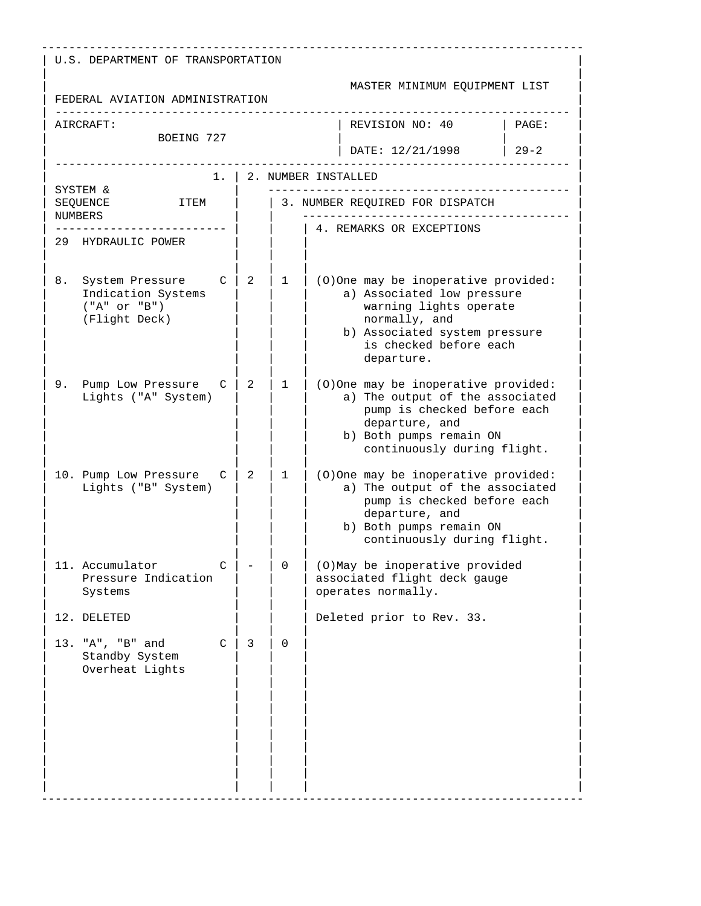| U.S. DEPARTMENT OF TRANSPORTATION |                                                                        |               |                                 |              |                                                                                                                                                                                        |  |  |  |  |
|-----------------------------------|------------------------------------------------------------------------|---------------|---------------------------------|--------------|----------------------------------------------------------------------------------------------------------------------------------------------------------------------------------------|--|--|--|--|
|                                   | MASTER MINIMUM EQUIPMENT LIST<br>FEDERAL AVIATION ADMINISTRATION       |               |                                 |              |                                                                                                                                                                                        |  |  |  |  |
|                                   | AIRCRAFT:<br>BOEING 727                                                |               |                                 |              | REVISION NO: 40<br>PAGE:                                                                                                                                                               |  |  |  |  |
|                                   |                                                                        |               |                                 |              | DATE: 12/21/1998<br>$29 - 2$                                                                                                                                                           |  |  |  |  |
|                                   | <b>SYSTEM &amp;</b>                                                    |               | 1. 2. NUMBER INSTALLED          |              |                                                                                                                                                                                        |  |  |  |  |
|                                   | SEQUENCE<br>ITEM<br>NUMBERS                                            |               | 3. NUMBER REQUIRED FOR DISPATCH |              |                                                                                                                                                                                        |  |  |  |  |
|                                   | 29 HYDRAULIC POWER                                                     |               |                                 |              | 4. REMARKS OR EXCEPTIONS                                                                                                                                                               |  |  |  |  |
| 8.                                | System Pressure<br>Indication Systems<br>("A" or "B")<br>(Flight Deck) | $\mathbb{C}$  | $\overline{2}$                  | $\mathbf{1}$ | (0) One may be inoperative provided:<br>a) Associated low pressure<br>warning lights operate<br>normally, and<br>b) Associated system pressure<br>is checked before each<br>departure. |  |  |  |  |
| 9.                                | Pump Low Pressure C<br>Lights ("A" System)                             |               | 2                               | $\mathbf{1}$ | (0) One may be inoperative provided:<br>a) The output of the associated<br>pump is checked before each<br>departure, and<br>b) Both pumps remain ON<br>continuously during flight.     |  |  |  |  |
|                                   | 10. Pump Low Pressure C<br>Lights ("B" System)                         |               | 2                               | $\mathbf{1}$ | (0) One may be inoperative provided:<br>a) The output of the associated<br>pump is checked before each<br>departure, and<br>b) Both pumps remain ON<br>continuously during flight.     |  |  |  |  |
|                                   | 11. Accumulator<br>Pressure Indication<br>Systems                      | $\mathcal{C}$ |                                 | 0            | (0) May be inoperative provided<br>associated flight deck gauge<br>operates normally.                                                                                                  |  |  |  |  |
| 12.                               | DELETED                                                                |               |                                 |              | Deleted prior to Rev. 33.                                                                                                                                                              |  |  |  |  |
| 13.                               | "A", "B" and<br>Standby System<br>Overheat Lights                      | C             | 3                               | $\mathbf 0$  |                                                                                                                                                                                        |  |  |  |  |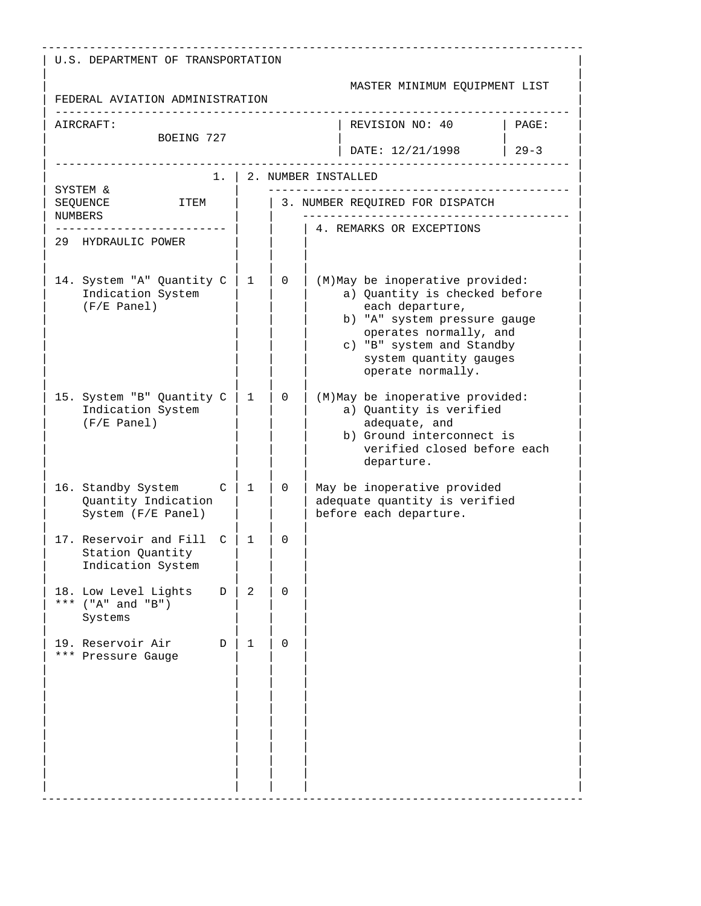| U.S. DEPARTMENT OF TRANSPORTATION                                                 |                                 |                |                                                                                                                                                                                                                            |       |  |  |  |
|-----------------------------------------------------------------------------------|---------------------------------|----------------|----------------------------------------------------------------------------------------------------------------------------------------------------------------------------------------------------------------------------|-------|--|--|--|
| MASTER MINIMUM EQUIPMENT LIST<br>FEDERAL AVIATION ADMINISTRATION                  |                                 |                |                                                                                                                                                                                                                            |       |  |  |  |
| AIRCRAFT:<br>BOEING 727                                                           |                                 |                | REVISION NO: 40                                                                                                                                                                                                            | PAGE: |  |  |  |
|                                                                                   |                                 |                | DATE: 12/21/1998<br>$ 29-3 $                                                                                                                                                                                               |       |  |  |  |
| SYSTEM &                                                                          |                                 |                | 1. 2. NUMBER INSTALLED                                                                                                                                                                                                     |       |  |  |  |
| SEQUENCE<br>ITEM<br><b>NUMBERS</b>                                                | 3. NUMBER REQUIRED FOR DISPATCH |                |                                                                                                                                                                                                                            |       |  |  |  |
| 29 HYDRAULIC POWER                                                                |                                 |                | 4. REMARKS OR EXCEPTIONS                                                                                                                                                                                                   |       |  |  |  |
| 14. System "A" Quantity C<br>Indication System<br>$(F/E$ Panel)                   | $\mathbf{1}$                    | $\mathbf 0$    | (M) May be inoperative provided:<br>a) Quantity is checked before<br>each departure,<br>b) "A" system pressure gauge<br>operates normally, and<br>c) "B" system and Standby<br>system quantity gauges<br>operate normally. |       |  |  |  |
| 15. System "B" Quantity C<br>Indication System<br>$(F/E$ Panel)                   | 1                               | $\Omega$       | (M) May be inoperative provided:<br>a) Quantity is verified<br>adequate, and<br>b) Ground interconnect is<br>verified closed before each<br>departure.                                                                     |       |  |  |  |
| 16. Standby System<br>$\overline{C}$<br>Quantity Indication<br>System (F/E Panel) | $\mathbf{1}$                    | $\Omega$       | May be inoperative provided<br>adequate quantity is verified<br>before each departure.                                                                                                                                     |       |  |  |  |
| 17. Reservoir and Fill C<br>Station Quantity<br>Indication System                 | $\overline{1}$                  | 0              |                                                                                                                                                                                                                            |       |  |  |  |
| 18. Low Level Lights<br>D<br>*** ("A" and "B")<br>Systems                         | 2                               | $\overline{0}$ |                                                                                                                                                                                                                            |       |  |  |  |
| 19. Reservoir Air<br>D<br>*** Pressure Gauge                                      | $\mathbf{1}$                    | $\mathsf 0$    |                                                                                                                                                                                                                            |       |  |  |  |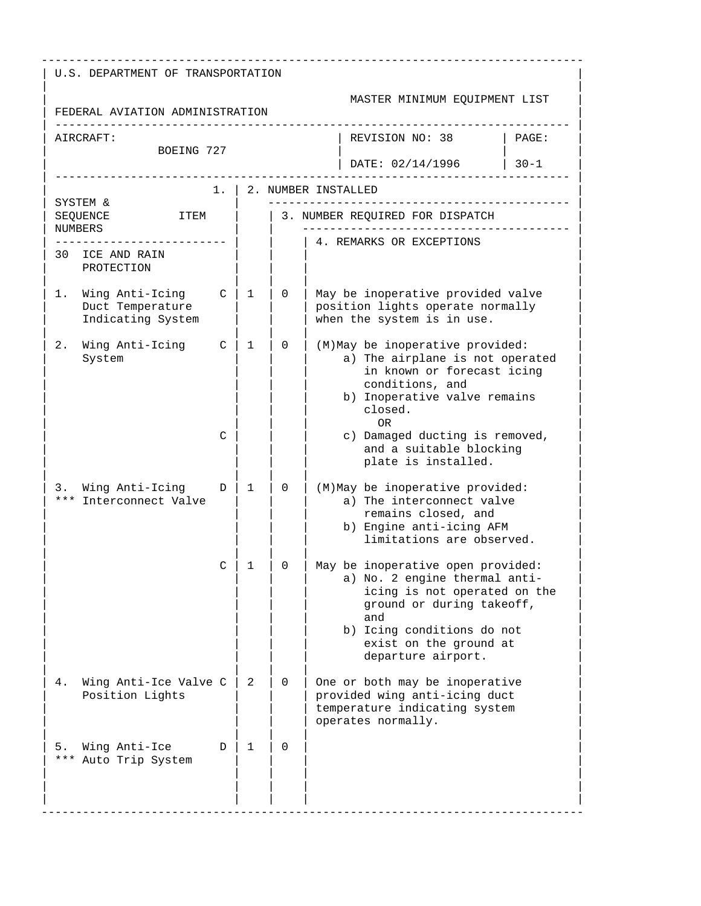| U.S. DEPARTMENT OF TRANSPORTATION                                                |              |             |                                                                                                                                                                                                                      |  |  |  |
|----------------------------------------------------------------------------------|--------------|-------------|----------------------------------------------------------------------------------------------------------------------------------------------------------------------------------------------------------------------|--|--|--|
| FEDERAL AVIATION ADMINISTRATION                                                  |              |             | MASTER MINIMUM EQUIPMENT LIST                                                                                                                                                                                        |  |  |  |
| AIRCRAFT:<br>BOEING 727                                                          |              |             | REVISION NO: 38<br>PAGE:                                                                                                                                                                                             |  |  |  |
|                                                                                  |              |             | DATE: 02/14/1996<br>$ 30-1 $<br>1. 2. NUMBER INSTALLED                                                                                                                                                               |  |  |  |
| SYSTEM &<br>SEQUENCE<br>ITEM<br><b>NUMBERS</b>                                   |              |             | 3. NUMBER REQUIRED FOR DISPATCH                                                                                                                                                                                      |  |  |  |
| 30 ICE AND RAIN<br>PROTECTION                                                    |              |             | 4. REMARKS OR EXCEPTIONS                                                                                                                                                                                             |  |  |  |
| Wing Anti-Icing<br>$\overline{C}$<br>1.<br>Duct Temperature<br>Indicating System | $\mathbf{1}$ | $\mathbf 0$ | May be inoperative provided valve<br>position lights operate normally<br>when the system is in use.                                                                                                                  |  |  |  |
| Wing Anti-Icing<br>2.<br>$\mathcal{C}$<br>System                                 | $\mathbf{1}$ | $\Omega$    | (M) May be inoperative provided:<br>a) The airplane is not operated<br>in known or forecast icing<br>conditions, and<br>b) Inoperative valve remains<br>closed.<br>0 <sub>R</sub>                                    |  |  |  |
| $\mathcal{C}$                                                                    |              |             | c) Damaged ducting is removed,<br>and a suitable blocking<br>plate is installed.                                                                                                                                     |  |  |  |
| Wing Anti-Icing<br>3.<br>D<br>Interconnect Valve<br>* * *                        | 1            | $\Omega$    | (M) May be inoperative provided:<br>a) The interconnect valve<br>remains closed, and<br>b) Engine anti-icing AFM<br>limitations are observed.                                                                        |  |  |  |
| C                                                                                | 1            | 0           | May be inoperative open provided:<br>a) No. 2 engine thermal anti-<br>icing is not operated on the<br>ground or during takeoff,<br>and<br>b) Icing conditions do not<br>exist on the ground at<br>departure airport. |  |  |  |
| Wing Anti-Ice Valve C<br>4.<br>Position Lights                                   | 2            | $\mathbf 0$ | One or both may be inoperative<br>provided wing anti-icing duct<br>temperature indicating system<br>operates normally.                                                                                               |  |  |  |
| Wing Anti-Ice<br>5.<br>D<br>Auto Trip System<br>***                              | $\mathbf{1}$ | $\mathbf 0$ |                                                                                                                                                                                                                      |  |  |  |
|                                                                                  |              |             |                                                                                                                                                                                                                      |  |  |  |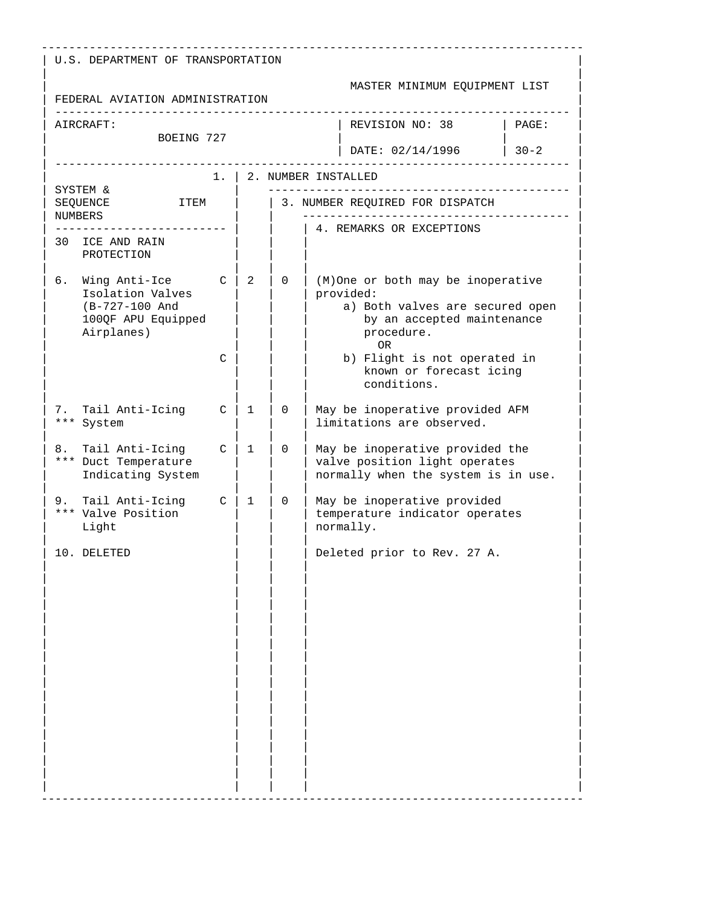| U.S. DEPARTMENT OF TRANSPORTATION<br>MASTER MINIMUM EQUIPMENT LIST                                              |                               |                          |                                                                                                                                                  |  |  |  |  |  |
|-----------------------------------------------------------------------------------------------------------------|-------------------------------|--------------------------|--------------------------------------------------------------------------------------------------------------------------------------------------|--|--|--|--|--|
| FEDERAL AVIATION ADMINISTRATION                                                                                 |                               |                          |                                                                                                                                                  |  |  |  |  |  |
| AIRCRAFT:<br>BOEING 727                                                                                         |                               |                          | REVISION NO: 38<br>PAGE:                                                                                                                         |  |  |  |  |  |
|                                                                                                                 |                               |                          | DATE: 02/14/1996<br>$ 30-2 $                                                                                                                     |  |  |  |  |  |
| SYSTEM &                                                                                                        |                               |                          | 1. 2. NUMBER INSTALLED                                                                                                                           |  |  |  |  |  |
| SEQUENCE<br>ITEM                                                                                                |                               |                          | 3. NUMBER REQUIRED FOR DISPATCH                                                                                                                  |  |  |  |  |  |
| <b>NUMBERS</b>                                                                                                  |                               | 4. REMARKS OR EXCEPTIONS |                                                                                                                                                  |  |  |  |  |  |
| 30 ICE AND RAIN<br>PROTECTION                                                                                   |                               |                          |                                                                                                                                                  |  |  |  |  |  |
| Wing Anti-Ice<br>6.<br>$\overline{C}$<br>Isolation Valves<br>(B-727-100 And<br>100QF APU Equipped<br>Airplanes) | $\overline{2}$                | $\mathbf 0$              | (M) One or both may be inoperative<br>provided:<br>a) Both valves are secured open<br>by an accepted maintenance<br>procedure.<br>0 <sub>R</sub> |  |  |  |  |  |
| C                                                                                                               |                               |                          | b) Flight is not operated in<br>known or forecast icing<br>conditions.                                                                           |  |  |  |  |  |
| Tail Anti-Icing<br>7.<br>*** System                                                                             | $\mathbf{1}$<br>$\mathcal{C}$ | 0                        | May be inoperative provided AFM<br>limitations are observed.                                                                                     |  |  |  |  |  |
| Tail Anti-Icing<br>8.<br>*** Duct Temperature<br>Indicating System                                              | $\mathsf{C}$<br>$\mathbf{1}$  | $\Omega$                 | May be inoperative provided the<br>valve position light operates<br>normally when the system is in use.                                          |  |  |  |  |  |
| Tail Anti-Icing<br>9.<br>*** Valve Position<br>Light                                                            | $\mathcal{C}$<br>$\mathbf{1}$ | $\mathbf 0$              | May be inoperative provided<br>temperature indicator operates<br>normally.                                                                       |  |  |  |  |  |
| 10. DELETED                                                                                                     |                               |                          | Deleted prior to Rev. 27 A.                                                                                                                      |  |  |  |  |  |
|                                                                                                                 |                               |                          |                                                                                                                                                  |  |  |  |  |  |
|                                                                                                                 |                               |                          |                                                                                                                                                  |  |  |  |  |  |
|                                                                                                                 |                               |                          |                                                                                                                                                  |  |  |  |  |  |
|                                                                                                                 |                               |                          |                                                                                                                                                  |  |  |  |  |  |
|                                                                                                                 |                               |                          |                                                                                                                                                  |  |  |  |  |  |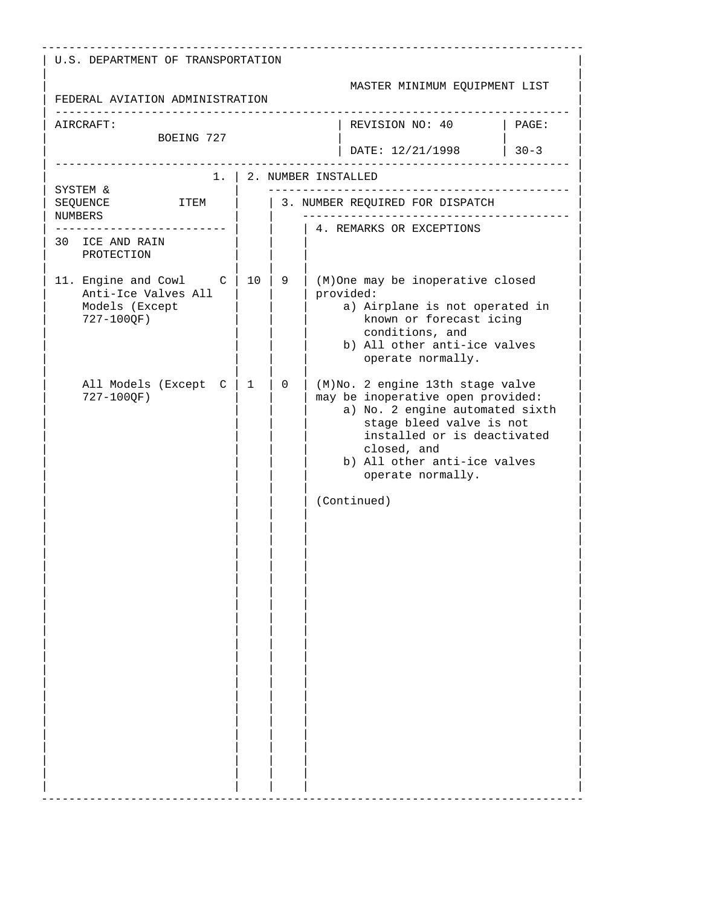| FEDERAL AVIATION ADMINISTRATION<br>REVISION NO: 40<br>AIRCRAFT:<br>$\mathtt{PAGE}$ :<br>BOEING 727<br>DATE: 12/21/1998   30-3<br>1. 2. NUMBER INSTALLED<br>SYSTEM &<br>SEQUENCE<br>ITEM<br>3. NUMBER REQUIRED FOR DISPATCH<br><b>NUMBERS</b><br>4. REMARKS OR EXCEPTIONS<br>30 ICE AND RAIN<br>PROTECTION<br>11. Engine and Cowl C  <br>10<br>9<br>(M) One may be inoperative closed<br>Anti-Ice Valves All<br>provided:<br>a) Airplane is not operated in<br>Models (Except<br>known or forecast icing<br>727-100QF)<br>conditions, and<br>b) All other anti-ice valves<br>operate normally.<br>(M)No. 2 engine 13th stage valve<br>All Models (Except C  <br>$\mathbf 0$<br>$\mathbf{1}$<br>727-100QF)<br>may be inoperative open provided:<br>a) No. 2 engine automated sixth<br>stage bleed valve is not<br>installed or is deactivated<br>closed, and<br>b) All other anti-ice valves<br>operate normally.<br>(Continued) | U.S. DEPARTMENT OF TRANSPORTATION<br>MASTER MINIMUM EQUIPMENT LIST |  |  |  |  |  |  |  |
|--------------------------------------------------------------------------------------------------------------------------------------------------------------------------------------------------------------------------------------------------------------------------------------------------------------------------------------------------------------------------------------------------------------------------------------------------------------------------------------------------------------------------------------------------------------------------------------------------------------------------------------------------------------------------------------------------------------------------------------------------------------------------------------------------------------------------------------------------------------------------------------------------------------------------------|--------------------------------------------------------------------|--|--|--|--|--|--|--|
|                                                                                                                                                                                                                                                                                                                                                                                                                                                                                                                                                                                                                                                                                                                                                                                                                                                                                                                                |                                                                    |  |  |  |  |  |  |  |
|                                                                                                                                                                                                                                                                                                                                                                                                                                                                                                                                                                                                                                                                                                                                                                                                                                                                                                                                |                                                                    |  |  |  |  |  |  |  |
|                                                                                                                                                                                                                                                                                                                                                                                                                                                                                                                                                                                                                                                                                                                                                                                                                                                                                                                                |                                                                    |  |  |  |  |  |  |  |
|                                                                                                                                                                                                                                                                                                                                                                                                                                                                                                                                                                                                                                                                                                                                                                                                                                                                                                                                |                                                                    |  |  |  |  |  |  |  |
|                                                                                                                                                                                                                                                                                                                                                                                                                                                                                                                                                                                                                                                                                                                                                                                                                                                                                                                                |                                                                    |  |  |  |  |  |  |  |
|                                                                                                                                                                                                                                                                                                                                                                                                                                                                                                                                                                                                                                                                                                                                                                                                                                                                                                                                |                                                                    |  |  |  |  |  |  |  |
|                                                                                                                                                                                                                                                                                                                                                                                                                                                                                                                                                                                                                                                                                                                                                                                                                                                                                                                                |                                                                    |  |  |  |  |  |  |  |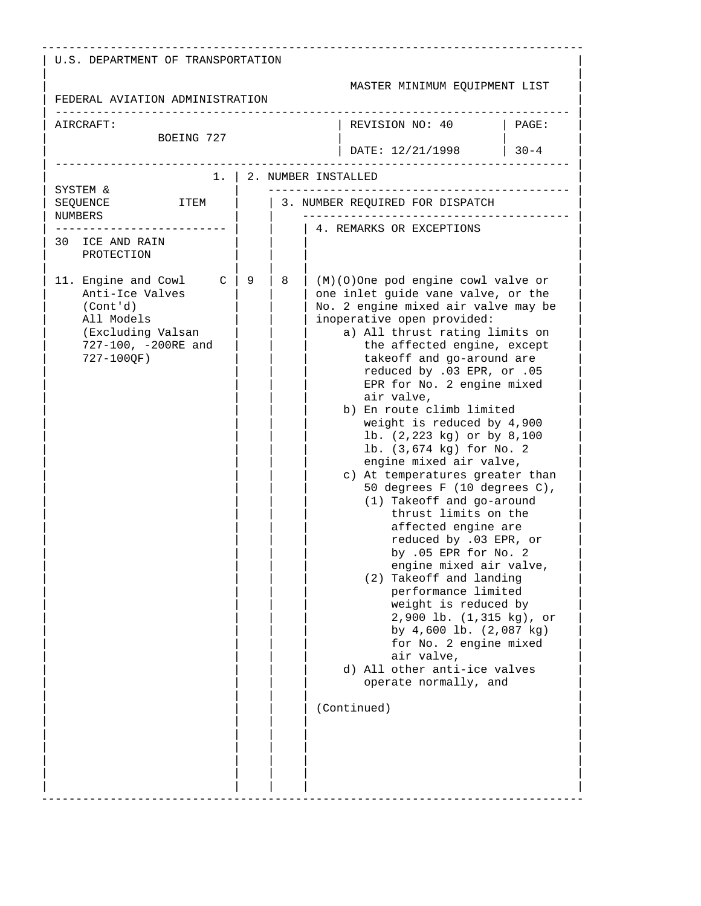| U.S. DEPARTMENT OF TRANSPORTATION<br>FEDERAL AVIATION ADMINISTRATION                                                         |     |   |                          | MASTER MINIMUM EQUIPMENT LIST                                                                                                                                                                                                                                                                                                                                                                                                                                                                                                                                                                                                                                                                                                                                                                                                                                                                                                       |                   |
|------------------------------------------------------------------------------------------------------------------------------|-----|---|--------------------------|-------------------------------------------------------------------------------------------------------------------------------------------------------------------------------------------------------------------------------------------------------------------------------------------------------------------------------------------------------------------------------------------------------------------------------------------------------------------------------------------------------------------------------------------------------------------------------------------------------------------------------------------------------------------------------------------------------------------------------------------------------------------------------------------------------------------------------------------------------------------------------------------------------------------------------------|-------------------|
| AIRCRAFT:<br>BOEING 727                                                                                                      |     |   |                          | REVISION NO: 40                                                                                                                                                                                                                                                                                                                                                                                                                                                                                                                                                                                                                                                                                                                                                                                                                                                                                                                     | $\mathtt{PAGE}$ : |
|                                                                                                                              |     |   |                          | DATE: 12/21/1998                                                                                                                                                                                                                                                                                                                                                                                                                                                                                                                                                                                                                                                                                                                                                                                                                                                                                                                    | $ 30-4 $          |
| SYSTEM &<br>SEQUENCE<br>ITEM<br>NUMBERS                                                                                      |     |   | 1.   2. NUMBER INSTALLED | 3. NUMBER REQUIRED FOR DISPATCH                                                                                                                                                                                                                                                                                                                                                                                                                                                                                                                                                                                                                                                                                                                                                                                                                                                                                                     |                   |
| 30 ICE AND RAIN<br>PROTECTION                                                                                                |     |   |                          | 4. REMARKS OR EXCEPTIONS                                                                                                                                                                                                                                                                                                                                                                                                                                                                                                                                                                                                                                                                                                                                                                                                                                                                                                            |                   |
| 11. Engine and Cowl C<br>Anti-Ice Valves<br>(Cont d)<br>All Models<br>(Excluding Valsan<br>727-100, -200RE and<br>727-100QF) | - 9 | 8 | (Continued)              | (M)(0)One pod engine cowl valve or<br>one inlet guide vane valve, or the<br>No. 2 engine mixed air valve may be<br>inoperative open provided:<br>a) All thrust rating limits on<br>the affected engine, except<br>takeoff and go-around are<br>reduced by .03 EPR, or .05<br>EPR for No. 2 engine mixed<br>air valve,<br>b) En route climb limited<br>weight is reduced by 4,900<br>lb. (2,223 kg) or by 8,100<br>lb. (3,674 kg) for No. 2<br>engine mixed air valve,<br>c) At temperatures greater than<br>50 degrees F (10 degrees C),<br>(1) Takeoff and go-around<br>thrust limits on the<br>affected engine are<br>reduced by .03 EPR, or<br>by .05 EPR for No. 2<br>engine mixed air valve,<br>(2) Takeoff and landing<br>performance limited<br>weight is reduced by<br>2,900 lb. (1,315 kg), or<br>by 4,600 lb. (2,087 kg)<br>for No. 2 engine mixed<br>air valve,<br>d) All other anti-ice valves<br>operate normally, and |                   |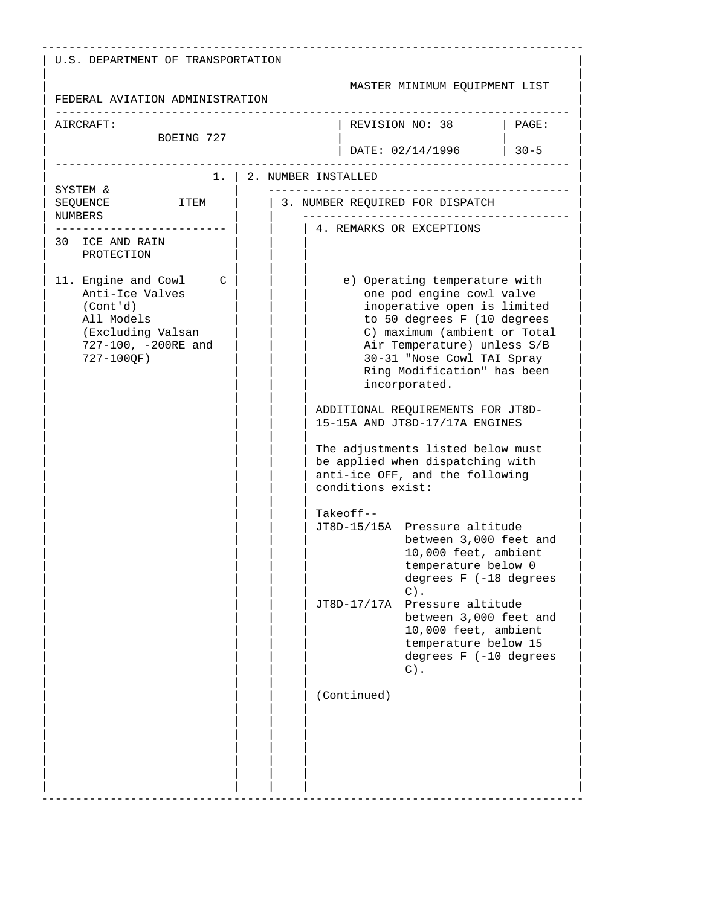| U.S. DEPARTMENT OF TRANSPORTATION                                                                                             |  |                          |                                                                                                                                                                                                                                                                       |                   |  |  |
|-------------------------------------------------------------------------------------------------------------------------------|--|--------------------------|-----------------------------------------------------------------------------------------------------------------------------------------------------------------------------------------------------------------------------------------------------------------------|-------------------|--|--|
| MASTER MINIMUM EQUIPMENT LIST<br>FEDERAL AVIATION ADMINISTRATION                                                              |  |                          |                                                                                                                                                                                                                                                                       |                   |  |  |
| AIRCRAFT:<br>BOEING 727                                                                                                       |  |                          | REVISION NO: 38                                                                                                                                                                                                                                                       | $\mathtt{PAGE}$ : |  |  |
|                                                                                                                               |  |                          | DATE: 02/14/1996   30-5                                                                                                                                                                                                                                               |                   |  |  |
| SYSTEM &                                                                                                                      |  | 1.   2. NUMBER INSTALLED |                                                                                                                                                                                                                                                                       |                   |  |  |
| SEQUENCE<br>ITEM<br>NUMBERS                                                                                                   |  |                          | 3. NUMBER REQUIRED FOR DISPATCH                                                                                                                                                                                                                                       |                   |  |  |
| 30 ICE AND RAIN<br>PROTECTION                                                                                                 |  |                          | 4. REMARKS OR EXCEPTIONS                                                                                                                                                                                                                                              |                   |  |  |
| 11. Engine and Cowl C<br>Anti-Ice Valves<br>(Cont 'd)<br>All Models<br>(Excluding Valsan<br>727-100, -200RE and<br>727-100QF) |  |                          | e) Operating temperature with<br>one pod engine cowl valve<br>inoperative open is limited<br>to 50 degrees F (10 degrees<br>C) maximum (ambient or Total<br>Air Temperature) unless S/B<br>30-31 "Nose Cowl TAI Spray<br>Ring Modification" has been<br>incorporated. |                   |  |  |
|                                                                                                                               |  |                          | ADDITIONAL REQUIREMENTS FOR JT8D-<br>15-15A AND JT8D-17/17A ENGINES                                                                                                                                                                                                   |                   |  |  |
|                                                                                                                               |  | conditions exist:        | The adjustments listed below must<br>be applied when dispatching with<br>anti-ice OFF, and the following                                                                                                                                                              |                   |  |  |
|                                                                                                                               |  | Takeoff--                | JT8D-15/15A Pressure altitude<br>between 3,000 feet and<br>10,000 feet, ambient<br>temperature below 0<br>degrees F (-18 degrees<br>$C)$ .                                                                                                                            |                   |  |  |
|                                                                                                                               |  | JT8D-17/17A              | Pressure altitude<br>between 3,000 feet and<br>10,000 feet, ambient<br>temperature below 15<br>degrees F (-10 degrees<br>$C$ ).                                                                                                                                       |                   |  |  |
|                                                                                                                               |  | (Continued)              |                                                                                                                                                                                                                                                                       |                   |  |  |
|                                                                                                                               |  |                          |                                                                                                                                                                                                                                                                       |                   |  |  |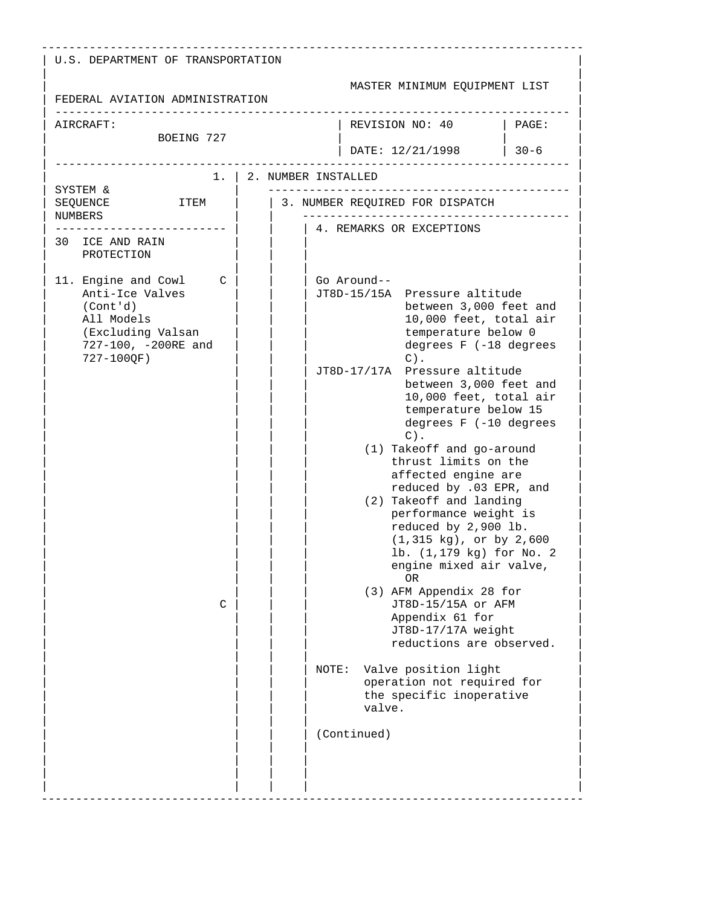| REVISION NO: 40<br>$\mathtt{PAGE}$ :<br>AIRCRAFT:<br>BOEING 727<br>DATE: 12/21/1998<br>$ 30-6 $<br>1.   2. NUMBER INSTALLED<br>SYSTEM &<br>SEQUENCE<br>ITEM<br>3. NUMBER REQUIRED FOR DISPATCH<br>NUMBERS<br>4. REMARKS OR EXCEPTIONS<br>30 ICE AND RAIN<br>PROTECTION<br>11. Engine and Cowl C<br>Go Around--<br>Anti-Ice Valves<br>JT8D-15/15A Pressure altitude<br>(Cont d)<br>between 3,000 feet and<br>All Models<br>10,000 feet, total air<br>(Excluding Valsan<br>temperature below 0<br>727-100, -200RE and<br>degrees F (-18 degrees<br>727-100QF)<br>$C$ ).<br>JT8D-17/17A<br>Pressure altitude<br>between 3,000 feet and<br>10,000 feet, total air<br>temperature below 15<br>degrees F (-10 degrees<br>$C$ ).<br>(1) Takeoff and go-around<br>thrust limits on the<br>affected engine are<br>reduced by .03 EPR, and<br>(2) Takeoff and landing<br>performance weight is<br>reduced by 2,900 lb.<br>$(1,315 \text{ kg})$ , or by 2,600<br>lb. (1,179 kg) for No. 2<br>engine mixed air valve,<br>0 <sub>R</sub><br>(3) AFM Appendix 28 for<br>JT8D-15/15A or AFM<br>C<br>Appendix 61 for<br>JT8D-17/17A weight<br>reductions are observed.<br>Valve position light<br>NOTE:<br>operation not required for<br>the specific inoperative<br>valve.<br>(Continued) | U.S. DEPARTMENT OF TRANSPORTATION<br>FEDERAL AVIATION ADMINISTRATION | MASTER MINIMUM EQUIPMENT LIST |  |
|----------------------------------------------------------------------------------------------------------------------------------------------------------------------------------------------------------------------------------------------------------------------------------------------------------------------------------------------------------------------------------------------------------------------------------------------------------------------------------------------------------------------------------------------------------------------------------------------------------------------------------------------------------------------------------------------------------------------------------------------------------------------------------------------------------------------------------------------------------------------------------------------------------------------------------------------------------------------------------------------------------------------------------------------------------------------------------------------------------------------------------------------------------------------------------------------------------------------------------------------------------------------------|----------------------------------------------------------------------|-------------------------------|--|
|                                                                                                                                                                                                                                                                                                                                                                                                                                                                                                                                                                                                                                                                                                                                                                                                                                                                                                                                                                                                                                                                                                                                                                                                                                                                            |                                                                      |                               |  |
|                                                                                                                                                                                                                                                                                                                                                                                                                                                                                                                                                                                                                                                                                                                                                                                                                                                                                                                                                                                                                                                                                                                                                                                                                                                                            |                                                                      |                               |  |
|                                                                                                                                                                                                                                                                                                                                                                                                                                                                                                                                                                                                                                                                                                                                                                                                                                                                                                                                                                                                                                                                                                                                                                                                                                                                            |                                                                      |                               |  |
|                                                                                                                                                                                                                                                                                                                                                                                                                                                                                                                                                                                                                                                                                                                                                                                                                                                                                                                                                                                                                                                                                                                                                                                                                                                                            |                                                                      |                               |  |
|                                                                                                                                                                                                                                                                                                                                                                                                                                                                                                                                                                                                                                                                                                                                                                                                                                                                                                                                                                                                                                                                                                                                                                                                                                                                            |                                                                      |                               |  |
|                                                                                                                                                                                                                                                                                                                                                                                                                                                                                                                                                                                                                                                                                                                                                                                                                                                                                                                                                                                                                                                                                                                                                                                                                                                                            |                                                                      |                               |  |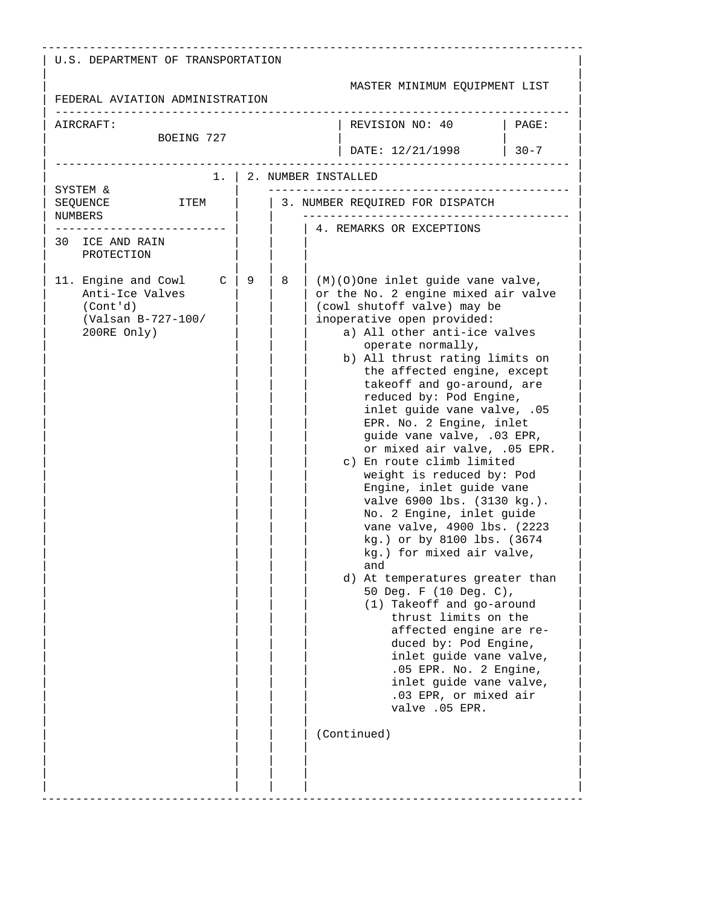| U.S. DEPARTMENT OF TRANSPORTATION                                                         |     |   | MASTER MINIMUM EQUIPMENT LIST                                                                                                                                                                                                                                                                                                                                                                                                                                                                                                                                                                                                                                                                                                                                                                                                                                                                                                                                                                                    |
|-------------------------------------------------------------------------------------------|-----|---|------------------------------------------------------------------------------------------------------------------------------------------------------------------------------------------------------------------------------------------------------------------------------------------------------------------------------------------------------------------------------------------------------------------------------------------------------------------------------------------------------------------------------------------------------------------------------------------------------------------------------------------------------------------------------------------------------------------------------------------------------------------------------------------------------------------------------------------------------------------------------------------------------------------------------------------------------------------------------------------------------------------|
| FEDERAL AVIATION ADMINISTRATION<br>AIRCRAFT:                                              |     |   | REVISION NO: 40<br>PAGE:                                                                                                                                                                                                                                                                                                                                                                                                                                                                                                                                                                                                                                                                                                                                                                                                                                                                                                                                                                                         |
| BOEING 727                                                                                |     |   | DATE: 12/21/1998<br>$ 30 - 7 $                                                                                                                                                                                                                                                                                                                                                                                                                                                                                                                                                                                                                                                                                                                                                                                                                                                                                                                                                                                   |
| SYSTEM &<br>SEQUENCE<br>ITEM<br>NUMBERS                                                   |     |   | 1.   2. NUMBER INSTALLED<br>3. NUMBER REQUIRED FOR DISPATCH                                                                                                                                                                                                                                                                                                                                                                                                                                                                                                                                                                                                                                                                                                                                                                                                                                                                                                                                                      |
| 30 ICE AND RAIN<br>PROTECTION                                                             |     |   | 4. REMARKS OR EXCEPTIONS                                                                                                                                                                                                                                                                                                                                                                                                                                                                                                                                                                                                                                                                                                                                                                                                                                                                                                                                                                                         |
| 11. Engine and Cowl C<br>Anti-Ice Valves<br>(Cont d)<br>(Valsan B-727-100/<br>200RE Only) | - 9 | 8 | (M)(O)One inlet guide vane valve,<br>or the No. 2 engine mixed air valve<br>(cowl shutoff valve) may be<br>inoperative open provided:<br>a) All other anti-ice valves<br>operate normally,<br>b) All thrust rating limits on<br>the affected engine, except<br>takeoff and go-around, are<br>reduced by: Pod Engine,<br>inlet guide vane valve, .05<br>EPR. No. 2 Engine, inlet<br>guide vane valve, .03 EPR,<br>or mixed air valve, .05 EPR.<br>c) En route climb limited<br>weight is reduced by: Pod<br>Engine, inlet guide vane<br>valve 6900 lbs. (3130 kg.).<br>No. 2 Engine, inlet guide<br>vane valve, 4900 lbs. (2223<br>kg.) or by 8100 lbs. (3674<br>kg.) for mixed air valve,<br>and<br>d) At temperatures greater than<br>50 Deg. F (10 Deg. C),<br>(1) Takeoff and go-around<br>thrust limits on the<br>affected engine are re-<br>duced by: Pod Engine,<br>inlet guide vane valve,<br>.05 EPR. No. 2 Engine,<br>inlet guide vane valve,<br>.03 EPR, or mixed air<br>valve .05 EPR.<br>(Continued) |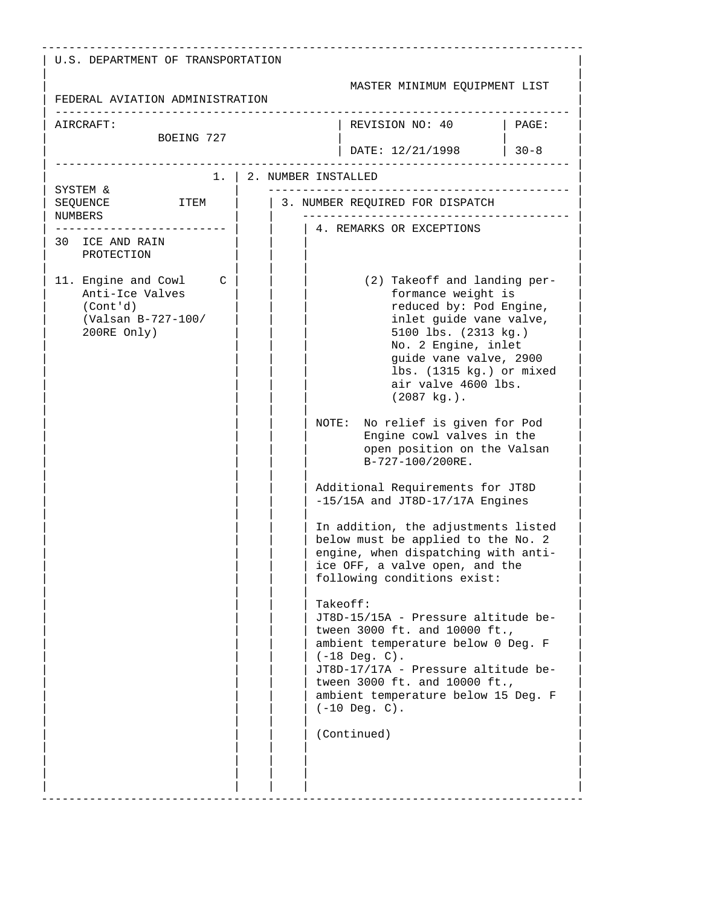| U.S. DEPARTMENT OF TRANSPORTATION<br>MASTER MINIMUM EQUIPMENT LIST                        |                        |                                                                                                                                                                                                                                                                                                                                                                                                                                                                                                                                                                                                                                                                                                                                         |                                                                                                                                                                                                      |                |  |  |  |
|-------------------------------------------------------------------------------------------|------------------------|-----------------------------------------------------------------------------------------------------------------------------------------------------------------------------------------------------------------------------------------------------------------------------------------------------------------------------------------------------------------------------------------------------------------------------------------------------------------------------------------------------------------------------------------------------------------------------------------------------------------------------------------------------------------------------------------------------------------------------------------|------------------------------------------------------------------------------------------------------------------------------------------------------------------------------------------------------|----------------|--|--|--|
| FEDERAL AVIATION ADMINISTRATION                                                           |                        |                                                                                                                                                                                                                                                                                                                                                                                                                                                                                                                                                                                                                                                                                                                                         |                                                                                                                                                                                                      |                |  |  |  |
| AIRCRAFT:<br>BOEING 727                                                                   |                        | REVISION NO: 40                                                                                                                                                                                                                                                                                                                                                                                                                                                                                                                                                                                                                                                                                                                         |                                                                                                                                                                                                      | $\vdash$ PAGE: |  |  |  |
|                                                                                           |                        | DATE: 12/21/1998                                                                                                                                                                                                                                                                                                                                                                                                                                                                                                                                                                                                                                                                                                                        |                                                                                                                                                                                                      | $ 30-8$        |  |  |  |
| SYSTEM &                                                                                  | 1. 2. NUMBER INSTALLED |                                                                                                                                                                                                                                                                                                                                                                                                                                                                                                                                                                                                                                                                                                                                         |                                                                                                                                                                                                      |                |  |  |  |
| SEQUENCE<br>ITEM<br>NUMBERS                                                               |                        | 3. NUMBER REQUIRED FOR DISPATCH                                                                                                                                                                                                                                                                                                                                                                                                                                                                                                                                                                                                                                                                                                         |                                                                                                                                                                                                      |                |  |  |  |
| 30 ICE AND RAIN<br>PROTECTION                                                             |                        | 4. REMARKS OR EXCEPTIONS                                                                                                                                                                                                                                                                                                                                                                                                                                                                                                                                                                                                                                                                                                                |                                                                                                                                                                                                      |                |  |  |  |
| 11. Engine and Cowl C<br>Anti-Ice Valves<br>(Cont d)<br>(Valsan B-727-100/<br>200RE Only) |                        | (2) Takeoff and landing per-<br>$(2087 kg.)$ .<br>No relief is given for Pod<br>NOTE:<br>Engine cowl valves in the<br>open position on the Valsan<br>B-727-100/200RE.<br>Additional Requirements for JT8D<br>-15/15A and JT8D-17/17A Engines<br>In addition, the adjustments listed<br>below must be applied to the No. 2<br>engine, when dispatching with anti-<br>ice OFF, a valve open, and the<br>following conditions exist:<br>Takeoff:<br>JT8D-15/15A - Pressure altitude be-<br>tween 3000 ft. and 10000 ft.,<br>ambient temperature below 0 Deg. F<br>$(-18$ Deg. C).<br>JT8D-17/17A - Pressure altitude be-<br>tween 3000 ft. and 10000 ft.,<br>ambient temperature below 15 Deg. F<br>$(-10 \text{ Deg. C}).$<br>(Continued) | formance weight is<br>reduced by: Pod Engine,<br>inlet guide vane valve,<br>5100 lbs. (2313 kg.)<br>No. 2 Engine, inlet<br>guide vane valve, 2900<br>lbs. (1315 kg.) or mixed<br>air valve 4600 lbs. |                |  |  |  |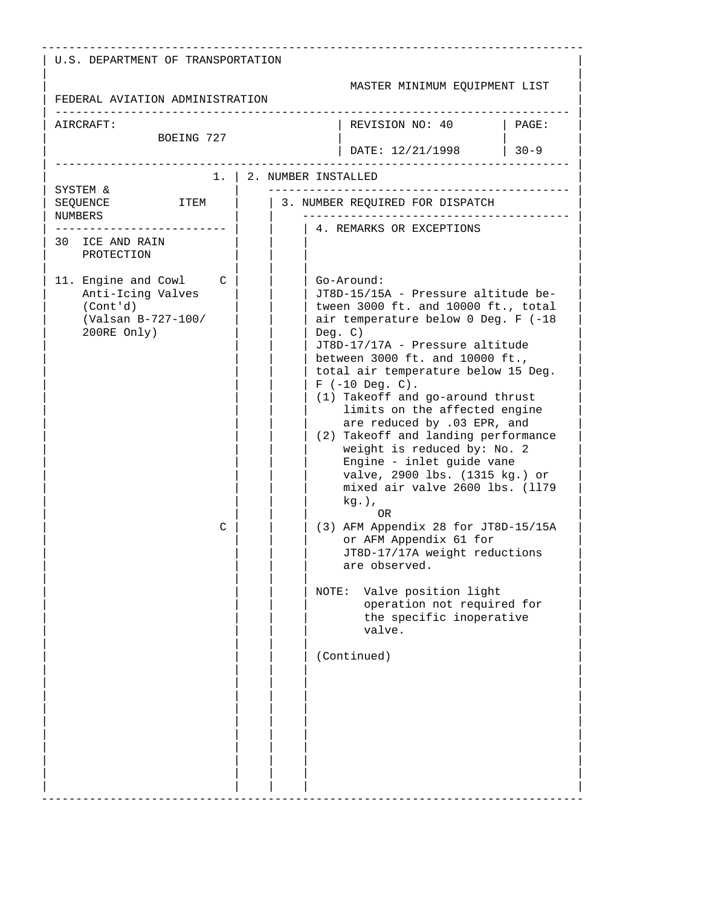| U.S. DEPARTMENT OF TRANSPORTATION                                                                                |                          |  |                                   |                                                                                                                                                                                                                                                                                                                                                                                                                                                                                                                                                                                                                                                                                                                                                                                                 |  |                   |  |
|------------------------------------------------------------------------------------------------------------------|--------------------------|--|-----------------------------------|-------------------------------------------------------------------------------------------------------------------------------------------------------------------------------------------------------------------------------------------------------------------------------------------------------------------------------------------------------------------------------------------------------------------------------------------------------------------------------------------------------------------------------------------------------------------------------------------------------------------------------------------------------------------------------------------------------------------------------------------------------------------------------------------------|--|-------------------|--|
| MASTER MINIMUM EQUIPMENT LIST<br>FEDERAL AVIATION ADMINISTRATION                                                 |                          |  |                                   |                                                                                                                                                                                                                                                                                                                                                                                                                                                                                                                                                                                                                                                                                                                                                                                                 |  |                   |  |
| AIRCRAFT:<br>BOEING 727                                                                                          |                          |  |                                   | REVISION NO: 40                                                                                                                                                                                                                                                                                                                                                                                                                                                                                                                                                                                                                                                                                                                                                                                 |  | $\mathtt{PAGE}$ : |  |
|                                                                                                                  |                          |  |                                   | DATE: 12/21/1998                                                                                                                                                                                                                                                                                                                                                                                                                                                                                                                                                                                                                                                                                                                                                                                |  | $ 30-9 $          |  |
| SYSTEM &<br>SEQUENCE<br>ITEM                                                                                     | 1.   2. NUMBER INSTALLED |  |                                   | 3. NUMBER REQUIRED FOR DISPATCH                                                                                                                                                                                                                                                                                                                                                                                                                                                                                                                                                                                                                                                                                                                                                                 |  |                   |  |
| NUMBERS<br>30 ICE AND RAIN<br>PROTECTION                                                                         |                          |  |                                   | 4. REMARKS OR EXCEPTIONS                                                                                                                                                                                                                                                                                                                                                                                                                                                                                                                                                                                                                                                                                                                                                                        |  |                   |  |
| 11. Engine and Cowl<br>$\overline{C}$<br>Anti-Icing Valves<br>(Cont d)<br>(Valsan B-727-100/<br>200RE Only)<br>C |                          |  | Go-Around:<br>Deg. $C$ )<br>NOTE: | JT8D-15/15A - Pressure altitude be-<br>tween 3000 ft. and 10000 ft., total<br>air temperature below 0 Deg. F (-18<br>JT8D-17/17A - Pressure altitude<br>between 3000 ft. and 10000 ft.,<br>total air temperature below 15 Deg.<br>$F(-10 \text{ Deg. C}).$<br>(1) Takeoff and go-around thrust<br>limits on the affected engine<br>are reduced by .03 EPR, and<br>(2) Takeoff and landing performance<br>weight is reduced by: No. 2<br>Engine - inlet guide vane<br>valve, 2900 lbs. (1315 kg.) or<br>mixed air valve 2600 lbs. (1179<br>kg.),<br>0 <sub>R</sub><br>(3) AFM Appendix 28 for JT8D-15/15A<br>or AFM Appendix 61 for<br>JT8D-17/17A weight reductions<br>are observed.<br>Valve position light<br>operation not required for<br>the specific inoperative<br>valve.<br>(Continued) |  |                   |  |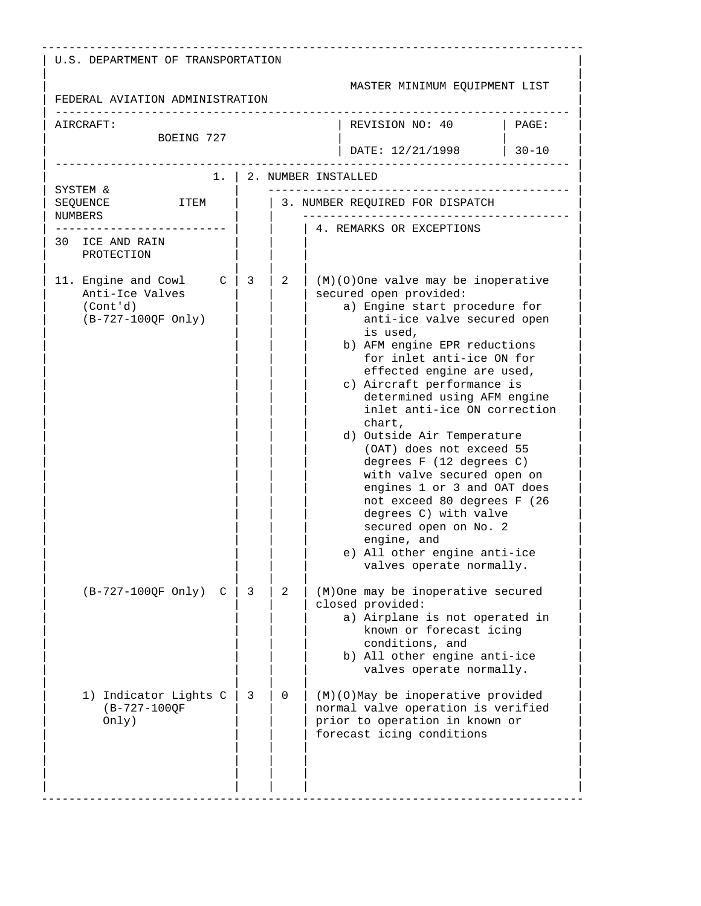| U.S. DEPARTMENT OF TRANSPORTATION                                          |                         |                |                                                                                                                                                                                                                                                                                                                                                                                                                                                                                                                                                                                                                                                          |  |  |  |  |
|----------------------------------------------------------------------------|-------------------------|----------------|----------------------------------------------------------------------------------------------------------------------------------------------------------------------------------------------------------------------------------------------------------------------------------------------------------------------------------------------------------------------------------------------------------------------------------------------------------------------------------------------------------------------------------------------------------------------------------------------------------------------------------------------------------|--|--|--|--|
| MASTER MINIMUM EQUIPMENT LIST<br>FEDERAL AVIATION ADMINISTRATION           |                         |                |                                                                                                                                                                                                                                                                                                                                                                                                                                                                                                                                                                                                                                                          |  |  |  |  |
| AIRCRAFT:<br>BOEING 727                                                    |                         |                | REVISION NO: 40<br>PAGE:                                                                                                                                                                                                                                                                                                                                                                                                                                                                                                                                                                                                                                 |  |  |  |  |
|                                                                            |                         |                | DATE: 12/21/1998<br>$ 30-10$                                                                                                                                                                                                                                                                                                                                                                                                                                                                                                                                                                                                                             |  |  |  |  |
| SYSTEM &<br>SEQUENCE<br>ITEM<br>NUMBERS                                    |                         |                | 1.   2. NUMBER INSTALLED<br>3. NUMBER REQUIRED FOR DISPATCH                                                                                                                                                                                                                                                                                                                                                                                                                                                                                                                                                                                              |  |  |  |  |
| 30 ICE AND RAIN<br>PROTECTION                                              |                         |                | 4. REMARKS OR EXCEPTIONS                                                                                                                                                                                                                                                                                                                                                                                                                                                                                                                                                                                                                                 |  |  |  |  |
| 11. Engine and Cowl C<br>Anti-Ice Valves<br>(Cont d)<br>(B-727-100QF Only) | $\overline{\mathbf{3}}$ | $\overline{2}$ | (M)(0)One valve may be inoperative<br>secured open provided:<br>a) Engine start procedure for<br>anti-ice valve secured open<br>is used,<br>b) AFM engine EPR reductions<br>for inlet anti-ice ON for<br>effected engine are used,<br>c) Aircraft performance is<br>determined using AFM engine<br>inlet anti-ice ON correction<br>chart,<br>d) Outside Air Temperature<br>(OAT) does not exceed 55<br>degrees F (12 degrees C)<br>with valve secured open on<br>engines 1 or 3 and OAT does<br>not exceed 80 degrees F (26<br>degrees C) with valve<br>secured open on No. 2<br>engine, and<br>e) All other engine anti-ice<br>valves operate normally. |  |  |  |  |
| (B-727-100QF Only)<br>$\mathsf{C}$                                         | 3                       | 2              | (M) One may be inoperative secured<br>closed provided:<br>a) Airplane is not operated in<br>known or forecast icing<br>conditions, and<br>b) All other engine anti-ice<br>valves operate normally.                                                                                                                                                                                                                                                                                                                                                                                                                                                       |  |  |  |  |
| 1) Indicator Lights C<br>(B-727-100QF<br>Only)                             | 3                       | $\mathbf 0$    | (M)(O)May be inoperative provided<br>normal valve operation is verified<br>prior to operation in known or<br>forecast icing conditions                                                                                                                                                                                                                                                                                                                                                                                                                                                                                                                   |  |  |  |  |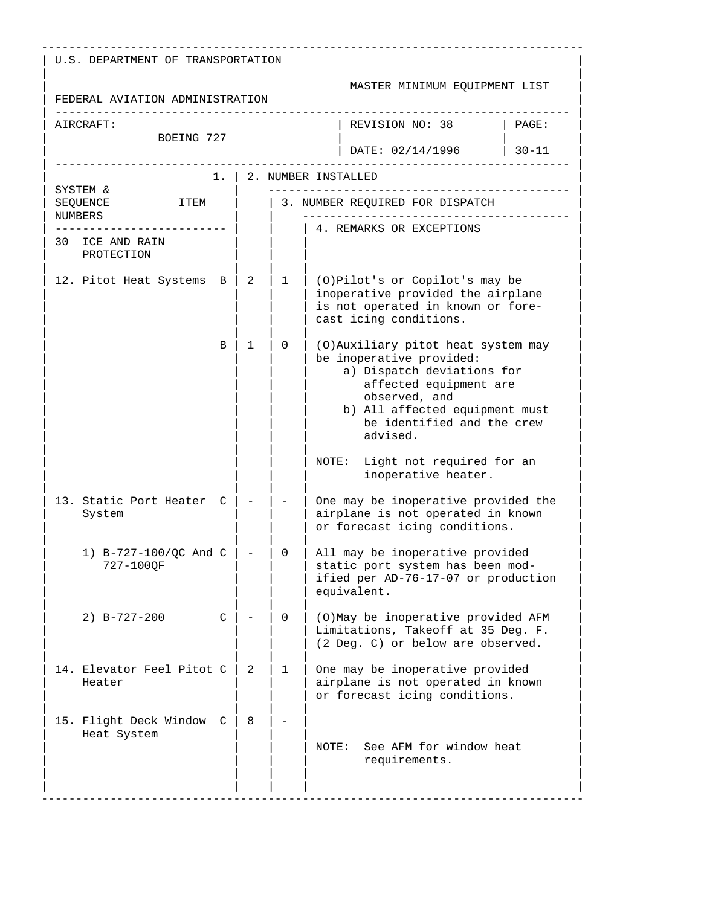| U.S. DEPARTMENT OF TRANSPORTATION                                |                |                     |                                                                                                                                                                                                                      |  |  |  |  |  |
|------------------------------------------------------------------|----------------|---------------------|----------------------------------------------------------------------------------------------------------------------------------------------------------------------------------------------------------------------|--|--|--|--|--|
| MASTER MINIMUM EQUIPMENT LIST<br>FEDERAL AVIATION ADMINISTRATION |                |                     |                                                                                                                                                                                                                      |  |  |  |  |  |
| AIRCRAFT:<br>BOEING 727                                          |                |                     | REVISION NO: 38<br>$\mathtt{PAGE}$ :                                                                                                                                                                                 |  |  |  |  |  |
|                                                                  |                |                     | DATE: 02/14/1996<br>$ 30-11 $                                                                                                                                                                                        |  |  |  |  |  |
| SYSTEM &                                                         |                |                     | 1.   2. NUMBER INSTALLED                                                                                                                                                                                             |  |  |  |  |  |
| SEQUENCE<br>ITEM<br>NUMBERS                                      |                |                     | 3. NUMBER REQUIRED FOR DISPATCH                                                                                                                                                                                      |  |  |  |  |  |
| 30 ICE AND RAIN<br>PROTECTION                                    |                |                     | 4. REMARKS OR EXCEPTIONS                                                                                                                                                                                             |  |  |  |  |  |
| 12. Pitot Heat Systems B                                         | $\overline{2}$ | $\mathbf{1}$        | (O) Pilot's or Copilot's may be<br>inoperative provided the airplane<br>is not operated in known or fore-<br>cast icing conditions.                                                                                  |  |  |  |  |  |
| B                                                                | $\mathbf{1}$   | 0                   | (O) Auxiliary pitot heat system may<br>be inoperative provided:<br>a) Dispatch deviations for<br>affected equipment are<br>observed, and<br>b) All affected equipment must<br>be identified and the crew<br>advised. |  |  |  |  |  |
|                                                                  |                |                     | Light not required for an<br>NOTE:<br>inoperative heater.                                                                                                                                                            |  |  |  |  |  |
| 13. Static Port Heater C<br>System                               |                |                     | One may be inoperative provided the<br>airplane is not operated in known<br>or forecast icing conditions.                                                                                                            |  |  |  |  |  |
| 1) B-727-100/QC And C<br>727-100QF                               |                | 0                   | All may be inoperative provided<br>static port system has been mod-<br>ified per AD-76-17-07 or production<br>equivalent.                                                                                            |  |  |  |  |  |
| $2) B - 727 - 200$<br>$\mathsf{C}$                               |                | $\mathsf{O}\xspace$ | (0) May be inoperative provided AFM<br>Limitations, Takeoff at 35 Deg. F.<br>(2 Deg. C) or below are observed.                                                                                                       |  |  |  |  |  |
| 14. Elevator Feel Pitot C<br>Heater                              | 2              | $\mathbf 1$         | One may be inoperative provided<br>airplane is not operated in known<br>or forecast icing conditions.                                                                                                                |  |  |  |  |  |
| 15. Flight Deck Window<br>C<br>Heat System                       | 8              |                     | See AFM for window heat<br>NOTE:<br>requirements.                                                                                                                                                                    |  |  |  |  |  |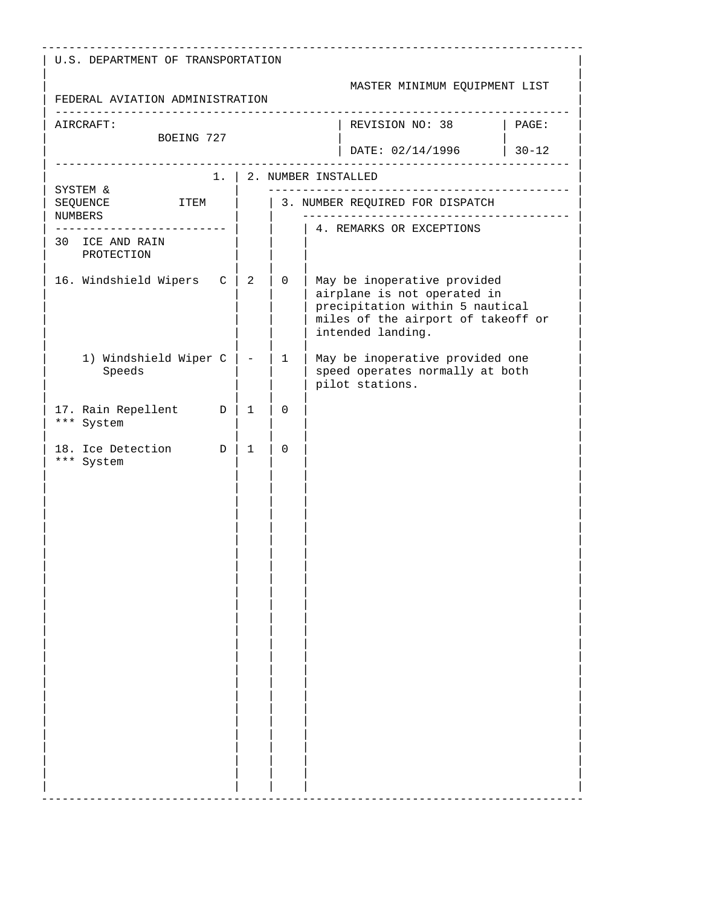| U.S. DEPARTMENT OF TRANSPORTATION              |                          |              | MASTER MINIMUM EQUIPMENT LIST                                                                                                                            |  |  |  |  |
|------------------------------------------------|--------------------------|--------------|----------------------------------------------------------------------------------------------------------------------------------------------------------|--|--|--|--|
| FEDERAL AVIATION ADMINISTRATION                |                          |              |                                                                                                                                                          |  |  |  |  |
| AIRCRAFT:<br>BOEING 727                        |                          |              | REVISION NO: 38<br>$\mathtt{PAGE}$ :                                                                                                                     |  |  |  |  |
|                                                |                          |              | DATE: 02/14/1996   30-12                                                                                                                                 |  |  |  |  |
| SYSTEM &                                       |                          |              | 1.   2. NUMBER INSTALLED                                                                                                                                 |  |  |  |  |
| SEQUENCE<br>ITEM<br><b>NUMBERS</b>             |                          |              | 3. NUMBER REQUIRED FOR DISPATCH                                                                                                                          |  |  |  |  |
| 30 ICE AND RAIN<br>PROTECTION                  |                          |              | 4. REMARKS OR EXCEPTIONS                                                                                                                                 |  |  |  |  |
| 16. Windshield Wipers C                        | $\overline{\mathbf{2}}$  | $\mathbf 0$  | May be inoperative provided<br>airplane is not operated in<br>precipitation within 5 nautical<br>miles of the airport of takeoff or<br>intended landing. |  |  |  |  |
| 1) Windshield Wiper C<br>Speeds                | $\overline{\phantom{0}}$ | $\mathbf{1}$ | May be inoperative provided one<br>speed operates normally at both<br>pilot stations.                                                                    |  |  |  |  |
| 17. Rain Repellent<br>$D \mid 1$<br>*** System |                          | 0            |                                                                                                                                                          |  |  |  |  |
| 18. Ice Detection<br>*** System                | $\mathbf{1}$<br>D        | $\Omega$     |                                                                                                                                                          |  |  |  |  |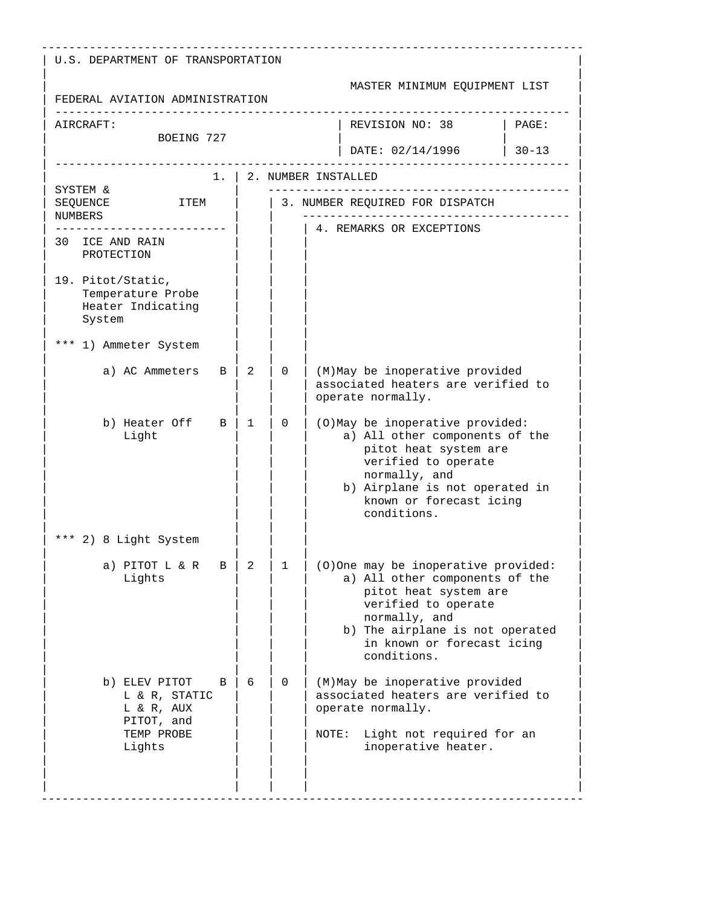| U.S. DEPARTMENT OF TRANSPORTATION<br>MASTER MINIMUM EQUIPMENT LIST                      |                |              |                                                                                                                                                                                                                         |  |  |  |  |
|-----------------------------------------------------------------------------------------|----------------|--------------|-------------------------------------------------------------------------------------------------------------------------------------------------------------------------------------------------------------------------|--|--|--|--|
| FEDERAL AVIATION ADMINISTRATION                                                         |                |              |                                                                                                                                                                                                                         |  |  |  |  |
| AIRCRAFT:<br>BOEING 727                                                                 |                |              | REVISION NO: 38<br>$\mathtt{PAGE}$ :                                                                                                                                                                                    |  |  |  |  |
|                                                                                         |                |              | DATE: 02/14/1996   30-13                                                                                                                                                                                                |  |  |  |  |
| SYSTEM &                                                                                |                |              | 1. 2. NUMBER INSTALLED                                                                                                                                                                                                  |  |  |  |  |
| SEQUENCE<br>ITEM<br>NUMBERS                                                             |                |              | 3. NUMBER REQUIRED FOR DISPATCH                                                                                                                                                                                         |  |  |  |  |
| 30 ICE AND RAIN<br>PROTECTION                                                           |                |              | 4. REMARKS OR EXCEPTIONS                                                                                                                                                                                                |  |  |  |  |
| 19. Pitot/Static,<br>Temperature Probe<br>Heater Indicating<br>System                   |                |              |                                                                                                                                                                                                                         |  |  |  |  |
| ***<br>1) Ammeter System                                                                |                |              |                                                                                                                                                                                                                         |  |  |  |  |
| a) AC Ammeters B                                                                        | $\overline{2}$ | $\Omega$     | (M) May be inoperative provided<br>associated heaters are verified to<br>operate normally.                                                                                                                              |  |  |  |  |
| b) Heater Off<br>$\mathbf{B}$<br>Light                                                  | <sup>1</sup>   | $\Omega$     | (0) May be inoperative provided:<br>a) All other components of the<br>pitot heat system are<br>verified to operate<br>normally, and<br>b) Airplane is not operated in<br>known or forecast icing<br>conditions.         |  |  |  |  |
| *** 2) 8 Light System                                                                   |                |              |                                                                                                                                                                                                                         |  |  |  |  |
| a) PITOT L & R<br>B<br>Lights                                                           | 2              | $\mathbf{1}$ | (0) One may be inoperative provided:<br>a) All other components of the<br>pitot heat system are<br>verified to operate<br>normally, and<br>b) The airplane is not operated<br>in known or forecast icing<br>conditions. |  |  |  |  |
| b) ELEV PITOT<br>B<br>L & R, STATIC<br>L & R, AUX<br>PITOT, and<br>TEMP PROBE<br>Lights | 6              | 0            | (M) May be inoperative provided<br>associated heaters are verified to<br>operate normally.<br>Light not required for an<br>NOTE:<br>inoperative heater.                                                                 |  |  |  |  |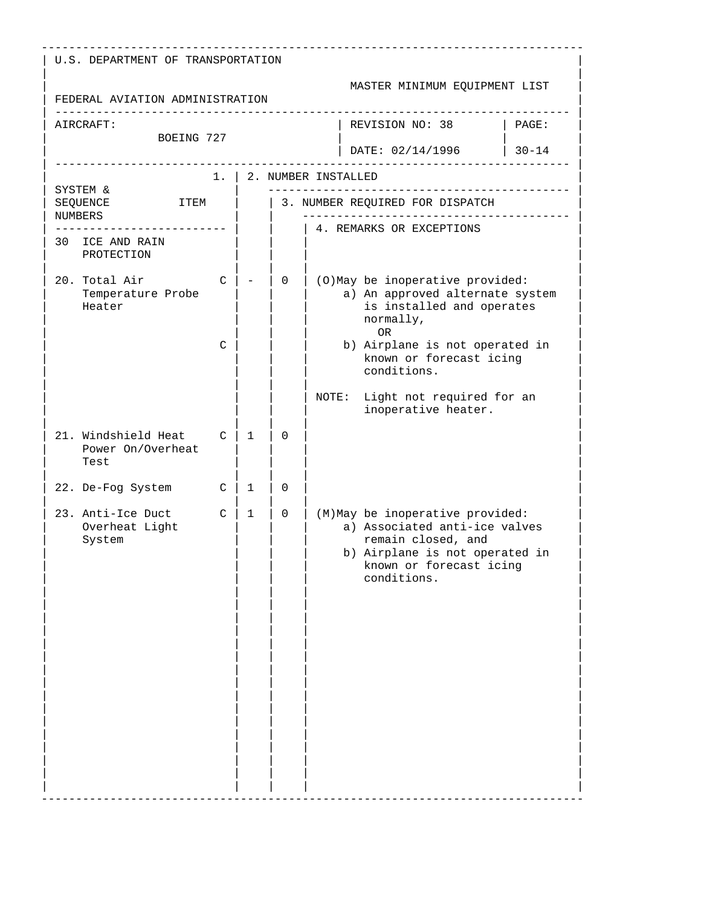| U.S. DEPARTMENT OF TRANSPORTATION                |                    |              |             | MASTER MINIMUM EQUIPMENT LIST                                                                                                                                                                |
|--------------------------------------------------|--------------------|--------------|-------------|----------------------------------------------------------------------------------------------------------------------------------------------------------------------------------------------|
| FEDERAL AVIATION ADMINISTRATION<br>AIRCRAFT:     |                    |              |             | REVISION NO: 38<br>$\mathtt{PAGE}$ :                                                                                                                                                         |
| BOEING 727                                       |                    |              |             | DATE: 02/14/1996   30-14                                                                                                                                                                     |
| SYSTEM &<br>SEQUENCE<br>ITEM<br><b>NUMBERS</b>   |                    |              |             | 1. 2. NUMBER INSTALLED<br>3. NUMBER REQUIRED FOR DISPATCH                                                                                                                                    |
| 30 ICE AND RAIN<br>PROTECTION                    |                    |              |             | 4. REMARKS OR EXCEPTIONS                                                                                                                                                                     |
| 20. Total Air<br>Temperature Probe<br>Heater     | $\mathcal{C}$<br>C | $\sim$       | $\mathbf 0$ | (0) May be inoperative provided:<br>a) An approved alternate system<br>is installed and operates<br>normally,<br>0 <sub>R</sub><br>b) Airplane is not operated in<br>known or forecast icing |
|                                                  |                    |              |             | conditions.<br>Light not required for an<br>NOTE:<br>inoperative heater.                                                                                                                     |
| 21. Windshield Heat<br>Power On/Overheat<br>Test | $\mathsf{C}$       | $\mathbf{1}$ | $\Omega$    |                                                                                                                                                                                              |
| 22. De-Fog System                                | $\mathcal{C}$      | $\mathbf{1}$ | 0           |                                                                                                                                                                                              |
| 23. Anti-Ice Duct<br>Overheat Light<br>System    | $\mathcal{C}$      | $\mathbf{1}$ | $\mathbf 0$ | (M) May be inoperative provided:<br>a) Associated anti-ice valves<br>remain closed, and<br>b) Airplane is not operated in<br>known or forecast icing<br>conditions.                          |
|                                                  |                    |              |             |                                                                                                                                                                                              |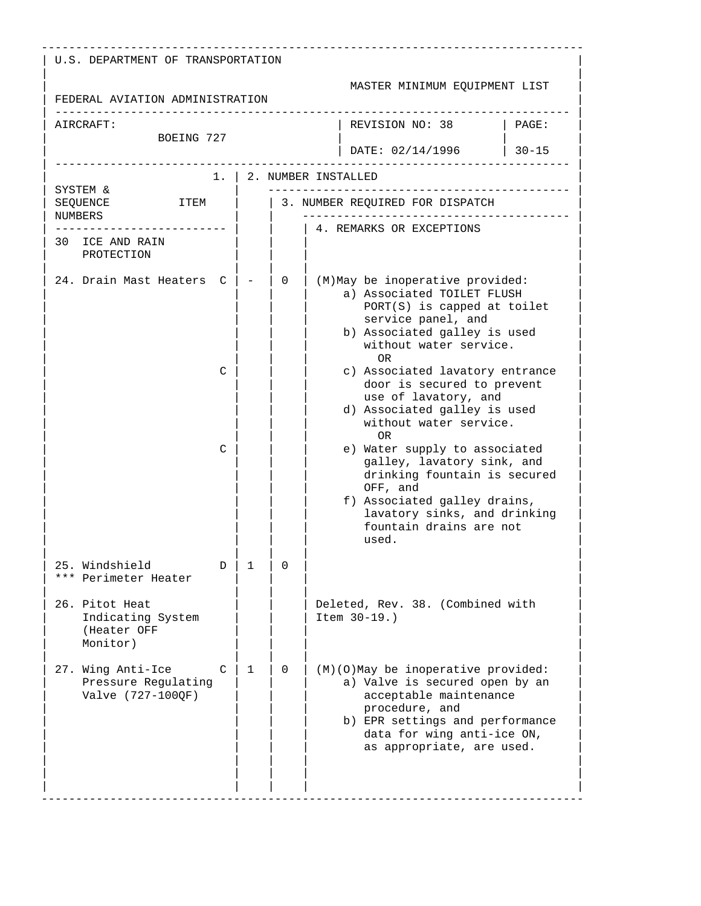| U.S. DEPARTMENT OF TRANSPORTATION                                              |              |                |                                                                                                                                                                                                                |  |  |  |  |
|--------------------------------------------------------------------------------|--------------|----------------|----------------------------------------------------------------------------------------------------------------------------------------------------------------------------------------------------------------|--|--|--|--|
| MASTER MINIMUM EQUIPMENT LIST<br>FEDERAL AVIATION ADMINISTRATION               |              |                |                                                                                                                                                                                                                |  |  |  |  |
| AIRCRAFT:<br>BOEING 727                                                        |              |                | REVISION NO: 38<br>PAGE:                                                                                                                                                                                       |  |  |  |  |
|                                                                                |              |                | DATE: 02/14/1996<br>$ 30-15$                                                                                                                                                                                   |  |  |  |  |
| SYSTEM &                                                                       |              |                | 1.   2. NUMBER INSTALLED                                                                                                                                                                                       |  |  |  |  |
| SEQUENCE<br>ITEM<br>NUMBERS                                                    |              |                | 3. NUMBER REQUIRED FOR DISPATCH                                                                                                                                                                                |  |  |  |  |
| 30 ICE AND RAIN<br>PROTECTION                                                  |              |                | 4. REMARKS OR EXCEPTIONS                                                                                                                                                                                       |  |  |  |  |
| 24. Drain Mast Heaters C                                                       | $\sim$ $-$   | $\overline{0}$ | (M) May be inoperative provided:<br>a) Associated TOILET FLUSH<br>PORT(S) is capped at toilet<br>service panel, and<br>b) Associated galley is used<br>without water service.<br>OR.                           |  |  |  |  |
| C                                                                              |              |                | c) Associated lavatory entrance<br>door is secured to prevent<br>use of lavatory, and<br>d) Associated galley is used<br>without water service.<br>OR.                                                         |  |  |  |  |
| C                                                                              |              |                | e) Water supply to associated<br>galley, lavatory sink, and<br>drinking fountain is secured<br>OFF, and<br>f) Associated galley drains,<br>lavatory sinks, and drinking<br>fountain drains are not<br>used.    |  |  |  |  |
| 25. Windshield<br><sup>D</sup><br>*** Perimeter Heater                         | $\mathbf{1}$ | $\Omega$       |                                                                                                                                                                                                                |  |  |  |  |
| 26. Pitot Heat<br>Indicating System<br>(Heater OFF<br>Monitor)                 |              |                | Deleted, Rev. 38. (Combined with<br>Item $30-19.$ )                                                                                                                                                            |  |  |  |  |
| 27. Wing Anti-Ice<br>$\mathcal{C}$<br>Pressure Regulating<br>Valve (727-100QF) | $\mathbf{1}$ | $\Omega$       | (M)(O)May be inoperative provided:<br>a) Valve is secured open by an<br>acceptable maintenance<br>procedure, and<br>b) EPR settings and performance<br>data for wing anti-ice ON,<br>as appropriate, are used. |  |  |  |  |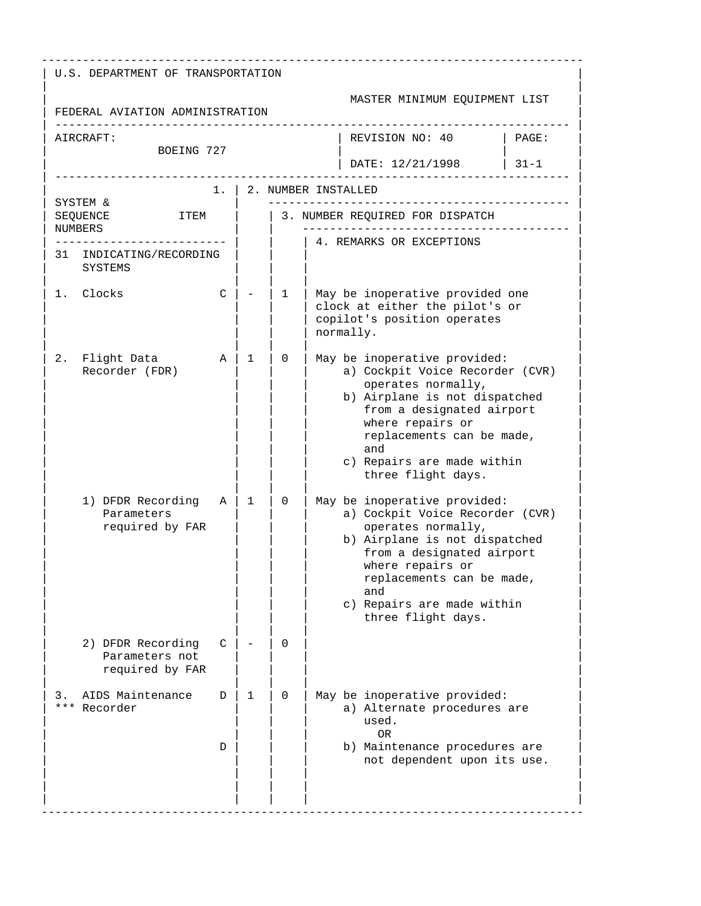|           | FEDERAL AVIATION ADMINISTRATION                        |   |                |          | MASTER MINIMUM EQUIPMENT LIST                                                                                                                                                                                                                                   |
|-----------|--------------------------------------------------------|---|----------------|----------|-----------------------------------------------------------------------------------------------------------------------------------------------------------------------------------------------------------------------------------------------------------------|
|           | AIRCRAFT:<br>BOEING 727                                |   |                |          | REVISION NO: 40<br>PAGE:                                                                                                                                                                                                                                        |
|           |                                                        |   |                |          | DATE: 12/21/1998<br>$ 31-1 $                                                                                                                                                                                                                                    |
|           | SYSTEM &<br>SEQUENCE<br>ITEM                           |   |                |          | 1. 2. NUMBER INSTALLED<br>3. NUMBER REQUIRED FOR DISPATCH                                                                                                                                                                                                       |
|           | NUMBERS                                                |   |                |          | 4. REMARKS OR EXCEPTIONS                                                                                                                                                                                                                                        |
| 31        | INDICATING/RECORDING<br><b>SYSTEMS</b>                 |   |                |          |                                                                                                                                                                                                                                                                 |
| 1.        | Clocks                                                 | C | $\overline{a}$ | 1        | May be inoperative provided one<br>clock at either the pilot's or<br>copilot's position operates<br>normally.                                                                                                                                                   |
| 2.        | Flight Data<br>Recorder (FDR)                          | A | $\mathbf{1}$   | $\Omega$ | May be inoperative provided:<br>a) Cockpit Voice Recorder (CVR)<br>operates normally,<br>b) Airplane is not dispatched<br>from a designated airport<br>where repairs or<br>replacements can be made,<br>and<br>c) Repairs are made within<br>three flight days. |
|           | 1) DFDR Recording<br>Parameters<br>required by FAR     | A | $\mathbf{1}$   | 0        | May be inoperative provided:<br>a) Cockpit Voice Recorder (CVR)<br>operates normally,<br>b) Airplane is not dispatched<br>from a designated airport<br>where repairs or<br>replacements can be made,<br>and<br>c) Repairs are made within<br>three flight days. |
|           | 2) DFDR Recording<br>Parameters not<br>required by FAR | C |                | 0        |                                                                                                                                                                                                                                                                 |
| 3.<br>*** | AIDS Maintenance<br>Recorder                           | D | $\mathbf{1}$   | 0        | May be inoperative provided:<br>a) Alternate procedures are<br>used.<br>0R                                                                                                                                                                                      |
|           |                                                        | D |                |          | b) Maintenance procedures are<br>not dependent upon its use.                                                                                                                                                                                                    |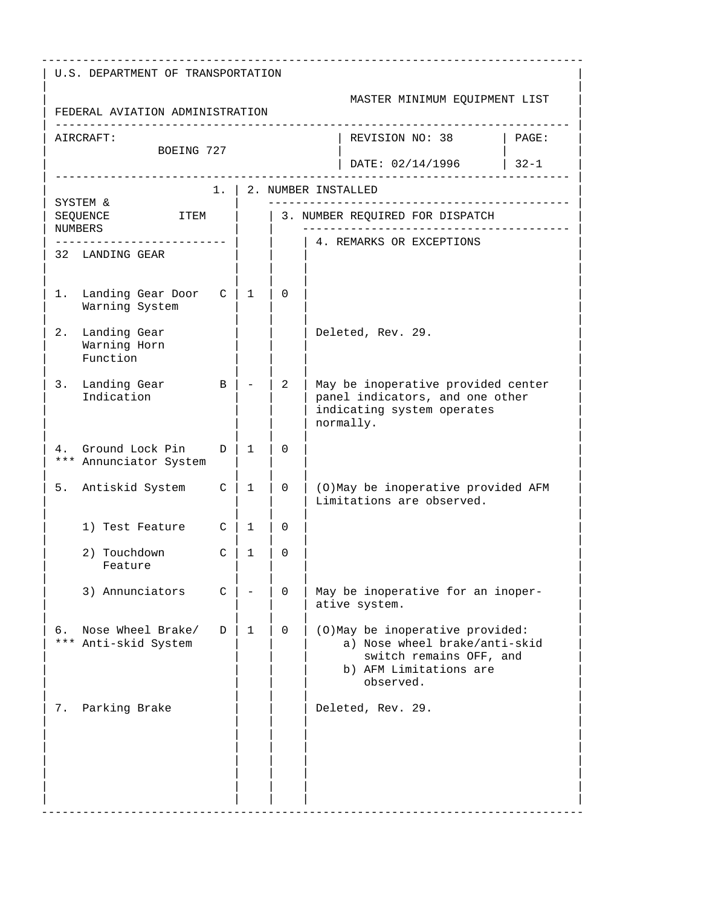| U.S. DEPARTMENT OF TRANSPORTATION<br>MASTER MINIMUM EQUIPMENT LIST |                                           |              |                          |                |                                                                                                                                     |  |  |  |
|--------------------------------------------------------------------|-------------------------------------------|--------------|--------------------------|----------------|-------------------------------------------------------------------------------------------------------------------------------------|--|--|--|
| FEDERAL AVIATION ADMINISTRATION                                    |                                           |              |                          |                |                                                                                                                                     |  |  |  |
|                                                                    | AIRCRAFT:<br>BOEING 727                   |              |                          |                | REVISION NO: 38<br>$\vdash$ PAGE:                                                                                                   |  |  |  |
|                                                                    |                                           |              |                          |                | DATE: 02/14/1996   32-1                                                                                                             |  |  |  |
|                                                                    | SYSTEM &                                  |              |                          |                | 1. 2. NUMBER INSTALLED                                                                                                              |  |  |  |
|                                                                    | SEQUENCE<br>ITEM<br>NUMBERS               |              |                          |                | 3. NUMBER REQUIRED FOR DISPATCH                                                                                                     |  |  |  |
|                                                                    | 32 LANDING GEAR                           |              |                          |                | 4. REMARKS OR EXCEPTIONS                                                                                                            |  |  |  |
|                                                                    |                                           |              |                          |                |                                                                                                                                     |  |  |  |
| 1.                                                                 | Landing Gear Door C   1<br>Warning System |              |                          | $\Omega$       |                                                                                                                                     |  |  |  |
| 2.                                                                 | Landing Gear<br>Warning Horn<br>Function  |              |                          |                | Deleted, Rev. 29.                                                                                                                   |  |  |  |
| 3.                                                                 | Landing Gear<br>Indication                | $\mathbf{B}$ | $\overline{\phantom{0}}$ | $\overline{2}$ | May be inoperative provided center<br>panel indicators, and one other<br>indicating system operates<br>normally.                    |  |  |  |
| 4.                                                                 | Ground Lock Pin<br>*** Annunciator System | $\Box$       | $\mathbf{1}$             | $\Omega$       |                                                                                                                                     |  |  |  |
| 5.                                                                 | Antiskid System                           |              | $C$   1                  | $\mathbf 0$    | (O) May be inoperative provided AFM<br>Limitations are observed.                                                                    |  |  |  |
|                                                                    | 1) Test Feature                           |              | $C \mid 1$               | $\mathbf{0}$   |                                                                                                                                     |  |  |  |
|                                                                    | 2) Touchdown<br>Feature                   | $\mathsf{C}$ | 1                        | 0              |                                                                                                                                     |  |  |  |
|                                                                    | 3) Annunciators                           | C            |                          | 0              | May be inoperative for an inoper-<br>ative system.                                                                                  |  |  |  |
| б.                                                                 | Nose Wheel Brake/<br>*** Anti-skid System | D            | $\mathbf 1$              | $\mathsf 0$    | (0) May be inoperative provided:<br>a) Nose wheel brake/anti-skid<br>switch remains OFF, and<br>b) AFM Limitations are<br>observed. |  |  |  |
| 7.                                                                 | Parking Brake                             |              |                          |                | Deleted, Rev. 29.                                                                                                                   |  |  |  |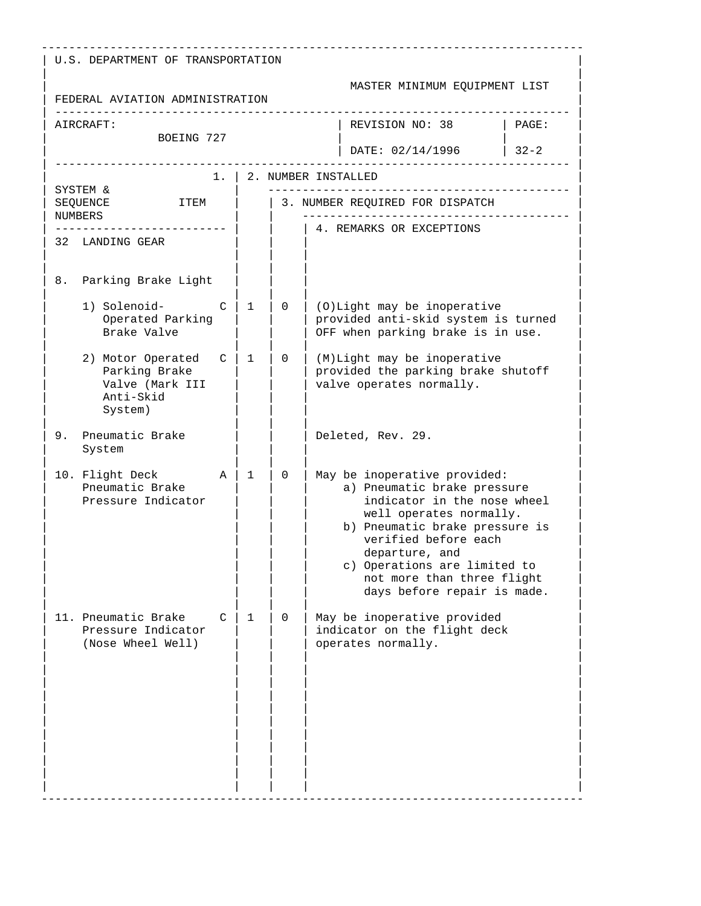| U.S. DEPARTMENT OF TRANSPORTATION<br>MASTER MINIMUM EQUIPMENT LIST              |                                 |              |                        |                                                                                                                                                                                                                                                                                                |  |  |  |  |
|---------------------------------------------------------------------------------|---------------------------------|--------------|------------------------|------------------------------------------------------------------------------------------------------------------------------------------------------------------------------------------------------------------------------------------------------------------------------------------------|--|--|--|--|
|                                                                                 | FEDERAL AVIATION ADMINISTRATION |              |                        |                                                                                                                                                                                                                                                                                                |  |  |  |  |
| AIRCRAFT:<br>BOEING 727                                                         |                                 |              |                        | REVISION NO: 38<br>PAGE:                                                                                                                                                                                                                                                                       |  |  |  |  |
|                                                                                 |                                 |              |                        | DATE: 02/14/1996<br>$ 32-2 $                                                                                                                                                                                                                                                                   |  |  |  |  |
| SYSTEM &                                                                        |                                 |              | 1. 2. NUMBER INSTALLED |                                                                                                                                                                                                                                                                                                |  |  |  |  |
| SEQUENCE<br>ITEM<br>NUMBERS                                                     |                                 |              |                        | 3. NUMBER REQUIRED FOR DISPATCH                                                                                                                                                                                                                                                                |  |  |  |  |
| 32 LANDING GEAR                                                                 |                                 |              |                        | 4. REMARKS OR EXCEPTIONS                                                                                                                                                                                                                                                                       |  |  |  |  |
| Parking Brake Light<br>8.                                                       |                                 |              |                        |                                                                                                                                                                                                                                                                                                |  |  |  |  |
| 1) Solenoid-<br>Operated Parking<br>Brake Valve                                 | $\mathcal{C}$                   | 1            | $\Omega$               | (O) Light may be inoperative<br>provided anti-skid system is turned<br>OFF when parking brake is in use.                                                                                                                                                                                       |  |  |  |  |
| 2) Motor Operated C<br>Parking Brake<br>Valve (Mark III<br>Anti-Skid<br>System) |                                 | $\mathbf{1}$ | $\Omega$               | (M) Light may be inoperative<br>provided the parking brake shutoff<br>valve operates normally.                                                                                                                                                                                                 |  |  |  |  |
| Pneumatic Brake<br>9.<br>System                                                 |                                 |              |                        | Deleted, Rev. 29.                                                                                                                                                                                                                                                                              |  |  |  |  |
| 10. Flight Deck<br>Pneumatic Brake<br>Pressure Indicator                        | A                               | 1            | $\Omega$               | May be inoperative provided:<br>a) Pneumatic brake pressure<br>indicator in the nose wheel<br>well operates normally.<br>b) Pneumatic brake pressure is<br>verified before each<br>departure, and<br>c) Operations are limited to<br>not more than three flight<br>days before repair is made. |  |  |  |  |
| 11. Pneumatic Brake<br>Pressure Indicator<br>(Nose Wheel Well)                  | $\mathcal{C}$                   | $\mathbf 1$  | $\mathsf 0$            | May be inoperative provided<br>indicator on the flight deck<br>operates normally.                                                                                                                                                                                                              |  |  |  |  |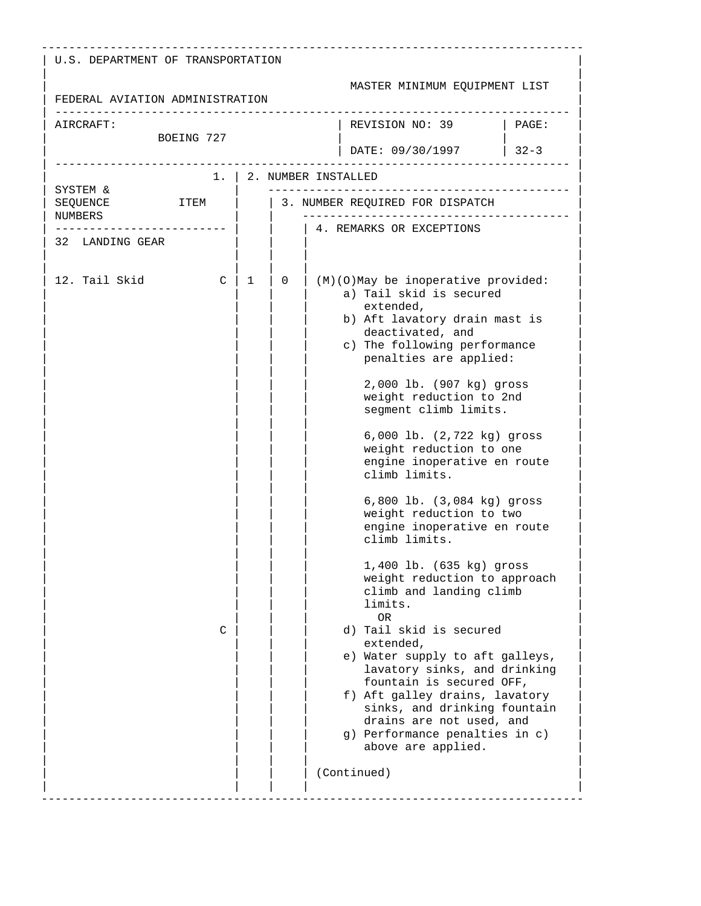| U.S. DEPARTMENT OF TRANSPORTATION                                |              |                |                                                                                                                                                                                                                                                                                                                                                                                                                                                                                                                                                                                                |  |  |  |  |
|------------------------------------------------------------------|--------------|----------------|------------------------------------------------------------------------------------------------------------------------------------------------------------------------------------------------------------------------------------------------------------------------------------------------------------------------------------------------------------------------------------------------------------------------------------------------------------------------------------------------------------------------------------------------------------------------------------------------|--|--|--|--|
| MASTER MINIMUM EQUIPMENT LIST<br>FEDERAL AVIATION ADMINISTRATION |              |                |                                                                                                                                                                                                                                                                                                                                                                                                                                                                                                                                                                                                |  |  |  |  |
| AIRCRAFT:<br>BOEING 727                                          |              |                | REVISION NO: 39<br>$\mathtt{PAGE}$ :                                                                                                                                                                                                                                                                                                                                                                                                                                                                                                                                                           |  |  |  |  |
|                                                                  |              |                | DATE: 09/30/1997   32-3                                                                                                                                                                                                                                                                                                                                                                                                                                                                                                                                                                        |  |  |  |  |
| SYSTEM &                                                         |              |                | 1.   2. NUMBER INSTALLED                                                                                                                                                                                                                                                                                                                                                                                                                                                                                                                                                                       |  |  |  |  |
| SEQUENCE<br>ITEM<br>NUMBERS                                      |              |                | 3. NUMBER REQUIRED FOR DISPATCH                                                                                                                                                                                                                                                                                                                                                                                                                                                                                                                                                                |  |  |  |  |
| 32 LANDING GEAR                                                  |              |                | 4. REMARKS OR EXCEPTIONS                                                                                                                                                                                                                                                                                                                                                                                                                                                                                                                                                                       |  |  |  |  |
| 12. Tail Skid<br>$\mathcal{C}$                                   | $\mathbf{1}$ | $\overline{0}$ | (M)(0) May be inoperative provided:<br>a) Tail skid is secured<br>extended,<br>b) Aft lavatory drain mast is<br>deactivated, and<br>c) The following performance<br>penalties are applied:<br>2,000 lb. (907 kg) gross<br>weight reduction to 2nd<br>segment climb limits.<br>6,000 lb. (2,722 kg) gross<br>weight reduction to one<br>engine inoperative en route<br>climb limits.<br>6,800 lb. (3,084 kg) gross<br>weight reduction to two<br>engine inoperative en route<br>climb limits.<br>1,400 lb. (635 kg) gross<br>weight reduction to approach<br>climb and landing climb<br>limits. |  |  |  |  |
| C                                                                |              |                | 0R<br>d) Tail skid is secured<br>extended,                                                                                                                                                                                                                                                                                                                                                                                                                                                                                                                                                     |  |  |  |  |
|                                                                  |              |                | e) Water supply to aft galleys,<br>lavatory sinks, and drinking<br>fountain is secured OFF,<br>f) Aft galley drains, lavatory<br>sinks, and drinking fountain<br>drains are not used, and<br>g) Performance penalties in c)<br>above are applied.                                                                                                                                                                                                                                                                                                                                              |  |  |  |  |
|                                                                  |              |                | (Continued)                                                                                                                                                                                                                                                                                                                                                                                                                                                                                                                                                                                    |  |  |  |  |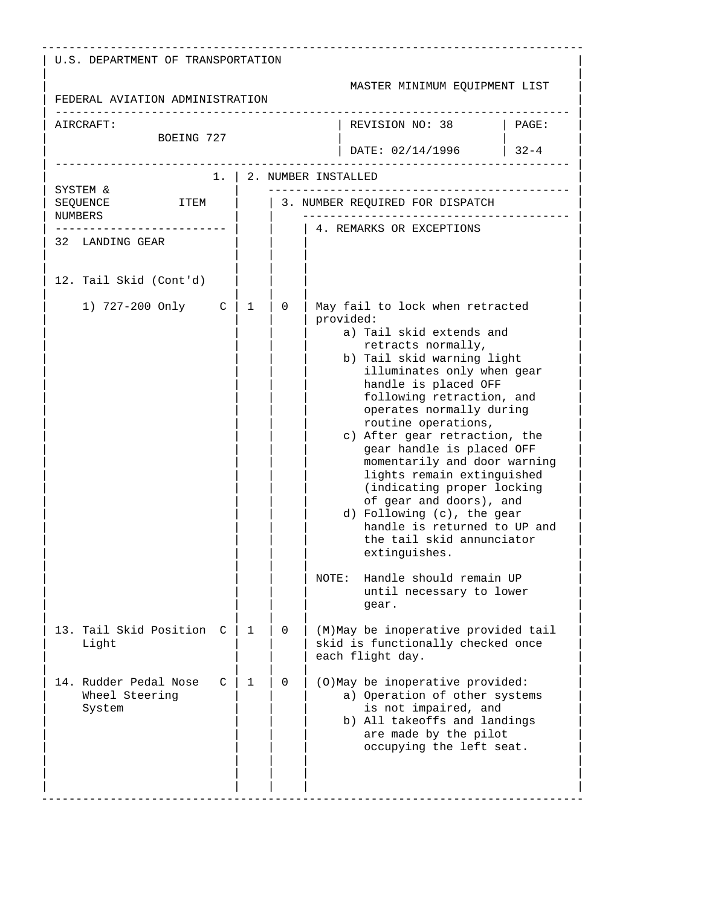| U.S. DEPARTMENT OF TRANSPORTATION                                  |                |             |                                                                                                                                                                                                                                                                                                                                                                                                                                                                                                                                                                                                         |  |  |  |
|--------------------------------------------------------------------|----------------|-------------|---------------------------------------------------------------------------------------------------------------------------------------------------------------------------------------------------------------------------------------------------------------------------------------------------------------------------------------------------------------------------------------------------------------------------------------------------------------------------------------------------------------------------------------------------------------------------------------------------------|--|--|--|
| FEDERAL AVIATION ADMINISTRATION                                    |                |             | MASTER MINIMUM EQUIPMENT LIST                                                                                                                                                                                                                                                                                                                                                                                                                                                                                                                                                                           |  |  |  |
| AIRCRAFT:<br>BOEING 727                                            |                |             | REVISION NO: 38<br>$\mathtt{PAGE}$ :                                                                                                                                                                                                                                                                                                                                                                                                                                                                                                                                                                    |  |  |  |
|                                                                    |                |             | DATE: 02/14/1996   32-4                                                                                                                                                                                                                                                                                                                                                                                                                                                                                                                                                                                 |  |  |  |
| SYSTEM &                                                           |                |             | 1.   2. NUMBER INSTALLED                                                                                                                                                                                                                                                                                                                                                                                                                                                                                                                                                                                |  |  |  |
| SEQUENCE<br>ITEM<br>NUMBERS                                        |                |             | 3. NUMBER REQUIRED FOR DISPATCH                                                                                                                                                                                                                                                                                                                                                                                                                                                                                                                                                                         |  |  |  |
| 32 LANDING GEAR                                                    |                |             | 4. REMARKS OR EXCEPTIONS                                                                                                                                                                                                                                                                                                                                                                                                                                                                                                                                                                                |  |  |  |
| 12. Tail Skid (Cont'd)                                             |                |             |                                                                                                                                                                                                                                                                                                                                                                                                                                                                                                                                                                                                         |  |  |  |
| 1) 727-200 Only C                                                  | $\mathbf{1}$   | $\mathbf 0$ | May fail to lock when retracted<br>provided:<br>a) Tail skid extends and<br>retracts normally,<br>b) Tail skid warning light<br>illuminates only when gear<br>handle is placed OFF<br>following retraction, and<br>operates normally during<br>routine operations,<br>c) After gear retraction, the<br>gear handle is placed OFF<br>momentarily and door warning<br>lights remain extinguished<br>(indicating proper locking<br>of gear and doors), and<br>d) Following (c), the gear<br>handle is returned to UP and<br>the tail skid annunciator<br>extinguishes.<br>Handle should remain UP<br>NOTE: |  |  |  |
|                                                                    |                |             | until necessary to lower<br>qear.                                                                                                                                                                                                                                                                                                                                                                                                                                                                                                                                                                       |  |  |  |
| 13. Tail Skid Position C<br>Light                                  | $\mathbf{1}$   | 0           | (M) May be inoperative provided tail<br>skid is functionally checked once<br>each flight day.                                                                                                                                                                                                                                                                                                                                                                                                                                                                                                           |  |  |  |
| 14. Rudder Pedal Nose<br>$\mathcal{C}$<br>Wheel Steering<br>System | $\overline{1}$ | $\Omega$    | (O) May be inoperative provided:<br>a) Operation of other systems<br>is not impaired, and<br>b) All takeoffs and landings<br>are made by the pilot<br>occupying the left seat.                                                                                                                                                                                                                                                                                                                                                                                                                          |  |  |  |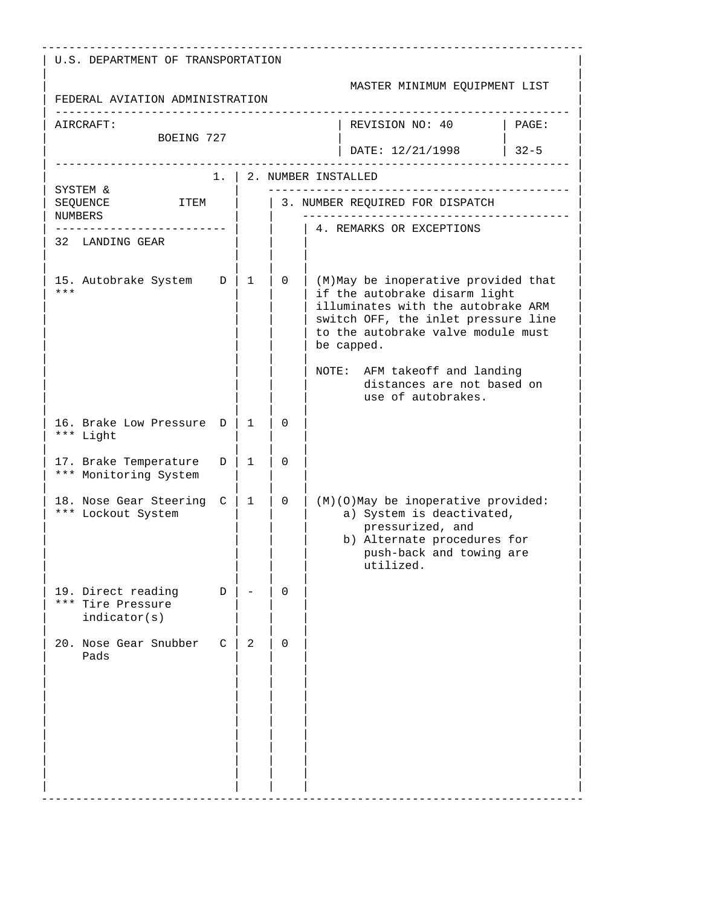| U.S. DEPARTMENT OF TRANSPORTATION                                |   |                |                |                                                                                                                                                                                                        |  |  |  |
|------------------------------------------------------------------|---|----------------|----------------|--------------------------------------------------------------------------------------------------------------------------------------------------------------------------------------------------------|--|--|--|
| MASTER MINIMUM EQUIPMENT LIST<br>FEDERAL AVIATION ADMINISTRATION |   |                |                |                                                                                                                                                                                                        |  |  |  |
| AIRCRAFT:<br>BOEING 727                                          |   |                |                | REVISION NO: 40<br>$\mathtt{PAGE}$ :                                                                                                                                                                   |  |  |  |
|                                                                  |   |                |                | DATE: 12/21/1998   32-5                                                                                                                                                                                |  |  |  |
| SYSTEM &                                                         |   |                |                | 1. 2. NUMBER INSTALLED                                                                                                                                                                                 |  |  |  |
| SEQUENCE<br>ITEM<br>NUMBERS                                      |   |                |                | 3. NUMBER REQUIRED FOR DISPATCH                                                                                                                                                                        |  |  |  |
| 32 LANDING GEAR                                                  |   |                |                | 4. REMARKS OR EXCEPTIONS                                                                                                                                                                               |  |  |  |
| 15. Autobrake System D<br>$***$                                  |   | 1              | 0              | (M) May be inoperative provided that<br>if the autobrake disarm light<br>illuminates with the autobrake ARM<br>switch OFF, the inlet pressure line<br>to the autobrake valve module must<br>be capped. |  |  |  |
|                                                                  |   |                |                | NOTE: AFM takeoff and landing<br>distances are not based on<br>use of autobrakes.                                                                                                                      |  |  |  |
| 16. Brake Low Pressure D   1<br>*** Light                        |   |                | $\Omega$       |                                                                                                                                                                                                        |  |  |  |
| 17. Brake Temperature<br>*** Monitoring System                   | D | $\overline{1}$ | $\Omega$       |                                                                                                                                                                                                        |  |  |  |
| 18. Nose Gear Steering C<br>*** Lockout System                   |   | $\overline{1}$ | $\mathbf 0$    | (M)(O)May be inoperative provided:<br>a) System is deactivated,<br>pressurized, and<br>b) Alternate procedures for<br>push-back and towing are<br>utilized.                                            |  |  |  |
| 19. Direct reading<br>* * *<br>Tire Pressure<br>indication(s)    | D |                | $\overline{0}$ |                                                                                                                                                                                                        |  |  |  |
| 20. Nose Gear Snubber<br>Pads                                    | C | 2              | $\overline{0}$ |                                                                                                                                                                                                        |  |  |  |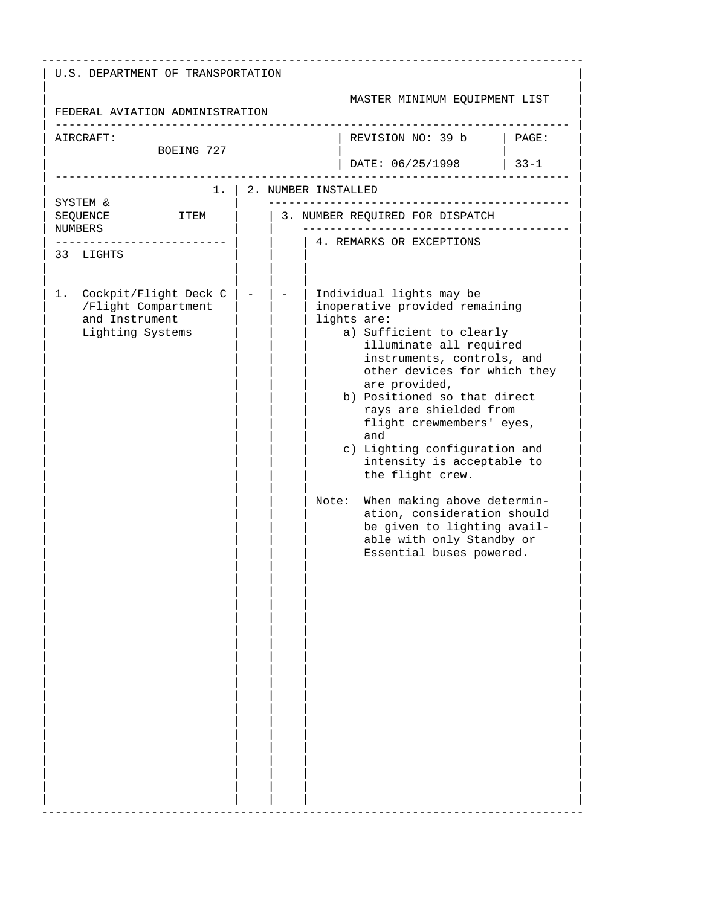| U.S. DEPARTMENT OF TRANSPORTATION<br>MASTER MINIMUM EQUIPMENT LIST                       |  |  |                                                                                                                                                                                                                                                                                                                                                                                                                                                                                                                                                              |            |  |  |
|------------------------------------------------------------------------------------------|--|--|--------------------------------------------------------------------------------------------------------------------------------------------------------------------------------------------------------------------------------------------------------------------------------------------------------------------------------------------------------------------------------------------------------------------------------------------------------------------------------------------------------------------------------------------------------------|------------|--|--|
| FEDERAL AVIATION ADMINISTRATION<br>AIRCRAFT:                                             |  |  | REVISION NO: 39 b                                                                                                                                                                                                                                                                                                                                                                                                                                                                                                                                            | $ $ PAGE:  |  |  |
| BOEING 727                                                                               |  |  | DATE: 06/25/1998                                                                                                                                                                                                                                                                                                                                                                                                                                                                                                                                             | $ 33 - 1 $ |  |  |
| SYSTEM &<br>SEQUENCE<br>ITEM<br>NUMBERS                                                  |  |  | 1. 2. NUMBER INSTALLED<br>3. NUMBER REQUIRED FOR DISPATCH                                                                                                                                                                                                                                                                                                                                                                                                                                                                                                    |            |  |  |
| 33 LIGHTS                                                                                |  |  | 4. REMARKS OR EXCEPTIONS                                                                                                                                                                                                                                                                                                                                                                                                                                                                                                                                     |            |  |  |
| Cockpit/Flight Deck C<br>1.<br>/Flight Compartment<br>and Instrument<br>Lighting Systems |  |  | Individual lights may be<br>inoperative provided remaining<br>lights are:<br>a) Sufficient to clearly<br>illuminate all required<br>instruments, controls, and<br>other devices for which they<br>are provided,<br>b) Positioned so that direct<br>rays are shielded from<br>flight crewmembers' eyes,<br>and<br>c) Lighting configuration and<br>intensity is acceptable to<br>the flight crew.<br>Note: When making above determin-<br>ation, consideration should<br>be given to lighting avail-<br>able with only Standby or<br>Essential buses powered. |            |  |  |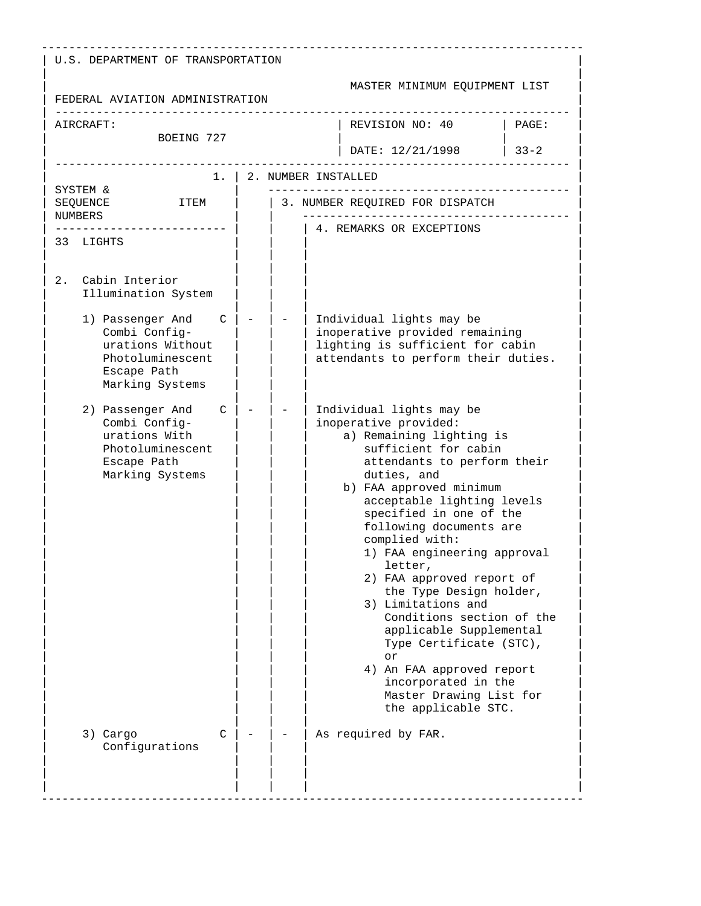| MASTER MINIMUM EQUIPMENT LIST<br>FEDERAL AVIATION ADMINISTRATION<br>REVISION NO: 40<br>PAGE:<br>AIRCRAFT:<br>BOEING 727<br>DATE: 12/21/1998<br>$ 33-2 $<br>1. 2. NUMBER INSTALLED<br>SYSTEM &<br>SEQUENCE<br>ITEM<br>3. NUMBER REQUIRED FOR DISPATCH<br>NUMBERS<br>4. REMARKS OR EXCEPTIONS<br>33 LIGHTS<br>Cabin Interior<br>2.<br>Illumination System<br>1) Passenger And C<br>Individual lights may be<br>Combi Config-<br>inoperative provided remaining<br>urations Without<br>lighting is sufficient for cabin<br>Photoluminescent<br>attendants to perform their duties.<br>Escape Path<br>Marking Systems<br>Individual lights may be<br>2) Passenger And C<br>Combi Config-<br>inoperative provided:<br>urations With<br>a) Remaining lighting is<br>Photoluminescent<br>sufficient for cabin<br>Escape Path<br>attendants to perform their<br>duties, and<br>Marking Systems<br>b) FAA approved minimum<br>acceptable lighting levels<br>specified in one of the<br>following documents are<br>complied with:<br>1) FAA engineering approval<br>letter,<br>2) FAA approved report of<br>the Type Design holder,<br>3) Limitations and<br>Conditions section of the<br>applicable Supplemental<br>Type Certificate (STC),<br>or<br>4) An FAA approved report<br>incorporated in the<br>Master Drawing List for<br>the applicable STC.<br>3) Cargo<br>C<br>As required by FAR.<br>Configurations | U.S. DEPARTMENT OF TRANSPORTATION |  |  |  |  |  |
|----------------------------------------------------------------------------------------------------------------------------------------------------------------------------------------------------------------------------------------------------------------------------------------------------------------------------------------------------------------------------------------------------------------------------------------------------------------------------------------------------------------------------------------------------------------------------------------------------------------------------------------------------------------------------------------------------------------------------------------------------------------------------------------------------------------------------------------------------------------------------------------------------------------------------------------------------------------------------------------------------------------------------------------------------------------------------------------------------------------------------------------------------------------------------------------------------------------------------------------------------------------------------------------------------------------------------------------------------------------------------------------------------------|-----------------------------------|--|--|--|--|--|
|                                                                                                                                                                                                                                                                                                                                                                                                                                                                                                                                                                                                                                                                                                                                                                                                                                                                                                                                                                                                                                                                                                                                                                                                                                                                                                                                                                                                          |                                   |  |  |  |  |  |
|                                                                                                                                                                                                                                                                                                                                                                                                                                                                                                                                                                                                                                                                                                                                                                                                                                                                                                                                                                                                                                                                                                                                                                                                                                                                                                                                                                                                          |                                   |  |  |  |  |  |
|                                                                                                                                                                                                                                                                                                                                                                                                                                                                                                                                                                                                                                                                                                                                                                                                                                                                                                                                                                                                                                                                                                                                                                                                                                                                                                                                                                                                          |                                   |  |  |  |  |  |
|                                                                                                                                                                                                                                                                                                                                                                                                                                                                                                                                                                                                                                                                                                                                                                                                                                                                                                                                                                                                                                                                                                                                                                                                                                                                                                                                                                                                          |                                   |  |  |  |  |  |
|                                                                                                                                                                                                                                                                                                                                                                                                                                                                                                                                                                                                                                                                                                                                                                                                                                                                                                                                                                                                                                                                                                                                                                                                                                                                                                                                                                                                          |                                   |  |  |  |  |  |
|                                                                                                                                                                                                                                                                                                                                                                                                                                                                                                                                                                                                                                                                                                                                                                                                                                                                                                                                                                                                                                                                                                                                                                                                                                                                                                                                                                                                          |                                   |  |  |  |  |  |
|                                                                                                                                                                                                                                                                                                                                                                                                                                                                                                                                                                                                                                                                                                                                                                                                                                                                                                                                                                                                                                                                                                                                                                                                                                                                                                                                                                                                          |                                   |  |  |  |  |  |
|                                                                                                                                                                                                                                                                                                                                                                                                                                                                                                                                                                                                                                                                                                                                                                                                                                                                                                                                                                                                                                                                                                                                                                                                                                                                                                                                                                                                          |                                   |  |  |  |  |  |
|                                                                                                                                                                                                                                                                                                                                                                                                                                                                                                                                                                                                                                                                                                                                                                                                                                                                                                                                                                                                                                                                                                                                                                                                                                                                                                                                                                                                          |                                   |  |  |  |  |  |
|                                                                                                                                                                                                                                                                                                                                                                                                                                                                                                                                                                                                                                                                                                                                                                                                                                                                                                                                                                                                                                                                                                                                                                                                                                                                                                                                                                                                          |                                   |  |  |  |  |  |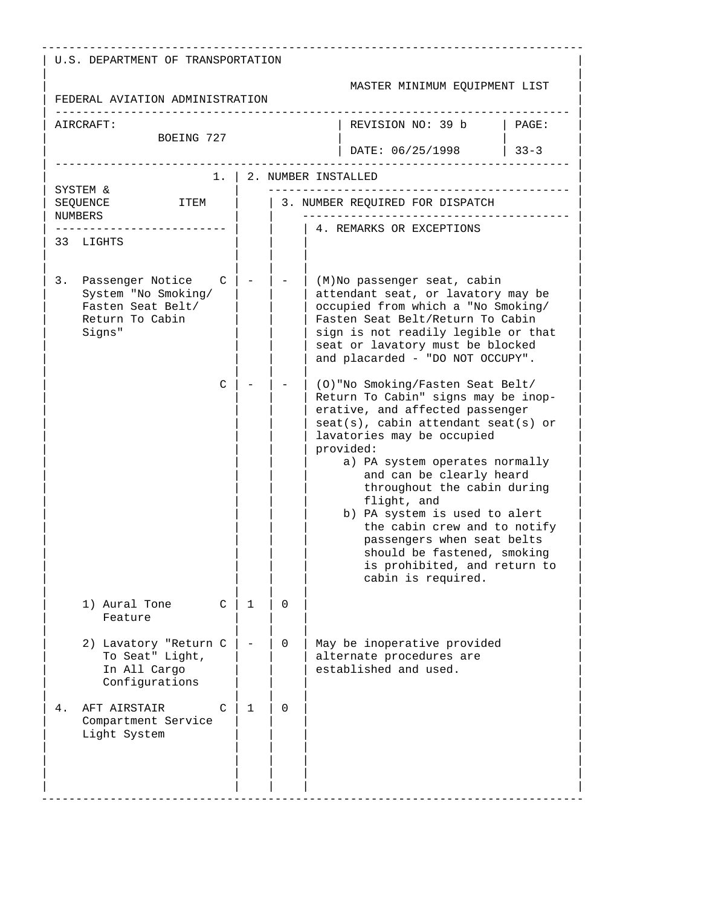|                     | U.S. DEPARTMENT OF TRANSPORTATION                                                                           |               |              |          |                                                                                                                                                                                                                                                                                                                                                                                                                                                                                                  |  |  |  |
|---------------------|-------------------------------------------------------------------------------------------------------------|---------------|--------------|----------|--------------------------------------------------------------------------------------------------------------------------------------------------------------------------------------------------------------------------------------------------------------------------------------------------------------------------------------------------------------------------------------------------------------------------------------------------------------------------------------------------|--|--|--|
|                     | FEDERAL AVIATION ADMINISTRATION                                                                             |               |              |          | MASTER MINIMUM EQUIPMENT LIST                                                                                                                                                                                                                                                                                                                                                                                                                                                                    |  |  |  |
|                     | AIRCRAFT:<br>BOEING 727                                                                                     |               |              |          | REVISION NO: 39 b<br>PAGE:                                                                                                                                                                                                                                                                                                                                                                                                                                                                       |  |  |  |
|                     |                                                                                                             |               |              |          | DATE: 06/25/1998<br>$ 33 - 3 $                                                                                                                                                                                                                                                                                                                                                                                                                                                                   |  |  |  |
| SYSTEM &            |                                                                                                             |               |              |          | 1.   2. NUMBER INSTALLED                                                                                                                                                                                                                                                                                                                                                                                                                                                                         |  |  |  |
| SEQUENCE<br>NUMBERS | ITEM                                                                                                        |               |              |          | 3. NUMBER REQUIRED FOR DISPATCH                                                                                                                                                                                                                                                                                                                                                                                                                                                                  |  |  |  |
| 33 LIGHTS           |                                                                                                             |               |              |          | 4. REMARKS OR EXCEPTIONS                                                                                                                                                                                                                                                                                                                                                                                                                                                                         |  |  |  |
| 3.                  | Passenger Notice<br>$\overline{C}$<br>System "No Smoking/<br>Fasten Seat Belt/<br>Return To Cabin<br>Signs" |               |              |          | (M)No passenger seat, cabin<br>attendant seat, or lavatory may be<br>occupied from which a "No Smoking/<br>Fasten Seat Belt/Return To Cabin<br>sign is not readily legible or that<br>seat or lavatory must be blocked<br>and placarded - "DO NOT OCCUPY".                                                                                                                                                                                                                                       |  |  |  |
|                     |                                                                                                             | C             |              |          | (0) "No Smoking/Fasten Seat Belt/<br>Return To Cabin" signs may be inop-<br>erative, and affected passenger<br>$seat(s)$ , cabin attendant seat(s) or<br>lavatories may be occupied<br>provided:<br>a) PA system operates normally<br>and can be clearly heard<br>throughout the cabin during<br>flight, and<br>b) PA system is used to alert<br>the cabin crew and to notify<br>passengers when seat belts<br>should be fastened, smoking<br>is prohibited, and return to<br>cabin is required. |  |  |  |
|                     | 1) Aural Tone<br>Feature                                                                                    | $\mathsf{C}$  | 1            | 0        |                                                                                                                                                                                                                                                                                                                                                                                                                                                                                                  |  |  |  |
|                     | 2) Lavatory "Return C<br>To Seat" Light,<br>In All Cargo<br>Configurations                                  |               |              | 0        | May be inoperative provided<br>alternate procedures are<br>established and used.                                                                                                                                                                                                                                                                                                                                                                                                                 |  |  |  |
| 4.                  | AFT AIRSTAIR<br>Compartment Service<br>Light System                                                         | $\mathcal{C}$ | $\mathbf{1}$ | $\Omega$ |                                                                                                                                                                                                                                                                                                                                                                                                                                                                                                  |  |  |  |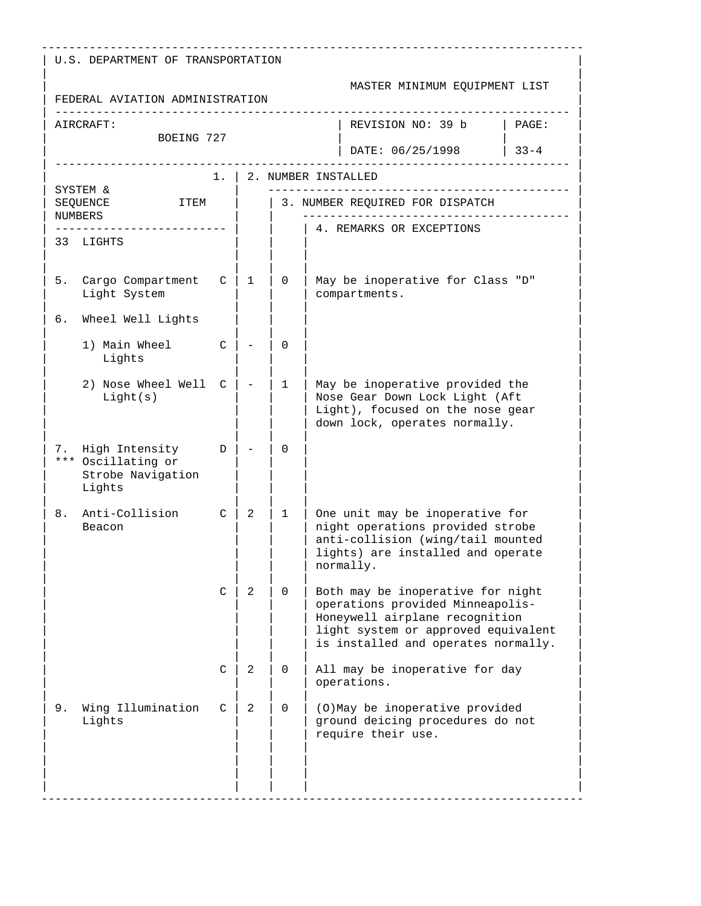|    | U.S. DEPARTMENT OF TRANSPORTATION                                   |               |                          |                        |                                                                                                                                                                                       |  |  |  |  |
|----|---------------------------------------------------------------------|---------------|--------------------------|------------------------|---------------------------------------------------------------------------------------------------------------------------------------------------------------------------------------|--|--|--|--|
|    | FEDERAL AVIATION ADMINISTRATION                                     |               |                          |                        | MASTER MINIMUM EQUIPMENT LIST                                                                                                                                                         |  |  |  |  |
|    | AIRCRAFT:<br>BOEING 727                                             |               |                          |                        | REVISION NO: 39 b<br>$\mathsf{PAGE}$ :                                                                                                                                                |  |  |  |  |
|    |                                                                     |               |                          |                        | DATE: 06/25/1998<br>$ 33 - 4 $                                                                                                                                                        |  |  |  |  |
|    | SYSTEM &                                                            |               |                          | 1. 2. NUMBER INSTALLED |                                                                                                                                                                                       |  |  |  |  |
|    | SEQUENCE<br>ITEM<br>NUMBERS                                         |               |                          |                        | 3. NUMBER REQUIRED FOR DISPATCH                                                                                                                                                       |  |  |  |  |
|    | 33 LIGHTS                                                           |               |                          |                        | 4. REMARKS OR EXCEPTIONS                                                                                                                                                              |  |  |  |  |
| 5. | Cargo Compartment C  <br>Light System                               |               | $\mathbf{1}$             | $\mathbf 0$            | May be inoperative for Class "D"<br>compartments.                                                                                                                                     |  |  |  |  |
| б. | Wheel Well Lights                                                   |               |                          |                        |                                                                                                                                                                                       |  |  |  |  |
|    | 1) Main Wheel<br>Lights                                             | $\mathcal{C}$ |                          | $\Omega$               |                                                                                                                                                                                       |  |  |  |  |
|    | 2) Nose Wheel Well C<br>Light(s)                                    |               | $\sim$                   | $\mathbf{1}$           | May be inoperative provided the<br>Nose Gear Down Lock Light (Aft<br>Light), focused on the nose gear<br>down lock, operates normally.                                                |  |  |  |  |
| 7. | High Intensity<br>*** Oscillating or<br>Strobe Navigation<br>Lights | D             | $\overline{\phantom{a}}$ | $\Omega$               |                                                                                                                                                                                       |  |  |  |  |
| 8. | Anti-Collision<br>Beacon                                            | $\mathcal{C}$ | 2                        | $\mathbf{1}$           | One unit may be inoperative for<br>night operations provided strobe<br>anti-collision (wing/tail mounted<br>lights) are installed and operate<br>normally.                            |  |  |  |  |
|    |                                                                     | $\mathsf{C}$  | $\overline{a}$           | $\mathsf 0$            | Both may be inoperative for night<br>operations provided Minneapolis-<br>Honeywell airplane recognition<br>light system or approved equivalent<br>is installed and operates normally. |  |  |  |  |
|    |                                                                     | C             | 2                        | 0                      | All may be inoperative for day<br>operations.                                                                                                                                         |  |  |  |  |
| 9. | Wing Illumination<br>Lights                                         | $\mathsf{C}$  | $\overline{a}$           | $\mathbf 0$            | (O) May be inoperative provided<br>ground deicing procedures do not<br>require their use.                                                                                             |  |  |  |  |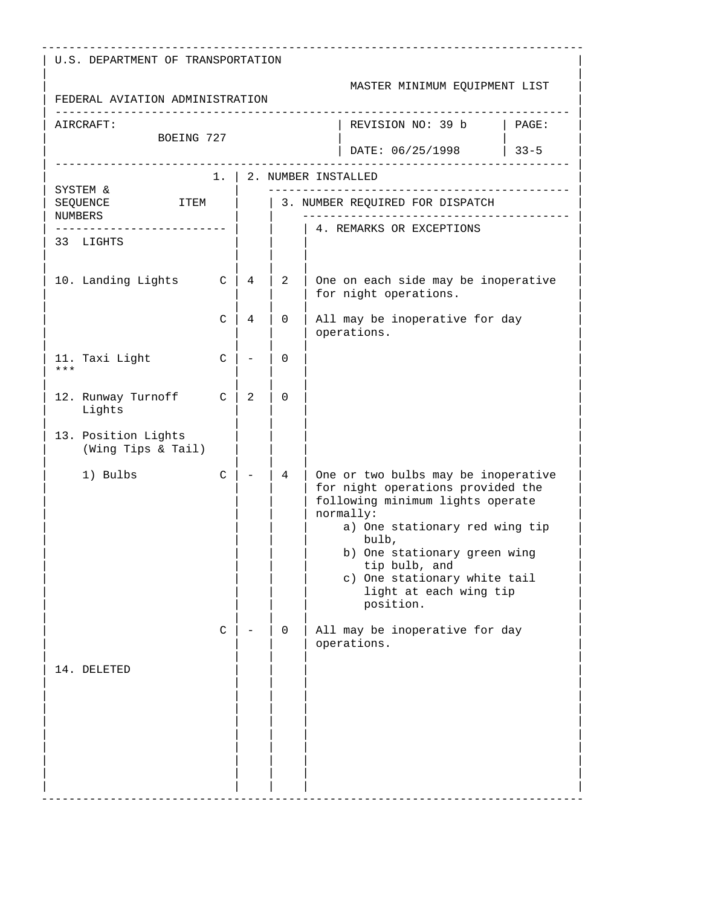| U.S. DEPARTMENT OF TRANSPORTATION         |                                                                  |                          |                            |                                                                                                                                                                                                                                                                                              |  |  |  |
|-------------------------------------------|------------------------------------------------------------------|--------------------------|----------------------------|----------------------------------------------------------------------------------------------------------------------------------------------------------------------------------------------------------------------------------------------------------------------------------------------|--|--|--|
|                                           | MASTER MINIMUM EQUIPMENT LIST<br>FEDERAL AVIATION ADMINISTRATION |                          |                            |                                                                                                                                                                                                                                                                                              |  |  |  |
| AIRCRAFT:<br>BOEING 727                   |                                                                  |                          |                            | REVISION NO: 39 b   PAGE:                                                                                                                                                                                                                                                                    |  |  |  |
|                                           |                                                                  |                          |                            | DATE: 06/25/1998   33-5                                                                                                                                                                                                                                                                      |  |  |  |
| SYSTEM &<br>SEQUENCE<br>ITEM              |                                                                  |                          |                            | 1. 2. NUMBER INSTALLED<br>3. NUMBER REQUIRED FOR DISPATCH                                                                                                                                                                                                                                    |  |  |  |
| <b>NUMBERS</b>                            |                                                                  |                          |                            | 4. REMARKS OR EXCEPTIONS                                                                                                                                                                                                                                                                     |  |  |  |
| 33 LIGHTS                                 |                                                                  |                          |                            |                                                                                                                                                                                                                                                                                              |  |  |  |
| 10. Landing Lights C                      |                                                                  | $\overline{4}$           | $\overline{\phantom{a}}^2$ | One on each side may be inoperative<br>for night operations.                                                                                                                                                                                                                                 |  |  |  |
|                                           | $\mathsf{C}$                                                     | $\overline{4}$           | 0                          | All may be inoperative for day<br>operations.                                                                                                                                                                                                                                                |  |  |  |
| 11. Taxi Light<br>$***$                   | $\mathsf{C}^-$                                                   | $\overline{\phantom{0}}$ | 0                          |                                                                                                                                                                                                                                                                                              |  |  |  |
| 12. Runway Turnoff C<br>Lights            |                                                                  | $\overline{2}$           | $\Omega$                   |                                                                                                                                                                                                                                                                                              |  |  |  |
| 13. Position Lights<br>(Wing Tips & Tail) |                                                                  |                          |                            |                                                                                                                                                                                                                                                                                              |  |  |  |
| 1) Bulbs                                  | $\mathsf{C}$                                                     |                          | $\overline{4}$             | One or two bulbs may be inoperative<br>for night operations provided the<br>following minimum lights operate<br>normally:<br>a) One stationary red wing tip<br>bulb,<br>b) One stationary green wing<br>tip bulb, and<br>c) One stationary white tail<br>light at each wing tip<br>position. |  |  |  |
|                                           | C                                                                |                          | 0                          | All may be inoperative for day<br>operations.                                                                                                                                                                                                                                                |  |  |  |
| 14. DELETED                               |                                                                  |                          |                            |                                                                                                                                                                                                                                                                                              |  |  |  |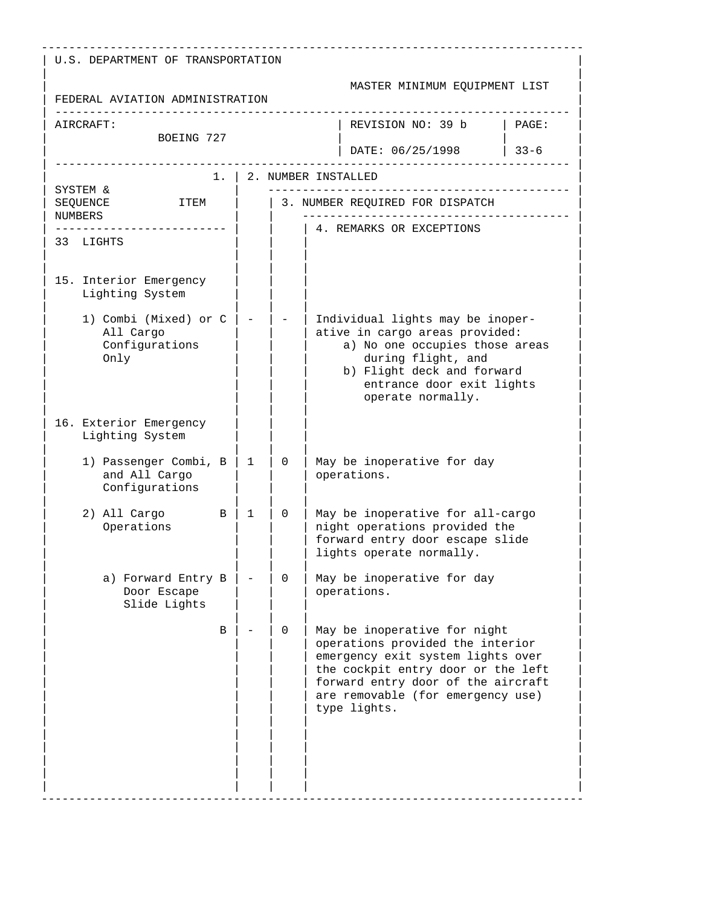| U.S. DEPARTMENT OF TRANSPORTATION                            |              |          |                                                                                                                                                                                                                                        |  |  |  |
|--------------------------------------------------------------|--------------|----------|----------------------------------------------------------------------------------------------------------------------------------------------------------------------------------------------------------------------------------------|--|--|--|
| FEDERAL AVIATION ADMINISTRATION                              |              |          | MASTER MINIMUM EQUIPMENT LIST                                                                                                                                                                                                          |  |  |  |
| AIRCRAFT:<br>BOEING 727                                      |              |          | REVISION NO: 39 b<br>PAGE:                                                                                                                                                                                                             |  |  |  |
|                                                              |              |          | DATE: 06/25/1998<br>$ 33-6 $                                                                                                                                                                                                           |  |  |  |
| SYSTEM &                                                     |              |          | 1. 2. NUMBER INSTALLED                                                                                                                                                                                                                 |  |  |  |
| SEQUENCE<br>ITEM<br>NUMBERS                                  |              |          | 3. NUMBER REQUIRED FOR DISPATCH                                                                                                                                                                                                        |  |  |  |
| 33 LIGHTS                                                    |              |          | 4. REMARKS OR EXCEPTIONS                                                                                                                                                                                                               |  |  |  |
| 15. Interior Emergency<br>Lighting System                    |              |          |                                                                                                                                                                                                                                        |  |  |  |
| 1) Combi (Mixed) or C<br>All Cargo<br>Configurations<br>Only |              |          | Individual lights may be inoper-<br>ative in cargo areas provided:<br>a) No one occupies those areas<br>during flight, and<br>b) Flight deck and forward<br>entrance door exit lights<br>operate normally.                             |  |  |  |
| 16. Exterior Emergency<br>Lighting System                    |              |          |                                                                                                                                                                                                                                        |  |  |  |
| 1) Passenger Combi, B<br>and All Cargo<br>Configurations     | $\mathbf{1}$ | $\Omega$ | May be inoperative for day<br>operations.                                                                                                                                                                                              |  |  |  |
| 2) All Cargo<br>$\mathbf{B}$<br>Operations                   | $\mathbf{1}$ | 0        | May be inoperative for all-cargo<br>night operations provided the<br>forward entry door escape slide<br>lights operate normally.                                                                                                       |  |  |  |
| a) Forward Entry B<br>Door Escape<br>Slide Lights            |              | 0        | May be inoperative for day<br>operations.                                                                                                                                                                                              |  |  |  |
| B                                                            |              | 0        | May be inoperative for night<br>operations provided the interior<br>emergency exit system lights over<br>the cockpit entry door or the left<br>forward entry door of the aircraft<br>are removable (for emergency use)<br>type lights. |  |  |  |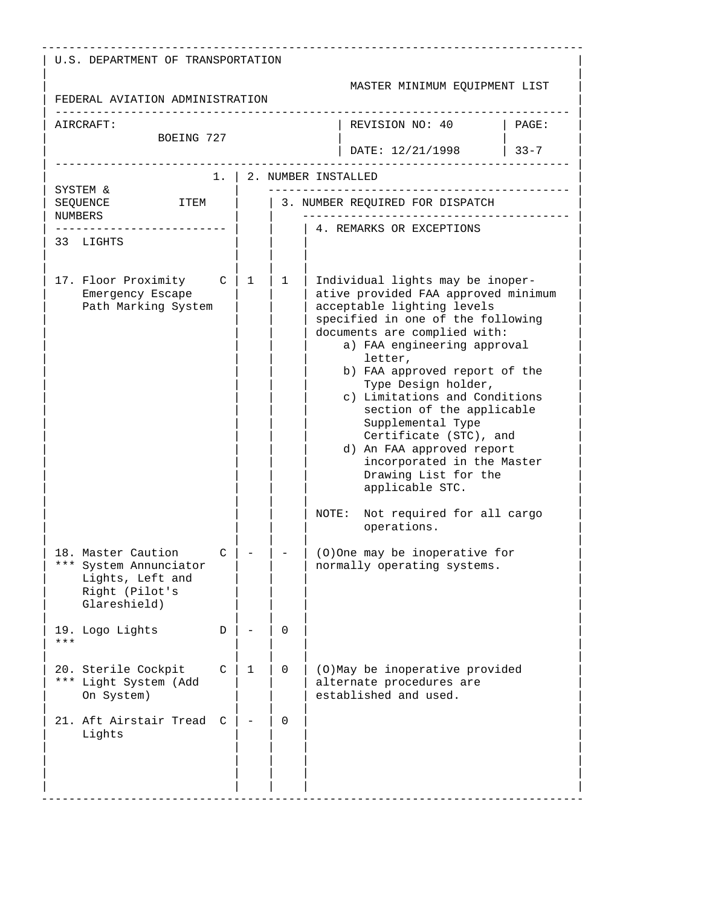| U.S. DEPARTMENT OF TRANSPORTATION                                                                       |                                                                  |                                                             |                                                                                                                                                                                                                                                                                                                                                                                                                                                                                                                                        |  |  |  |  |  |
|---------------------------------------------------------------------------------------------------------|------------------------------------------------------------------|-------------------------------------------------------------|----------------------------------------------------------------------------------------------------------------------------------------------------------------------------------------------------------------------------------------------------------------------------------------------------------------------------------------------------------------------------------------------------------------------------------------------------------------------------------------------------------------------------------------|--|--|--|--|--|
|                                                                                                         | MASTER MINIMUM EQUIPMENT LIST<br>FEDERAL AVIATION ADMINISTRATION |                                                             |                                                                                                                                                                                                                                                                                                                                                                                                                                                                                                                                        |  |  |  |  |  |
| AIRCRAFT:<br>BOEING 727                                                                                 |                                                                  |                                                             | REVISION NO: 40<br>$\mathtt{PAGE}$ :                                                                                                                                                                                                                                                                                                                                                                                                                                                                                                   |  |  |  |  |  |
|                                                                                                         |                                                                  |                                                             | DATE: 12/21/1998<br>$ 33 - 7 $                                                                                                                                                                                                                                                                                                                                                                                                                                                                                                         |  |  |  |  |  |
| SYSTEM &<br>SEQUENCE<br>ITEM                                                                            |                                                                  | 1.   2. NUMBER INSTALLED<br>3. NUMBER REQUIRED FOR DISPATCH |                                                                                                                                                                                                                                                                                                                                                                                                                                                                                                                                        |  |  |  |  |  |
| NUMBERS                                                                                                 |                                                                  |                                                             | 4. REMARKS OR EXCEPTIONS                                                                                                                                                                                                                                                                                                                                                                                                                                                                                                               |  |  |  |  |  |
| 33 LIGHTS                                                                                               |                                                                  |                                                             |                                                                                                                                                                                                                                                                                                                                                                                                                                                                                                                                        |  |  |  |  |  |
| 17. Floor Proximity C<br>Emergency Escape<br>Path Marking System                                        | $\mathbf{1}$                                                     | 1                                                           | Individual lights may be inoper-<br>ative provided FAA approved minimum<br>acceptable lighting levels<br>specified in one of the following<br>documents are complied with:<br>a) FAA engineering approval<br>letter,<br>b) FAA approved report of the<br>Type Design holder,<br>c) Limitations and Conditions<br>section of the applicable<br>Supplemental Type<br>Certificate (STC), and<br>d) An FAA approved report<br>incorporated in the Master<br>Drawing List for the<br>applicable STC.<br>Not required for all cargo<br>NOTE: |  |  |  |  |  |
| 18. Master Caution<br>C<br>*** System Annunciator<br>Lights, Left and<br>Right (Pilot's<br>Glareshield) |                                                                  |                                                             | operations.<br>(0) One may be inoperative for<br>normally operating systems.                                                                                                                                                                                                                                                                                                                                                                                                                                                           |  |  |  |  |  |
| 19. Logo Lights<br>D<br>$***$                                                                           |                                                                  | 0                                                           |                                                                                                                                                                                                                                                                                                                                                                                                                                                                                                                                        |  |  |  |  |  |
| 20. Sterile Cockpit<br>C<br>*** Light System (Add<br>On System)                                         | $\mathbf{1}$                                                     | 0                                                           | (0) May be inoperative provided<br>alternate procedures are<br>established and used.                                                                                                                                                                                                                                                                                                                                                                                                                                                   |  |  |  |  |  |
| 21. Aft Airstair Tread<br>C<br>Lights                                                                   |                                                                  | 0                                                           |                                                                                                                                                                                                                                                                                                                                                                                                                                                                                                                                        |  |  |  |  |  |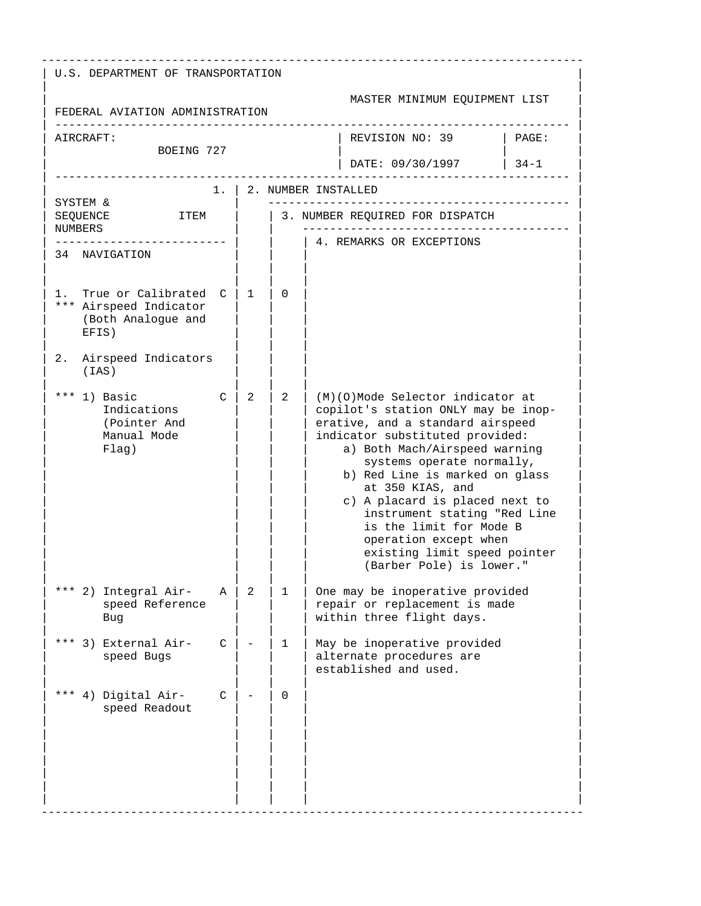| U.S. DEPARTMENT OF TRANSPORTATION                                                     |              |              |                                                                                                                                                                                                                                                                                                                                                                                                                                                      |  |  |  |  |
|---------------------------------------------------------------------------------------|--------------|--------------|------------------------------------------------------------------------------------------------------------------------------------------------------------------------------------------------------------------------------------------------------------------------------------------------------------------------------------------------------------------------------------------------------------------------------------------------------|--|--|--|--|
| MASTER MINIMUM EQUIPMENT LIST<br>FEDERAL AVIATION ADMINISTRATION                      |              |              |                                                                                                                                                                                                                                                                                                                                                                                                                                                      |  |  |  |  |
| AIRCRAFT:<br>BOEING 727                                                               |              |              | REVISION NO: 39<br>$\mathtt{PAGE}$ :<br>DATE: 09/30/1997                                                                                                                                                                                                                                                                                                                                                                                             |  |  |  |  |
|                                                                                       |              |              | $ 34-1 $<br>1. 2. NUMBER INSTALLED                                                                                                                                                                                                                                                                                                                                                                                                                   |  |  |  |  |
| SYSTEM &<br>SEQUENCE<br>ITEM                                                          |              |              | 3. NUMBER REQUIRED FOR DISPATCH                                                                                                                                                                                                                                                                                                                                                                                                                      |  |  |  |  |
| NUMBERS<br>34 NAVIGATION                                                              |              |              | 4. REMARKS OR EXCEPTIONS                                                                                                                                                                                                                                                                                                                                                                                                                             |  |  |  |  |
| True or Calibrated C<br>*** Airspeed Indicator<br>(Both Analogue and<br>EFIS)         | $\mathbf{1}$ | $\Omega$     |                                                                                                                                                                                                                                                                                                                                                                                                                                                      |  |  |  |  |
| Airspeed Indicators<br>2.<br>(IAS)                                                    |              |              |                                                                                                                                                                                                                                                                                                                                                                                                                                                      |  |  |  |  |
| $***$ 1) Basic<br>$\mathsf{C}$<br>Indications<br>(Pointer And<br>Manual Mode<br>Flag) | 2            | 2            | (M)(O)Mode Selector indicator at<br>copilot's station ONLY may be inop-<br>erative, and a standard airspeed<br>indicator substituted provided:<br>a) Both Mach/Airspeed warning<br>systems operate normally,<br>b) Red Line is marked on glass<br>at 350 KIAS, and<br>c) A placard is placed next to<br>instrument stating "Red Line<br>is the limit for Mode B<br>operation except when<br>existing limit speed pointer<br>(Barber Pole) is lower." |  |  |  |  |
| *** 2) Integral Air-<br>Α<br>speed Reference<br>Buq                                   | 2            | $\mathbf{1}$ | One may be inoperative provided<br>repair or replacement is made<br>within three flight days.                                                                                                                                                                                                                                                                                                                                                        |  |  |  |  |
| 3) External Air-<br>***<br>C<br>speed Bugs                                            |              | $\mathbf{1}$ | May be inoperative provided<br>alternate procedures are<br>established and used.                                                                                                                                                                                                                                                                                                                                                                     |  |  |  |  |
| 4) Digital Air-<br>***<br>C<br>speed Readout                                          |              | 0            |                                                                                                                                                                                                                                                                                                                                                                                                                                                      |  |  |  |  |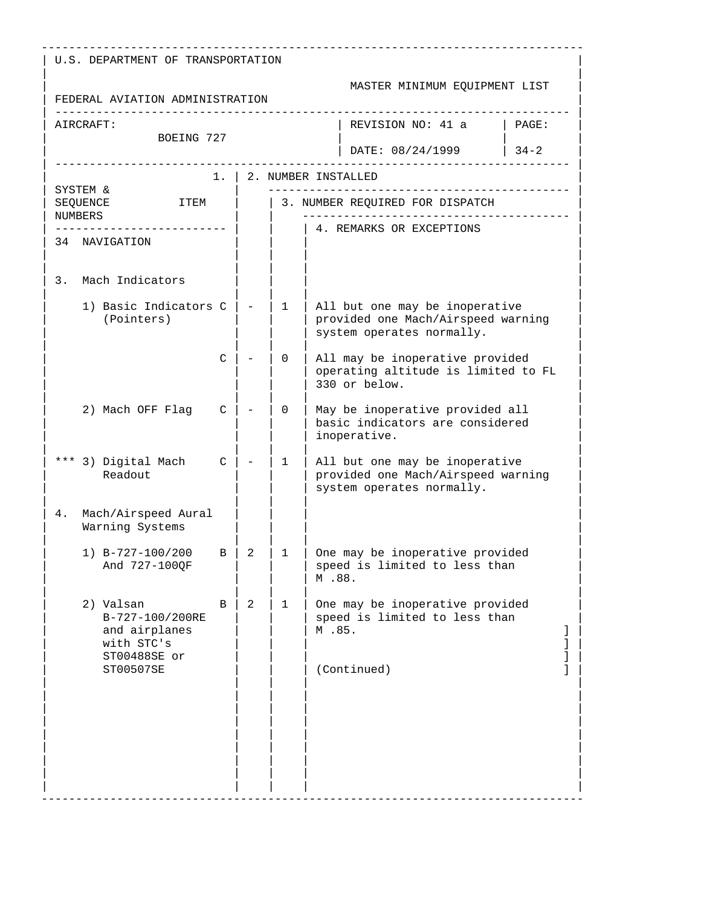|    | U.S. DEPARTMENT OF TRANSPORTATION                                                               |                      |                        |                                                                                                   |                   |  |  |  |  |
|----|-------------------------------------------------------------------------------------------------|----------------------|------------------------|---------------------------------------------------------------------------------------------------|-------------------|--|--|--|--|
|    | MASTER MINIMUM EQUIPMENT LIST<br>FEDERAL AVIATION ADMINISTRATION                                |                      |                        |                                                                                                   |                   |  |  |  |  |
|    | AIRCRAFT:<br>BOEING 727                                                                         |                      |                        | REVISION NO: 41 a                                                                                 | $\mathtt{PAGE}$ : |  |  |  |  |
|    |                                                                                                 |                      |                        | DATE: 08/24/1999                                                                                  | $ 34-2 $          |  |  |  |  |
|    | SYSTEM &                                                                                        |                      | 1. 2. NUMBER INSTALLED |                                                                                                   |                   |  |  |  |  |
|    | SEQUENCE<br>ITEM<br>NUMBERS                                                                     |                      |                        | 3. NUMBER REQUIRED FOR DISPATCH                                                                   |                   |  |  |  |  |
|    | 34 NAVIGATION                                                                                   |                      |                        | 4. REMARKS OR EXCEPTIONS                                                                          |                   |  |  |  |  |
| 3. | Mach Indicators                                                                                 |                      |                        |                                                                                                   |                   |  |  |  |  |
|    | 1) Basic Indicators C<br>(Pointers)                                                             |                      | $\mathbf{1}$           | All but one may be inoperative<br>provided one Mach/Airspeed warning<br>system operates normally. |                   |  |  |  |  |
|    |                                                                                                 | C                    | $\Omega$               | All may be inoperative provided<br>operating altitude is limited to FL<br>330 or below.           |                   |  |  |  |  |
|    | 2) Mach OFF Flag                                                                                | $\mathcal{C}$<br>$-$ | $\mathbf{0}$           | May be inoperative provided all<br>basic indicators are considered<br>inoperative.                |                   |  |  |  |  |
|    | *** 3) Digital Mach<br>Readout                                                                  | $\mathcal{C}$        | $\mathbf{1}$           | All but one may be inoperative<br>provided one Mach/Airspeed warning<br>system operates normally. |                   |  |  |  |  |
| 4. | Mach/Airspeed Aural<br>Warning Systems                                                          |                      |                        |                                                                                                   |                   |  |  |  |  |
|    | 1) B-727-100/200<br>And 727-100QF                                                               | B<br>2               | 1                      | One may be inoperative provided<br>speed is limited to less than<br>M .88.                        |                   |  |  |  |  |
|    | 2) Valsan<br>B-727-100/200RE<br>and airplanes<br>with STC's<br>ST00488SE or<br><b>ST00507SE</b> | 2<br>B               | $\mathbf{1}$           | One may be inoperative provided<br>speed is limited to less than<br>M .85.<br>(Continued)         | 1                 |  |  |  |  |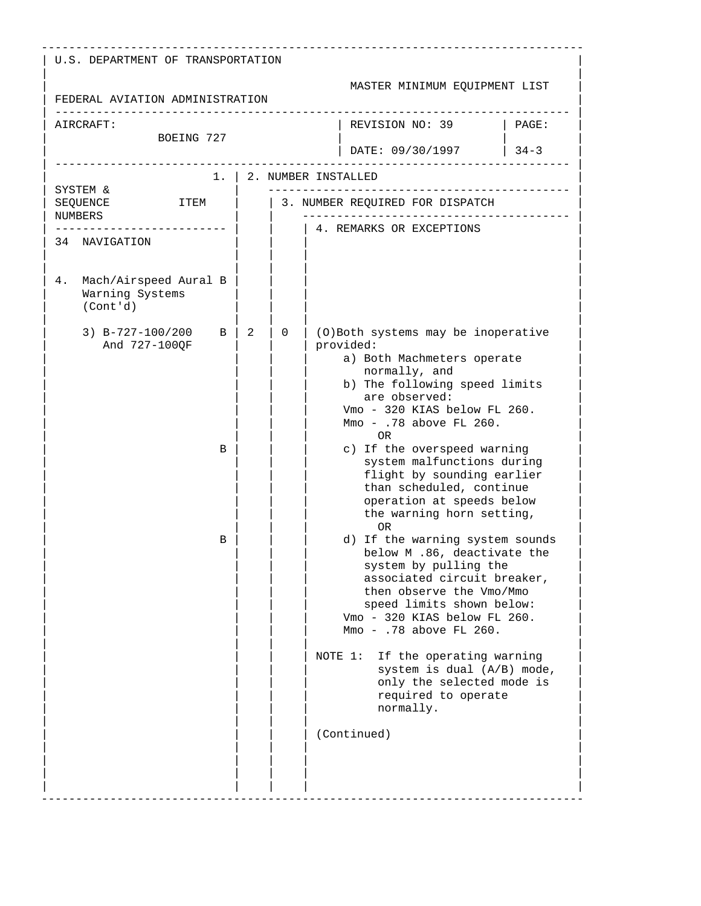| U.S. DEPARTMENT OF TRANSPORTATION                                |   |          |                                                                                                                                                                                                                                                                                                                                                                                                 |  |  |  |
|------------------------------------------------------------------|---|----------|-------------------------------------------------------------------------------------------------------------------------------------------------------------------------------------------------------------------------------------------------------------------------------------------------------------------------------------------------------------------------------------------------|--|--|--|
| MASTER MINIMUM EQUIPMENT LIST<br>FEDERAL AVIATION ADMINISTRATION |   |          |                                                                                                                                                                                                                                                                                                                                                                                                 |  |  |  |
| AIRCRAFT:<br>BOEING 727                                          |   |          | REVISION NO: 39<br>$\mathtt{PAGE}$ :                                                                                                                                                                                                                                                                                                                                                            |  |  |  |
|                                                                  |   |          | DATE: 09/30/1997<br>$ 34-3$                                                                                                                                                                                                                                                                                                                                                                     |  |  |  |
| SYSTEM &                                                         |   |          | 1.   2. NUMBER INSTALLED                                                                                                                                                                                                                                                                                                                                                                        |  |  |  |
| SEQUENCE<br>ITEM<br>NUMBERS                                      |   |          | 3. NUMBER REQUIRED FOR DISPATCH                                                                                                                                                                                                                                                                                                                                                                 |  |  |  |
| 34 NAVIGATION                                                    |   |          | 4. REMARKS OR EXCEPTIONS                                                                                                                                                                                                                                                                                                                                                                        |  |  |  |
| Mach/Airspeed Aural B<br>4.<br>Warning Systems<br>(Cont 'd)      |   |          |                                                                                                                                                                                                                                                                                                                                                                                                 |  |  |  |
| 3) B-727-100/200 B<br>And 727-100QF                              | 2 | $\Omega$ | (0) Both systems may be inoperative<br>provided:<br>a) Both Machmeters operate<br>normally, and<br>b) The following speed limits<br>are observed:<br>Vmo - 320 KIAS below FL 260.<br>Mmo - .78 above FL 260.<br>0 <sub>R</sub>                                                                                                                                                                  |  |  |  |
| B                                                                |   |          | c) If the overspeed warning<br>system malfunctions during<br>flight by sounding earlier<br>than scheduled, continue<br>operation at speeds below<br>the warning horn setting,<br>0 <sub>R</sub>                                                                                                                                                                                                 |  |  |  |
| B                                                                |   |          | d) If the warning system sounds<br>below M .86, deactivate the<br>system by pulling the<br>associated circuit breaker,<br>then observe the Vmo/Mmo<br>speed limits shown below:<br>Vmo - 320 KIAS below FL 260.<br>Mmo - .78 above FL 260.<br>If the operating warning<br>NOTE 1:<br>system is dual (A/B) mode,<br>only the selected mode is<br>required to operate<br>normally.<br>(Continued) |  |  |  |
|                                                                  |   |          |                                                                                                                                                                                                                                                                                                                                                                                                 |  |  |  |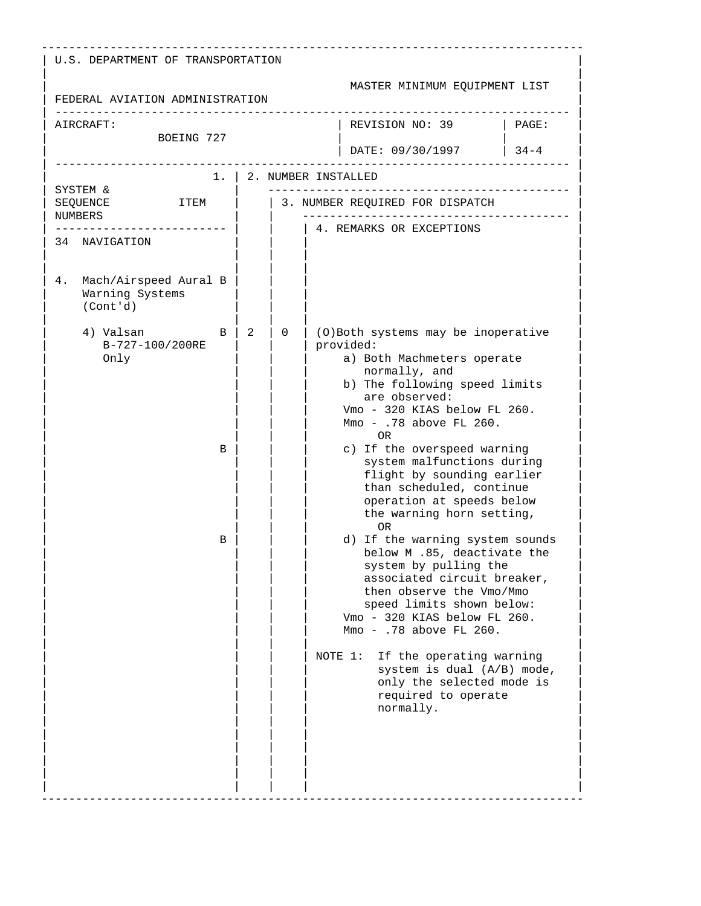| U.S. DEPARTMENT OF TRANSPORTATION                                |     |                          |                                                                                                                                                                                                                                                                                                                                                                                  |  |  |  |  |  |
|------------------------------------------------------------------|-----|--------------------------|----------------------------------------------------------------------------------------------------------------------------------------------------------------------------------------------------------------------------------------------------------------------------------------------------------------------------------------------------------------------------------|--|--|--|--|--|
| MASTER MINIMUM EQUIPMENT LIST<br>FEDERAL AVIATION ADMINISTRATION |     |                          |                                                                                                                                                                                                                                                                                                                                                                                  |  |  |  |  |  |
| AIRCRAFT:<br>BOEING 727                                          |     |                          | REVISION NO: 39<br>$\mathtt{PAGE}$ :                                                                                                                                                                                                                                                                                                                                             |  |  |  |  |  |
|                                                                  |     |                          | DATE: 09/30/1997<br>$ 34-4 $                                                                                                                                                                                                                                                                                                                                                     |  |  |  |  |  |
| SYSTEM &                                                         |     | 1.   2. NUMBER INSTALLED |                                                                                                                                                                                                                                                                                                                                                                                  |  |  |  |  |  |
| SEQUENCE<br>ITEM<br>NUMBERS                                      |     |                          | 3. NUMBER REQUIRED FOR DISPATCH                                                                                                                                                                                                                                                                                                                                                  |  |  |  |  |  |
| 34 NAVIGATION                                                    |     |                          | 4. REMARKS OR EXCEPTIONS                                                                                                                                                                                                                                                                                                                                                         |  |  |  |  |  |
| Mach/Airspeed Aural B<br>4.<br>Warning Systems<br>(Cont 'd)      |     |                          |                                                                                                                                                                                                                                                                                                                                                                                  |  |  |  |  |  |
| 4) Valsan<br>$\mathbf{B}$<br>B-727-100/200RE<br>Only             | - 2 | $\Omega$                 | (0) Both systems may be inoperative<br>provided:<br>a) Both Machmeters operate<br>normally, and<br>b) The following speed limits<br>are observed:<br>Vmo - 320 KIAS below FL 260.<br>Mmo - .78 above FL 260.<br>0 <sub>R</sub>                                                                                                                                                   |  |  |  |  |  |
| B                                                                |     |                          | c) If the overspeed warning<br>system malfunctions during<br>flight by sounding earlier<br>than scheduled, continue<br>operation at speeds below<br>the warning horn setting,<br>0 <sub>R</sub>                                                                                                                                                                                  |  |  |  |  |  |
| B                                                                |     |                          | d) If the warning system sounds<br>below M .85, deactivate the<br>system by pulling the<br>associated circuit breaker,<br>then observe the Vmo/Mmo<br>speed limits shown below:<br>Vmo - 320 KIAS below FL 260.<br>Mmo - .78 above FL 260.<br>If the operating warning<br>NOTE 1:<br>system is dual (A/B) mode,<br>only the selected mode is<br>required to operate<br>normally. |  |  |  |  |  |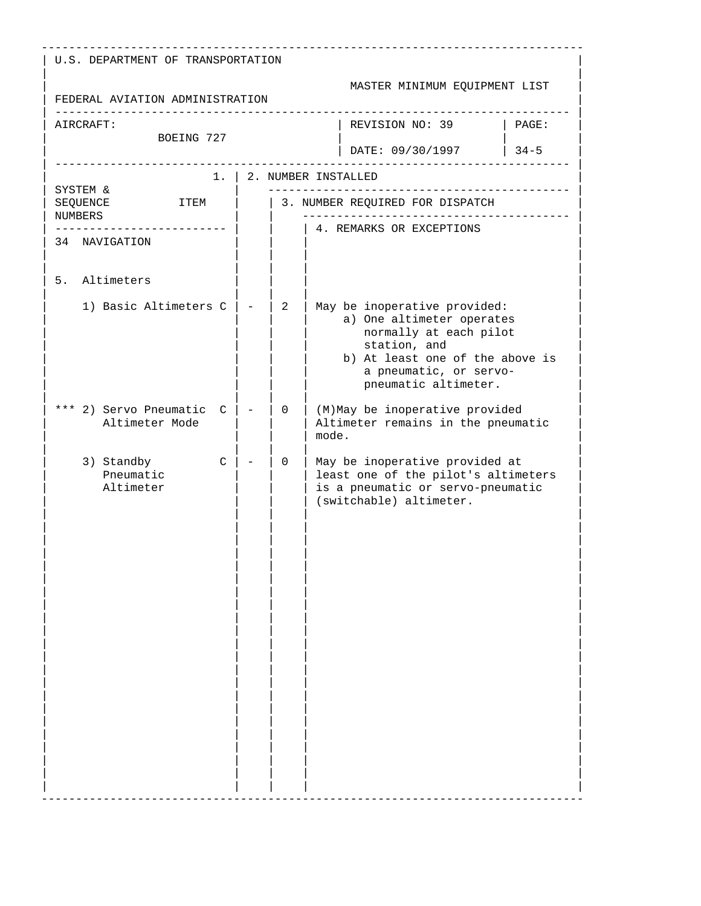| U.S. DEPARTMENT OF TRANSPORTATION                                |                          |             |                                                                                                                                                                                          |                   |  |  |  |
|------------------------------------------------------------------|--------------------------|-------------|------------------------------------------------------------------------------------------------------------------------------------------------------------------------------------------|-------------------|--|--|--|
| MASTER MINIMUM EQUIPMENT LIST<br>FEDERAL AVIATION ADMINISTRATION |                          |             |                                                                                                                                                                                          |                   |  |  |  |
| AIRCRAFT:<br>BOEING 727                                          |                          |             | REVISION NO: 39                                                                                                                                                                          | $\mathtt{PAGE}$ : |  |  |  |
|                                                                  |                          |             | DATE: 09/30/1997   34-5                                                                                                                                                                  |                   |  |  |  |
| SYSTEM &                                                         | 1.   2. NUMBER INSTALLED |             |                                                                                                                                                                                          |                   |  |  |  |
| SEQUENCE<br>ITEM<br><b>NUMBERS</b>                               |                          |             | 3. NUMBER REQUIRED FOR DISPATCH<br>4. REMARKS OR EXCEPTIONS                                                                                                                              |                   |  |  |  |
| 34 NAVIGATION                                                    |                          |             |                                                                                                                                                                                          |                   |  |  |  |
| 5. Altimeters                                                    |                          |             |                                                                                                                                                                                          |                   |  |  |  |
| 1) Basic Altimeters C                                            | $\sim$                   | 2           | May be inoperative provided:<br>a) One altimeter operates<br>normally at each pilot<br>station, and<br>b) At least one of the above is<br>a pneumatic, or servo-<br>pneumatic altimeter. |                   |  |  |  |
| 2) Servo Pneumatic C  <br>***<br>Altimeter Mode                  | $\sim$ $-$               | $\mathbf 0$ | (M) May be inoperative provided<br>Altimeter remains in the pneumatic<br>mode.                                                                                                           |                   |  |  |  |
| 3) Standby<br>$\mathcal{C}$<br>Pneumatic<br>Altimeter            | $\sim$                   | $\Omega$    | May be inoperative provided at<br>least one of the pilot's altimeters<br>is a pneumatic or servo-pneumatic<br>(switchable) altimeter.                                                    |                   |  |  |  |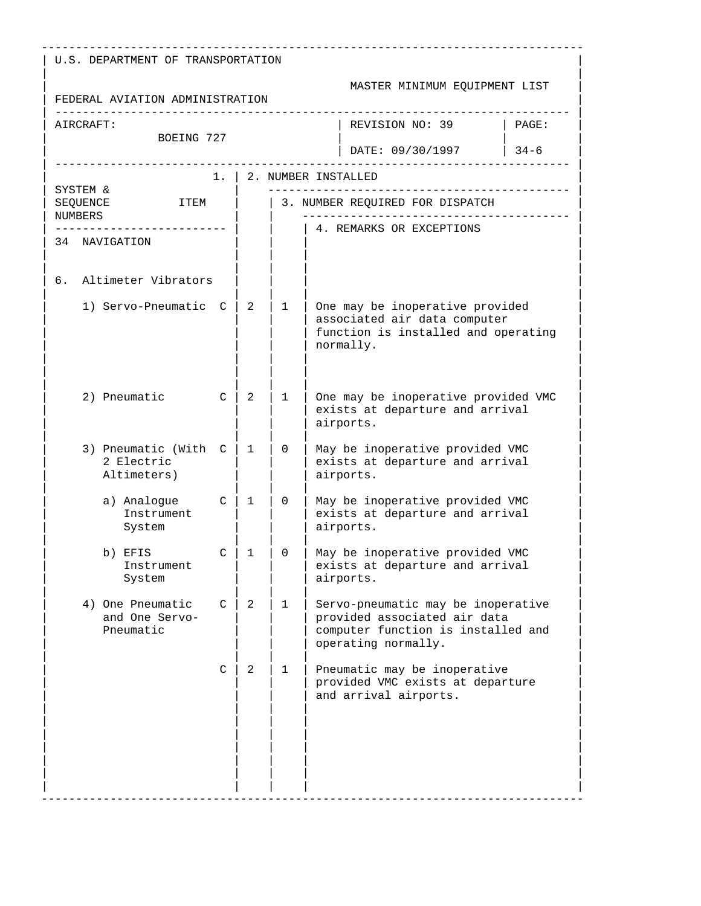|    | U.S. DEPARTMENT OF TRANSPORTATION                                |               |                |                        |                                                                                                                                 |  |  |  |  |
|----|------------------------------------------------------------------|---------------|----------------|------------------------|---------------------------------------------------------------------------------------------------------------------------------|--|--|--|--|
|    | MASTER MINIMUM EQUIPMENT LIST<br>FEDERAL AVIATION ADMINISTRATION |               |                |                        |                                                                                                                                 |  |  |  |  |
|    | AIRCRAFT:<br>BOEING 727                                          |               |                |                        | REVISION NO: 39<br>PAGE:                                                                                                        |  |  |  |  |
|    |                                                                  |               |                |                        | DATE: 09/30/1997<br>$ 34-6$                                                                                                     |  |  |  |  |
|    | SYSTEM &                                                         |               |                | 1. 2. NUMBER INSTALLED |                                                                                                                                 |  |  |  |  |
|    | SEQUENCE<br>ITEM<br>NUMBERS                                      |               |                |                        | 3. NUMBER REQUIRED FOR DISPATCH<br>4. REMARKS OR EXCEPTIONS                                                                     |  |  |  |  |
|    | 34 NAVIGATION                                                    |               |                |                        |                                                                                                                                 |  |  |  |  |
| б. | Altimeter Vibrators                                              |               |                |                        |                                                                                                                                 |  |  |  |  |
|    | 1) Servo-Pneumatic C                                             |               | 2              | $\mathbf{1}$           | One may be inoperative provided<br>associated air data computer<br>function is installed and operating<br>normally.             |  |  |  |  |
|    | 2) Pneumatic                                                     | $\mathcal{C}$ | 2              | $\mathbf{1}$           | One may be inoperative provided VMC<br>exists at departure and arrival<br>airports.                                             |  |  |  |  |
|    | 3) Pneumatic (With C<br>2 Electric<br>Altimeters)                |               | $\mathbf{1}$   | $\Omega$               | May be inoperative provided VMC<br>exists at departure and arrival<br>airports.                                                 |  |  |  |  |
|    | a) Analogue<br>Instrument<br>System                              | $\mathcal{C}$ | $\mathbf{1}$   | 0                      | May be inoperative provided VMC<br>exists at departure and arrival<br>airports.                                                 |  |  |  |  |
|    | b) EFIS<br>Instrument<br>System                                  | C             | 1              | 0                      | May be inoperative provided VMC<br>exists at departure and arrival<br>airports.                                                 |  |  |  |  |
|    | 4) One Pneumatic<br>and One Servo-<br>Pneumatic                  | C             | $\overline{a}$ | $\mathbf{1}$           | Servo-pneumatic may be inoperative<br>provided associated air data<br>computer function is installed and<br>operating normally. |  |  |  |  |
|    |                                                                  | C             | 2              | $\mathbf 1$            | Pneumatic may be inoperative<br>provided VMC exists at departure<br>and arrival airports.                                       |  |  |  |  |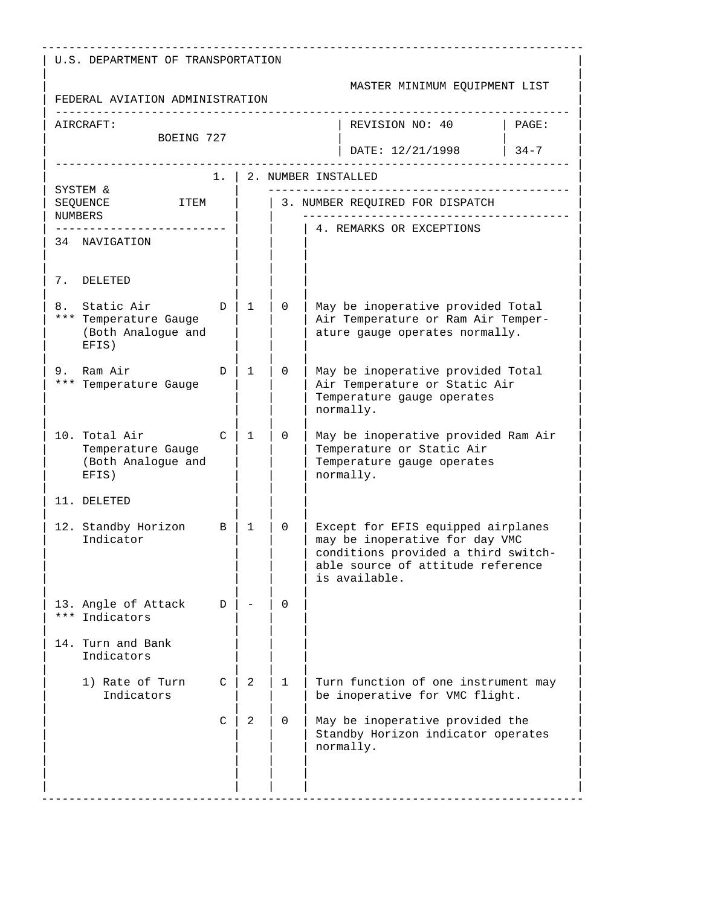| U.S. DEPARTMENT OF TRANSPORTATION                                                  |              |                        |                                                                                                                                                                   |  |  |  |  |  |
|------------------------------------------------------------------------------------|--------------|------------------------|-------------------------------------------------------------------------------------------------------------------------------------------------------------------|--|--|--|--|--|
| MASTER MINIMUM EQUIPMENT LIST<br>FEDERAL AVIATION ADMINISTRATION                   |              |                        |                                                                                                                                                                   |  |  |  |  |  |
| AIRCRAFT:<br>BOEING 727                                                            |              |                        | REVISION NO: 40<br>PAGE:                                                                                                                                          |  |  |  |  |  |
|                                                                                    |              |                        | DATE: 12/21/1998<br>$34 - 7$                                                                                                                                      |  |  |  |  |  |
| SYSTEM &                                                                           |              | 1. 2. NUMBER INSTALLED |                                                                                                                                                                   |  |  |  |  |  |
| SEQUENCE<br>ITEM<br>NUMBERS                                                        |              |                        | 3. NUMBER REQUIRED FOR DISPATCH                                                                                                                                   |  |  |  |  |  |
| 34 NAVIGATION                                                                      |              |                        | 4. REMARKS OR EXCEPTIONS                                                                                                                                          |  |  |  |  |  |
| DELETED<br>7.                                                                      |              |                        |                                                                                                                                                                   |  |  |  |  |  |
| Static Air<br>8.<br>D<br>*** Temperature Gauge<br>(Both Analoque and<br>EFIS)      | 1            | $\Omega$               | May be inoperative provided Total<br>Air Temperature or Ram Air Temper-<br>ature gauge operates normally.                                                         |  |  |  |  |  |
| Ram Air<br>9.<br>D<br>*** Temperature Gauge                                        | $\mathbf{1}$ | $\Omega$               | May be inoperative provided Total<br>Air Temperature or Static Air<br>Temperature gauge operates<br>normally.                                                     |  |  |  |  |  |
| 10. Total Air<br>$\mathcal{C}$<br>Temperature Gauge<br>(Both Analogue and<br>EFIS) | $\mathbf{1}$ | $\Omega$               | May be inoperative provided Ram Air<br>Temperature or Static Air<br>Temperature gauge operates<br>normally.                                                       |  |  |  |  |  |
| 11. DELETED                                                                        |              |                        |                                                                                                                                                                   |  |  |  |  |  |
| 12. Standby Horizon<br>$\mathbf{B}$<br>Indicator                                   | $\mathbf{1}$ | $\mathbf 0$            | Except for EFIS equipped airplanes<br>may be inoperative for day VMC<br>conditions provided a third switch-<br>able source of attitude reference<br>is available. |  |  |  |  |  |
| 13. Angle of Attack<br>D<br>***<br>Indicators                                      |              | 0                      |                                                                                                                                                                   |  |  |  |  |  |
| 14. Turn and Bank<br>Indicators                                                    |              |                        |                                                                                                                                                                   |  |  |  |  |  |
| 1) Rate of Turn<br>C<br>Indicators                                                 | 2            | $\mathbf{1}$           | Turn function of one instrument may<br>be inoperative for VMC flight.                                                                                             |  |  |  |  |  |
| C                                                                                  | 2            | 0                      | May be inoperative provided the<br>Standby Horizon indicator operates<br>normally.                                                                                |  |  |  |  |  |
|                                                                                    |              |                        |                                                                                                                                                                   |  |  |  |  |  |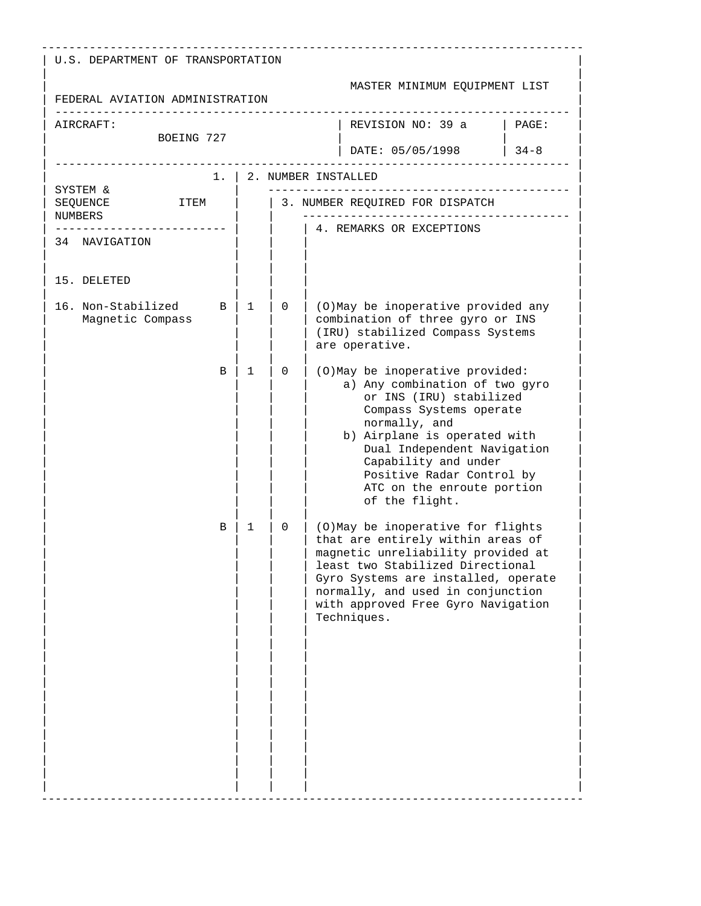| U.S. DEPARTMENT OF TRANSPORTATION                                |              |                          |                                                                                                                                                                                                                                                                                                               |  |  |  |  |  |  |
|------------------------------------------------------------------|--------------|--------------------------|---------------------------------------------------------------------------------------------------------------------------------------------------------------------------------------------------------------------------------------------------------------------------------------------------------------|--|--|--|--|--|--|
| MASTER MINIMUM EQUIPMENT LIST<br>FEDERAL AVIATION ADMINISTRATION |              |                          |                                                                                                                                                                                                                                                                                                               |  |  |  |  |  |  |
| AIRCRAFT:<br>BOEING 727                                          |              |                          | REVISION NO: 39 a<br>PAGE:                                                                                                                                                                                                                                                                                    |  |  |  |  |  |  |
|                                                                  |              |                          | DATE: 05/05/1998<br>$34 - 8$                                                                                                                                                                                                                                                                                  |  |  |  |  |  |  |
| SYSTEM &                                                         |              | 1.   2. NUMBER INSTALLED |                                                                                                                                                                                                                                                                                                               |  |  |  |  |  |  |
| SEQUENCE<br>ITEM<br>NUMBERS                                      |              |                          | 3. NUMBER REQUIRED FOR DISPATCH<br>4. REMARKS OR EXCEPTIONS                                                                                                                                                                                                                                                   |  |  |  |  |  |  |
| 34 NAVIGATION                                                    |              |                          |                                                                                                                                                                                                                                                                                                               |  |  |  |  |  |  |
| 15. DELETED                                                      |              |                          |                                                                                                                                                                                                                                                                                                               |  |  |  |  |  |  |
| 16. Non-Stabilized<br>$\mathbf{B}$<br>Magnetic Compass           | 1            | 0                        | (0) May be inoperative provided any<br>combination of three gyro or INS<br>(IRU) stabilized Compass Systems<br>are operative.                                                                                                                                                                                 |  |  |  |  |  |  |
| B                                                                | $\mathbf{1}$ | 0                        | (0) May be inoperative provided:<br>a) Any combination of two gyro<br>or INS (IRU) stabilized<br>Compass Systems operate<br>normally, and<br>b) Airplane is operated with<br>Dual Independent Navigation<br>Capability and under<br>Positive Radar Control by<br>ATC on the enroute portion<br>of the flight. |  |  |  |  |  |  |
| B                                                                | 1            | 0                        | (0) May be inoperative for flights<br>that are entirely within areas of<br>magnetic unreliability provided at<br>least two Stabilized Directional<br>Gyro Systems are installed, operate<br>normally, and used in conjunction<br>with approved Free Gyro Navigation<br>Techniques.                            |  |  |  |  |  |  |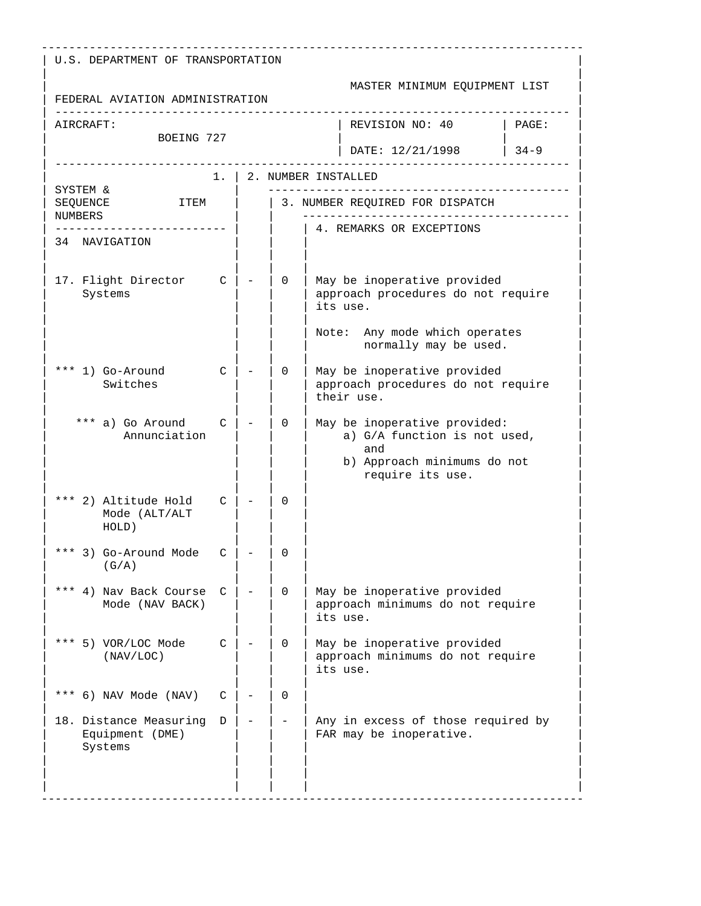| U.S. DEPARTMENT OF TRANSPORTATION<br>MASTER MINIMUM EQUIPMENT LIST |              |                          |                |                                                                                                                        |  |  |  |
|--------------------------------------------------------------------|--------------|--------------------------|----------------|------------------------------------------------------------------------------------------------------------------------|--|--|--|
| FEDERAL AVIATION ADMINISTRATION                                    |              |                          |                |                                                                                                                        |  |  |  |
| AIRCRAFT:<br>BOEING 727                                            |              |                          |                | REVISION NO: 40<br>$\mathtt{PAGE}$ :                                                                                   |  |  |  |
|                                                                    |              |                          |                | DATE: 12/21/1998<br>$ 34-9$                                                                                            |  |  |  |
|                                                                    |              |                          |                | 1. 2. NUMBER INSTALLED                                                                                                 |  |  |  |
| SYSTEM &<br>SEQUENCE<br>ITEM                                       |              |                          |                | 3. NUMBER REQUIRED FOR DISPATCH                                                                                        |  |  |  |
| NUMBERS                                                            |              |                          |                | 4. REMARKS OR EXCEPTIONS                                                                                               |  |  |  |
| 34 NAVIGATION                                                      |              |                          |                |                                                                                                                        |  |  |  |
| 17. Flight Director C<br>Systems                                   |              | $\sim$                   | $\overline{0}$ | May be inoperative provided<br>approach procedures do not require<br>its use.                                          |  |  |  |
|                                                                    |              |                          |                | Note: Any mode which operates<br>normally may be used.                                                                 |  |  |  |
| *** 1) Go-Around<br>Switches                                       | $\mathsf{C}$ |                          | $\Omega$       | May be inoperative provided<br>approach procedures do not require<br>their use.                                        |  |  |  |
| *** a) Go Around<br>Annunciation                                   | $\mathbb{C}$ | $\overline{\phantom{0}}$ | $\Omega$       | May be inoperative provided:<br>a) G/A function is not used,<br>and<br>b) Approach minimums do not<br>require its use. |  |  |  |
| *** 2) Altitude Hold C<br>Mode (ALT/ALT<br>HOLD)                   |              | $\sim$ $-$               | $\Omega$       |                                                                                                                        |  |  |  |
| 3) Go-Around Mode<br>(G/A)                                         | C            |                          | 0              |                                                                                                                        |  |  |  |
| 4) Nav Back Course<br>***<br>Mode (NAV BACK)                       | $\mathsf{C}$ |                          | $\mathbf 0$    | May be inoperative provided<br>approach minimums do not require<br>its use.                                            |  |  |  |
| 5) VOR/LOC Mode<br>***<br>(NAV/LOC)                                | C            |                          | $\mathbf 0$    | May be inoperative provided<br>approach minimums do not require<br>its use.                                            |  |  |  |
| 6) NAV Mode (NAV)<br>***                                           | C            |                          | $\Omega$       |                                                                                                                        |  |  |  |
| 18. Distance Measuring<br>Equipment (DME)<br>Systems               | D            |                          |                | Any in excess of those required by<br>FAR may be inoperative.                                                          |  |  |  |
|                                                                    |              |                          |                |                                                                                                                        |  |  |  |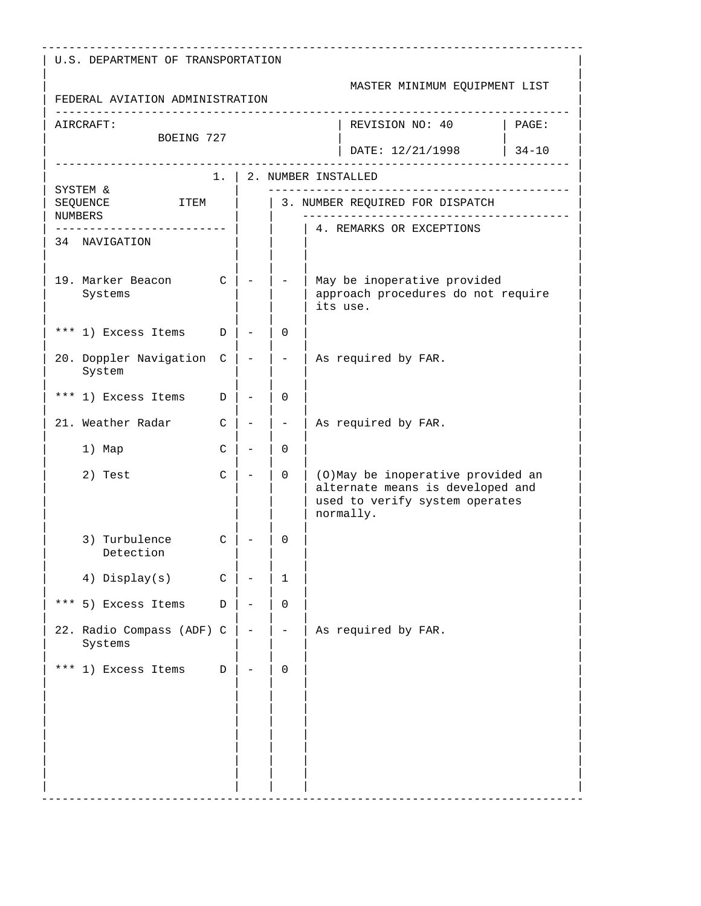| U.S. DEPARTMENT OF TRANSPORTATION                                |               |                                                                                       |                          |                                                                                                                       |  |  |  |  |
|------------------------------------------------------------------|---------------|---------------------------------------------------------------------------------------|--------------------------|-----------------------------------------------------------------------------------------------------------------------|--|--|--|--|
| MASTER MINIMUM EQUIPMENT LIST<br>FEDERAL AVIATION ADMINISTRATION |               |                                                                                       |                          |                                                                                                                       |  |  |  |  |
| AIRCRAFT:                                                        |               |                                                                                       |                          | REVISION NO: 40<br>PAGE:                                                                                              |  |  |  |  |
|                                                                  |               |                                                                                       |                          | DATE: 12/21/1998   34-10                                                                                              |  |  |  |  |
| SYSTEM &                                                         |               |                                                                                       | 1.   2. NUMBER INSTALLED |                                                                                                                       |  |  |  |  |
| SEQUENCE<br>ITEM<br><b>NUMBERS</b>                               |               |                                                                                       |                          | 3. NUMBER REQUIRED FOR DISPATCH                                                                                       |  |  |  |  |
| 34 NAVIGATION                                                    |               |                                                                                       |                          | 4. REMARKS OR EXCEPTIONS                                                                                              |  |  |  |  |
| 19. Marker Beacon<br>Systems                                     |               | $\sim$                                                                                |                          | May be inoperative provided<br>approach procedures do not require<br>its use.                                         |  |  |  |  |
| *** 1) Excess Items                                              |               | $\sim$                                                                                | $\Omega$                 |                                                                                                                       |  |  |  |  |
| System                                                           |               | $\overline{\phantom{0}}$                                                              | $\qquad \qquad -$        | As required by FAR.                                                                                                   |  |  |  |  |
| *** 1) Excess Items                                              |               |                                                                                       | 0                        |                                                                                                                       |  |  |  |  |
| 21. Weather Radar                                                | $\mathcal{C}$ | $\sim$                                                                                | $\qquad \qquad -$        | As required by FAR.                                                                                                   |  |  |  |  |
| 1) Map                                                           | $\mathsf{C}$  | $\overline{\phantom{a}}$                                                              | $\Omega$                 |                                                                                                                       |  |  |  |  |
| 2) Test                                                          | $\mathsf{C}$  | $\overline{\phantom{a}}$                                                              | $\mathbf 0$              | (O) May be inoperative provided an<br>alternate means is developed and<br>used to verify system operates<br>normally. |  |  |  |  |
| 3) Turbulence<br>Detection                                       | $\mathsf{C}$  | $\overline{\phantom{a}}$                                                              | 0                        |                                                                                                                       |  |  |  |  |
| $4)$ Display(s)                                                  | $\mathsf{C}$  |                                                                                       | 1                        |                                                                                                                       |  |  |  |  |
| 5) Excess Items                                                  | D             |                                                                                       | $\mathbf 0$              |                                                                                                                       |  |  |  |  |
| Systems                                                          |               | $\overline{\phantom{a}}$                                                              | $\overline{\phantom{a}}$ | As required by FAR.                                                                                                   |  |  |  |  |
| 1) Excess Items                                                  | D             |                                                                                       | 0                        |                                                                                                                       |  |  |  |  |
|                                                                  |               | BOEING 727<br>$\overline{C}$<br>20. Doppler Navigation C<br>22. Radio Compass (ADF) C | D<br>$D \mid -$          |                                                                                                                       |  |  |  |  |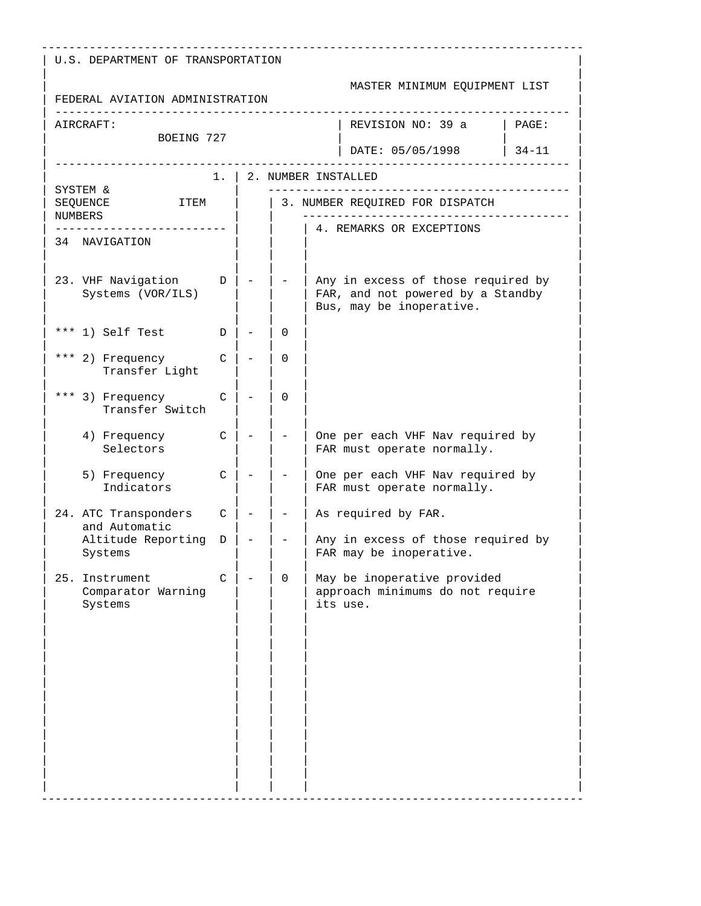| U.S. DEPARTMENT OF TRANSPORTATION                                |                                           |                        |                                                                                                     |  |  |  |  |
|------------------------------------------------------------------|-------------------------------------------|------------------------|-----------------------------------------------------------------------------------------------------|--|--|--|--|
| MASTER MINIMUM EQUIPMENT LIST<br>FEDERAL AVIATION ADMINISTRATION |                                           |                        |                                                                                                     |  |  |  |  |
| AIRCRAFT:<br>BOEING 727                                          |                                           |                        | REVISION NO: 39 a<br>$ $ PAGE:                                                                      |  |  |  |  |
|                                                                  |                                           |                        | DATE: 05/05/1998   34-11                                                                            |  |  |  |  |
| SYSTEM &                                                         |                                           | 1. 2. NUMBER INSTALLED |                                                                                                     |  |  |  |  |
| SEQUENCE<br>ITEM<br>NUMBERS                                      |                                           |                        | 3. NUMBER REQUIRED FOR DISPATCH                                                                     |  |  |  |  |
| 34 NAVIGATION                                                    |                                           |                        | 4. REMARKS OR EXCEPTIONS                                                                            |  |  |  |  |
| 23. VHF Navigation D  <br>Systems (VOR/ILS)                      | $\sim$                                    |                        | Any in excess of those required by<br>FAR, and not powered by a Standby<br>Bus, may be inoperative. |  |  |  |  |
| *** 1) Self Test                                                 | D<br>$\sim$                               | $\Omega$               |                                                                                                     |  |  |  |  |
| *** 2) Frequency<br>Transfer Light                               | C<br>$\overline{\phantom{0}}$             | 0                      |                                                                                                     |  |  |  |  |
| *** 3) Frequency<br>Transfer Switch                              | $\overline{C}$  <br>$\sim$                | $\Omega$               |                                                                                                     |  |  |  |  |
| 4) Frequency<br>Selectors                                        | $\mathcal{C}$<br>$\overline{\phantom{0}}$ | $\qquad \qquad -$      | One per each VHF Nav required by<br>FAR must operate normally.                                      |  |  |  |  |
| 5) Frequency<br>Indicators                                       | $\mathsf{C}$                              |                        | One per each VHF Nav required by<br>FAR must operate normally.                                      |  |  |  |  |
| 24. ATC Transponders C<br>and Automatic                          | $\sim$ $-$                                | $-$                    | As required by FAR.                                                                                 |  |  |  |  |
| Altitude Reporting D  <br>Systems                                | $\overline{\phantom{0}}$                  | $-$                    | Any in excess of those required by<br>FAR may be inoperative.                                       |  |  |  |  |
| 25. Instrument<br>Comparator Warning<br>Systems                  | C                                         | $\mathbf 0$            | May be inoperative provided<br>approach minimums do not require<br>its use.                         |  |  |  |  |
|                                                                  |                                           |                        |                                                                                                     |  |  |  |  |
|                                                                  |                                           |                        |                                                                                                     |  |  |  |  |
|                                                                  |                                           |                        |                                                                                                     |  |  |  |  |
|                                                                  |                                           |                        |                                                                                                     |  |  |  |  |
|                                                                  |                                           |                        |                                                                                                     |  |  |  |  |
|                                                                  |                                           |                        |                                                                                                     |  |  |  |  |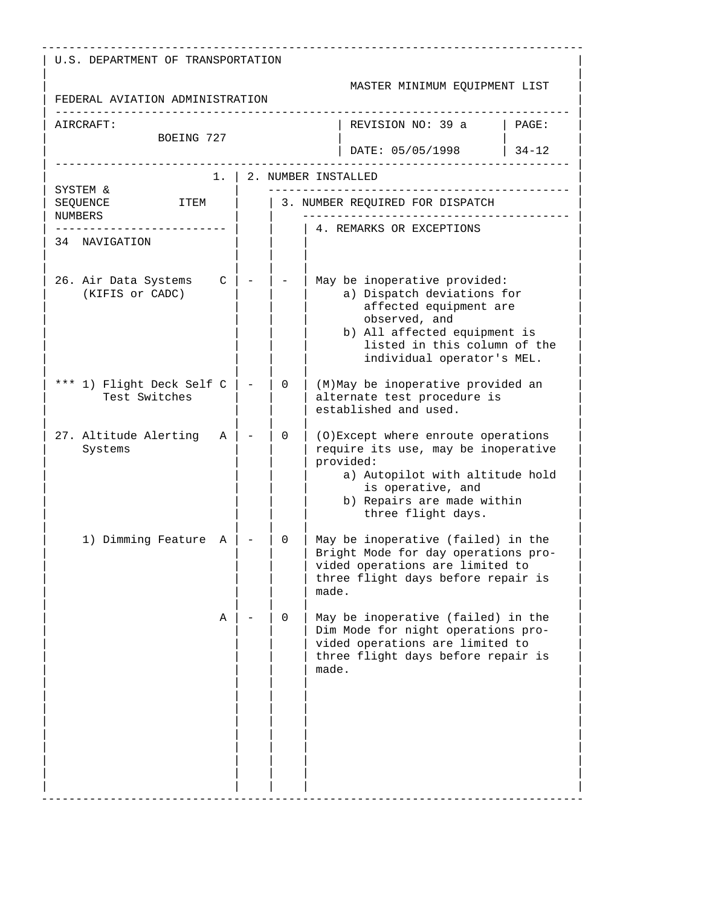| U.S. DEPARTMENT OF TRANSPORTATION                                |        |                        |                                                                                                                                                                                                     |  |  |  |  |  |
|------------------------------------------------------------------|--------|------------------------|-----------------------------------------------------------------------------------------------------------------------------------------------------------------------------------------------------|--|--|--|--|--|
| MASTER MINIMUM EQUIPMENT LIST<br>FEDERAL AVIATION ADMINISTRATION |        |                        |                                                                                                                                                                                                     |  |  |  |  |  |
| AIRCRAFT:<br>BOEING 727                                          |        |                        | REVISION NO: 39 a<br>$\mathtt{PAGE}$ :                                                                                                                                                              |  |  |  |  |  |
|                                                                  |        |                        | DATE: 05/05/1998<br>$ 34-12$                                                                                                                                                                        |  |  |  |  |  |
| SYSTEM &                                                         |        | 1. 2. NUMBER INSTALLED |                                                                                                                                                                                                     |  |  |  |  |  |
| SEQUENCE<br>ITEM<br>NUMBERS                                      |        |                        | 3. NUMBER REQUIRED FOR DISPATCH                                                                                                                                                                     |  |  |  |  |  |
| 34 NAVIGATION                                                    |        |                        | 4. REMARKS OR EXCEPTIONS                                                                                                                                                                            |  |  |  |  |  |
| 26. Air Data Systems<br>$\mathsf{C}$<br>(KIFIS or CADC)          | $-$    |                        | May be inoperative provided:<br>a) Dispatch deviations for<br>affected equipment are<br>observed, and<br>b) All affected equipment is<br>listed in this column of the<br>individual operator's MEL. |  |  |  |  |  |
| *** 1) Flight Deck Self C<br>Test Switches                       |        | $\Omega$               | (M) May be inoperative provided an<br>alternate test procedure is<br>established and used.                                                                                                          |  |  |  |  |  |
| 27. Altitude Alerting<br>A<br>Systems                            |        | $\Omega$               | (O) Except where enroute operations<br>require its use, may be inoperative<br>provided:<br>a) Autopilot with altitude hold<br>is operative, and<br>b) Repairs are made within<br>three flight days. |  |  |  |  |  |
| 1) Dimming Feature A                                             | $\sim$ | 0                      | May be inoperative (failed) in the<br>Bright Mode for day operations pro-<br>vided operations are limited to<br>three flight days before repair is<br>made.                                         |  |  |  |  |  |
| Α                                                                |        | 0                      | May be inoperative (failed) in the<br>Dim Mode for night operations pro-<br>vided operations are limited to<br>three flight days before repair is<br>made.                                          |  |  |  |  |  |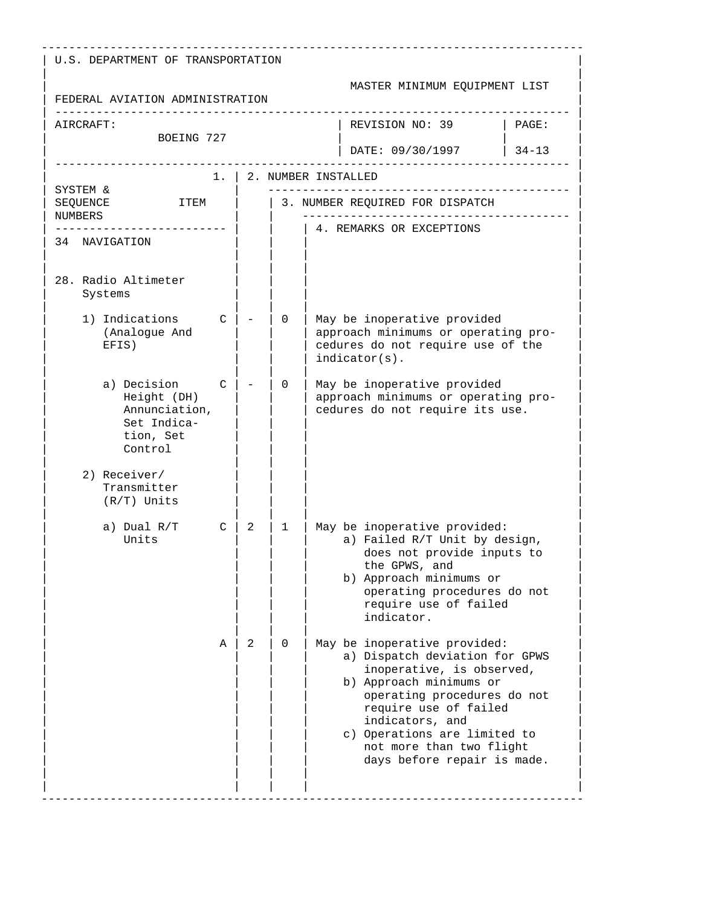| U.S. DEPARTMENT OF TRANSPORTATION<br>MASTER MINIMUM EQUIPMENT LIST                                  |                        |                                 |                                                                                                                                                                                                                                                                                              |  |  |  |
|-----------------------------------------------------------------------------------------------------|------------------------|---------------------------------|----------------------------------------------------------------------------------------------------------------------------------------------------------------------------------------------------------------------------------------------------------------------------------------------|--|--|--|
| FEDERAL AVIATION ADMINISTRATION<br>REVISION NO: 39<br>PAGE:<br>AIRCRAFT:                            |                        |                                 |                                                                                                                                                                                                                                                                                              |  |  |  |
| BOEING 727                                                                                          |                        |                                 | DATE: 09/30/1997<br>$ 34-13$                                                                                                                                                                                                                                                                 |  |  |  |
|                                                                                                     | 1. 2. NUMBER INSTALLED |                                 |                                                                                                                                                                                                                                                                                              |  |  |  |
| SYSTEM &<br>SEQUENCE<br>ITEM<br>NUMBERS                                                             |                        | 3. NUMBER REQUIRED FOR DISPATCH |                                                                                                                                                                                                                                                                                              |  |  |  |
| 34 NAVIGATION                                                                                       |                        |                                 | 4. REMARKS OR EXCEPTIONS                                                                                                                                                                                                                                                                     |  |  |  |
| 28. Radio Altimeter<br>Systems                                                                      |                        |                                 |                                                                                                                                                                                                                                                                                              |  |  |  |
| 1) Indications<br>$\mathcal{C}$<br>(Analogue And<br>EFIS)                                           |                        | $\Omega$                        | May be inoperative provided<br>approach minimums or operating pro-<br>cedures do not require use of the<br>$indication(s)$ .                                                                                                                                                                 |  |  |  |
| a) Decision<br>$\mathcal{C}$<br>Height (DH)<br>Annunciation,<br>Set Indica-<br>tion, Set<br>Control |                        | $\Omega$                        | May be inoperative provided<br>approach minimums or operating pro-<br>cedures do not require its use.                                                                                                                                                                                        |  |  |  |
| 2) Receiver/<br>Transmitter<br>$(R/T)$ Units                                                        |                        |                                 |                                                                                                                                                                                                                                                                                              |  |  |  |
| $a)$ Dual $R/T$<br>$\mathsf{C}$<br>Units                                                            | 2                      | $\mathbf{1}$                    | May be inoperative provided:<br>a) Failed R/T Unit by design,<br>does not provide inputs to<br>the GPWS, and<br>b) Approach minimums or<br>operating procedures do not<br>require use of failed<br>indicator.                                                                                |  |  |  |
| Α                                                                                                   | 2                      | 0                               | May be inoperative provided:<br>a) Dispatch deviation for GPWS<br>inoperative, is observed,<br>b) Approach minimums or<br>operating procedures do not<br>require use of failed<br>indicators, and<br>c) Operations are limited to<br>not more than two flight<br>days before repair is made. |  |  |  |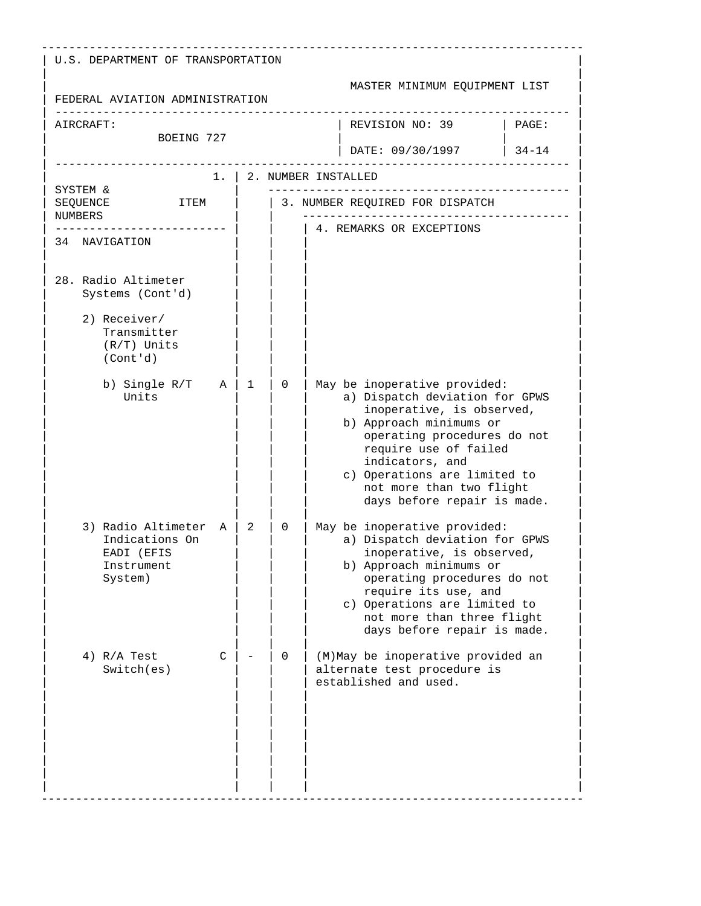| U.S. DEPARTMENT OF TRANSPORTATION                                                                   |                |   |                                                                                                                                                                                                                                                                                              |  |  |  |  |  |
|-----------------------------------------------------------------------------------------------------|----------------|---|----------------------------------------------------------------------------------------------------------------------------------------------------------------------------------------------------------------------------------------------------------------------------------------------|--|--|--|--|--|
| MASTER MINIMUM EQUIPMENT LIST<br>FEDERAL AVIATION ADMINISTRATION                                    |                |   |                                                                                                                                                                                                                                                                                              |  |  |  |  |  |
| AIRCRAFT:<br>BOEING 727                                                                             |                |   | REVISION NO: 39<br>PAGE:                                                                                                                                                                                                                                                                     |  |  |  |  |  |
|                                                                                                     |                |   | DATE: 09/30/1997<br>$ 34-14$                                                                                                                                                                                                                                                                 |  |  |  |  |  |
| SYSTEM &                                                                                            |                |   | 1.   2. NUMBER INSTALLED                                                                                                                                                                                                                                                                     |  |  |  |  |  |
| SEQUENCE<br>ITEM<br>NUMBERS                                                                         |                |   | 3. NUMBER REQUIRED FOR DISPATCH                                                                                                                                                                                                                                                              |  |  |  |  |  |
| 34 NAVIGATION                                                                                       |                |   | 4. REMARKS OR EXCEPTIONS                                                                                                                                                                                                                                                                     |  |  |  |  |  |
| 28. Radio Altimeter<br>Systems (Cont'd)<br>2) Receiver/<br>Transmitter<br>$(R/T)$ Units<br>(Cont d) |                |   |                                                                                                                                                                                                                                                                                              |  |  |  |  |  |
| b) Single R/T A<br>Units                                                                            | $\mathbf{1}$   | 0 | May be inoperative provided:<br>a) Dispatch deviation for GPWS<br>inoperative, is observed,<br>b) Approach minimums or<br>operating procedures do not<br>require use of failed<br>indicators, and<br>c) Operations are limited to<br>not more than two flight<br>days before repair is made. |  |  |  |  |  |
| 3) Radio Altimeter A<br>Indications On<br>EADI (EFIS<br>Instrument<br>System)                       | $\overline{2}$ | 0 | May be inoperative provided:<br>a) Dispatch deviation for GPWS<br>inoperative, is observed,<br>b) Approach minimums or<br>operating procedures do not<br>require its use, and<br>c) Operations are limited to<br>not more than three flight<br>days before repair is made.                   |  |  |  |  |  |
| $4)$ R/A Test<br>C<br>Switch(es)                                                                    |                | 0 | (M) May be inoperative provided an<br>alternate test procedure is<br>established and used.                                                                                                                                                                                                   |  |  |  |  |  |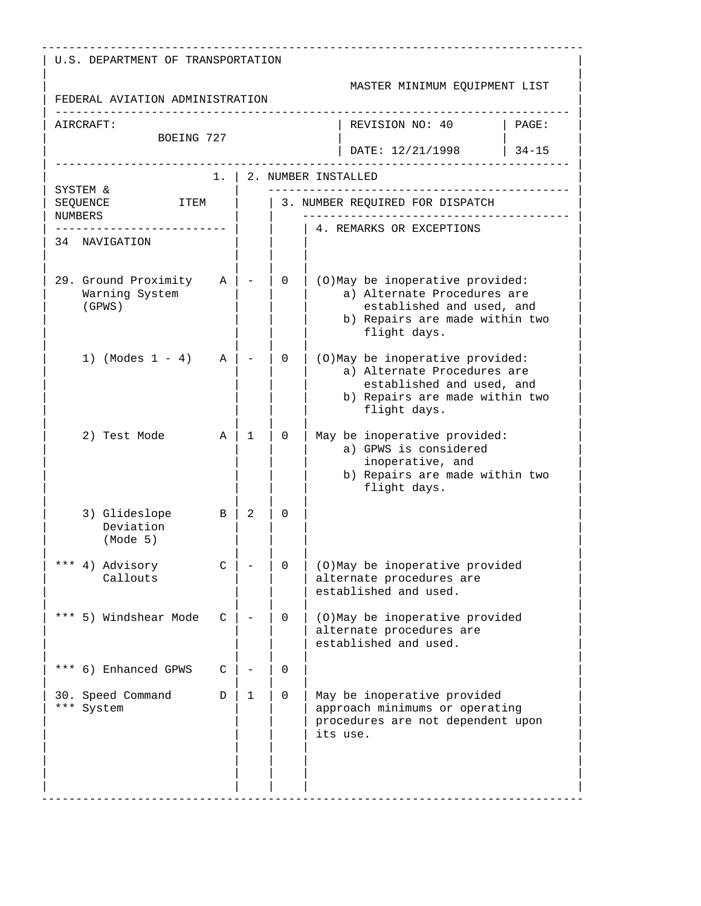| U.S. DEPARTMENT OF TRANSPORTATION                                |              |                        |                                                                                                                                                |  |  |  |  |  |
|------------------------------------------------------------------|--------------|------------------------|------------------------------------------------------------------------------------------------------------------------------------------------|--|--|--|--|--|
| MASTER MINIMUM EQUIPMENT LIST<br>FEDERAL AVIATION ADMINISTRATION |              |                        |                                                                                                                                                |  |  |  |  |  |
| AIRCRAFT:<br>BOEING 727                                          |              |                        | REVISION NO: 40<br>PAGE:                                                                                                                       |  |  |  |  |  |
|                                                                  |              |                        | DATE: 12/21/1998<br>$ 34-15$                                                                                                                   |  |  |  |  |  |
| <b>SYSTEM &amp;</b>                                              |              | 1. 2. NUMBER INSTALLED |                                                                                                                                                |  |  |  |  |  |
| SEQUENCE<br>ITEM<br>NUMBERS                                      |              |                        | 3. NUMBER REQUIRED FOR DISPATCH                                                                                                                |  |  |  |  |  |
| 34 NAVIGATION                                                    |              |                        | 4. REMARKS OR EXCEPTIONS                                                                                                                       |  |  |  |  |  |
| 29. Ground Proximity A   -<br>Warning System<br>(GPWS)           |              | $\overline{0}$         | (0) May be inoperative provided:<br>a) Alternate Procedures are<br>established and used, and<br>b) Repairs are made within two<br>flight days. |  |  |  |  |  |
| $1)$ (Modes $1 - 4$ ) A                                          |              | $\Omega$               | (0) May be inoperative provided:<br>a) Alternate Procedures are<br>established and used, and<br>b) Repairs are made within two<br>flight days. |  |  |  |  |  |
| 2) Test Mode<br>A                                                | 1            | $\Omega$               | May be inoperative provided:<br>a) GPWS is considered<br>inoperative, and<br>b) Repairs are made within two<br>flight days.                    |  |  |  |  |  |
| 3) Glideslope<br>$\mathbf{B}$<br>Deviation<br>(Mode 5)           | 2            | $\Omega$               |                                                                                                                                                |  |  |  |  |  |
| *** 4) Advisory<br>C<br>Callouts                                 |              | 0                      | (O) May be inoperative provided<br>alternate procedures are<br>established and used.                                                           |  |  |  |  |  |
| *** 5) Windshear Mode<br>C                                       |              | $\mathsf 0$            | (O) May be inoperative provided<br>alternate procedures are<br>established and used.                                                           |  |  |  |  |  |
| 6) Enhanced GPWS<br>***<br>C                                     |              | 0                      |                                                                                                                                                |  |  |  |  |  |
| 30. Speed Command<br>D<br>*** System                             | $\mathbf{1}$ | $\mathbf{0}$           | May be inoperative provided<br>approach minimums or operating<br>procedures are not dependent upon<br>its use.                                 |  |  |  |  |  |
|                                                                  |              |                        |                                                                                                                                                |  |  |  |  |  |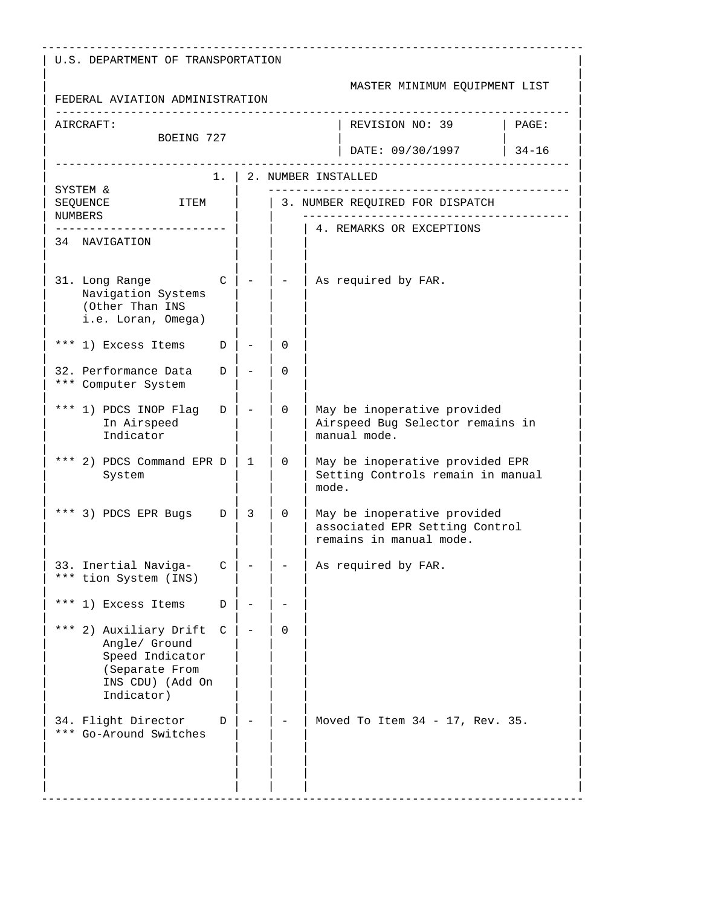| U.S. DEPARTMENT OF TRANSPORTATION                                                                                                   |                |             |                                                                                          |  |  |  |  |  |
|-------------------------------------------------------------------------------------------------------------------------------------|----------------|-------------|------------------------------------------------------------------------------------------|--|--|--|--|--|
| MASTER MINIMUM EQUIPMENT LIST<br>FEDERAL AVIATION ADMINISTRATION                                                                    |                |             |                                                                                          |  |  |  |  |  |
| AIRCRAFT:<br>BOEING 727                                                                                                             |                |             | REVISION NO: 39<br>PAGE:                                                                 |  |  |  |  |  |
|                                                                                                                                     |                |             | DATE: 09/30/1997   34-16                                                                 |  |  |  |  |  |
| SYSTEM &                                                                                                                            |                |             | 1. 2. NUMBER INSTALLED                                                                   |  |  |  |  |  |
| SEQUENCE<br>ITEM<br>NUMBERS                                                                                                         |                |             | 3. NUMBER REQUIRED FOR DISPATCH                                                          |  |  |  |  |  |
| 34 NAVIGATION                                                                                                                       |                |             | 4. REMARKS OR EXCEPTIONS                                                                 |  |  |  |  |  |
| 31. Long Range<br>$\mathbb{C}$<br>Navigation Systems<br>(Other Than INS<br>i.e. Loran, Omega)                                       | $\sim$ $-$     | $\sim$ $-$  | As required by FAR.                                                                      |  |  |  |  |  |
| 1) Excess Items $D \mid -$<br>***                                                                                                   |                | $\Omega$    |                                                                                          |  |  |  |  |  |
| 32. Performance Data<br>D<br>*** Computer System                                                                                    | $\sim$         | $\Omega$    |                                                                                          |  |  |  |  |  |
| *** 1) PDCS INOP Flag D  <br>In Airspeed<br>Indicator                                                                               | $\sim$ $-$     | $\Omega$    | May be inoperative provided<br>Airspeed Bug Selector remains in<br>manual mode.          |  |  |  |  |  |
| *** 2) PDCS Command EPR D<br>System                                                                                                 | $\mathbf{1}$   | $\Omega$    | May be inoperative provided EPR<br>Setting Controls remain in manual<br>mode.            |  |  |  |  |  |
| *** 3) PDCS EPR Bugs D                                                                                                              | $\overline{3}$ | $\mathbf 0$ | May be inoperative provided<br>associated EPR Setting Control<br>remains in manual mode. |  |  |  |  |  |
| 33. Inertial Naviga-<br>C<br>*** tion System (INS)                                                                                  |                |             | As required by FAR.                                                                      |  |  |  |  |  |
| $\star\star\star$<br>1) Excess Items<br>D                                                                                           |                |             |                                                                                          |  |  |  |  |  |
| 2) Auxiliary Drift<br>$***$<br>$\mathsf{C}$<br>Angle/ Ground<br>Speed Indicator<br>(Separate From<br>INS CDU) (Add On<br>Indicator) |                | 0           |                                                                                          |  |  |  |  |  |
| 34. Flight Director<br>D<br>*** Go-Around Switches                                                                                  |                |             | Moved To Item $34 - 17$ , Rev. 35.                                                       |  |  |  |  |  |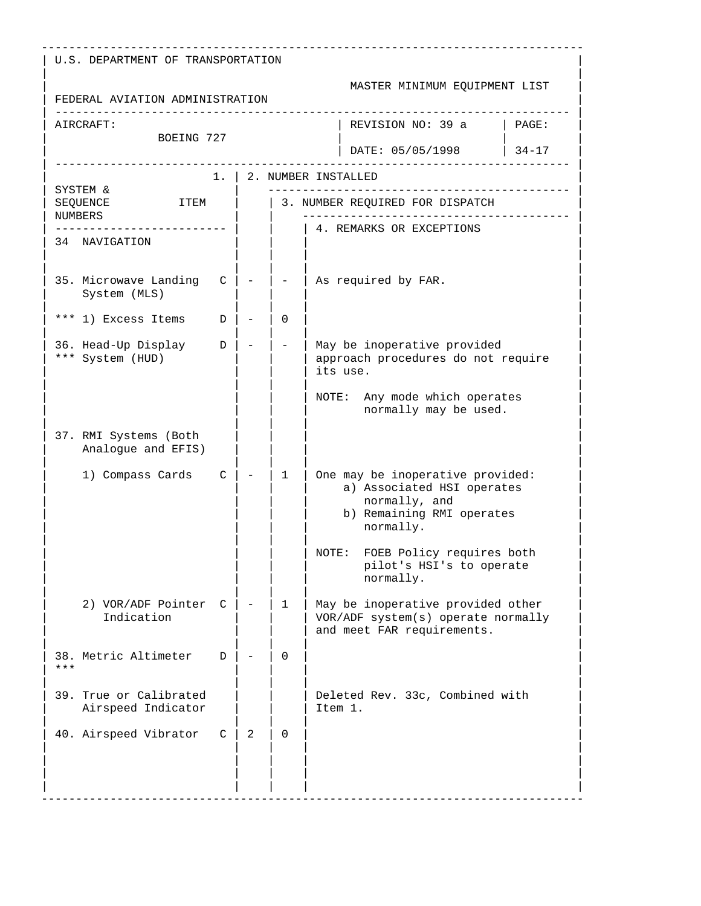| FEDERAL AVIATION ADMINISTRATION<br>REVISION NO: 39 a<br>$ $ PAGE:<br>AIRCRAFT:<br>BOEING 727<br>DATE: 05/05/1998<br>$ 34-17$<br>1. 2. NUMBER INSTALLED<br>SYSTEM &<br>SEQUENCE<br>ITEM<br>3. NUMBER REQUIRED FOR DISPATCH<br>NUMBERS<br>4. REMARKS OR EXCEPTIONS<br>34 NAVIGATION<br>35. Microwave Landing C<br>As required by FAR.<br>$\sim$ $-$<br>$\sim$ $-$<br>System (MLS)<br>***<br>1) Excess Items D<br>$\Omega$<br>$\sim$ $-$<br>36. Head-Up Display<br>May be inoperative provided<br>D<br>*** System (HUD)<br>approach procedures do not require<br>its use.<br>NOTE: Any mode which operates<br>normally may be used.<br>37. RMI Systems (Both<br>Analogue and EFIS)<br>1) Compass Cards C<br>$\mathbf{1}$<br>One may be inoperative provided:<br>$\hspace{0.1cm} -$<br>a) Associated HSI operates<br>normally, and<br>b) Remaining RMI operates<br>normally.<br>FOEB Policy requires both<br>NOTE:<br>pilot's HSI's to operate<br>normally.<br>2) VOR/ADF Pointer<br>$\mathbf{1}$<br>May be inoperative provided other<br>$\mathsf{C}$<br>Indication<br>VOR/ADF system(s) operate normally<br>and meet FAR requirements.<br>38. Metric Altimeter<br>0<br>D<br>$***$<br>39. True or Calibrated<br>Deleted Rev. 33c, Combined with<br>Airspeed Indicator<br>Item 1.<br>$\mathbf 0$<br>40. Airspeed Vibrator<br>2<br>$\mathsf{C}$ | U.S. DEPARTMENT OF TRANSPORTATION |  |  |  |  |  |  |  |  |
|--------------------------------------------------------------------------------------------------------------------------------------------------------------------------------------------------------------------------------------------------------------------------------------------------------------------------------------------------------------------------------------------------------------------------------------------------------------------------------------------------------------------------------------------------------------------------------------------------------------------------------------------------------------------------------------------------------------------------------------------------------------------------------------------------------------------------------------------------------------------------------------------------------------------------------------------------------------------------------------------------------------------------------------------------------------------------------------------------------------------------------------------------------------------------------------------------------------------------------------------------------------------------------------------------------------------------------------------|-----------------------------------|--|--|--|--|--|--|--|--|
|                                                                                                                                                                                                                                                                                                                                                                                                                                                                                                                                                                                                                                                                                                                                                                                                                                                                                                                                                                                                                                                                                                                                                                                                                                                                                                                                            | MASTER MINIMUM EQUIPMENT LIST     |  |  |  |  |  |  |  |  |
|                                                                                                                                                                                                                                                                                                                                                                                                                                                                                                                                                                                                                                                                                                                                                                                                                                                                                                                                                                                                                                                                                                                                                                                                                                                                                                                                            |                                   |  |  |  |  |  |  |  |  |
|                                                                                                                                                                                                                                                                                                                                                                                                                                                                                                                                                                                                                                                                                                                                                                                                                                                                                                                                                                                                                                                                                                                                                                                                                                                                                                                                            |                                   |  |  |  |  |  |  |  |  |
|                                                                                                                                                                                                                                                                                                                                                                                                                                                                                                                                                                                                                                                                                                                                                                                                                                                                                                                                                                                                                                                                                                                                                                                                                                                                                                                                            |                                   |  |  |  |  |  |  |  |  |
|                                                                                                                                                                                                                                                                                                                                                                                                                                                                                                                                                                                                                                                                                                                                                                                                                                                                                                                                                                                                                                                                                                                                                                                                                                                                                                                                            |                                   |  |  |  |  |  |  |  |  |
|                                                                                                                                                                                                                                                                                                                                                                                                                                                                                                                                                                                                                                                                                                                                                                                                                                                                                                                                                                                                                                                                                                                                                                                                                                                                                                                                            |                                   |  |  |  |  |  |  |  |  |
|                                                                                                                                                                                                                                                                                                                                                                                                                                                                                                                                                                                                                                                                                                                                                                                                                                                                                                                                                                                                                                                                                                                                                                                                                                                                                                                                            |                                   |  |  |  |  |  |  |  |  |
|                                                                                                                                                                                                                                                                                                                                                                                                                                                                                                                                                                                                                                                                                                                                                                                                                                                                                                                                                                                                                                                                                                                                                                                                                                                                                                                                            |                                   |  |  |  |  |  |  |  |  |
|                                                                                                                                                                                                                                                                                                                                                                                                                                                                                                                                                                                                                                                                                                                                                                                                                                                                                                                                                                                                                                                                                                                                                                                                                                                                                                                                            |                                   |  |  |  |  |  |  |  |  |
|                                                                                                                                                                                                                                                                                                                                                                                                                                                                                                                                                                                                                                                                                                                                                                                                                                                                                                                                                                                                                                                                                                                                                                                                                                                                                                                                            |                                   |  |  |  |  |  |  |  |  |
|                                                                                                                                                                                                                                                                                                                                                                                                                                                                                                                                                                                                                                                                                                                                                                                                                                                                                                                                                                                                                                                                                                                                                                                                                                                                                                                                            |                                   |  |  |  |  |  |  |  |  |
|                                                                                                                                                                                                                                                                                                                                                                                                                                                                                                                                                                                                                                                                                                                                                                                                                                                                                                                                                                                                                                                                                                                                                                                                                                                                                                                                            |                                   |  |  |  |  |  |  |  |  |
|                                                                                                                                                                                                                                                                                                                                                                                                                                                                                                                                                                                                                                                                                                                                                                                                                                                                                                                                                                                                                                                                                                                                                                                                                                                                                                                                            |                                   |  |  |  |  |  |  |  |  |
|                                                                                                                                                                                                                                                                                                                                                                                                                                                                                                                                                                                                                                                                                                                                                                                                                                                                                                                                                                                                                                                                                                                                                                                                                                                                                                                                            |                                   |  |  |  |  |  |  |  |  |
|                                                                                                                                                                                                                                                                                                                                                                                                                                                                                                                                                                                                                                                                                                                                                                                                                                                                                                                                                                                                                                                                                                                                                                                                                                                                                                                                            |                                   |  |  |  |  |  |  |  |  |
|                                                                                                                                                                                                                                                                                                                                                                                                                                                                                                                                                                                                                                                                                                                                                                                                                                                                                                                                                                                                                                                                                                                                                                                                                                                                                                                                            |                                   |  |  |  |  |  |  |  |  |
|                                                                                                                                                                                                                                                                                                                                                                                                                                                                                                                                                                                                                                                                                                                                                                                                                                                                                                                                                                                                                                                                                                                                                                                                                                                                                                                                            |                                   |  |  |  |  |  |  |  |  |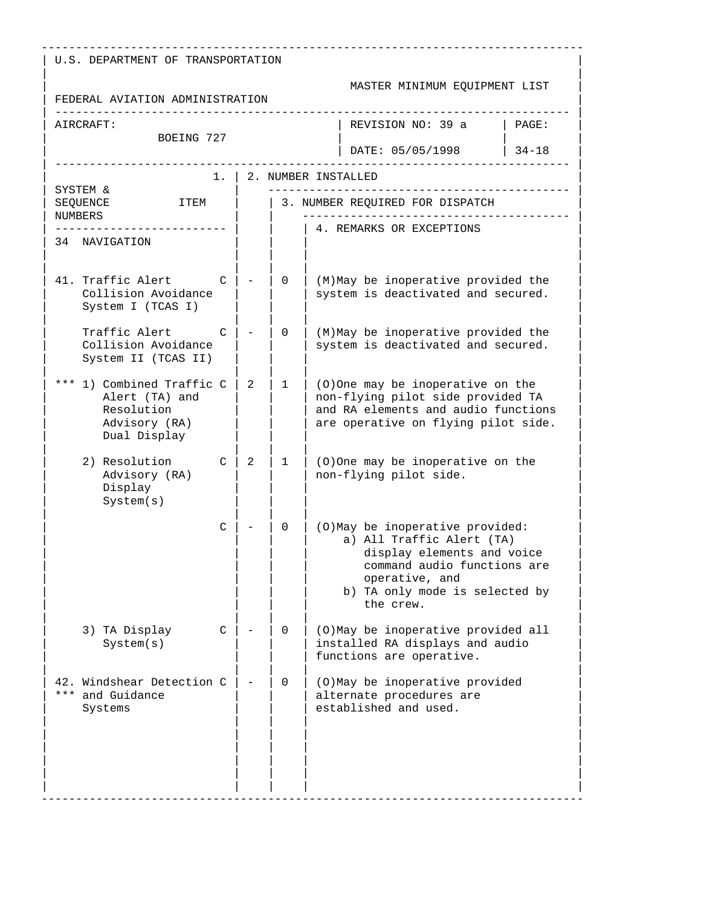| U.S. DEPARTMENT OF TRANSPORTATION                                                             |   |                     |                                                                                                                                                                                             |  |  |  |  |  |
|-----------------------------------------------------------------------------------------------|---|---------------------|---------------------------------------------------------------------------------------------------------------------------------------------------------------------------------------------|--|--|--|--|--|
| MASTER MINIMUM EQUIPMENT LIST<br>FEDERAL AVIATION ADMINISTRATION                              |   |                     |                                                                                                                                                                                             |  |  |  |  |  |
| AIRCRAFT:<br>BOEING 727                                                                       |   |                     | REVISION NO: 39 a<br>PAGE:                                                                                                                                                                  |  |  |  |  |  |
|                                                                                               |   |                     | DATE: 05/05/1998<br>$34 - 18$                                                                                                                                                               |  |  |  |  |  |
| $1.$ $\overline{\phantom{0}}$<br>SYSTEM &                                                     |   | 2. NUMBER INSTALLED |                                                                                                                                                                                             |  |  |  |  |  |
| SEQUENCE<br>ITEM<br>NUMBERS                                                                   |   |                     | 3. NUMBER REQUIRED FOR DISPATCH                                                                                                                                                             |  |  |  |  |  |
| 34 NAVIGATION                                                                                 |   |                     | 4. REMARKS OR EXCEPTIONS                                                                                                                                                                    |  |  |  |  |  |
| 41. Traffic Alert<br>$\mathcal{C}$<br>Collision Avoidance<br>System I (TCAS I)                |   | $\Omega$            | (M) May be inoperative provided the<br>system is deactivated and secured.                                                                                                                   |  |  |  |  |  |
| Traffic Alert<br>$\mathcal{C}$<br>Collision Avoidance<br>System II (TCAS II)                  |   | $\Omega$            | (M) May be inoperative provided the<br>system is deactivated and secured.                                                                                                                   |  |  |  |  |  |
| 1) Combined Traffic C<br>***<br>Alert (TA) and<br>Resolution<br>Advisory (RA)<br>Dual Display | 2 | $\mathbf{1}$        | $(0)$ One may be inoperative on the<br>non-flying pilot side provided TA<br>and RA elements and audio functions<br>are operative on flying pilot side.                                      |  |  |  |  |  |
| 2) Resolution<br>$\mathsf{C}$<br>Advisory (RA)<br>Display<br>System(s)                        | 2 | $\mathbf{1}$        | (0) One may be inoperative on the<br>non-flying pilot side.                                                                                                                                 |  |  |  |  |  |
| C                                                                                             |   | $\mathbf 0$         | (0) May be inoperative provided:<br>a) All Traffic Alert (TA)<br>display elements and voice<br>command audio functions are<br>operative, and<br>b) TA only mode is selected by<br>the crew. |  |  |  |  |  |
| 3) TA Display<br>C<br>System(s)                                                               |   | 0                   | (0) May be inoperative provided all<br>installed RA displays and audio<br>functions are operative.                                                                                          |  |  |  |  |  |
| 42. Windshear Detection C<br>*** and Guidance<br>Systems                                      |   | 0                   | (O) May be inoperative provided<br>alternate procedures are<br>established and used.                                                                                                        |  |  |  |  |  |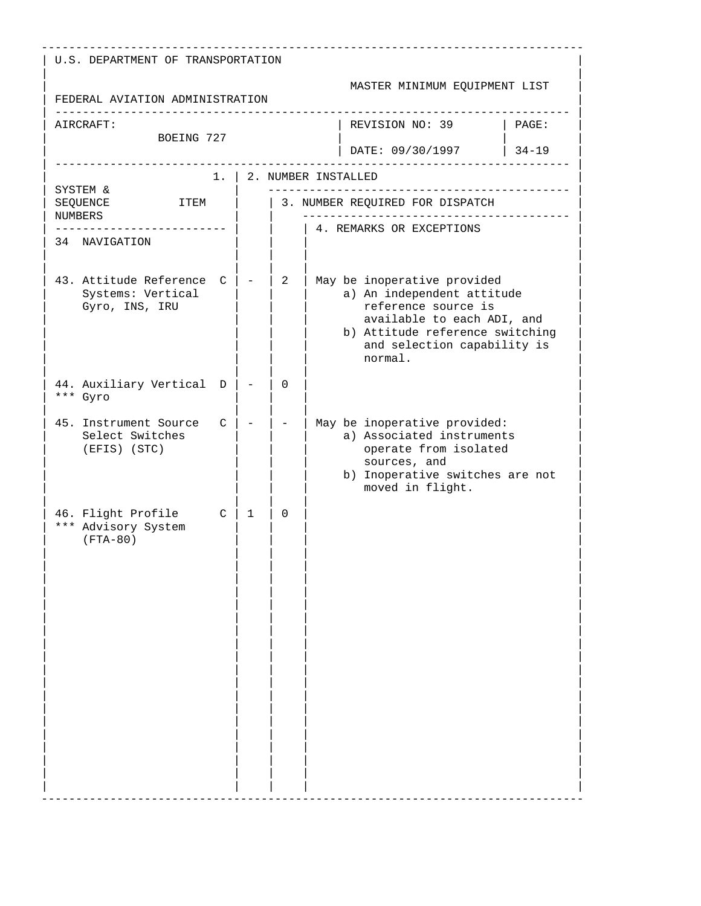| U.S. DEPARTMENT OF TRANSPORTATION                                        |                            |                |                                                                                                                                                                                             |  |  |  |  |  |  |
|--------------------------------------------------------------------------|----------------------------|----------------|---------------------------------------------------------------------------------------------------------------------------------------------------------------------------------------------|--|--|--|--|--|--|
| MASTER MINIMUM EQUIPMENT LIST<br>FEDERAL AVIATION ADMINISTRATION         |                            |                |                                                                                                                                                                                             |  |  |  |  |  |  |
| AIRCRAFT:<br>BOEING 727                                                  |                            |                | REVISION NO: 39<br>PAGE:                                                                                                                                                                    |  |  |  |  |  |  |
|                                                                          |                            |                | DATE: 09/30/1997<br>$ 34-19$                                                                                                                                                                |  |  |  |  |  |  |
| SYSTEM &                                                                 |                            |                | 1. 2. NUMBER INSTALLED                                                                                                                                                                      |  |  |  |  |  |  |
| SEQUENCE<br>ITEM<br><b>NUMBERS</b>                                       |                            |                | 3. NUMBER REQUIRED FOR DISPATCH                                                                                                                                                             |  |  |  |  |  |  |
| 34 NAVIGATION                                                            |                            |                | 4. REMARKS OR EXCEPTIONS                                                                                                                                                                    |  |  |  |  |  |  |
| 43. Attitude Reference C<br>Systems: Vertical<br>Gyro, INS, IRU          | $\alpha \rightarrow \beta$ | $\overline{2}$ | May be inoperative provided<br>a) An independent attitude<br>reference source is<br>available to each ADI, and<br>b) Attitude reference switching<br>and selection capability is<br>normal. |  |  |  |  |  |  |
| 44. Auxiliary Vertical D<br>*** Gyro                                     | $\overline{\phantom{0}}$   | $\Omega$       |                                                                                                                                                                                             |  |  |  |  |  |  |
| 45. Instrument Source<br>$\mathsf{C}$<br>Select Switches<br>(EFIS) (STC) | $-$                        | $-$            | May be inoperative provided:<br>a) Associated instruments<br>operate from isolated<br>sources, and<br>b) Inoperative switches are not<br>moved in flight.                                   |  |  |  |  |  |  |
| 46. Flight Profile<br>$\mathsf{C}$<br>*** Advisory System<br>$(FTA-80)$  | $\mathbf{1}$               | $\Omega$       |                                                                                                                                                                                             |  |  |  |  |  |  |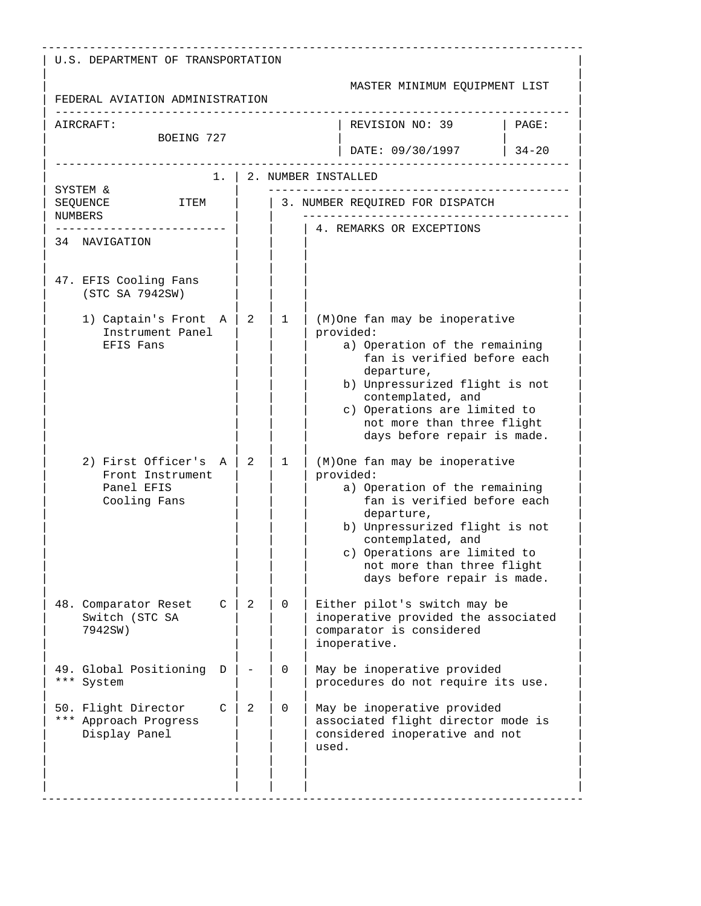| U.S. DEPARTMENT OF TRANSPORTATION<br>MASTER MINIMUM EQUIPMENT LIST     |              |                |                        |                                                                                                                                                                                                                                                                               |  |  |  |  |
|------------------------------------------------------------------------|--------------|----------------|------------------------|-------------------------------------------------------------------------------------------------------------------------------------------------------------------------------------------------------------------------------------------------------------------------------|--|--|--|--|
| FEDERAL AVIATION ADMINISTRATION                                        |              |                |                        |                                                                                                                                                                                                                                                                               |  |  |  |  |
| AIRCRAFT:                                                              | BOEING 727   |                |                        | REVISION NO: 39<br>$\mathtt{PAGE}$ :                                                                                                                                                                                                                                          |  |  |  |  |
|                                                                        |              |                |                        | DATE: 09/30/1997   34-20                                                                                                                                                                                                                                                      |  |  |  |  |
|                                                                        |              |                | 1. 2. NUMBER INSTALLED |                                                                                                                                                                                                                                                                               |  |  |  |  |
| SYSTEM &<br>SEQUENCE                                                   | ITEM         |                |                        | 3. NUMBER REQUIRED FOR DISPATCH                                                                                                                                                                                                                                               |  |  |  |  |
| NUMBERS                                                                |              |                |                        | 4. REMARKS OR EXCEPTIONS                                                                                                                                                                                                                                                      |  |  |  |  |
| 34 NAVIGATION                                                          |              |                |                        |                                                                                                                                                                                                                                                                               |  |  |  |  |
| 47. EFIS Cooling Fans<br>(STC SA 7942SW)                               |              |                |                        |                                                                                                                                                                                                                                                                               |  |  |  |  |
| 1) Captain's Front A<br>Instrument Panel<br>EFIS Fans                  |              | $\overline{2}$ | $\mathbf{1}$           | (M) One fan may be inoperative<br>provided:<br>a) Operation of the remaining<br>fan is verified before each<br>departure,<br>b) Unpressurized flight is not<br>contemplated, and<br>c) Operations are limited to<br>not more than three flight<br>days before repair is made. |  |  |  |  |
| 2) First Officer's A<br>Front Instrument<br>Panel EFIS<br>Cooling Fans |              | 2              | $\mathbf{1}$           | (M) One fan may be inoperative<br>provided:<br>a) Operation of the remaining<br>fan is verified before each<br>departure,<br>b) Unpressurized flight is not<br>contemplated, and<br>c) Operations are limited to<br>not more than three flight<br>days before repair is made. |  |  |  |  |
| 48. Comparator Reset<br>Switch (STC SA<br>7942SW)                      | $\mathsf{C}$ | 2              | $\mathbf 0$            | Either pilot's switch may be<br>inoperative provided the associated<br>comparator is considered<br>inoperative.                                                                                                                                                               |  |  |  |  |
| 49. Global Positioning<br>* * *<br>System                              | D            |                | 0                      | May be inoperative provided<br>procedures do not require its use.                                                                                                                                                                                                             |  |  |  |  |
| 50. Flight Director<br>*** Approach Progress<br>Display Panel          | C            | $\overline{a}$ | $\mathbf 0$            | May be inoperative provided<br>associated flight director mode is<br>considered inoperative and not<br>used.                                                                                                                                                                  |  |  |  |  |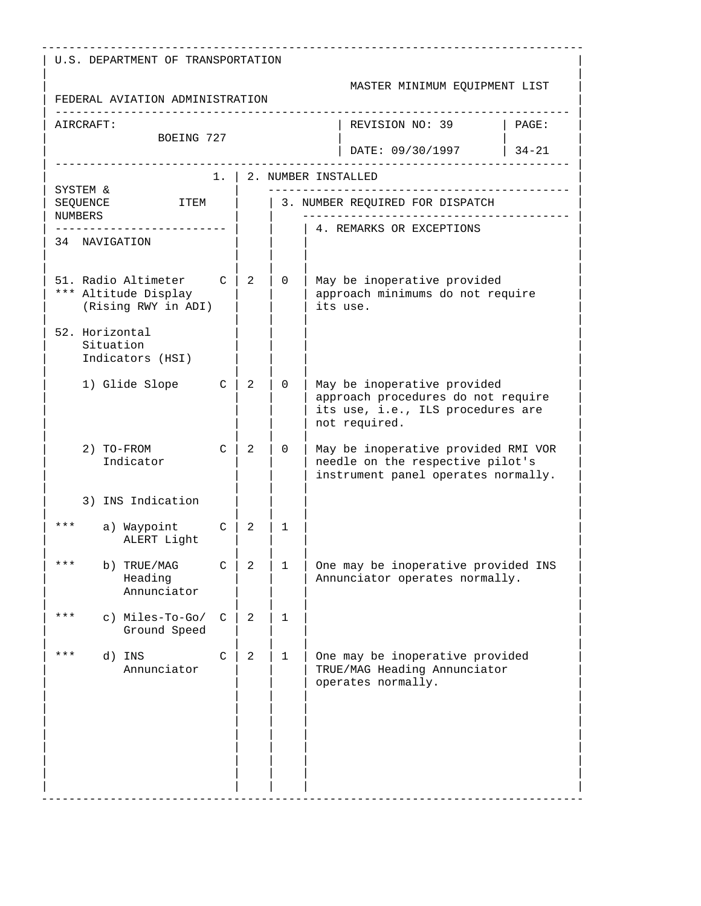| U.S. DEPARTMENT OF TRANSPORTATION<br>MASTER MINIMUM EQUIPMENT LIST                   |                |                                 |                                                                                                                         |  |  |  |  |  |  |
|--------------------------------------------------------------------------------------|----------------|---------------------------------|-------------------------------------------------------------------------------------------------------------------------|--|--|--|--|--|--|
| FEDERAL AVIATION ADMINISTRATION                                                      |                |                                 |                                                                                                                         |  |  |  |  |  |  |
| AIRCRAFT:<br>BOEING 727                                                              |                |                                 | REVISION NO: 39<br>PAGE:                                                                                                |  |  |  |  |  |  |
|                                                                                      |                |                                 | DATE: 09/30/1997<br>$ 34-21 $                                                                                           |  |  |  |  |  |  |
| SYSTEM &                                                                             |                | 1. 2. NUMBER INSTALLED          |                                                                                                                         |  |  |  |  |  |  |
| SEQUENCE<br>ITEM<br>NUMBERS                                                          |                | 3. NUMBER REQUIRED FOR DISPATCH |                                                                                                                         |  |  |  |  |  |  |
| 34 NAVIGATION                                                                        |                |                                 | 4. REMARKS OR EXCEPTIONS                                                                                                |  |  |  |  |  |  |
| 51. Radio Altimeter<br>$\overline{C}$<br>*** Altitude Display<br>(Rising RWY in ADI) | $\overline{2}$ | $\Omega$                        | May be inoperative provided<br>approach minimums do not require<br>its use.                                             |  |  |  |  |  |  |
| 52. Horizontal<br>Situation<br>Indicators (HSI)                                      |                |                                 |                                                                                                                         |  |  |  |  |  |  |
| 1) Glide Slope<br>$\mathsf{C}$                                                       | 2              | $\Omega$                        | May be inoperative provided<br>approach procedures do not require<br>its use, i.e., ILS procedures are<br>not required. |  |  |  |  |  |  |
| 2) TO-FROM<br>$\mathcal{C}$<br>Indicator                                             | 2              | $\Omega$                        | May be inoperative provided RMI VOR<br>needle on the respective pilot's<br>instrument panel operates normally.          |  |  |  |  |  |  |
| 3) INS Indication                                                                    |                |                                 |                                                                                                                         |  |  |  |  |  |  |
| ***<br>a) Waypoint<br>$\mathsf{C}$<br>ALERT Light                                    | $\overline{2}$ | $\mathbf{1}$                    |                                                                                                                         |  |  |  |  |  |  |
| ***<br>b) TRUE/MAG<br>C<br>Heading<br>Annunciator                                    | 2              | 1                               | One may be inoperative provided INS<br>Annunciator operates normally.                                                   |  |  |  |  |  |  |
| $***$<br>c) Miles-To-Go/<br>C<br>Ground Speed                                        | 2              | $\mathbf 1$                     |                                                                                                                         |  |  |  |  |  |  |
| $***$<br>d) INS<br>C<br>Annunciator                                                  | 2              | $\mathbf 1$                     | One may be inoperative provided<br>TRUE/MAG Heading Annunciator<br>operates normally.                                   |  |  |  |  |  |  |
|                                                                                      |                |                                 |                                                                                                                         |  |  |  |  |  |  |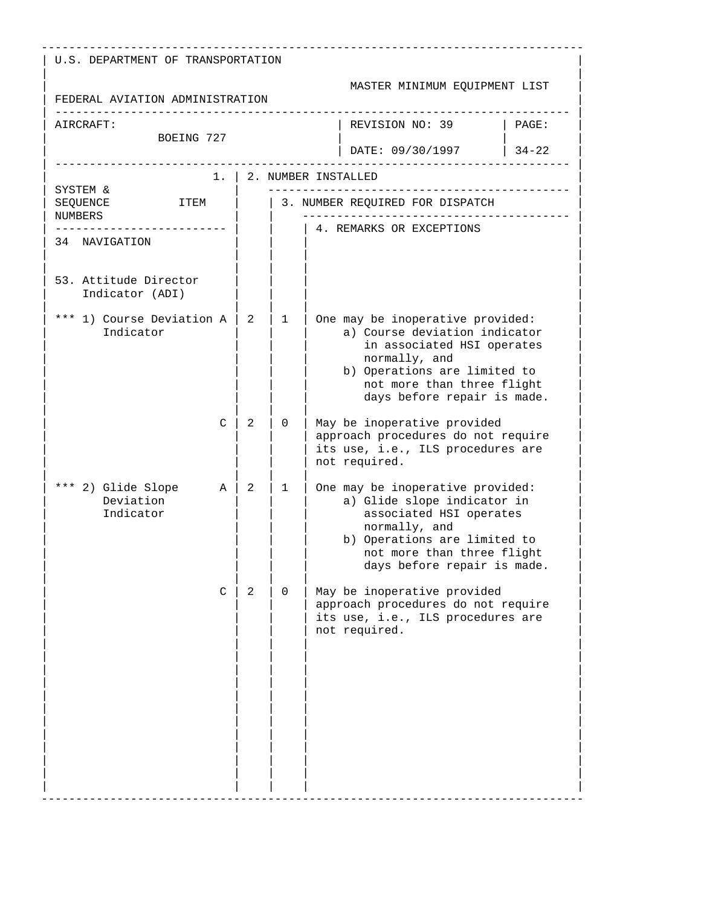| U.S. DEPARTMENT OF TRANSPORTATION                                |   |                        |                                                                                                                                                                                                               |  |  |  |  |  |
|------------------------------------------------------------------|---|------------------------|---------------------------------------------------------------------------------------------------------------------------------------------------------------------------------------------------------------|--|--|--|--|--|
| MASTER MINIMUM EQUIPMENT LIST<br>FEDERAL AVIATION ADMINISTRATION |   |                        |                                                                                                                                                                                                               |  |  |  |  |  |
| AIRCRAFT:<br>BOEING 727                                          |   |                        | REVISION NO: 39<br>$\mathtt{PAGE}$ :                                                                                                                                                                          |  |  |  |  |  |
|                                                                  |   |                        | DATE: 09/30/1997<br>$ 34-22 $                                                                                                                                                                                 |  |  |  |  |  |
| SYSTEM &                                                         |   | 1. 2. NUMBER INSTALLED |                                                                                                                                                                                                               |  |  |  |  |  |
| SEQUENCE<br>ITEM<br>NUMBERS                                      |   |                        | 3. NUMBER REQUIRED FOR DISPATCH                                                                                                                                                                               |  |  |  |  |  |
| 34 NAVIGATION                                                    |   |                        | 4. REMARKS OR EXCEPTIONS                                                                                                                                                                                      |  |  |  |  |  |
| 53. Attitude Director<br>Indicator (ADI)                         |   |                        |                                                                                                                                                                                                               |  |  |  |  |  |
| 1) Course Deviation A<br>***<br>Indicator                        | 2 | 1                      | One may be inoperative provided:<br>a) Course deviation indicator<br>in associated HSI operates<br>normally, and<br>b) Operations are limited to<br>not more than three flight<br>days before repair is made. |  |  |  |  |  |
| $\mathcal{C}$                                                    | 2 | $\Omega$               | May be inoperative provided<br>approach procedures do not require<br>its use, i.e., ILS procedures are<br>not required.                                                                                       |  |  |  |  |  |
| *** 2) Glide Slope<br>A<br>Deviation<br>Indicator                | 2 | $\mathbf 1$            | One may be inoperative provided:<br>a) Glide slope indicator in<br>associated HSI operates<br>normally, and<br>b) Operations are limited to<br>not more than three flight<br>days before repair is made.      |  |  |  |  |  |
| C                                                                | 2 | $\mathbf 0$            | May be inoperative provided<br>approach procedures do not require<br>its use, i.e., ILS procedures are<br>not required.                                                                                       |  |  |  |  |  |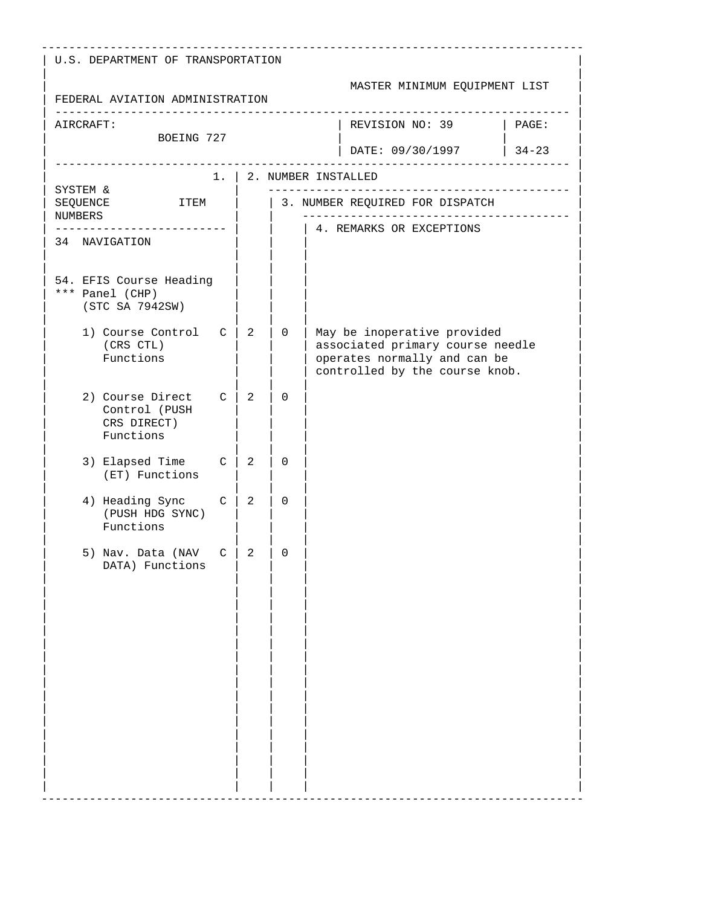| U.S. DEPARTMENT OF TRANSPORTATION                                   |                |              |                                                                                                                                   |  |  |  |  |  |  |
|---------------------------------------------------------------------|----------------|--------------|-----------------------------------------------------------------------------------------------------------------------------------|--|--|--|--|--|--|
| MASTER MINIMUM EQUIPMENT LIST<br>FEDERAL AVIATION ADMINISTRATION    |                |              |                                                                                                                                   |  |  |  |  |  |  |
| AIRCRAFT:<br>BOEING 727                                             |                |              | REVISION NO: 39<br>$ $ PAGE:                                                                                                      |  |  |  |  |  |  |
|                                                                     |                |              | $\vert$ DATE: 09/30/1997 $\vert$ 34-23                                                                                            |  |  |  |  |  |  |
| SYSTEM &                                                            |                |              | 1.   2. NUMBER INSTALLED                                                                                                          |  |  |  |  |  |  |
| SEQUENCE<br>ITEM<br>NUMBERS                                         |                |              | 3. NUMBER REQUIRED FOR DISPATCH                                                                                                   |  |  |  |  |  |  |
| 34 NAVIGATION                                                       |                |              | 4. REMARKS OR EXCEPTIONS                                                                                                          |  |  |  |  |  |  |
| 54. EFIS Course Heading<br>*** Panel (CHP)<br>(STC SA 7942SW)       |                |              |                                                                                                                                   |  |  |  |  |  |  |
| 1) Course Control $C \mid 2$<br>(CRS CTL)<br>Functions              |                | $\mathbf 0$  | May be inoperative provided<br>associated primary course needle<br>operates normally and can be<br>controlled by the course knob. |  |  |  |  |  |  |
| 2) Course Direct C   2<br>Control (PUSH<br>CRS DIRECT)<br>Functions |                | $\Omega$     |                                                                                                                                   |  |  |  |  |  |  |
| 3) Elapsed Time $C \mid 2$<br>(ET) Functions                        |                | $\Omega$     |                                                                                                                                   |  |  |  |  |  |  |
| 4) Heading Sync C 2<br>(PUSH HDG SYNC)<br>Functions                 |                | $\mathbf{0}$ |                                                                                                                                   |  |  |  |  |  |  |
| 5) Nav. Data (NAV<br>$\mathsf{C}$<br>DATA) Functions                | $\overline{a}$ | 0            |                                                                                                                                   |  |  |  |  |  |  |
|                                                                     |                |              |                                                                                                                                   |  |  |  |  |  |  |
|                                                                     |                |              |                                                                                                                                   |  |  |  |  |  |  |
|                                                                     |                |              |                                                                                                                                   |  |  |  |  |  |  |
|                                                                     |                |              |                                                                                                                                   |  |  |  |  |  |  |
|                                                                     |                |              |                                                                                                                                   |  |  |  |  |  |  |
|                                                                     |                |              |                                                                                                                                   |  |  |  |  |  |  |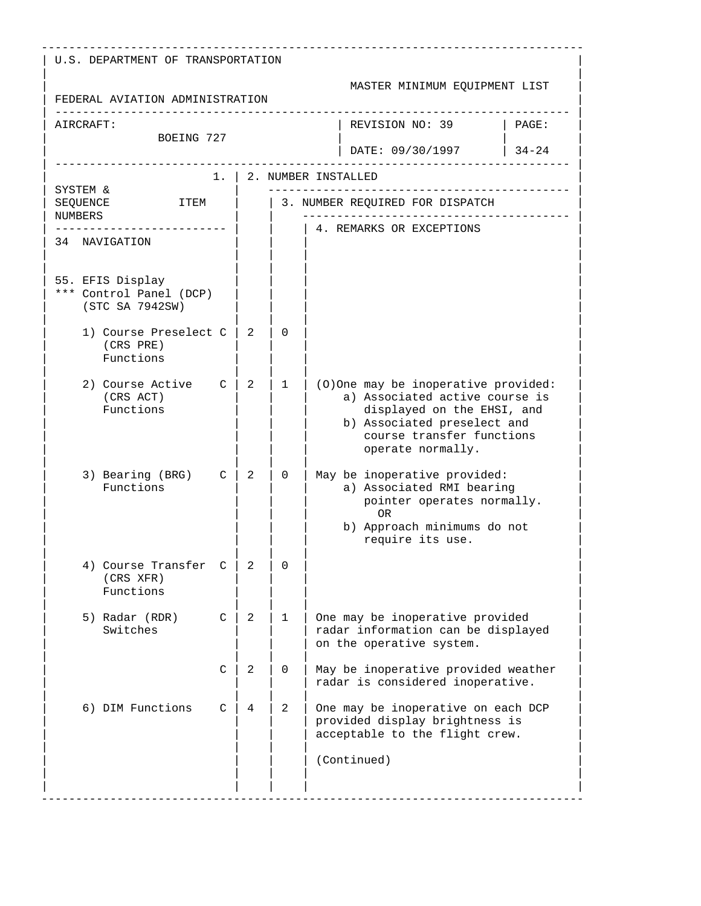| U.S. DEPARTMENT OF TRANSPORTATION                                |                |                        |                                                                                                                                                                                       |  |  |  |  |  |
|------------------------------------------------------------------|----------------|------------------------|---------------------------------------------------------------------------------------------------------------------------------------------------------------------------------------|--|--|--|--|--|
| MASTER MINIMUM EQUIPMENT LIST<br>FEDERAL AVIATION ADMINISTRATION |                |                        |                                                                                                                                                                                       |  |  |  |  |  |
| AIRCRAFT:<br>BOEING 727                                          |                |                        | REVISION NO: 39<br>$\mathtt{PAGE}$ :                                                                                                                                                  |  |  |  |  |  |
|                                                                  |                |                        | DATE: 09/30/1997<br>$ 34-24$                                                                                                                                                          |  |  |  |  |  |
| <b>SYSTEM &amp;</b>                                              |                | 1. 2. NUMBER INSTALLED |                                                                                                                                                                                       |  |  |  |  |  |
| SEQUENCE<br>ITEM<br>NUMBERS                                      |                |                        | 3. NUMBER REQUIRED FOR DISPATCH                                                                                                                                                       |  |  |  |  |  |
| 34 NAVIGATION                                                    |                |                        | 4. REMARKS OR EXCEPTIONS                                                                                                                                                              |  |  |  |  |  |
| 55. EFIS Display<br>*** Control Panel (DCP)<br>(STC SA 7942SW)   |                |                        |                                                                                                                                                                                       |  |  |  |  |  |
| 1) Course Preselect C  <br>(CRS PRE)<br>Functions                | $\overline{2}$ | $\Omega$               |                                                                                                                                                                                       |  |  |  |  |  |
| 2) Course Active C<br>(CRS ACT)<br>Functions                     | $\overline{2}$ | 1                      | (0) One may be inoperative provided:<br>a) Associated active course is<br>displayed on the EHSI, and<br>b) Associated preselect and<br>course transfer functions<br>operate normally. |  |  |  |  |  |
| 3) Bearing (BRG) C<br>Functions                                  | $\overline{2}$ | $\Omega$               | May be inoperative provided:<br>a) Associated RMI bearing<br>pointer operates normally.<br>0R<br>b) Approach minimums do not<br>require its use.                                      |  |  |  |  |  |
| 4) Course Transfer<br>$\mathcal{C}$<br>(CRS XFR)<br>Functions    | 2              | $\Omega$               |                                                                                                                                                                                       |  |  |  |  |  |
| 5) Radar (RDR)<br>C<br>Switches                                  | 2              | $\mathbf 1$            | One may be inoperative provided<br>radar information can be displayed<br>on the operative system.                                                                                     |  |  |  |  |  |
| C                                                                | 2              | 0                      | May be inoperative provided weather<br>radar is considered inoperative.                                                                                                               |  |  |  |  |  |
| 6) DIM Functions<br>C                                            | 4              | $\overline{a}$         | One may be inoperative on each DCP<br>provided display brightness is<br>acceptable to the flight crew.<br>(Continued)                                                                 |  |  |  |  |  |
|                                                                  |                |                        |                                                                                                                                                                                       |  |  |  |  |  |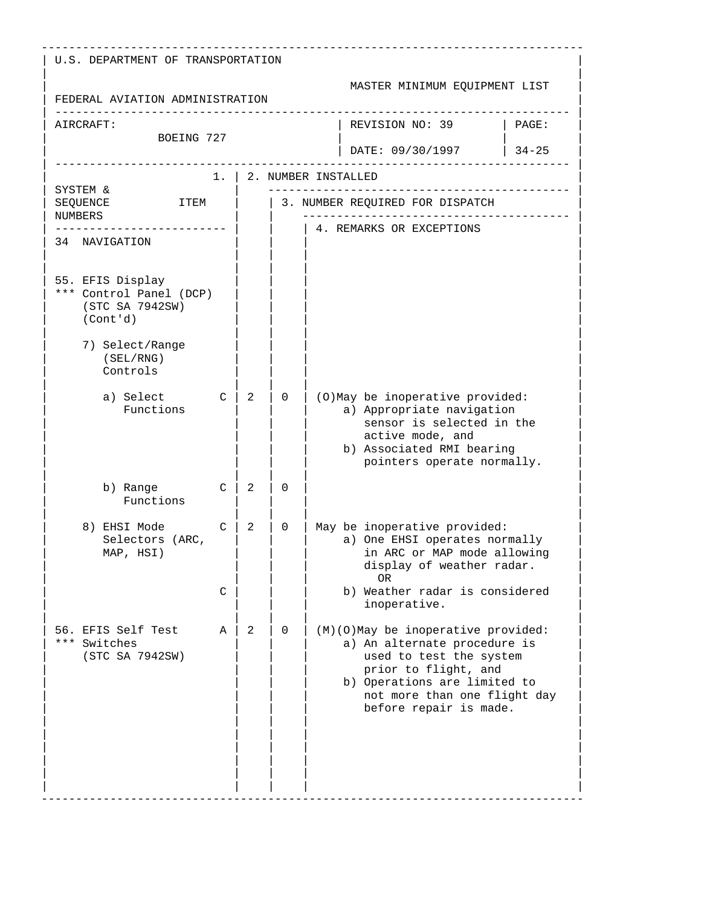| U.S. DEPARTMENT OF TRANSPORTATION                                           |               |                |          |                                                                                                                                                                                                                 |          |  |  |  |  |
|-----------------------------------------------------------------------------|---------------|----------------|----------|-----------------------------------------------------------------------------------------------------------------------------------------------------------------------------------------------------------------|----------|--|--|--|--|
| MASTER MINIMUM EQUIPMENT LIST<br>FEDERAL AVIATION ADMINISTRATION            |               |                |          |                                                                                                                                                                                                                 |          |  |  |  |  |
| AIRCRAFT:<br>BOEING 727                                                     |               |                |          | REVISION NO: 39                                                                                                                                                                                                 | PAGE:    |  |  |  |  |
|                                                                             |               |                |          | DATE: 09/30/1997                                                                                                                                                                                                | $ 34-25$ |  |  |  |  |
| SYSTEM &                                                                    |               |                |          | 1.   2. NUMBER INSTALLED                                                                                                                                                                                        |          |  |  |  |  |
| SEQUENCE<br>ITEM<br>NUMBERS                                                 |               |                |          | 3. NUMBER REQUIRED FOR DISPATCH                                                                                                                                                                                 |          |  |  |  |  |
| 34 NAVIGATION                                                               |               |                |          | 4. REMARKS OR EXCEPTIONS                                                                                                                                                                                        |          |  |  |  |  |
| 55. EFIS Display<br>*** Control Panel (DCP)<br>(STC SA 7942SW)<br>(Cont 'd) |               |                |          |                                                                                                                                                                                                                 |          |  |  |  |  |
| 7) Select/Range<br>(SEL/RNG)<br>Controls                                    |               |                |          |                                                                                                                                                                                                                 |          |  |  |  |  |
| a) Select<br>Functions                                                      | $\mathcal{C}$ | $\overline{2}$ | $\Omega$ | (0) May be inoperative provided:<br>a) Appropriate navigation<br>sensor is selected in the<br>active mode, and<br>b) Associated RMI bearing<br>pointers operate normally.                                       |          |  |  |  |  |
| b) Range<br>Functions                                                       | $\mathsf{C}$  | 2              | $\Omega$ |                                                                                                                                                                                                                 |          |  |  |  |  |
| 8) EHSI Mode<br>Selectors (ARC,<br>MAP, HSI)                                | $\mathsf{C}$  | $\overline{2}$ | 0        | May be inoperative provided:<br>a) One EHSI operates normally<br>in ARC or MAP mode allowing<br>display of weather radar.<br>0 <sub>R</sub>                                                                     |          |  |  |  |  |
|                                                                             | $\mathsf{C}$  |                |          | b) Weather radar is considered<br>inoperative.                                                                                                                                                                  |          |  |  |  |  |
| 56. EFIS Self Test<br>*** Switches<br>(STC SA 7942SW)                       | A             | 2              | 0        | (M)(O)May be inoperative provided:<br>a) An alternate procedure is<br>used to test the system<br>prior to flight, and<br>b) Operations are limited to<br>not more than one flight day<br>before repair is made. |          |  |  |  |  |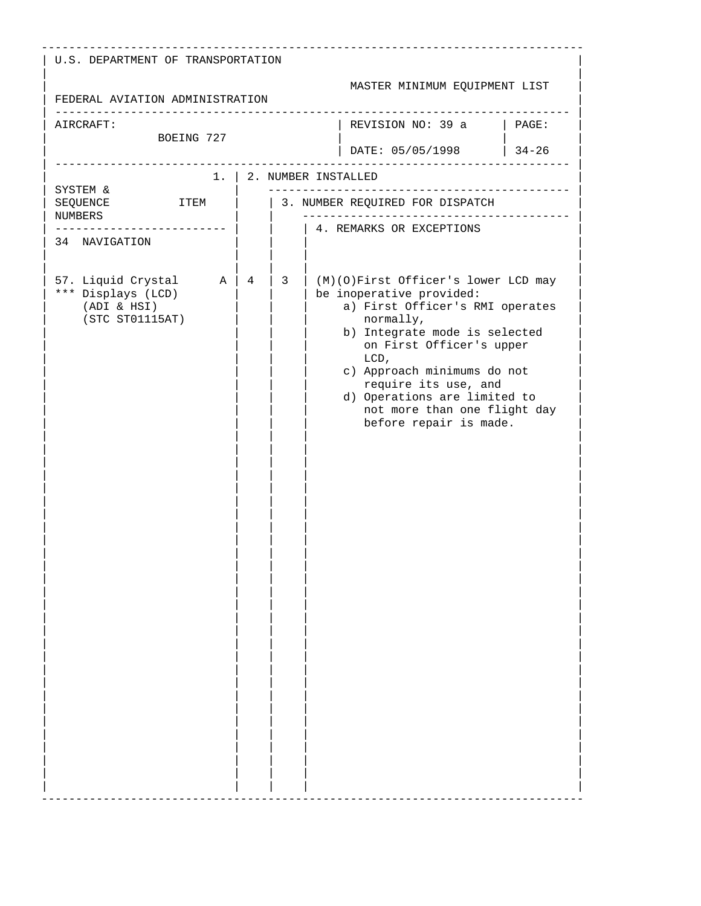| U.S. DEPARTMENT OF TRANSPORTATION                                            |                |                         |                                                                                                                                                                                                                                                                                                                                       |  |  |
|------------------------------------------------------------------------------|----------------|-------------------------|---------------------------------------------------------------------------------------------------------------------------------------------------------------------------------------------------------------------------------------------------------------------------------------------------------------------------------------|--|--|
| MASTER MINIMUM EQUIPMENT LIST<br>FEDERAL AVIATION ADMINISTRATION             |                |                         |                                                                                                                                                                                                                                                                                                                                       |  |  |
| AIRCRAFT:<br>BOEING 727                                                      |                |                         | REVISION NO: $39 a$   PAGE:                                                                                                                                                                                                                                                                                                           |  |  |
|                                                                              |                |                         | DATE: 05/05/1998   34-26<br>1.   2. NUMBER INSTALLED                                                                                                                                                                                                                                                                                  |  |  |
| SYSTEM &<br>SEQUENCE<br>ITEM<br>NUMBERS                                      |                |                         | 3. NUMBER REQUIRED FOR DISPATCH                                                                                                                                                                                                                                                                                                       |  |  |
| 34 NAVIGATION                                                                |                |                         | 4. REMARKS OR EXCEPTIONS                                                                                                                                                                                                                                                                                                              |  |  |
| 57. Liquid Crystal A<br>*** Displays (LCD)<br>(ADI & HSI)<br>(STC ST01115AT) | $\overline{4}$ | $\overline{\mathbf{3}}$ | (M)(O)First Officer's lower LCD may<br>be inoperative provided:<br>a) First Officer's RMI operates<br>normally,<br>b) Integrate mode is selected<br>on First Officer's upper<br>LCD,<br>c) Approach minimums do not<br>require its use, and<br>d) Operations are limited to<br>not more than one flight day<br>before repair is made. |  |  |
|                                                                              |                |                         |                                                                                                                                                                                                                                                                                                                                       |  |  |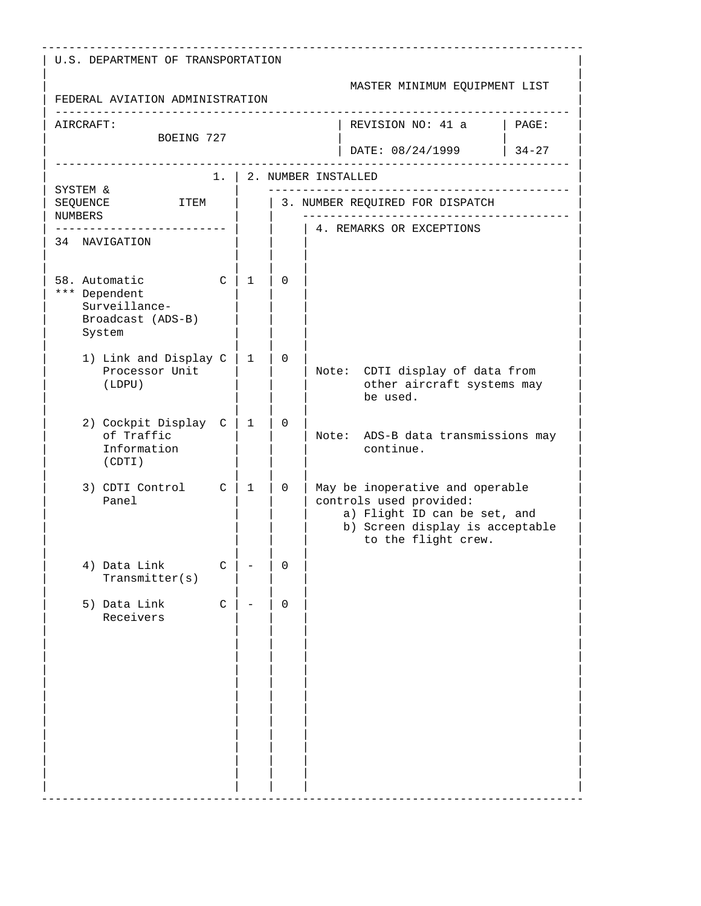| U.S. DEPARTMENT OF TRANSPORTATION<br>MASTER MINIMUM EQUIPMENT LIST                              |                |          |                                                                                                                                                      |  |  |  |
|-------------------------------------------------------------------------------------------------|----------------|----------|------------------------------------------------------------------------------------------------------------------------------------------------------|--|--|--|
| FEDERAL AVIATION ADMINISTRATION                                                                 |                |          |                                                                                                                                                      |  |  |  |
| AIRCRAFT:<br>BOEING 727                                                                         |                |          | REVISION NO: 41 a<br>PAGE:                                                                                                                           |  |  |  |
|                                                                                                 |                |          | DATE: 08/24/1999   34-27                                                                                                                             |  |  |  |
| SYSTEM &                                                                                        |                |          | 1. 2. NUMBER INSTALLED                                                                                                                               |  |  |  |
| SEQUENCE<br>ITEM<br><b>NUMBERS</b>                                                              |                |          | 3. NUMBER REQUIRED FOR DISPATCH                                                                                                                      |  |  |  |
| 34 NAVIGATION                                                                                   |                |          | 4. REMARKS OR EXCEPTIONS                                                                                                                             |  |  |  |
| 58. Automatic<br>$\mathcal{C}$<br>*** Dependent<br>Surveillance-<br>Broadcast (ADS-B)<br>System | 1              | $\Omega$ |                                                                                                                                                      |  |  |  |
| 1) Link and Display C<br>Processor Unit<br>(LDPU)                                               | $\mathbf{1}$   | $\Omega$ | Note: CDTI display of data from<br>other aircraft systems may<br>be used.                                                                            |  |  |  |
| 2) Cockpit Display C  <br>of Traffic<br>Information<br>(CDTI)                                   | $\mathbf{1}$   | 0        | Note: ADS-B data transmissions may<br>continue.                                                                                                      |  |  |  |
| 3) CDTI Control C<br>Panel                                                                      | $\overline{1}$ | 0        | May be inoperative and operable<br>controls used provided:<br>a) Flight ID can be set, and<br>b) Screen display is acceptable<br>to the flight crew. |  |  |  |
| 4) Data Link<br>C<br>Transmitter(s)                                                             |                | 0        |                                                                                                                                                      |  |  |  |
| 5) Data Link<br>C<br>Receivers                                                                  |                | 0        |                                                                                                                                                      |  |  |  |
|                                                                                                 |                |          |                                                                                                                                                      |  |  |  |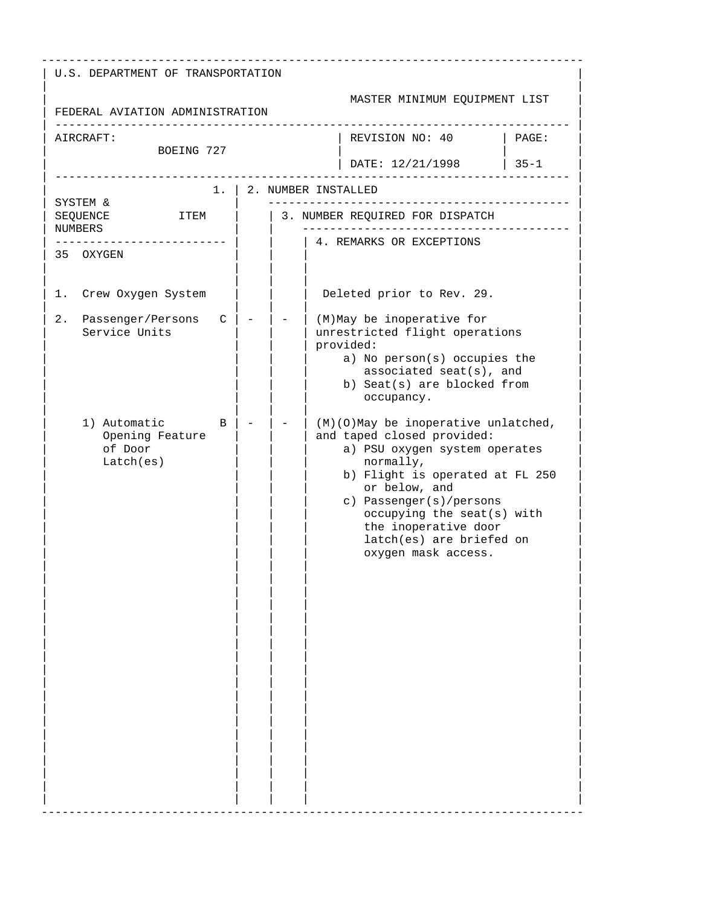| U.S. DEPARTMENT OF TRANSPORTATION                                       |  |  |                                                                                                                                                                                                                                                                                                         |                   |  |
|-------------------------------------------------------------------------|--|--|---------------------------------------------------------------------------------------------------------------------------------------------------------------------------------------------------------------------------------------------------------------------------------------------------------|-------------------|--|
| MASTER MINIMUM EQUIPMENT LIST<br>FEDERAL AVIATION ADMINISTRATION        |  |  |                                                                                                                                                                                                                                                                                                         |                   |  |
| AIRCRAFT:<br>BOEING 727                                                 |  |  | REVISION NO: 40                                                                                                                                                                                                                                                                                         | $\mathtt{PAGE}$ : |  |
|                                                                         |  |  | DATE: 12/21/1998                                                                                                                                                                                                                                                                                        | $ 35 - 1 $        |  |
| SYSTEM &<br>SEQUENCE<br>ITEM                                            |  |  | 1. 2. NUMBER INSTALLED<br>3. NUMBER REQUIRED FOR DISPATCH                                                                                                                                                                                                                                               |                   |  |
| NUMBERS                                                                 |  |  | 4. REMARKS OR EXCEPTIONS                                                                                                                                                                                                                                                                                |                   |  |
| 35 OXYGEN                                                               |  |  |                                                                                                                                                                                                                                                                                                         |                   |  |
| 1. Crew Oxygen System                                                   |  |  | Deleted prior to Rev. 29.                                                                                                                                                                                                                                                                               |                   |  |
| Passenger/Persons C<br>2.<br>Service Units                              |  |  | (M) May be inoperative for<br>unrestricted flight operations<br>provided:<br>a) No person(s) occupies the<br>associated seat(s), and<br>b) Seat(s) are blocked from<br>occupancy.                                                                                                                       |                   |  |
| 1) Automatic<br>$\mathbf{B}$<br>Opening Feature<br>of Door<br>Latch(es) |  |  | (M)(O)May be inoperative unlatched,<br>and taped closed provided:<br>a) PSU oxygen system operates<br>normally,<br>b) Flight is operated at FL 250<br>or below, and<br>c) Passenger(s)/persons<br>occupying the seat(s) with<br>the inoperative door<br>latch(es) are briefed on<br>oxygen mask access. |                   |  |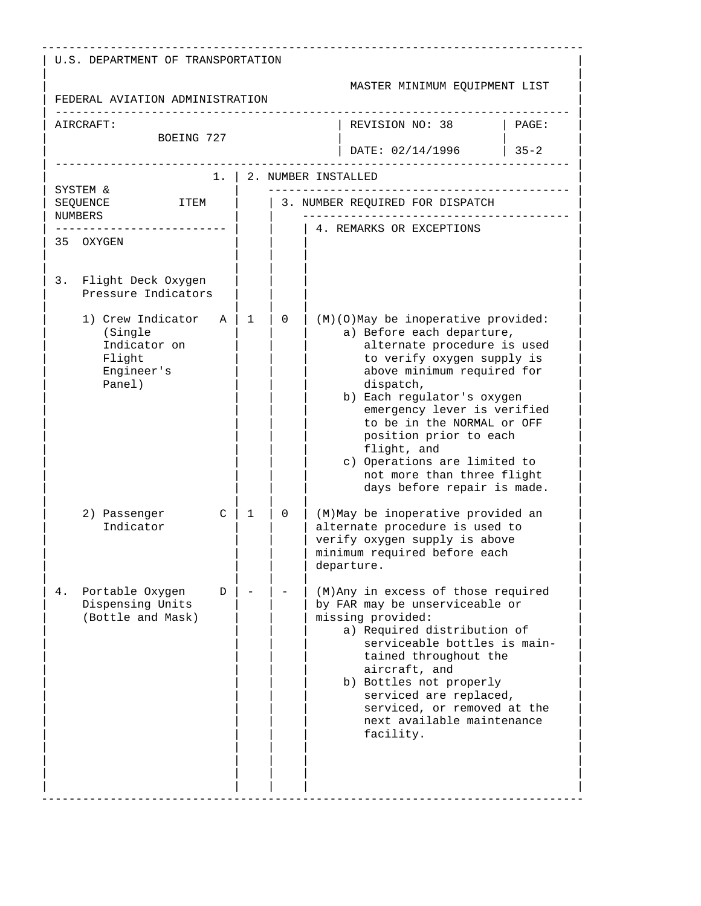|                                                                  | U.S. DEPARTMENT OF TRANSPORTATION                                                   |              |                          |                                                                                                                                                                                                                                                                                                                                                                                                           |          |  |  |  |  |
|------------------------------------------------------------------|-------------------------------------------------------------------------------------|--------------|--------------------------|-----------------------------------------------------------------------------------------------------------------------------------------------------------------------------------------------------------------------------------------------------------------------------------------------------------------------------------------------------------------------------------------------------------|----------|--|--|--|--|
| MASTER MINIMUM EQUIPMENT LIST<br>FEDERAL AVIATION ADMINISTRATION |                                                                                     |              |                          |                                                                                                                                                                                                                                                                                                                                                                                                           |          |  |  |  |  |
|                                                                  | AIRCRAFT:<br>BOEING 727                                                             |              |                          | REVISION NO: 38                                                                                                                                                                                                                                                                                                                                                                                           | PAGE:    |  |  |  |  |
|                                                                  |                                                                                     |              |                          | DATE: 02/14/1996                                                                                                                                                                                                                                                                                                                                                                                          | $ 35-2 $ |  |  |  |  |
|                                                                  | SYSTEM &                                                                            |              | 1.   2. NUMBER INSTALLED |                                                                                                                                                                                                                                                                                                                                                                                                           |          |  |  |  |  |
|                                                                  | SEQUENCE<br>ITEM<br>NUMBERS                                                         |              |                          | 3. NUMBER REQUIRED FOR DISPATCH                                                                                                                                                                                                                                                                                                                                                                           |          |  |  |  |  |
|                                                                  | 35 OXYGEN                                                                           |              |                          | 4. REMARKS OR EXCEPTIONS                                                                                                                                                                                                                                                                                                                                                                                  |          |  |  |  |  |
| 3.                                                               | Flight Deck Oxygen<br>Pressure Indicators                                           |              |                          |                                                                                                                                                                                                                                                                                                                                                                                                           |          |  |  |  |  |
|                                                                  | 1) Crew Indicator<br>A<br>(Single<br>Indicator on<br>Flight<br>Engineer's<br>Panel) | $\mathbf{1}$ | $\Omega$                 | (M)(0) May be inoperative provided:<br>a) Before each departure,<br>alternate procedure is used<br>to verify oxygen supply is<br>above minimum required for<br>dispatch,<br>b) Each regulator's oxygen<br>emergency lever is verified<br>to be in the NORMAL or OFF<br>position prior to each<br>flight, and<br>c) Operations are limited to<br>not more than three flight<br>days before repair is made. |          |  |  |  |  |
|                                                                  | 2) Passenger<br>$\mathcal{C}$<br>Indicator                                          | 1            | 0                        | (M) May be inoperative provided an<br>alternate procedure is used to<br>verify oxygen supply is above<br>minimum required before each<br>departure.                                                                                                                                                                                                                                                       |          |  |  |  |  |
| 4.                                                               | Portable Oxygen<br>D<br>Dispensing Units<br>(Bottle and Mask)                       |              |                          | (M) Any in excess of those required<br>by FAR may be unserviceable or<br>missing provided:<br>a) Required distribution of<br>serviceable bottles is main-<br>tained throughout the<br>aircraft, and<br>b) Bottles not properly<br>serviced are replaced,<br>serviced, or removed at the<br>next available maintenance<br>facility.                                                                        |          |  |  |  |  |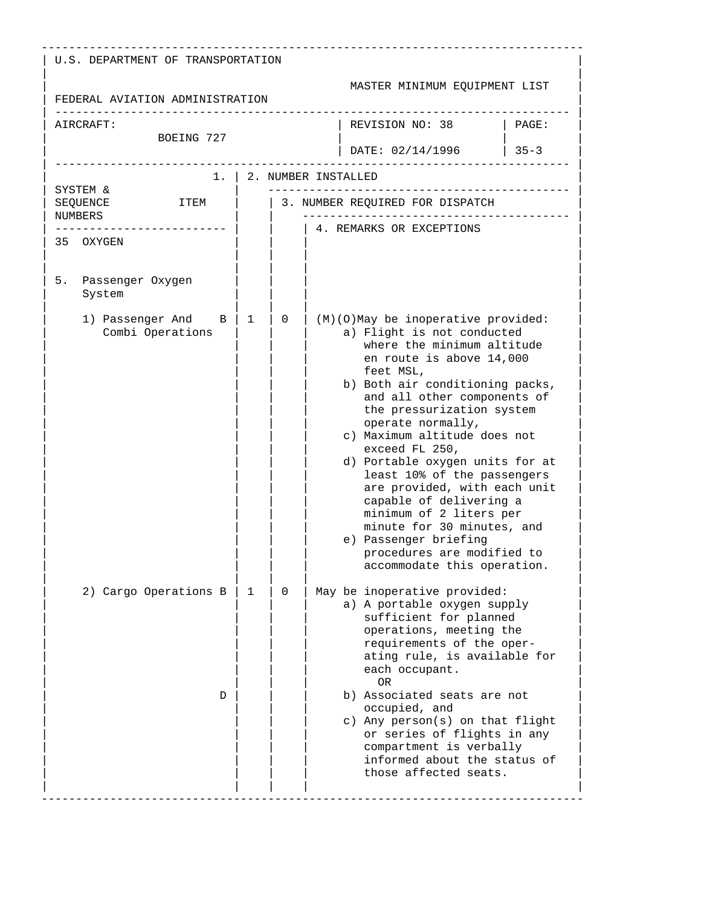| U.S. DEPARTMENT OF TRANSPORTATION                                |          |                                                                                                                                                                                                                                                                                                                                                                                                                                                                                                                                                                                           |  |  |  |  |
|------------------------------------------------------------------|----------|-------------------------------------------------------------------------------------------------------------------------------------------------------------------------------------------------------------------------------------------------------------------------------------------------------------------------------------------------------------------------------------------------------------------------------------------------------------------------------------------------------------------------------------------------------------------------------------------|--|--|--|--|
| MASTER MINIMUM EQUIPMENT LIST<br>FEDERAL AVIATION ADMINISTRATION |          |                                                                                                                                                                                                                                                                                                                                                                                                                                                                                                                                                                                           |  |  |  |  |
|                                                                  |          | REVISION NO: 38<br>$\mathtt{PAGE}$ :                                                                                                                                                                                                                                                                                                                                                                                                                                                                                                                                                      |  |  |  |  |
|                                                                  |          | DATE: 02/14/1996<br>$ 35 - 3 $                                                                                                                                                                                                                                                                                                                                                                                                                                                                                                                                                            |  |  |  |  |
|                                                                  |          | 3. NUMBER REQUIRED FOR DISPATCH                                                                                                                                                                                                                                                                                                                                                                                                                                                                                                                                                           |  |  |  |  |
|                                                                  |          | 4. REMARKS OR EXCEPTIONS                                                                                                                                                                                                                                                                                                                                                                                                                                                                                                                                                                  |  |  |  |  |
|                                                                  |          |                                                                                                                                                                                                                                                                                                                                                                                                                                                                                                                                                                                           |  |  |  |  |
| 1                                                                | $\Omega$ | (M)(O)May be inoperative provided:<br>a) Flight is not conducted<br>where the minimum altitude<br>en route is above 14,000<br>feet MSL,<br>b) Both air conditioning packs,<br>and all other components of<br>the pressurization system<br>operate normally,<br>c) Maximum altitude does not<br>exceed FL 250,<br>d) Portable oxygen units for at<br>least 10% of the passengers<br>are provided, with each unit<br>capable of delivering a<br>minimum of 2 liters per<br>minute for 30 minutes, and<br>e) Passenger briefing<br>procedures are modified to<br>accommodate this operation. |  |  |  |  |
| 1                                                                | 0        | May be inoperative provided:<br>a) A portable oxygen supply<br>sufficient for planned<br>operations, meeting the<br>requirements of the oper-<br>ating rule, is available for<br>each occupant.<br>0R<br>b) Associated seats are not<br>occupied, and<br>c) Any person(s) on that flight<br>or series of flights in any                                                                                                                                                                                                                                                                   |  |  |  |  |
|                                                                  |          | 1.   2. NUMBER INSTALLED                                                                                                                                                                                                                                                                                                                                                                                                                                                                                                                                                                  |  |  |  |  |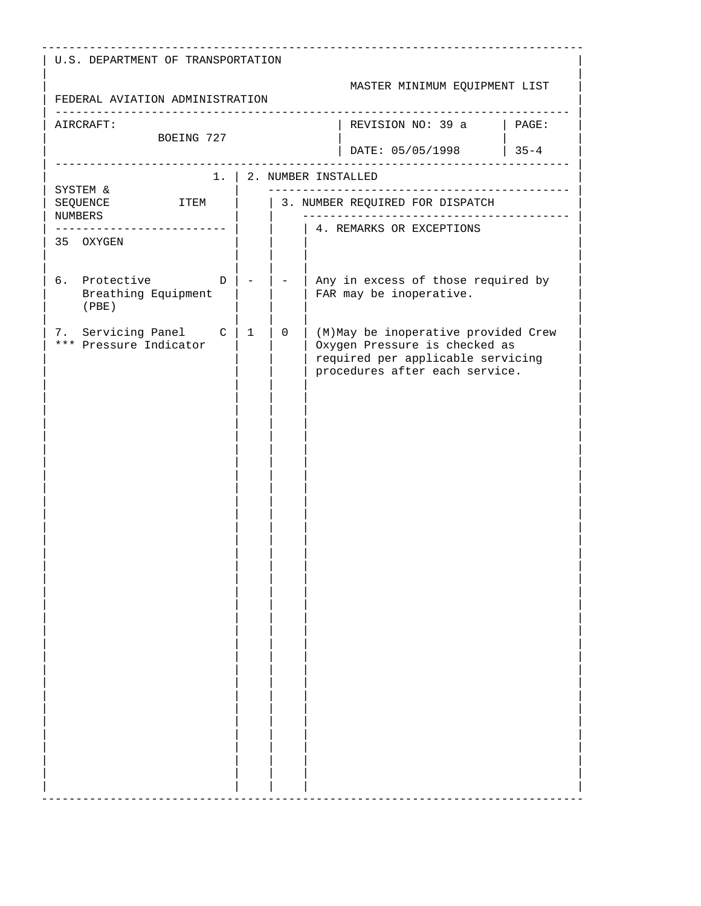| U.S. DEPARTMENT OF TRANSPORTATION                                 |              |             |                                                                                                                                              |  |  |
|-------------------------------------------------------------------|--------------|-------------|----------------------------------------------------------------------------------------------------------------------------------------------|--|--|
| MASTER MINIMUM EQUIPMENT LIST<br>FEDERAL AVIATION ADMINISTRATION  |              |             |                                                                                                                                              |  |  |
| AIRCRAFT:<br>BOEING 727                                           |              |             | REVISION NO: 39 a<br>$\vert$ PAGE:                                                                                                           |  |  |
|                                                                   |              |             | DATE: 05/05/1998   35-4                                                                                                                      |  |  |
| SYSTEM &<br>SEQUENCE<br>ITEM                                      |              |             | 1.   2. NUMBER INSTALLED<br>3. NUMBER REQUIRED FOR DISPATCH                                                                                  |  |  |
| NUMBERS<br>35 OXYGEN                                              |              |             | 4. REMARKS OR EXCEPTIONS                                                                                                                     |  |  |
| 6. Protective<br>D<br>Breathing Equipment<br>(PBE)                |              |             | Any in excess of those required by<br>FAR may be inoperative.                                                                                |  |  |
| Servicing Panel<br>7.<br>$\overline{C}$<br>*** Pressure Indicator | $\mathbf{1}$ | $\mathbf 0$ | (M) May be inoperative provided Crew<br>Oxygen Pressure is checked as<br>required per applicable servicing<br>procedures after each service. |  |  |
|                                                                   |              |             |                                                                                                                                              |  |  |
|                                                                   |              |             |                                                                                                                                              |  |  |
|                                                                   |              |             |                                                                                                                                              |  |  |
|                                                                   |              |             |                                                                                                                                              |  |  |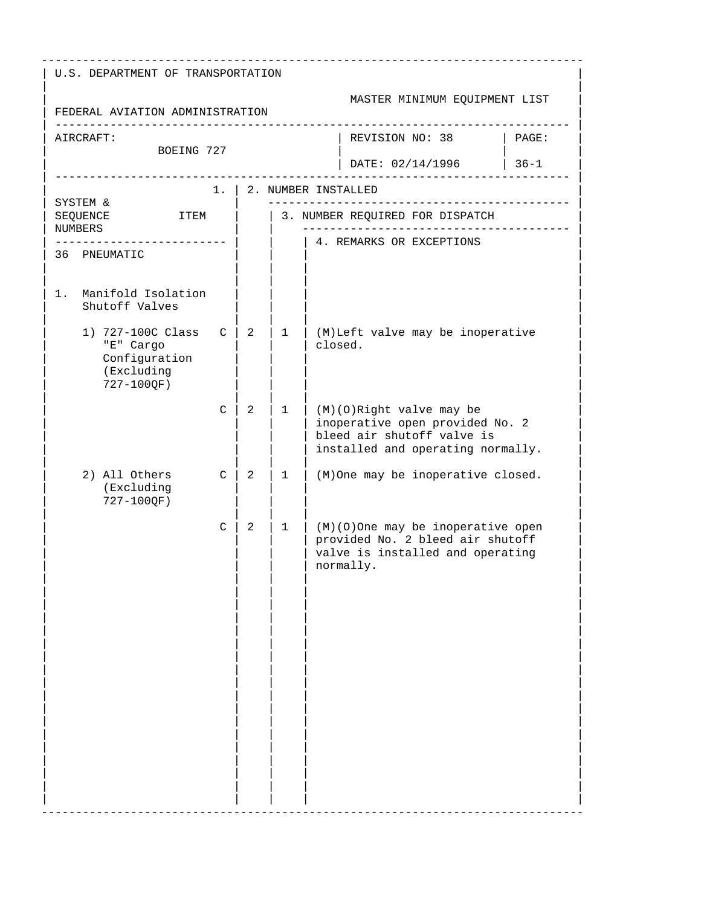| U.S. DEPARTMENT OF TRANSPORTATION<br>MASTER MINIMUM EQUIPMENT LIST<br>FEDERAL AVIATION ADMINISTRATION |                |                                 |                                                                                                                                |  |  |  |  |  |
|-------------------------------------------------------------------------------------------------------|----------------|---------------------------------|--------------------------------------------------------------------------------------------------------------------------------|--|--|--|--|--|
| AIRCRAFT:<br>BOEING 727                                                                               |                |                                 | REVISION NO: 38<br>$\mathtt{PAGE}$ :                                                                                           |  |  |  |  |  |
|                                                                                                       |                |                                 | DATE: 02/14/1996   36-1                                                                                                        |  |  |  |  |  |
| SYSTEM &                                                                                              |                |                                 | 1.   2. NUMBER INSTALLED                                                                                                       |  |  |  |  |  |
| SEQUENCE<br>ITEM<br><b>NUMBERS</b>                                                                    |                | 3. NUMBER REQUIRED FOR DISPATCH |                                                                                                                                |  |  |  |  |  |
|                                                                                                       |                |                                 | 4. REMARKS OR EXCEPTIONS                                                                                                       |  |  |  |  |  |
| 36 PNEUMATIC                                                                                          |                |                                 |                                                                                                                                |  |  |  |  |  |
| Manifold Isolation<br>$1$ .<br>Shutoff Valves                                                         |                |                                 |                                                                                                                                |  |  |  |  |  |
| 1) 727-100C Class C<br>"E" Cargo<br>Configuration<br>(Excluding<br>727-100QF)                         | $\overline{2}$ | $\mathbf{1}$                    | (M) Left valve may be inoperative<br>closed.                                                                                   |  |  |  |  |  |
| $\mathcal{C}$                                                                                         | 2              | $\mathbf{1}$                    | (M)(O)Right valve may be<br>inoperative open provided No. 2<br>bleed air shutoff valve is<br>installed and operating normally. |  |  |  |  |  |
| 2) All Others<br>$\mathsf{C}$<br>(Excluding<br>727-100QF)                                             | 2              | $\mathbf{1}$                    | (M) One may be inoperative closed.                                                                                             |  |  |  |  |  |
| C                                                                                                     | 2              | $\mathbf{1}$                    | (M)(0)One may be inoperative open<br>provided No. 2 bleed air shutoff<br>valve is installed and operating<br>normally.         |  |  |  |  |  |
|                                                                                                       |                |                                 |                                                                                                                                |  |  |  |  |  |
|                                                                                                       |                |                                 |                                                                                                                                |  |  |  |  |  |
|                                                                                                       |                |                                 |                                                                                                                                |  |  |  |  |  |
|                                                                                                       |                |                                 |                                                                                                                                |  |  |  |  |  |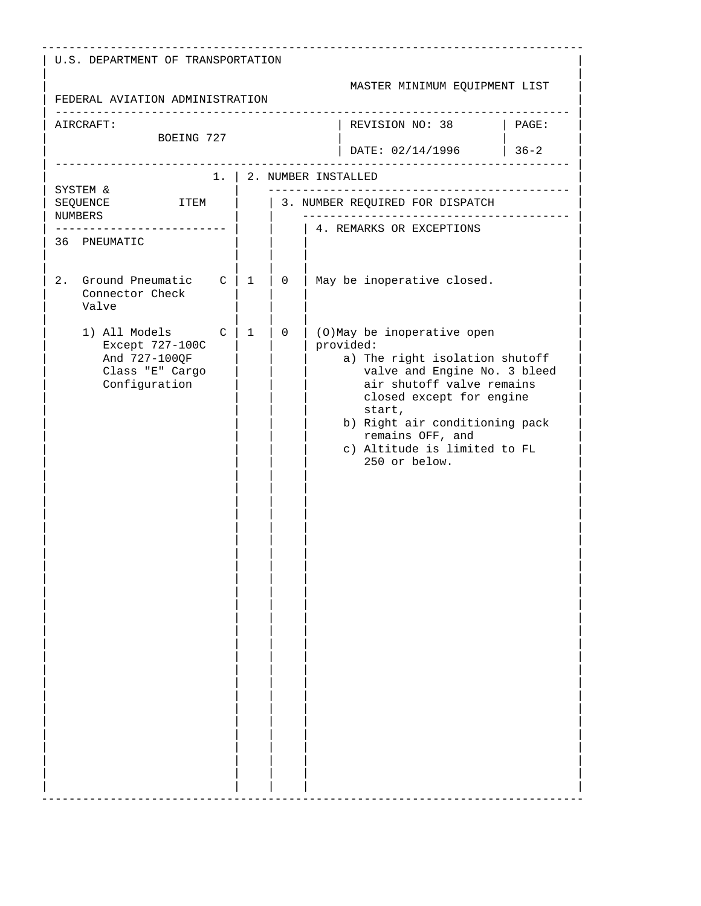| U.S. DEPARTMENT OF TRANSPORTATION                                                       |              |                          |                                                                                                                                                                                                                                                                                      |                   |  |  |
|-----------------------------------------------------------------------------------------|--------------|--------------------------|--------------------------------------------------------------------------------------------------------------------------------------------------------------------------------------------------------------------------------------------------------------------------------------|-------------------|--|--|
| MASTER MINIMUM EQUIPMENT LIST<br>FEDERAL AVIATION ADMINISTRATION                        |              |                          |                                                                                                                                                                                                                                                                                      |                   |  |  |
| AIRCRAFT:<br>BOEING 727                                                                 |              |                          | REVISION NO: 38                                                                                                                                                                                                                                                                      | $\mathtt{PAGE}$ : |  |  |
|                                                                                         |              |                          | DATE: 02/14/1996   36-2                                                                                                                                                                                                                                                              |                   |  |  |
| SYSTEM &<br>SEQUENCE<br>ITEM                                                            |              |                          | 1. 2. NUMBER INSTALLED<br>3. NUMBER REQUIRED FOR DISPATCH                                                                                                                                                                                                                            |                   |  |  |
| <b>NUMBERS</b>                                                                          |              | 4. REMARKS OR EXCEPTIONS |                                                                                                                                                                                                                                                                                      |                   |  |  |
| 36 PNEUMATIC                                                                            |              |                          |                                                                                                                                                                                                                                                                                      |                   |  |  |
| Ground Pneumatic $C \mid 1$<br>2.<br>Connector Check<br>Valve                           |              | $\overline{0}$           | May be inoperative closed.                                                                                                                                                                                                                                                           |                   |  |  |
| 1) All Models C<br>Except 727-100C<br>And 727-100QF<br>Class "E" Cargo<br>Configuration | $\mathbf{1}$ | $\mathbf{0}$             | (O) May be inoperative open<br>provided:<br>a) The right isolation shutoff<br>valve and Engine No. 3 bleed<br>air shutoff valve remains<br>closed except for engine<br>start,<br>b) Right air conditioning pack<br>remains OFF, and<br>c) Altitude is limited to FL<br>250 or below. |                   |  |  |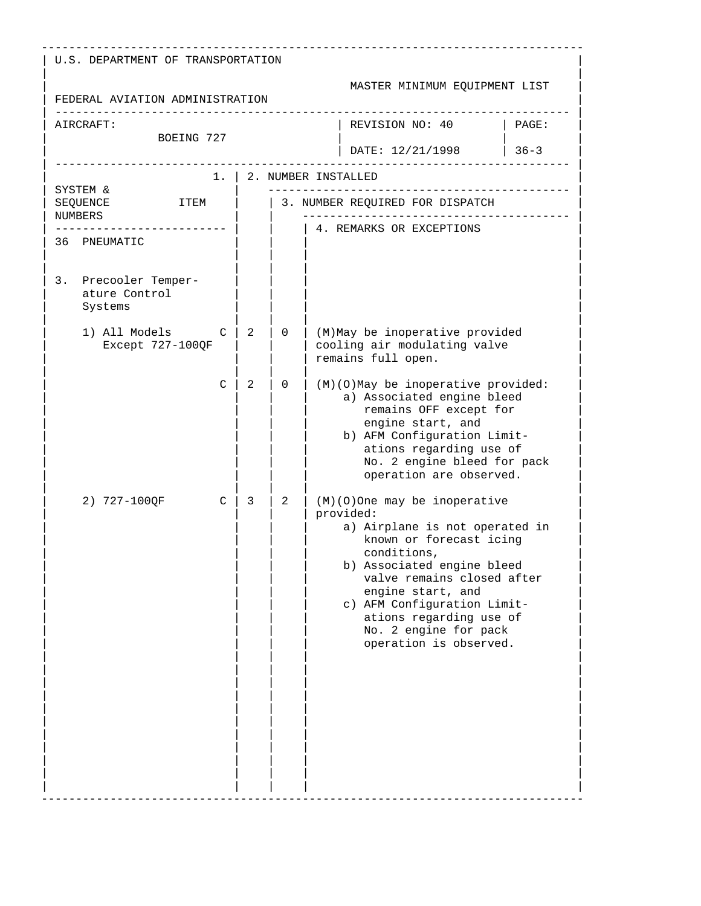| U.S. DEPARTMENT OF TRANSPORTATION<br>MASTER MINIMUM EQUIPMENT LIST<br>FEDERAL AVIATION ADMINISTRATION |                |             |                                                                                                                                                                                                                                                                                                                     |  |  |  |
|-------------------------------------------------------------------------------------------------------|----------------|-------------|---------------------------------------------------------------------------------------------------------------------------------------------------------------------------------------------------------------------------------------------------------------------------------------------------------------------|--|--|--|
| AIRCRAFT:                                                                                             |                |             | REVISION NO: 40<br>PAGE:                                                                                                                                                                                                                                                                                            |  |  |  |
| BOEING 727                                                                                            |                |             | DATE: 12/21/1998<br>$ 36-3 $                                                                                                                                                                                                                                                                                        |  |  |  |
| SYSTEM &<br>SEQUENCE<br>ITEM                                                                          |                |             | 1.   2. NUMBER INSTALLED<br>3. NUMBER REQUIRED FOR DISPATCH                                                                                                                                                                                                                                                         |  |  |  |
| NUMBERS<br>36 PNEUMATIC                                                                               |                |             | 4. REMARKS OR EXCEPTIONS                                                                                                                                                                                                                                                                                            |  |  |  |
| Precooler Temper-<br>3.<br>ature Control<br>Systems                                                   |                |             |                                                                                                                                                                                                                                                                                                                     |  |  |  |
| 1) All Models<br>$\mathsf{C}$<br>Except 727-100QF                                                     | 2              | $\Omega$    | (M) May be inoperative provided<br>cooling air modulating valve<br>remains full open.                                                                                                                                                                                                                               |  |  |  |
| C                                                                                                     | 2              | $\mathbf 0$ | (M)(O)May be inoperative provided:<br>a) Associated engine bleed<br>remains OFF except for<br>engine start, and<br>b) AFM Configuration Limit-<br>ations regarding use of<br>No. 2 engine bleed for pack<br>operation are observed.                                                                                 |  |  |  |
| 2) 727-100QF<br>$\mathsf{C}$                                                                          | $\overline{3}$ | 2           | (M)(O)One may be inoperative<br>provided:<br>a) Airplane is not operated in<br>known or forecast icing<br>conditions,<br>b) Associated engine bleed<br>valve remains closed after<br>engine start, and<br>c) AFM Configuration Limit-<br>ations regarding use of<br>No. 2 engine for pack<br>operation is observed. |  |  |  |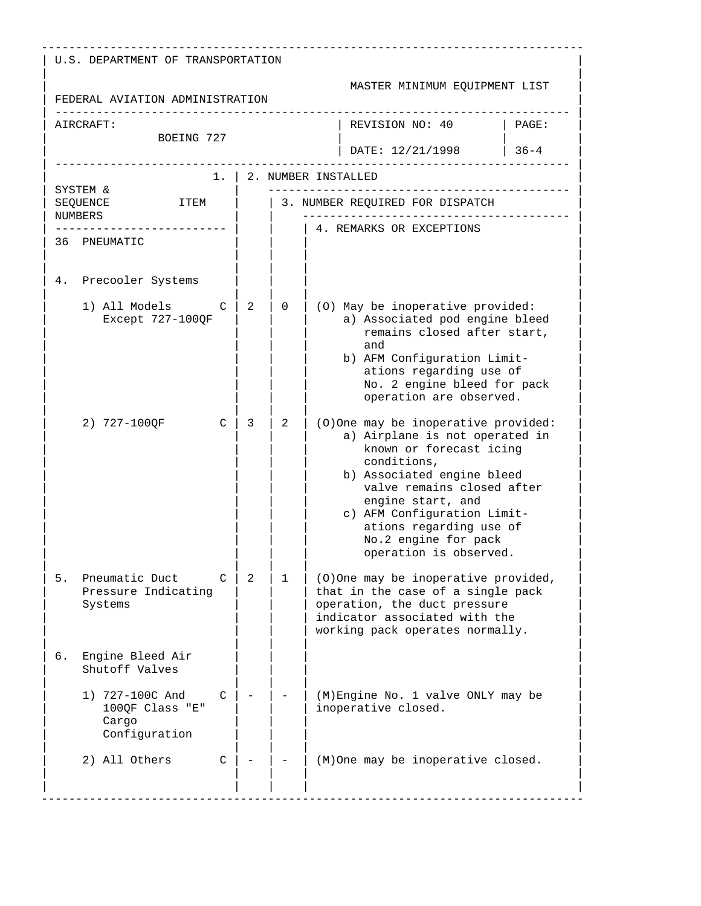|    | U.S. DEPARTMENT OF TRANSPORTATION                                |              |                |             |                                                                                                                                                                                                                                                                                                               |                   |  |
|----|------------------------------------------------------------------|--------------|----------------|-------------|---------------------------------------------------------------------------------------------------------------------------------------------------------------------------------------------------------------------------------------------------------------------------------------------------------------|-------------------|--|
|    | MASTER MINIMUM EQUIPMENT LIST<br>FEDERAL AVIATION ADMINISTRATION |              |                |             |                                                                                                                                                                                                                                                                                                               |                   |  |
|    | AIRCRAFT:<br>BOEING 727                                          |              |                |             | REVISION NO: 40                                                                                                                                                                                                                                                                                               | $\mathtt{PAGE}$ : |  |
|    |                                                                  |              |                |             | DATE: 12/21/1998                                                                                                                                                                                                                                                                                              | $ 36-4 $          |  |
|    | SYSTEM &                                                         |              |                |             | 1.   2. NUMBER INSTALLED                                                                                                                                                                                                                                                                                      |                   |  |
|    | SEQUENCE<br>ITEM<br>NUMBERS                                      |              |                |             | 3. NUMBER REQUIRED FOR DISPATCH                                                                                                                                                                                                                                                                               |                   |  |
|    | 36 PNEUMATIC                                                     |              |                |             | 4. REMARKS OR EXCEPTIONS                                                                                                                                                                                                                                                                                      |                   |  |
| 4. | Precooler Systems                                                |              |                |             |                                                                                                                                                                                                                                                                                                               |                   |  |
|    | 1) All Models<br>$\overline{C}$<br>Except 727-100QF              |              | 2              | 0           | (0) May be inoperative provided:<br>a) Associated pod engine bleed<br>remains closed after start,<br>and<br>b) AFM Configuration Limit-<br>ations regarding use of<br>No. 2 engine bleed for pack<br>operation are observed.                                                                                  |                   |  |
|    | 2) 727-100QF                                                     | $\mathsf{C}$ | $\overline{3}$ | 2           | (0) One may be inoperative provided:<br>a) Airplane is not operated in<br>known or forecast icing<br>conditions,<br>b) Associated engine bleed<br>valve remains closed after<br>engine start, and<br>c) AFM Configuration Limit-<br>ations regarding use of<br>No.2 engine for pack<br>operation is observed. |                   |  |
| 5. | Pneumatic Duct<br>Pressure Indicating<br>Systems                 | C            | 2              | $\mathbf 1$ | (0) One may be inoperative provided,<br>that in the case of a single pack<br>operation, the duct pressure<br>indicator associated with the<br>working pack operates normally.                                                                                                                                 |                   |  |
| б. | Engine Bleed Air<br>Shutoff Valves                               |              |                |             |                                                                                                                                                                                                                                                                                                               |                   |  |
|    | 1) 727-100C And<br>100QF Class "E"<br>Cargo<br>Configuration     | C            |                |             | (M) Engine No. 1 valve ONLY may be<br>inoperative closed.                                                                                                                                                                                                                                                     |                   |  |
|    | 2) All Others                                                    | C            |                |             | (M) One may be inoperative closed.                                                                                                                                                                                                                                                                            |                   |  |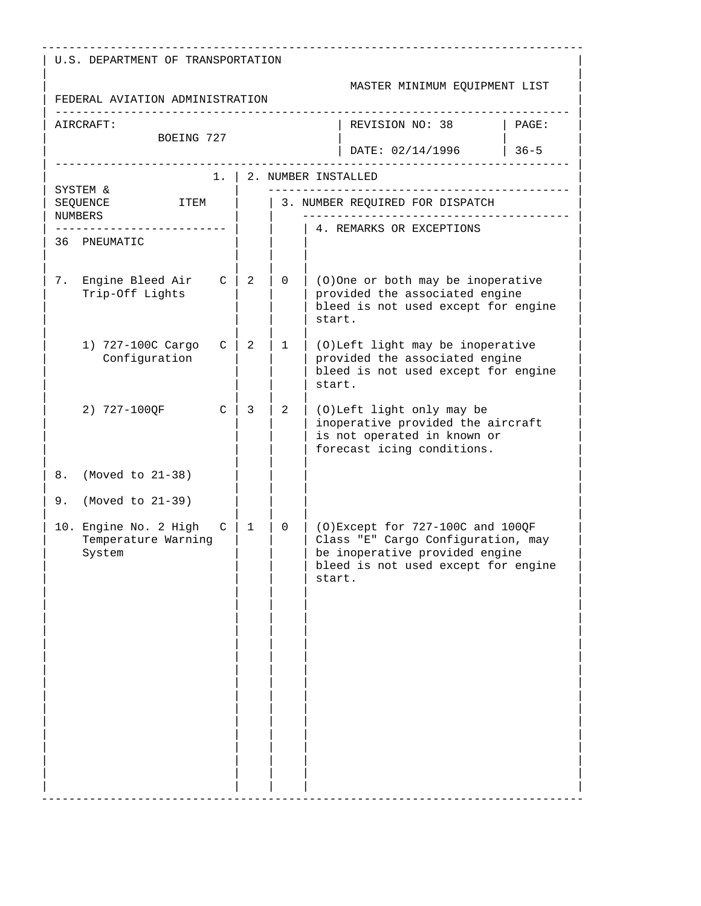| U.S. DEPARTMENT OF TRANSPORTATION<br>MASTER MINIMUM EQUIPMENT LIST |                                                                                            |                                                                |                                                                                         |                                                                                                                                                                                                                                                                                                                                                                                                                                              |  |  |  |  |
|--------------------------------------------------------------------|--------------------------------------------------------------------------------------------|----------------------------------------------------------------|-----------------------------------------------------------------------------------------|----------------------------------------------------------------------------------------------------------------------------------------------------------------------------------------------------------------------------------------------------------------------------------------------------------------------------------------------------------------------------------------------------------------------------------------------|--|--|--|--|
| FEDERAL AVIATION ADMINISTRATION                                    |                                                                                            |                                                                |                                                                                         |                                                                                                                                                                                                                                                                                                                                                                                                                                              |  |  |  |  |
| AIRCRAFT:                                                          |                                                                                            |                                                                | REVISION NO: 38                                                                         | PAGE:                                                                                                                                                                                                                                                                                                                                                                                                                                        |  |  |  |  |
|                                                                    |                                                                                            |                                                                | DATE: 02/14/1996                                                                        | $ 36-5$                                                                                                                                                                                                                                                                                                                                                                                                                                      |  |  |  |  |
|                                                                    |                                                                                            |                                                                |                                                                                         |                                                                                                                                                                                                                                                                                                                                                                                                                                              |  |  |  |  |
| ITEM                                                               |                                                                                            | 3. NUMBER REQUIRED FOR DISPATCH                                |                                                                                         |                                                                                                                                                                                                                                                                                                                                                                                                                                              |  |  |  |  |
|                                                                    |                                                                                            |                                                                | 4. REMARKS OR EXCEPTIONS                                                                |                                                                                                                                                                                                                                                                                                                                                                                                                                              |  |  |  |  |
|                                                                    |                                                                                            |                                                                |                                                                                         |                                                                                                                                                                                                                                                                                                                                                                                                                                              |  |  |  |  |
| Trip-Off Lights                                                    | $\overline{2}$                                                                             | $\mathbf 0$                                                    | start.                                                                                  |                                                                                                                                                                                                                                                                                                                                                                                                                                              |  |  |  |  |
| 1) 727-100C Cargo<br>Configuration                                 | $\overline{2}$                                                                             | $\mathbf{1}$                                                   | start.                                                                                  |                                                                                                                                                                                                                                                                                                                                                                                                                                              |  |  |  |  |
| 2) 727-100QF                                                       | $\overline{\mathbf{3}}$                                                                    | $\overline{a}$                                                 | (O) Left light only may be<br>is not operated in known or<br>forecast icing conditions. |                                                                                                                                                                                                                                                                                                                                                                                                                                              |  |  |  |  |
| (Moved to 21-38)                                                   |                                                                                            |                                                                |                                                                                         |                                                                                                                                                                                                                                                                                                                                                                                                                                              |  |  |  |  |
| (Moved to 21-39)                                                   |                                                                                            |                                                                |                                                                                         |                                                                                                                                                                                                                                                                                                                                                                                                                                              |  |  |  |  |
| Temperature Warning<br>System                                      | $\mathbf{1}$                                                                               | $\mathbf 0$                                                    | start.                                                                                  |                                                                                                                                                                                                                                                                                                                                                                                                                                              |  |  |  |  |
|                                                                    |                                                                                            |                                                                |                                                                                         |                                                                                                                                                                                                                                                                                                                                                                                                                                              |  |  |  |  |
|                                                                    | BOEING 727<br>SYSTEM &<br>SEQUENCE<br><b>NUMBERS</b><br>36 PNEUMATIC<br>7.<br>$\mathsf{C}$ | Engine Bleed Air C<br>$\mathcal{C}$<br>10. Engine No. 2 High C |                                                                                         | 1. 2. NUMBER INSTALLED<br>(0) One or both may be inoperative<br>provided the associated engine<br>bleed is not used except for engine<br>(O) Left light may be inoperative<br>provided the associated engine<br>bleed is not used except for engine<br>inoperative provided the aircraft<br>(O) Except for 727-100C and 100QF<br>Class "E" Cargo Configuration, may<br>be inoperative provided engine<br>bleed is not used except for engine |  |  |  |  |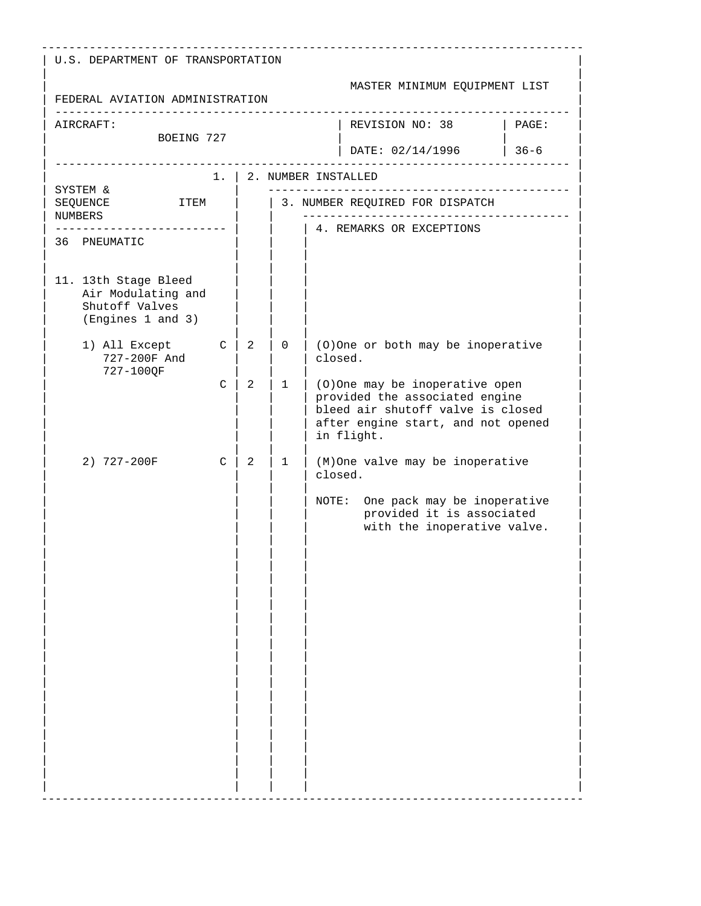| U.S. DEPARTMENT OF TRANSPORTATION                                                 |                |                          |                                                                                                                                                            |  |  |  |  |  |
|-----------------------------------------------------------------------------------|----------------|--------------------------|------------------------------------------------------------------------------------------------------------------------------------------------------------|--|--|--|--|--|
| MASTER MINIMUM EQUIPMENT LIST<br>FEDERAL AVIATION ADMINISTRATION                  |                |                          |                                                                                                                                                            |  |  |  |  |  |
| AIRCRAFT:<br>BOEING 727                                                           |                |                          | REVISION NO: 38<br>PAGE:                                                                                                                                   |  |  |  |  |  |
|                                                                                   |                |                          | DATE: 02/14/1996   36-6                                                                                                                                    |  |  |  |  |  |
| SYSTEM &                                                                          |                | 1.   2. NUMBER INSTALLED |                                                                                                                                                            |  |  |  |  |  |
| SEQUENCE<br>ITEM<br><b>NUMBERS</b>                                                |                |                          | 3. NUMBER REQUIRED FOR DISPATCH                                                                                                                            |  |  |  |  |  |
| 36 PNEUMATIC                                                                      |                |                          | 4. REMARKS OR EXCEPTIONS                                                                                                                                   |  |  |  |  |  |
| 11. 13th Stage Bleed<br>Air Modulating and<br>Shutoff Valves<br>(Engines 1 and 3) |                |                          |                                                                                                                                                            |  |  |  |  |  |
| $\vert$ $\vert$<br>1) All Except<br>727-200F And<br>727-100QF                     | $\overline{2}$ | $\Omega$                 | (0) One or both may be inoperative<br>closed.                                                                                                              |  |  |  |  |  |
| C                                                                                 | 2              | $\mathbf{1}$             | (0) One may be inoperative open<br>provided the associated engine<br>bleed air shutoff valve is closed<br>after engine start, and not opened<br>in flight. |  |  |  |  |  |
| 2) 727-200F<br>$\mathcal{C}$                                                      | 2              | $\mathbf{1}$             | (M) One valve may be inoperative<br>closed.                                                                                                                |  |  |  |  |  |
|                                                                                   |                |                          | NOTE: One pack may be inoperative<br>provided it is associated<br>with the inoperative valve.                                                              |  |  |  |  |  |
|                                                                                   |                |                          |                                                                                                                                                            |  |  |  |  |  |
|                                                                                   |                |                          |                                                                                                                                                            |  |  |  |  |  |
|                                                                                   |                |                          |                                                                                                                                                            |  |  |  |  |  |
|                                                                                   |                |                          |                                                                                                                                                            |  |  |  |  |  |
|                                                                                   |                |                          |                                                                                                                                                            |  |  |  |  |  |
|                                                                                   |                |                          |                                                                                                                                                            |  |  |  |  |  |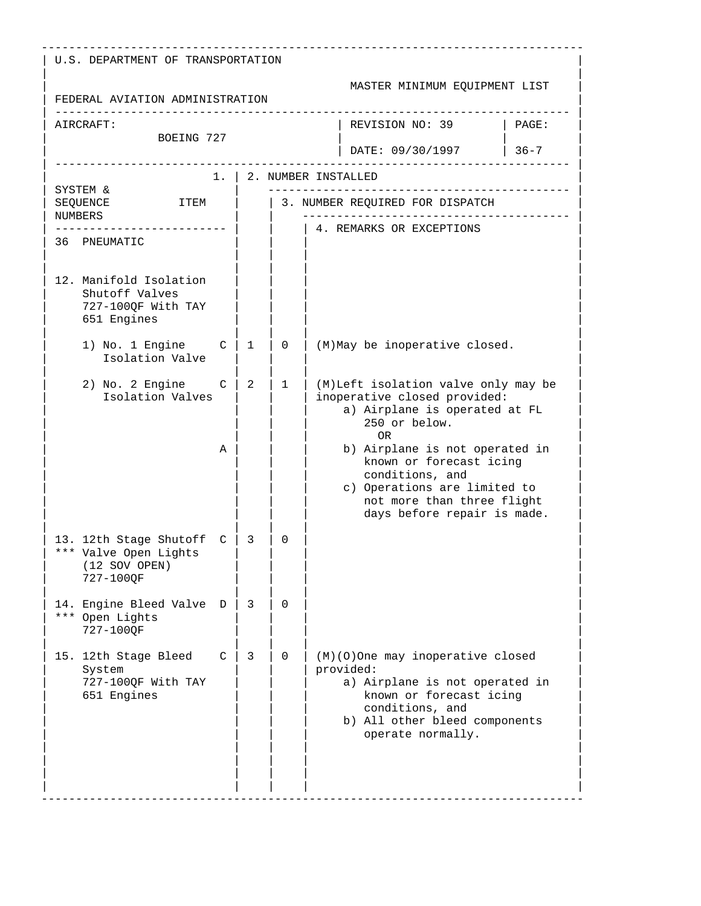| U.S. DEPARTMENT OF TRANSPORTATION                                               |   |                |                                 |                                                                                                                                                                                     |  |  |  |
|---------------------------------------------------------------------------------|---|----------------|---------------------------------|-------------------------------------------------------------------------------------------------------------------------------------------------------------------------------------|--|--|--|
| FEDERAL AVIATION ADMINISTRATION                                                 |   |                |                                 | MASTER MINIMUM EQUIPMENT LIST                                                                                                                                                       |  |  |  |
| AIRCRAFT:<br>BOEING 727                                                         |   |                |                                 | REVISION NO: 39<br>$\mathtt{PAGE}$ :                                                                                                                                                |  |  |  |
|                                                                                 |   |                |                                 | DATE: 09/30/1997   36-7                                                                                                                                                             |  |  |  |
| SYSTEM &                                                                        |   |                |                                 | 1. 2. NUMBER INSTALLED                                                                                                                                                              |  |  |  |
| SEQUENCE<br>ITEM<br>NUMBERS                                                     |   |                | 3. NUMBER REQUIRED FOR DISPATCH |                                                                                                                                                                                     |  |  |  |
| 36 PNEUMATIC                                                                    |   |                |                                 | 4. REMARKS OR EXCEPTIONS                                                                                                                                                            |  |  |  |
| 12. Manifold Isolation<br>Shutoff Valves<br>727-100QF With TAY<br>651 Engines   |   |                |                                 |                                                                                                                                                                                     |  |  |  |
| 1) No. 1 Engine C  <br>Isolation Valve                                          |   | $\mathbf{1}$   | $\mathbf 0$                     | (M) May be inoperative closed.                                                                                                                                                      |  |  |  |
| 2) No. 2 Engine $C$<br>Isolation Valves                                         |   | $\overline{2}$ | 1                               | (M)Left isolation valve only may be<br>inoperative closed provided:<br>a) Airplane is operated at FL<br>250 or below.<br>OR.                                                        |  |  |  |
|                                                                                 | A |                |                                 | b) Airplane is not operated in<br>known or forecast icing<br>conditions, and<br>c) Operations are limited to<br>not more than three flight<br>days before repair is made.           |  |  |  |
| 13. 12th Stage Shutoff C<br>*** Valve Open Lights<br>(12 SOV OPEN)<br>727-100QF |   | 3              | 0                               |                                                                                                                                                                                     |  |  |  |
| 14. Engine Bleed Valve<br>*** Open Lights<br>727-100QF                          | D | 3              | $\mathbf 0$                     |                                                                                                                                                                                     |  |  |  |
| 15. 12th Stage Bleed<br>System<br>727-100QF With TAY<br>651 Engines             | C | 3              | $\mathbf 0$                     | (M)(0)One may inoperative closed<br>provided:<br>a) Airplane is not operated in<br>known or forecast icing<br>conditions, and<br>b) All other bleed components<br>operate normally. |  |  |  |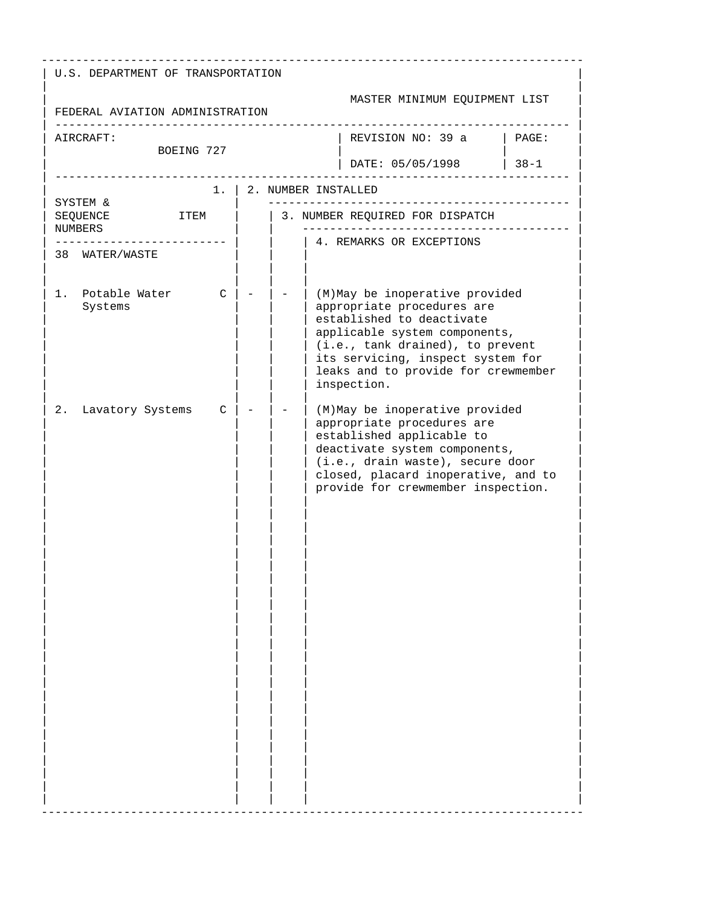| U.S. DEPARTMENT OF TRANSPORTATION           |  | MASTER MINIMUM EQUIPMENT LIST                                                                                                                                                                                                                              |
|---------------------------------------------|--|------------------------------------------------------------------------------------------------------------------------------------------------------------------------------------------------------------------------------------------------------------|
| FEDERAL AVIATION ADMINISTRATION             |  |                                                                                                                                                                                                                                                            |
| AIRCRAFT:<br>BOEING 727                     |  | REVISION NO: 39 a<br>PAGE:                                                                                                                                                                                                                                 |
|                                             |  | DATE: 05/05/1998<br>$ 38-1 $                                                                                                                                                                                                                               |
| SYSTEM &                                    |  | 1. 2. NUMBER INSTALLED                                                                                                                                                                                                                                     |
| SEQUENCE<br>ITEM<br><b>NUMBERS</b>          |  | 3. NUMBER REQUIRED FOR DISPATCH                                                                                                                                                                                                                            |
| 38 WATER/WASTE                              |  | 4. REMARKS OR EXCEPTIONS                                                                                                                                                                                                                                   |
| 1. Potable Water<br>$\mathsf{C}$<br>Systems |  | (M) May be inoperative provided<br>appropriate procedures are<br>established to deactivate<br>applicable system components,<br>(i.e., tank drained), to prevent<br>its servicing, inspect system for<br>leaks and to provide for crewmember<br>inspection. |
| 2.<br>Lavatory Systems<br>$\mathsf{C}$      |  | (M) May be inoperative provided<br>appropriate procedures are<br>established applicable to<br>deactivate system components,<br>(i.e., drain waste), secure door<br>closed, placard inoperative, and to<br>provide for crewmember inspection.               |
|                                             |  |                                                                                                                                                                                                                                                            |
|                                             |  |                                                                                                                                                                                                                                                            |
|                                             |  |                                                                                                                                                                                                                                                            |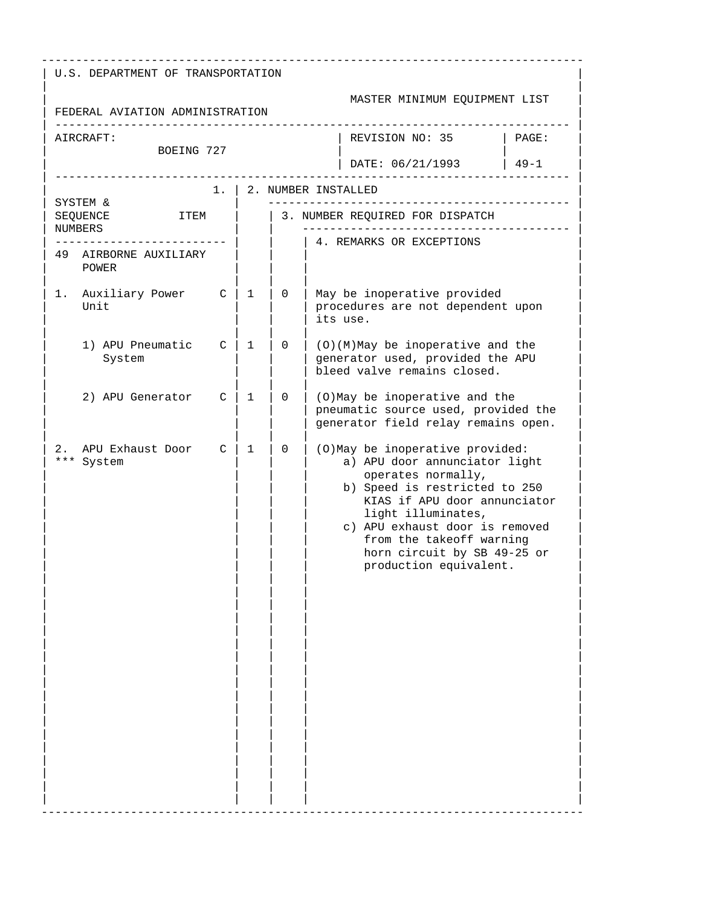|                                                | U.S. DEPARTMENT OF TRANSPORTATION<br>FEDERAL AVIATION ADMINISTRATION |                |              |                                                           | MASTER MINIMUM EQUIPMENT LIST                                                                                                                                                                                                                                                                         |
|------------------------------------------------|----------------------------------------------------------------------|----------------|--------------|-----------------------------------------------------------|-------------------------------------------------------------------------------------------------------------------------------------------------------------------------------------------------------------------------------------------------------------------------------------------------------|
| AIRCRAFT:                                      | BOEING 727                                                           |                |              |                                                           | REVISION NO: 35<br>$\mathtt{PAGE}$ :                                                                                                                                                                                                                                                                  |
|                                                |                                                                      |                |              |                                                           | DATE: 06/21/1993<br>$149-1$                                                                                                                                                                                                                                                                           |
| SYSTEM &<br>SEQUENCE<br>ITEM<br><b>NUMBERS</b> |                                                                      |                |              | 1. 2. NUMBER INSTALLED<br>3. NUMBER REQUIRED FOR DISPATCH |                                                                                                                                                                                                                                                                                                       |
| POWER                                          | 49 AIRBORNE AUXILIARY                                                |                |              |                                                           | 4. REMARKS OR EXCEPTIONS                                                                                                                                                                                                                                                                              |
| 1.<br>Unit                                     | Auxiliary Power C                                                    |                | $\mathbf{1}$ | $\mathbf 0$                                               | May be inoperative provided<br>procedures are not dependent upon<br>its use.                                                                                                                                                                                                                          |
|                                                | 1) APU Pneumatic<br>System                                           | $\mathcal{C}$  | $\mathbf{1}$ | 0                                                         | (O)(M)May be inoperative and the<br>generator used, provided the APU<br>bleed valve remains closed.                                                                                                                                                                                                   |
|                                                | 2) APU Generator                                                     | $\mathsf{C}^-$ | $\mathbf{1}$ | 0                                                         | (0) May be inoperative and the<br>pneumatic source used, provided the<br>generator field relay remains open.                                                                                                                                                                                          |
| 2.<br>*** System                               | APU Exhaust Door C                                                   |                | 1            | $\Omega$                                                  | (0) May be inoperative provided:<br>a) APU door annunciator light<br>operates normally,<br>b) Speed is restricted to 250<br>KIAS if APU door annunciator<br>light illuminates,<br>c) APU exhaust door is removed<br>from the takeoff warning<br>horn circuit by SB 49-25 or<br>production equivalent. |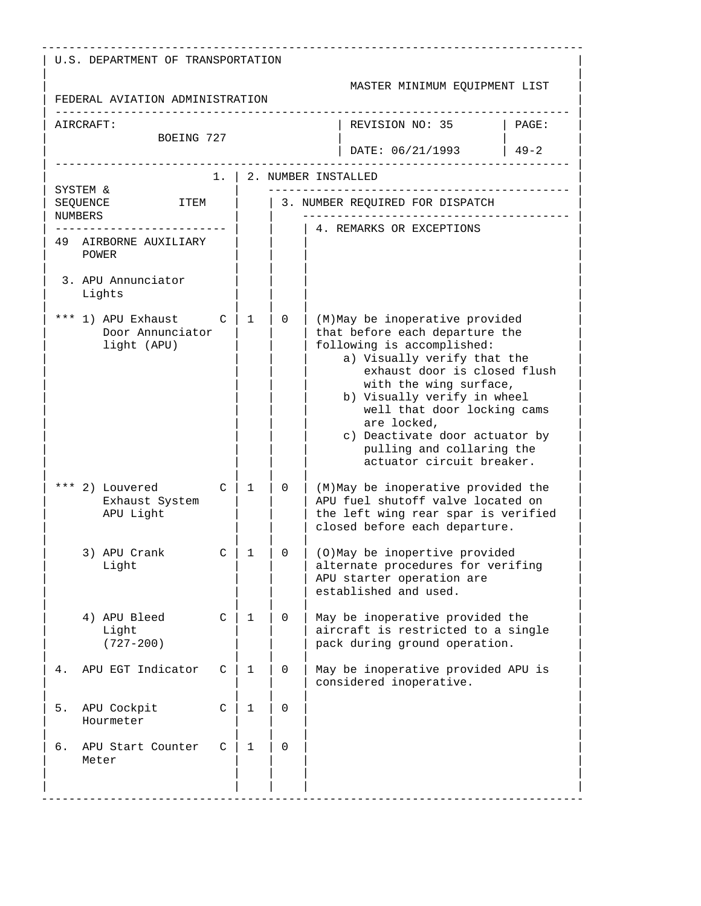| U.S. DEPARTMENT OF TRANSPORTATION                                         |              |                                 | MASTER MINIMUM EQUIPMENT LIST                                                                                                                                                                                                                                                                                                                                     |  |  |  |  |  |
|---------------------------------------------------------------------------|--------------|---------------------------------|-------------------------------------------------------------------------------------------------------------------------------------------------------------------------------------------------------------------------------------------------------------------------------------------------------------------------------------------------------------------|--|--|--|--|--|
| FEDERAL AVIATION ADMINISTRATION                                           |              |                                 |                                                                                                                                                                                                                                                                                                                                                                   |  |  |  |  |  |
| AIRCRAFT:<br>BOEING 727                                                   |              |                                 | REVISION NO: 35<br>PAGE:                                                                                                                                                                                                                                                                                                                                          |  |  |  |  |  |
|                                                                           |              |                                 | DATE: 06/21/1993<br>$149-2$                                                                                                                                                                                                                                                                                                                                       |  |  |  |  |  |
| SYSTEM &                                                                  |              |                                 | 1.   2. NUMBER INSTALLED                                                                                                                                                                                                                                                                                                                                          |  |  |  |  |  |
| SEQUENCE<br>ITEM<br>NUMBERS                                               |              | 3. NUMBER REQUIRED FOR DISPATCH |                                                                                                                                                                                                                                                                                                                                                                   |  |  |  |  |  |
| AIRBORNE AUXILIARY<br>49<br>POWER                                         |              |                                 | 4. REMARKS OR EXCEPTIONS                                                                                                                                                                                                                                                                                                                                          |  |  |  |  |  |
| 3. APU Annunciator<br>Lights                                              |              |                                 |                                                                                                                                                                                                                                                                                                                                                                   |  |  |  |  |  |
| 1) APU Exhaust<br>***<br>$\mathcal{C}$<br>Door Annunciator<br>light (APU) | 1            | $\Omega$                        | (M) May be inoperative provided<br>that before each departure the<br>following is accomplished:<br>a) Visually verify that the<br>exhaust door is closed flush<br>with the wing surface,<br>b) Visually verify in wheel<br>well that door locking cams<br>are locked,<br>c) Deactivate door actuator by<br>pulling and collaring the<br>actuator circuit breaker. |  |  |  |  |  |
| *** 2) Louvered<br>$\mathcal{C}$<br>Exhaust System<br>APU Light           | $\mathbf{1}$ | $\Omega$                        | (M) May be inoperative provided the<br>APU fuel shutoff valve located on<br>the left wing rear spar is verified<br>closed before each departure.                                                                                                                                                                                                                  |  |  |  |  |  |
| 3) APU Crank<br>C<br>Light                                                | 1            | 0                               | (O) May be inopertive provided<br>alternate procedures for verifing<br>APU starter operation are<br>established and used.                                                                                                                                                                                                                                         |  |  |  |  |  |
| 4) APU Bleed<br>C<br>Light<br>$(727 - 200)$                               | <sup>1</sup> | 0                               | May be inoperative provided the<br>aircraft is restricted to a single<br>pack during ground operation.                                                                                                                                                                                                                                                            |  |  |  |  |  |
| APU EGT Indicator<br>4.<br>C                                              | 1            | 0                               | May be inoperative provided APU is<br>considered inoperative.                                                                                                                                                                                                                                                                                                     |  |  |  |  |  |
| 5.<br>APU Cockpit<br>$\mathsf{C}$<br>Hourmeter                            | $\mathbf{1}$ | 0                               |                                                                                                                                                                                                                                                                                                                                                                   |  |  |  |  |  |
| б.<br>APU Start Counter<br>C<br>Meter                                     | $\mathbf{1}$ | 0                               |                                                                                                                                                                                                                                                                                                                                                                   |  |  |  |  |  |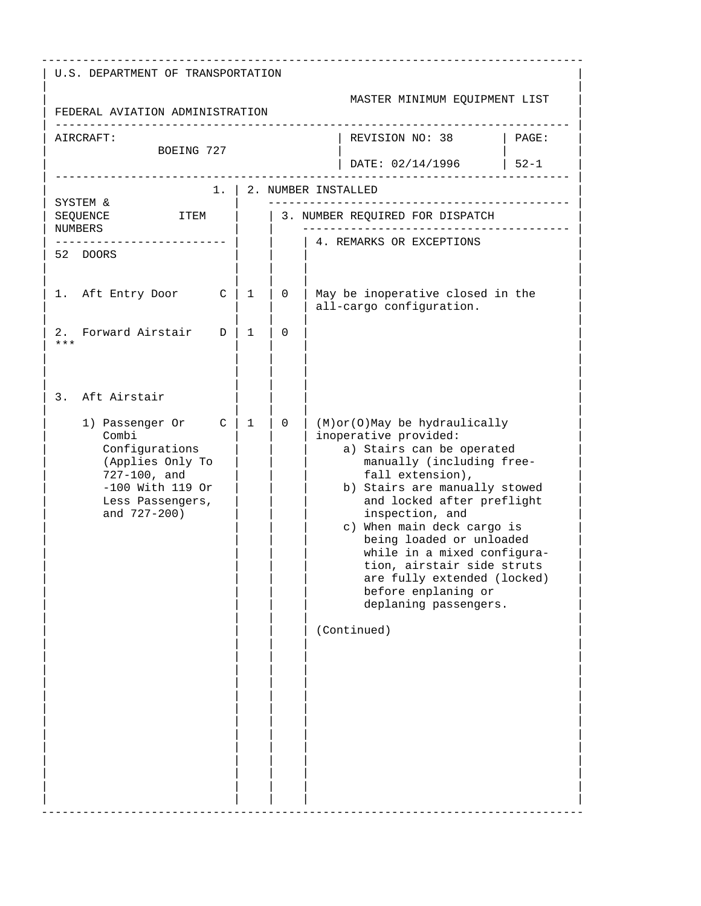| U.S. DEPARTMENT OF TRANSPORTATION                                                                                                               |              |                        | MASTER MINIMUM EQUIPMENT LIST                                                                                                                                                                                                                                                                                                                                                                                                              |  |  |  |  |  |
|-------------------------------------------------------------------------------------------------------------------------------------------------|--------------|------------------------|--------------------------------------------------------------------------------------------------------------------------------------------------------------------------------------------------------------------------------------------------------------------------------------------------------------------------------------------------------------------------------------------------------------------------------------------|--|--|--|--|--|
| FEDERAL AVIATION ADMINISTRATION                                                                                                                 |              |                        |                                                                                                                                                                                                                                                                                                                                                                                                                                            |  |  |  |  |  |
| AIRCRAFT:<br>BOEING 727                                                                                                                         |              |                        | REVISION NO: 38<br>$\mathtt{PAGE}$ :                                                                                                                                                                                                                                                                                                                                                                                                       |  |  |  |  |  |
|                                                                                                                                                 |              |                        | DATE: 02/14/1996   52-1                                                                                                                                                                                                                                                                                                                                                                                                                    |  |  |  |  |  |
| SYSTEM &                                                                                                                                        |              | 1. 2. NUMBER INSTALLED |                                                                                                                                                                                                                                                                                                                                                                                                                                            |  |  |  |  |  |
| SEQUENCE<br>ITEM<br>NUMBERS                                                                                                                     |              |                        | 3. NUMBER REQUIRED FOR DISPATCH                                                                                                                                                                                                                                                                                                                                                                                                            |  |  |  |  |  |
|                                                                                                                                                 |              |                        | 4. REMARKS OR EXCEPTIONS                                                                                                                                                                                                                                                                                                                                                                                                                   |  |  |  |  |  |
| 52 DOORS                                                                                                                                        |              |                        |                                                                                                                                                                                                                                                                                                                                                                                                                                            |  |  |  |  |  |
| 1. Aft Entry Door C                                                                                                                             | $\mathbf{1}$ | $\mathbf 0$            | May be inoperative closed in the<br>all-cargo configuration.                                                                                                                                                                                                                                                                                                                                                                               |  |  |  |  |  |
| Forward Airstair<br>2.<br>D<br>$***$                                                                                                            | 1            | $\Omega$               |                                                                                                                                                                                                                                                                                                                                                                                                                                            |  |  |  |  |  |
| Aft Airstair<br>3.                                                                                                                              |              |                        |                                                                                                                                                                                                                                                                                                                                                                                                                                            |  |  |  |  |  |
| 1) Passenger Or C<br>Combi<br>Configurations<br>(Applies Only To<br>727-100, and<br>$-100$ With 119 Or<br>Less Passengers,<br>and $727 - 200$ ) | $\mathbf{1}$ | $\mathbf 0$            | (M)or(O)May be hydraulically<br>inoperative provided:<br>a) Stairs can be operated<br>manually (including free-<br>fall extension),<br>b) Stairs are manually stowed<br>and locked after preflight<br>inspection, and<br>c) When main deck cargo is<br>being loaded or unloaded<br>while in a mixed configura-<br>tion, airstair side struts<br>are fully extended (locked)<br>before enplaning or<br>deplaning passengers.<br>(Continued) |  |  |  |  |  |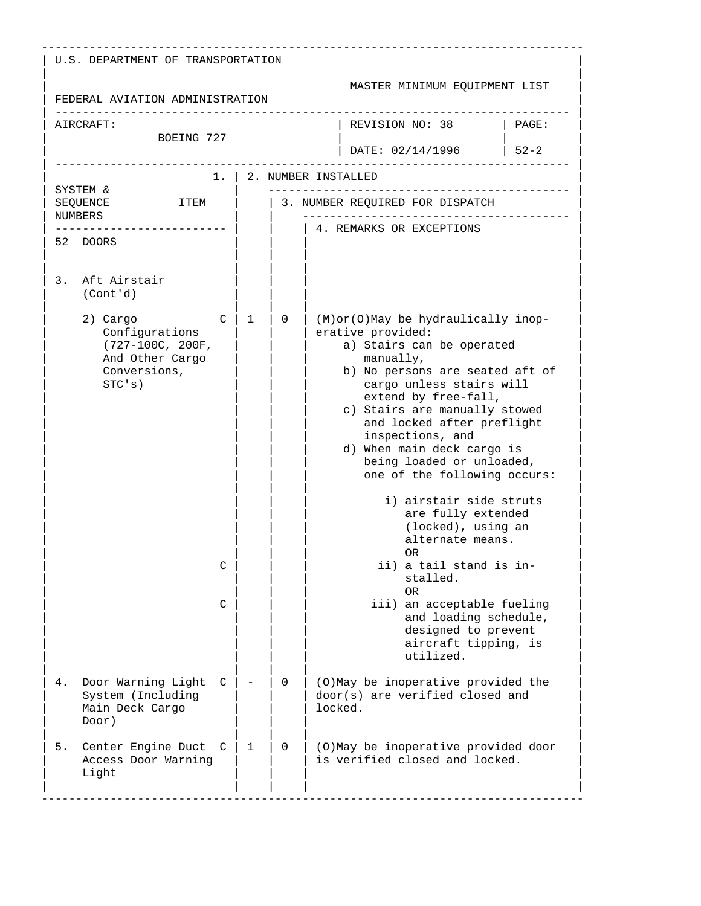|    | U.S. DEPARTMENT OF TRANSPORTATION                                                                |                        |              |              |                                                                                                                                                                                                                                                                                                                                                                                                                                                                                                                                                                                                                                         |
|----|--------------------------------------------------------------------------------------------------|------------------------|--------------|--------------|-----------------------------------------------------------------------------------------------------------------------------------------------------------------------------------------------------------------------------------------------------------------------------------------------------------------------------------------------------------------------------------------------------------------------------------------------------------------------------------------------------------------------------------------------------------------------------------------------------------------------------------------|
|    | FEDERAL AVIATION ADMINISTRATION                                                                  |                        |              |              | MASTER MINIMUM EQUIPMENT LIST                                                                                                                                                                                                                                                                                                                                                                                                                                                                                                                                                                                                           |
|    | AIRCRAFT:<br>BOEING 727                                                                          |                        |              |              | REVISION NO: 38<br>PAGE:                                                                                                                                                                                                                                                                                                                                                                                                                                                                                                                                                                                                                |
|    |                                                                                                  |                        |              |              | DATE: 02/14/1996<br>$ 52-2 $                                                                                                                                                                                                                                                                                                                                                                                                                                                                                                                                                                                                            |
|    | SYSTEM &                                                                                         |                        |              |              | 1.   2. NUMBER INSTALLED                                                                                                                                                                                                                                                                                                                                                                                                                                                                                                                                                                                                                |
|    | SEQUENCE<br>ITEM<br>NUMBERS                                                                      |                        |              |              | 3. NUMBER REQUIRED FOR DISPATCH                                                                                                                                                                                                                                                                                                                                                                                                                                                                                                                                                                                                         |
|    | 52 DOORS                                                                                         |                        |              |              | 4. REMARKS OR EXCEPTIONS                                                                                                                                                                                                                                                                                                                                                                                                                                                                                                                                                                                                                |
| 3. | Aft Airstair<br>(Cont d)                                                                         |                        |              |              |                                                                                                                                                                                                                                                                                                                                                                                                                                                                                                                                                                                                                                         |
|    | 2) Cargo<br>Configurations<br>$(727-100C, 200F,$<br>And Other Cargo<br>Conversions,<br>$STC'S$ ) | $\mathbb{C}$<br>C<br>C | <sup>1</sup> | $\Omega$     | (M)or(O)May be hydraulically inop-<br>erative provided:<br>a) Stairs can be operated<br>manually,<br>b) No persons are seated aft of<br>cargo unless stairs will<br>extend by free-fall,<br>c) Stairs are manually stowed<br>and locked after preflight<br>inspections, and<br>d) When main deck cargo is<br>being loaded or unloaded,<br>one of the following occurs:<br>i) airstair side struts<br>are fully extended<br>(locked), using an<br>alternate means.<br>0R<br>ii) a tail stand is in-<br>stalled.<br>0R<br>iii) an acceptable fueling<br>and loading schedule,<br>designed to prevent<br>aircraft tipping, is<br>utilized. |
| 4. | Door Warning Light<br>System (Including<br>Main Deck Cargo<br>Door)                              | C                      |              | $\Omega$     | (0) May be inoperative provided the<br>door(s) are verified closed and<br>locked.                                                                                                                                                                                                                                                                                                                                                                                                                                                                                                                                                       |
| 5. | Center Engine Duct C<br>Access Door Warning<br>Light                                             |                        | $\mathbf{1}$ | $\mathbf{0}$ | (0) May be inoperative provided door<br>is verified closed and locked.                                                                                                                                                                                                                                                                                                                                                                                                                                                                                                                                                                  |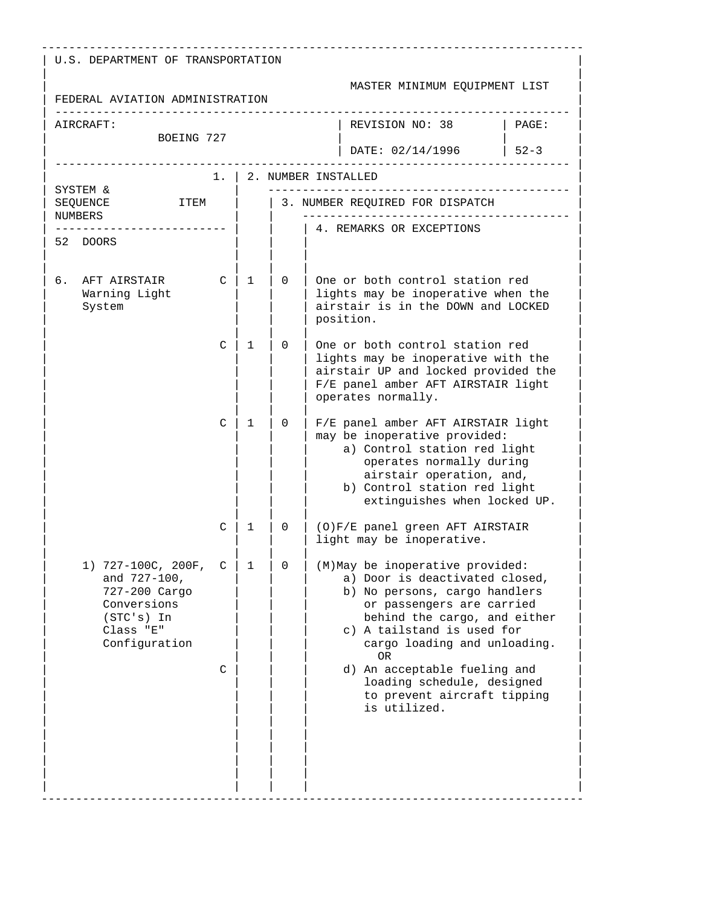|                             | U.S. DEPARTMENT OF TRANSPORTATION                                                                                |               |                |                                 | MASTER MINIMUM EQUIPMENT LIST                                                                                                                                                                                                        |  |  |  |  |
|-----------------------------|------------------------------------------------------------------------------------------------------------------|---------------|----------------|---------------------------------|--------------------------------------------------------------------------------------------------------------------------------------------------------------------------------------------------------------------------------------|--|--|--|--|
|                             | FEDERAL AVIATION ADMINISTRATION                                                                                  |               |                |                                 |                                                                                                                                                                                                                                      |  |  |  |  |
|                             | AIRCRAFT:<br>BOEING 727                                                                                          |               |                |                                 | REVISION NO: 38<br>PAGE:                                                                                                                                                                                                             |  |  |  |  |
|                             |                                                                                                                  |               |                |                                 | DATE: 02/14/1996<br>$52 - 3$                                                                                                                                                                                                         |  |  |  |  |
|                             | <b>SYSTEM &amp;</b>                                                                                              |               |                |                                 | 1. 2. NUMBER INSTALLED                                                                                                                                                                                                               |  |  |  |  |
| SEQUENCE<br>ITEM<br>NUMBERS |                                                                                                                  |               |                | 3. NUMBER REOUIRED FOR DISPATCH |                                                                                                                                                                                                                                      |  |  |  |  |
|                             | 52 DOORS                                                                                                         |               |                |                                 | 4. REMARKS OR EXCEPTIONS                                                                                                                                                                                                             |  |  |  |  |
|                             |                                                                                                                  |               |                |                                 |                                                                                                                                                                                                                                      |  |  |  |  |
| б.                          | AFT AIRSTAIR<br>Warning Light<br>System                                                                          | $\mathcal{C}$ | 1              | $\Omega$                        | One or both control station red<br>lights may be inoperative when the<br>airstair is in the DOWN and LOCKED<br>position.                                                                                                             |  |  |  |  |
|                             |                                                                                                                  | $\mathcal{C}$ | $\mathbf{1}$   | $\Omega$                        | One or both control station red<br>lights may be inoperative with the<br>airstair UP and locked provided the<br>F/E panel amber AFT AIRSTAIR light<br>operates normally.                                                             |  |  |  |  |
|                             |                                                                                                                  | $\mathcal{C}$ | $\overline{1}$ | $\Omega$                        | F/E panel amber AFT AIRSTAIR light<br>may be inoperative provided:<br>a) Control station red light<br>operates normally during<br>airstair operation, and,<br>b) Control station red light<br>extinguishes when locked UP.           |  |  |  |  |
|                             |                                                                                                                  | C             | 1              | $\mathbf{0}$                    | (O)F/E panel green AFT AIRSTAIR<br>light may be inoperative.                                                                                                                                                                         |  |  |  |  |
|                             | 1) 727-100C, 200F,<br>and 727-100,<br>727-200 Cargo<br>Conversions<br>$(STC's)$ In<br>Class "E"<br>Configuration | C             | 1              | 0                               | (M) May be inoperative provided:<br>a) Door is deactivated closed,<br>b) No persons, cargo handlers<br>or passengers are carried<br>behind the cargo, and either<br>c) A tailstand is used for<br>cargo loading and unloading.<br>OR |  |  |  |  |
|                             |                                                                                                                  | C             |                |                                 | d) An acceptable fueling and<br>loading schedule, designed<br>to prevent aircraft tipping<br>is utilized.                                                                                                                            |  |  |  |  |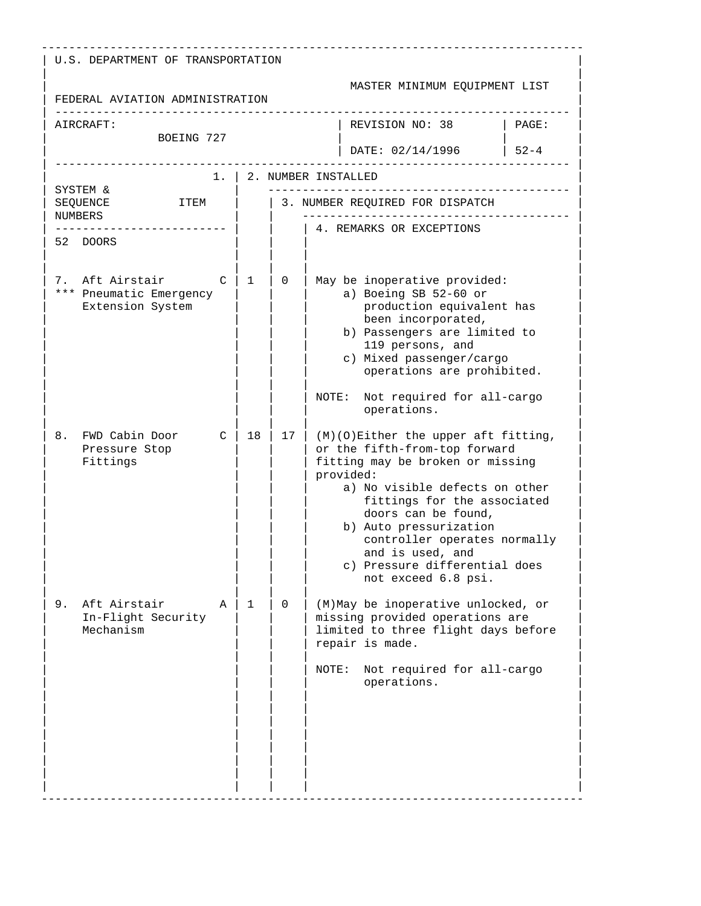|                             | U.S. DEPARTMENT OF TRANSPORTATION                                            |              |                        |                                                                                                                                                                                                                                                                                                                                                     |           |  |  |  |  |
|-----------------------------|------------------------------------------------------------------------------|--------------|------------------------|-----------------------------------------------------------------------------------------------------------------------------------------------------------------------------------------------------------------------------------------------------------------------------------------------------------------------------------------------------|-----------|--|--|--|--|
|                             | FEDERAL AVIATION ADMINISTRATION                                              |              |                        | MASTER MINIMUM EQUIPMENT LIST                                                                                                                                                                                                                                                                                                                       |           |  |  |  |  |
|                             | AIRCRAFT:<br>BOEING 727                                                      |              |                        | REVISION NO: 38                                                                                                                                                                                                                                                                                                                                     | PAGE:     |  |  |  |  |
|                             |                                                                              |              |                        | DATE: 02/14/1996                                                                                                                                                                                                                                                                                                                                    | $152 - 4$ |  |  |  |  |
|                             | SYSTEM &                                                                     |              | 1. 2. NUMBER INSTALLED |                                                                                                                                                                                                                                                                                                                                                     |           |  |  |  |  |
| SEQUENCE<br>ITEM<br>NUMBERS |                                                                              |              |                        | 3. NUMBER REQUIRED FOR DISPATCH<br>4. REMARKS OR EXCEPTIONS                                                                                                                                                                                                                                                                                         |           |  |  |  |  |
|                             | 52 DOORS                                                                     |              |                        |                                                                                                                                                                                                                                                                                                                                                     |           |  |  |  |  |
| 7.                          | Aft Airstair<br>$\mathcal{C}$<br>*** Pneumatic Emergency<br>Extension System | 1            | $\mathbf 0$            | May be inoperative provided:<br>a) Boeing SB 52-60 or<br>production equivalent has<br>been incorporated,<br>b) Passengers are limited to<br>119 persons, and<br>c) Mixed passenger/cargo<br>operations are prohibited.                                                                                                                              |           |  |  |  |  |
|                             |                                                                              |              |                        | Not required for all-cargo<br>NOTE:<br>operations.                                                                                                                                                                                                                                                                                                  |           |  |  |  |  |
| 8.                          | FWD Cabin Door<br>$\mathcal{C}$<br>Pressure Stop<br>Fittings                 | 18           | 17                     | (M)(O)Either the upper aft fitting,<br>or the fifth-from-top forward<br>fitting may be broken or missing<br>provided:<br>a) No visible defects on other<br>fittings for the associated<br>doors can be found,<br>b) Auto pressurization<br>controller operates normally<br>and is used, and<br>c) Pressure differential does<br>not exceed 6.8 psi. |           |  |  |  |  |
| 9.                          | Aft Airstair<br>A<br>In-Flight Security<br>Mechanism                         | $\mathbf{1}$ | 0                      | (M)May be inoperative unlocked, or<br>missing provided operations are<br>limited to three flight days before<br>repair is made.<br>Not required for all-cargo<br>NOTE:<br>operations.                                                                                                                                                               |           |  |  |  |  |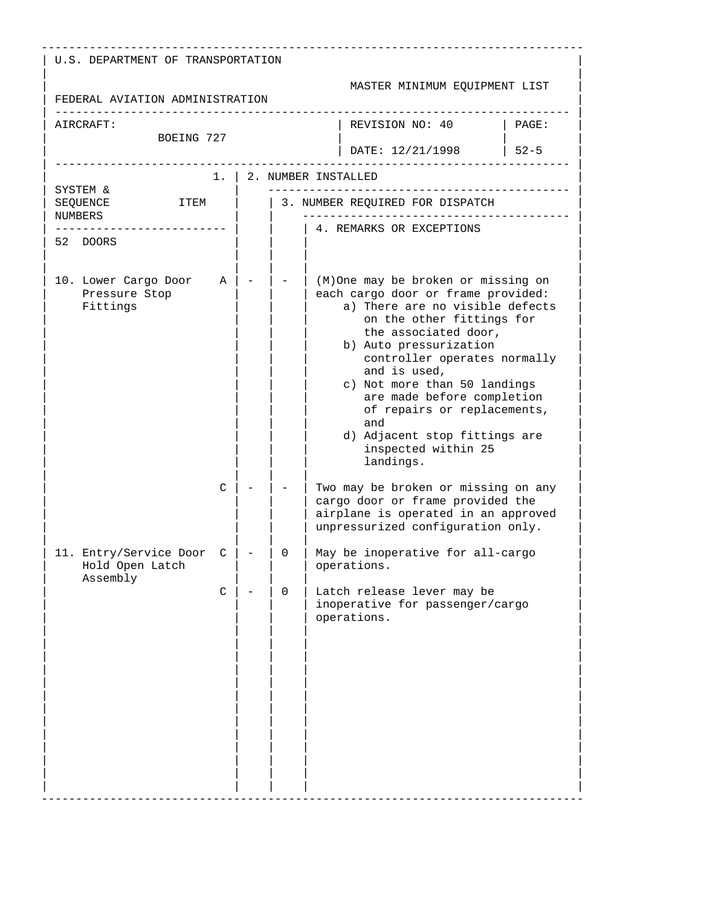| U.S. DEPARTMENT OF TRANSPORTATION                     |              |                          |                                                                                                                                                                                                                                                                                                                                                                                                                      |  |  |  |  |  |
|-------------------------------------------------------|--------------|--------------------------|----------------------------------------------------------------------------------------------------------------------------------------------------------------------------------------------------------------------------------------------------------------------------------------------------------------------------------------------------------------------------------------------------------------------|--|--|--|--|--|
| FEDERAL AVIATION ADMINISTRATION                       |              |                          | MASTER MINIMUM EQUIPMENT LIST                                                                                                                                                                                                                                                                                                                                                                                        |  |  |  |  |  |
| AIRCRAFT:                                             | BOEING 727   |                          | REVISION NO: 40<br>PAGE:                                                                                                                                                                                                                                                                                                                                                                                             |  |  |  |  |  |
|                                                       |              |                          | DATE: 12/21/1998<br>$52 - 5$                                                                                                                                                                                                                                                                                                                                                                                         |  |  |  |  |  |
| SYSTEM &                                              |              | 1.   2. NUMBER INSTALLED |                                                                                                                                                                                                                                                                                                                                                                                                                      |  |  |  |  |  |
| SEQUENCE<br>ITEM<br>NUMBERS                           |              |                          | 3. NUMBER REQUIRED FOR DISPATCH                                                                                                                                                                                                                                                                                                                                                                                      |  |  |  |  |  |
| 52 DOORS                                              |              |                          | 4. REMARKS OR EXCEPTIONS                                                                                                                                                                                                                                                                                                                                                                                             |  |  |  |  |  |
| 10. Lower Cargo Door A<br>Pressure Stop<br>Fittings   |              |                          | (M) One may be broken or missing on<br>each cargo door or frame provided:<br>a) There are no visible defects<br>on the other fittings for<br>the associated door,<br>b) Auto pressurization<br>controller operates normally<br>and is used,<br>c) Not more than 50 landings<br>are made before completion<br>of repairs or replacements,<br>and<br>d) Adjacent stop fittings are<br>inspected within 25<br>landings. |  |  |  |  |  |
|                                                       | $\mathsf{C}$ |                          | Two may be broken or missing on any<br>cargo door or frame provided the<br>airplane is operated in an approved<br>unpressurized configuration only.                                                                                                                                                                                                                                                                  |  |  |  |  |  |
| 11. Entry/Service Door<br>Hold Open Latch<br>Assembly | C            | 0                        | May be inoperative for all-cargo<br>operations.                                                                                                                                                                                                                                                                                                                                                                      |  |  |  |  |  |
|                                                       | C            | $\mathsf{O}\xspace$      | Latch release lever may be<br>inoperative for passenger/cargo<br>operations.                                                                                                                                                                                                                                                                                                                                         |  |  |  |  |  |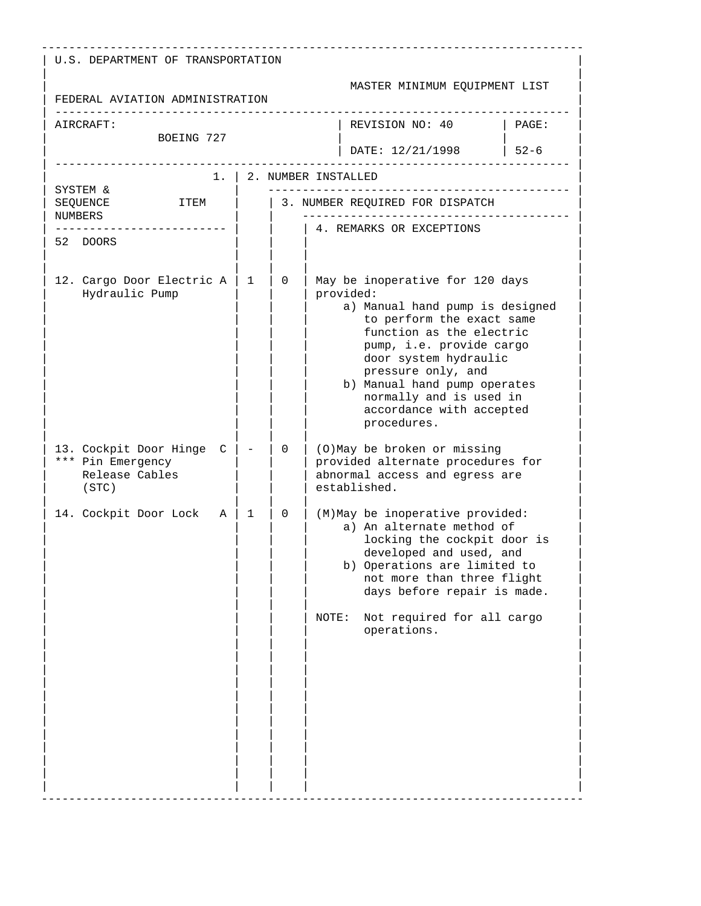| U.S. DEPARTMENT OF TRANSPORTATION                                        |              |             |                                                                                                                                                                                                                                                                                                                           |
|--------------------------------------------------------------------------|--------------|-------------|---------------------------------------------------------------------------------------------------------------------------------------------------------------------------------------------------------------------------------------------------------------------------------------------------------------------------|
| FEDERAL AVIATION ADMINISTRATION                                          |              |             | MASTER MINIMUM EQUIPMENT LIST                                                                                                                                                                                                                                                                                             |
| AIRCRAFT:<br>BOEING 727                                                  |              |             | REVISION NO: 40<br>PAGE:                                                                                                                                                                                                                                                                                                  |
|                                                                          |              |             | DATE: 12/21/1998<br>$152-6$                                                                                                                                                                                                                                                                                               |
| SYSTEM &                                                                 |              |             | 1.   2. NUMBER INSTALLED                                                                                                                                                                                                                                                                                                  |
| SEQUENCE<br>ITEM<br>NUMBERS                                              |              |             | 3. NUMBER REQUIRED FOR DISPATCH                                                                                                                                                                                                                                                                                           |
| 52 DOORS                                                                 |              |             | 4. REMARKS OR EXCEPTIONS                                                                                                                                                                                                                                                                                                  |
| 12. Cargo Door Electric A<br>Hydraulic Pump                              | $\mathbf{1}$ | $\mathbf 0$ | May be inoperative for 120 days<br>provided:<br>a) Manual hand pump is designed<br>to perform the exact same<br>function as the electric<br>pump, i.e. provide cargo<br>door system hydraulic<br>pressure only, and<br>b) Manual hand pump operates<br>normally and is used in<br>accordance with accepted<br>procedures. |
| 13. Cockpit Door Hinge C<br>*** Pin Emergency<br>Release Cables<br>(STC) |              | $\Omega$    | (0) May be broken or missing<br>provided alternate procedures for<br>abnormal access and egress are<br>established.                                                                                                                                                                                                       |
| 14. Cockpit Door Lock A                                                  | - 1          | 0           | (M) May be inoperative provided:<br>a) An alternate method of<br>locking the cockpit door is<br>developed and used, and<br>b) Operations are limited to<br>not more than three flight<br>days before repair is made.<br>Not required for all cargo<br>NOTE:<br>operations.                                                |
|                                                                          |              |             |                                                                                                                                                                                                                                                                                                                           |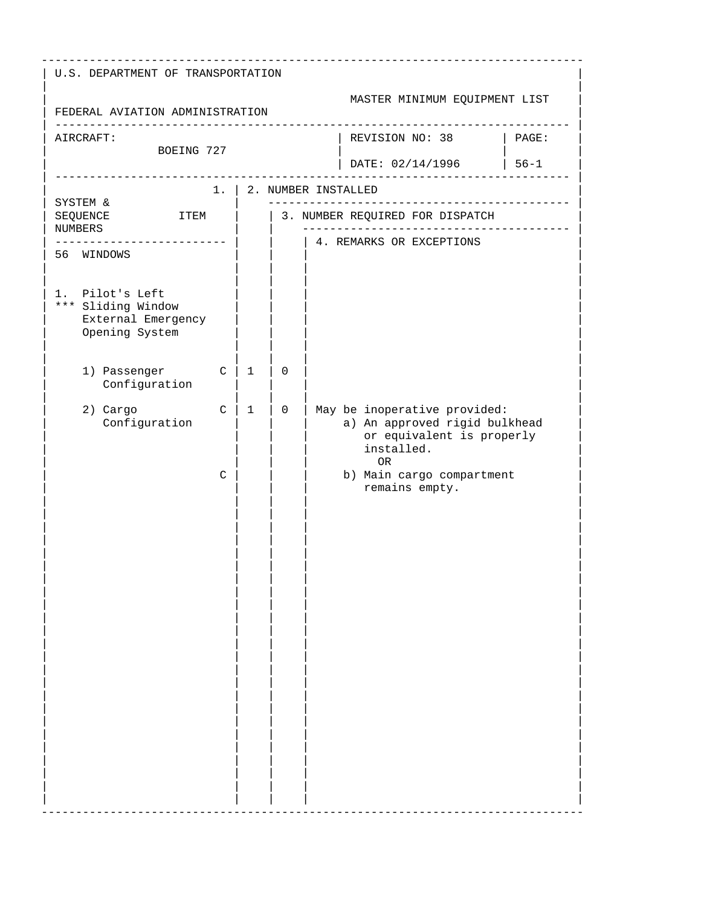| U.S. DEPARTMENT OF TRANSPORTATION                                             |                    |              |                          | MASTER MINIMUM EQUIPMENT LIST                                                                                                                      |  |  |  |  |  |
|-------------------------------------------------------------------------------|--------------------|--------------|--------------------------|----------------------------------------------------------------------------------------------------------------------------------------------------|--|--|--|--|--|
| FEDERAL AVIATION ADMINISTRATION                                               |                    |              |                          |                                                                                                                                                    |  |  |  |  |  |
| AIRCRAFT:<br>BOEING 727                                                       |                    |              |                          | REVISION NO: 38<br>PAGE:                                                                                                                           |  |  |  |  |  |
|                                                                               |                    |              |                          | DATE: 02/14/1996   56-1                                                                                                                            |  |  |  |  |  |
| SYSTEM &                                                                      |                    |              | 1.   2. NUMBER INSTALLED |                                                                                                                                                    |  |  |  |  |  |
| SEQUENCE<br>ITEM<br><b>NUMBERS</b>                                            |                    |              |                          | 3. NUMBER REQUIRED FOR DISPATCH                                                                                                                    |  |  |  |  |  |
| 56 WINDOWS                                                                    |                    |              |                          | 4. REMARKS OR EXCEPTIONS                                                                                                                           |  |  |  |  |  |
|                                                                               |                    |              |                          |                                                                                                                                                    |  |  |  |  |  |
| 1. Pilot's Left<br>*** Sliding Window<br>External Emergency<br>Opening System |                    |              |                          |                                                                                                                                                    |  |  |  |  |  |
| 1) Passenger<br>Configuration                                                 | $\vert$ $\vert$    | 1            | 0                        |                                                                                                                                                    |  |  |  |  |  |
| 2) Cargo<br>Configuration                                                     | $\mathcal{C}$<br>C | $\mathbf{1}$ | $\mathbf 0$              | May be inoperative provided:<br>a) An approved rigid bulkhead<br>or equivalent is properly<br>installed.<br><b>OR</b><br>b) Main cargo compartment |  |  |  |  |  |
|                                                                               |                    |              |                          | remains empty.                                                                                                                                     |  |  |  |  |  |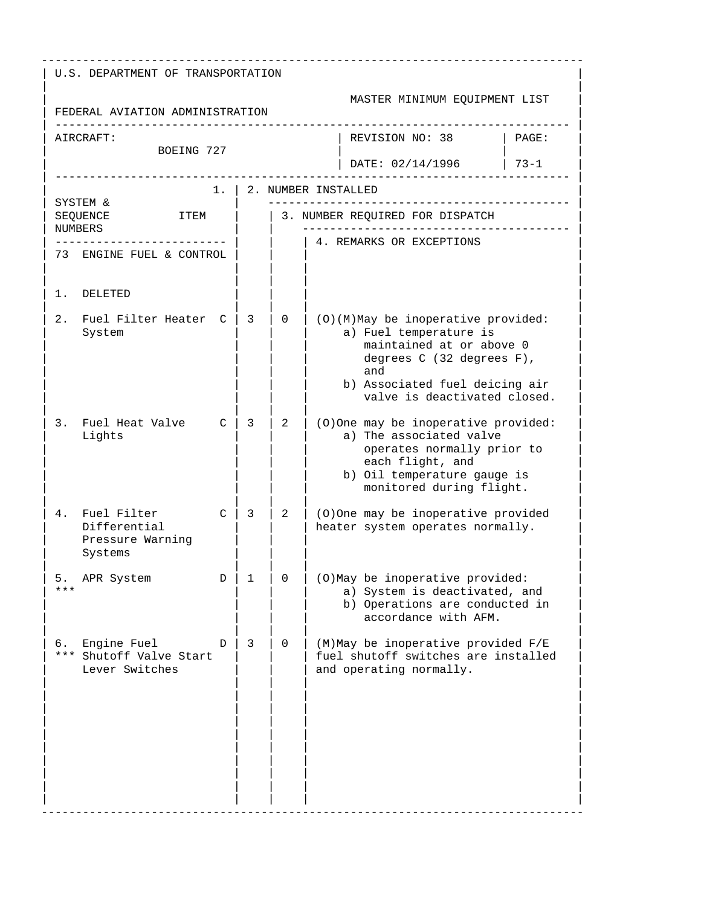| U.S. DEPARTMENT OF TRANSPORTATION                          |                                            |                                                                                  |                                 | MASTER MINIMUM EQUIPMENT LIST                                                                                                                                                                    |                        |  |  |  |  |
|------------------------------------------------------------|--------------------------------------------|----------------------------------------------------------------------------------|---------------------------------|--------------------------------------------------------------------------------------------------------------------------------------------------------------------------------------------------|------------------------|--|--|--|--|
|                                                            |                                            |                                                                                  |                                 |                                                                                                                                                                                                  |                        |  |  |  |  |
|                                                            |                                            |                                                                                  |                                 | REVISION NO: 38<br>PAGE:                                                                                                                                                                         |                        |  |  |  |  |
|                                                            |                                            |                                                                                  |                                 | DATE: 02/14/1996<br>$ 73-1 $                                                                                                                                                                     |                        |  |  |  |  |
|                                                            |                                            |                                                                                  |                                 |                                                                                                                                                                                                  |                        |  |  |  |  |
| <b>SYSTEM &amp;</b><br>SEQUENCE<br>ITEM                    |                                            |                                                                                  | 3. NUMBER REQUIRED FOR DISPATCH |                                                                                                                                                                                                  |                        |  |  |  |  |
|                                                            |                                            |                                                                                  |                                 | 4. REMARKS OR EXCEPTIONS                                                                                                                                                                         |                        |  |  |  |  |
|                                                            |                                            |                                                                                  |                                 |                                                                                                                                                                                                  |                        |  |  |  |  |
| DELETED                                                    |                                            |                                                                                  |                                 |                                                                                                                                                                                                  |                        |  |  |  |  |
| System                                                     |                                            | $\overline{\mathbf{3}}$                                                          | $\Omega$                        | (0) (M) May be inoperative provided:<br>a) Fuel temperature is<br>maintained at or above 0<br>degrees C (32 degrees F),<br>and<br>b) Associated fuel deicing air<br>valve is deactivated closed. |                        |  |  |  |  |
| Fuel Heat Valve<br>Lights                                  |                                            | $\overline{3}$                                                                   | 2                               | (0) One may be inoperative provided:<br>a) The associated valve<br>operates normally prior to<br>each flight, and<br>b) Oil temperature gauge is<br>monitored during flight.                     |                        |  |  |  |  |
| Fuel Filter<br>Differential<br>Pressure Warning<br>Systems | $\mathcal{C}$                              | $\overline{\mathbf{3}}$                                                          | 2                               | (0) One may be inoperative provided<br>heater system operates normally.                                                                                                                          |                        |  |  |  |  |
| APR System                                                 | D                                          | 1                                                                                | 0                               | (0) May be inoperative provided:<br>a) System is deactivated, and<br>b) Operations are conducted in<br>accordance with AFM.                                                                      |                        |  |  |  |  |
| Engine Fuel<br>Shutoff Valve Start<br>Lever Switches       | D                                          | 3                                                                                | $\mathsf{O}\xspace$             | (M) May be inoperative provided F/E<br>fuel shutoff switches are installed<br>and operating normally.                                                                                            |                        |  |  |  |  |
|                                                            | AIRCRAFT:<br><b>NUMBERS</b><br>2.<br>* * * | BOEING 727<br>73 ENGINE FUEL & CONTROL<br>Fuel Filter Heater C<br>$\overline{C}$ | FEDERAL AVIATION ADMINISTRATION |                                                                                                                                                                                                  | 1. 2. NUMBER INSTALLED |  |  |  |  |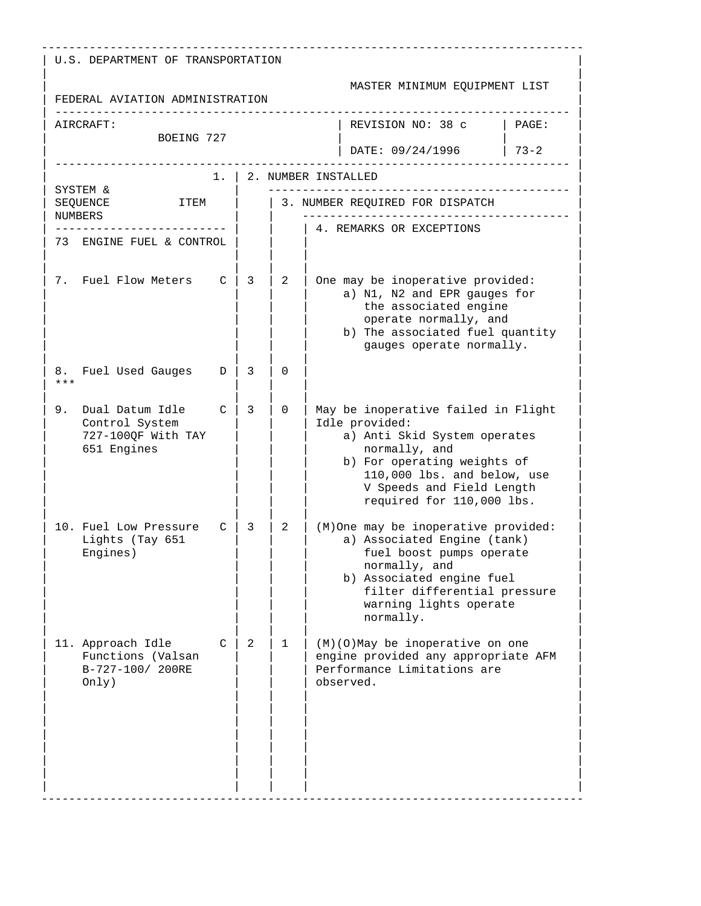| U.S. DEPARTMENT OF TRANSPORTATION                                            |               |                         |                                                           |                                                                                                                                                                                                                                |                   |  |  |  |  |
|------------------------------------------------------------------------------|---------------|-------------------------|-----------------------------------------------------------|--------------------------------------------------------------------------------------------------------------------------------------------------------------------------------------------------------------------------------|-------------------|--|--|--|--|
| MASTER MINIMUM EQUIPMENT LIST<br>FEDERAL AVIATION ADMINISTRATION             |               |                         |                                                           |                                                                                                                                                                                                                                |                   |  |  |  |  |
| AIRCRAFT:<br>BOEING 727                                                      |               |                         |                                                           | REVISION NO: 38 c                                                                                                                                                                                                              | $\mathtt{PAGE}$ : |  |  |  |  |
|                                                                              |               |                         |                                                           | DATE: 09/24/1996                                                                                                                                                                                                               | $ 73-2 $          |  |  |  |  |
| SYSTEM &<br>SEQUENCE                                                         | ITEM          |                         | 1. 2. NUMBER INSTALLED<br>3. NUMBER REQUIRED FOR DISPATCH |                                                                                                                                                                                                                                |                   |  |  |  |  |
| NUMBERS                                                                      |               |                         |                                                           | 4. REMARKS OR EXCEPTIONS                                                                                                                                                                                                       |                   |  |  |  |  |
| 73 ENGINE FUEL & CONTROL                                                     |               |                         |                                                           |                                                                                                                                                                                                                                |                   |  |  |  |  |
| Fuel Flow Meters<br>7.                                                       | $\mathcal{C}$ | $\overline{\mathbf{3}}$ | 2                                                         | One may be inoperative provided:<br>a) N1, N2 and EPR gauges for<br>the associated engine<br>operate normally, and<br>b) The associated fuel quantity<br>gauges operate normally.                                              |                   |  |  |  |  |
| Fuel Used Gauges<br>8.<br>$***$                                              | D             | $\overline{3}$          | $\Omega$                                                  |                                                                                                                                                                                                                                |                   |  |  |  |  |
| Dual Datum Idle<br>9.<br>Control System<br>727-100QF With TAY<br>651 Engines | $\mathcal{C}$ | $\overline{3}$          | 0                                                         | May be inoperative failed in Flight<br>Idle provided:<br>a) Anti Skid System operates<br>normally, and<br>b) For operating weights of<br>110,000 lbs. and below, use<br>V Speeds and Field Length<br>required for 110,000 lbs. |                   |  |  |  |  |
| 10. Fuel Low Pressure<br>Lights (Tay 651<br>Engines)                         | $\mathcal{C}$ | 3                       | 2                                                         | (M) One may be inoperative provided:<br>a) Associated Engine (tank)<br>fuel boost pumps operate<br>normally, and<br>b) Associated engine fuel<br>filter differential pressure<br>warning lights operate<br>normally.           |                   |  |  |  |  |
| 11. Approach Idle<br>Functions (Valsan<br>B-727-100/ 200RE<br>Only)          | C             | 2                       | $\mathbf 1$                                               | (M)(O)May be inoperative on one<br>engine provided any appropriate AFM<br>Performance Limitations are<br>observed.                                                                                                             |                   |  |  |  |  |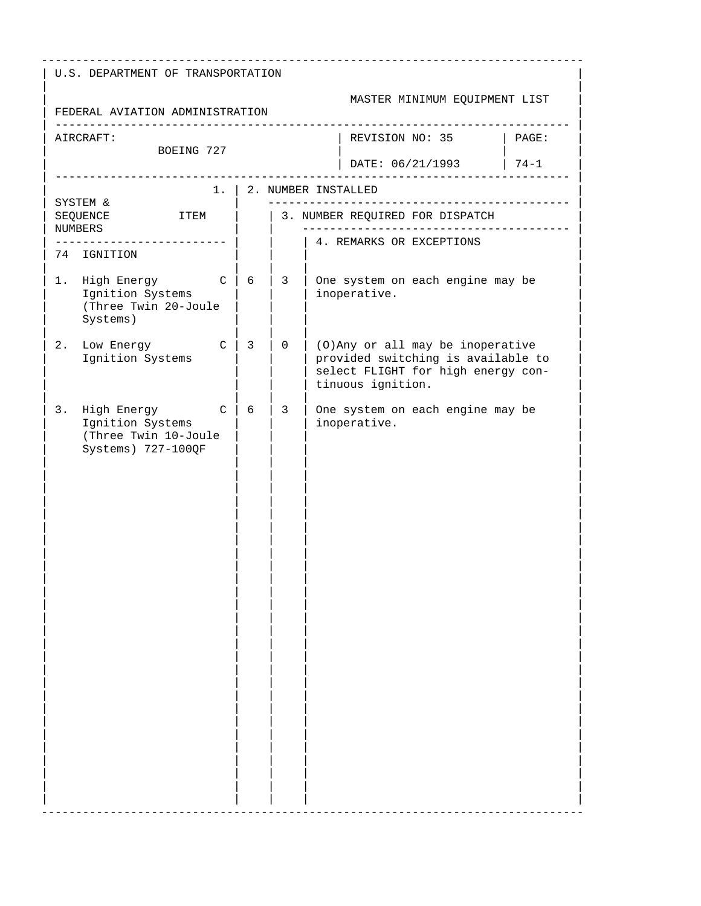| U.S. DEPARTMENT OF TRANSPORTATION<br>MASTER MINIMUM EQUIPMENT LIST<br>FEDERAL AVIATION ADMINISTRATION |                |                                                   |                                                                                                                                    |                   |  |  |  |  |
|-------------------------------------------------------------------------------------------------------|----------------|---------------------------------------------------|------------------------------------------------------------------------------------------------------------------------------------|-------------------|--|--|--|--|
| AIRCRAFT:<br>BOEING 727                                                                               |                |                                                   | REVISION NO: 35                                                                                                                    | $\mathtt{PAGE}$ : |  |  |  |  |
| SYSTEM &                                                                                              |                | DATE: 06/21/1993   74-1<br>1. 2. NUMBER INSTALLED |                                                                                                                                    |                   |  |  |  |  |
| SEQUENCE<br>ITEM<br><b>NUMBERS</b>                                                                    |                |                                                   | 3. NUMBER REQUIRED FOR DISPATCH<br>4. REMARKS OR EXCEPTIONS                                                                        |                   |  |  |  |  |
| 74 IGNITION                                                                                           |                |                                                   |                                                                                                                                    |                   |  |  |  |  |
| $\overline{C}$<br>1. High Energy<br>Ignition Systems<br>(Three Twin 20-Joule<br>Systems)              | 6              | $\overline{3}$                                    | One system on each engine may be<br>inoperative.                                                                                   |                   |  |  |  |  |
| 2.<br>Low Energy<br>$\mathcal{C}$<br>Ignition Systems                                                 | $\overline{3}$ | $\Omega$                                          | (0) Any or all may be inoperative<br>provided switching is available to<br>select FLIGHT for high energy con-<br>tinuous ignition. |                   |  |  |  |  |
| High Energy<br>3.<br>$\overline{C}$<br>Ignition Systems<br>(Three Twin 10-Joule<br>Systems) 727-100QF | 6              | $\overline{\mathbf{3}}$                           | One system on each engine may be<br>inoperative.                                                                                   |                   |  |  |  |  |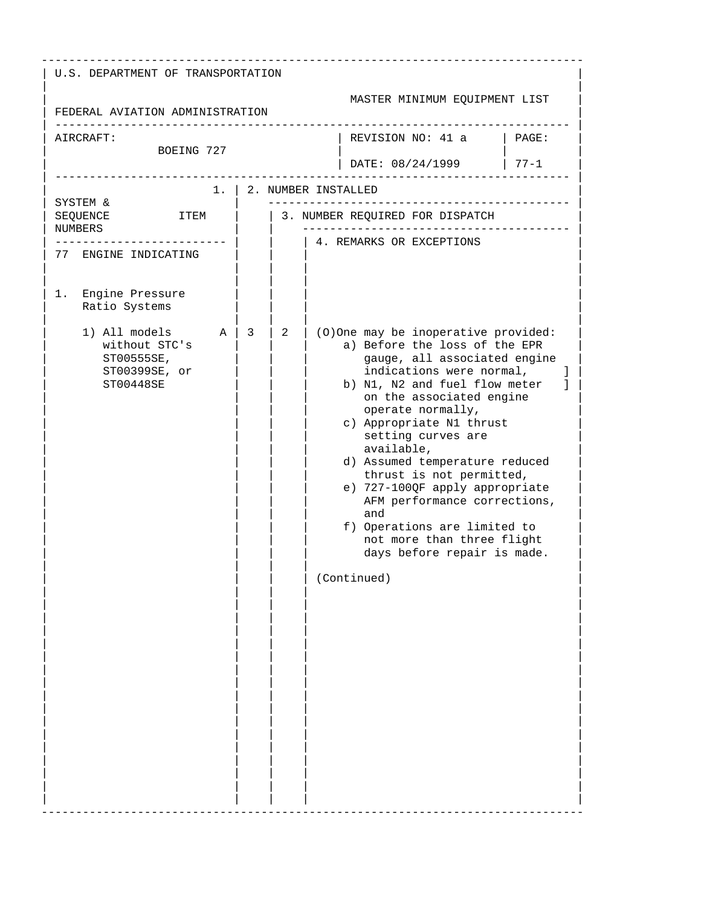| U.S. DEPARTMENT OF TRANSPORTATION<br>MASTER MINIMUM EQUIPMENT LIST<br>FEDERAL AVIATION ADMINISTRATION |                         |   |                                                                                                                                                                                                                                                                                                                                                                                                                                                                                                                                        |                   |  |  |  |
|-------------------------------------------------------------------------------------------------------|-------------------------|---|----------------------------------------------------------------------------------------------------------------------------------------------------------------------------------------------------------------------------------------------------------------------------------------------------------------------------------------------------------------------------------------------------------------------------------------------------------------------------------------------------------------------------------------|-------------------|--|--|--|
| AIRCRAFT:<br>BOEING 727                                                                               |                         |   | REVISION NO: 41 a<br>DATE: 08/24/1999                                                                                                                                                                                                                                                                                                                                                                                                                                                                                                  | PAGE:<br>$ 77-1 $ |  |  |  |
| SYSTEM &<br>SEQUENCE<br>ITEM<br><b>NUMBERS</b>                                                        |                         |   | 1. 2. NUMBER INSTALLED<br>3. NUMBER REQUIRED FOR DISPATCH<br>4. REMARKS OR EXCEPTIONS                                                                                                                                                                                                                                                                                                                                                                                                                                                  |                   |  |  |  |
| 77 ENGINE INDICATING<br>Engine Pressure<br>1.<br>Ratio Systems                                        |                         |   |                                                                                                                                                                                                                                                                                                                                                                                                                                                                                                                                        |                   |  |  |  |
| 1) All models A<br>without STC's<br>ST00555SE,<br>ST00399SE, or<br>ST00448SE                          | $\overline{\mathbf{3}}$ | 2 | (0) One may be inoperative provided:<br>a) Before the loss of the EPR<br>gauge, all associated engine<br>indications were normal,<br>b) N1, N2 and fuel flow meter<br>on the associated engine<br>operate normally,<br>c) Appropriate N1 thrust<br>setting curves are<br>available,<br>d) Assumed temperature reduced<br>thrust is not permitted,<br>e) 727-100QF apply appropriate<br>AFM performance corrections,<br>and<br>f) Operations are limited to<br>not more than three flight<br>days before repair is made.<br>(Continued) | 1                 |  |  |  |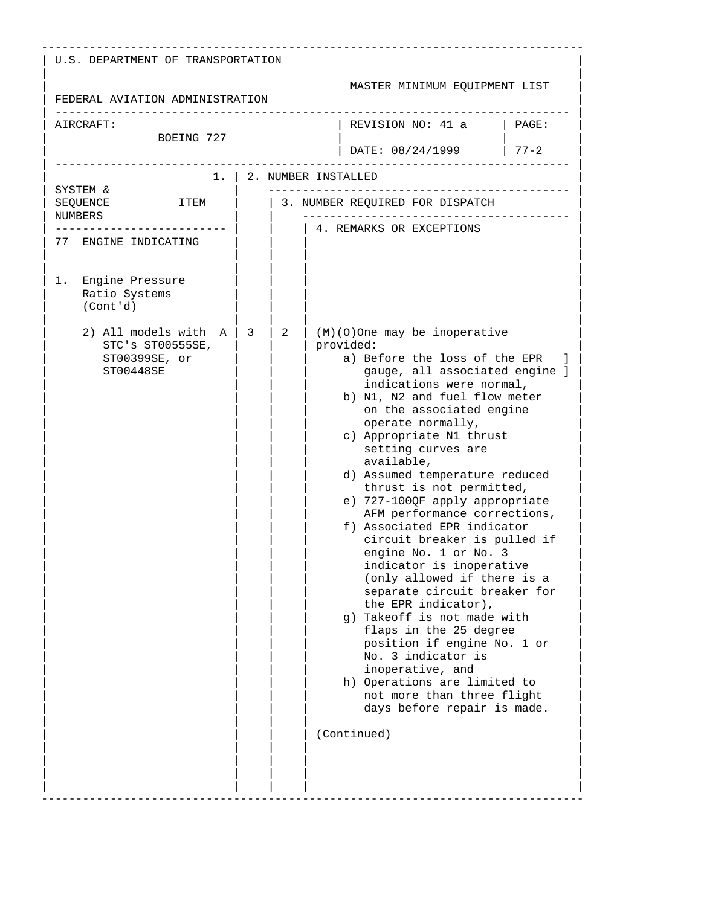| U.S. DEPARTMENT OF TRANSPORTATION<br>MASTER MINIMUM EQUIPMENT LIST     |                |                                 |                                                                                                                                                                                                                                                                                                                                                                                                                                                                                                                                                                                                                                                                                                                                                                                                                                                                                          |  |  |  |
|------------------------------------------------------------------------|----------------|---------------------------------|------------------------------------------------------------------------------------------------------------------------------------------------------------------------------------------------------------------------------------------------------------------------------------------------------------------------------------------------------------------------------------------------------------------------------------------------------------------------------------------------------------------------------------------------------------------------------------------------------------------------------------------------------------------------------------------------------------------------------------------------------------------------------------------------------------------------------------------------------------------------------------------|--|--|--|
| FEDERAL AVIATION ADMINISTRATION                                        |                |                                 |                                                                                                                                                                                                                                                                                                                                                                                                                                                                                                                                                                                                                                                                                                                                                                                                                                                                                          |  |  |  |
| AIRCRAFT:<br>BOEING 727                                                |                |                                 | REVISION NO: 41 a<br>$\mathsf I$ PAGE:                                                                                                                                                                                                                                                                                                                                                                                                                                                                                                                                                                                                                                                                                                                                                                                                                                                   |  |  |  |
|                                                                        |                | DATE: 08/24/1999<br>$ 77-2 $    |                                                                                                                                                                                                                                                                                                                                                                                                                                                                                                                                                                                                                                                                                                                                                                                                                                                                                          |  |  |  |
| SYSTEM &                                                               |                |                                 | 1.   2. NUMBER INSTALLED                                                                                                                                                                                                                                                                                                                                                                                                                                                                                                                                                                                                                                                                                                                                                                                                                                                                 |  |  |  |
| SEQUENCE<br>ITEM<br>NUMBERS                                            |                | 3. NUMBER REQUIRED FOR DISPATCH |                                                                                                                                                                                                                                                                                                                                                                                                                                                                                                                                                                                                                                                                                                                                                                                                                                                                                          |  |  |  |
| 77 ENGINE INDICATING                                                   |                |                                 | 4. REMARKS OR EXCEPTIONS                                                                                                                                                                                                                                                                                                                                                                                                                                                                                                                                                                                                                                                                                                                                                                                                                                                                 |  |  |  |
| Engine Pressure<br>1.<br>Ratio Systems<br>(Cont d)                     |                |                                 |                                                                                                                                                                                                                                                                                                                                                                                                                                                                                                                                                                                                                                                                                                                                                                                                                                                                                          |  |  |  |
| 2) All models with A<br>STC's ST00555SE,<br>ST00399SE, or<br>ST00448SE | $\overline{3}$ | 2                               | (M)(0)One may be inoperative<br>provided:<br>a) Before the loss of the EPR<br>-1<br>gauge, all associated engine ]<br>indications were normal,<br>b) N1, N2 and fuel flow meter<br>on the associated engine<br>operate normally,<br>c) Appropriate N1 thrust<br>setting curves are<br>available,<br>d) Assumed temperature reduced<br>thrust is not permitted,<br>e) 727-100QF apply appropriate<br>AFM performance corrections,<br>f) Associated EPR indicator<br>circuit breaker is pulled if<br>engine No. 1 or No. 3<br>indicator is inoperative<br>(only allowed if there is a<br>separate circuit breaker for<br>the EPR indicator),<br>g) Takeoff is not made with<br>flaps in the 25 degree<br>position if engine No. 1 or<br>No. 3 indicator is<br>inoperative, and<br>h) Operations are limited to<br>not more than three flight<br>days before repair is made.<br>(Continued) |  |  |  |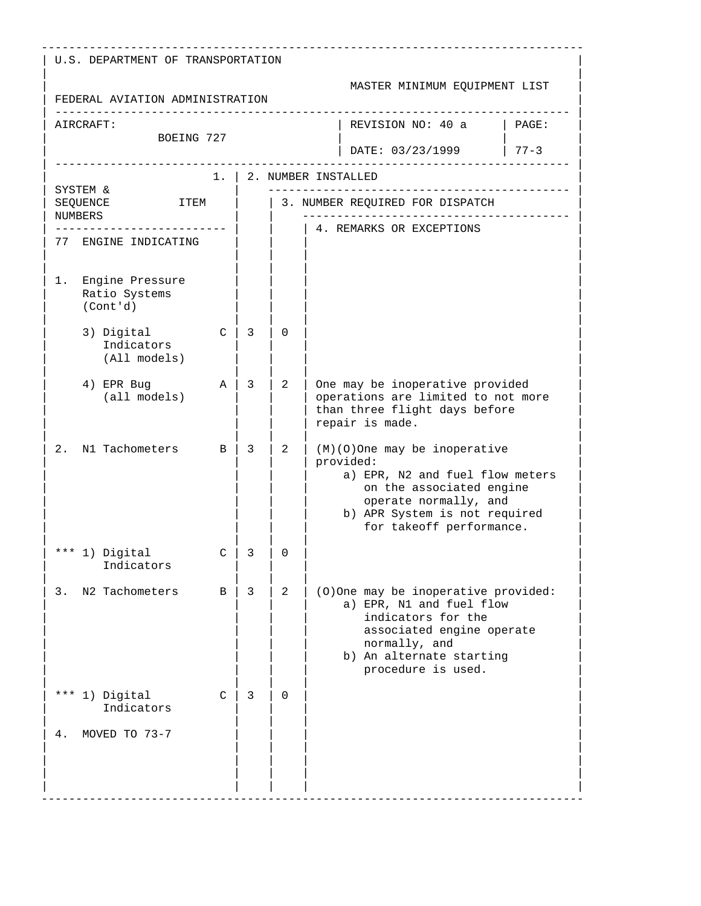|             | U.S. DEPARTMENT OF TRANSPORTATION                                |               |                |                                 |                                                                                                                                                                                                |  |  |  |  |  |
|-------------|------------------------------------------------------------------|---------------|----------------|---------------------------------|------------------------------------------------------------------------------------------------------------------------------------------------------------------------------------------------|--|--|--|--|--|
|             | MASTER MINIMUM EQUIPMENT LIST<br>FEDERAL AVIATION ADMINISTRATION |               |                |                                 |                                                                                                                                                                                                |  |  |  |  |  |
|             | AIRCRAFT:<br>BOEING 727                                          |               |                |                                 | REVISION NO: 40 a<br>$ $ PAGE:                                                                                                                                                                 |  |  |  |  |  |
|             |                                                                  |               |                | DATE: 03/23/1999   77-3         |                                                                                                                                                                                                |  |  |  |  |  |
|             | SYSTEM &                                                         |               |                | 1. 2. NUMBER INSTALLED          |                                                                                                                                                                                                |  |  |  |  |  |
|             | SEQUENCE<br>ITEM<br><b>NUMBERS</b>                               |               |                | 3. NUMBER REQUIRED FOR DISPATCH |                                                                                                                                                                                                |  |  |  |  |  |
|             | 77 ENGINE INDICATING                                             |               |                |                                 | 4. REMARKS OR EXCEPTIONS                                                                                                                                                                       |  |  |  |  |  |
| 1.          | Engine Pressure<br>Ratio Systems<br>(Cont d)                     |               |                |                                 |                                                                                                                                                                                                |  |  |  |  |  |
|             | 3) Digital<br>Indicators<br>(All models)                         | $\mathcal{C}$ | $\overline{3}$ | $\Omega$                        |                                                                                                                                                                                                |  |  |  |  |  |
|             | 4) EPR Bug<br>(all models)                                       | A             | $\overline{3}$ | $\overline{2}$                  | One may be inoperative provided<br>operations are limited to not more<br>than three flight days before<br>repair is made.                                                                      |  |  |  |  |  |
| 2.          | N1 Tachometers                                                   | $\mathbf{B}$  | $\overline{3}$ | $\overline{2}$                  | (M)(O)One may be inoperative<br>provided:<br>a) EPR, N2 and fuel flow meters<br>on the associated engine<br>operate normally, and<br>b) APR System is not required<br>for takeoff performance. |  |  |  |  |  |
| * * *       | 1) Digital<br>Indicators                                         | $\rm C$       | 3              | 0                               |                                                                                                                                                                                                |  |  |  |  |  |
| 3.          | N2 Tachometers                                                   | B             | 3              | 2                               | (0) One may be inoperative provided:<br>a) EPR, N1 and fuel flow<br>indicators for the<br>associated engine operate<br>normally, and<br>b) An alternate starting<br>procedure is used.         |  |  |  |  |  |
| $***$<br>4. | 1) Digital<br>Indicators<br>MOVED TO 73-7                        | C             | 3              | $\mathbf 0$                     |                                                                                                                                                                                                |  |  |  |  |  |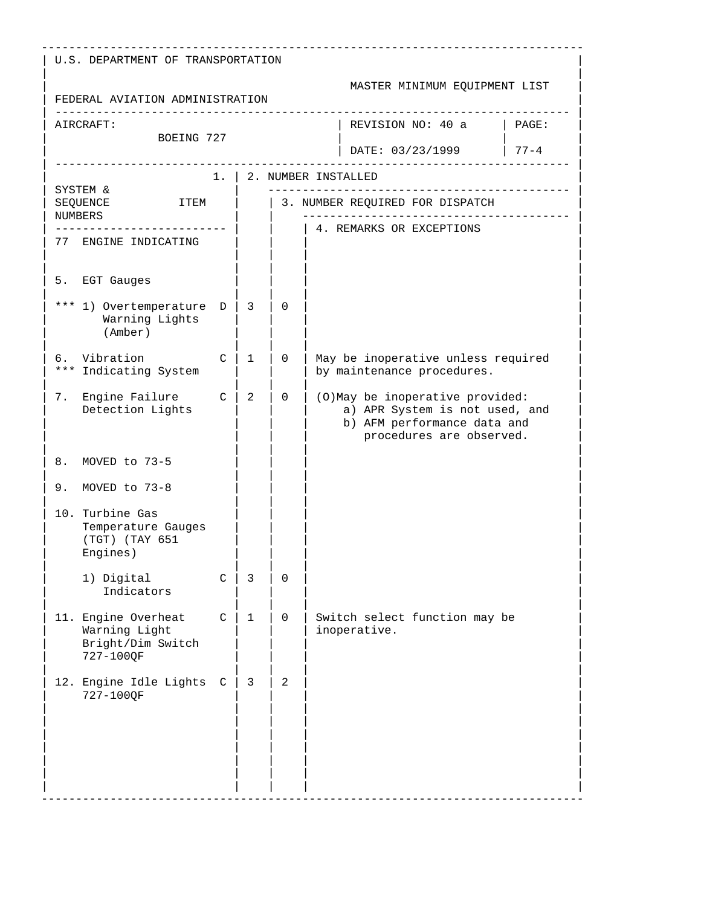| U.S. DEPARTMENT OF TRANSPORTATION             |                |                                                       |                            |                                                                                                                                                                                                                                                                                                                                                              |  |  |  |  |  |
|-----------------------------------------------|----------------|-------------------------------------------------------|----------------------------|--------------------------------------------------------------------------------------------------------------------------------------------------------------------------------------------------------------------------------------------------------------------------------------------------------------------------------------------------------------|--|--|--|--|--|
| FEDERAL AVIATION ADMINISTRATION               |                |                                                       |                            |                                                                                                                                                                                                                                                                                                                                                              |  |  |  |  |  |
|                                               |                |                                                       |                            |                                                                                                                                                                                                                                                                                                                                                              |  |  |  |  |  |
|                                               |                |                                                       |                            |                                                                                                                                                                                                                                                                                                                                                              |  |  |  |  |  |
|                                               |                |                                                       |                            |                                                                                                                                                                                                                                                                                                                                                              |  |  |  |  |  |
| ITEM                                          |                |                                                       |                            |                                                                                                                                                                                                                                                                                                                                                              |  |  |  |  |  |
| 77 ENGINE INDICATING                          |                |                                                       | 4. REMARKS OR EXCEPTIONS   |                                                                                                                                                                                                                                                                                                                                                              |  |  |  |  |  |
|                                               |                |                                                       |                            |                                                                                                                                                                                                                                                                                                                                                              |  |  |  |  |  |
| Warning Lights                                |                | 0                                                     |                            |                                                                                                                                                                                                                                                                                                                                                              |  |  |  |  |  |
| *** Indicating System                         | $\overline{1}$ | $\mathbf 0$                                           | by maintenance procedures. |                                                                                                                                                                                                                                                                                                                                                              |  |  |  |  |  |
| Detection Lights                              | $\overline{2}$ | $\mathbf 0$                                           |                            |                                                                                                                                                                                                                                                                                                                                                              |  |  |  |  |  |
|                                               |                |                                                       |                            |                                                                                                                                                                                                                                                                                                                                                              |  |  |  |  |  |
|                                               |                |                                                       |                            |                                                                                                                                                                                                                                                                                                                                                              |  |  |  |  |  |
| Temperature Gauges                            |                |                                                       |                            |                                                                                                                                                                                                                                                                                                                                                              |  |  |  |  |  |
| C                                             | 3              | $\mathbf 0$                                           |                            |                                                                                                                                                                                                                                                                                                                                                              |  |  |  |  |  |
| 11. Engine Overheat<br>C<br>Bright/Dim Switch | $\mathbf 1$    | $\mathsf 0$                                           | inoperative.               |                                                                                                                                                                                                                                                                                                                                                              |  |  |  |  |  |
| 12. Engine Idle Lights<br>C                   | 3              | 2                                                     |                            |                                                                                                                                                                                                                                                                                                                                                              |  |  |  |  |  |
|                                               | BOEING 727     | *** 1) Overtemperature D   3<br>C<br>Engine Failure C |                            | MASTER MINIMUM EQUIPMENT LIST<br>REVISION NO: 40 a   PAGE:<br>DATE: 03/23/1999   77-4<br>1.   2. NUMBER INSTALLED<br>3. NUMBER REQUIRED FOR DISPATCH<br>May be inoperative unless required<br>(0) May be inoperative provided:<br>a) APR System is not used, and<br>b) AFM performance data and<br>procedures are observed.<br>Switch select function may be |  |  |  |  |  |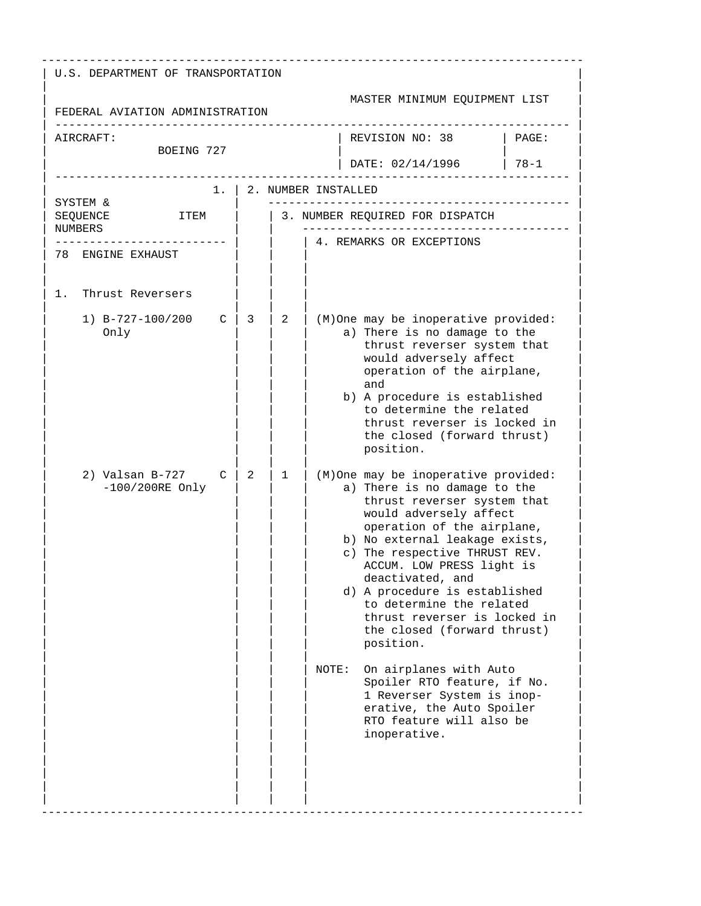| REVISION NO: 38<br>AIRCRAFT:<br>BOEING 727<br>DATE: 02/14/1996<br>1.   2. NUMBER INSTALLED<br>SYSTEM &<br>SEQUENCE<br>ITEM<br>3. NUMBER REQUIRED FOR DISPATCH<br>NUMBERS<br>4. REMARKS OR EXCEPTIONS<br>78 ENGINE EXHAUST<br>Thrust Reversers<br>1.<br>1) B-727-100/200<br>$\mathcal{C}$<br>$\overline{3}$<br>2<br>Only<br>and<br>b) A procedure is established<br>position.<br>2) Valsan B-727 C<br>2<br>$\mathbf{1}$<br>$-100/200$ RE Only<br>deactivated, and | U.S. DEPARTMENT OF TRANSPORTATION<br>MASTER MINIMUM EQUIPMENT LIST<br>FEDERAL AVIATION ADMINISTRATION                                                                                                                                                                                                                                                                                                                                                                                                                                       |  |  |  |  |  |  |  |
|------------------------------------------------------------------------------------------------------------------------------------------------------------------------------------------------------------------------------------------------------------------------------------------------------------------------------------------------------------------------------------------------------------------------------------------------------------------|---------------------------------------------------------------------------------------------------------------------------------------------------------------------------------------------------------------------------------------------------------------------------------------------------------------------------------------------------------------------------------------------------------------------------------------------------------------------------------------------------------------------------------------------|--|--|--|--|--|--|--|
|                                                                                                                                                                                                                                                                                                                                                                                                                                                                  | $\mathtt{PAGE}$ :<br>$ 78-1 $                                                                                                                                                                                                                                                                                                                                                                                                                                                                                                               |  |  |  |  |  |  |  |
|                                                                                                                                                                                                                                                                                                                                                                                                                                                                  | (M) One may be inoperative provided:<br>a) There is no damage to the<br>thrust reverser system that<br>would adversely affect<br>operation of the airplane,                                                                                                                                                                                                                                                                                                                                                                                 |  |  |  |  |  |  |  |
| position.<br>NOTE:                                                                                                                                                                                                                                                                                                                                                                                                                                               | to determine the related<br>thrust reverser is locked in<br>the closed (forward thrust)<br>(M) One may be inoperative provided:<br>a) There is no damage to the<br>thrust reverser system that<br>would adversely affect<br>operation of the airplane,<br>b) No external leakage exists,<br>c) The respective THRUST REV.<br>ACCUM. LOW PRESS light is<br>d) A procedure is established<br>to determine the related<br>thrust reverser is locked in<br>the closed (forward thrust)<br>On airplanes with Auto<br>Spoiler RTO feature, if No. |  |  |  |  |  |  |  |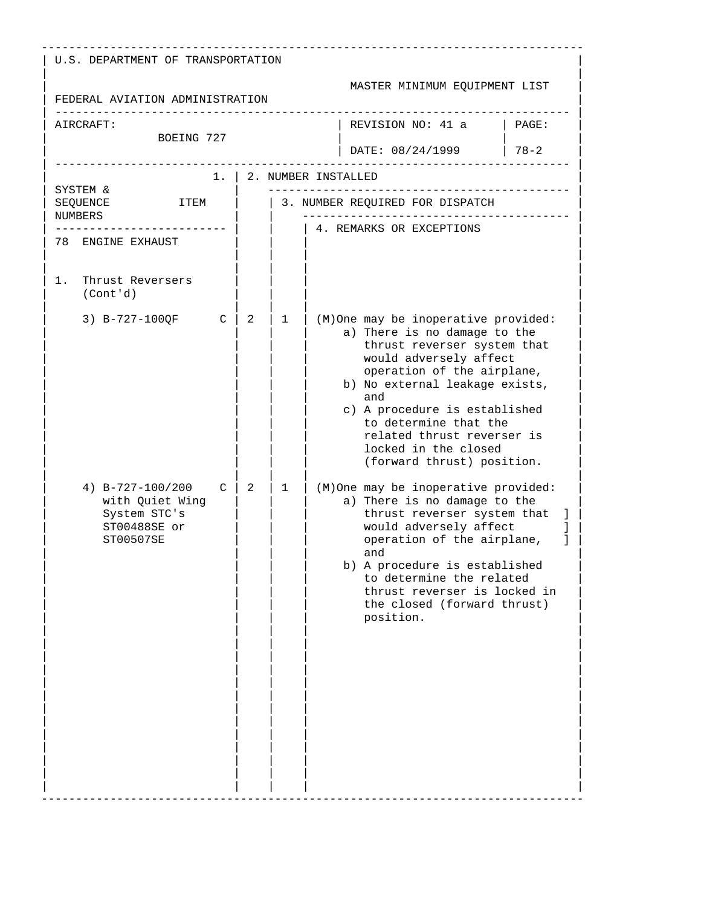|                                                                                  | U.S. DEPARTMENT OF TRANSPORTATION<br>MASTER MINIMUM EQUIPMENT LIST |                                |                                                                                                                                                                                                                                                                                                                                                    |         |  |  |  |  |  |
|----------------------------------------------------------------------------------|--------------------------------------------------------------------|--------------------------------|----------------------------------------------------------------------------------------------------------------------------------------------------------------------------------------------------------------------------------------------------------------------------------------------------------------------------------------------------|---------|--|--|--|--|--|
| FEDERAL AVIATION ADMINISTRATION                                                  |                                                                    |                                |                                                                                                                                                                                                                                                                                                                                                    |         |  |  |  |  |  |
| AIRCRAFT:<br>BOEING 727                                                          |                                                                    |                                | REVISION NO: 41 a<br>$\vdash$ PAGE:                                                                                                                                                                                                                                                                                                                |         |  |  |  |  |  |
|                                                                                  |                                                                    | DATE: 08/24/1999<br>  $78 - 2$ |                                                                                                                                                                                                                                                                                                                                                    |         |  |  |  |  |  |
| SYSTEM &                                                                         |                                                                    | 1. 2. NUMBER INSTALLED         |                                                                                                                                                                                                                                                                                                                                                    |         |  |  |  |  |  |
| SEQUENCE<br>ITEM<br><b>NUMBERS</b>                                               |                                                                    |                                | 3. NUMBER REQUIRED FOR DISPATCH                                                                                                                                                                                                                                                                                                                    |         |  |  |  |  |  |
| 78 ENGINE EXHAUST                                                                |                                                                    |                                | 4. REMARKS OR EXCEPTIONS                                                                                                                                                                                                                                                                                                                           |         |  |  |  |  |  |
| Thrust Reversers<br>1.<br>(Cont d)                                               |                                                                    |                                |                                                                                                                                                                                                                                                                                                                                                    |         |  |  |  |  |  |
| 3) B-727-100QF<br>$\overline{C}$                                                 | 2                                                                  | $\mathbf{1}$                   | (M) One may be inoperative provided:<br>a) There is no damage to the<br>thrust reverser system that<br>would adversely affect<br>operation of the airplane,<br>b) No external leakage exists,<br>and<br>c) A procedure is established<br>to determine that the<br>related thrust reverser is<br>locked in the closed<br>(forward thrust) position. |         |  |  |  |  |  |
| 4) B-727-100/200<br>with Quiet Wing<br>System STC's<br>ST00488SE or<br>ST00507SE | 2<br>$\mathbb{C}$                                                  | $\mathbf{1}$                   | (M) One may be inoperative provided:<br>a) There is no damage to the<br>thrust reverser system that<br>would adversely affect<br>operation of the airplane,<br>and<br>b) A procedure is established<br>to determine the related<br>thrust reverser is locked in<br>the closed (forward thrust)<br>position.                                        | $\perp$ |  |  |  |  |  |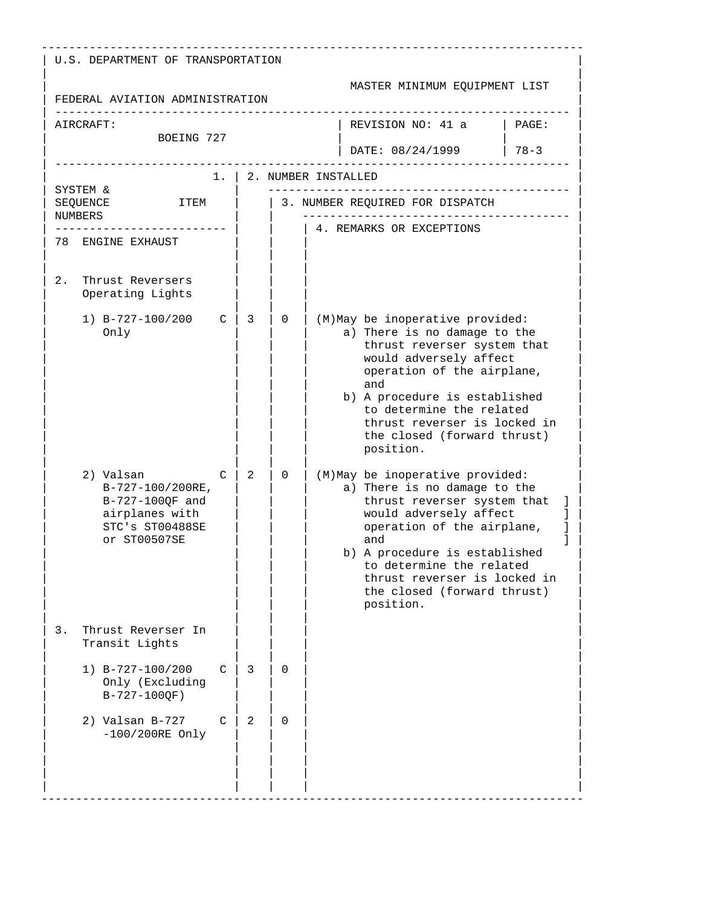|    | U.S. DEPARTMENT OF TRANSPORTATION                                                                        |                |                |          |                                                                                                                                                                                                                                                                                                              |  |  |  |
|----|----------------------------------------------------------------------------------------------------------|----------------|----------------|----------|--------------------------------------------------------------------------------------------------------------------------------------------------------------------------------------------------------------------------------------------------------------------------------------------------------------|--|--|--|
|    | MASTER MINIMUM EQUIPMENT LIST<br>FEDERAL AVIATION ADMINISTRATION                                         |                |                |          |                                                                                                                                                                                                                                                                                                              |  |  |  |
|    | AIRCRAFT:<br>BOEING 727                                                                                  |                |                |          | REVISION NO: 41 a<br>$\vdash$ PAGE:                                                                                                                                                                                                                                                                          |  |  |  |
|    |                                                                                                          |                |                |          | DATE: 08/24/1999<br>$ 78-3 $                                                                                                                                                                                                                                                                                 |  |  |  |
|    | SYSTEM &<br>SEQUENCE<br>ITEM                                                                             |                |                |          | 1. 2. NUMBER INSTALLED<br>3. NUMBER REQUIRED FOR DISPATCH                                                                                                                                                                                                                                                    |  |  |  |
|    | <b>NUMBERS</b>                                                                                           |                |                |          | 4. REMARKS OR EXCEPTIONS                                                                                                                                                                                                                                                                                     |  |  |  |
|    | 78 ENGINE EXHAUST                                                                                        |                |                |          |                                                                                                                                                                                                                                                                                                              |  |  |  |
| 2. | Thrust Reversers<br>Operating Lights                                                                     |                |                |          |                                                                                                                                                                                                                                                                                                              |  |  |  |
|    | 1) B-727-100/200<br>Only                                                                                 | $\overline{C}$ | $\overline{3}$ | $\Omega$ | (M) May be inoperative provided:<br>a) There is no damage to the<br>thrust reverser system that<br>would adversely affect<br>operation of the airplane,<br>and<br>b) A procedure is established<br>to determine the related<br>thrust reverser is locked in<br>the closed (forward thrust)<br>position.      |  |  |  |
|    | 2) Valsan<br>$B-727-100/200RE$ ,<br>B-727-100QF and<br>airplanes with<br>STC's ST00488SE<br>or ST00507SE | $\mathcal{C}$  | 2              | $\Omega$ | (M) May be inoperative provided:<br>a) There is no damage to the<br>thrust reverser system that<br>T<br>would adversely affect<br>operation of the airplane,<br>and<br>b) A procedure is established<br>to determine the related<br>thrust reverser is locked in<br>the closed (forward thrust)<br>position. |  |  |  |
| 3. | Thrust Reverser In<br>Transit Lights                                                                     |                |                |          |                                                                                                                                                                                                                                                                                                              |  |  |  |
|    | 1) B-727-100/200<br>Only (Excluding<br>$B-727-100QF$ )                                                   | $\mathcal{C}$  | 3              | $\Omega$ |                                                                                                                                                                                                                                                                                                              |  |  |  |
|    | 2) Valsan B-727<br>$-100/200$ RE Only                                                                    | $\mathcal{C}$  | 2              | $\Omega$ |                                                                                                                                                                                                                                                                                                              |  |  |  |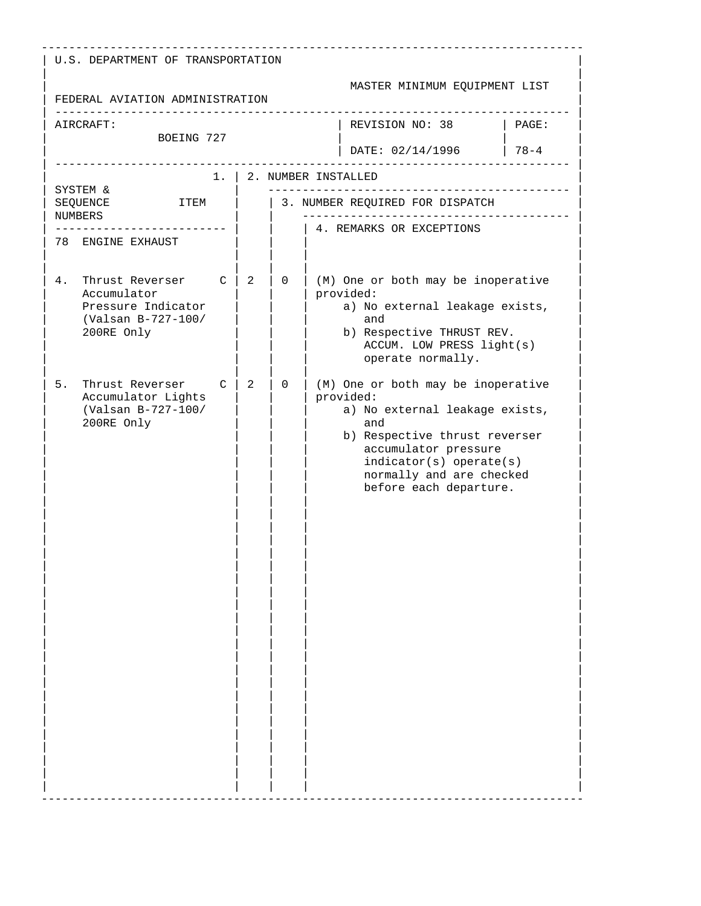| U.S. DEPARTMENT OF TRANSPORTATION<br>MASTER MINIMUM EQUIPMENT LIST                   |                                                                                            |              |                |              |                                                                                                                                                                                                                                     |  |  |
|--------------------------------------------------------------------------------------|--------------------------------------------------------------------------------------------|--------------|----------------|--------------|-------------------------------------------------------------------------------------------------------------------------------------------------------------------------------------------------------------------------------------|--|--|
| FEDERAL AVIATION ADMINISTRATION<br>REVISION NO: 38<br>AIRCRAFT:<br>$\mathtt{PAGE}$ : |                                                                                            |              |                |              |                                                                                                                                                                                                                                     |  |  |
|                                                                                      | BOEING 727                                                                                 |              |                |              | DATE: 02/14/1996<br>$ 78-4 $                                                                                                                                                                                                        |  |  |
|                                                                                      | SYSTEM &<br>SEQUENCE<br>ITEM<br><b>NUMBERS</b>                                             |              |                |              | 1. 2. NUMBER INSTALLED<br>3. NUMBER REQUIRED FOR DISPATCH                                                                                                                                                                           |  |  |
|                                                                                      | 78 ENGINE EXHAUST                                                                          |              |                |              | 4. REMARKS OR EXCEPTIONS                                                                                                                                                                                                            |  |  |
| 4.                                                                                   | Thrust Reverser C<br>Accumulator<br>Pressure Indicator<br>(Valsan B-727-100/<br>200RE Only |              | $\overline{2}$ | $\mathbf 0$  | (M) One or both may be inoperative<br>provided:<br>a) No external leakage exists,<br>and<br>b) Respective THRUST REV.<br>ACCUM. LOW PRESS light(s)<br>operate normally.                                                             |  |  |
| 5.                                                                                   | Thrust Reverser<br>Accumulator Lights<br>(Valsan B-727-100/<br>200RE Only                  | $\mathsf{C}$ | 2              | $\mathbf{0}$ | (M) One or both may be inoperative<br>provided:<br>a) No external leakage exists,<br>and<br>b) Respective thrust reverser<br>accumulator pressure<br>indication(s) operate(s)<br>normally and are checked<br>before each departure. |  |  |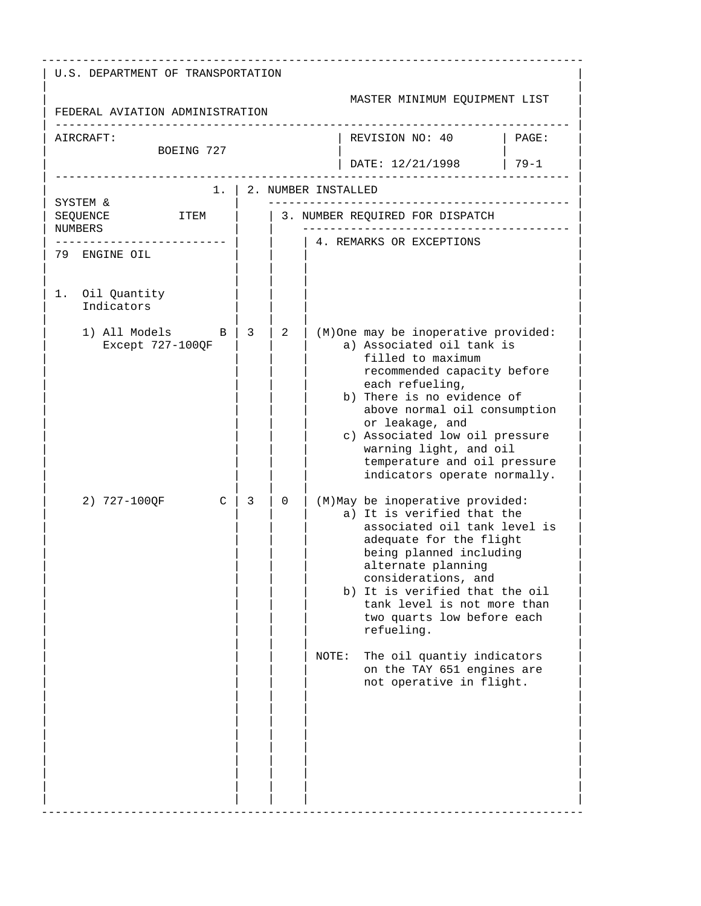| U.S. DEPARTMENT OF TRANSPORTATION                                |                |             |                                                                                                                                                                                                                                                                                                                                                                                                                 |  |  |  |  |
|------------------------------------------------------------------|----------------|-------------|-----------------------------------------------------------------------------------------------------------------------------------------------------------------------------------------------------------------------------------------------------------------------------------------------------------------------------------------------------------------------------------------------------------------|--|--|--|--|
| MASTER MINIMUM EQUIPMENT LIST<br>FEDERAL AVIATION ADMINISTRATION |                |             |                                                                                                                                                                                                                                                                                                                                                                                                                 |  |  |  |  |
| AIRCRAFT:<br>BOEING 727                                          |                |             | REVISION NO: 40<br>  PAGE:<br>$ 79-1 $<br>DATE: 12/21/1998                                                                                                                                                                                                                                                                                                                                                      |  |  |  |  |
|                                                                  |                |             | 1.   2. NUMBER INSTALLED                                                                                                                                                                                                                                                                                                                                                                                        |  |  |  |  |
| SYSTEM &<br>SEQUENCE<br>ITEM<br>NUMBERS                          |                |             | 3. NUMBER REQUIRED FOR DISPATCH                                                                                                                                                                                                                                                                                                                                                                                 |  |  |  |  |
| 79 ENGINE OIL                                                    |                |             | 4. REMARKS OR EXCEPTIONS                                                                                                                                                                                                                                                                                                                                                                                        |  |  |  |  |
| Oil Quantity<br>1.<br>Indicators                                 |                |             |                                                                                                                                                                                                                                                                                                                                                                                                                 |  |  |  |  |
| 1) All Models B<br>Except 727-100QF                              | $\overline{3}$ | 2           | (M) One may be inoperative provided:<br>a) Associated oil tank is<br>filled to maximum<br>recommended capacity before<br>each refueling,<br>b) There is no evidence of<br>above normal oil consumption<br>or leakage, and<br>c) Associated low oil pressure<br>warning light, and oil<br>temperature and oil pressure<br>indicators operate normally.                                                           |  |  |  |  |
| 2) 727-100QF<br>$\mathsf{C}$                                     | $\overline{3}$ | $\mathbf 0$ | (M) May be inoperative provided:<br>a) It is verified that the<br>associated oil tank level is<br>adequate for the flight<br>being planned including<br>alternate planning<br>considerations, and<br>b) It is verified that the oil<br>tank level is not more than<br>two quarts low before each<br>refueling.<br>The oil quantiy indicators<br>NOTE:<br>on the TAY 651 engines are<br>not operative in flight. |  |  |  |  |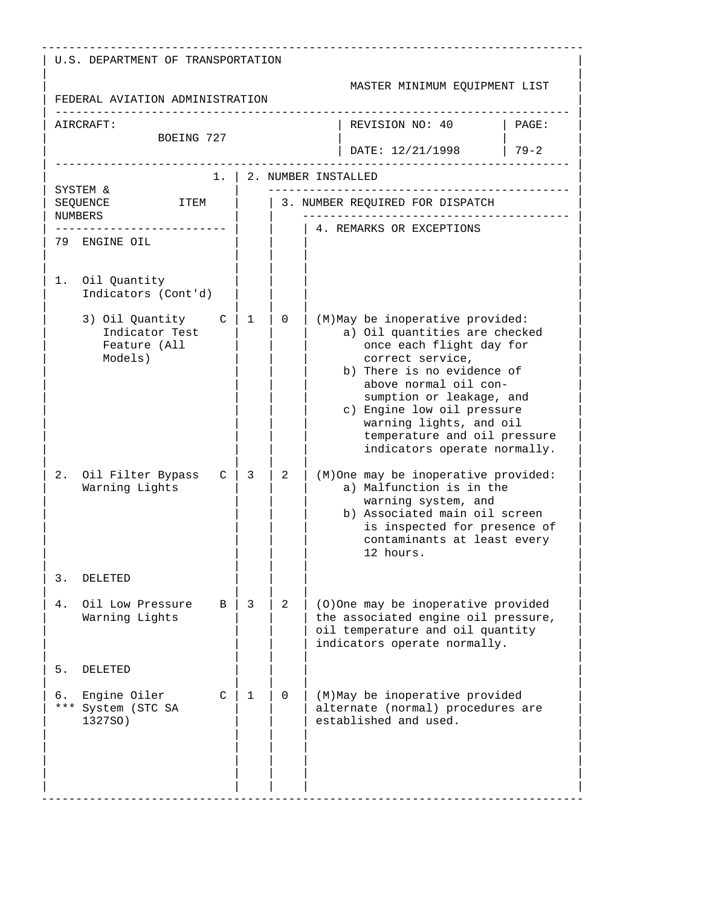|       | U.S. DEPARTMENT OF TRANSPORTATION                                |                |                        |                                                                                                                                                                                                                                                                                                                               |  |  |  |  |  |
|-------|------------------------------------------------------------------|----------------|------------------------|-------------------------------------------------------------------------------------------------------------------------------------------------------------------------------------------------------------------------------------------------------------------------------------------------------------------------------|--|--|--|--|--|
|       | MASTER MINIMUM EQUIPMENT LIST<br>FEDERAL AVIATION ADMINISTRATION |                |                        |                                                                                                                                                                                                                                                                                                                               |  |  |  |  |  |
|       | AIRCRAFT:<br>BOEING 727                                          |                |                        | REVISION NO: 40<br>PAGE:                                                                                                                                                                                                                                                                                                      |  |  |  |  |  |
|       |                                                                  |                |                        | DATE: 12/21/1998<br>$ 79-2 $                                                                                                                                                                                                                                                                                                  |  |  |  |  |  |
|       | SYSTEM &                                                         |                | 1. 2. NUMBER INSTALLED |                                                                                                                                                                                                                                                                                                                               |  |  |  |  |  |
|       | SEQUENCE<br>ITEM<br>NUMBERS                                      |                |                        | 3. NUMBER REQUIRED FOR DISPATCH                                                                                                                                                                                                                                                                                               |  |  |  |  |  |
|       | 79 ENGINE OIL                                                    |                |                        | 4. REMARKS OR EXCEPTIONS                                                                                                                                                                                                                                                                                                      |  |  |  |  |  |
| 1.    | Oil Quantity<br>Indicators (Cont'd)                              |                |                        |                                                                                                                                                                                                                                                                                                                               |  |  |  |  |  |
|       | 3) Oil Quantity C<br>Indicator Test<br>Feature (All<br>Models)   | 1              | $\Omega$               | (M) May be inoperative provided:<br>a) Oil quantities are checked<br>once each flight day for<br>correct service,<br>b) There is no evidence of<br>above normal oil con-<br>sumption or leakage, and<br>c) Engine low oil pressure<br>warning lights, and oil<br>temperature and oil pressure<br>indicators operate normally. |  |  |  |  |  |
| $2$ . | Oil Filter Bypass<br>$\mathcal{C}$<br>Warning Lights             | $\overline{3}$ | 2                      | (M) One may be inoperative provided:<br>a) Malfunction is in the<br>warning system, and<br>b) Associated main oil screen<br>is inspected for presence of<br>contaminants at least every<br>12 hours.                                                                                                                          |  |  |  |  |  |
| 3.    | DELETED                                                          |                |                        |                                                                                                                                                                                                                                                                                                                               |  |  |  |  |  |
| 4.    | Oil Low Pressure<br>$\mathbf{B}$<br>Warning Lights               | 3              | 2                      | (0) One may be inoperative provided<br>the associated engine oil pressure,<br>oil temperature and oil quantity<br>indicators operate normally.                                                                                                                                                                                |  |  |  |  |  |
| 5.    | DELETED                                                          |                |                        |                                                                                                                                                                                                                                                                                                                               |  |  |  |  |  |
| б.    | Engine Oiler<br>$\mathcal{C}$<br>*** System (STC SA<br>1327SO)   | 1              | $\Omega$               | (M) May be inoperative provided<br>alternate (normal) procedures are<br>established and used.                                                                                                                                                                                                                                 |  |  |  |  |  |